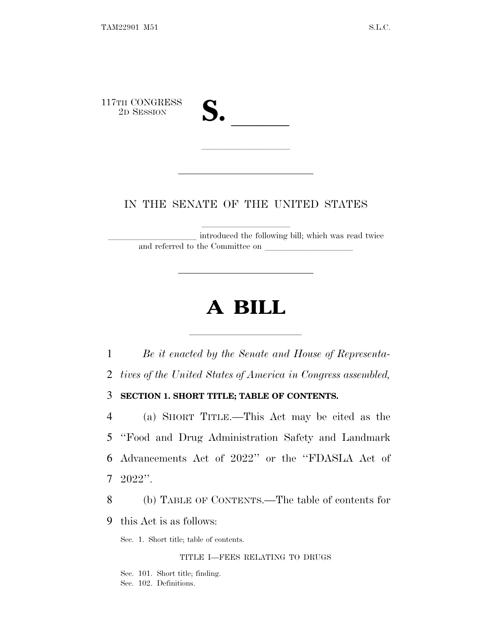117TH CONGRESS<br>2D SESSION TH CONGRESS 2D SESSION **S.** 

# IN THE SENATE OF THE UNITED STATES

lla se al consegue de la consegue de la consegue de la consegue de la consegue de la consegue de la consegue d<br>La consegue de la consegue de la consegue de la consegue de la consegue de la consegue de la consegue de la co

introduced the following bill; which was read twice and referred to the Committee on

# **A BILL**

lla se a constituída a constituída a constituída a constituída a constituída a constituída a constituída a con

 *Be it enacted by the Senate and House of Representa- tives of the United States of America in Congress assembled,* **SECTION 1. SHORT TITLE; TABLE OF CONTENTS.** (a) SHORT TITLE.—This Act may be cited as the ''Food and Drug Administration Safety and Landmark Advancements Act of 2022'' or the ''FDASLA Act of 7 2022''.

8 (b) TABLE OF CONTENTS.—The table of contents for

9 this Act is as follows:

Sec. 1. Short title; table of contents.

### TITLE I—FEES RELATING TO DRUGS

Sec. 101. Short title; finding. Sec. 102. Definitions.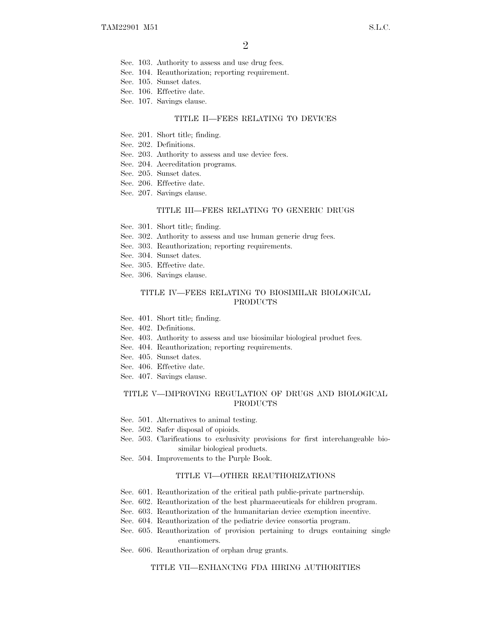- Sec. 103. Authority to assess and use drug fees.
- Sec. 104. Reauthorization; reporting requirement.
- Sec. 105. Sunset dates.
- Sec. 106. Effective date.
- Sec. 107. Savings clause.

#### TITLE II—FEES RELATING TO DEVICES

- Sec. 201. Short title; finding.
- Sec. 202. Definitions.
- Sec. 203. Authority to assess and use device fees.
- Sec. 204. Accreditation programs.
- Sec. 205. Sunset dates.
- Sec. 206. Effective date.
- Sec. 207. Savings clause.

#### TITLE III—FEES RELATING TO GENERIC DRUGS

- Sec. 301. Short title; finding.
- Sec. 302. Authority to assess and use human generic drug fees.
- Sec. 303. Reauthorization; reporting requirements.
- Sec. 304. Sunset dates.
- Sec. 305. Effective date.
- Sec. 306. Savings clause.

### TITLE IV—FEES RELATING TO BIOSIMILAR BIOLOGICAL PRODUCTS

- Sec. 401. Short title; finding.
- Sec. 402. Definitions.
- Sec. 403. Authority to assess and use biosimilar biological product fees.
- Sec. 404. Reauthorization; reporting requirements.
- Sec. 405. Sunset dates.
- Sec. 406. Effective date.
- Sec. 407. Savings clause.

#### TITLE V—IMPROVING REGULATION OF DRUGS AND BIOLOGICAL PRODUCTS

- Sec. 501. Alternatives to animal testing.
- Sec. 502. Safer disposal of opioids.
- Sec. 503. Clarifications to exclusivity provisions for first interchangeable biosimilar biological products.
- Sec. 504. Improvements to the Purple Book.

#### TITLE VI—OTHER REAUTHORIZATIONS

- Sec. 601. Reauthorization of the critical path public-private partnership.
- Sec. 602. Reauthorization of the best pharmaceuticals for children program.
- Sec. 603. Reauthorization of the humanitarian device exemption incentive.
- Sec. 604. Reauthorization of the pediatric device consortia program.
- Sec. 605. Reauthorization of provision pertaining to drugs containing single enantiomers.
- Sec. 606. Reauthorization of orphan drug grants.

#### TITLE VII—ENHANCING FDA HIRING AUTHORITIES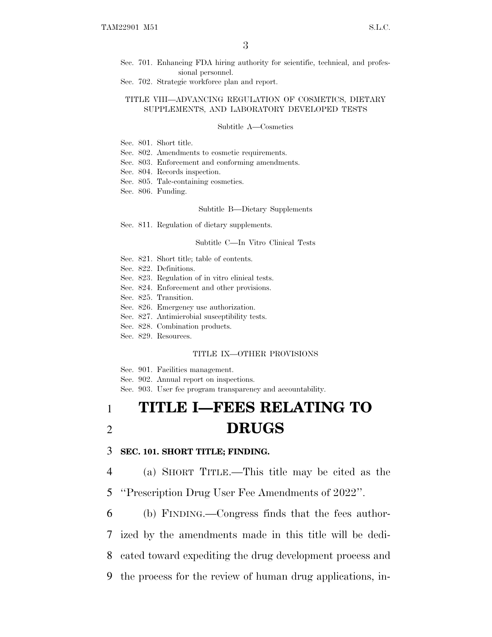- Sec. 701. Enhancing FDA hiring authority for scientific, technical, and professional personnel.
- Sec. 702. Strategic workforce plan and report.

### TITLE VIII—ADVANCING REGULATION OF COSMETICS, DIETARY SUPPLEMENTS, AND LABORATORY DEVELOPED TESTS

### Subtitle A—Cosmetics

- Sec. 801. Short title.
- Sec. 802. Amendments to cosmetic requirements.
- Sec. 803. Enforcement and conforming amendments.
- Sec. 804. Records inspection.
- Sec. 805. Talc-containing cosmetics.
- Sec. 806. Funding.

#### Subtitle B—Dietary Supplements

Sec. 811. Regulation of dietary supplements.

### Subtitle C—In Vitro Clinical Tests

- Sec. 821. Short title; table of contents.
- Sec. 822. Definitions.
- Sec. 823. Regulation of in vitro clinical tests.
- Sec. 824. Enforcement and other provisions.
- Sec. 825. Transition.
- Sec. 826. Emergency use authorization.
- Sec. 827. Antimicrobial susceptibility tests.
- Sec. 828. Combination products.
- Sec. 829. Resources.

#### TITLE IX—OTHER PROVISIONS

Sec. 901. Facilities management.

Sec. 902. Annual report on inspections.

Sec. 903. User fee program transparency and accountability.

# 1 **TITLE I—FEES RELATING TO** 2 **DRUGS**

## 3 **SEC. 101. SHORT TITLE; FINDING.**

4 (a) SHORT TITLE.—This title may be cited as the

5 ''Prescription Drug User Fee Amendments of 2022''.

 (b) FINDING.—Congress finds that the fees author- ized by the amendments made in this title will be dedi- cated toward expediting the drug development process and the process for the review of human drug applications, in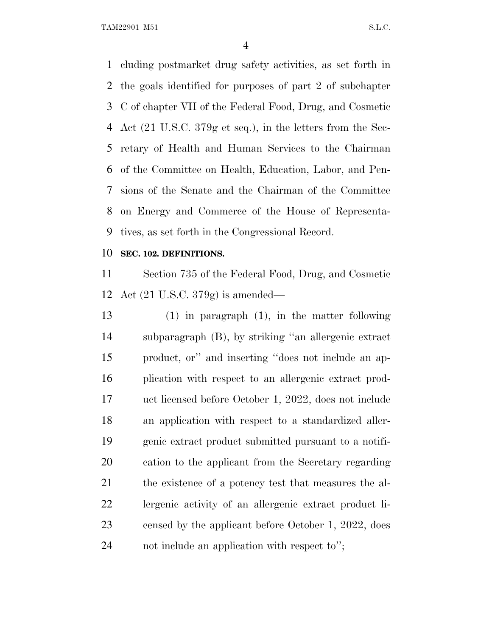TAM22901 M51 S.L.C.

 cluding postmarket drug safety activities, as set forth in the goals identified for purposes of part 2 of subchapter C of chapter VII of the Federal Food, Drug, and Cosmetic Act (21 U.S.C. 379g et seq.), in the letters from the Sec- retary of Health and Human Services to the Chairman of the Committee on Health, Education, Labor, and Pen- sions of the Senate and the Chairman of the Committee on Energy and Commerce of the House of Representa-tives, as set forth in the Congressional Record.

## **SEC. 102. DEFINITIONS.**

 Section 735 of the Federal Food, Drug, and Cosmetic Act (21 U.S.C. 379g) is amended—

 (1) in paragraph (1), in the matter following subparagraph (B), by striking ''an allergenic extract product, or'' and inserting ''does not include an ap- plication with respect to an allergenic extract prod- uct licensed before October 1, 2022, does not include an application with respect to a standardized aller- genic extract product submitted pursuant to a notifi- cation to the applicant from the Secretary regarding 21 the existence of a potency test that measures the al- lergenic activity of an allergenic extract product li- censed by the applicant before October 1, 2022, does not include an application with respect to'';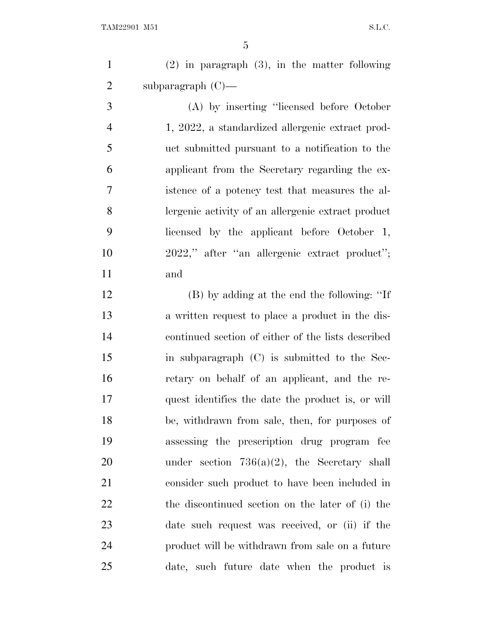(2) in paragraph (3), in the matter following subparagraph (C)—

 (A) by inserting ''licensed before October 1, 2022, a standardized allergenic extract prod- uct submitted pursuant to a notification to the applicant from the Secretary regarding the ex- istence of a potency test that measures the al- lergenic activity of an allergenic extract product licensed by the applicant before October 1, 2022,'' after ''an allergenic extract product''; and

 (B) by adding at the end the following: ''If a written request to place a product in the dis- continued section of either of the lists described in subparagraph (C) is submitted to the Sec- retary on behalf of an applicant, and the re- quest identifies the date the product is, or will be, withdrawn from sale, then, for purposes of assessing the prescription drug program fee under section 736(a)(2), the Secretary shall consider such product to have been included in the discontinued section on the later of (i) the date such request was received, or (ii) if the product will be withdrawn from sale on a future date, such future date when the product is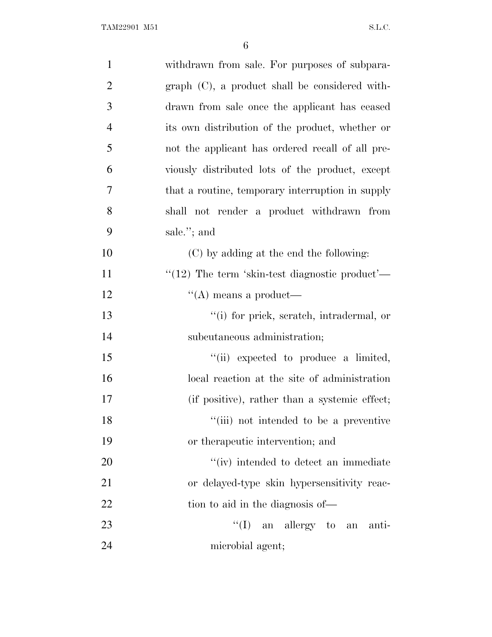| $\mathbf{1}$   | withdrawn from sale. For purposes of subpara-       |
|----------------|-----------------------------------------------------|
| $\overline{2}$ | $graph$ $(C)$ , a product shall be considered with- |
| 3              | drawn from sale once the applicant has ceased       |
| $\overline{4}$ | its own distribution of the product, whether or     |
| 5              | not the applicant has ordered recall of all pre-    |
| 6              | viously distributed lots of the product, except     |
| 7              | that a routine, temporary interruption in supply    |
| 8              | shall not render a product withdrawn from           |
| 9              | sale."; and                                         |
| 10             | (C) by adding at the end the following:             |
| 11             | " $(12)$ The term 'skin-test diagnostic product'—   |
| 12             | $\lq\lq$ means a product—                           |
| 13             | "(i) for prick, scratch, intradermal, or            |
| 14             | subcutaneous administration;                        |
| 15             | "(ii) expected to produce a limited,                |
| 16             | local reaction at the site of administration        |
| 17             | (if positive), rather than a systemic effect;       |
| 18             | "(iii) not intended to be a preventive              |
| 19             | or the rapeutic intervention; and                   |
| 20             | "(iv) intended to detect an immediate               |
| 21             | or delayed-type skin hypersensitivity reac-         |
| 22             | tion to aid in the diagnosis of—                    |
| 23             | $\lq\lq$ (I) an allergy to an<br>anti-              |
| 24             | microbial agent;                                    |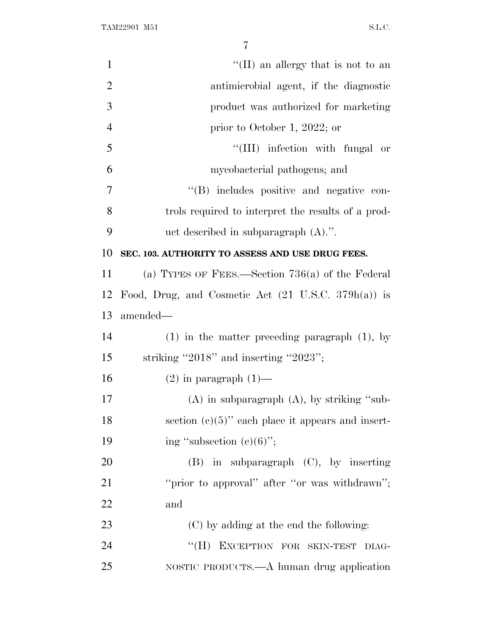| $\mathbf{1}$   | "(II) an allergy that is not to an                             |
|----------------|----------------------------------------------------------------|
| $\overline{2}$ | antimicrobial agent, if the diagnostic                         |
| 3              | product was authorized for marketing                           |
| $\overline{4}$ | prior to October 1, 2022; or                                   |
| 5              | "(III) infection with fungal or                                |
| 6              | mycobacterial pathogens; and                                   |
| 7              | "(B) includes positive and negative con-                       |
| 8              | trols required to interpret the results of a prod-             |
| 9              | uct described in subparagraph $(A)$ .".                        |
| 10             | SEC. 103. AUTHORITY TO ASSESS AND USE DRUG FEES.               |
| 11             | (a) TYPES OF FEES.—Section $736(a)$ of the Federal             |
| 12             | Food, Drug, and Cosmetic Act $(21 \text{ U.S.C. } 379h(a))$ is |
| 13             | amended—                                                       |
| 14             | $(1)$ in the matter preceding paragraph $(1)$ , by             |
| 15             | striking "2018" and inserting "2023";                          |
| 16             | $(2)$ in paragraph $(1)$ —                                     |
| 17             | $(A)$ in subparagraph $(A)$ , by striking "sub-                |
| 18             | section $(c)(5)$ " each place it appears and insert-           |
| 19             | ing "subsection $(e)(6)$ ";                                    |
| 20             | $(B)$ in subparagraph $(C)$ , by inserting                     |
| 21             | "prior to approval" after "or was withdrawn";                  |
| 22             | and                                                            |
| 23             | (C) by adding at the end the following:                        |
| 24             | "(H) EXCEPTION FOR SKIN-TEST DIAG-                             |
| 25             | NOSTIC PRODUCTS.—A human drug application                      |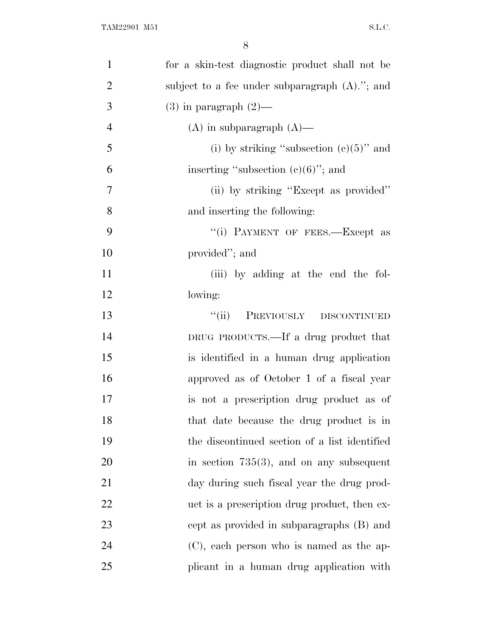| $\mathbf{1}$   | for a skin-test diagnostic product shall not be   |
|----------------|---------------------------------------------------|
| $\overline{2}$ | subject to a fee under subparagraph $(A)$ ."; and |
| 3              | $(3)$ in paragraph $(2)$ —                        |
| $\overline{4}$ | $(A)$ in subparagraph $(A)$ —                     |
| 5              | (i) by striking "subsection $(c)(5)$ " and        |
| 6              | inserting "subsection $(e)(6)$ "; and             |
| 7              | (ii) by striking "Except as provided"             |
| 8              | and inserting the following:                      |
| 9              | "(i) PAYMENT OF FEES.—Except as                   |
| 10             | provided"; and                                    |
| 11             | (iii) by adding at the end the fol-               |
| 12             | lowing:                                           |
| 13             | PREVIOUSLY DISCONTINUED<br>$\lq(\mathbf{ii})$     |
| 14             | DRUG PRODUCTS.—If a drug product that             |
| 15             | is identified in a human drug application         |
| 16             | approved as of October 1 of a fiscal year         |
| 17             | is not a prescription drug product as of          |
| 18             | that date because the drug product is in          |
| 19             | the discontinued section of a list identified     |
| 20             | in section $735(3)$ , and on any subsequent       |
| 21             | day during such fiscal year the drug prod-        |
| 22             | uct is a prescription drug product, then ex-      |
| 23             | cept as provided in subparagraphs (B) and         |
| 24             | $(C)$ , each person who is named as the ap-       |
| 25             | plicant in a human drug application with          |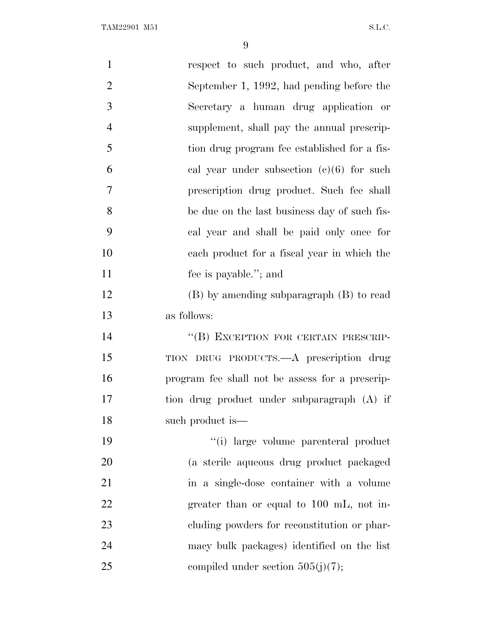| $\mathbf{1}$   | respect to such product, and who, after         |
|----------------|-------------------------------------------------|
| $\overline{2}$ | September 1, 1992, had pending before the       |
| 3              | Secretary a human drug application or           |
| $\overline{4}$ | supplement, shall pay the annual prescrip-      |
| 5              | tion drug program fee established for a fis-    |
| 6              | cal year under subsection $(c)(6)$ for such     |
| $\overline{7}$ | prescription drug product. Such fee shall       |
| 8              | be due on the last business day of such fis-    |
| 9              | cal year and shall be paid only once for        |
| 10             | each product for a fiscal year in which the     |
| 11             | fee is payable."; and                           |
| 12             | (B) by amending subparagraph (B) to read        |
| 13             | as follows:                                     |
| 14             | "(B) EXCEPTION FOR CERTAIN PRESCRIP-            |
| 15             | TION DRUG PRODUCTS.—A prescription drug         |
| 16             | program fee shall not be assess for a prescrip- |
| 17             | tion drug product under subparagraph (A) if     |
| 18             | such product is—                                |
| 19             | "(i) large volume parenteral product            |
| <b>20</b>      | (a sterile aqueous drug product packaged        |
| 21             | in a single-dose container with a volume        |
| 22             | greater than or equal to 100 mL, not in-        |
| 23             | eluding powders for reconstitution or phar-     |
| 24             | macy bulk packages) identified on the list      |
| 25             | compiled under section $505(j)(7)$ ;            |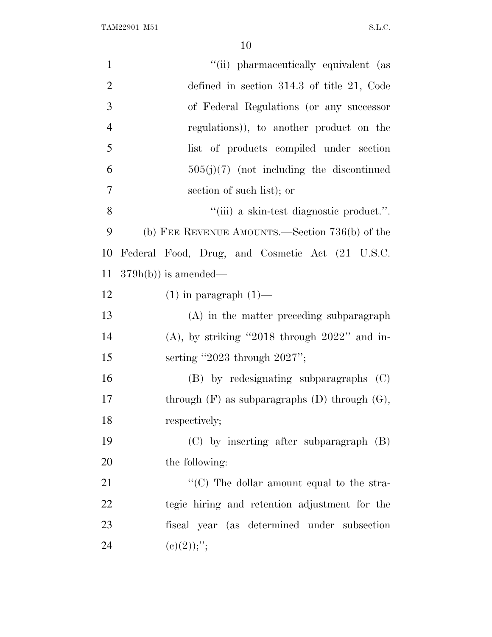TAM22901 M51 S.L.C.

| $\mathbf{1}$   | "(ii) pharmaceutically equivalent (as                |
|----------------|------------------------------------------------------|
| $\overline{2}$ | defined in section $314.3$ of title 21, Code         |
| 3              | of Federal Regulations (or any successor             |
| $\overline{4}$ | regulations)), to another product on the             |
| 5              | list of products compiled under section              |
| 6              | $505(j)(7)$ (not including the discontinued          |
| $\tau$         | section of such list); or                            |
| 8              | "(iii) a skin-test diagnostic product.".             |
| 9              | (b) FEE REVENUE AMOUNTS.—Section $736(b)$ of the     |
| 10             | Federal Food, Drug, and Cosmetic Act (21 U.S.C.      |
| 11             | $379h(b)$ is amended—                                |
| 12             | $(1)$ in paragraph $(1)$ —                           |
| 13             | (A) in the matter preceding subparagraph             |
| 14             | $(A)$ , by striking "2018 through 2022" and in-      |
| 15             | serting "2023 through $2027$ ";                      |
| 16             | (B) by redesignating subparagraphs (C)               |
| 17             | through $(F)$ as subparagraphs $(D)$ through $(G)$ , |
| 18             | respectively;                                        |
| 19             | $(C)$ by inserting after subparagraph $(B)$          |
| 20             | the following:                                       |
| 21             | " $(C)$ The dollar amount equal to the stra-         |
| 22             | tegic hiring and retention adjustment for the        |
| 23             | fiscal year (as determined under subsection          |
| 24             | $(e)(2));$ ";                                        |
|                |                                                      |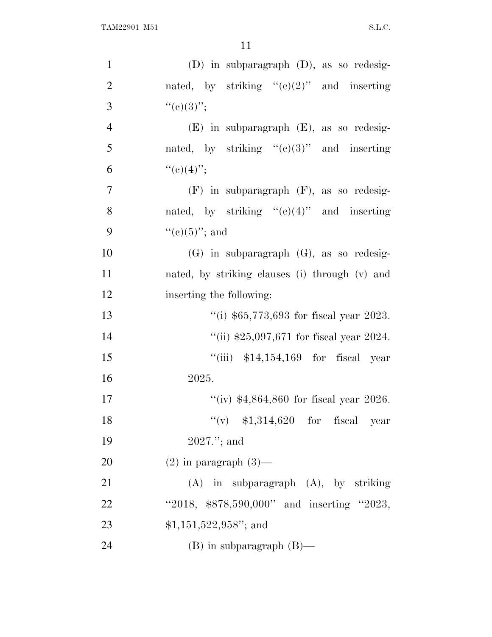| $\mathbf{1}$   | $(D)$ in subparagraph $(D)$ , as so redesig-   |
|----------------|------------------------------------------------|
| $\overline{2}$ | nated, by striking " $(e)(2)$ " and inserting  |
| 3              | ``(e)(3)'';                                    |
| $\overline{4}$ | $(E)$ in subparagraph $(E)$ , as so redesig-   |
| 5              | nated, by striking " $(e)(3)$ " and inserting  |
| 6              | ``(e)(4)";                                     |
| $\overline{7}$ | $(F)$ in subparagraph $(F)$ , as so redesig-   |
| 8              | nated, by striking " $(e)(4)$ " and inserting  |
| 9              | " $(e)(5)$ "; and                              |
| 10             | $(G)$ in subparagraph $(G)$ , as so redesig-   |
| 11             | nated, by striking clauses (i) through (v) and |
| 12             | inserting the following:                       |
| 13             | "(i) $$65,773,693$ for fiscal year 2023.       |
| 14             | "(ii) $$25,097,671$ for fiscal year 2024.      |
| 15             | "(iii) $$14,154,169$ for fiscal year           |
| 16             | 2025.                                          |
| 17             | "(iv) $$4,864,860$ for fiscal year 2026.       |
| 18             | "(v) $$1,314,620$ for fiscal year              |
| 19             | $2027."$ ; and                                 |
| 20             | $(2)$ in paragraph $(3)$ —                     |
| 21             | $(A)$ in subparagraph $(A)$ , by striking      |
| 22             | "2018, \$878,590,000" and inserting "2023,     |
| 23             | $$1,151,522,958"$ ; and                        |
| 24             | $(B)$ in subparagraph $(B)$ —                  |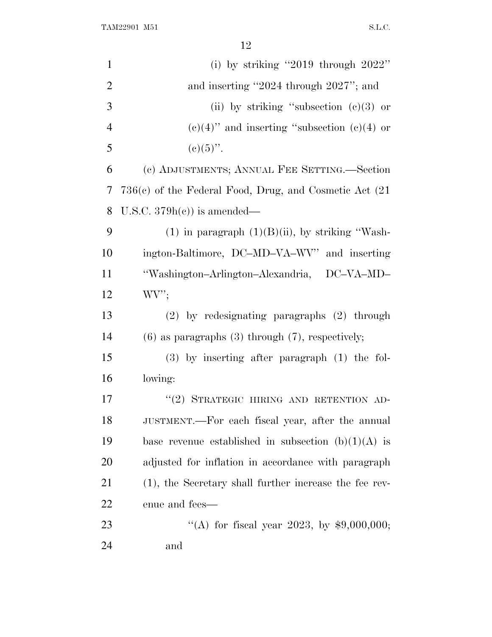TAM22901 M51 S.L.C.

| $\mathbf{1}$   | (i) by striking "2019 through $2022$ "                      |
|----------------|-------------------------------------------------------------|
| $\overline{2}$ | and inserting "2024 through 2027"; and                      |
| 3              | (ii) by striking "subsection $(c)(3)$ or                    |
| $\overline{4}$ | $(e)(4)$ " and inserting "subsection $(e)(4)$ or            |
| 5              | $(c)(5)$ ".                                                 |
| 6              | (c) ADJUSTMENTS; ANNUAL FEE SETTING.—Section                |
| 7              | $736(c)$ of the Federal Food, Drug, and Cosmetic Act $(21)$ |
| 8              | U.S.C. $379h(e)$ is amended—                                |
| 9              | $(1)$ in paragraph $(1)(B)(ii)$ , by striking "Wash-        |
| 10             | ington-Baltimore, DC-MD-VA-WV" and inserting                |
| 11             | "Washington-Arlington-Alexandria, DC-VA-MD-                 |
| 12             | WV'                                                         |
| 13             | $(2)$ by redesignating paragraphs $(2)$ through             |
| 14             | $(6)$ as paragraphs $(3)$ through $(7)$ , respectively;     |
| 15             | $(3)$ by inserting after paragraph $(1)$ the fol-           |
| 16             | lowing:                                                     |
| 17             | "(2) STRATEGIC HIRING AND RETENTION AD-                     |
| 18             | JUSTMENT.—For each fiscal year, after the annual            |
| 19             | base revenue established in subsection $(b)(1)(A)$ is       |
| 20             | adjusted for inflation in accordance with paragraph         |
| 21             | (1), the Secretary shall further increase the fee rev-      |
| 22             | enue and fees—                                              |
| 23             | "(A) for fiscal year 2023, by $$9,000,000;$                 |
| 24             | and                                                         |
|                |                                                             |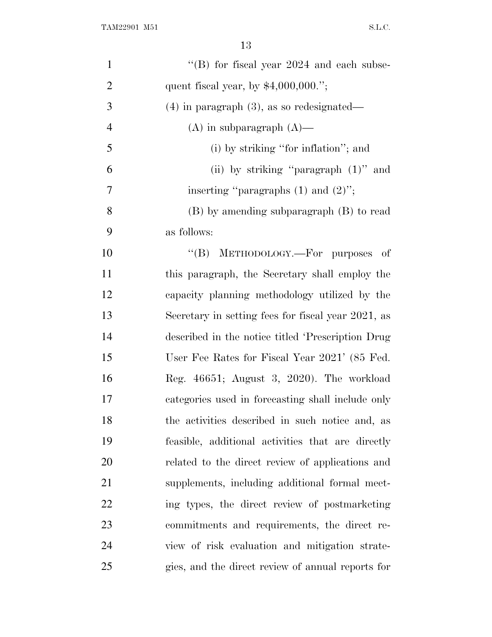| $\mathbf{1}$   | "(B) for fiscal year $2024$ and each subse-        |
|----------------|----------------------------------------------------|
| $\overline{2}$ | quent fiscal year, by $$4,000,000."$ ;             |
| 3              | $(4)$ in paragraph $(3)$ , as so redesignated—     |
| $\overline{4}$ | $(A)$ in subparagraph $(A)$ —                      |
| 5              | (i) by striking "for inflation"; and               |
| 6              | (ii) by striking "paragraph $(1)$ " and            |
| 7              | inserting "paragraphs $(1)$ and $(2)$ ";           |
| 8              | (B) by amending subparagraph (B) to read           |
| 9              | as follows:                                        |
| 10             | "(B) METHODOLOGY.—For purposes<br>- of             |
| 11             | this paragraph, the Secretary shall employ the     |
| 12             | capacity planning methodology utilized by the      |
| 13             | Secretary in setting fees for fiscal year 2021, as |
| 14             | described in the notice titled 'Prescription Drug  |
| 15             | User Fee Rates for Fiscal Year 2021' (85 Fed.      |
| 16             | Reg. 46651; August 3, 2020). The workload          |
| 17             | categories used in forecasting shall include only  |
| 18             | the activities described in such notice and, as    |
| 19             | feasible, additional activities that are directly  |
| 20             | related to the direct review of applications and   |
| 21             | supplements, including additional formal meet-     |
| 22             | ing types, the direct review of postmarketing      |
| 23             | commitments and requirements, the direct re-       |
| 24             | view of risk evaluation and mitigation strate-     |
| 25             | gies, and the direct review of annual reports for  |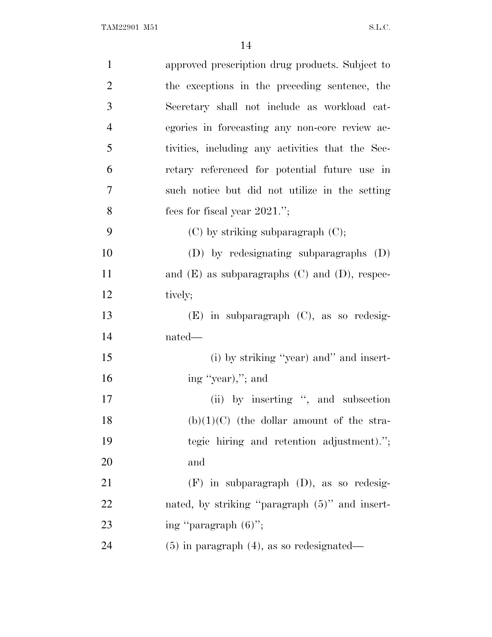| $\mathbf{1}$   | approved prescription drug products. Subject to      |
|----------------|------------------------------------------------------|
| $\overline{2}$ | the exceptions in the preceding sentence, the        |
| 3              | Secretary shall not include as workload cat-         |
| $\overline{4}$ | egories in forecasting any non-core review ac-       |
| 5              | tivities, including any activities that the Sec-     |
| 6              | retary referenced for potential future use in        |
| 7              | such notice but did not utilize in the setting       |
| 8              | fees for fiscal year $2021$ .";                      |
| 9              | $(C)$ by striking subparagraph $(C)$ ;               |
| 10             | (D) by redesignating subparagraphs (D)               |
| 11             | and $(E)$ as subparagraphs $(C)$ and $(D)$ , respec- |
| 12             | tively;                                              |
| 13             | $(E)$ in subparagraph $(C)$ , as so redesig-         |
| 14             | nated—                                               |
| 15             | (i) by striking "year) and" and insert-              |
| 16             | ing "year),"; and                                    |
| 17             | (ii) by inserting ", and subsection                  |
| 18             | $(b)(1)(C)$ (the dollar amount of the stra-          |
| 19             | tegic hiring and retention adjustment).";            |
| 20             | and                                                  |
| 21             | $(F)$ in subparagraph $(D)$ , as so redesig-         |
| 22             | nated, by striking "paragraph (5)" and insert-       |
| 23             | ing "paragraph $(6)$ ";                              |
| 24             | $(5)$ in paragraph $(4)$ , as so redesignated—       |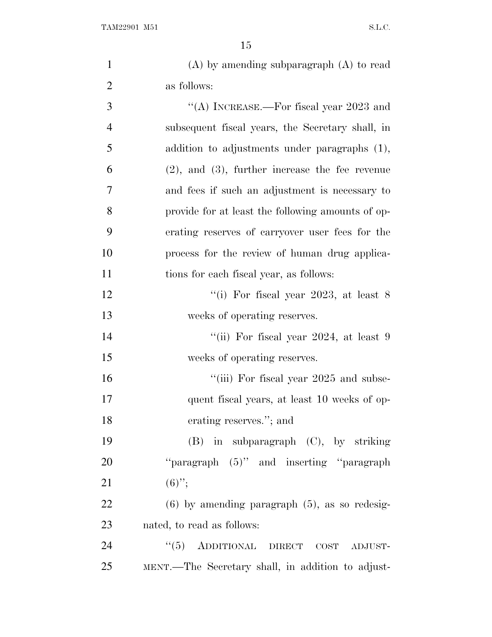| $\mathbf{1}$   | $(A)$ by amending subparagraph $(A)$ to read         |
|----------------|------------------------------------------------------|
| $\overline{2}$ | as follows:                                          |
| 3              | "(A) INCREASE.—For fiscal year $2023$ and            |
| $\overline{4}$ | subsequent fiscal years, the Secretary shall, in     |
| 5              | addition to adjustments under paragraphs (1),        |
| 6              | $(2)$ , and $(3)$ , further increase the fee revenue |
| 7              | and fees if such an adjustment is necessary to       |
| 8              | provide for at least the following amounts of op-    |
| 9              | erating reserves of carryover user fees for the      |
| 10             | process for the review of human drug applica-        |
| 11             | tions for each fiscal year, as follows:              |
| 12             | "(i) For fiscal year 2023, at least $8$              |
| 13             | weeks of operating reserves.                         |
| 14             | "(ii) For fiscal year $2024$ , at least 9            |
| 15             | weeks of operating reserves.                         |
| 16             | "(iii) For fiscal year 2025 and subse-               |
| 17             | quent fiscal years, at least 10 weeks of op-         |
| 18             | erating reserves."; and                              |
| 19             | $(B)$ in subparagraph $(C)$ , by striking            |
| <b>20</b>      | "paragraph $(5)$ " and inserting "paragraph"         |
| 21             | $(6)$ ";                                             |
| 22             | $(6)$ by amending paragraph $(5)$ , as so redesig-   |
| 23             | nated, to read as follows:                           |
| 24             | "(5) ADDITIONAL DIRECT COST ADJUST-                  |
| 25             | MENT.—The Secretary shall, in addition to adjust-    |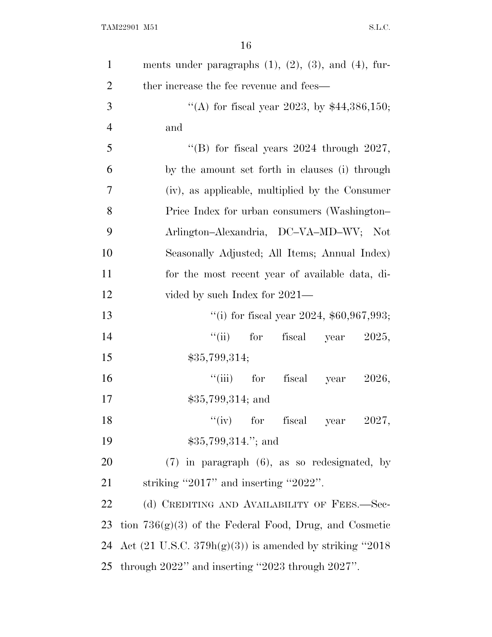| $\mathbf{1}$   | ments under paragraphs $(1)$ , $(2)$ , $(3)$ , and $(4)$ , fur-               |
|----------------|-------------------------------------------------------------------------------|
| $\overline{2}$ | ther increase the fee revenue and fees—                                       |
| 3              | "(A) for fiscal year 2023, by $$44,386,150$ ;                                 |
| $\overline{4}$ | and                                                                           |
| 5              | "(B) for fiscal years $2024$ through $2027$ ,                                 |
| 6              | by the amount set forth in clauses (i) through                                |
| 7              | (iv), as applicable, multiplied by the Consumer                               |
| 8              | Price Index for urban consumers (Washington-                                  |
| 9              | Arlington-Alexandria, DC-VA-MD-WV; Not                                        |
| 10             | Seasonally Adjusted; All Items; Annual Index)                                 |
| 11             | for the most recent year of available data, di-                               |
| 12             | vided by such Index for 2021—                                                 |
| 13             | "(i) for fiscal year 2024, $$60,967,993;$                                     |
| 14             | ``(ii)<br>for<br>fiscal year $2025$ ,                                         |
| 15             | \$35,799,314;                                                                 |
| 16             | $``(iii)$ for<br>fiscal year<br>2026,                                         |
| 17             | $$35,799,314;$ and                                                            |
| 18             | "(iv) for fiscal year $2027$ ,                                                |
| 19             | \$35,799,314."; and                                                           |
| 20             | $(7)$ in paragraph $(6)$ , as so redesignated, by                             |
| 21             | striking "2017" and inserting "2022".                                         |
| 22             | (d) CREDITING AND AVAILABILITY OF FEES.-Sec-                                  |
| 23             | tion $736(g)(3)$ of the Federal Food, Drug, and Cosmetic                      |
|                | 24 Act $(21 \text{ U.S.C. } 379\text{h(g)}(3))$ is amended by striking "2018" |
|                | 25 through 2022" and inserting "2023 through 2027".                           |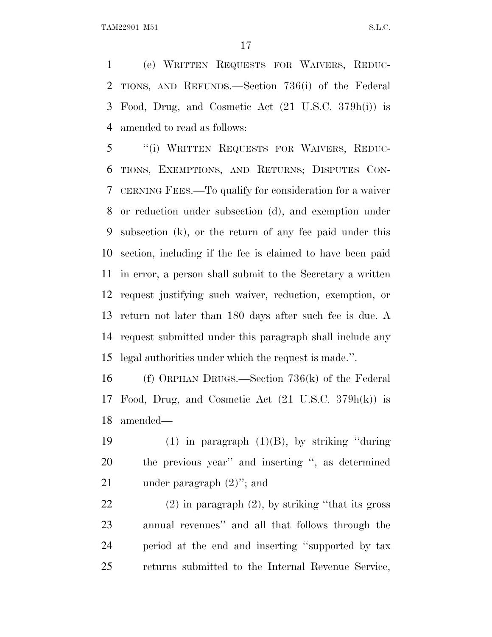(e) WRITTEN REQUESTS FOR WAIVERS, REDUC- TIONS, AND REFUNDS.—Section 736(i) of the Federal Food, Drug, and Cosmetic Act (21 U.S.C. 379h(i)) is amended to read as follows:

 ''(i) WRITTEN REQUESTS FOR WAIVERS, REDUC- TIONS, EXEMPTIONS, AND RETURNS; DISPUTES CON- CERNING FEES.—To qualify for consideration for a waiver or reduction under subsection (d), and exemption under subsection (k), or the return of any fee paid under this section, including if the fee is claimed to have been paid in error, a person shall submit to the Secretary a written request justifying such waiver, reduction, exemption, or return not later than 180 days after such fee is due. A request submitted under this paragraph shall include any legal authorities under which the request is made.''.

 (f) ORPHAN DRUGS.—Section 736(k) of the Federal Food, Drug, and Cosmetic Act (21 U.S.C. 379h(k)) is amended—

19  $(1)$  in paragraph  $(1)(B)$ , by striking "during" the previous year'' and inserting '', as determined under paragraph (2)''; and

 (2) in paragraph (2), by striking ''that its gross annual revenues'' and all that follows through the period at the end and inserting ''supported by tax returns submitted to the Internal Revenue Service,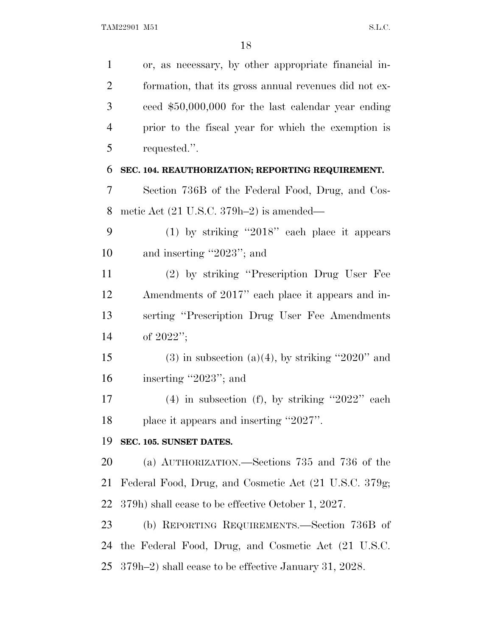or, as necessary, by other appropriate financial in- formation, that its gross annual revenues did not ex- ceed \$50,000,000 for the last calendar year ending prior to the fiscal year for which the exemption is requested.''. **SEC. 104. REAUTHORIZATION; REPORTING REQUIREMENT.** Section 736B of the Federal Food, Drug, and Cos- metic Act (21 U.S.C. 379h–2) is amended— (1) by striking ''2018'' each place it appears and inserting ''2023''; and (2) by striking ''Prescription Drug User Fee Amendments of 2017'' each place it appears and in- serting ''Prescription Drug User Fee Amendments of 2022''; 15 (3) in subsection (a)(4), by striking "2020" and inserting ''2023''; and (4) in subsection (f), by striking ''2022'' each place it appears and inserting ''2027''. **SEC. 105. SUNSET DATES.** (a) AUTHORIZATION.—Sections 735 and 736 of the Federal Food, Drug, and Cosmetic Act (21 U.S.C. 379g; 379h) shall cease to be effective October 1, 2027. (b) REPORTING REQUIREMENTS.—Section 736B of the Federal Food, Drug, and Cosmetic Act (21 U.S.C. 379h–2) shall cease to be effective January 31, 2028.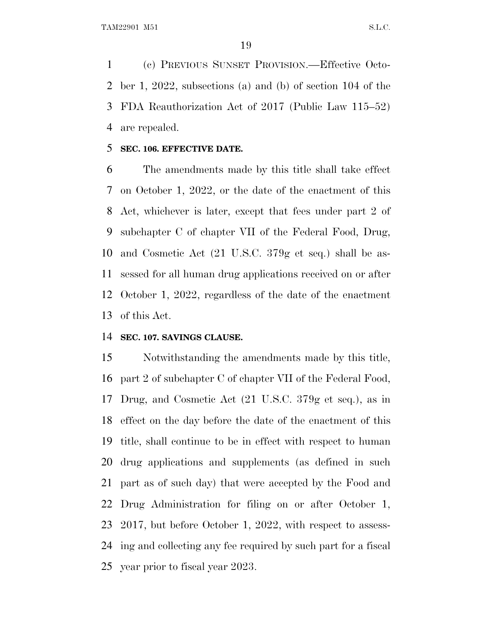(c) PREVIOUS SUNSET PROVISION.—Effective Octo- ber 1, 2022, subsections (a) and (b) of section 104 of the FDA Reauthorization Act of 2017 (Public Law 115–52) are repealed.

## **SEC. 106. EFFECTIVE DATE.**

 The amendments made by this title shall take effect on October 1, 2022, or the date of the enactment of this Act, whichever is later, except that fees under part 2 of subchapter C of chapter VII of the Federal Food, Drug, and Cosmetic Act (21 U.S.C. 379g et seq.) shall be as- sessed for all human drug applications received on or after October 1, 2022, regardless of the date of the enactment of this Act.

## **SEC. 107. SAVINGS CLAUSE.**

 Notwithstanding the amendments made by this title, part 2 of subchapter C of chapter VII of the Federal Food, Drug, and Cosmetic Act (21 U.S.C. 379g et seq.), as in effect on the day before the date of the enactment of this title, shall continue to be in effect with respect to human drug applications and supplements (as defined in such part as of such day) that were accepted by the Food and Drug Administration for filing on or after October 1, 2017, but before October 1, 2022, with respect to assess- ing and collecting any fee required by such part for a fiscal year prior to fiscal year 2023.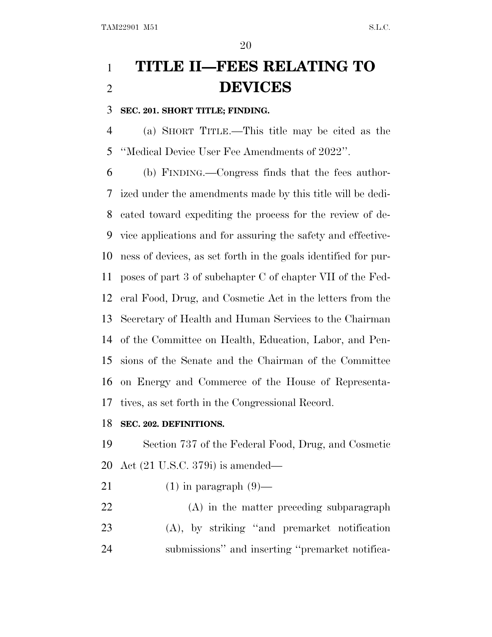# **TITLE II—FEES RELATING TO DEVICES**

# **SEC. 201. SHORT TITLE; FINDING.**

 (a) SHORT TITLE.—This title may be cited as the ''Medical Device User Fee Amendments of 2022''.

 (b) FINDING.—Congress finds that the fees author- ized under the amendments made by this title will be dedi- cated toward expediting the process for the review of de- vice applications and for assuring the safety and effective- ness of devices, as set forth in the goals identified for pur- poses of part 3 of subchapter C of chapter VII of the Fed- eral Food, Drug, and Cosmetic Act in the letters from the Secretary of Health and Human Services to the Chairman of the Committee on Health, Education, Labor, and Pen- sions of the Senate and the Chairman of the Committee on Energy and Commerce of the House of Representa-tives, as set forth in the Congressional Record.

# **SEC. 202. DEFINITIONS.**

 Section 737 of the Federal Food, Drug, and Cosmetic Act (21 U.S.C. 379i) is amended—

- 21 (1) in paragraph  $(9)$ —
- (A) in the matter preceding subparagraph (A), by striking ''and premarket notification submissions'' and inserting ''premarket notifica-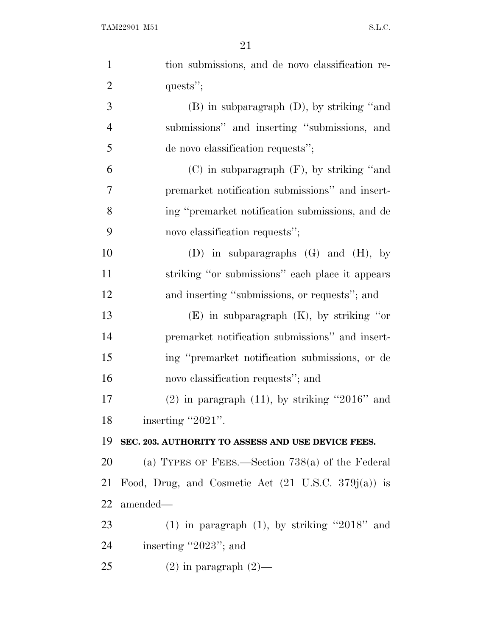| $\mathbf{1}$   | tion submissions, and de novo classification re-               |
|----------------|----------------------------------------------------------------|
| $\overline{2}$ | quests";                                                       |
| 3              | $(B)$ in subparagraph $(D)$ , by striking "and                 |
| $\overline{4}$ | submissions" and inserting "submissions, and                   |
| 5              | de novo classification requests";                              |
| 6              | $(C)$ in subparagraph $(F)$ , by striking "and                 |
| 7              | premarket notification submissions" and insert-                |
| 8              | ing "premarket notification submissions, and de                |
| 9              | novo classification requests";                                 |
| 10             | (D) in subparagraphs $(G)$ and $(H)$ , by                      |
| 11             | striking "or submissions" each place it appears                |
| 12             | and inserting "submissions, or requests"; and                  |
| 13             | $(E)$ in subparagraph $(K)$ , by striking "or                  |
| 14             | premarket notification submissions" and insert-                |
| 15             | ing "premarket notification submissions, or de                 |
| 16             | novo classification requests"; and                             |
| 17             | $(2)$ in paragraph $(11)$ , by striking "2016" and             |
| 18             | inserting "2021".                                              |
| 19             | SEC. 203. AUTHORITY TO ASSESS AND USE DEVICE FEES.             |
| 20             | (a) TYPES OF FEES.—Section $738(a)$ of the Federal             |
| 21             | Food, Drug, and Cosmetic Act $(21 \text{ U.S.C. } 379j(a))$ is |
| 22             | amended—                                                       |
| 23             | $(1)$ in paragraph $(1)$ , by striking "2018" and              |
| 24             | inserting "2023"; and                                          |
| 25             | $(2)$ in paragraph $(2)$ —                                     |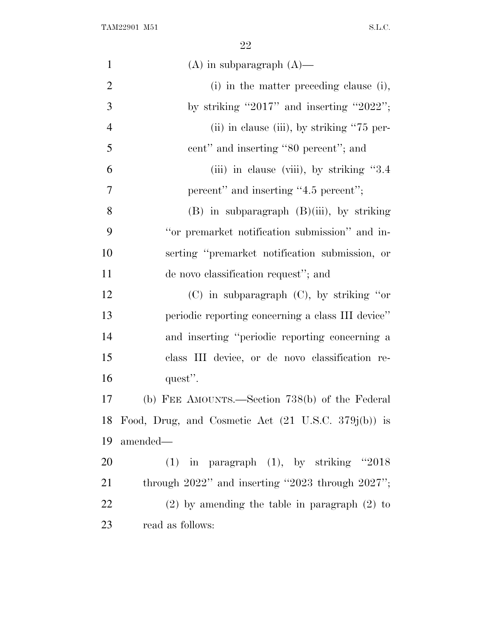TAM22901 M51 S.L.C.

| $\mathbf{1}$   | $(A)$ in subparagraph $(A)$ —                                  |
|----------------|----------------------------------------------------------------|
| $\overline{2}$ | $(i)$ in the matter preceding clause $(i)$ ,                   |
| 3              | by striking "2017" and inserting "2022";                       |
| $\overline{4}$ | (ii) in clause (iii), by striking "75 per-                     |
| 5              | cent" and inserting "80 percent"; and                          |
| 6              | (iii) in clause (viii), by striking "3.4"                      |
| 7              | percent" and inserting "4.5 percent";                          |
| 8              | $(B)$ in subparagraph $(B)(iii)$ , by striking                 |
| 9              | "or premarket notification submission" and in-                 |
| 10             | serting "premarket notification submission, or                 |
| 11             | de novo classification request"; and                           |
| 12             | $(C)$ in subparagraph $(C)$ , by striking "or                  |
| 13             | periodic reporting concerning a class III device"              |
| 14             | and inserting "periodic reporting concerning a                 |
| 15             | class III device, or de novo classification re-                |
| 16             | quest".                                                        |
| 17             | (b) FEE AMOUNTS.—Section 738(b) of the Federal                 |
| 18             | Food, Drug, and Cosmetic Act $(21 \text{ U.S.C. } 379j(b))$ is |
| 19             | amended—                                                       |
| 20             | $(1)$ in paragraph $(1)$ , by striking "2018                   |
| 21             | through $2022"$ and inserting "2023 through $2027"$ ;          |
| 22             | $(2)$ by amending the table in paragraph $(2)$ to              |
| 23             | read as follows:                                               |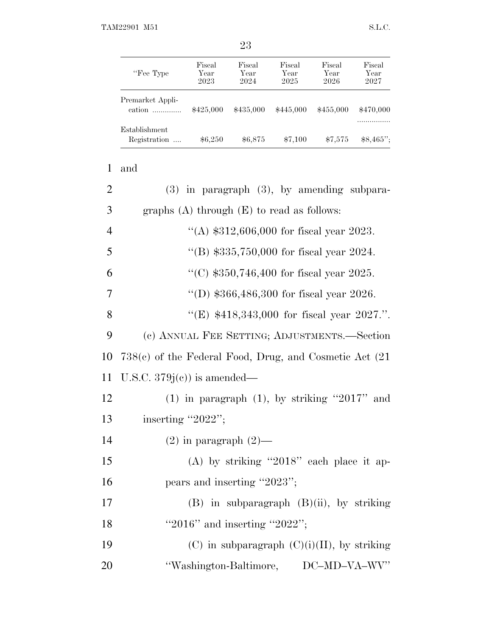| "Fee Type"                    | Fiscal<br>Year<br>2023 | Fiscal<br>Year<br>2024 | Fiscal<br>Year<br>2025 | Fiscal<br>Year<br>2026 | Fiscal<br>Year<br>2027 |
|-------------------------------|------------------------|------------------------|------------------------|------------------------|------------------------|
| Premarket Appli-<br>cation    | \$425,000              | \$435,000              | \$445,000              | \$455,000              | \$470,000              |
| Establishment<br>Registration | \$6,250                | \$6,875                | \$7,100                | \$7,575                | $$8,465$ ";            |

| and |  |
|-----|--|

| $\overline{2}$ | $(3)$ in paragraph $(3)$ , by amending subpara-             |
|----------------|-------------------------------------------------------------|
| 3              | graphs $(A)$ through $(E)$ to read as follows:              |
| $\overline{4}$ | "(A) $$312,606,000$ for fiscal year 2023.                   |
| 5              | "(B) $$335,750,000$ for fiscal year 2024.                   |
| 6              | "(C) $$350,746,400$ for fiscal year 2025.                   |
| 7              | "(D) $$366,486,300$ for fiscal year 2026.                   |
| 8              | "(E) $$418,343,000$ for fiscal year 2027.".                 |
| 9              | (c) ANNUAL FEE SETTING; ADJUSTMENTS.—Section                |
| 10             | $738(c)$ of the Federal Food, Drug, and Cosmetic Act $(21)$ |
| 11             | U.S.C. $379j(c)$ is amended—                                |
| 12             | $(1)$ in paragraph $(1)$ , by striking "2017" and           |
| 13             | inserting "2022";                                           |
| 14             | $(2)$ in paragraph $(2)$ —                                  |
| 15             | (A) by striking "2018" each place it ap-                    |
| 16             | pears and inserting "2023";                                 |
| 17             | $(B)$ in subparagraph $(B)(ii)$ , by striking               |
| 18             | "2016" and inserting "2022";                                |
| 19             | $(C)$ in subparagraph $(C)(i)(II)$ , by striking            |
| 20             | "Washington-Baltimore, DC-MD-VA-WV"                         |
|                |                                                             |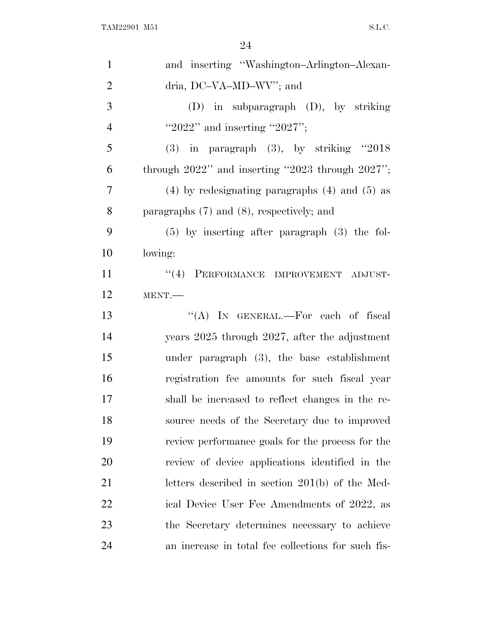| $\mathbf{1}$   | and inserting "Washington-Arlington-Alexan-           |
|----------------|-------------------------------------------------------|
| $\overline{2}$ | dria, DC-VA-MD-WV"; and                               |
| 3              | $(D)$ in subparagraph $(D)$ , by striking             |
| $\overline{4}$ | "2022" and inserting "2027";                          |
| 5              | $(3)$ in paragraph $(3)$ , by striking "2018          |
| 6              | through $2022"$ and inserting "2023 through $2027"$ ; |
| 7              | $(4)$ by redesignating paragraphs $(4)$ and $(5)$ as  |
| 8              | paragraphs $(7)$ and $(8)$ , respectively; and        |
| 9              | $(5)$ by inserting after paragraph $(3)$ the fol-     |
| 10             | lowing:                                               |
| 11             | "(4) PERFORMANCE IMPROVEMENT ADJUST-                  |
| 12             | MENT.                                                 |
| 13             | "(A) IN GENERAL.—For each of fiscal                   |
| 14             | years 2025 through 2027, after the adjustment         |
| 15             | under paragraph $(3)$ , the base establishment        |
| 16             | registration fee amounts for such fiscal year         |
| 17             | shall be increased to reflect changes in the re-      |
| 18             | source needs of the Secretary due to improved         |
| 19             | review performance goals for the process for the      |
| 20             | review of device applications identified in the       |
| 21             | letters described in section 201(b) of the Med-       |
| 22             | ical Device User Fee Amendments of 2022, as           |
| 23             | the Secretary determines necessary to achieve         |
| 24             | an increase in total fee collections for such fis-    |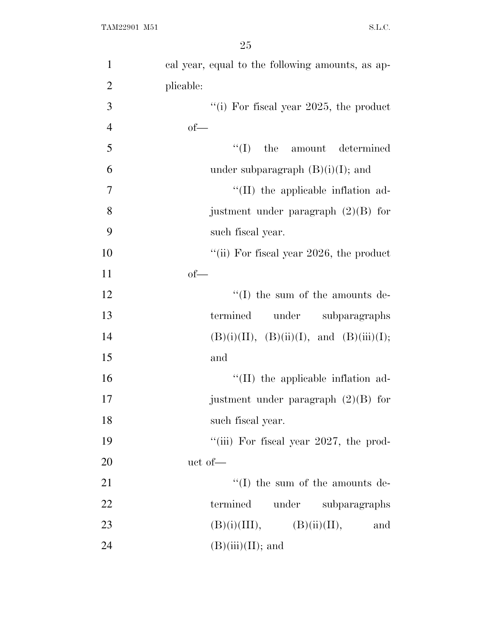| $\mathbf{1}$   | cal year, equal to the following amounts, as ap- |
|----------------|--------------------------------------------------|
| $\overline{2}$ | plicable:                                        |
| 3              | "(i) For fiscal year $2025$ , the product        |
| $\overline{4}$ | $of$ —                                           |
| 5              | $\lq\lq$ (I) the amount determined               |
| 6              | under subparagraph $(B)(i)(I)$ ; and             |
| $\tau$         | $\lq$ (II) the applicable inflation ad-          |
| 8              | justment under paragraph $(2)(B)$ for            |
| 9              | such fiscal year.                                |
| 10             | "(ii) For fiscal year $2026$ , the product       |
| 11             | $of$ —                                           |
| 12             | $\lq\lq$ (I) the sum of the amounts de-          |
| 13             | termined<br>under subparagraphs                  |
| 14             | $(B)(i)(II), (B)(ii)(I), and (B)(iii)(I);$       |
| 15             | and                                              |
| 16             | $\lq$ (II) the applicable inflation ad-          |
| 17             | justment under paragraph $(2)(B)$ for            |
| 18             | such fiscal year.                                |
| 19             | "(iii) For fiscal year 2027, the prod-           |
| 20             | uct of-                                          |
| 21             | $\lq\lq$ (I) the sum of the amounts de-          |
| 22             | termined<br>under subparagraphs                  |
| 23             | (B)(i)(III),<br>(B)(ii)(II),<br>and              |
| 24             | $(B)(iii)(II);$ and                              |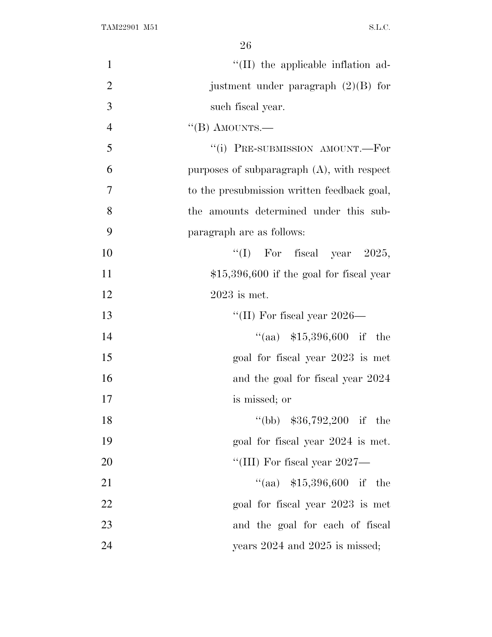| $\mathbf{1}$   | "(II) the applicable inflation ad-            |
|----------------|-----------------------------------------------|
| $\overline{2}$ | justment under paragraph $(2)(B)$ for         |
| 3              | such fiscal year.                             |
| $\overline{4}$ | "(B) AMOUNTS.—                                |
| 5              | "(i) PRE-SUBMISSION AMOUNT.—For               |
| 6              | purposes of subparagraph $(A)$ , with respect |
| 7              | to the presubmission written feedback goal,   |
| 8              | the amounts determined under this sub-        |
| 9              | paragraph are as follows:                     |
| 10             | "(I) For fiscal year $2025$ ,                 |
| 11             | $$15,396,600$ if the goal for fiscal year     |
| 12             | $2023$ is met.                                |
| 13             | "(II) For fiscal year $2026-$                 |
| 14             | "(aa) $$15,396,600$ if the                    |
| 15             | goal for fiscal year 2023 is met              |
| 16             | and the goal for fiscal year 2024             |
| 17             | is missed; or                                 |
| 18             | "(bb) $$36,792,200$ if the                    |
| 19             | goal for fiscal year 2024 is met.             |
| 20             | "(III) For fiscal year $2027$ —               |
| 21             | "(aa) $$15,396,600$ if the                    |
| 22             | goal for fiscal year 2023 is met              |
| 23             | and the goal for each of fiscal               |
| 24             | years $2024$ and $2025$ is missed;            |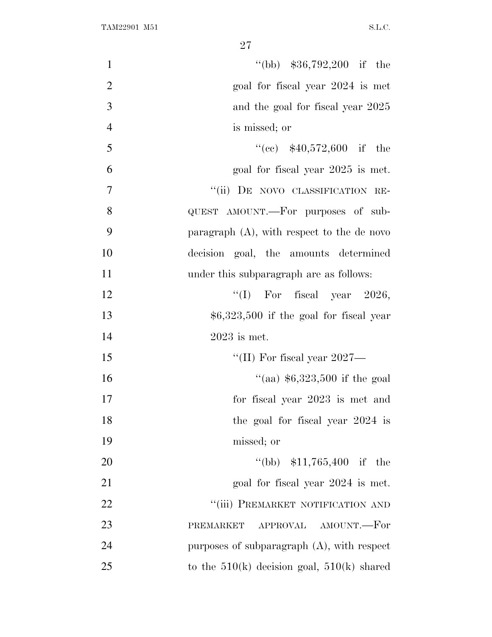| $\mathbf{1}$   | "(bb) $$36,792,200$ if the                     |
|----------------|------------------------------------------------|
| $\mathfrak{2}$ | goal for fiscal year 2024 is met               |
| 3              | and the goal for fiscal year 2025              |
| $\overline{4}$ | is missed; or                                  |
| 5              | $((ce)$ \$40,572,600 if the                    |
| 6              | goal for fiscal year 2025 is met.              |
| $\overline{7}$ | "(ii) DE NOVO CLASSIFICATION RE-               |
| 8              | QUEST AMOUNT.—For purposes of sub-             |
| 9              | paragraph $(A)$ , with respect to the de novo  |
| 10             | decision goal, the amounts determined          |
| 11             | under this subparagraph are as follows:        |
| 12             | "(I) For fiscal year $2026$ ,                  |
| 13             | $$6,323,500$ if the goal for fiscal year       |
| 14             | $2023$ is met.                                 |
| 15             | "(II) For fiscal year 2027—                    |
| 16             | "(aa) $$6,323,500$ if the goal                 |
| 17             | for fiscal year 2023 is met and                |
| 18             | the goal for fiscal year $2024$ is             |
| 19             | missed; or                                     |
| 20             | "(bb) $$11,765,400$ if the                     |
| 21             | goal for fiscal year 2024 is met.              |
| 22             | "(iii) PREMARKET NOTIFICATION AND              |
| 23             | APPROVAL AMOUNT.-For<br>PREMARKET              |
| 24             | purposes of subparagraph $(A)$ , with respect  |
| 25             | to the $510(k)$ decision goal, $510(k)$ shared |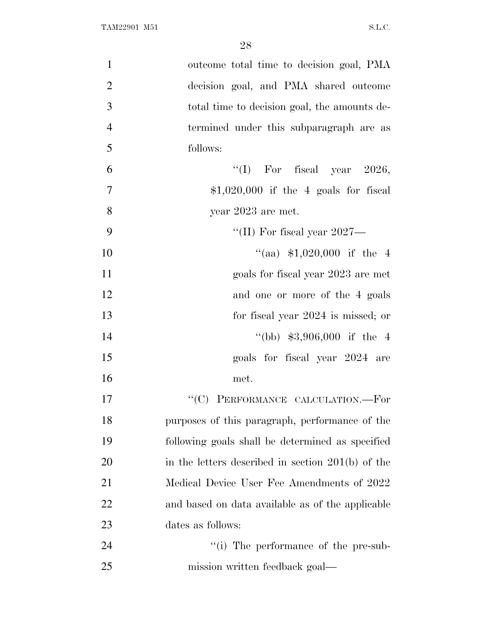| $\mathbf{1}$   | outcome total time to decision goal, PMA            |
|----------------|-----------------------------------------------------|
| $\overline{2}$ | decision goal, and PMA shared outcome               |
| 3              | total time to decision goal, the amounts de-        |
| $\overline{4}$ | termined under this subparagraph are as             |
| 5              | follows:                                            |
| 6              | "(I) For fiscal year $2026$ ,                       |
| $\overline{7}$ | $$1,020,000$ if the 4 goals for fiscal              |
| 8              | year 2023 are met.                                  |
| 9              | "(II) For fiscal year $2027$ —                      |
| 10             | "(aa) $$1,020,000$ if the 4                         |
| 11             | goals for fiscal year 2023 are met                  |
| 12             | and one or more of the 4 goals                      |
| 13             | for fiscal year 2024 is missed; or                  |
| 14             | "(bb) $$3,906,000$ if the 4                         |
| 15             | goals for fiscal year 2024 are                      |
| 16             | met.                                                |
| 17             | "(C) PERFORMANCE CALCULATION.-For                   |
| 18             | purposes of this paragraph, performance of the      |
| 19             | following goals shall be determined as specified    |
| 20             | in the letters described in section $201(b)$ of the |
| 21             | Medical Device User Fee Amendments of 2022          |
| 22             | and based on data available as of the applicable    |
| 23             | dates as follows:                                   |
| 24             | "(i) The performance of the pre-sub-                |
| 25             | mission written feedback goal—                      |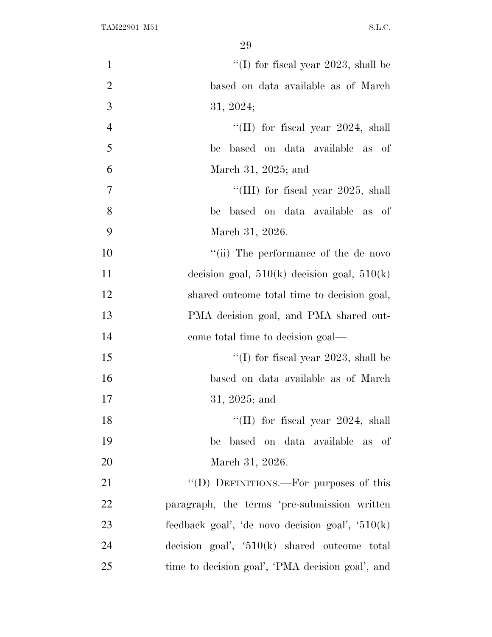| $\mathbf{1}$   | "(I) for fiscal year 2023, shall be               |
|----------------|---------------------------------------------------|
| $\overline{2}$ | based on data available as of March               |
| 3              | 31, 2024;                                         |
| $\overline{4}$ | "(II) for fiscal year $2024$ , shall              |
| 5              | based on data available as of<br>be               |
| 6              | March 31, 2025; and                               |
| $\tau$         | "(III) for fiscal year $2025$ , shall             |
| 8              | based on data available as of<br>be               |
| 9              | March 31, 2026.                                   |
| 10             | "(ii) The performance of the de novo              |
| 11             | decision goal, $510(k)$ decision goal, $510(k)$   |
| 12             | shared outcome total time to decision goal,       |
| 13             | PMA decision goal, and PMA shared out-            |
| 14             | come total time to decision goal—                 |
| 15             | "(I) for fiscal year 2023, shall be               |
| 16             | based on data available as of March               |
| 17             | 31, 2025; and                                     |
| 18             | "(II) for fiscal year $2024$ , shall              |
| 19             | based on data available as of<br>be               |
| 20             | March 31, 2026.                                   |
| 21             | "(D) DEFINITIONS.—For purposes of this            |
| 22             | paragraph, the terms 'pre-submission written      |
| 23             | feedback goal', 'de novo decision goal', $510(k)$ |
| 24             | decision goal', $510(k)$ shared outcome total     |
| 25             | time to decision goal', 'PMA decision goal', and  |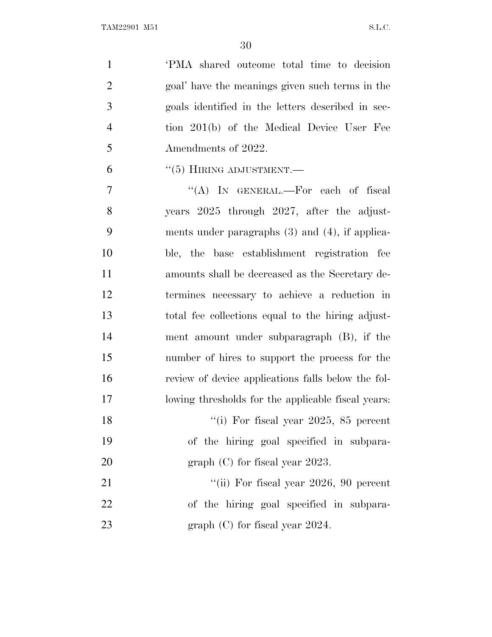'PMA shared outcome total time to decision goal' have the meanings given such terms in the goals identified in the letters described in sec- tion 201(b) of the Medical Device User Fee 5 Amendments of 2022.

"(5) HIRING ADJUSTMENT.—

 ''(A) IN GENERAL.—For each of fiscal years 2025 through 2027, after the adjust- ments under paragraphs (3) and (4), if applica- ble, the base establishment registration fee amounts shall be decreased as the Secretary de- termines necessary to achieve a reduction in total fee collections equal to the hiring adjust- ment amount under subparagraph (B), if the number of hires to support the process for the review of device applications falls below the fol-lowing thresholds for the applicable fiscal years:

18 ''(i) For fiscal year 2025, 85 percent of the hiring goal specified in subpara-20 graph (C) for fiscal year 2023.

21 ''(ii) For fiscal year 2026, 90 percent of the hiring goal specified in subpara-23 graph (C) for fiscal year 2024.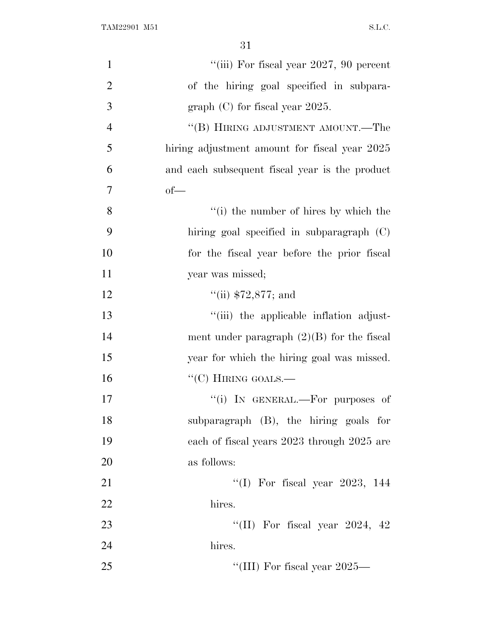| $\mathbf{1}$   | "(iii) For fiscal year $2027$ , 90 percent     |
|----------------|------------------------------------------------|
| $\overline{2}$ | of the hiring goal specified in subpara-       |
| 3              | graph $(C)$ for fiscal year 2025.              |
| $\overline{4}$ | "(B) HIRING ADJUSTMENT AMOUNT.—The             |
| 5              | hiring adjustment amount for fiscal year 2025  |
| 6              | and each subsequent fiscal year is the product |
| 7              | $of$ —                                         |
| 8              | "(i) the number of hires by which the          |
| 9              | hiring goal specified in subparagraph (C)      |
| 10             | for the fiscal year before the prior fiscal    |
| 11             | year was missed;                               |
| 12             | $``$ (ii) \$72,877; and                        |
| 13             | "(iii) the applicable inflation adjust-        |
| 14             | ment under paragraph $(2)(B)$ for the fiscal   |
| 15             | year for which the hiring goal was missed.     |
| 16             | " $(C)$ HIRING GOALS.—                         |
| 17             | "(i) IN GENERAL.—For purposes of               |
| 18             | subparagraph (B), the hiring goals for         |
| 19             | each of fiscal years 2023 through 2025 are     |
| 20             | as follows:                                    |
| 21             | "(I) For fiscal year 2023, $144$               |
| 22             | hires.                                         |
| 23             | "(II) For fiscal year 2024, $42$               |
| 24             | hires.                                         |
| 25             | "(III) For fiscal year $2025-$                 |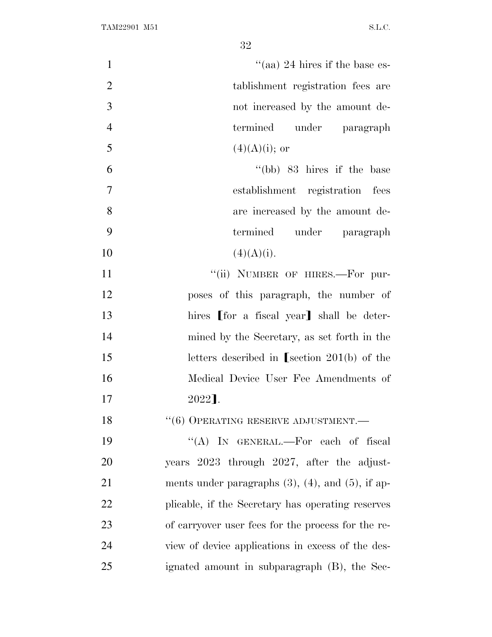| $\mathbf{1}$   | "(aa) 24 hires if the base es-                            |
|----------------|-----------------------------------------------------------|
| $\mathfrak{2}$ | tablishment registration fees are                         |
| 3              | not increased by the amount de-                           |
| $\overline{4}$ | under paragraph<br>termined                               |
| 5              | $(4)(A)(i);$ or                                           |
| 6              | $\degree$ (bb) 83 hires if the base                       |
| 7              | establishment registration fees                           |
| 8              | are increased by the amount de-                           |
| 9              | termined under paragraph                                  |
| 10             | (4)(A)(i).                                                |
| 11             | "(ii) NUMBER OF HIRES.-For pur-                           |
| 12             | poses of this paragraph, the number of                    |
| 13             | hires [for a fiscal year] shall be deter-                 |
| 14             | mined by the Secretary, as set forth in the               |
| 15             | letters described in [section $201(b)$ of the             |
| 16             | Medical Device User Fee Amendments of                     |
| 17             | 2022].                                                    |
| 18             | $``(6)$ OPERATING RESERVE ADJUSTMENT.—                    |
| 19             | "(A) IN GENERAL.—For each of fiscal                       |
| 20             | years 2023 through 2027, after the adjust-                |
| 21             | ments under paragraphs $(3)$ , $(4)$ , and $(5)$ , if ap- |
| 22             | plicable, if the Secretary has operating reserves         |
| 23             | of carryover user fees for the process for the re-        |
| 24             | view of device applications in excess of the des-         |
| 25             | ignated amount in subparagraph (B), the Sec-              |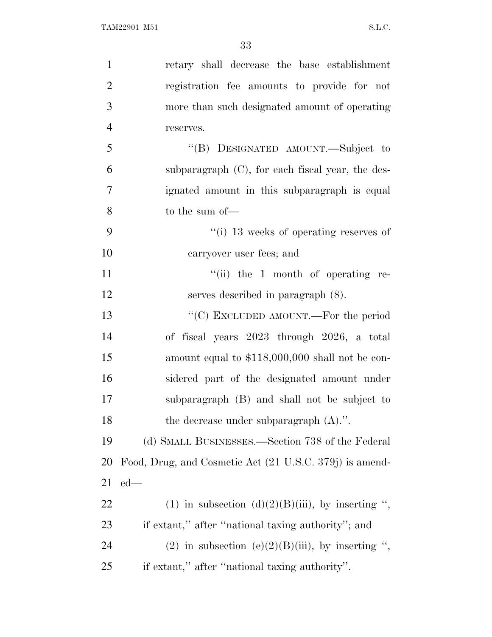| $\mathbf{1}$   | retary shall decrease the base establishment            |
|----------------|---------------------------------------------------------|
| $\overline{2}$ | registration fee amounts to provide for not             |
| 3              | more than such designated amount of operating           |
| $\overline{4}$ | reserves.                                               |
| 5              | "(B) DESIGNATED AMOUNT.—Subject to                      |
| 6              | subparagraph $(C)$ , for each fiscal year, the des-     |
| $\tau$         | ignated amount in this subparagraph is equal            |
| 8              | to the sum of-                                          |
| 9              | $\lq\lq$ (i) 13 weeks of operating reserves of          |
| 10             | carryover user fees; and                                |
| 11             | $``(ii)$ the 1 month of operating re-                   |
| 12             | serves described in paragraph $(8)$ .                   |
| 13             | "(C) EXCLUDED AMOUNT.—For the period                    |
| 14             | of fiscal years 2023 through 2026, a total              |
| 15             | amount equal to \$118,000,000 shall not be con-         |
| 16             | sidered part of the designated amount under             |
| 17             | subparagraph (B) and shall not be subject to            |
| 18             | the decrease under subparagraph $(A)$ .".               |
| 19             | (d) SMALL BUSINESSES.—Section 738 of the Federal        |
| 20             | Food, Drug, and Cosmetic Act (21 U.S.C. 379j) is amend- |
| 21             | $ed$ —                                                  |
| 22             | (1) in subsection (d)(2)(B)(iii), by inserting ",       |
| 23             | if extant," after "national taxing authority"; and      |
| 24             | (2) in subsection (e)(2)(B)(iii), by inserting ",       |
| 25             | if extant," after "national taxing authority".          |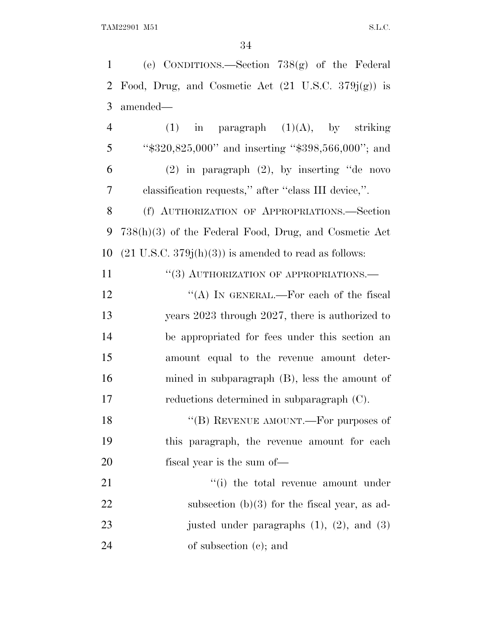1 (e) CONDITIONS.—Section 738(g) of the Federal 2 Food, Drug, and Cosmetic Act  $(21 \text{ U.S.C. } 379j(g))$  is 3 amended— 4 (1) in paragraph  $(1)(A)$ , by striking 5 ''\$320,825,000'' and inserting ''\$398,566,000''; and 6 (2) in paragraph (2), by inserting ''de novo 7 classification requests,'' after ''class III device,''. 8 (f) AUTHORIZATION OF APPROPRIATIONS.—Section 9 738(h)(3) of the Federal Food, Drug, and Cosmetic Act 10  $(21 \text{ U.S.C. } 379j(h)(3))$  is amended to read as follows: 11 "(3) AUTHORIZATION OF APPROPRIATIONS.— 12 "(A) In GENERAL.—For each of the fiscal 13 years 2023 through 2027, there is authorized to 14 be appropriated for fees under this section an 15 amount equal to the revenue amount deter-16 mined in subparagraph (B), less the amount of 17 reductions determined in subparagraph (C). 18 "(B) REVENUE AMOUNT.—For purposes of 19 this paragraph, the revenue amount for each 20 fiscal year is the sum of — 21 ''(i) the total revenue amount under 22 subsection (b)(3) for the fiscal year, as ad-23 justed under paragraphs  $(1)$ ,  $(2)$ , and  $(3)$ 

24 of subsection (c); and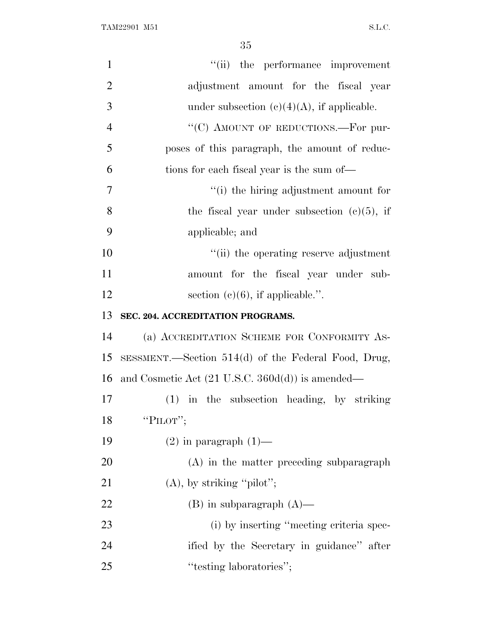| $\mathbf{1}$   | "(ii) the performance improvement                           |
|----------------|-------------------------------------------------------------|
| $\overline{2}$ | adjustment amount for the fiscal year                       |
| 3              | under subsection $(c)(4)(A)$ , if applicable.               |
| $\overline{4}$ | "(C) AMOUNT OF REDUCTIONS.—For pur-                         |
| 5              | poses of this paragraph, the amount of reduc-               |
| 6              | tions for each fiscal year is the sum of—                   |
| 7              | "(i) the hiring adjustment amount for                       |
| 8              | the fiscal year under subsection $(c)(5)$ , if              |
| 9              | applicable; and                                             |
| 10             | "(ii) the operating reserve adjustment                      |
| 11             | amount for the fiscal year under sub-                       |
| 12             | section $(c)(6)$ , if applicable.".                         |
| 13             | SEC. 204. ACCREDITATION PROGRAMS.                           |
| 14             | (a) ACCREDITATION SCHEME FOR CONFORMITY AS-                 |
| 15             | SESSMENT.—Section 514(d) of the Federal Food, Drug,         |
| 16             | and Cosmetic Act $(21 \text{ U.S.C. } 360d(d))$ is amended— |
| 17             | $(1)$ in the subsection heading, by striking                |
| 18             | "PILOT";                                                    |
| 19             | $(2)$ in paragraph $(1)$ —                                  |
| 20             | $(A)$ in the matter preceding subparagraph                  |
| 21             | $(A)$ , by striking "pilot";                                |
| 22             | $(B)$ in subparagraph $(A)$ —                               |
| 23             | (i) by inserting "meeting criteria spec-                    |
| 24             | ified by the Secretary in guidance" after                   |
| 25             | "testing laboratories";                                     |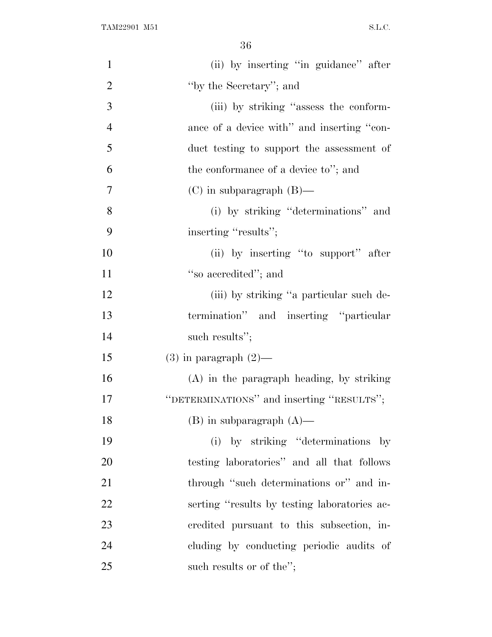| $\mathbf{1}$   | (ii) by inserting "in guidance" after        |
|----------------|----------------------------------------------|
| $\overline{2}$ | "by the Secretary"; and                      |
| 3              | (iii) by striking "assess the conform-       |
| $\overline{4}$ | ance of a device with" and inserting "con-   |
| 5              | duct testing to support the assessment of    |
| 6              | the conformance of a device to"; and         |
| $\overline{7}$ | $(C)$ in subparagraph $(B)$ —                |
| 8              | (i) by striking "determinations" and         |
| 9              | inserting "results";                         |
| 10             | (ii) by inserting "to support" after         |
| 11             | "so accredited"; and                         |
| 12             | (iii) by striking "a particular such de-     |
| 13             | termination" and inserting "particular       |
| 14             | such results";                               |
| 15             | $(3)$ in paragraph $(2)$ —                   |
| 16             | $(A)$ in the paragraph heading, by striking  |
| 17             | "DETERMINATIONS" and inserting "RESULTS";    |
| 18             | $(B)$ in subparagraph $(A)$ —                |
| 19             | (i) by striking "determinations by           |
| 20             | testing laboratories" and all that follows   |
| 21             | through "such determinations or" and in-     |
| <u>22</u>      | serting "results by testing laboratories ac- |
| 23             | credited pursuant to this subsection, in-    |
| 24             | cluding by conducting periodic audits of     |
| 25             | such results or of the";                     |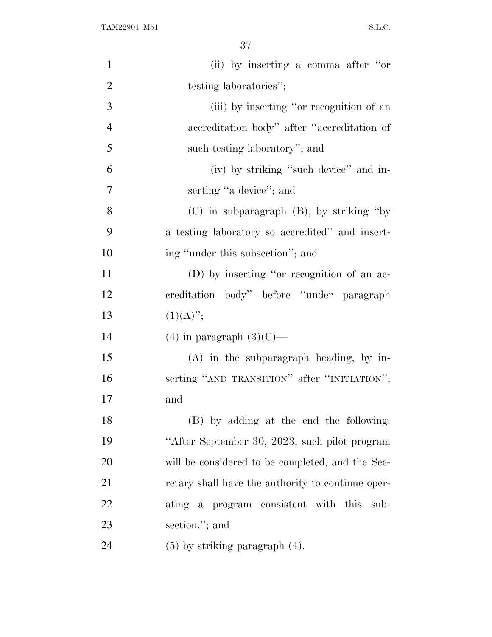| $\mathbf{1}$   | (ii) by inserting a comma after "or               |
|----------------|---------------------------------------------------|
| $\overline{2}$ | testing laboratories";                            |
| 3              | (iii) by inserting "or recognition of an          |
| $\overline{4}$ | accreditation body" after "accreditation of       |
| 5              | such testing laboratory"; and                     |
| 6              | (iv) by striking "such device" and in-            |
| $\overline{7}$ | serting "a device"; and                           |
| 8              | $(C)$ in subparagraph $(B)$ , by striking "by     |
| 9              | a testing laboratory so accredited" and insert-   |
| 10             | ing "under this subsection"; and                  |
| 11             | (D) by inserting "or recognition of an ac-        |
| 12             | creditation body" before "under paragraph         |
| 13             | $(1)(A)$ ";                                       |
| 14             | $(4)$ in paragraph $(3)(C)$ —                     |
| 15             | $(A)$ in the subparagraph heading, by in-         |
| 16             | serting "AND TRANSITION" after "INITIATION";      |
| 17             | and                                               |
| 18             | (B) by adding at the end the following:           |
| 19             | "After September 30, 2023, such pilot program     |
| 20             | will be considered to be completed, and the Sec-  |
| 21             | retary shall have the authority to continue oper- |
| 22             | ating a program consistent with this sub-         |
| 23             | section."; and                                    |
| 24             | $(5)$ by striking paragraph $(4)$ .               |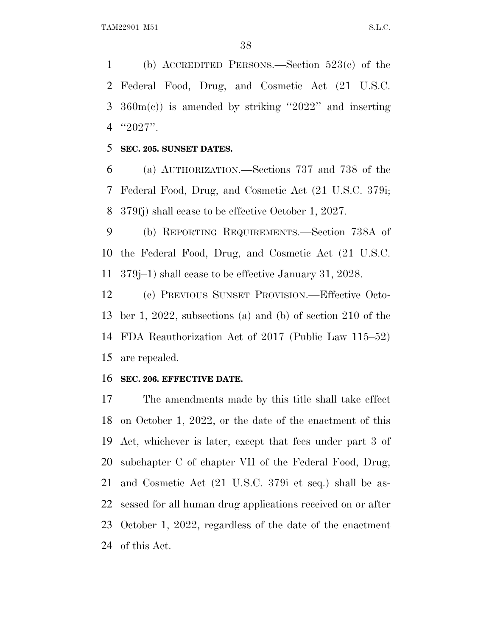(b) ACCREDITED PERSONS.—Section 523(c) of the Federal Food, Drug, and Cosmetic Act (21 U.S.C.  $360m(e)$  is amended by striking "2022" and inserting ''2027''.

**SEC. 205. SUNSET DATES.**

 (a) AUTHORIZATION.—Sections 737 and 738 of the Federal Food, Drug, and Cosmetic Act (21 U.S.C. 379i; 379fj) shall cease to be effective October 1, 2027.

 (b) REPORTING REQUIREMENTS.—Section 738A of the Federal Food, Drug, and Cosmetic Act (21 U.S.C. 379j–1) shall cease to be effective January 31, 2028.

 (c) PREVIOUS SUNSET PROVISION.—Effective Octo- ber 1, 2022, subsections (a) and (b) of section 210 of the FDA Reauthorization Act of 2017 (Public Law 115–52) are repealed.

#### **SEC. 206. EFFECTIVE DATE.**

 The amendments made by this title shall take effect on October 1, 2022, or the date of the enactment of this Act, whichever is later, except that fees under part 3 of subchapter C of chapter VII of the Federal Food, Drug, and Cosmetic Act (21 U.S.C. 379i et seq.) shall be as- sessed for all human drug applications received on or after October 1, 2022, regardless of the date of the enactment of this Act.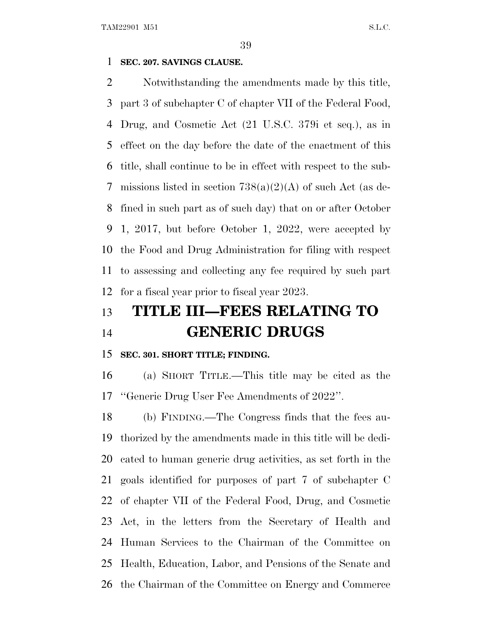# **SEC. 207. SAVINGS CLAUSE.**

 Notwithstanding the amendments made by this title, part 3 of subchapter C of chapter VII of the Federal Food, Drug, and Cosmetic Act (21 U.S.C. 379i et seq.), as in effect on the day before the date of the enactment of this title, shall continue to be in effect with respect to the sub- missions listed in section 738(a)(2)(A) of such Act (as de- fined in such part as of such day) that on or after October 1, 2017, but before October 1, 2022, were accepted by the Food and Drug Administration for filing with respect to assessing and collecting any fee required by such part for a fiscal year prior to fiscal year 2023.

# **TITLE III—FEES RELATING TO GENERIC DRUGS**

#### **SEC. 301. SHORT TITLE; FINDING.**

 (a) SHORT TITLE.—This title may be cited as the ''Generic Drug User Fee Amendments of 2022''.

 (b) FINDING.—The Congress finds that the fees au- thorized by the amendments made in this title will be dedi- cated to human generic drug activities, as set forth in the goals identified for purposes of part 7 of subchapter C of chapter VII of the Federal Food, Drug, and Cosmetic Act, in the letters from the Secretary of Health and Human Services to the Chairman of the Committee on Health, Education, Labor, and Pensions of the Senate and the Chairman of the Committee on Energy and Commerce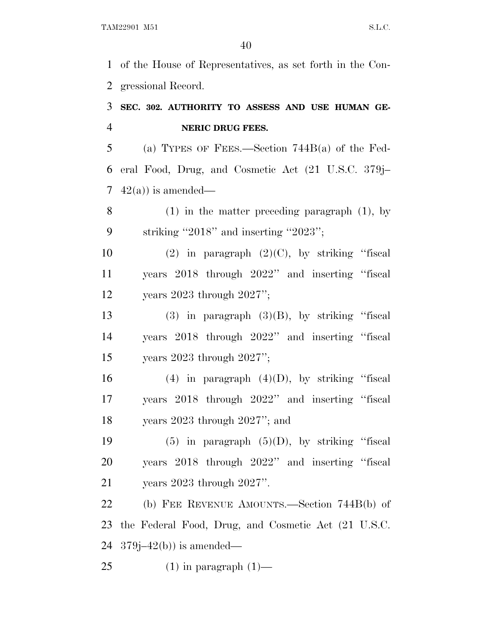of the House of Representatives, as set forth in the Con-gressional Record.

# **SEC. 302. AUTHORITY TO ASSESS AND USE HUMAN GE-NERIC DRUG FEES.**

 (a) TYPES OF FEES.—Section 744B(a) of the Fed- eral Food, Drug, and Cosmetic Act (21 U.S.C. 379j– 7  $42(a)$ ) is amended—

 (1) in the matter preceding paragraph (1), by striking ''2018'' and inserting ''2023'';

10 (2) in paragraph  $(2)(C)$ , by striking "fiscal years 2018 through 2022'' and inserting ''fiscal years 2023 through 2027'';

13 (3) in paragraph  $(3)(B)$ , by striking "fiscal years 2018 through 2022'' and inserting ''fiscal years 2023 through 2027'';

16 (4) in paragraph  $(4)(D)$ , by striking "fiscal years 2018 through 2022'' and inserting ''fiscal years 2023 through 2027''; and

19  $(5)$  in paragraph  $(5)(D)$ , by striking "fiscal years 2018 through 2022'' and inserting ''fiscal years 2023 through 2027''.

 (b) FEE REVENUE AMOUNTS.—Section 744B(b) of the Federal Food, Drug, and Cosmetic Act (21 U.S.C. 24  $379j-42(b)$  is amended—

25  $(1)$  in paragraph  $(1)$ —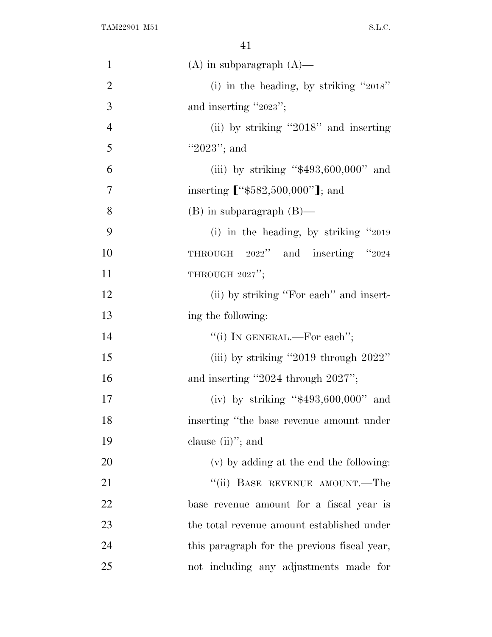| $\mathbf{1}$   | $(A)$ in subparagraph $(A)$ —                |
|----------------|----------------------------------------------|
| $\overline{2}$ | (i) in the heading, by striking " $2018$ "   |
| 3              | and inserting "2023";                        |
| $\overline{4}$ | (ii) by striking "2018" and inserting        |
| 5              | "2023"; and                                  |
| 6              | (iii) by striking " $$493,600,000"$ and      |
| $\overline{7}$ | inserting ["\$582,500,000"]; and             |
| 8              | $(B)$ in subparagraph $(B)$ —                |
| 9              | (i) in the heading, by striking $"2019"$     |
| 10             | THROUGH 2022" and inserting "2024            |
| 11             | THROUGH 2027";                               |
| 12             | (ii) by striking "For each" and insert-      |
| 13             | ing the following:                           |
| 14             | "(i) IN GENERAL.—For each";                  |
| 15             | (iii) by striking "2019 through $2022$ "     |
| 16             | and inserting $"2024$ through $2027"$ ;      |
| 17             | (iv) by striking " $$493,600,000"$ and       |
| 18             | inserting "the base revenue amount under     |
| 19             | clause $(ii)$ "; and                         |
| 20             | (v) by adding at the end the following:      |
| 21             | "(ii) BASE REVENUE AMOUNT.—The               |
| 22             | base revenue amount for a fiscal year is     |
| 23             | the total revenue amount established under   |
| 24             | this paragraph for the previous fiscal year, |
| 25             | not including any adjustments made for       |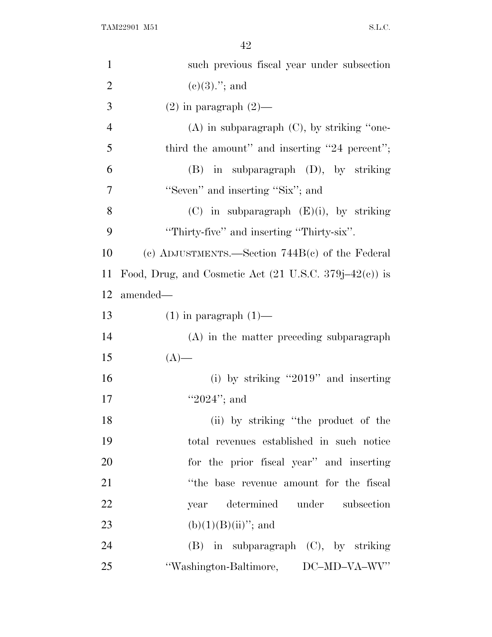| $\mathbf{1}$   | such previous fiscal year under subsection                        |
|----------------|-------------------------------------------------------------------|
| $\overline{2}$ | $(e)(3)$ ."; and                                                  |
| 3              | $(2)$ in paragraph $(2)$ —                                        |
| $\overline{4}$ | $(A)$ in subparagraph $(C)$ , by striking "one-                   |
| 5              | third the amount" and inserting "24 percent";                     |
| 6              | $(B)$ in subparagraph $(D)$ , by striking                         |
| 7              | "Seven" and inserting "Six"; and                                  |
| 8              | $(C)$ in subparagraph $(E)(i)$ , by striking                      |
| 9              | "Thirty-five" and inserting "Thirty-six".                         |
| 10             | (c) ADJUSTMENTS.—Section $744B(c)$ of the Federal                 |
| 11             | Food, Drug, and Cosmetic Act $(21 \text{ U.S.C. } 379j-42(c))$ is |
| 12             | amended—                                                          |
| 13             | $(1)$ in paragraph $(1)$ —                                        |
| 14             | (A) in the matter preceding subparagraph                          |
| 15             | $(A)$ —                                                           |
| 16             | (i) by striking "2019" and inserting                              |
| 17             | " $2024$ "; and                                                   |
| 18             | (ii) by striking "the product of the                              |
| 19             | total revenues established in such notice                         |
| 20             | for the prior fiscal year" and inserting                          |
| 21             | "the base revenue amount for the fiscal                           |
| 22             | year determined under subsection                                  |
| 23             | $(b)(1)(B)(ii)$ "; and                                            |
| 24             | $(B)$ in subparagraph $(C)$ , by striking                         |
| 25             | "Washington-Baltimore, DC-MD-VA-WV"                               |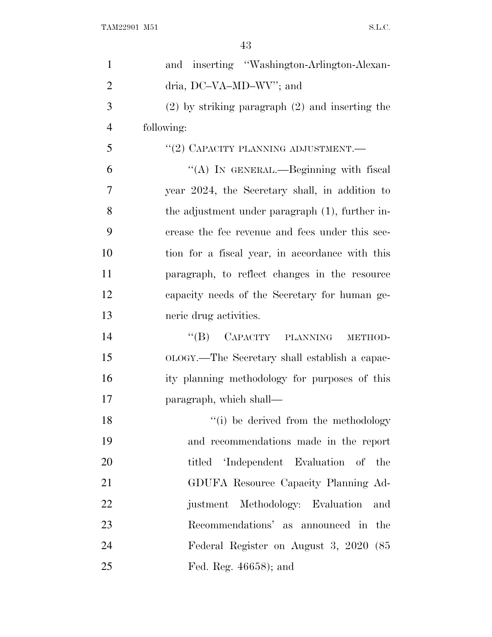| $\mathbf{1}$   | and inserting "Washington-Arlington-Alexan-         |
|----------------|-----------------------------------------------------|
| $\overline{2}$ | dria, DC-VA-MD-WV"; and                             |
| 3              | $(2)$ by striking paragraph $(2)$ and inserting the |
| $\overline{4}$ | following:                                          |
| 5              | "(2) CAPACITY PLANNING ADJUSTMENT.—                 |
| 6              | "(A) IN GENERAL.—Beginning with fiscal              |
| 7              | year 2024, the Secretary shall, in addition to      |
| 8              | the adjustment under paragraph (1), further in-     |
| 9              | crease the fee revenue and fees under this sec-     |
| 10             | tion for a fiscal year, in accordance with this     |
| 11             | paragraph, to reflect changes in the resource       |
| 12             | capacity needs of the Secretary for human ge-       |
| 13             | neric drug activities.                              |
| 14             | $\lq\lq(B)$ CAPACITY PLANNING<br>METHOD-            |
| 15             | OLOGY.—The Secretary shall establish a capac-       |
| 16             | ity planning methodology for purposes of this       |
| 17             | paragraph, which shall—                             |
| 18             | "(i) be derived from the methodology                |
| 19             | and recommendations made in the report              |
| 20             | titled 'Independent Evaluation of the               |
| 21             | GDUFA Resource Capacity Planning Ad-                |
| 22             | Methodology: Evaluation<br>justment<br>and          |
| 23             | Recommendations' as announced in the                |
| 24             | Federal Register on August 3, 2020 (85              |
| 25             | Fed. Reg. 46658); and                               |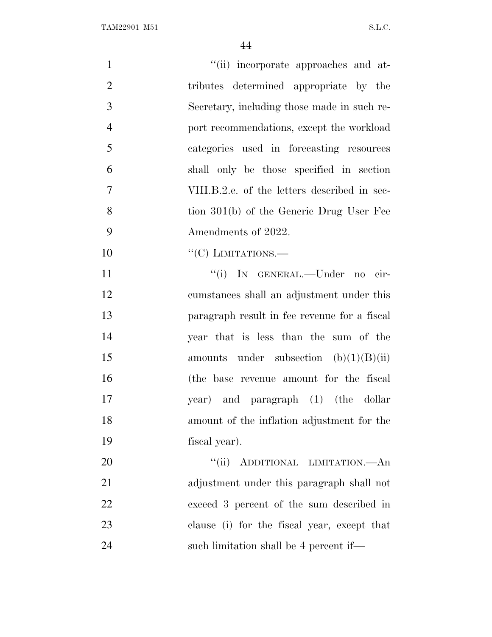| $\mathbf{1}$   | "(ii) incorporate approaches and at-         |
|----------------|----------------------------------------------|
| $\overline{2}$ | tributes determined appropriate by the       |
| 3              | Secretary, including those made in such re-  |
| $\overline{4}$ | port recommendations, except the workload    |
| 5              | categories used in forecasting resources     |
| 6              | shall only be those specified in section     |
| $\overline{7}$ | VIII.B.2.e. of the letters described in sec- |
| 8              | tion 301(b) of the Generic Drug User Fee     |
| 9              | Amendments of 2022.                          |
| 10             | $``(C)$ LIMITATIONS.—                        |
| 11             | "(i) IN GENERAL.—Under no cir-               |
| 12             | cumstances shall an adjustment under this    |
| 13             | paragraph result in fee revenue for a fiscal |
| 14             | year that is less than the sum of the        |
| 15             | amounts under subsection $(b)(1)(B)(ii)$     |
| 16             | (the base revenue amount for the fiscal      |
| 17             | year) and paragraph (1) (the dollar          |
| 18             | amount of the inflation adjustment for the   |
| 19             | fiscal year).                                |
| 20             | "(ii) ADDITIONAL LIMITATION.—An              |
| 21             | adjustment under this paragraph shall not    |
| 22             | exceed 3 percent of the sum described in     |
| 23             | clause (i) for the fiscal year, except that  |
| 24             | such limitation shall be 4 percent if—       |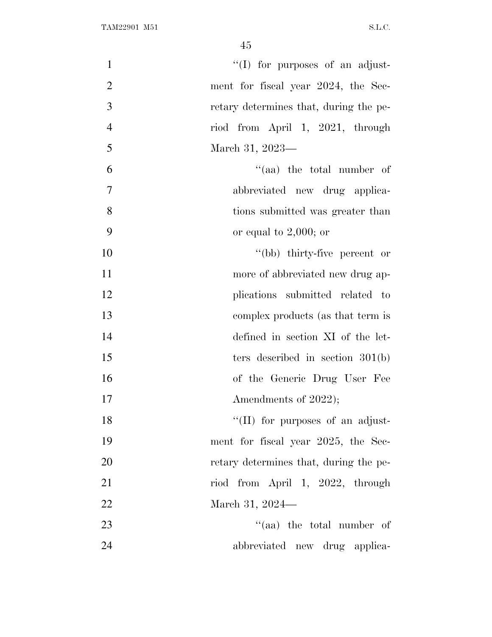| $\mathbf{1}$   | "(I) for purposes of an adjust-        |
|----------------|----------------------------------------|
| $\overline{2}$ | ment for fiscal year 2024, the Sec-    |
| 3              | retary determines that, during the pe- |
| $\overline{4}$ | riod from April 1, 2021, through       |
| 5              | March 31, 2023-                        |
| 6              | $\lq\lq$ (aa) the total number of      |
| $\overline{7}$ | abbreviated new drug applica-          |
| 8              | tions submitted was greater than       |
| 9              | or equal to $2,000$ ; or               |
| 10             | "(bb) thirty-five percent or           |
| 11             | more of abbreviated new drug ap-       |
| 12             | plications submitted related to        |
| 13             | complex products (as that term is      |
| 14             | defined in section XI of the let-      |
| 15             | ters described in section $301(b)$     |
| 16             | of the Generic Drug User Fee           |
| 17             | Amendments of 2022);                   |
| 18             | "(II) for purposes of an adjust-       |
| 19             | ment for fiscal year 2025, the Sec-    |
| 20             | retary determines that, during the pe- |
| 21             | riod from April 1, 2022, through       |
| 22             | March 31, 2024—                        |
| 23             | "(aa) the total number of              |
| 24             | abbreviated new drug applica-          |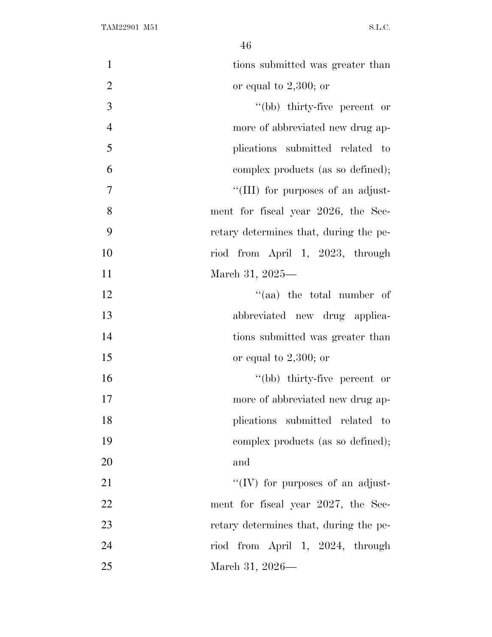| $\mathbf{1}$   | tions submitted was greater than       |
|----------------|----------------------------------------|
| $\mathfrak{2}$ | or equal to $2,300$ ; or               |
| 3              | "(bb) thirty-five percent or           |
| $\overline{4}$ | more of abbreviated new drug ap-       |
| 5              | plications submitted related to        |
| 6              | complex products (as so defined);      |
| $\overline{7}$ | "(III) for purposes of an adjust-      |
| 8              | ment for fiscal year 2026, the Sec-    |
| 9              | retary determines that, during the pe- |
| 10             | riod from April 1, 2023, through       |
| 11             | March 31, 2025—                        |
| 12             | "(aa) the total number of              |
| 13             | abbreviated new drug applica-          |
| 14             | tions submitted was greater than       |
| 15             | or equal to $2,300$ ; or               |
| 16             | "(bb) thirty-five percent or           |
| 17             | more of abbreviated new drug ap-       |
| 18             | plications submitted related to        |
| 19             | complex products (as so defined);      |
| 20             | and                                    |
| 21             | "(IV) for purposes of an adjust-       |
| 22             | ment for fiscal year 2027, the Sec-    |
| 23             | retary determines that, during the pe- |
| 24             | riod from April 1, 2024, through       |
| 25             | March 31, 2026—                        |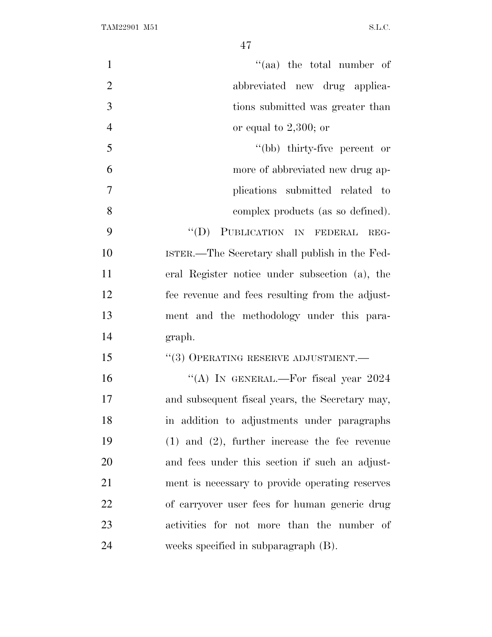| $\mathbf{1}$   | $\cdot$ (aa) the total number of                   |
|----------------|----------------------------------------------------|
| $\overline{2}$ | abbreviated new drug applica-                      |
| 3              | tions submitted was greater than                   |
| $\overline{4}$ | or equal to $2,300$ ; or                           |
| 5              | "(bb) thirty-five percent or                       |
| 6              | more of abbreviated new drug ap-                   |
| 7              | plications submitted related to                    |
| 8              | complex products (as so defined).                  |
| 9              | "(D) PUBLICATION IN FEDERAL<br>REG-                |
| 10             | ISTER.—The Secretary shall publish in the Fed-     |
| 11             | eral Register notice under subsection (a), the     |
| 12             | fee revenue and fees resulting from the adjust-    |
| 13             | ment and the methodology under this para-          |
| 14             | graph.                                             |
| 15             | $``(3)$ OPERATING RESERVE ADJUSTMENT.—             |
| 16             | "(A) IN GENERAL.—For fiscal year 2024              |
| 17             | and subsequent fiscal years, the Secretary may,    |
| 18             | in addition to adjustments under paragraphs        |
| 19             | $(1)$ and $(2)$ , further increase the fee revenue |
| 20             | and fees under this section if such an adjust-     |
| 21             | ment is necessary to provide operating reserves    |
| 22             | of carryover user fees for human generic drug      |
| 23             | activities for not more than the number of         |
| 24             | weeks specified in subparagraph (B).               |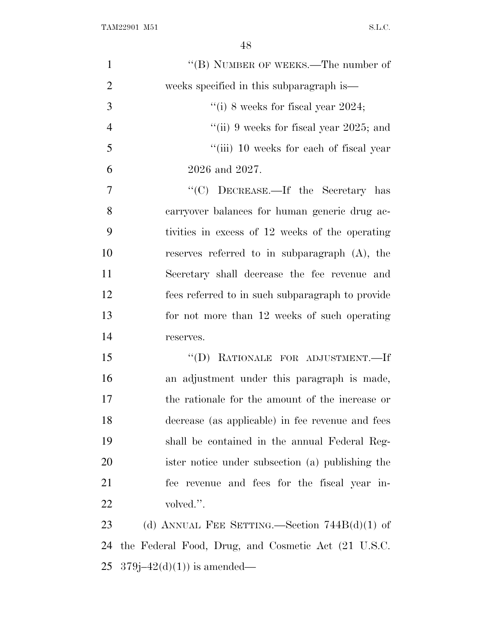| $\mathbf{1}$   | "(B) NUMBER OF WEEKS.—The number of                 |
|----------------|-----------------------------------------------------|
| $\overline{2}$ | weeks specified in this subparagraph is—            |
| 3              | "(i) 8 weeks for fiscal year 2024;                  |
| $\overline{4}$ | "(ii) 9 weeks for fiscal year 2025; and             |
| 5              | "(iii) 10 weeks for each of fiscal year             |
| 6              | 2026 and 2027.                                      |
| 7              | "(C) DECREASE.—If the Secretary has                 |
| 8              | carryover balances for human generic drug ac-       |
| 9              | tivities in excess of 12 weeks of the operating     |
| 10             | reserves referred to in subparagraph (A), the       |
| 11             | Secretary shall decrease the fee revenue and        |
| 12             | fees referred to in such subparagraph to provide    |
| 13             | for not more than 12 weeks of such operating        |
| 14             | reserves.                                           |
| 15             | "(D) RATIONALE FOR ADJUSTMENT.-If                   |
| 16             | an adjustment under this paragraph is made,         |
| 17             | the rationale for the amount of the increase or     |
| 18             | decrease (as applicable) in fee revenue and fees    |
| 19             | shall be contained in the annual Federal Reg-       |
| 20             | ister notice under subsection (a) publishing the    |
| 21             | fee revenue and fees for the fiscal year in-        |
| 22             | volved.".                                           |
| 23             | (d) ANNUAL FEE SETTING.—Section $744B(d)(1)$ of     |
| 24             | the Federal Food, Drug, and Cosmetic Act (21 U.S.C. |
| 25             | $379j - 42(d)(1)$ is amended—                       |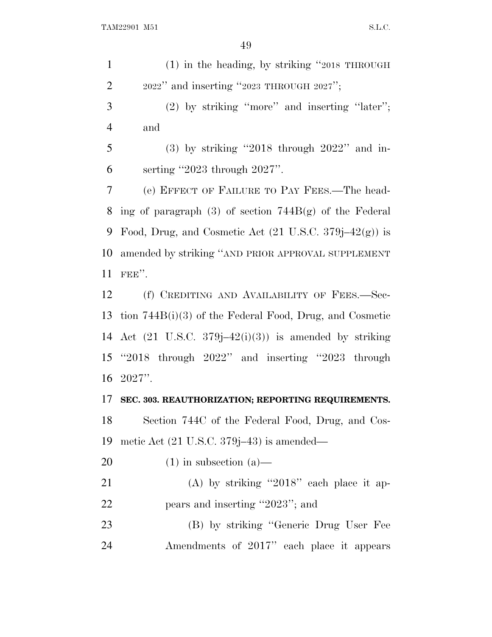(1) in the heading, by striking ''2018 THROUGH  $2 \qquad 2022$ " and inserting "2023 THROUGH 2027"; (2) by striking ''more'' and inserting ''later''; and (3) by striking ''2018 through 2022'' and in- serting ''2023 through 2027''. (e) EFFECT OF FAILURE TO PAY FEES.—The head-8 ing of paragraph  $(3)$  of section 744B $(g)$  of the Federal 9 Food, Drug, and Cosmetic Act  $(21 \text{ U.S.C. } 379j-42(g))$  is amended by striking ''AND PRIOR APPROVAL SUPPLEMENT FEE''. 12 (f) CREDITING AND AVAILABILITY OF FEES.—Sec- tion 744B(i)(3) of the Federal Food, Drug, and Cosmetic 14 Act  $(21 \text{ U.S.C. } 379j-42(i)(3))$  is amended by striking ''2018 through 2022'' and inserting ''2023 through 2027''. **SEC. 303. REAUTHORIZATION; REPORTING REQUIREMENTS.** Section 744C of the Federal Food, Drug, and Cos- metic Act (21 U.S.C. 379j–43) is amended— 20  $(1)$  in subsection  $(a)$ — 21 (A) by striking "2018" each place it ap-22 pears and inserting "2023"; and (B) by striking ''Generic Drug User Fee Amendments of 2017'' each place it appears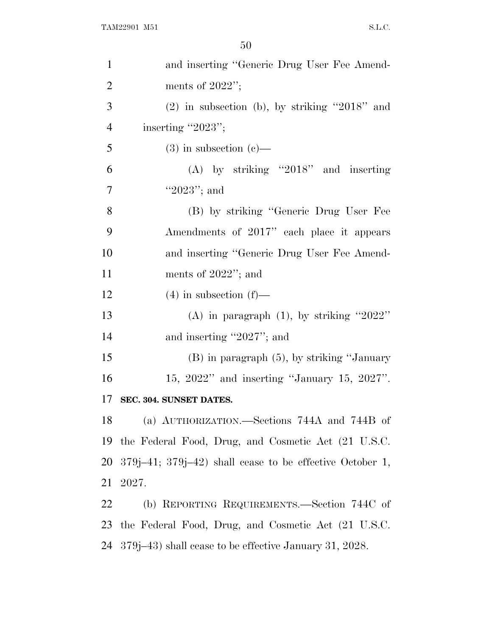| $\mathbf{1}$   | and inserting "Generic Drug User Fee Amend-                    |
|----------------|----------------------------------------------------------------|
| $\overline{2}$ | ments of $2022$ ";                                             |
| 3              | $(2)$ in subsection (b), by striking "2018" and                |
| $\overline{4}$ | inserting "2023";                                              |
| 5              | $(3)$ in subsection $(e)$ —                                    |
| 6              | $(A)$ by striking "2018" and inserting                         |
| 7              | "2023"; and                                                    |
| 8              | (B) by striking "Generic Drug User Fee                         |
| 9              | Amendments of 2017" each place it appears                      |
| 10             | and inserting "Generic Drug User Fee Amend-                    |
| 11             | ments of $2022$ "; and                                         |
| 12             | $(4)$ in subsection $(f)$ —                                    |
| 13             | (A) in paragraph $(1)$ , by striking "2022"                    |
| 14             | and inserting "2027"; and                                      |
| 15             | $(B)$ in paragraph $(5)$ , by striking "January"               |
| 16             | 15, $2022"$ and inserting "January 15, $2027"$ .               |
| 17             | SEC. 304. SUNSET DATES.                                        |
| 18             | (a) AUTHORIZATION.—Sections 744A and 744B of                   |
| 19             | the Federal Food, Drug, and Cosmetic Act (21 U.S.C.            |
| 20             | $379j-41$ ; $379j-42$ ) shall cease to be effective October 1, |
| 21             | 2027.                                                          |
| <u>22</u>      | (b) REPORTING REQUIREMENTS.—Section 744C of                    |
| 23             | the Federal Food, Drug, and Cosmetic Act (21 U.S.C.            |
| 24             | 379 (379–43) shall cease to be effective January 31, 2028.     |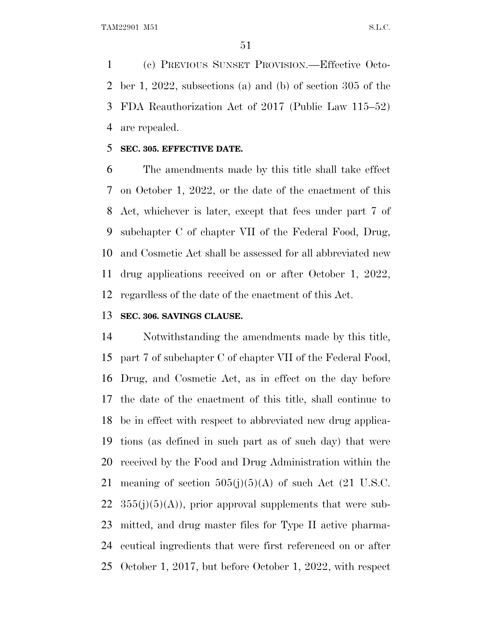(c) PREVIOUS SUNSET PROVISION.—Effective Octo- ber 1, 2022, subsections (a) and (b) of section 305 of the FDA Reauthorization Act of 2017 (Public Law 115–52) are repealed.

#### **SEC. 305. EFFECTIVE DATE.**

 The amendments made by this title shall take effect on October 1, 2022, or the date of the enactment of this Act, whichever is later, except that fees under part 7 of subchapter C of chapter VII of the Federal Food, Drug, and Cosmetic Act shall be assessed for all abbreviated new drug applications received on or after October 1, 2022, regardless of the date of the enactment of this Act.

# **SEC. 306. SAVINGS CLAUSE.**

 Notwithstanding the amendments made by this title, part 7 of subchapter C of chapter VII of the Federal Food, Drug, and Cosmetic Act, as in effect on the day before the date of the enactment of this title, shall continue to be in effect with respect to abbreviated new drug applica- tions (as defined in such part as of such day) that were received by the Food and Drug Administration within the 21 meaning of section  $505(j)(5)(A)$  of such Act (21 U.S.C.  $355(j)(5)(A)$ , prior approval supplements that were sub- mitted, and drug master files for Type II active pharma- ceutical ingredients that were first referenced on or after October 1, 2017, but before October 1, 2022, with respect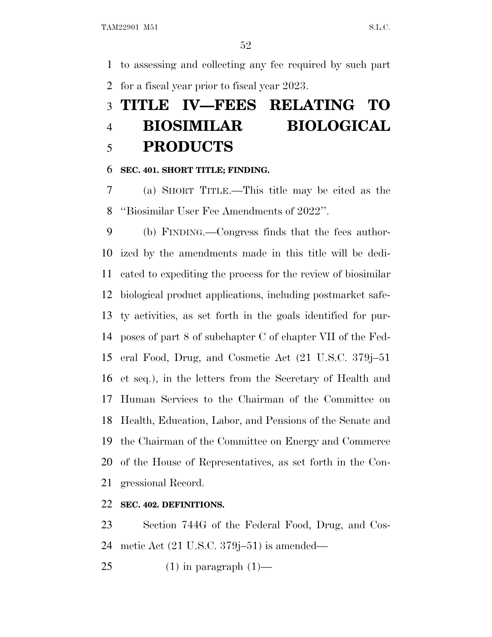to assessing and collecting any fee required by such part for a fiscal year prior to fiscal year 2023.

# **TITLE IV—FEES RELATING TO BIOSIMILAR BIOLOGICAL PRODUCTS**

#### **SEC. 401. SHORT TITLE; FINDING.**

 (a) SHORT TITLE.—This title may be cited as the ''Biosimilar User Fee Amendments of 2022''.

 (b) FINDING.—Congress finds that the fees author- ized by the amendments made in this title will be dedi- cated to expediting the process for the review of biosimilar biological product applications, including postmarket safe- ty activities, as set forth in the goals identified for pur- poses of part 8 of subchapter C of chapter VII of the Fed- eral Food, Drug, and Cosmetic Act (21 U.S.C. 379j–51 et seq.), in the letters from the Secretary of Health and Human Services to the Chairman of the Committee on Health, Education, Labor, and Pensions of the Senate and the Chairman of the Committee on Energy and Commerce of the House of Representatives, as set forth in the Con-gressional Record.

## **SEC. 402. DEFINITIONS.**

 Section 744G of the Federal Food, Drug, and Cos-metic Act (21 U.S.C. 379j–51) is amended—

25  $(1)$  in paragraph  $(1)$ —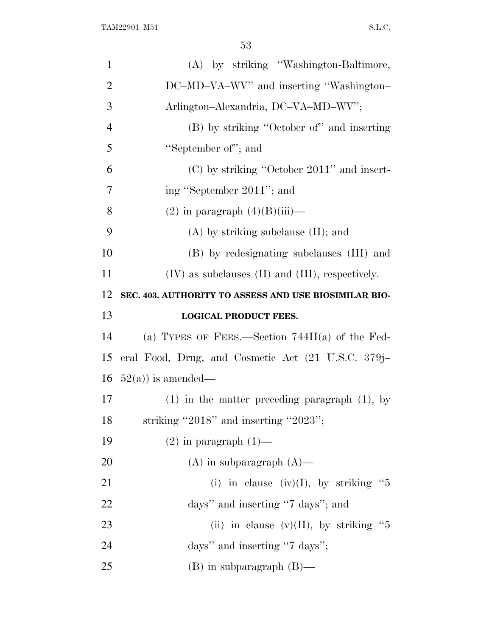| $\mathbf{1}$   | (A) by striking "Washington-Baltimore,                  |
|----------------|---------------------------------------------------------|
| $\overline{2}$ | DC-MD-VA-WV" and inserting "Washington-                 |
| 3              | Arlington-Alexandria, DC-VA-MD-WV";                     |
| $\overline{4}$ | (B) by striking "October of" and inserting              |
| 5              | "September of"; and                                     |
| 6              | (C) by striking "October 2011" and insert-              |
| 7              | ing "September 2011"; and                               |
| 8              | $(2)$ in paragraph $(4)(B)(iii)$ —                      |
| 9              | $(A)$ by striking subclause $(II)$ ; and                |
| 10             | (B) by redesignating subclauses (III) and               |
| 11             | $(IV)$ as subclauses $(II)$ and $(III)$ , respectively. |
| 12             | SEC. 403. AUTHORITY TO ASSESS AND USE BIOSIMILAR BIO-   |
| 13             | <b>LOGICAL PRODUCT FEES.</b>                            |
|                |                                                         |
| 14             | (a) TYPES OF FEES.—Section $744H(a)$ of the Fed-        |
| 15             | eral Food, Drug, and Cosmetic Act (21 U.S.C. 379j–      |
| 16             | $52(a)$ ) is amended—                                   |
| 17             | $(1)$ in the matter preceding paragraph $(1)$ , by      |
| 18             | striking "2018" and inserting "2023";                   |
| 19             | $(2)$ in paragraph $(1)$ —                              |
| 20             | $(A)$ in subparagraph $(A)$ —                           |
| 21             | (i) in clause (iv)(I), by striking " $5$                |
| 22             | days" and inserting "7 days"; and                       |
| 23             | (ii) in clause $(v)(II)$ , by striking "5               |
| 24             | days" and inserting "7 days";                           |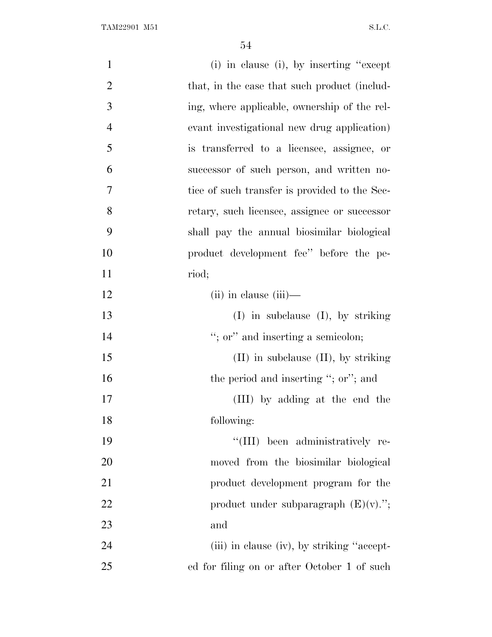| $\mathbf{1}$   | (i) in clause (i), by inserting "except"      |
|----------------|-----------------------------------------------|
| $\overline{2}$ | that, in the case that such product (includ-  |
| 3              | ing, where applicable, ownership of the rel-  |
| $\overline{4}$ | evant investigational new drug application)   |
| 5              | is transferred to a licensee, assignee, or    |
| 6              | successor of such person, and written no-     |
| 7              | tice of such transfer is provided to the Sec- |
| 8              | retary, such licensee, assignee or successor  |
| 9              | shall pay the annual biosimilar biological    |
| 10             | product development fee" before the pe-       |
| 11             | riod;                                         |
| 12             | $(ii)$ in clause $(iii)$ —                    |
| 13             | $(I)$ in subclause $(I)$ , by striking        |
| 14             | "; or" and inserting a semicolon;             |
| 15             | $(II)$ in subclause $(II)$ , by striking      |
| 16             | the period and inserting "; or"; and          |
| 17             | (III) by adding at the end the                |
| 18             | following:                                    |
| 19             | "(III) been administratively re-              |
| 20             | moved from the biosimilar biological          |
| 21             | product development program for the           |
| 22             | product under subparagraph $(E)(v)$ .";       |
| 23             | and                                           |
| 24             | (iii) in clause (iv), by striking "accept-    |
| 25             | ed for filing on or after October 1 of such   |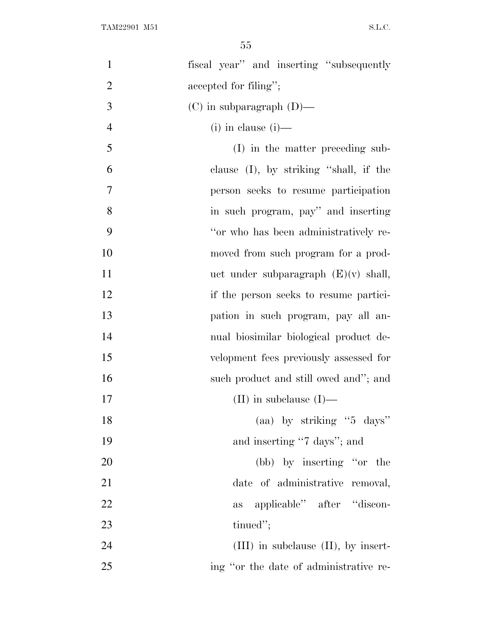| $\mathbf{1}$   | fiscal year" and inserting "subsequently  |
|----------------|-------------------------------------------|
| $\overline{2}$ | accepted for filing";                     |
| 3              | $(C)$ in subparagraph $(D)$ —             |
| $\overline{4}$ | $(i)$ in clause $(i)$ —                   |
| 5              | (I) in the matter preceding sub-          |
| 6              | clause $(I)$ , by striking "shall, if the |
| 7              | person seeks to resume participation      |
| 8              | in such program, pay" and inserting       |
| 9              | "or who has been administratively re-     |
| 10             | moved from such program for a prod-       |
| 11             | uct under subparagraph $(E)(v)$ shall,    |
| 12             | if the person seeks to resume partici-    |
| 13             | pation in such program, pay all an-       |
| 14             | nual biosimilar biological product de-    |
| 15             | velopment fees previously assessed for    |
| 16             | such product and still owed and"; and     |
| 17             | (II) in subclause $(I)$ —                 |
| 18             | (aa) by striking " $5 \text{ days}$ "     |
| 19             | and inserting "7 days"; and               |
| 20             | (bb) by inserting "or the                 |
| 21             | date of administrative removal,           |
| 22             | applicable" after "discon-<br>as          |
| 23             | tinued";                                  |
| 24             | $(III)$ in subclause $(II)$ , by insert-  |
| 25             | ing "or the date of administrative re-    |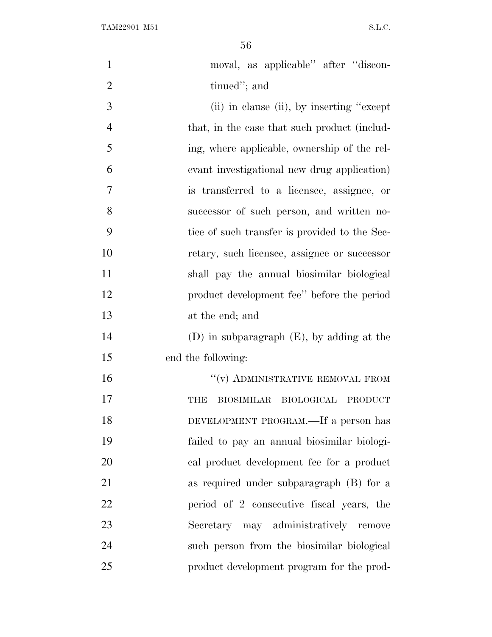TAM22901 M51 S.L.C.

| $\mathbf{1}$   | moval, as applicable" after "discon-           |
|----------------|------------------------------------------------|
| $\overline{2}$ | tinued"; and                                   |
| 3              | (ii) in clause (ii), by inserting "except"     |
| $\overline{4}$ | that, in the case that such product (includ-   |
| 5              | ing, where applicable, ownership of the rel-   |
| 6              | evant investigational new drug application)    |
| 7              | is transferred to a licensee, assignee, or     |
| 8              | successor of such person, and written no-      |
| 9              | tice of such transfer is provided to the Sec-  |
| 10             | retary, such licensee, assignee or successor   |
| 11             | shall pay the annual biosimilar biological     |
| 12             | product development fee'' before the period    |
| 13             | at the end; and                                |
| 14             | $(D)$ in subparagraph $(E)$ , by adding at the |
| 15             | end the following:                             |
| 16             | $``(v)$ ADMINISTRATIVE REMOVAL FROM            |
| 17             | BIOSIMILAR BIOLOGICAL PRODUCT<br>THE           |
| 18             | DEVELOPMENT PROGRAM.—If a person has           |
| 19             | failed to pay an annual biosimilar biologi-    |
| 20             | cal product development fee for a product      |
| 21             | as required under subparagraph $(B)$ for a     |
| 22             | period of 2 consecutive fiscal years, the      |
| 23             | Secretary may administratively remove          |
| 24             | such person from the biosimilar biological     |
| 25             | product development program for the prod-      |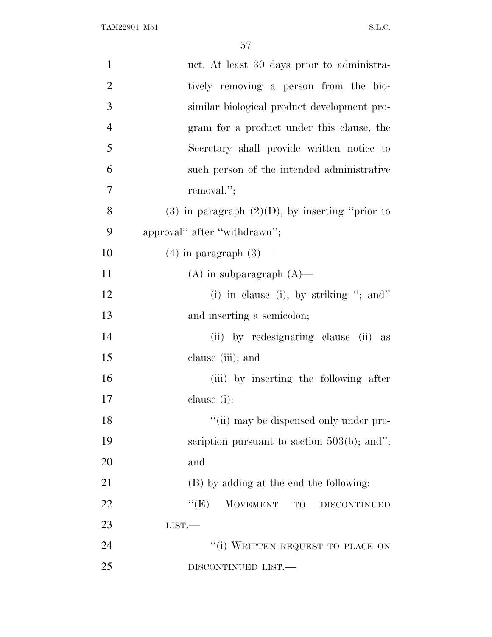| $\mathbf{1}$   | uct. At least 30 days prior to administra-           |
|----------------|------------------------------------------------------|
| $\overline{2}$ | tively removing a person from the bio-               |
| 3              | similar biological product development pro-          |
| 4              | gram for a product under this clause, the            |
| 5              | Secretary shall provide written notice to            |
| 6              | such person of the intended administrative           |
| 7              | removal.";                                           |
| 8              | $(3)$ in paragraph $(2)(D)$ , by inserting "prior to |
| 9              | approval" after "withdrawn";                         |
| 10             | $(4)$ in paragraph $(3)$ —                           |
| 11             | $(A)$ in subparagraph $(A)$ —                        |
| 12             | (i) in clause (i), by striking "; and"               |
| 13             | and inserting a semicolon;                           |
| 14             | (ii) by redesignating clause (ii) as                 |
| 15             | clause (iii); and                                    |
| 16             | (iii) by inserting the following after               |
| 17             | clause (i):                                          |
| 18             | "(ii) may be dispensed only under pre-               |
| 19             | scription pursuant to section $503(b)$ ; and";       |
| 20             | and                                                  |
| 21             | (B) by adding at the end the following:              |
| 22             | ``(E)<br>MOVEMENT TO<br><b>DISCONTINUED</b>          |
| 23             | LIST.                                                |
| 24             | "(i) WRITTEN REQUEST TO PLACE ON                     |
| 25             | DISCONTINUED LIST.—                                  |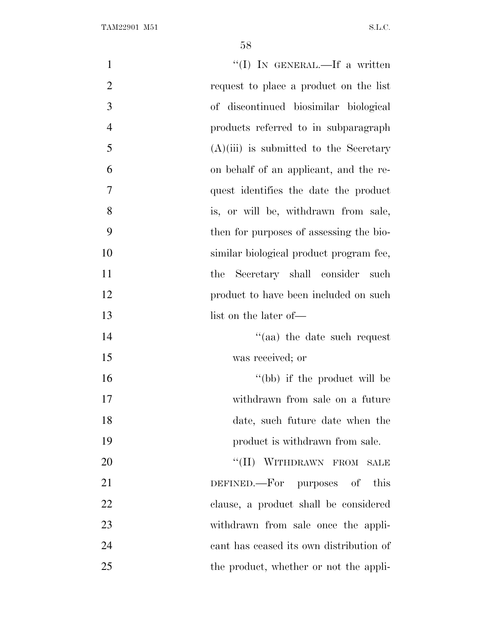| $\mathbf{1}$   | "(I) IN GENERAL.—If a written            |
|----------------|------------------------------------------|
| $\overline{2}$ | request to place a product on the list   |
| 3              | of discontinued biosimilar biological    |
| $\overline{4}$ | products referred to in subparagraph     |
| 5              | $(A)(iii)$ is submitted to the Secretary |
| 6              | on behalf of an applicant, and the re-   |
| $\tau$         | quest identifies the date the product    |
| 8              | is, or will be, withdrawn from sale,     |
| 9              | then for purposes of assessing the bio-  |
| 10             | similar biological product program fee,  |
| 11             | Secretary shall consider such<br>the     |
| 12             | product to have been included on such    |
| 13             | list on the later of—                    |
| 14             | $\cdot$ (aa) the date such request       |
| 15             | was received; or                         |
| 16             | "(bb) if the product will be             |
| 17             | withdrawn from sale on a future          |
| 18             | date, such future date when the          |
| 19             | product is withdrawn from sale.          |
| 20             | "(II) WITHDRAWN FROM SALE                |
| 21             | DEFINED.—For purposes of<br>this         |
| 22             | clause, a product shall be considered    |
| 23             | withdrawn from sale once the appli-      |
| 24             | cant has ceased its own distribution of  |
| 25             | the product, whether or not the appli-   |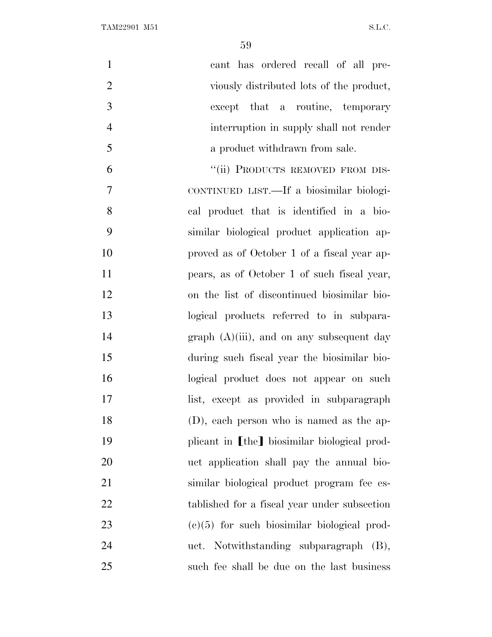| $\mathbf{1}$   | cant has ordered recall of all pre-           |
|----------------|-----------------------------------------------|
| $\overline{2}$ | viously distributed lots of the product,      |
| 3              | except that a routine, temporary              |
| $\overline{4}$ | interruption in supply shall not render       |
| 5              | a product withdrawn from sale.                |
| 6              | "(ii) PRODUCTS REMOVED FROM DIS-              |
| 7              | CONTINUED LIST.—If a biosimilar biologi-      |
| 8              | cal product that is identified in a bio-      |
| 9              | similar biological product application ap-    |
| 10             | proved as of October 1 of a fiscal year ap-   |
| 11             | pears, as of October 1 of such fiscal year,   |
| 12             | on the list of discontinued biosimilar bio-   |
| 13             | logical products referred to in subpara-      |
| 14             | $graph (A)(iii)$ , and on any subsequent day  |
| 15             | during such fiscal year the biosimilar bio-   |
| 16             | logical product does not appear on such       |
| 17             | list, except as provided in subparagraph      |
| 18             | (D), each person who is named as the ap-      |
| 19             | plicant in [the] biosimilar biological prod-  |
| $20\,$         | uct application shall pay the annual bio-     |
| 21             | similar biological product program fee es-    |
| 22             | tablished for a fiscal year under subsection  |
| 23             | $(e)(5)$ for such biosimilar biological prod- |
| 24             | uct. Notwithstanding subparagraph (B),        |
| 25             | such fee shall be due on the last business    |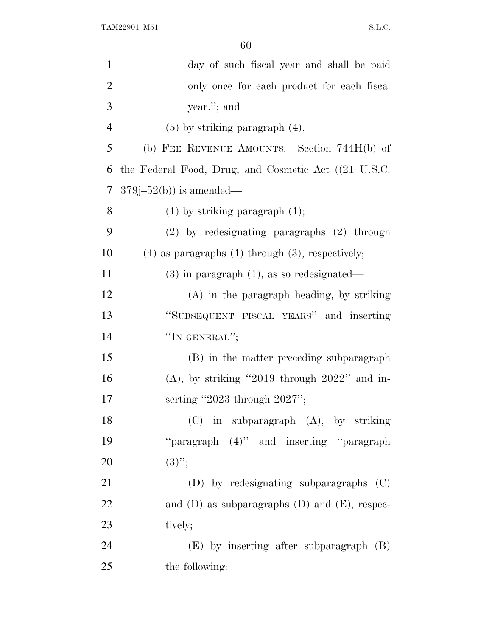| $\mathbf{1}$   | day of such fiscal year and shall be paid               |
|----------------|---------------------------------------------------------|
| $\overline{2}$ | only once for each product for each fiscal              |
| 3              | year."; and                                             |
| $\overline{4}$ | $(5)$ by striking paragraph $(4)$ .                     |
| 5              | (b) FEE REVENUE AMOUNTS.—Section 744H(b) of             |
| 6              | the Federal Food, Drug, and Cosmetic Act ((21 U.S.C.)   |
| 7              | $379j-52(b)$ is amended—                                |
| 8              | $(1)$ by striking paragraph $(1)$ ;                     |
| 9              | $(2)$ by redesignating paragraphs $(2)$ through         |
| 10             | $(4)$ as paragraphs $(1)$ through $(3)$ , respectively; |
| 11             | $(3)$ in paragraph $(1)$ , as so redesignated—          |
| 12             | $(A)$ in the paragraph heading, by striking             |
| 13             | "SUBSEQUENT FISCAL YEARS" and inserting                 |
| 14             | "IN GENERAL";                                           |
| 15             | (B) in the matter preceding subparagraph                |
| 16             | $(A)$ , by striking "2019 through 2022" and in-         |
| 17             | serting "2023 through $2027$ ";                         |
| 18             | (C) in subparagraph (A), by striking                    |
| 19             | "paragraph (4)" and inserting "paragraph                |
| 20             | $(3)$ ";                                                |
| 21             | (D) by redesignating subparagraphs (C)                  |
| 22             | and $(D)$ as subparagraphs $(D)$ and $(E)$ , respec-    |
| 23             | tively;                                                 |
| 24             | $(E)$ by inserting after subparagraph $(B)$             |
| 25             | the following:                                          |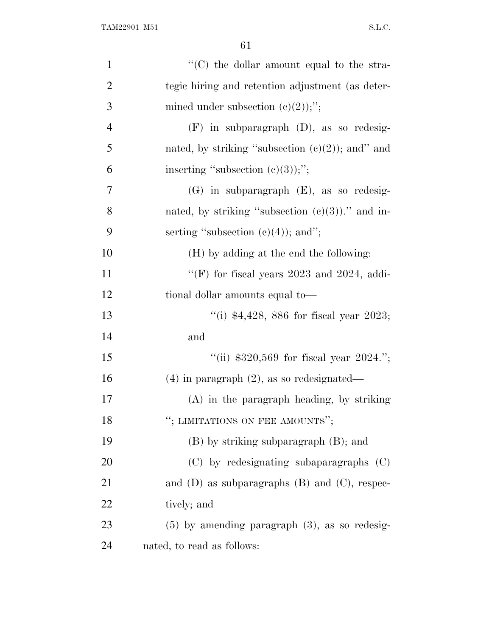| $\mathbf{1}$   | "(C) the dollar amount equal to the stra-            |
|----------------|------------------------------------------------------|
| $\overline{2}$ | tegic hiring and retention adjustment (as deter-     |
| 3              | mined under subsection $(c)(2)$ ;";                  |
| $\overline{4}$ | $(F)$ in subparagraph $(D)$ , as so redesig-         |
| 5              | nated, by striking "subsection $(e)(2)$ ); and" and  |
| 6              | inserting "subsection $(e)(3)$ );";                  |
| 7              | $(G)$ in subparagraph $(E)$ , as so redesig-         |
| 8              | nated, by striking "subsection $(c)(3)$ )." and in-  |
| 9              | serting "subsection $(e)(4)$ ); and";                |
| 10             | (H) by adding at the end the following:              |
| 11             | "(F) for fiscal years $2023$ and $2024$ , addi-      |
| 12             | tional dollar amounts equal to-                      |
| 13             | "(i) $*4,428, 886$ for fiscal year 2023;             |
| 14             | and                                                  |
| 15             | "(ii) $$320,569$ for fiscal year $2024$ .";          |
| 16             | $(4)$ in paragraph $(2)$ , as so redesignated—       |
| 17             | $(A)$ in the paragraph heading, by striking          |
| 18             | "; LIMITATIONS ON FEE AMOUNTS";                      |
| 19             | $(B)$ by striking subparagraph $(B)$ ; and           |
| 20             | (C) by redesignating subaparagraphs (C)              |
| 21             | and $(D)$ as subparagraphs $(B)$ and $(C)$ , respec- |
| 22             | tively; and                                          |
| 23             | $(5)$ by amending paragraph $(3)$ , as so redesig-   |
| 24             | nated, to read as follows:                           |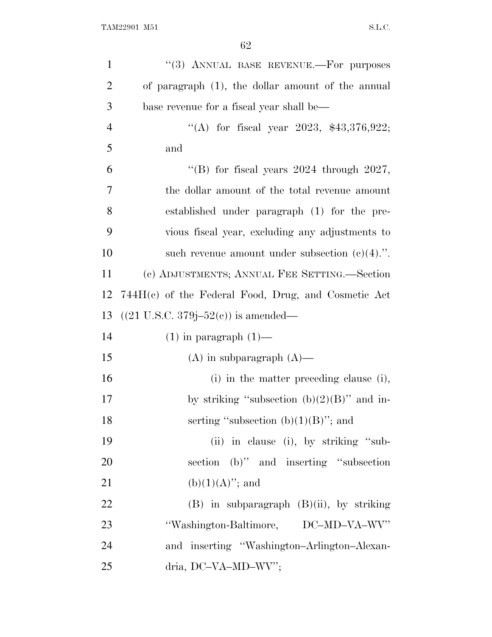| $\mathbf{1}$   | "(3) ANNUAL BASE REVENUE.-- For purposes                  |
|----------------|-----------------------------------------------------------|
| $\overline{2}$ | of paragraph (1), the dollar amount of the annual         |
| 3              | base revenue for a fiscal year shall be—                  |
| $\overline{4}$ | "(A) for fiscal year 2023, $$43,376,922$ ;                |
| 5              | and                                                       |
| 6              | "(B) for fiscal years $2024$ through $2027$ ,             |
| 7              | the dollar amount of the total revenue amount             |
| 8              | established under paragraph (1) for the pre-              |
| 9              | vious fiscal year, excluding any adjustments to           |
| 10             | such revenue amount under subsection $(e)(4)$ .".         |
| 11             | (c) ADJUSTMENTS; ANNUAL FEE SETTING.—Section              |
| 12             | $744H(c)$ of the Federal Food, Drug, and Cosmetic Act     |
| 13             | $((21 \text{ U.S.C. } 379j - 52(e)) \text{ is amended}$ — |
| 14             | $(1)$ in paragraph $(1)$ —                                |
| 15             | $(A)$ in subparagraph $(A)$ —                             |
| 16             | (i) in the matter preceding clause (i),                   |
| 17             | by striking "subsection $(b)(2)(B)$ " and in-             |
| 18             | serting "subsection $(b)(1)(B)$ "; and                    |
| 19             | (ii) in clause (i), by striking "sub-                     |
| 20             | section (b)" and inserting "subsection                    |
| 21             | $(b)(1)(A)$ "; and                                        |
| 22             | $(B)$ in subparagraph $(B)(ii)$ , by striking             |
| 23             | "Washington-Baltimore, DC-MD-VA-WV"                       |
| 24             | and inserting "Washington-Arlington-Alexan-               |
| 25             | dria, DC-VA-MD-WV";                                       |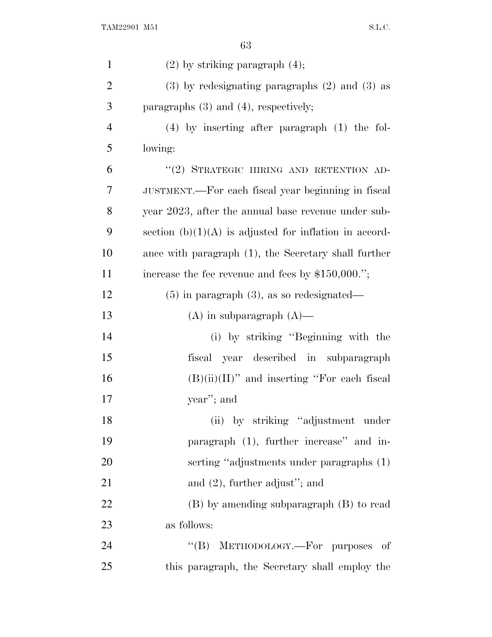| $\mathbf{1}$   | $(2)$ by striking paragraph $(4)$ ;                      |
|----------------|----------------------------------------------------------|
| $\overline{2}$ | $(3)$ by redesignating paragraphs $(2)$ and $(3)$ as     |
| 3              | paragraphs $(3)$ and $(4)$ , respectively;               |
| $\overline{4}$ | $(4)$ by inserting after paragraph $(1)$ the fol-        |
| 5              | lowing:                                                  |
| 6              | "(2) STRATEGIC HIRING AND RETENTION AD-                  |
| 7              | JUSTMENT.—For each fiscal year beginning in fiscal       |
| 8              | year 2023, after the annual base revenue under sub-      |
| 9              | section $(b)(1)(A)$ is adjusted for inflation in accord- |
| 10             | ance with paragraph (1), the Secretary shall further     |
| 11             | increase the fee revenue and fees by $$150,000."$ ;      |
| 12             | $(5)$ in paragraph $(3)$ , as so redesignated—           |
| 13             | $(A)$ in subparagraph $(A)$ —                            |
| 14             | (i) by striking "Beginning with the                      |
| 15             | fiscal year described in subparagraph                    |
| 16             | $(B)(ii)(II)$ " and inserting "For each fiscal           |
| 17             | year"; and                                               |
| 18             | (ii) by striking "adjustment under                       |
| 19             | paragraph (1), further increase" and in-                 |
| 20             | serting "adjustments under paragraphs (1)                |
| 21             | and $(2)$ , further adjust"; and                         |
| 22             | (B) by amending subparagraph (B) to read                 |
| 23             | as follows:                                              |
| 24             | "(B) METHODOLOGY.—For purposes of                        |
| 25             | this paragraph, the Secretary shall employ the           |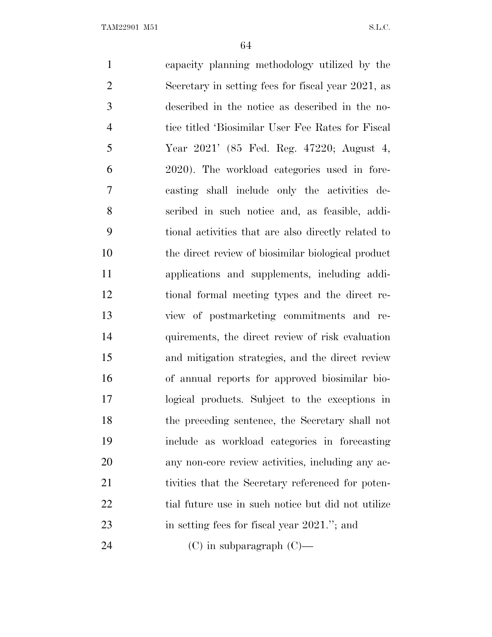capacity planning methodology utilized by the Secretary in setting fees for fiscal year 2021, as described in the notice as described in the no- tice titled 'Biosimilar User Fee Rates for Fiscal Year 2021' (85 Fed. Reg. 47220; August 4, 2020). The workload categories used in fore- casting shall include only the activities de- scribed in such notice and, as feasible, addi- tional activities that are also directly related to the direct review of biosimilar biological product applications and supplements, including addi- tional formal meeting types and the direct re- view of postmarketing commitments and re- quirements, the direct review of risk evaluation and mitigation strategies, and the direct review of annual reports for approved biosimilar bio- logical products. Subject to the exceptions in the preceding sentence, the Secretary shall not include as workload categories in forecasting any non-core review activities, including any ac-21 tivities that the Secretary referenced for poten-22 tial future use in such notice but did not utilize 23 in setting fees for fiscal year 2021."; and (C) in subparagraph (C)—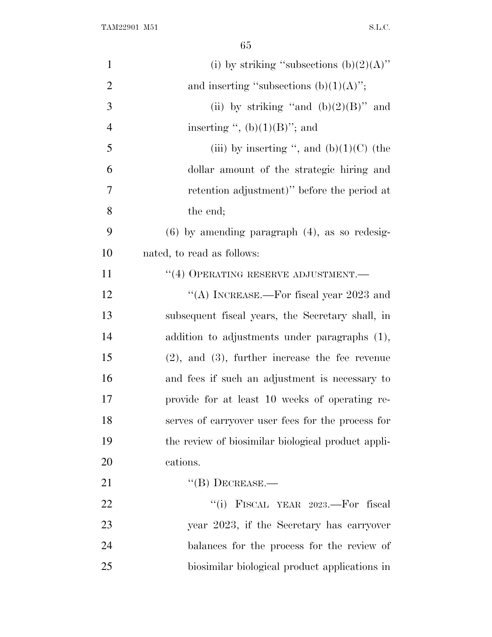| $\mathbf{1}$   | (i) by striking "subsections $(b)(2)(A)$ "           |
|----------------|------------------------------------------------------|
| $\overline{2}$ | and inserting "subsections $(b)(1)(A)$ ";            |
| 3              | (ii) by striking "and $(b)(2)(B)$ " and              |
| $\overline{4}$ | inserting ", $(b)(1)(B)$ "; and                      |
| 5              | (iii) by inserting ", and $(b)(1)(C)$ (the           |
| 6              | dollar amount of the strategic hiring and            |
| 7              | retention adjustment)" before the period at          |
| 8              | the end;                                             |
| 9              | $(6)$ by amending paragraph $(4)$ , as so redesig-   |
| 10             | nated, to read as follows:                           |
| 11             | $``(4)$ OPERATING RESERVE ADJUSTMENT.—               |
| 12             | "(A) INCREASE.—For fiscal year $2023$ and            |
| 13             | subsequent fiscal years, the Secretary shall, in     |
| 14             | addition to adjustments under paragraphs (1),        |
| 15             | $(2)$ , and $(3)$ , further increase the fee revenue |
| 16             | and fees if such an adjustment is necessary to       |
| 17             | provide for at least 10 weeks of operating re-       |
| 18             | serves of carryover user fees for the process for    |
| 19             | the review of biosimilar biological product appli-   |
| 20             | cations.                                             |
| 21             | $\lq\lq (B)$ DECREASE.—                              |
| 22             | FISCAL YEAR 2023.-For fiscal<br>``(i)                |
| 23             | year 2023, if the Secretary has carryover            |
| 24             | balances for the process for the review of           |
| 25             | biosimilar biological product applications in        |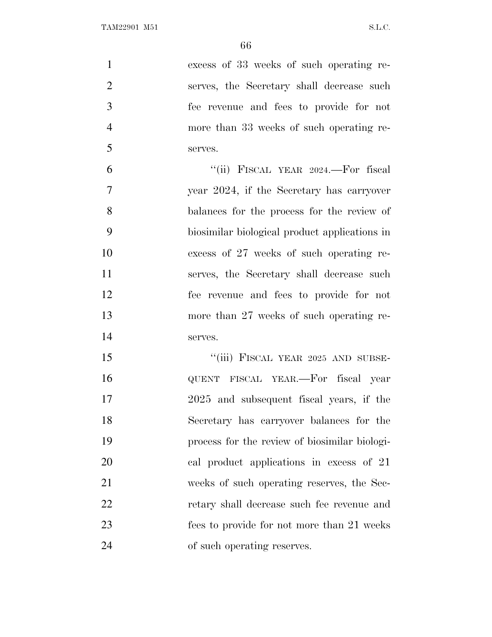| $\mathbf{1}$   | excess of 33 weeks of such operating re-      |
|----------------|-----------------------------------------------|
| $\overline{2}$ | serves, the Secretary shall decrease such     |
| 3              | fee revenue and fees to provide for not       |
| $\overline{4}$ | more than 33 weeks of such operating re-      |
| 5              | serves.                                       |
| 6              | "(ii) FISCAL YEAR 2024.—For fiscal            |
| $\overline{7}$ | year 2024, if the Secretary has carryover     |
| 8              | balances for the process for the review of    |
| 9              | biosimilar biological product applications in |
| 10             | excess of 27 weeks of such operating re-      |
| 11             | serves, the Secretary shall decrease such     |
| 12             | fee revenue and fees to provide for not       |
| 13             | more than 27 weeks of such operating re-      |
| 14             | serves.                                       |
| 15             | "(iii) FISCAL YEAR 2025 AND SUBSE-            |
| 16             | QUENT FISCAL YEAR.—For fiscal year            |
| 17             | 2025 and subsequent fiscal years, if the      |
| 18             | Secretary has carryover balances for the      |
| 19             | process for the review of biosimilar biologi- |
| 20             | cal product applications in excess of 21      |
| 21             | weeks of such operating reserves, the Sec-    |
| 22             | retary shall decrease such fee revenue and    |
| 23             | fees to provide for not more than 21 weeks    |
| 24             | of such operating reserves.                   |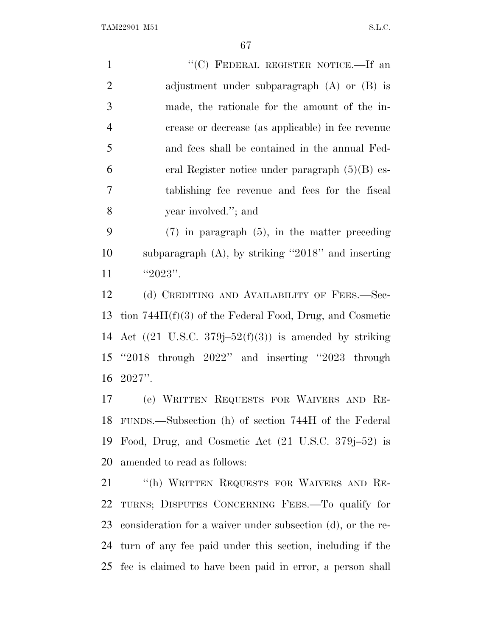1 "'(C) FEDERAL REGISTER NOTICE.—If an adjustment under subparagraph (A) or (B) is made, the rationale for the amount of the in- crease or decrease (as applicable) in fee revenue and fees shall be contained in the annual Fed- eral Register notice under paragraph (5)(B) es- tablishing fee revenue and fees for the fiscal year involved.''; and

 (7) in paragraph (5), in the matter preceding subparagraph (A), by striking ''2018'' and inserting 11  $"2023"$ .

12 (d) CREDITING AND AVAILABILITY OF FEES.—Sec- tion 744H(f)(3) of the Federal Food, Drug, and Cosmetic 14 Act  $((21 \text{ U.S.C. } 379j-52(f)(3))$  is amended by striking ''2018 through 2022'' and inserting ''2023 through 2027''.

 (e) WRITTEN REQUESTS FOR WAIVERS AND RE- FUNDS.—Subsection (h) of section 744H of the Federal Food, Drug, and Cosmetic Act (21 U.S.C. 379j–52) is amended to read as follows:

 ''(h) WRITTEN REQUESTS FOR WAIVERS AND RE- TURNS; DISPUTES CONCERNING FEES.—To qualify for consideration for a waiver under subsection (d), or the re- turn of any fee paid under this section, including if the fee is claimed to have been paid in error, a person shall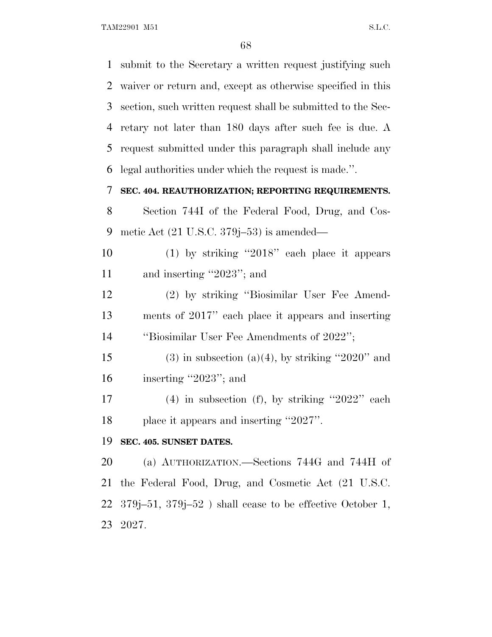TAM22901 M51 S.L.C.

 submit to the Secretary a written request justifying such waiver or return and, except as otherwise specified in this section, such written request shall be submitted to the Sec- retary not later than 180 days after such fee is due. A request submitted under this paragraph shall include any legal authorities under which the request is made.''.

# **SEC. 404. REAUTHORIZATION; REPORTING REQUIREMENTS.**

 Section 744I of the Federal Food, Drug, and Cos-metic Act (21 U.S.C. 379j–53) is amended—

 (1) by striking ''2018'' each place it appears 11 and inserting "2023"; and

 (2) by striking ''Biosimilar User Fee Amend- ments of 2017'' each place it appears and inserting ''Biosimilar User Fee Amendments of 2022'';

15 (3) in subsection (a)(4), by striking "2020" and inserting ''2023''; and

 (4) in subsection (f), by striking ''2022'' each place it appears and inserting ''2027''.

### **SEC. 405. SUNSET DATES.**

 (a) AUTHORIZATION.—Sections 744G and 744H of the Federal Food, Drug, and Cosmetic Act (21 U.S.C. 379j–51, 379j–52 ) shall cease to be effective October 1, 2027.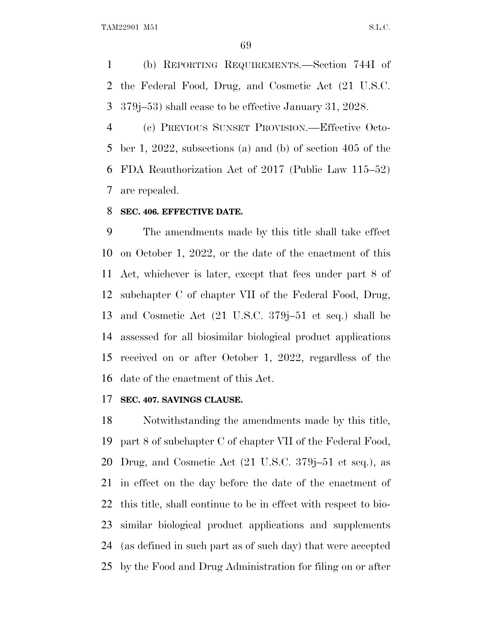(b) REPORTING REQUIREMENTS.—Section 744I of the Federal Food, Drug, and Cosmetic Act (21 U.S.C. 379j–53) shall cease to be effective January 31, 2028.

 (c) PREVIOUS SUNSET PROVISION.—Effective Octo- ber 1, 2022, subsections (a) and (b) of section 405 of the FDA Reauthorization Act of 2017 (Public Law 115–52) are repealed.

#### **SEC. 406. EFFECTIVE DATE.**

 The amendments made by this title shall take effect on October 1, 2022, or the date of the enactment of this Act, whichever is later, except that fees under part 8 of subchapter C of chapter VII of the Federal Food, Drug, and Cosmetic Act (21 U.S.C. 379j–51 et seq.) shall be assessed for all biosimilar biological product applications received on or after October 1, 2022, regardless of the date of the enactment of this Act.

#### **SEC. 407. SAVINGS CLAUSE.**

 Notwithstanding the amendments made by this title, part 8 of subchapter C of chapter VII of the Federal Food, Drug, and Cosmetic Act (21 U.S.C. 379j–51 et seq.), as in effect on the day before the date of the enactment of this title, shall continue to be in effect with respect to bio- similar biological product applications and supplements (as defined in such part as of such day) that were accepted by the Food and Drug Administration for filing on or after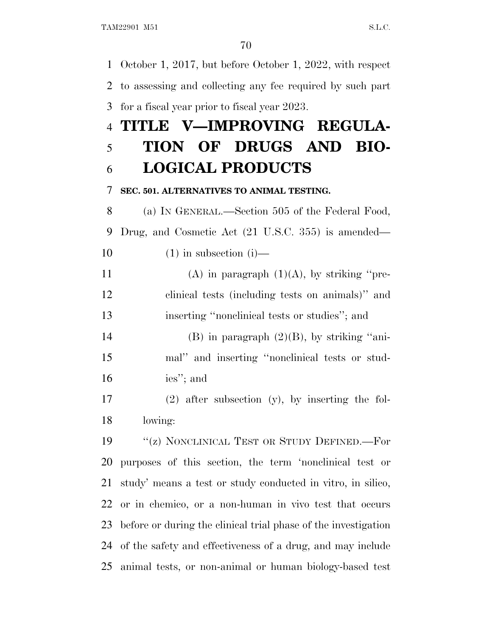October 1, 2017, but before October 1, 2022, with respect to assessing and collecting any fee required by such part for a fiscal year prior to fiscal year 2023. **TITLE V—IMPROVING REGULA- TION OF DRUGS AND BIO- LOGICAL PRODUCTS SEC. 501. ALTERNATIVES TO ANIMAL TESTING.** (a) I<sup>N</sup> GENERAL.—Section 505 of the Federal Food, Drug, and Cosmetic Act (21 U.S.C. 355) is amended—  $(1)$  in subsection  $(i)$ — 11 (A) in paragraph  $(1)(A)$ , by striking "pre- clinical tests (including tests on animals)'' and inserting ''nonclinical tests or studies''; and 14 (B) in paragraph  $(2)(B)$ , by striking "ani- mal'' and inserting ''nonclinical tests or stud- ies''; and (2) after subsection (y), by inserting the fol- lowing: 19 "(z) NONCLINICAL TEST OR STUDY DEFINED.—For purposes of this section, the term 'nonclinical test or study' means a test or study conducted in vitro, in silico, or in chemico, or a non-human in vivo test that occurs before or during the clinical trial phase of the investigation of the safety and effectiveness of a drug, and may include

animal tests, or non-animal or human biology-based test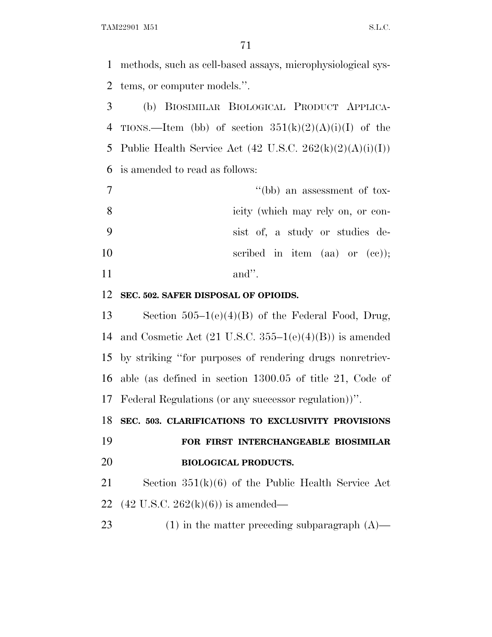TAM22901 M51 S.L.C.

 methods, such as cell-based assays, microphysiological sys-tems, or computer models.''.

 (b) BIOSIMILAR BIOLOGICAL PRODUCT APPLICA-4 TIONS.—Item (bb) of section  $351(k)(2)(A)(i)(I)$  of the 5 Public Health Service Act  $(42 \text{ U.S.C. } 262(\text{k})(2)(\text{A})(i)(\text{I}))$ is amended to read as follows:

| $7\phantom{.0}$ | "(bb) an assessment of tox-        |
|-----------------|------------------------------------|
| - 8             | icity (which may rely on, or con-  |
| - 9             | sist of, a study or studies de-    |
| 10              | scribed in item $(aa)$ or $(cc)$ ; |
| 11              | $and$ ".                           |

#### **SEC. 502. SAFER DISPOSAL OF OPIOIDS.**

 Section 505–1(e)(4)(B) of the Federal Food, Drug, 14 and Cosmetic Act  $(21 \text{ U.S.C. } 355-1(e)(4)(B))$  is amended by striking ''for purposes of rendering drugs nonretriev- able (as defined in section 1300.05 of title 21, Code of Federal Regulations (or any successor regulation))''.

**SEC. 503. CLARIFICATIONS TO EXCLUSIVITY PROVISIONS**

 **FOR FIRST INTERCHANGEABLE BIOSIMILAR BIOLOGICAL PRODUCTS.**

 Section 351(k)(6) of the Public Health Service Act (42 U.S.C. 262(k)(6)) is amended—

23 (1) in the matter preceding subparagraph (A)—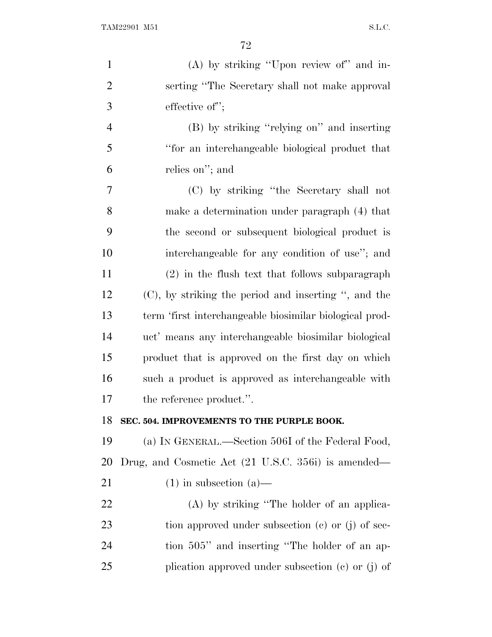| $\mathbf{1}$   | $(A)$ by striking "Upon review of" and in-              |
|----------------|---------------------------------------------------------|
| $\overline{2}$ | serting "The Secretary shall not make approval"         |
| 3              | effective of";                                          |
| $\overline{4}$ | (B) by striking "relying on" and inserting              |
| 5              | "for an interchangeable biological product that         |
| 6              | relies on"; and                                         |
| 7              | (C) by striking "the Secretary shall not                |
| 8              | make a determination under paragraph (4) that           |
| 9              | the second or subsequent biological product is          |
| 10             | interchangeable for any condition of use"; and          |
| 11             | (2) in the flush text that follows subparagraph         |
| 12             | $(C)$ , by striking the period and inserting ", and the |
| 13             | term 'first interchangeable biosimilar biological prod- |
| 14             | uct' means any interchangeable biosimilar biological    |
| 15             | product that is approved on the first day on which      |
| 16             | such a product is approved as interchangeable with      |
| 17             | the reference product.".                                |
| 18             | SEC. 504. IMPROVEMENTS TO THE PURPLE BOOK.              |
| 19             | (a) IN GENERAL.—Section 506I of the Federal Food,       |
| 20             | Drug, and Cosmetic Act (21 U.S.C. 356i) is amended—     |
| 21             | $(1)$ in subsection $(a)$ —                             |
| 22             | (A) by striking "The holder of an applica-              |
| 23             | tion approved under subsection $(c)$ or $(j)$ of sec-   |
| 24             | tion 505" and inserting "The holder of an ap-           |
| 25             | plication approved under subsection $(c)$ or $(j)$ of   |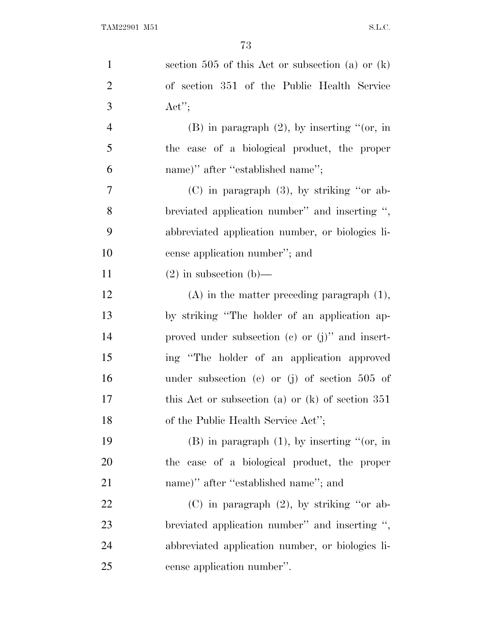| $\mathbf{1}$   | section 505 of this Act or subsection (a) or $(k)$   |
|----------------|------------------------------------------------------|
| $\overline{2}$ | of section 351 of the Public Health Service          |
| 3              | $\text{Act}''$                                       |
| $\overline{4}$ | $(B)$ in paragraph $(2)$ , by inserting " $(or, in)$ |
| 5              | the case of a biological product, the proper         |
| 6              | name)" after "established name";                     |
| 7              | $(C)$ in paragraph $(3)$ , by striking "or ab-       |
| 8              | breviated application number" and inserting ",       |
| 9              | abbreviated application number, or biologics li-     |
| 10             | cense application number"; and                       |
| 11             | $(2)$ in subsection $(b)$ —                          |
| 12             | $(A)$ in the matter preceding paragraph $(1)$ ,      |
| 13             | by striking "The holder of an application ap-        |
| 14             | proved under subsection $(c)$ or $(j)$ " and insert- |
| 15             | ing "The holder of an application approved           |
| 16             | under subsection (c) or (j) of section $505$ of      |
| 17             | this Act or subsection (a) or $(k)$ of section 351   |
| 18             | of the Public Health Service Act";                   |
| 19             | $(B)$ in paragraph $(1)$ , by inserting " $(or, in)$ |
| 20             | the case of a biological product, the proper         |
| 21             | name)" after "established name"; and                 |
| 22             | $(C)$ in paragraph $(2)$ , by striking "or ab-       |
| 23             | breviated application number" and inserting ",       |
| 24             | abbreviated application number, or biologics li-     |
| 25             | cense application number".                           |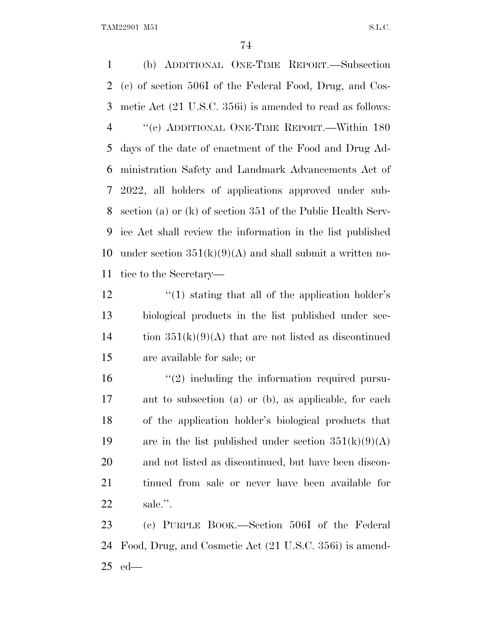(b) ADDITIONAL ONE-TIME REPORT.—Subsection (c) of section 506I of the Federal Food, Drug, and Cos- metic Act (21 U.S.C. 356i) is amended to read as follows: ''(c) ADDITIONAL ONE-TIME REPORT.—Within 180 days of the date of enactment of the Food and Drug Ad- ministration Safety and Landmark Advancements Act of 2022, all holders of applications approved under sub- section (a) or (k) of section 351 of the Public Health Serv- ice Act shall review the information in the list published 10 under section  $351(k)(9)(A)$  and shall submit a written no-tice to the Secretary—

12 ''(1) stating that all of the application holder's biological products in the list published under sec-14 tion  $351(k)(9)(A)$  that are not listed as discontinued are available for sale; or

 $\mathcal{L}^{(2)}$  including the information required pursu- ant to subsection (a) or (b), as applicable, for each of the application holder's biological products that 19 are in the list published under section  $351(k)(9)(A)$  and not listed as discontinued, but have been discon- tinued from sale or never have been available for sale.''.

 (c) PURPLE BOOK.—Section 506I of the Federal Food, Drug, and Cosmetic Act (21 U.S.C. 356i) is amend-ed—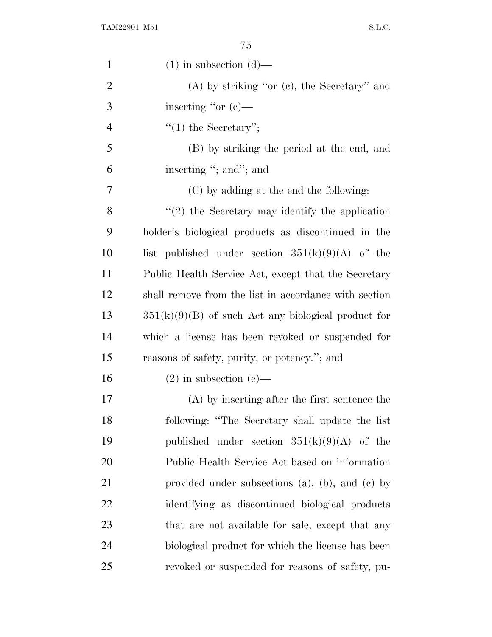| $\mathbf{1}$   | $(1)$ in subsection $(d)$ —                             |
|----------------|---------------------------------------------------------|
| $\overline{2}$ | $(A)$ by striking "or $(e)$ , the Secretary" and        |
| 3              | inserting "or $(c)$ —                                   |
| $\overline{4}$ | $f'(1)$ the Secretary'';                                |
| 5              | (B) by striking the period at the end, and              |
| 6              | inserting "; and"; and                                  |
| 7              | (C) by adding at the end the following:                 |
| 8              | $"(2)$ the Secretary may identify the application       |
| 9              | holder's biological products as discontinued in the     |
| 10             | list published under section $351(k)(9)(A)$ of the      |
| 11             | Public Health Service Act, except that the Secretary    |
| 12             | shall remove from the list in accordance with section   |
| 13             | $351(k)(9)(B)$ of such Act any biological product for   |
| 14             | which a license has been revoked or suspended for       |
| 15             | reasons of safety, purity, or potency."; and            |
| 16             | $(2)$ in subsection $(e)$ —                             |
| 17             | (A) by inserting after the first sentence the           |
| 18             | following: "The Secretary shall update the list         |
| 19             | published under section $351(k)(9)(A)$ of the           |
| 20             | Public Health Service Act based on information          |
| 21             | provided under subsections $(a)$ , $(b)$ , and $(c)$ by |
| 22             | identifying as discontinued biological products         |
| 23             | that are not available for sale, except that any        |
| 24             | biological product for which the license has been       |
| 25             | revoked or suspended for reasons of safety, pu-         |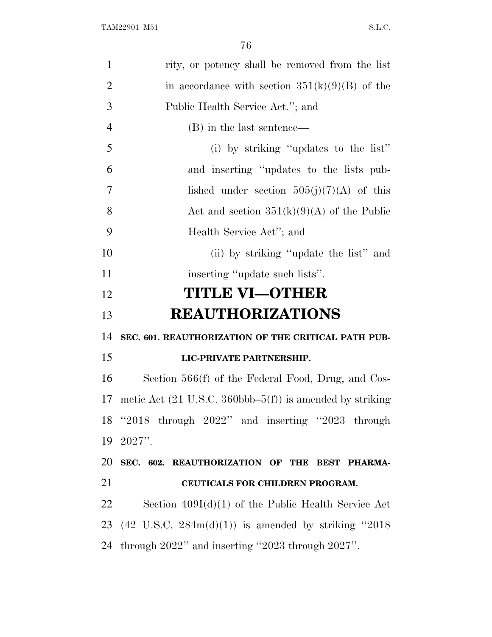| 1              | rity, or potency shall be removed from the list                               |
|----------------|-------------------------------------------------------------------------------|
| $\overline{2}$ | in accordance with section $351(k)(9)(B)$ of the                              |
| 3              | Public Health Service Act."; and                                              |
| $\overline{4}$ | (B) in the last sentence—                                                     |
| 5              | (i) by striking "updates to the list"                                         |
| 6              | and inserting "updates to the lists pub-                                      |
| 7              | lished under section $505(j)(7)(A)$ of this                                   |
| 8              | Act and section $351(k)(9)(A)$ of the Public                                  |
| 9              | Health Service Act"; and                                                      |
| 10             | (ii) by striking "update the list" and                                        |
| 11             | inserting "update such lists".                                                |
| 12             | <b>TITLE VI-OTHER</b>                                                         |
|                |                                                                               |
| 13             | <b>REAUTHORIZATIONS</b>                                                       |
| 14             | SEC. 601. REAUTHORIZATION OF THE CRITICAL PATH PUB-                           |
| 15             | LIC-PRIVATE PARTNERSHIP.                                                      |
| 16             | Section 566(f) of the Federal Food, Drug, and Cos-                            |
| 17             | metic Act $(21 \text{ U.S.C. } 360 \text{bbb} - 5(f))$ is amended by striking |
|                | 18 "2018 through 2022" and inserting "2023 through                            |
|                | 19 2027".                                                                     |
| 20             | SEC. 602. REAUTHORIZATION OF THE BEST PHARMA-                                 |
| 21             | CEUTICALS FOR CHILDREN PROGRAM.                                               |
| 22             | Section $409I(d)(1)$ of the Public Health Service Act                         |
| 23             | $(42 \text{ U.S.C. } 284 \text{m(d)}(1))$ is amended by striking "2018"       |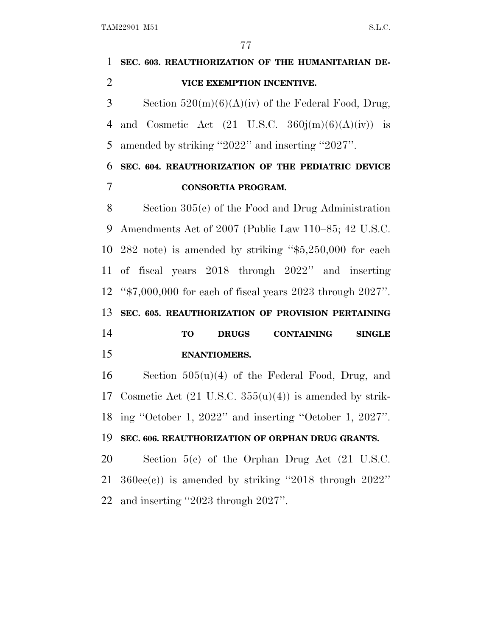| $\mathbf{1}$ | SEC. 603. REAUTHORIZATION OF THE HUMANITARIAN DE-                     |
|--------------|-----------------------------------------------------------------------|
| 2            | VICE EXEMPTION INCENTIVE.                                             |
| 3            | Section $520(m)(6)(A)(iv)$ of the Federal Food, Drug,                 |
| 4            | and Cosmetic Act $(21 \text{ U.S.C. } 360j(m)(6)(A)(iv))$ is          |
| 5            | amended by striking "2022" and inserting "2027".                      |
| 6            | SEC. 604. REAUTHORIZATION OF THE PEDIATRIC DEVICE                     |
| 7            | <b>CONSORTIA PROGRAM.</b>                                             |
| 8            | Section $305(e)$ of the Food and Drug Administration                  |
| 9            | Amendments Act of 2007 (Public Law 110–85; 42 U.S.C.                  |
|              | 10 282 note) is amended by striking " $$5,250,000$ for each           |
| 11           | of fiscal years 2018 through 2022" and inserting                      |
| 12           | " $\frac{1}{2}$ ,000,000 for each of fiscal years 2023 through 2027". |
| 13           | SEC. 605. REAUTHORIZATION OF PROVISION PERTAINING                     |
| 14           | <b>CONTAINING</b><br><b>TO</b><br><b>DRUGS</b><br><b>SINGLE</b>       |
| 15           | <b>ENANTIOMERS.</b>                                                   |
| 16           | Section $505(u)(4)$ of the Federal Food, Drug, and                    |
| 17           | Cosmetic Act $(21 \text{ U.S.C. } 355(u)(4))$ is amended by strik-    |
| 18           | ing "October 1, 2022" and inserting "October 1, 2027".                |
| 19           | SEC. 606. REAUTHORIZATION OF ORPHAN DRUG GRANTS.                      |
| 20           | Section $5(e)$ of the Orphan Drug Act $(21 \text{ U.S.C.})$           |
| 21           | $360ee(e)$ ) is amended by striking "2018 through $2022"$             |
| 22           | and inserting "2023 through 2027".                                    |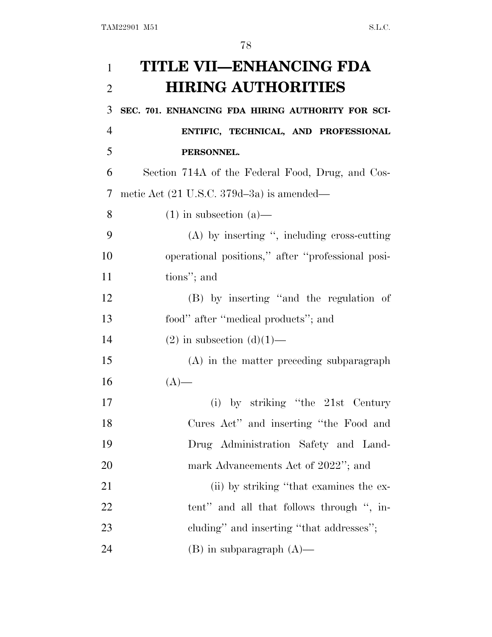| 1              | TITLE VII—ENHANCING FDA                                |
|----------------|--------------------------------------------------------|
| $\overline{2}$ | <b>HIRING AUTHORITIES</b>                              |
| 3              | SEC. 701. ENHANCING FDA HIRING AUTHORITY FOR SCI-      |
| $\overline{4}$ | ENTIFIC, TECHNICAL, AND PROFESSIONAL                   |
| 5              | PERSONNEL.                                             |
| 6              | Section 714A of the Federal Food, Drug, and Cos-       |
| 7              | metic Act $(21 \text{ U.S.C. } 379d - 3a)$ is amended— |
| 8              | $(1)$ in subsection $(a)$ —                            |
| 9              | $(A)$ by inserting ", including cross-cutting          |
| 10             | operational positions," after "professional posi-      |
| 11             | tions"; and                                            |
| 12             | (B) by inserting "and the regulation of                |
| 13             | food" after "medical products"; and                    |
| 14             | $(2)$ in subsection $(d)(1)$ —                         |
| 15             | (A) in the matter preceding subparagraph               |
| 16             | $(A)$ —                                                |
| 17             | (i) by striking "the $21st$ Century                    |
| 18             | Cures Act" and inserting "the Food and                 |
| 19             | Drug Administration Safety and Land-                   |
| 20             | mark Advancements Act of 2022"; and                    |
| 21             | (ii) by striking "that examines the ex-                |
| 22             | tent" and all that follows through ", in-              |
| 23             | cluding" and inserting "that addresses";               |
| 24             | $(B)$ in subparagraph $(A)$ —                          |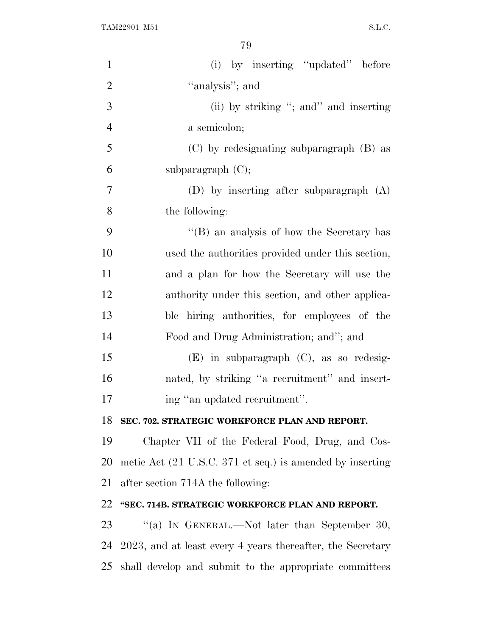| $\mathbf{1}$   | (i) by inserting "updated" before                                            |
|----------------|------------------------------------------------------------------------------|
| $\overline{2}$ | "analysis"; and                                                              |
| 3              | (ii) by striking "; and " and inserting                                      |
| $\overline{4}$ | a semicolon;                                                                 |
| 5              | (C) by redesignating subparagraph (B) as                                     |
| 6              | subparagraph $(C)$ ;                                                         |
| 7              | (D) by inserting after subparagraph $(A)$                                    |
| 8              | the following:                                                               |
| 9              | "(B) an analysis of how the Secretary has                                    |
| 10             | used the authorities provided under this section,                            |
| 11             | and a plan for how the Secretary will use the                                |
| 12             | authority under this section, and other applica-                             |
| 13             | ble hiring authorities, for employees of the                                 |
| 14             | Food and Drug Administration; and"; and                                      |
| 15             | $(E)$ in subparagraph $(C)$ , as so redesig-                                 |
| 16             | nated, by striking "a recruitment" and insert-                               |
| 17             | ing "an updated recruitment".                                                |
| 18             | SEC. 702. STRATEGIC WORKFORCE PLAN AND REPORT.                               |
| 19             | Chapter VII of the Federal Food, Drug, and Cos-                              |
| 20             | metic Act $(21 \text{ U.S.C. } 371 \text{ et seq.})$ is amended by inserting |
| 21             | after section 714A the following:                                            |
| 22             | "SEC. 714B. STRATEGIC WORKFORCE PLAN AND REPORT.                             |
| 23             | "(a) IN GENERAL.—Not later than September 30,                                |
| 24             | 2023, and at least every 4 years thereafter, the Secretary                   |
| 25             | shall develop and submit to the appropriate committees                       |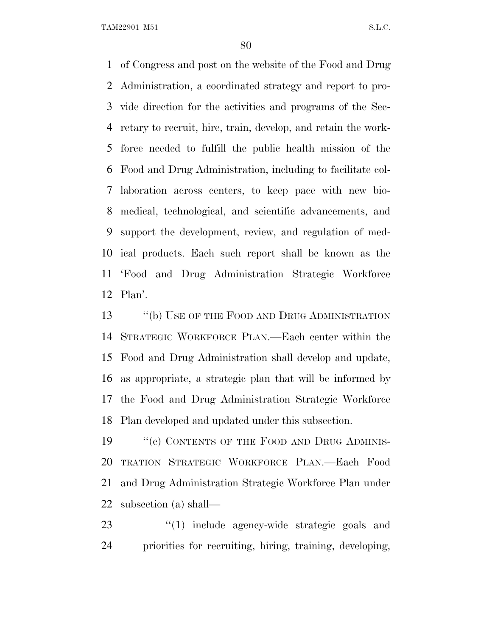of Congress and post on the website of the Food and Drug Administration, a coordinated strategy and report to pro- vide direction for the activities and programs of the Sec- retary to recruit, hire, train, develop, and retain the work- force needed to fulfill the public health mission of the Food and Drug Administration, including to facilitate col- laboration across centers, to keep pace with new bio- medical, technological, and scientific advancements, and support the development, review, and regulation of med- ical products. Each such report shall be known as the 'Food and Drug Administration Strategic Workforce Plan'.

13 "(b) USE OF THE FOOD AND DRUG ADMINISTRATION STRATEGIC WORKFORCE PLAN.—Each center within the Food and Drug Administration shall develop and update, as appropriate, a strategic plan that will be informed by the Food and Drug Administration Strategic Workforce Plan developed and updated under this subsection.

19 ""(c) CONTENTS OF THE FOOD AND DRUG ADMINIS- TRATION STRATEGIC WORKFORCE PLAN.—Each Food and Drug Administration Strategic Workforce Plan under subsection (a) shall—

23 ''(1) include agency-wide strategic goals and priorities for recruiting, hiring, training, developing,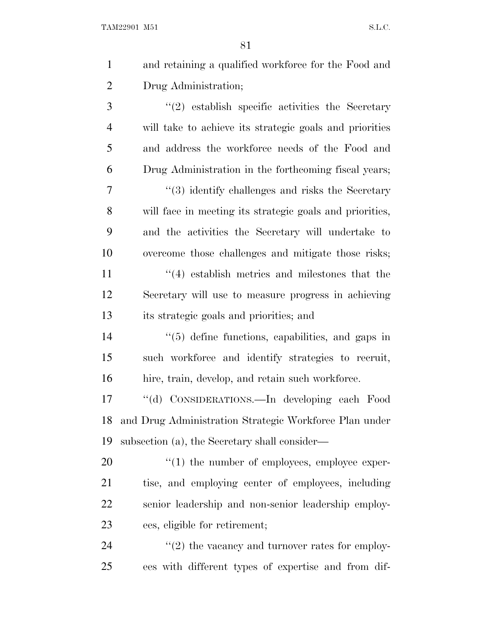| $\mathbf{1}$   | and retaining a qualified workforce for the Food and         |
|----------------|--------------------------------------------------------------|
| $\overline{2}$ | Drug Administration;                                         |
| 3              | $\lq(2)$ establish specific activities the Secretary         |
| $\overline{4}$ | will take to achieve its strategic goals and priorities      |
| 5              | and address the workforce needs of the Food and              |
| 6              | Drug Administration in the forthcoming fiscal years;         |
| 7              | $\cdot\cdot$ (3) identify challenges and risks the Secretary |
| 8              | will face in meeting its strategic goals and priorities,     |
| 9              | and the activities the Secretary will undertake to           |
| 10             | overcome those challenges and mitigate those risks;          |
| 11             | $\cdot$ (4) establish metrics and milestones that the        |
| 12             | Secretary will use to measure progress in achieving          |
| 13             | its strategic goals and priorities; and                      |
| 14             | $\lq(5)$ define functions, capabilities, and gaps in         |
| 15             | such workforce and identify strategies to recruit,           |
| 16             | hire, train, develop, and retain such workforce.             |
| 17             | CONSIDERATIONS.—In developing each Food<br>$``$ (d)          |
| 18             | and Drug Administration Strategic Workforce Plan under       |
| 19             | subsection (a), the Secretary shall consider—                |
| 20             | $\lq(1)$ the number of employees, employee exper-            |
| 21             | tise, and employing center of employees, including           |
| 22             | senior leadership and non-senior leadership employ-          |
| 23             | ees, eligible for retirement;                                |
| 24             | $\lq(2)$ the vacancy and turnover rates for employ-          |
| 25             | ees with different types of expertise and from dif-          |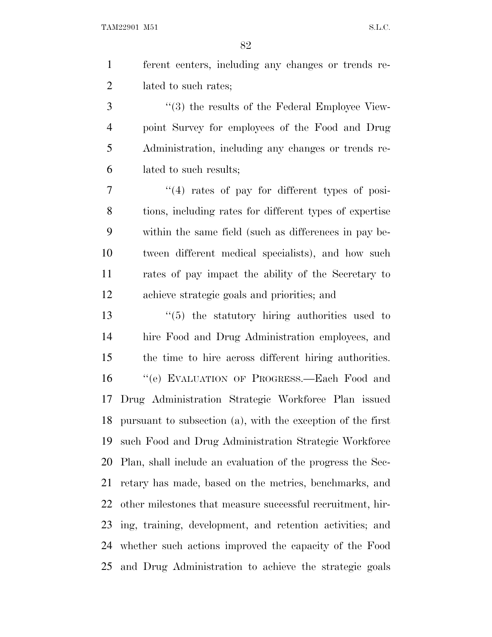ferent centers, including any changes or trends re-lated to such rates;

3 (3) the results of the Federal Employee View- point Survey for employees of the Food and Drug Administration, including any changes or trends re-lated to such results;

 ''(4) rates of pay for different types of posi- tions, including rates for different types of expertise within the same field (such as differences in pay be- tween different medical specialists), and how such rates of pay impact the ability of the Secretary to achieve strategic goals and priorities; and

 ''(5) the statutory hiring authorities used to hire Food and Drug Administration employees, and the time to hire across different hiring authorities. ''(e) EVALUATION OF PROGRESS.—Each Food and Drug Administration Strategic Workforce Plan issued pursuant to subsection (a), with the exception of the first such Food and Drug Administration Strategic Workforce Plan, shall include an evaluation of the progress the Sec- retary has made, based on the metrics, benchmarks, and other milestones that measure successful recruitment, hir- ing, training, development, and retention activities; and whether such actions improved the capacity of the Food and Drug Administration to achieve the strategic goals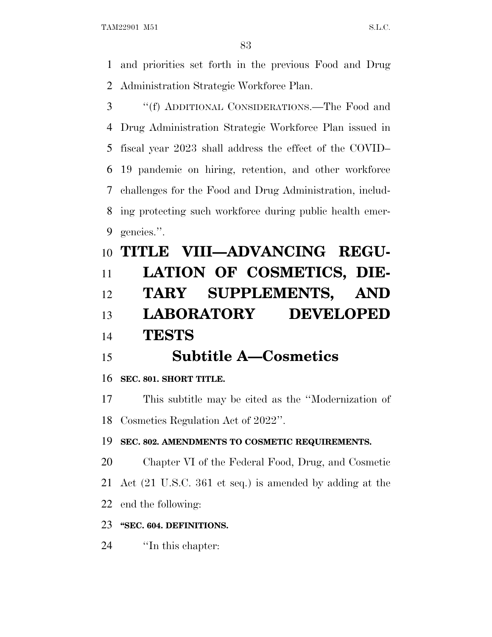and priorities set forth in the previous Food and Drug Administration Strategic Workforce Plan.

 ''(f) ADDITIONAL CONSIDERATIONS.—The Food and Drug Administration Strategic Workforce Plan issued in fiscal year 2023 shall address the effect of the COVID– 19 pandemic on hiring, retention, and other workforce challenges for the Food and Drug Administration, includ- ing protecting such workforce during public health emer-gencies.''.

# **TITLE VIII—ADVANCING REGU- LATION OF COSMETICS, DIE- TARY SUPPLEMENTS, AND LABORATORY DEVELOPED TESTS**

## **Subtitle A—Cosmetics**

### **SEC. 801. SHORT TITLE.**

 This subtitle may be cited as the ''Modernization of Cosmetics Regulation Act of 2022''.

#### **SEC. 802. AMENDMENTS TO COSMETIC REQUIREMENTS.**

Chapter VI of the Federal Food, Drug, and Cosmetic

Act (21 U.S.C. 361 et seq.) is amended by adding at the

end the following:

### **''SEC. 604. DEFINITIONS.**

''In this chapter: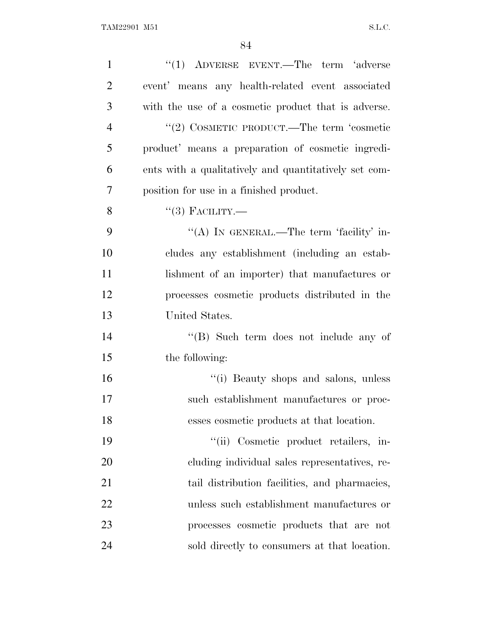| $\mathbf{1}$   | $(1)$ ADVERSE EVENT.—The term 'adverse                |
|----------------|-------------------------------------------------------|
| $\overline{2}$ | event' means any health-related event associated      |
| 3              | with the use of a cosmetic product that is adverse.   |
| $\overline{4}$ | "(2) COSMETIC PRODUCT.—The term 'cosmetic             |
| 5              | product' means a preparation of cosmetic ingredi-     |
| 6              | ents with a qualitatively and quantitatively set com- |
| 7              | position for use in a finished product.               |
| 8              | $``(3)$ FACILITY.—                                    |
| 9              | "(A) IN GENERAL.—The term 'facility' in-              |
| 10             | cludes any establishment (including an estab-         |
| 11             | lishment of an importer) that manufactures or         |
| 12             | processes cosmetic products distributed in the        |
| 13             | United States.                                        |
| 14             | "(B) Such term does not include any of                |
| 15             | the following:                                        |
| 16             | "(i) Beauty shops and salons, unless                  |
| 17             | such establishment manufactures or proc-              |
| 18             | esses cosmetic products at that location.             |
| 19             | "(ii) Cosmetic product retailers, in-                 |
| 20             | cluding individual sales representatives, re-         |
| 21             | tail distribution facilities, and pharmacies,         |
| 22             | unless such establishment manufactures or             |
| 23             | processes cosmetic products that are not              |
| 24             | sold directly to consumers at that location.          |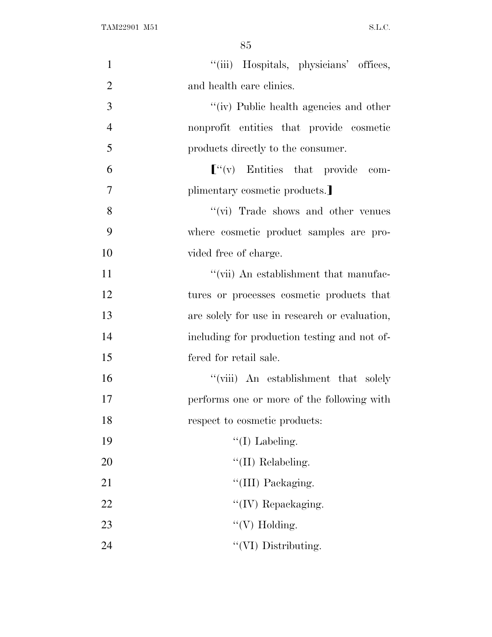| $\mathbf{1}$   | "(iii) Hospitals, physicians' offices,        |
|----------------|-----------------------------------------------|
| $\overline{2}$ | and health care clinics.                      |
| 3              | "(iv) Public health agencies and other        |
| $\overline{4}$ | nonprofit entities that provide cosmetic      |
| 5              | products directly to the consumer.            |
| 6              | $\lbrack$ "(v) Entities that provide com-     |
| 7              | plimentary cosmetic products.                 |
| 8              | "(vi) Trade shows and other venues            |
| 9              | where cosmetic product samples are pro-       |
| 10             | vided free of charge.                         |
| 11             | "(vii) An establishment that manufac-         |
| 12             | tures or processes cosmetic products that     |
| 13             | are solely for use in research or evaluation, |
| 14             | including for production testing and not of-  |
| 15             | fered for retail sale.                        |
| 16             | "(viii) An establishment that solely          |
| 17             | performs one or more of the following with    |
| 18             | respect to cosmetic products:                 |
| 19             | $\lq\lq$ (I) Labeling.                        |
| 20             | $\lq\lq$ (II) Relabeling.                     |
| 21             | "(III) Packaging.                             |
| 22             | "(IV) Repackaging.                            |
| 23             | "(V) Holding.                                 |
| 24             | "(VI) Distributing.                           |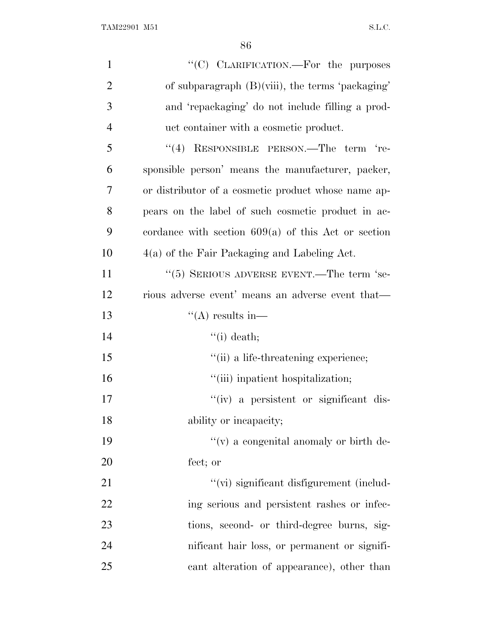| $\mathbf{1}$   | "(C) CLARIFICATION.—For the purposes                  |
|----------------|-------------------------------------------------------|
| $\overline{2}$ | of subparagraph $(B)(viii)$ , the terms 'packaging'   |
| 3              | and 'repackaging' do not include filling a prod-      |
| $\overline{4}$ | uct container with a cosmetic product.                |
| 5              | "(4) RESPONSIBLE PERSON.—The term 're-                |
| 6              | sponsible person' means the manufacturer, packer,     |
| $\overline{7}$ | or distributor of a cosmetic product whose name ap-   |
| 8              | pears on the label of such cosmetic product in ac-    |
| 9              | cordance with section $609(a)$ of this Act or section |
| 10             | $4(a)$ of the Fair Packaging and Labeling Act.        |
| 11             | $\cdot\cdot$ (5) SERIOUS ADVERSE EVENT.—The term 'se- |
| 12             | rious adverse event' means an adverse event that—     |
| 13             | $\lq($ A) results in—                                 |
| 14             | $``(i)$ death;                                        |
| 15             | "(ii) a life-threatening experience;                  |
| 16             | "(iii) inpatient hospitalization;                     |
| 17             | "(iv) a persistent or significant dis-                |
| 18             | ability or incapacity;                                |
| 19             | $f'(v)$ a congenital anomaly or birth de-             |
| 20             | fect; or                                              |
| 21             | "(vi) significant disfigurement (includ-              |
| 22             | ing serious and persistent rashes or infec-           |
| 23             | tions, second- or third-degree burns, sig-            |
| 24             | nificant hair loss, or permanent or signifi-          |
| 25             | cant alteration of appearance), other than            |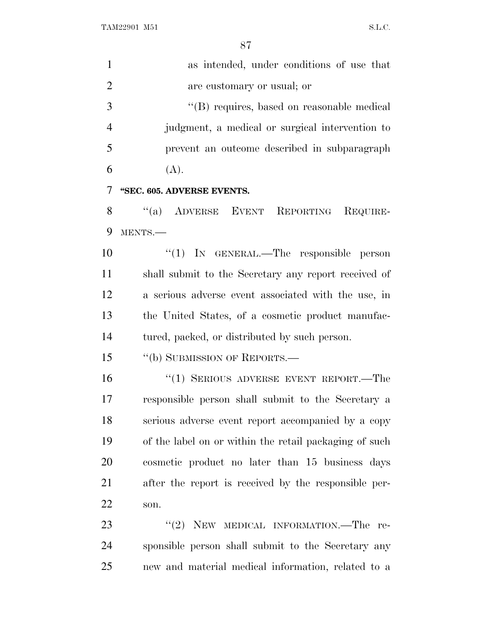as intended, under conditions of use that are customary or usual; or ''(B) requires, based on reasonable medical judgment, a medical or surgical intervention to prevent an outcome described in subparagraph 6  $(A)$ . **''SEC. 605. ADVERSE EVENTS.** 8 "(a) ADVERSE EVENT REPORTING REQUIRE- MENTS.— ''(1) IN GENERAL.—The responsible person shall submit to the Secretary any report received of a serious adverse event associated with the use, in the United States, of a cosmetic product manufac- tured, packed, or distributed by such person. ''(b) SUBMISSION OF REPORTS.— ''(1) SERIOUS ADVERSE EVENT REPORT.—The responsible person shall submit to the Secretary a serious adverse event report accompanied by a copy of the label on or within the retail packaging of such cosmetic product no later than 15 business days after the report is received by the responsible per- son. 23 "(2) NEW MEDICAL INFORMATION.—The re-sponsible person shall submit to the Secretary any

new and material medical information, related to a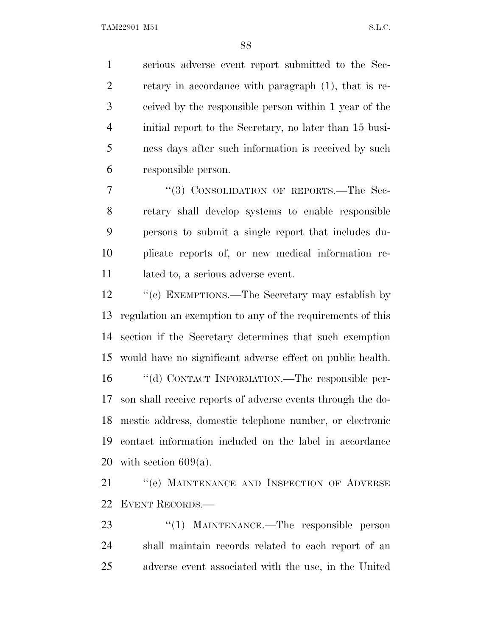serious adverse event report submitted to the Sec- retary in accordance with paragraph (1), that is re- ceived by the responsible person within 1 year of the initial report to the Secretary, no later than 15 busi- ness days after such information is received by such responsible person.

7 "(3) CONSOLIDATION OF REPORTS.—The Sec- retary shall develop systems to enable responsible persons to submit a single report that includes du- plicate reports of, or new medical information re-11 lated to, a serious adverse event.

12 ''(c) EXEMPTIONS.—The Secretary may establish by regulation an exemption to any of the requirements of this section if the Secretary determines that such exemption would have no significant adverse effect on public health. ''(d) CONTACT INFORMATION.—The responsible per- son shall receive reports of adverse events through the do- mestic address, domestic telephone number, or electronic contact information included on the label in accordance 20 with section  $609(a)$ .

21 "(e) MAINTENANCE AND INSPECTION OF ADVERSE EVENT RECORDS.—

23 "(1) MAINTENANCE.—The responsible person shall maintain records related to each report of an adverse event associated with the use, in the United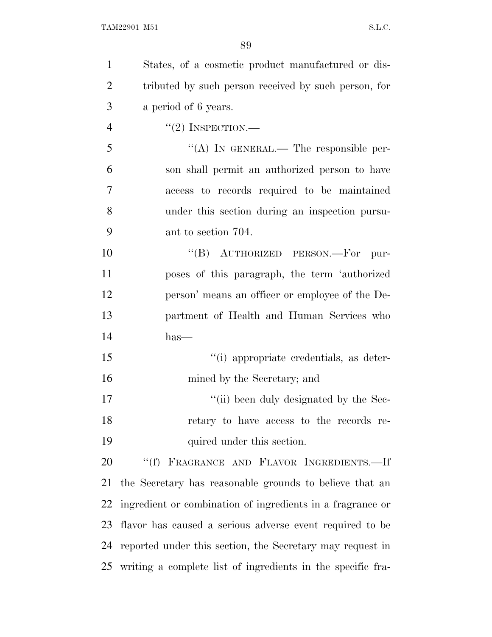| $\mathbf{1}$   | States, of a cosmetic product manufactured or dis-          |
|----------------|-------------------------------------------------------------|
| $\overline{2}$ | tributed by such person received by such person, for        |
| 3              | a period of 6 years.                                        |
| $\overline{4}$ | $``(2)$ INSPECTION.—                                        |
| 5              | "(A) IN GENERAL.— The responsible per-                      |
| 6              | son shall permit an authorized person to have               |
| $\overline{7}$ | access to records required to be maintained                 |
| 8              | under this section during an inspection pursu-              |
| 9              | ant to section 704.                                         |
| 10             | "(B) AUTHORIZED PERSON.—For pur-                            |
| 11             | poses of this paragraph, the term 'authorized               |
| 12             | person' means an officer or employee of the De-             |
| 13             | partment of Health and Human Services who                   |
| 14             | $has-$                                                      |
| 15             | "(i) appropriate credentials, as deter-                     |
| 16             | mined by the Secretary; and                                 |
| 17             | "(ii) been duly designated by the Sec-                      |
| 18             | retary to have access to the records re-                    |
| 19             | quired under this section.                                  |
| 20             | "(f) FRAGRANCE AND FLAVOR INGREDIENTS.-If                   |
| 21             | the Secretary has reasonable grounds to believe that an     |
| 22             | ingredient or combination of ingredients in a fragrance or  |
| 23             | flavor has caused a serious adverse event required to be    |
| 24             | reported under this section, the Secretary may request in   |
| 25             | writing a complete list of ingredients in the specific fra- |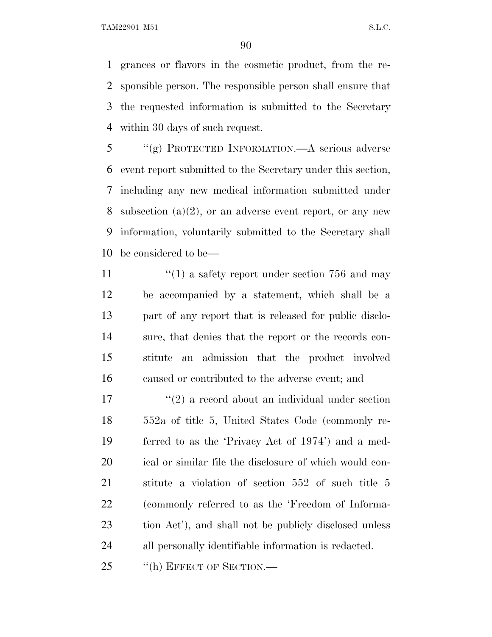grances or flavors in the cosmetic product, from the re- sponsible person. The responsible person shall ensure that the requested information is submitted to the Secretary within 30 days of such request.

 ''(g) PROTECTED INFORMATION.—A serious adverse event report submitted to the Secretary under this section, including any new medical information submitted under 8 subsection  $(a)(2)$ , or an adverse event report, or any new information, voluntarily submitted to the Secretary shall be considered to be—

 $\frac{1}{2}$  (1) a safety report under section 756 and may be accompanied by a statement, which shall be a part of any report that is released for public disclo- sure, that denies that the report or the records con- stitute an admission that the product involved caused or contributed to the adverse event; and

 $\mathcal{L}(2)$  a record about an individual under section 552a of title 5, United States Code (commonly re- ferred to as the 'Privacy Act of 1974') and a med- ical or similar file the disclosure of which would con- stitute a violation of section 552 of such title 5 (commonly referred to as the 'Freedom of Informa- tion Act'), and shall not be publicly disclosed unless all personally identifiable information is redacted.

25 "(h) EFFECT OF SECTION.—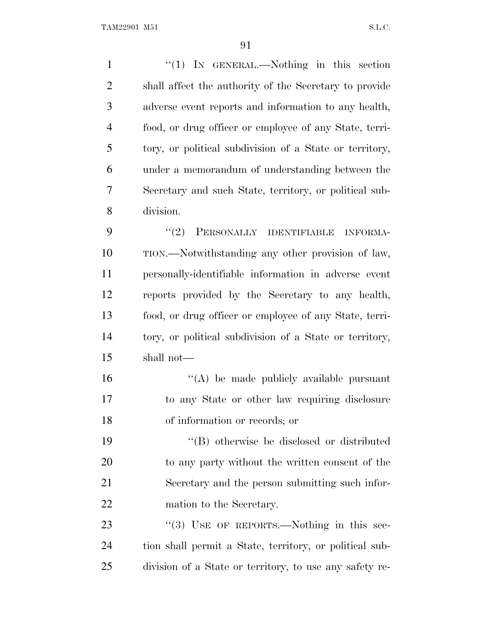1 "(1) IN GENERAL.—Nothing in this section shall affect the authority of the Secretary to provide adverse event reports and information to any health, food, or drug officer or employee of any State, terri- tory, or political subdivision of a State or territory, under a memorandum of understanding between the Secretary and such State, territory, or political sub- division. 9 "(2) PERSONALLY IDENTIFIABLE INFORMA- TION.—Notwithstanding any other provision of law, personally-identifiable information in adverse event reports provided by the Secretary to any health, food, or drug officer or employee of any State, terri- tory, or political subdivision of a State or territory, shall not— ''(A) be made publicly available pursuant to any State or other law requiring disclosure of information or records; or ''(B) otherwise be disclosed or distributed to any party without the written consent of the Secretary and the person submitting such infor- mation to the Secretary. 23 "(3) USE OF REPORTS.—Nothing in this sec-

 tion shall permit a State, territory, or political sub-division of a State or territory, to use any safety re-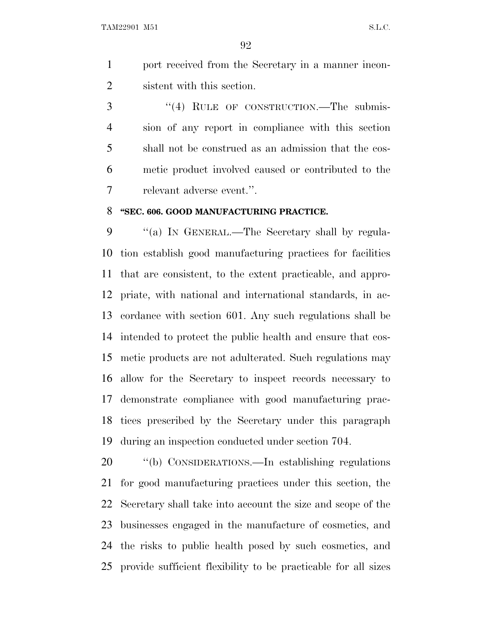port received from the Secretary in a manner incon-sistent with this section.

3 "(4) RULE OF CONSTRUCTION.—The submis- sion of any report in compliance with this section shall not be construed as an admission that the cos- metic product involved caused or contributed to the relevant adverse event.''.

#### **''SEC. 606. GOOD MANUFACTURING PRACTICE.**

9 "(a) In GENERAL.—The Secretary shall by regula- tion establish good manufacturing practices for facilities that are consistent, to the extent practicable, and appro- priate, with national and international standards, in ac- cordance with section 601. Any such regulations shall be intended to protect the public health and ensure that cos- metic products are not adulterated. Such regulations may allow for the Secretary to inspect records necessary to demonstrate compliance with good manufacturing prac- tices prescribed by the Secretary under this paragraph during an inspection conducted under section 704.

 ''(b) CONSIDERATIONS.—In establishing regulations for good manufacturing practices under this section, the Secretary shall take into account the size and scope of the businesses engaged in the manufacture of cosmetics, and the risks to public health posed by such cosmetics, and provide sufficient flexibility to be practicable for all sizes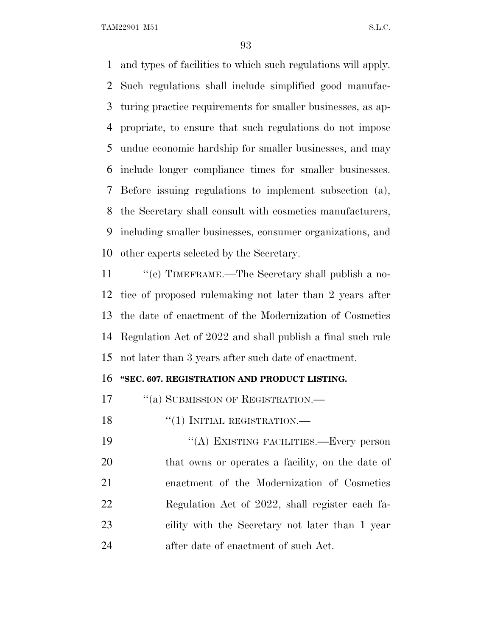and types of facilities to which such regulations will apply. Such regulations shall include simplified good manufac- turing practice requirements for smaller businesses, as ap- propriate, to ensure that such regulations do not impose undue economic hardship for smaller businesses, and may include longer compliance times for smaller businesses. Before issuing regulations to implement subsection (a), the Secretary shall consult with cosmetics manufacturers, including smaller businesses, consumer organizations, and other experts selected by the Secretary.

11 "(c) TIMEFRAME.—The Secretary shall publish a no- tice of proposed rulemaking not later than 2 years after the date of enactment of the Modernization of Cosmetics Regulation Act of 2022 and shall publish a final such rule not later than 3 years after such date of enactment.

#### **''SEC. 607. REGISTRATION AND PRODUCT LISTING.**

17 "(a) SUBMISSION OF REGISTRATION.—

18 "(1) INITIAL REGISTRATION.—

19 "(A) EXISTING FACILITIES.—Every person that owns or operates a facility, on the date of enactment of the Modernization of Cosmetics Regulation Act of 2022, shall register each fa- cility with the Secretary not later than 1 year after date of enactment of such Act.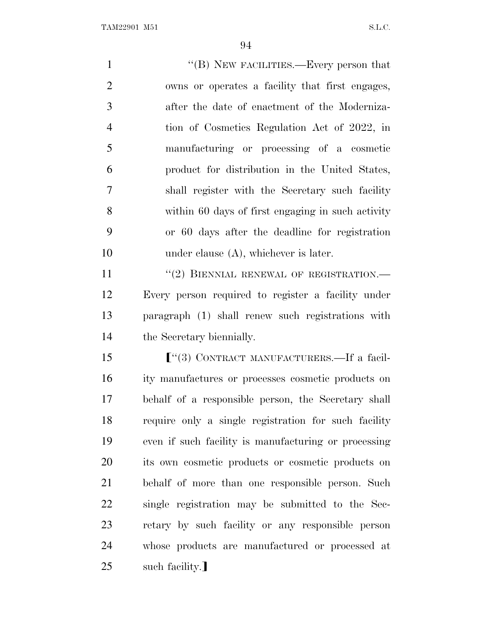1 ''(B) NEW FACILITIES.—Every person that owns or operates a facility that first engages, after the date of enactment of the Moderniza- tion of Cosmetics Regulation Act of 2022, in manufacturing or processing of a cosmetic product for distribution in the United States, shall register with the Secretary such facility within 60 days of first engaging in such activity or 60 days after the deadline for registration 10 under clause (A), whichever is later. 11 "(2) BIENNIAL RENEWAL OF REGISTRATION.— Every person required to register a facility under paragraph (1) shall renew such registrations with the Secretary biennially. **F**<sup>"</sup>(3) CONTRACT MANUFACTURERS.—If a facil- ity manufactures or processes cosmetic products on behalf of a responsible person, the Secretary shall require only a single registration for such facility even if such facility is manufacturing or processing its own cosmetic products or cosmetic products on behalf of more than one responsible person. Such single registration may be submitted to the Sec- retary by such facility or any responsible person whose products are manufactured or processed at

25 such facility.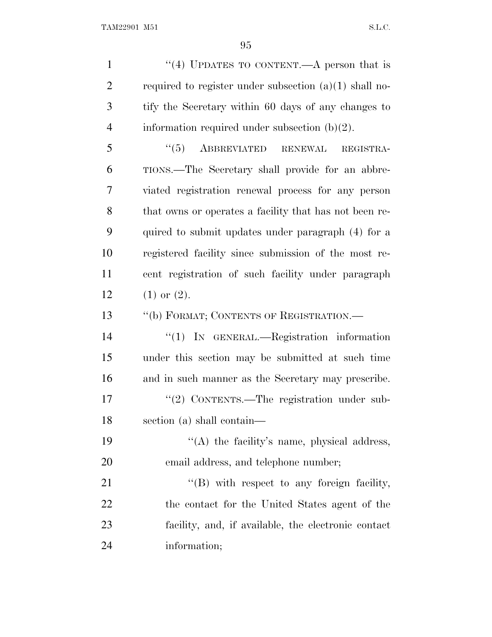1 "(4) UPDATES TO CONTENT.—A person that is 2 required to register under subsection  $(a)(1)$  shall no- tify the Secretary within 60 days of any changes to 4 information required under subsection  $(b)(2)$ . 5 "(5) ABBREVIATED RENEWAL REGISTRA- TIONS.—The Secretary shall provide for an abbre- viated registration renewal process for any person that owns or operates a facility that has not been re- quired to submit updates under paragraph (4) for a registered facility since submission of the most re- cent registration of such facility under paragraph  $(1)$  or  $(2)$ . ''(b) FORMAT; CONTENTS OF REGISTRATION.— ''(1) IN GENERAL.—Registration information under this section may be submitted at such time and in such manner as the Secretary may prescribe. 17 "(2) CONTENTS.—The registration under sub- section (a) shall contain—  $((A)$  the facility's name, physical address, email address, and telephone number; 21 "'(B) with respect to any foreign facility, the contact for the United States agent of the facility, and, if available, the electronic contact information;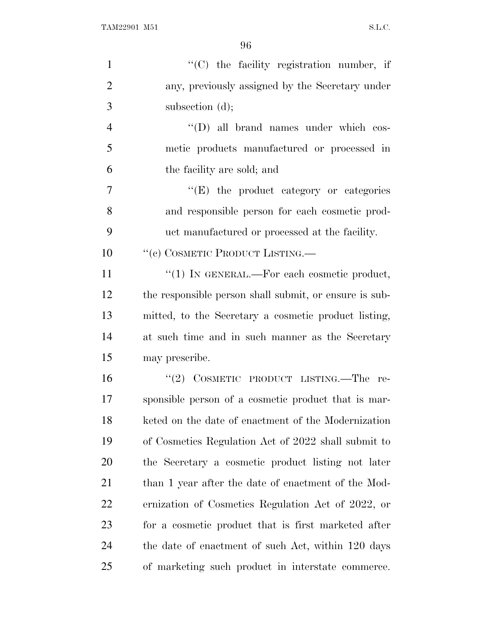| $\mathbf{1}$   | $\lq\lq$ (C) the facility registration number, if      |
|----------------|--------------------------------------------------------|
| $\overline{2}$ | any, previously assigned by the Secretary under        |
| 3              | subsection $(d)$ ;                                     |
| $\overline{4}$ | $\lq\lq$ (D) all brand names under which cos-          |
| 5              | metic products manufactured or processed in            |
| 6              | the facility are sold; and                             |
| $\tau$         | $\lq\lq(E)$ the product category or categories         |
| 8              | and responsible person for each cosmetic prod-         |
| 9              | uct manufactured or processed at the facility.         |
| 10             | "(c) COSMETIC PRODUCT LISTING.—                        |
| 11             | " $(1)$ IN GENERAL.—For each cosmetic product,         |
| 12             | the responsible person shall submit, or ensure is sub- |
| 13             | mitted, to the Secretary a cosmetic product listing,   |
| 14             | at such time and in such manner as the Secretary       |
| 15             | may prescribe.                                         |
| 16             | "(2) COSMETIC PRODUCT LISTING.—The re-                 |
| 17             | sponsible person of a cosmetic product that is mar-    |
| 18             | keted on the date of enactment of the Modernization    |
| 19             | of Cosmetics Regulation Act of 2022 shall submit to    |
| 20             | the Secretary a cosmetic product listing not later     |
| 21             | than 1 year after the date of enactment of the Mod-    |
| 22             | ernization of Cosmetics Regulation Act of 2022, or     |
| 23             | for a cosmetic product that is first marketed after    |
| 24             | the date of enactment of such Act, within 120 days     |
| 25             | of marketing such product in interstate commerce.      |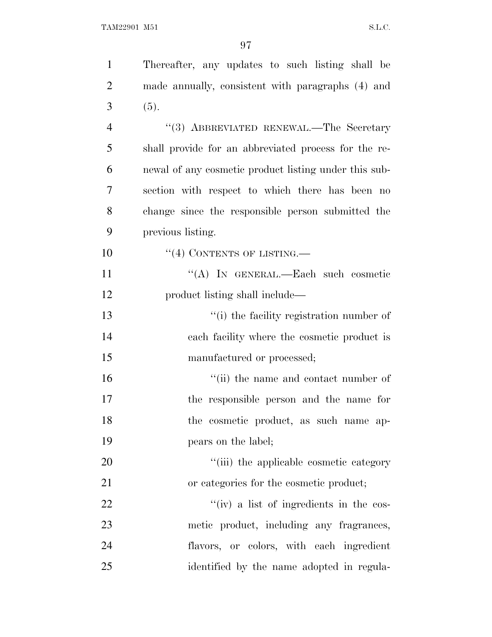| $\mathbf{1}$   | Thereafter, any updates to such listing shall be      |
|----------------|-------------------------------------------------------|
| $\overline{2}$ | made annually, consistent with paragraphs (4) and     |
| 3              | (5).                                                  |
| $\overline{4}$ | "(3) ABBREVIATED RENEWAL.—The Secretary               |
| 5              | shall provide for an abbreviated process for the re-  |
| 6              | newal of any cosmetic product listing under this sub- |
| 7              | section with respect to which there has been no       |
| 8              | change since the responsible person submitted the     |
| 9              | previous listing.                                     |
| 10             | $\lq(4)$ CONTENTS OF LISTING.—                        |
| 11             | "(A) IN GENERAL.—Each such cosmetic                   |
| 12             | product listing shall include—                        |
| 13             | "(i) the facility registration number of              |
| 14             | each facility where the cosmetic product is           |
| 15             | manufactured or processed;                            |
| 16             | "(ii) the name and contact number of                  |
| 17             | the responsible person and the name for               |
| 18             | the cosmetic product, as such name ap-                |
| 19             | pears on the label;                                   |
| 20             | "(iii) the applicable cosmetic category               |
| 21             | or categories for the cosmetic product;               |
| 22             | $``(iv)$ a list of ingredients in the cos-            |
| 23             | metic product, including any fragrances,              |
| 24             | flavors, or colors, with each ingredient              |
| 25             | identified by the name adopted in regula-             |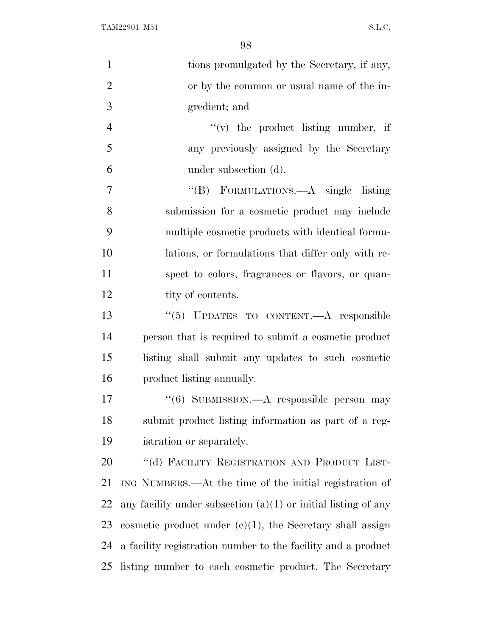| $\mathbf{1}$   | tions promulgated by the Secretary, if any,                      |
|----------------|------------------------------------------------------------------|
| $\overline{2}$ | or by the common or usual name of the in-                        |
| 3              | gredient; and                                                    |
| $\overline{4}$ | $f'(v)$ the product listing number, if                           |
| 5              | any previously assigned by the Secretary                         |
| 6              | under subsection (d).                                            |
| 7              | "(B) FORMULATIONS.—A single listing                              |
| 8              | submission for a cosmetic product may include                    |
| 9              | multiple cosmetic products with identical formu-                 |
| 10             | lations, or formulations that differ only with re-               |
| 11             | spect to colors, fragrances or flavors, or quan-                 |
| 12             | tity of contents.                                                |
| 13             | "(5) UPDATES TO CONTENT.—A responsible                           |
| 14             | person that is required to submit a cosmetic product             |
| 15             | listing shall submit any updates to such cosmetic                |
| 16             | product listing annually.                                        |
| 17             | "(6) SUBMISSION.—A responsible person may                        |
| 18             | submit product listing information as part of a reg-             |
| 19             | istration or separately.                                         |
| 20             | "(d) FACILITY REGISTRATION AND PRODUCT LIST-                     |
| 21             | ING NUMBERS.—At the time of the initial registration of          |
| 22             | any facility under subsection $(a)(1)$ or initial listing of any |
| 23             | cosmetic product under $(e)(1)$ , the Secretary shall assign     |
| 24             | a facility registration number to the facility and a product     |
| 25             | listing number to each cosmetic product. The Secretary           |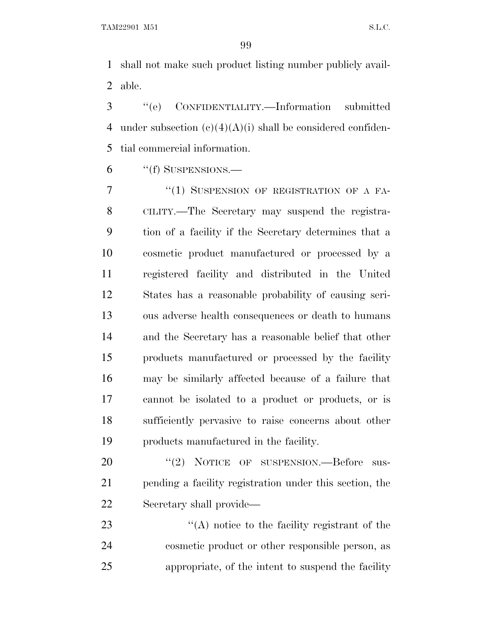shall not make such product listing number publicly avail-able.

 ''(e) CONFIDENTIALITY.—Information submitted 4 under subsection  $(c)(4)(A)(i)$  shall be considered confiden-tial commercial information.

''(f) SUSPENSIONS.—

7 "(1) SUSPENSION OF REGISTRATION OF A FA- CILITY.—The Secretary may suspend the registra- tion of a facility if the Secretary determines that a cosmetic product manufactured or processed by a registered facility and distributed in the United States has a reasonable probability of causing seri- ous adverse health consequences or death to humans and the Secretary has a reasonable belief that other products manufactured or processed by the facility may be similarly affected because of a failure that cannot be isolated to a product or products, or is sufficiently pervasive to raise concerns about other products manufactured in the facility.

20 "(2) NOTICE OF SUSPENSION.—Before sus- pending a facility registration under this section, the Secretary shall provide—

23 ''(A) notice to the facility registrant of the cosmetic product or other responsible person, as appropriate, of the intent to suspend the facility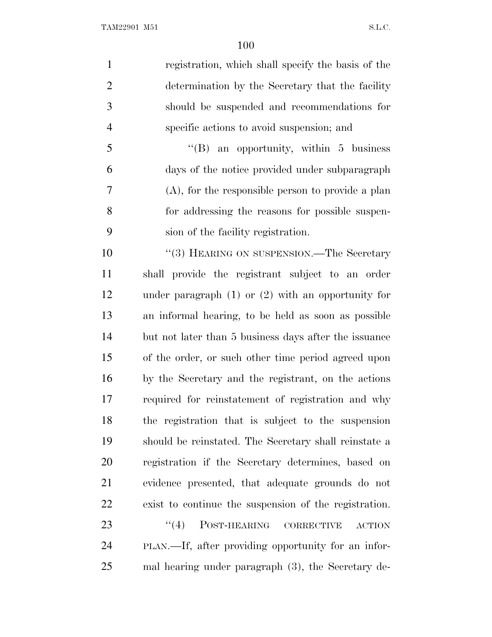| $\mathbf{1}$   | registration, which shall specify the basis of the        |
|----------------|-----------------------------------------------------------|
| $\overline{2}$ | determination by the Secretary that the facility          |
| 3              | should be suspended and recommendations for               |
| $\overline{4}$ | specific actions to avoid suspension; and                 |
| 5              | $\lq\lq(B)$ an opportunity, within 5 business             |
| 6              | days of the notice provided under subparagraph            |
| 7              | $(A)$ , for the responsible person to provide a plan      |
| 8              | for addressing the reasons for possible suspen-           |
| 9              | sion of the facility registration.                        |
| 10             | "(3) HEARING ON SUSPENSION.—The Secretary                 |
| 11             | shall provide the registrant subject to an order          |
| 12             | under paragraph $(1)$ or $(2)$ with an opportunity for    |
| 13             | an informal hearing, to be held as soon as possible       |
| 14             | but not later than 5 business days after the issuance     |
| 15             | of the order, or such other time period agreed upon       |
| 16             | by the Secretary and the registrant, on the actions       |
| 17             | required for reinstatement of registration and why        |
| 18             | the registration that is subject to the suspension        |
| 19             | should be reinstated. The Secretary shall reinstate a     |
| 20             | registration if the Secretary determines, based on        |
| 21             | evidence presented, that adequate grounds do not          |
| 22             | exist to continue the suspension of the registration.     |
| 23             | (4)<br>POST-HEARING<br><b>CORRECTIVE</b><br><b>ACTION</b> |
| 24             | PLAN.—If, after providing opportunity for an infor-       |
| 25             | mal hearing under paragraph (3), the Secretary de-        |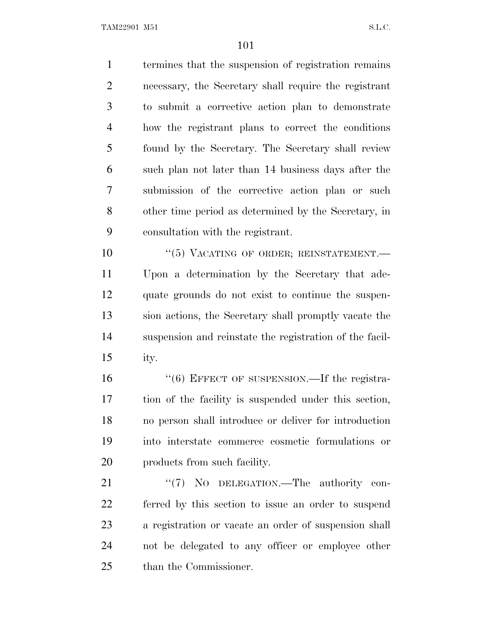termines that the suspension of registration remains necessary, the Secretary shall require the registrant to submit a corrective action plan to demonstrate how the registrant plans to correct the conditions found by the Secretary. The Secretary shall review such plan not later than 14 business days after the submission of the corrective action plan or such other time period as determined by the Secretary, in consultation with the registrant.

10 "(5) VACATING OF ORDER; REINSTATEMENT. Upon a determination by the Secretary that ade- quate grounds do not exist to continue the suspen- sion actions, the Secretary shall promptly vacate the suspension and reinstate the registration of the facil-ity.

16 "(6) EFFECT OF SUSPENSION.—If the registra- tion of the facility is suspended under this section, no person shall introduce or deliver for introduction into interstate commerce cosmetic formulations or products from such facility.

21 "(7) No DELEGATION.—The authority con- ferred by this section to issue an order to suspend a registration or vacate an order of suspension shall not be delegated to any officer or employee other than the Commissioner.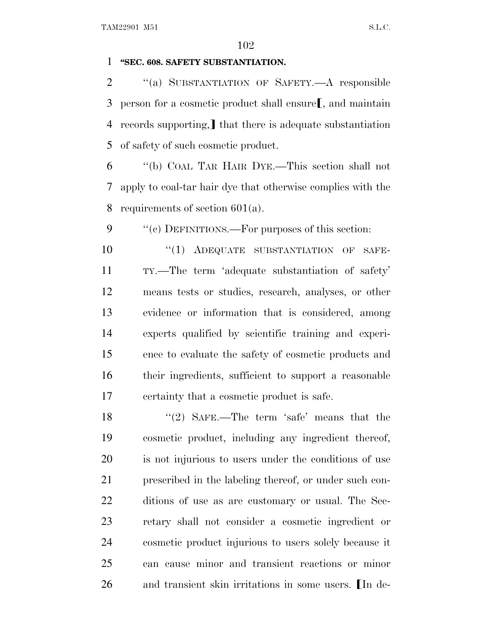#### **''SEC. 608. SAFETY SUBSTANTIATION.**

 ''(a) SUBSTANTIATION OF SAFETY.—A responsible 3 person for a cosmetic product shall ensure  $\mathsf{I}$ , and maintain 4 records supporting, that there is adequate substantiation of safety of such cosmetic product.

 ''(b) COAL TAR HAIR DYE.—This section shall not apply to coal-tar hair dye that otherwise complies with the requirements of section 601(a).

9  $\cdot$  "(c) DEFINITIONS.—For purposes of this section:

 $(1)$  ADEQUATE SUBSTANTIATION OF SAFE- TY.—The term 'adequate substantiation of safety' means tests or studies, research, analyses, or other evidence or information that is considered, among experts qualified by scientific training and experi- ence to evaluate the safety of cosmetic products and their ingredients, sufficient to support a reasonable certainty that a cosmetic product is safe.

18 ''(2) SAFE.—The term 'safe' means that the cosmetic product, including any ingredient thereof, is not injurious to users under the conditions of use prescribed in the labeling thereof, or under such con- ditions of use as are customary or usual. The Sec- retary shall not consider a cosmetic ingredient or cosmetic product injurious to users solely because it can cause minor and transient reactions or minor 26 and transient skin irritations in some users. In de-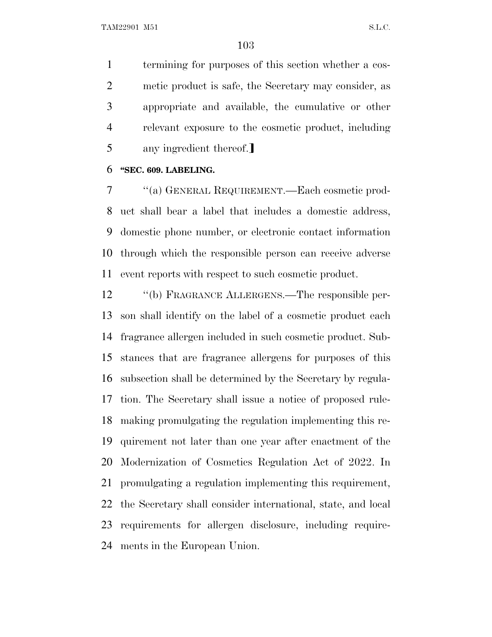termining for purposes of this section whether a cos- metic product is safe, the Secretary may consider, as appropriate and available, the cumulative or other relevant exposure to the cosmetic product, including 5 any ingredient thereof.

#### **''SEC. 609. LABELING.**

 ''(a) GENERAL REQUIREMENT.—Each cosmetic prod- uct shall bear a label that includes a domestic address, domestic phone number, or electronic contact information through which the responsible person can receive adverse event reports with respect to such cosmetic product.

 ''(b) FRAGRANCE ALLERGENS.—The responsible per- son shall identify on the label of a cosmetic product each fragrance allergen included in such cosmetic product. Sub- stances that are fragrance allergens for purposes of this subsection shall be determined by the Secretary by regula- tion. The Secretary shall issue a notice of proposed rule- making promulgating the regulation implementing this re- quirement not later than one year after enactment of the Modernization of Cosmetics Regulation Act of 2022. In promulgating a regulation implementing this requirement, the Secretary shall consider international, state, and local requirements for allergen disclosure, including require-ments in the European Union.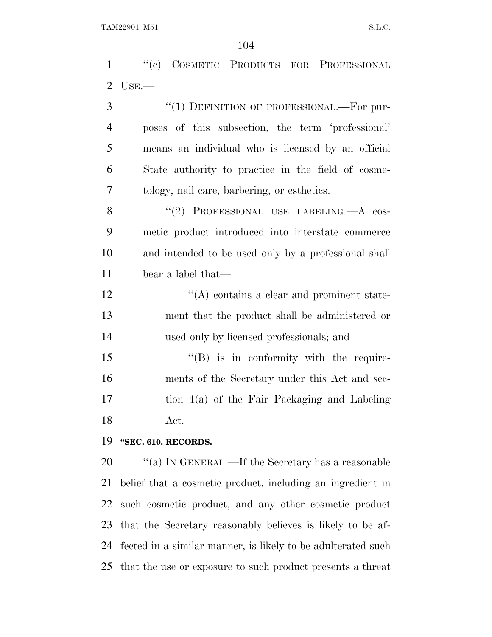''(c) COSMETIC PRODUCTS FOR PROFESSIONAL USE.—

| 3              | "(1) DEFINITION OF PROFESSIONAL.—For pur-            |
|----------------|------------------------------------------------------|
| $\overline{4}$ | poses of this subsection, the term 'professional'    |
| 5              | means an individual who is licensed by an official   |
| 6              | State authority to practice in the field of cosme-   |
| $\tau$         | tology, nail care, barbering, or esthetics.          |
| 8              | "(2) PROFESSIONAL USE LABELING.—A cos-               |
| 9              | metic product introduced into interstate commerce    |
| 10             | and intended to be used only by a professional shall |
| 11             | bear a label that—                                   |
| 12             | $\lq\lq$ contains a clear and prominent state-       |
| 13             | ment that the product shall be administered or       |
| 14             | used only by licensed professionals; and             |
| 15             | $\lq\lq(B)$ is in conformity with the require-       |
| 16             | ments of the Secretary under this Act and sec-       |
| 17             | tion 4(a) of the Fair Packaging and Labeling         |

Act.

### **''SEC. 610. RECORDS.**

 $\qquad$  "(a) In GENERAL.—If the Secretary has a reasonable belief that a cosmetic product, including an ingredient in such cosmetic product, and any other cosmetic product that the Secretary reasonably believes is likely to be af- fected in a similar manner, is likely to be adulterated such that the use or exposure to such product presents a threat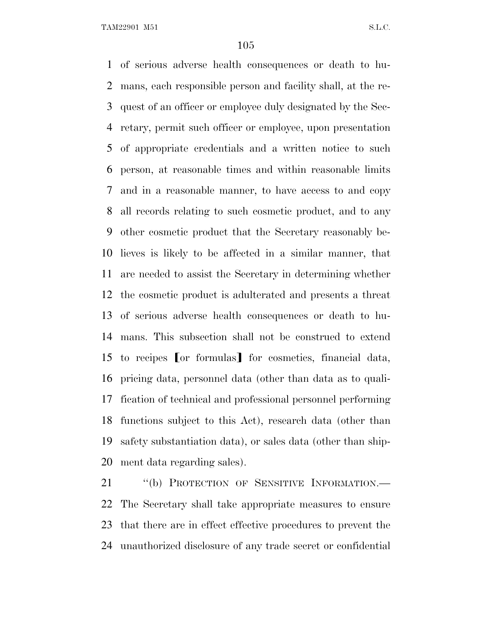of serious adverse health consequences or death to hu- mans, each responsible person and facility shall, at the re- quest of an officer or employee duly designated by the Sec- retary, permit such officer or employee, upon presentation of appropriate credentials and a written notice to such person, at reasonable times and within reasonable limits and in a reasonable manner, to have access to and copy all records relating to such cosmetic product, and to any other cosmetic product that the Secretary reasonably be- lieves is likely to be affected in a similar manner, that are needed to assist the Secretary in determining whether the cosmetic product is adulterated and presents a threat of serious adverse health consequences or death to hu- mans. This subsection shall not be construed to extend 15 to recipes [or formulas] for cosmetics, financial data, pricing data, personnel data (other than data as to quali- fication of technical and professional personnel performing functions subject to this Act), research data (other than safety substantiation data), or sales data (other than ship-ment data regarding sales).

21 "(b) PROTECTION OF SENSITIVE INFORMATION.— The Secretary shall take appropriate measures to ensure that there are in effect effective procedures to prevent the unauthorized disclosure of any trade secret or confidential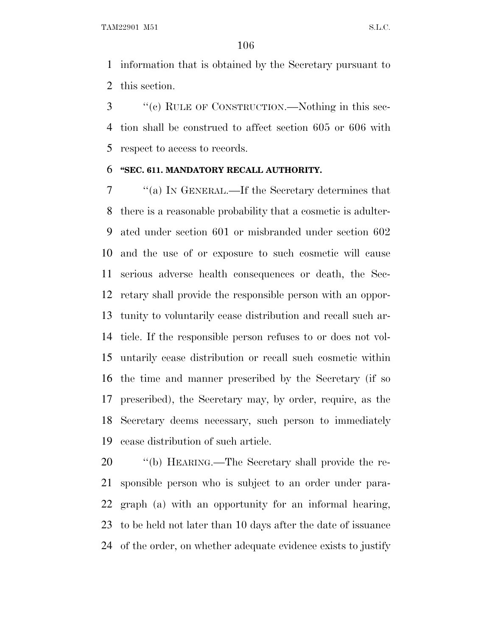information that is obtained by the Secretary pursuant to this section.

 ''(c) RULE OF CONSTRUCTION.—Nothing in this sec- tion shall be construed to affect section 605 or 606 with respect to access to records.

#### **''SEC. 611. MANDATORY RECALL AUTHORITY.**

 ''(a) I<sup>N</sup> GENERAL.—If the Secretary determines that there is a reasonable probability that a cosmetic is adulter- ated under section 601 or misbranded under section 602 and the use of or exposure to such cosmetic will cause serious adverse health consequences or death, the Sec- retary shall provide the responsible person with an oppor- tunity to voluntarily cease distribution and recall such ar- ticle. If the responsible person refuses to or does not vol- untarily cease distribution or recall such cosmetic within the time and manner prescribed by the Secretary (if so prescribed), the Secretary may, by order, require, as the Secretary deems necessary, such person to immediately cease distribution of such article.

 ''(b) HEARING.—The Secretary shall provide the re- sponsible person who is subject to an order under para- graph (a) with an opportunity for an informal hearing, to be held not later than 10 days after the date of issuance of the order, on whether adequate evidence exists to justify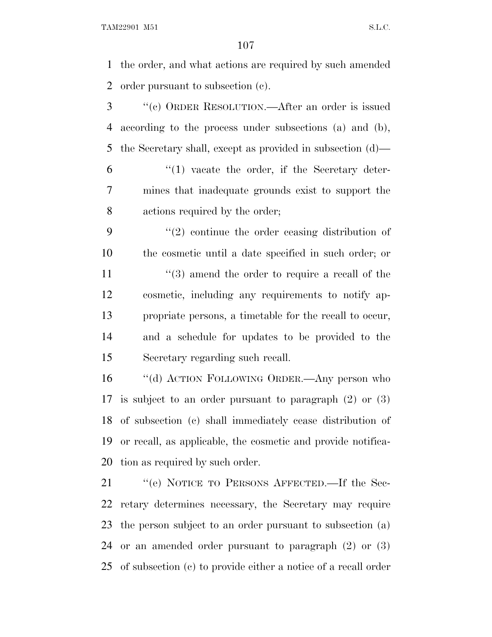the order, and what actions are required by such amended order pursuant to subsection (c).

- ''(c) ORDER RESOLUTION.—After an order is issued according to the process under subsections (a) and (b), the Secretary shall, except as provided in subsection (d)—
- $(1)$  vacate the order, if the Secretary deter- mines that inadequate grounds exist to support the actions required by the order;
- ''(2) continue the order ceasing distribution of the cosmetic until a date specified in such order; or 11 ''(3) amend the order to require a recall of the cosmetic, including any requirements to notify ap- propriate persons, a timetable for the recall to occur, and a schedule for updates to be provided to the Secretary regarding such recall.
- ''(d) ACTION FOLLOWING ORDER.—Any person who is subject to an order pursuant to paragraph (2) or (3) of subsection (c) shall immediately cease distribution of or recall, as applicable, the cosmetic and provide notifica-tion as required by such order.
- ''(e) NOTICE TO PERSONS AFFECTED.—If the Sec- retary determines necessary, the Secretary may require the person subject to an order pursuant to subsection (a) or an amended order pursuant to paragraph (2) or (3) of subsection (c) to provide either a notice of a recall order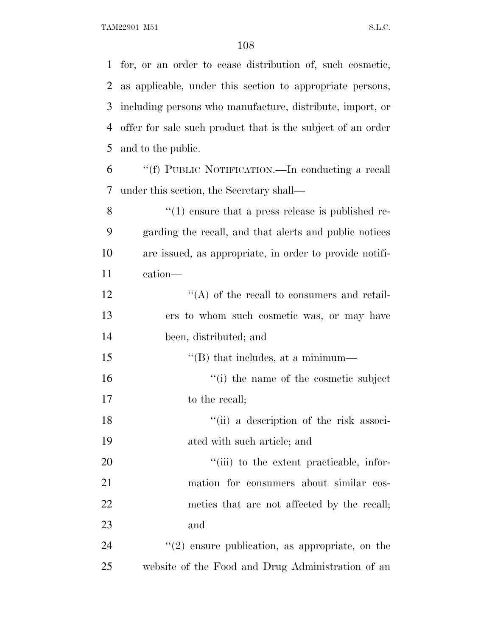for, or an order to cease distribution of, such cosmetic, as applicable, under this section to appropriate persons, including persons who manufacture, distribute, import, or offer for sale such product that is the subject of an order and to the public. ''(f) PUBLIC NOTIFICATION.—In conducting a recall under this section, the Secretary shall—  $\frac{8}{10}$  (1) ensure that a press release is published re- garding the recall, and that alerts and public notices are issued, as appropriate, in order to provide notifi- cation— 12 ''(A) of the recall to consumers and retail- ers to whom such cosmetic was, or may have been, distributed; and  $\text{``(B) that includes, at a minimum}\longrightarrow$  $\frac{1}{10}$  the name of the cosmetic subject 17 to the recall; 18 ''(ii) a description of the risk associ- ated with such article; and  $\frac{1}{20}$  to the extent practicable, infor- mation for consumers about similar cos-22 metics that are not affected by the recall; and  $\frac{1}{2}$  (2) ensure publication, as appropriate, on the website of the Food and Drug Administration of an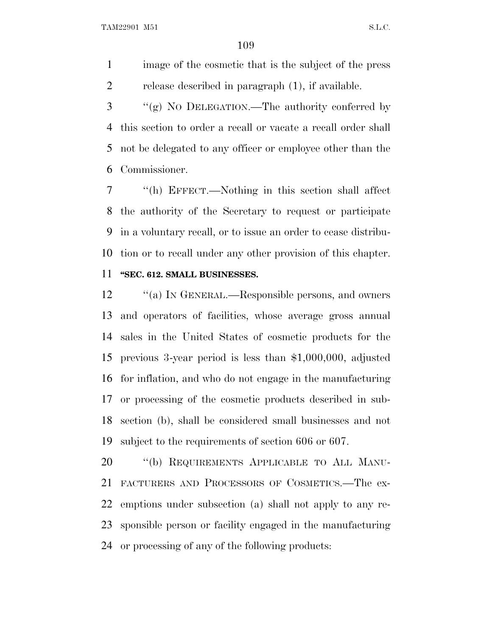image of the cosmetic that is the subject of the press release described in paragraph (1), if available.

 ''(g) N<sup>O</sup> DELEGATION.—The authority conferred by this section to order a recall or vacate a recall order shall not be delegated to any officer or employee other than the Commissioner.

 ''(h) EFFECT.—Nothing in this section shall affect the authority of the Secretary to request or participate in a voluntary recall, or to issue an order to cease distribu- tion or to recall under any other provision of this chapter. **''SEC. 612. SMALL BUSINESSES.**

12 "(a) IN GENERAL.—Responsible persons, and owners and operators of facilities, whose average gross annual sales in the United States of cosmetic products for the previous 3-year period is less than \$1,000,000, adjusted for inflation, and who do not engage in the manufacturing or processing of the cosmetic products described in sub- section (b), shall be considered small businesses and not subject to the requirements of section 606 or 607.

20 "(b) REQUIREMENTS APPLICABLE TO ALL MANU- FACTURERS AND PROCESSORS OF COSMETICS.—The ex- emptions under subsection (a) shall not apply to any re- sponsible person or facility engaged in the manufacturing or processing of any of the following products: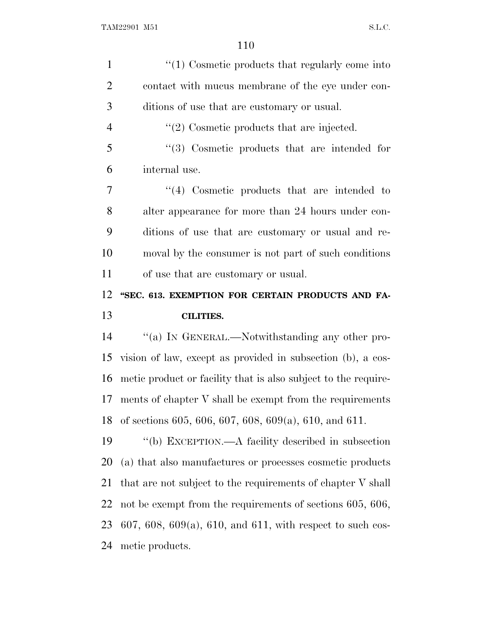| $\mathbf{1}$   | $\lq(1)$ Cosmetic products that regularly come into            |
|----------------|----------------------------------------------------------------|
| $\overline{2}$ | contact with mucus membrane of the eye under con-              |
| 3              | ditions of use that are customary or usual.                    |
| $\overline{4}$ | $\lq(2)$ Cosmetic products that are injected.                  |
| 5              | "(3) Cosmetic products that are intended for                   |
| 6              | internal use.                                                  |
| 7              | $\lq(4)$ Cosmetic products that are intended to                |
| 8              | alter appearance for more than 24 hours under con-             |
| 9              | ditions of use that are customary or usual and re-             |
| 10             | moval by the consumer is not part of such conditions           |
| 11             | of use that are customary or usual.                            |
| 12             | "SEC. 613. EXEMPTION FOR CERTAIN PRODUCTS AND FA-              |
|                |                                                                |
| 13             | <b>CILITIES.</b>                                               |
| 14             | "(a) IN GENERAL.—Notwithstanding any other pro-                |
| 15             | vision of law, except as provided in subsection (b), a cos-    |
| 16             | metic product or facility that is also subject to the require- |
| 17             | ments of chapter V shall be exempt from the requirements       |
| 18             | of sections 605, 606, 607, 608, 609(a), 610, and 611.          |
| 19             | "(b) EXCEPTION.—A facility described in subsection             |
| 20             | (a) that also manufactures or processes cosmetic products      |
| 21             | that are not subject to the requirements of chapter V shall    |
| 22             | not be exempt from the requirements of sections 605, 606,      |
| 23             | 607, 608, 609(a), 610, and 611, with respect to such cos-      |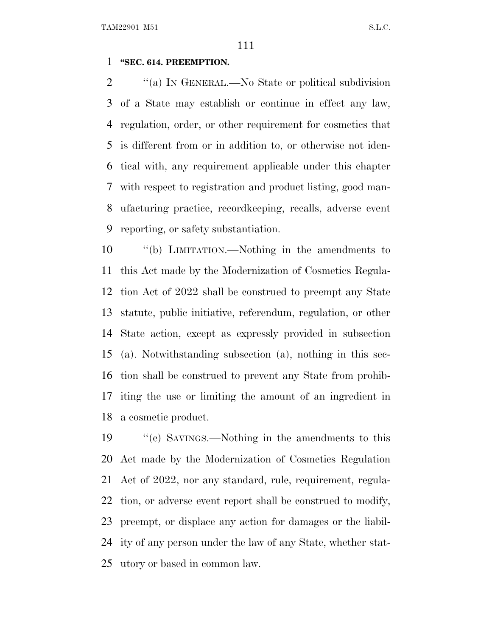### **''SEC. 614. PREEMPTION.**

2 "(a) IN GENERAL.—No State or political subdivision of a State may establish or continue in effect any law, regulation, order, or other requirement for cosmetics that is different from or in addition to, or otherwise not iden- tical with, any requirement applicable under this chapter with respect to registration and product listing, good man- ufacturing practice, recordkeeping, recalls, adverse event reporting, or safety substantiation.

 ''(b) LIMITATION.—Nothing in the amendments to this Act made by the Modernization of Cosmetics Regula- tion Act of 2022 shall be construed to preempt any State statute, public initiative, referendum, regulation, or other State action, except as expressly provided in subsection (a). Notwithstanding subsection (a), nothing in this sec- tion shall be construed to prevent any State from prohib- iting the use or limiting the amount of an ingredient in a cosmetic product.

19 ''(c) SAVINGS.—Nothing in the amendments to this Act made by the Modernization of Cosmetics Regulation Act of 2022, nor any standard, rule, requirement, regula- tion, or adverse event report shall be construed to modify, preempt, or displace any action for damages or the liabil- ity of any person under the law of any State, whether stat-utory or based in common law.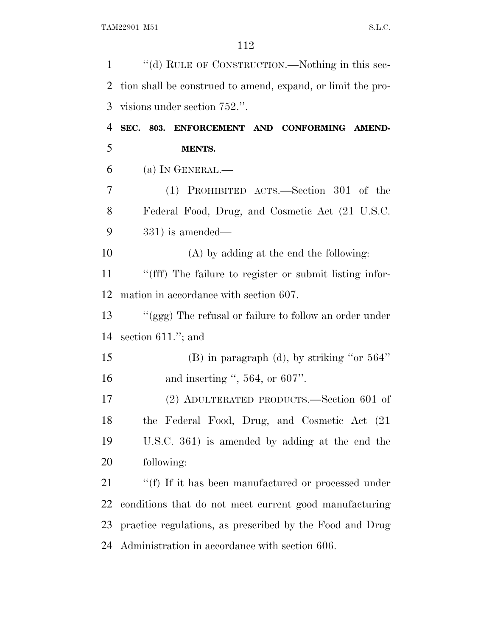| $\mathbf{1}$ | "(d) RULE OF CONSTRUCTION.—Nothing in this sec-             |
|--------------|-------------------------------------------------------------|
| 2            | tion shall be construed to amend, expand, or limit the pro- |
| 3            | visions under section 752.".                                |
| 4            | SEC. 803. ENFORCEMENT AND CONFORMING AMEND-                 |
| 5            | MENTS.                                                      |
| 6            | (a) IN GENERAL.—                                            |
| 7            | (1) PROHIBITED ACTS.—Section 301 of the                     |
| 8            | Federal Food, Drug, and Cosmetic Act (21 U.S.C.             |
| 9            | $331$ ) is amended—                                         |
| 10           | $(A)$ by adding at the end the following:                   |
| 11           | "(fff) The failure to register or submit listing infor-     |
| 12           | mation in accordance with section 607.                      |
| 13           | "(ggg) The refusal or failure to follow an order under      |
| 14           | section $611$ ."; and                                       |
| 15           | $(B)$ in paragraph (d), by striking "or 564"                |
| 16           | and inserting ", $564$ , or $607$ ".                        |
| 17           | (2) ADULTERATED PRODUCTS.—Section 601 of                    |
| 18           | the Federal Food, Drug, and Cosmetic Act (21                |
| 19           | U.S.C. 361) is amended by adding at the end the             |
| 20           | following:                                                  |
| 21           | "(f) If it has been manufactured or processed under         |
| 22           | conditions that do not meet current good manufacturing      |
| 23           | practice regulations, as prescribed by the Food and Drug    |
| 24           | Administration in accordance with section 606.              |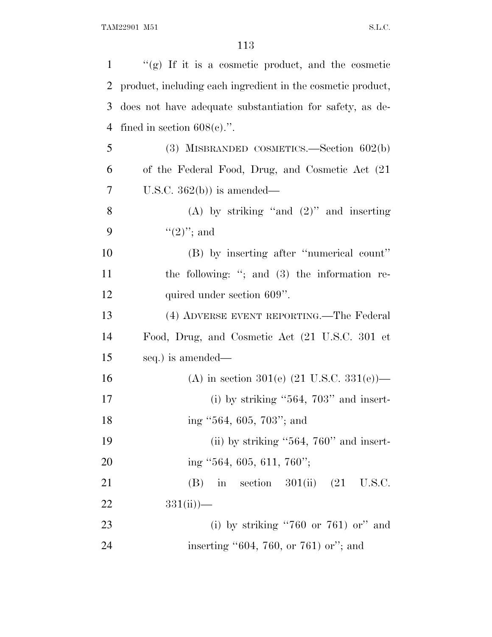| 1              | "(g) If it is a cosmetic product, and the cosmetic          |
|----------------|-------------------------------------------------------------|
| 2              | product, including each ingredient in the cosmetic product, |
| 3              | does not have adequate substantiation for safety, as de-    |
| $\overline{4}$ | fined in section $608(e)$ .".                               |
| 5              | (3) MISBRANDED COSMETICS.—Section $602(b)$                  |
| 6              | of the Federal Food, Drug, and Cosmetic Act (21)            |
| 7              | U.S.C. $362(b)$ is amended—                                 |
| 8              | (A) by striking "and $(2)$ " and inserting                  |
| 9              | $(2)$ "; and                                                |
| 10             | (B) by inserting after "numerical count"                    |
| 11             | the following: "; and $(3)$ the information re-             |
| 12             | quired under section 609".                                  |
| 13             | (4) ADVERSE EVENT REPORTING.—The Federal                    |
| 14             | Food, Drug, and Cosmetic Act (21 U.S.C. 301 et              |
| 15             | seq.) is amended—                                           |
| 16             | (A) in section 301(e) $(21 \text{ U.S.C. } 331(e))$ —       |
| 17             | (i) by striking " $564$ , $703$ " and insert-               |
| 18             | ing "564, 605, 703"; and                                    |
| 19             | (ii) by striking " $564$ , $760$ " and insert-              |
| 20             | ing $\cdot$ 564, 605, 611, 760";                            |
| 21             | in section $301(ii)$ $(21 \text{ U.S.C.})$<br>(B)           |
| 22             | $331(ii)$ )—                                                |
| 23             | (i) by striking "760 or 761) or" and                        |
| 24             | inserting $"604, 760, or 761$ or"; and                      |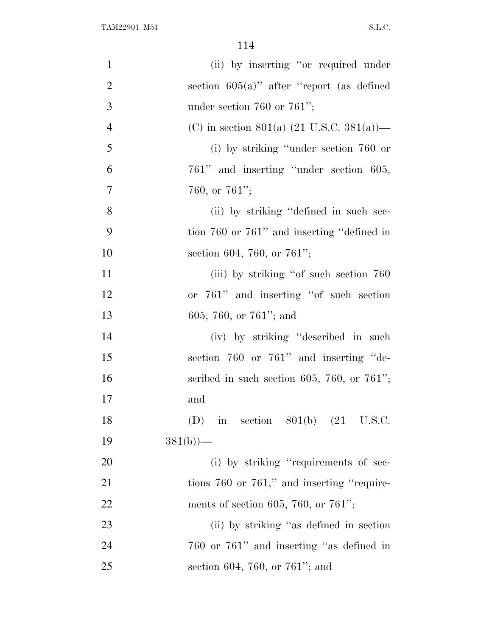| $\mathbf{1}$   | (ii) by inserting "or required under                  |
|----------------|-------------------------------------------------------|
| $\overline{2}$ | section $605(a)$ " after "report (as defined          |
| 3              | under section 760 or 761";                            |
| $\overline{4}$ | (C) in section 801(a) $(21 \text{ U.S.C. } 381(a))$ — |
| 5              | (i) by striking "under section $760$ or               |
| 6              | 761" and inserting "under section 605,                |
| $\overline{7}$ | 760, or $761$ ";                                      |
| 8              | (ii) by striking "defined in such sec-                |
| 9              | tion 760 or 761" and inserting "defined in            |
| 10             | section 604, 760, or 761";                            |
| 11             | (iii) by striking "of such section 760                |
| 12             | or 761" and inserting "of such section                |
| 13             | 605, 760, or $761$ "; and                             |
| 14             | (iv) by striking "described in such                   |
| 15             | section 760 or 761" and inserting "de-                |
| 16             | scribed in such section 605, 760, or $761$ ";         |
| 17             | and                                                   |
| 18             | in section $801(b)$ $(21 \text{ U.S.C.})$<br>(D)      |
| 19             | $381(b)$ )—                                           |
| 20             | (i) by striking "requirements of sec-                 |
| 21             | tions $760$ or $761$ ," and inserting "require-       |
| 22             | ments of section 605, 760, or 761";                   |
| 23             | (ii) by striking "as defined in section               |
| 24             | 760 or 761" and inserting "as defined in              |
| 25             | section 604, 760, or 761"; and                        |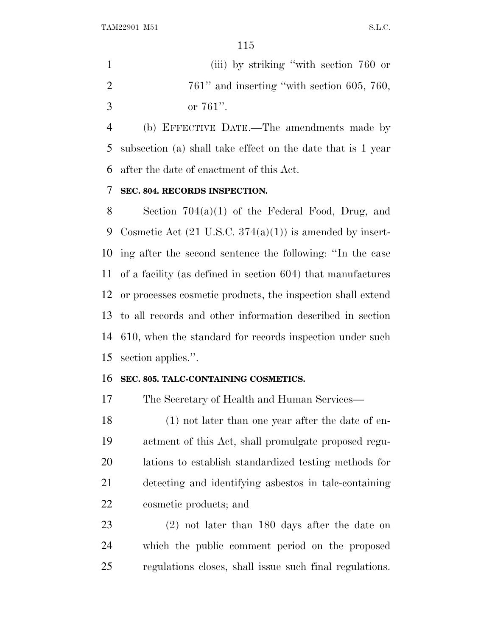(iii) by striking ''with section 760 or  $2 \t\t 761$ " and inserting "with section 605, 760, or 761''.

 (b) EFFECTIVE DATE.—The amendments made by subsection (a) shall take effect on the date that is 1 year after the date of enactment of this Act.

## **SEC. 804. RECORDS INSPECTION.**

 Section 704(a)(1) of the Federal Food, Drug, and Cosmetic Act (21 U.S.C. 374(a)(1)) is amended by insert- ing after the second sentence the following: ''In the case of a facility (as defined in section 604) that manufactures or processes cosmetic products, the inspection shall extend to all records and other information described in section 610, when the standard for records inspection under such section applies.''.

### **SEC. 805. TALC-CONTAINING COSMETICS.**

The Secretary of Health and Human Services—

 (1) not later than one year after the date of en- actment of this Act, shall promulgate proposed regu- lations to establish standardized testing methods for detecting and identifying asbestos in talc-containing cosmetic products; and

 (2) not later than 180 days after the date on which the public comment period on the proposed regulations closes, shall issue such final regulations.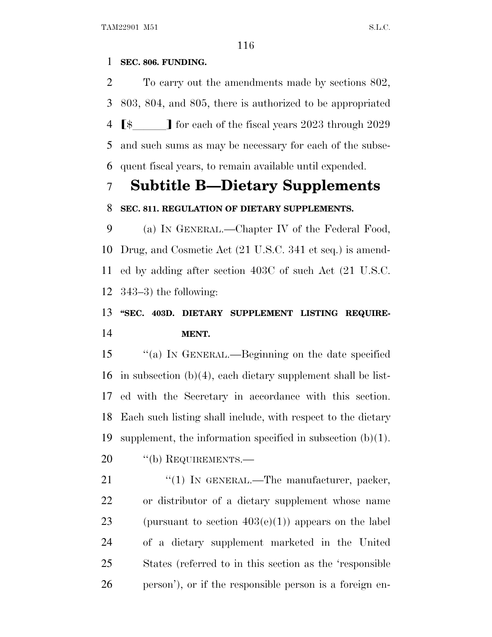## **SEC. 806. FUNDING.**

 To carry out the amendments made by sections 802, 803, 804, and 805, there is authorized to be appropriated  $\sqrt{\phantom{a}}$  for each of the fiscal years 2023 through 2029 and such sums as may be necessary for each of the subse-quent fiscal years, to remain available until expended.

# **Subtitle B—Dietary Supplements**

## **SEC. 811. REGULATION OF DIETARY SUPPLEMENTS.**

 (a) I<sup>N</sup> GENERAL.—Chapter IV of the Federal Food, Drug, and Cosmetic Act (21 U.S.C. 341 et seq.) is amend- ed by adding after section 403C of such Act (21 U.S.C. 343–3) the following:

## **''SEC. 403D. DIETARY SUPPLEMENT LISTING REQUIRE-MENT.**

 ''(a) I<sup>N</sup> GENERAL.—Beginning on the date specified 16 in subsection  $(b)(4)$ , each dietary supplement shall be list- ed with the Secretary in accordance with this section. Each such listing shall include, with respect to the dietary supplement, the information specified in subsection (b)(1).

20 "(b) REQUIREMENTS.—

21 "(1) IN GENERAL.—The manufacturer, packer, or distributor of a dietary supplement whose name 23 (pursuant to section  $403(e)(1)$ ) appears on the label of a dietary supplement marketed in the United States (referred to in this section as the 'responsible person'), or if the responsible person is a foreign en-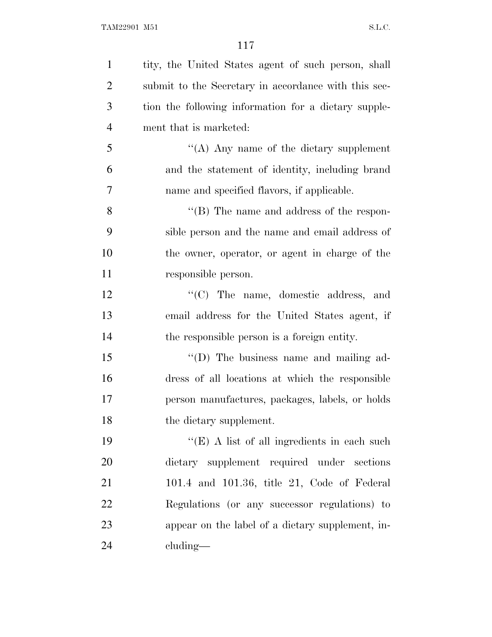| $\mathbf{1}$   | tity, the United States agent of such person, shall  |
|----------------|------------------------------------------------------|
| $\overline{2}$ | submit to the Secretary in accordance with this sec- |
| 3              | tion the following information for a dietary supple- |
| $\overline{4}$ | ment that is marketed:                               |
| 5              | "(A) Any name of the dietary supplement              |
| 6              | and the statement of identity, including brand       |
| 7              | name and specified flavors, if applicable.           |
| 8              | "(B) The name and address of the respon-             |
| 9              | sible person and the name and email address of       |
| 10             | the owner, operator, or agent in charge of the       |
| 11             | responsible person.                                  |
| 12             | $\lq\lq$ The name, domestic address, and             |
| 13             | email address for the United States agent, if        |
| 14             | the responsible person is a foreign entity.          |
| 15             | "(D) The business name and mailing ad-               |
| 16             | dress of all locations at which the responsible      |
| 17             | person manufactures, packages, labels, or holds      |
| 18             | the dietary supplement.                              |
| 19             | "(E) A list of all ingredients in each such          |
| 20             | dietary supplement required under sections           |
| 21             | $101.4$ and $101.36$ , title 21, Code of Federal     |
| 22             | Regulations (or any successor regulations) to        |
| 23             | appear on the label of a dietary supplement, in-     |
| 24             | $cluding$ —                                          |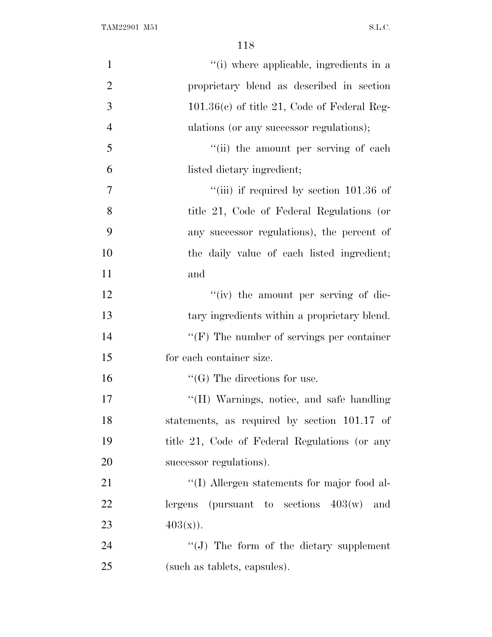| $\mathbf{1}$   | "(i) where applicable, ingredients in a          |
|----------------|--------------------------------------------------|
| $\overline{2}$ | proprietary blend as described in section        |
| 3              | $101.36(c)$ of title 21, Code of Federal Reg-    |
| $\overline{4}$ | ulations (or any successor regulations);         |
| 5              | "(ii) the amount per serving of each             |
| 6              | listed dietary ingredient;                       |
| 7              | "(iii) if required by section $101.36$ of        |
| 8              | title 21, Code of Federal Regulations (or        |
| 9              | any successor regulations), the percent of       |
| 10             | the daily value of each listed ingredient;       |
| 11             | and                                              |
| 12             | "(iv) the amount per serving of die-             |
| 13             | tary ingredients within a proprietary blend.     |
| 14             | $\lq\lq(F)$ The number of servings per container |
| 15             | for each container size.                         |
| 16             | $\lq\lq(G)$ The directions for use.              |
| 17             | "(H) Warnings, notice, and safe handling         |
| 18             | statements, as required by section 101.17 of     |
| 19             | title 21, Code of Federal Regulations (or any    |
| 20             | successor regulations).                          |
| 21             | "(I) Allergen statements for major food al-      |
| 22             | lergens (pursuant to sections $403(w)$ )<br>and  |
| 23             | $403(x)$ .                                       |
| 24             | $\lq\lq(J)$ The form of the dietary supplement   |
| 25             | (such as tablets, capsules).                     |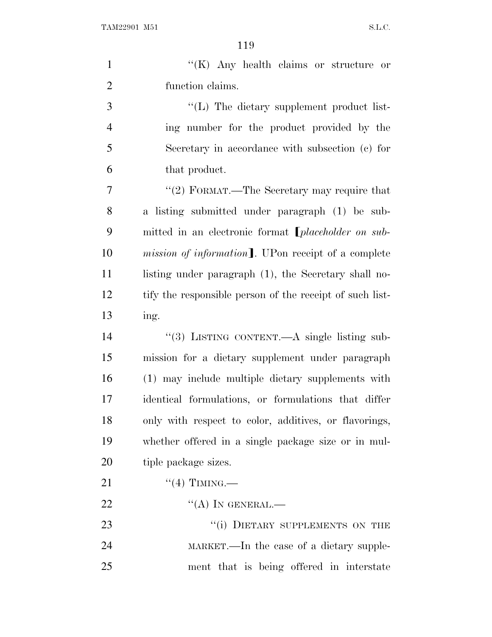TAM22901 M51 S.L.C.

|                | 119                                                        |
|----------------|------------------------------------------------------------|
| $\mathbf{1}$   | " $(K)$ Any health claims or structure or                  |
| $\overline{2}$ | function claims.                                           |
| 3              | $\lq\lq$ . The dietary supplement product list-            |
| $\overline{4}$ | ing number for the product provided by the                 |
| 5              | Secretary in accordance with subsection (c) for            |
| 6              | that product.                                              |
| 7              | "(2) FORMAT.—The Secretary may require that                |
| 8              | a listing submitted under paragraph (1) be sub-            |
| 9              | mitted in an electronic format <i>[placeholder on sub-</i> |
| 10             | mission of information]. UPon receipt of a complete        |
| 11             | listing under paragraph (1), the Secretary shall no-       |
| 12             | tify the responsible person of the receipt of such list-   |
| 13             | ing.                                                       |
| 14             | "(3) LISTING CONTENT.—A single listing sub-                |
| 15             | mission for a dietary supplement under paragraph           |
| 16             | (1) may include multiple dietary supplements with          |
| 17             | identical formulations, or formulations that differ        |
| 18             | only with respect to color, additives, or flavorings,      |
| 19             | whether offered in a single package size or in mul-        |
| 20             | tiple package sizes.                                       |
| 21             | $``(4)$ TIMING.—                                           |
| 22             | $\lq\lq (A)$ In GENERAL.—                                  |

23 "(i) DIETARY SUPPLEMENTS ON THE MARKET.—In the case of a dietary supple-ment that is being offered in interstate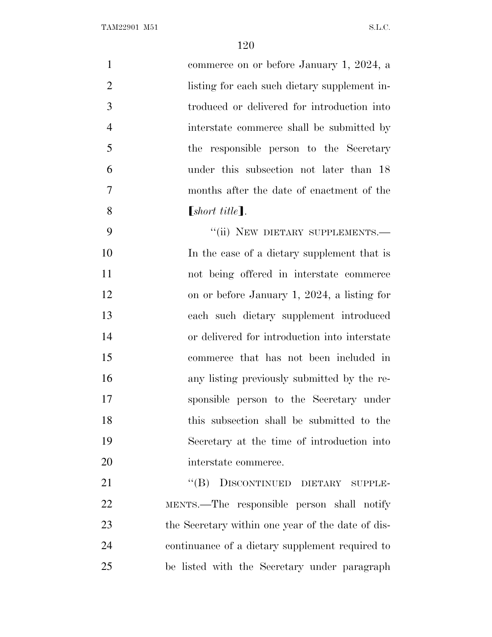| $\mathbf{1}$   | commerce on or before January 1, 2024, a          |
|----------------|---------------------------------------------------|
| $\overline{2}$ | listing for each such dietary supplement in-      |
| 3              | troduced or delivered for introduction into       |
| $\overline{4}$ | interstate commerce shall be submitted by         |
| 5              | the responsible person to the Secretary           |
| 6              | under this subsection not later than 18           |
| $\overline{7}$ | months after the date of enactment of the         |
| 8              | $[short title]$ .                                 |
| 9              | "(ii) NEW DIETARY SUPPLEMENTS.-                   |
| 10             | In the case of a dietary supplement that is       |
| 11             | not being offered in interstate commerce          |
| 12             | on or before January 1, 2024, a listing for       |
| 13             | each such dietary supplement introduced           |
| 14             | or delivered for introduction into interstate     |
| 15             | commerce that has not been included in            |
| 16             | any listing previously submitted by the re-       |
| 17             | sponsible person to the Secretary under           |
| 18             | this subsection shall be submitted to the         |
| 19             | Secretary at the time of introduction into        |
| 20             | interstate commerce.                              |
| 21             | "(B) DISCONTINUED DIETARY SUPPLE-                 |
| 22             | MENTS.—The responsible person shall notify        |
| 23             | the Secretary within one year of the date of dis- |
| 24             | continuance of a dietary supplement required to   |
| 25             | be listed with the Secretary under paragraph      |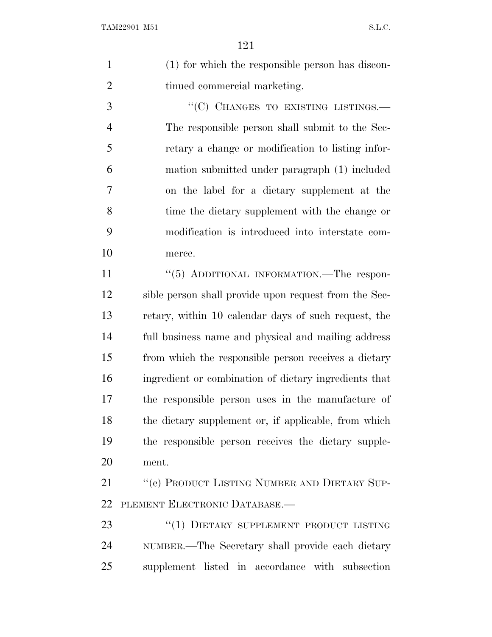(1) for which the responsible person has discon-2 tinued commercial marketing.

3 "(C) CHANGES TO EXISTING LISTINGS.— The responsible person shall submit to the Sec- retary a change or modification to listing infor- mation submitted under paragraph (1) included on the label for a dietary supplement at the time the dietary supplement with the change or modification is introduced into interstate com-merce.

11 "(5) ADDITIONAL INFORMATION.—The respon- sible person shall provide upon request from the Sec- retary, within 10 calendar days of such request, the full business name and physical and mailing address from which the responsible person receives a dietary ingredient or combination of dietary ingredients that the responsible person uses in the manufacture of the dietary supplement or, if applicable, from which the responsible person receives the dietary supple-ment.

21 "(c) PRODUCT LISTING NUMBER AND DIETARY SUP-PLEMENT ELECTRONIC DATABASE.—

23 "(1) DIETARY SUPPLEMENT PRODUCT LISTING NUMBER.—The Secretary shall provide each dietary supplement listed in accordance with subsection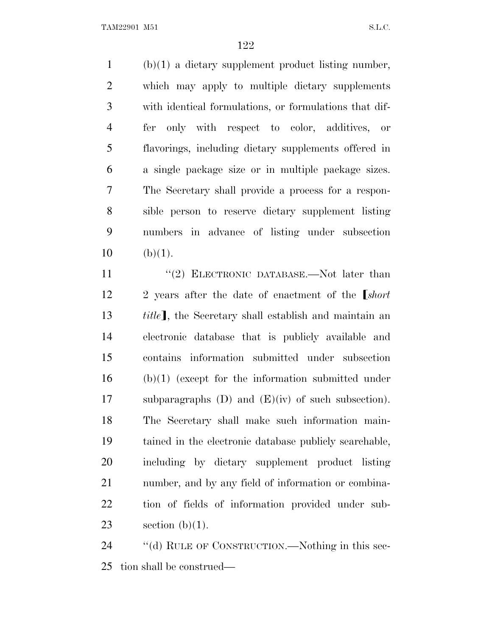TAM22901 M51 S.L.C.

 (b)(1) a dietary supplement product listing number, which may apply to multiple dietary supplements with identical formulations, or formulations that dif- fer only with respect to color, additives, or flavorings, including dietary supplements offered in a single package size or in multiple package sizes. The Secretary shall provide a process for a respon- sible person to reserve dietary supplement listing numbers in advance of listing under subsection (b)(1).

11 ''(2) ELECTRONIC DATABASE.—Not later than 12 2 years after the date of enactment of the *short title*<sup>1</sup>, the Secretary shall establish and maintain an electronic database that is publicly available and contains information submitted under subsection (b)(1) (except for the information submitted under subparagraphs (D) and (E)(iv) of such subsection). The Secretary shall make such information main- tained in the electronic database publicly searchable, including by dietary supplement product listing number, and by any field of information or combina- tion of fields of information provided under sub-23 section  $(b)(1)$ .

24 ""(d) RULE OF CONSTRUCTION.—Nothing in this sec-tion shall be construed—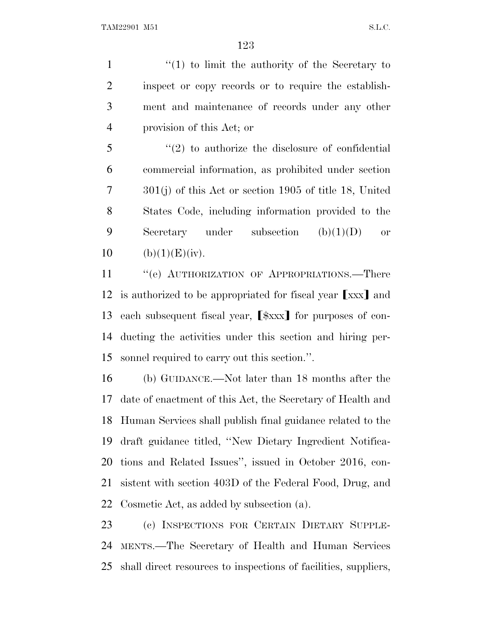1 ''(1) to limit the authority of the Secretary to inspect or copy records or to require the establish- ment and maintenance of records under any other provision of this Act; or

 ''(2) to authorize the disclosure of confidential commercial information, as prohibited under section 301(j) of this Act or section 1905 of title 18, United States Code, including information provided to the 9 Secretary under subsection  $(b)(1)(D)$  or 10 (b)(1)(E)(iv).

11 " (e) AUTHORIZATION OF APPROPRIATIONS.—There 12 is authorized to be appropriated for fiscal year [xxx] and 13 each subsequent fiscal year,  $\lceil \frac{2}{3} \times \rceil$  for purposes of con- ducting the activities under this section and hiring per-sonnel required to carry out this section.''.

 (b) GUIDANCE.—Not later than 18 months after the date of enactment of this Act, the Secretary of Health and Human Services shall publish final guidance related to the draft guidance titled, ''New Dietary Ingredient Notifica- tions and Related Issues'', issued in October 2016, con- sistent with section 403D of the Federal Food, Drug, and Cosmetic Act, as added by subsection (a).

 (c) INSPECTIONS FOR CERTAIN DIETARY SUPPLE- MENTS.—The Secretary of Health and Human Services shall direct resources to inspections of facilities, suppliers,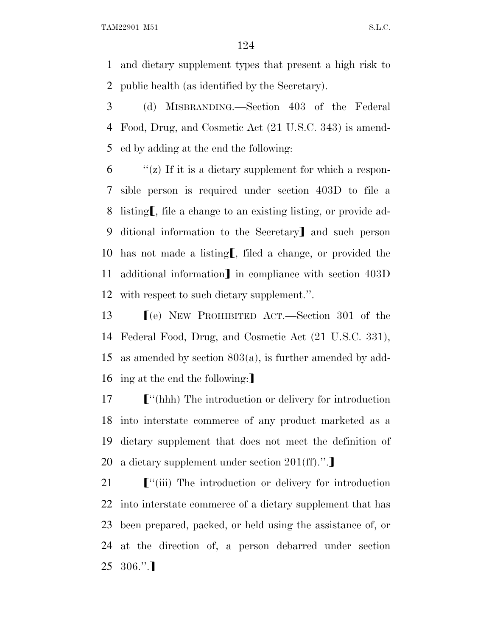and dietary supplement types that present a high risk to public health (as identified by the Secretary).

 (d) MISBRANDING.—Section 403 of the Federal Food, Drug, and Cosmetic Act (21 U.S.C. 343) is amend-ed by adding at the end the following:

 "(z) If it is a dietary supplement for which a respon- sible person is required under section 403D to file a 8 listing, file a change to an existing listing, or provide ad-9 ditional information to the Secretary and such person 10 has not made a listing, filed a change, or provided the 11 additional information] in compliance with section 403D with respect to such dietary supplement.''.

**I**(e) NEW PROHIBITED ACT.—Section 301 of the Federal Food, Drug, and Cosmetic Act (21 U.S.C. 331), as amended by section 803(a), is further amended by add-16 ing at the end the following:

**F**"(hhh) The introduction or delivery for introduction into interstate commerce of any product marketed as a dietary supplement that does not meet the definition of 20 a dietary supplement under section  $201(\text{ff})$ .".

**F**<sup>"</sup>(iii) The introduction or delivery for introduction into interstate commerce of a dietary supplement that has been prepared, packed, or held using the assistance of, or at the direction of, a person debarred under section  $25 \quad 306."$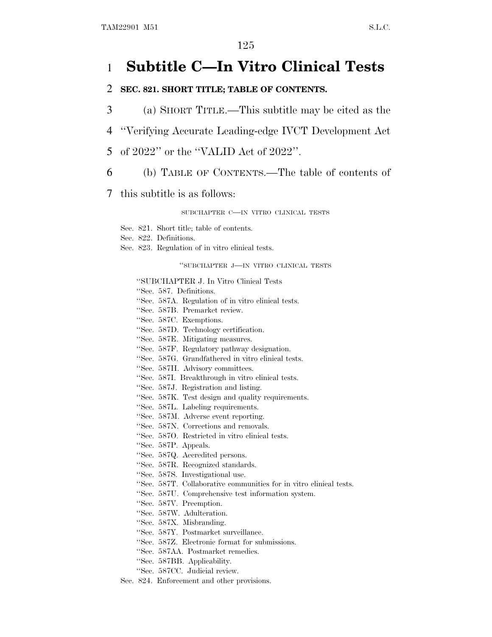## 1 **Subtitle C—In Vitro Clinical Tests**

### 2 **SEC. 821. SHORT TITLE; TABLE OF CONTENTS.**

- 3 (a) SHORT TITLE.—This subtitle may be cited as the
- 4 ''Verifying Accurate Leading-edge IVCT Development Act
- 5 of 2022'' or the ''VALID Act of 2022''.
- 6 (b) TABLE OF CONTENTS.—The table of contents of
- 7 this subtitle is as follows:

#### SUBCHAPTER C—IN VITRO CLINICAL TESTS

- Sec. 821. Short title; table of contents.
- Sec. 822. Definitions.
- Sec. 823. Regulation of in vitro clinical tests.

''SUBCHAPTER J—IN VITRO CLINICAL TESTS

#### ''SUBCHAPTER J. In Vitro Clinical Tests

- ''Sec. 587. Definitions.
- ''Sec. 587A. Regulation of in vitro clinical tests.
- ''Sec. 587B. Premarket review.
- ''Sec. 587C. Exemptions.
- ''Sec. 587D. Technology certification.
- ''Sec. 587E. Mitigating measures.
- ''Sec. 587F. Regulatory pathway designation.
- ''Sec. 587G. Grandfathered in vitro clinical tests.
- ''Sec. 587H. Advisory committees.
- ''Sec. 587I. Breakthrough in vitro clinical tests.
- ''Sec. 587J. Registration and listing.
- ''Sec. 587K. Test design and quality requirements.
- ''Sec. 587L. Labeling requirements.
- ''Sec. 587M. Adverse event reporting.
- ''Sec. 587N. Corrections and removals.
- ''Sec. 587O. Restricted in vitro clinical tests.
- ''Sec. 587P. Appeals.
- ''Sec. 587Q. Accredited persons.
- ''Sec. 587R. Recognized standards.
- ''Sec. 587S. Investigational use.
- ''Sec. 587T. Collaborative communities for in vitro clinical tests.
- ''Sec. 587U. Comprehensive test information system.
- ''Sec. 587V. Preemption.
- ''Sec. 587W. Adulteration.
- ''Sec. 587X. Misbranding.
- ''Sec. 587Y. Postmarket surveillance.
- ''Sec. 587Z. Electronic format for submissions.
- ''Sec. 587AA. Postmarket remedies.
- ''Sec. 587BB. Applicability.
- ''Sec. 587CC. Judicial review.
- Sec. 824. Enforcement and other provisions.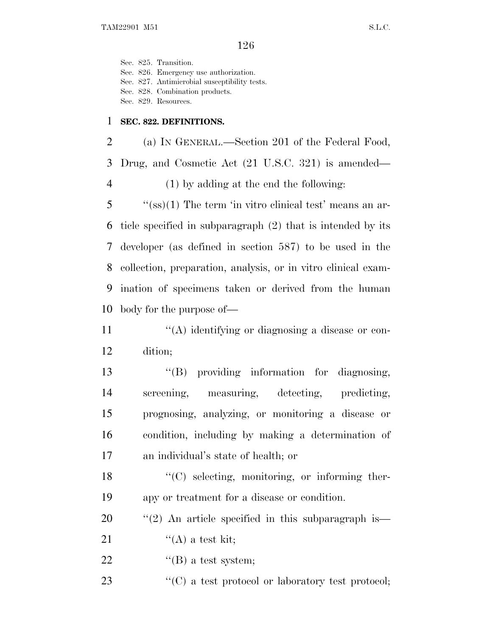Sec. 825. Transition. Sec. 826. Emergency use authorization. Sec. 827. Antimicrobial susceptibility tests. Sec. 828. Combination products. Sec. 829. Resources.

### 1 **SEC. 822. DEFINITIONS.**

 (a) I<sup>N</sup> GENERAL.—Section 201 of the Federal Food, Drug, and Cosmetic Act (21 U.S.C. 321) is amended— (1) by adding at the end the following: ''(ss)(1) The term 'in vitro clinical test' means an ar-

 ticle specified in subparagraph (2) that is intended by its developer (as defined in section 587) to be used in the collection, preparation, analysis, or in vitro clinical exam- ination of specimens taken or derived from the human body for the purpose of—

11  $\langle (A)$  identifying or diagnosing a disease or con-12 dition;

13 "(B) providing information for diagnosing, screening, measuring, detecting, predicting, prognosing, analyzing, or monitoring a disease or condition, including by making a determination of an individual's state of health; or

18 ''(C) selecting, monitoring, or informing ther-19 apy or treatment for a disease or condition.

20  $\frac{1}{2}$  (2) An article specified in this subparagraph is

21  $\qquad \qquad \text{``(A) a test kit;}$ 

- 22  $"$ (B) a test system;
- 23  $\langle ^{\prime\prime}(C)\rangle$  a test protocol or laboratory test protocol;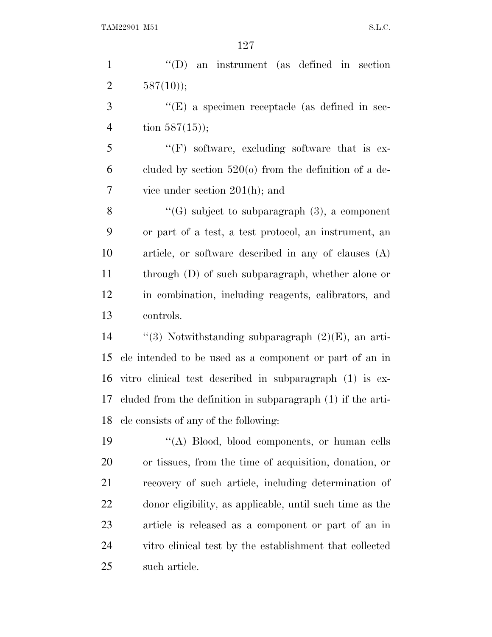''(D) an instrument (as defined in section 2  $587(10)$ ;

3 "(E) a specimen receptacle (as defined in sec-4 tion  $587(15)$ ;

5 "(F) software, excluding software that is ex-6 cluded by section  $520<sub>(o)</sub>$  from the definition of a de-vice under section 201(h); and

 $\langle G \rangle$  subject to subparagraph (3), a component or part of a test, a test protocol, an instrument, an article, or software described in any of clauses (A) through (D) of such subparagraph, whether alone or in combination, including reagents, calibrators, and controls.

 $\qquad$  ''(3) Notwithstanding subparagraph (2)(E), an arti- cle intended to be used as a component or part of an in vitro clinical test described in subparagraph (1) is ex- cluded from the definition in subparagraph (1) if the arti-cle consists of any of the following:

 ''(A) Blood, blood components, or human cells or tissues, from the time of acquisition, donation, or recovery of such article, including determination of donor eligibility, as applicable, until such time as the article is released as a component or part of an in vitro clinical test by the establishment that collected such article.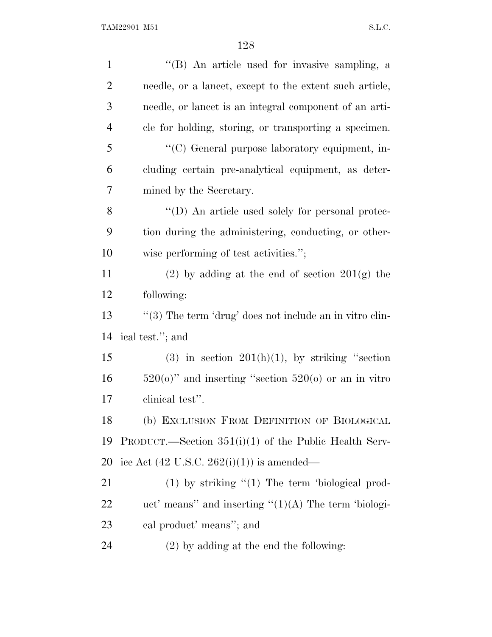| $\mathbf{1}$   | "(B) An article used for invasive sampling, a              |
|----------------|------------------------------------------------------------|
| $\overline{2}$ | needle, or a lancet, except to the extent such article,    |
| 3              | needle, or lancet is an integral component of an arti-     |
| $\overline{4}$ | cle for holding, storing, or transporting a specimen.      |
| 5              | "(C) General purpose laboratory equipment, in-             |
| 6              | cluding certain pre-analytical equipment, as deter-        |
| 7              | mined by the Secretary.                                    |
| 8              | "(D) An article used solely for personal protec-           |
| 9              | tion during the administering, conducting, or other-       |
| 10             | wise performing of test activities.";                      |
| 11             | $(2)$ by adding at the end of section $201(g)$ the         |
| 12             | following:                                                 |
| 13             | " $(3)$ The term 'drug' does not include an in vitro clin- |
| 14             | ical test."; and                                           |
| 15             | $(3)$ in section $201(h)(1)$ , by striking "section        |
| 16             | $520(0)$ " and inserting "section $520(0)$ or an in vitro  |
| 17             | clinical test".                                            |
| 18             | (b) EXCLUSION FROM DEFINITION OF BIOLOGICAL                |
| 19             | PRODUCT.—Section $351(i)(1)$ of the Public Health Serv-    |
| 20             | ice Act $(42 \text{ U.S.C. } 262(i)(1))$ is amended—       |
| 21             | $(1)$ by striking " $(1)$ The term 'biological prod-       |
| 22             | uct' means'' and inserting $\lq(1)(A)$ The term 'biologi-  |
| 23             | cal product' means"; and                                   |
| 24             | $(2)$ by adding at the end the following:                  |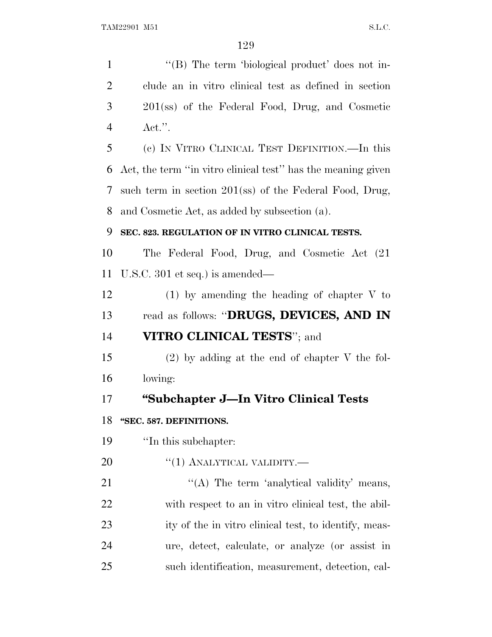1 "(B) The term 'biological product' does not in- clude an in vitro clinical test as defined in section 201(ss) of the Federal Food, Drug, and Cosmetic Act.''. (c) I<sup>N</sup> VITRO CLINICAL TEST DEFINITION.—In this Act, the term ''in vitro clinical test'' has the meaning given such term in section 201(ss) of the Federal Food, Drug, and Cosmetic Act, as added by subsection (a). **SEC. 823. REGULATION OF IN VITRO CLINICAL TESTS.** The Federal Food, Drug, and Cosmetic Act (21 U.S.C. 301 et seq.) is amended— (1) by amending the heading of chapter V to read as follows: ''**DRUGS, DEVICES, AND IN VITRO CLINICAL TESTS**''; and (2) by adding at the end of chapter V the fol- lowing: **''Subchapter J—In Vitro Clinical Tests ''SEC. 587. DEFINITIONS.** ''In this subchapter:  $\frac{((1) \text{ ANALYTICAL VALIDITY}}{((1) \text{ ANALYTICAL VALUE}}$ 21 ""(A) The term 'analytical validity' means, with respect to an in vitro clinical test, the abil- ity of the in vitro clinical test, to identify, meas- ure, detect, calculate, or analyze (or assist in such identification, measurement, detection, cal-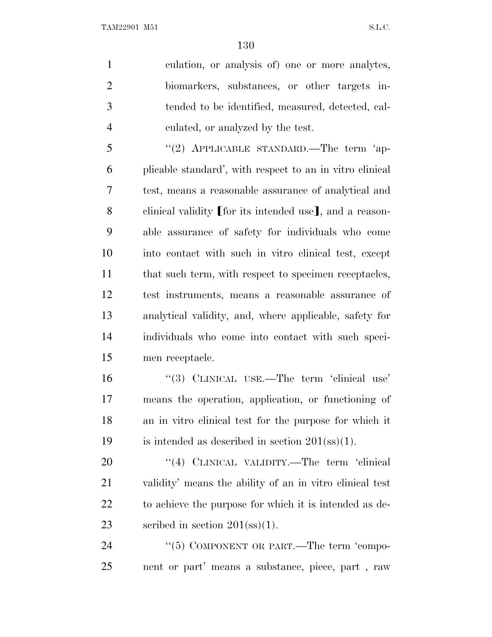culation, or analysis of) one or more analytes, biomarkers, substances, or other targets in- tended to be identified, measured, detected, cal-culated, or analyzed by the test.

5 "(2) APPLICABLE STANDARD.—The term 'ap- plicable standard', with respect to an in vitro clinical test, means a reasonable assurance of analytical and 8 clinical validity [for its intended use], and a reason- able assurance of safety for individuals who come into contact with such in vitro clinical test, except 11 that such term, with respect to specimen receptacles, test instruments, means a reasonable assurance of analytical validity, and, where applicable, safety for individuals who come into contact with such speci-men receptacle.

16 "(3) CLINICAL USE.—The term 'clinical use' means the operation, application, or functioning of an in vitro clinical test for the purpose for which it 19 is intended as described in section  $201(\text{ss})(1)$ .

20 "(4) CLINICAL VALIDITY.—The term 'clinical validity' means the ability of an in vitro clinical test to achieve the purpose for which it is intended as de-23 seribed in section (ss)(1).

24 "(5) COMPONENT OR PART.—The term 'compo-nent or part' means a substance, piece, part , raw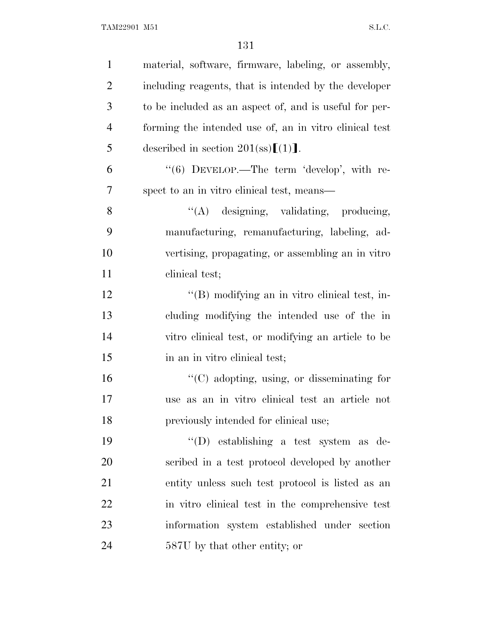| $\mathbf{1}$   | material, software, firmware, labeling, or assembly,   |
|----------------|--------------------------------------------------------|
| $\overline{2}$ | including reagents, that is intended by the developer  |
| 3              | to be included as an aspect of, and is useful for per- |
| $\overline{4}$ | forming the intended use of, an in vitro clinical test |
| 5              | described in section $201$ (ss)[(1)].                  |
| 6              | "(6) DEVELOP.—The term 'develop', with re-             |
| 7              | spect to an in vitro clinical test, means—             |
| 8              | "(A) designing, validating, producing,                 |
| 9              | manufacturing, remanufacturing, labeling, ad-          |
| 10             | vertising, propagating, or assembling an in vitro      |
| 11             | clinical test;                                         |
| 12             | "(B) modifying an in vitro clinical test, in-          |
| 13             | cluding modifying the intended use of the in           |
| 14             | vitro clinical test, or modifying an article to be     |
| 15             | in an in vitro clinical test;                          |
| 16             | $\lq\lq$ (C) adopting, using, or disseminating for     |
| 17             | use as an in vitro clinical test an article not        |
| 18             | previously intended for clinical use;                  |
| 19             | $\lq\lq$ establishing a test system as de-             |
| 20             | scribed in a test protocol developed by another        |
| 21             | entity unless such test protocol is listed as an       |
| 22             | in vitro clinical test in the comprehensive test       |
| 23             | information system established under section           |
| 24             | 587U by that other entity; or                          |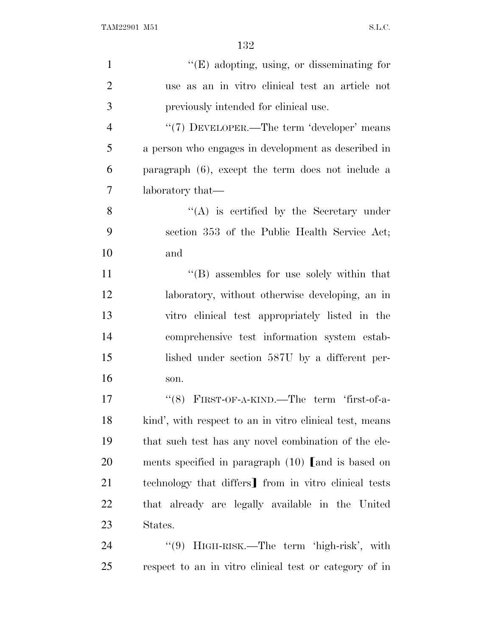| $\mathbf{1}$   | $\lq\lq(E)$ adopting, using, or disseminating for       |
|----------------|---------------------------------------------------------|
| $\overline{2}$ | use as an in vitro clinical test an article not         |
| 3              | previously intended for clinical use.                   |
| $\overline{4}$ | "(7) DEVELOPER.—The term 'developer' means              |
| 5              | a person who engages in development as described in     |
| 6              | paragraph (6), except the term does not include a       |
| 7              | laboratory that—                                        |
| 8              | $\lq\lq$ is certified by the Secretary under            |
| 9              | section 353 of the Public Health Service Act;           |
| 10             | and                                                     |
| 11             | $\lq\lq$ assembles for use solely within that           |
| 12             | laboratory, without otherwise developing, an in         |
| 13             | vitro clinical test appropriately listed in the         |
| 14             | comprehensive test information system estab-            |
| 15             | lished under section 587U by a different per-           |
| 16             | son.                                                    |
| 17             | FIRST-OF-A-KIND.—The term 'first-of-a-<br>(8)           |
| 18             | kind', with respect to an in vitro clinical test, means |
| 19             | that such test has any novel combination of the ele-    |
| 20             | ments specified in paragraph $(10)$ and is based on     |
| 21             | technology that differs from in vitro clinical tests    |
| <u>22</u>      | that already are legally available in the United        |
| 23             | States.                                                 |
| 24             | "(9) HIGH-RISK.—The term 'high-risk', with              |
| 25             | respect to an in vitro clinical test or category of in  |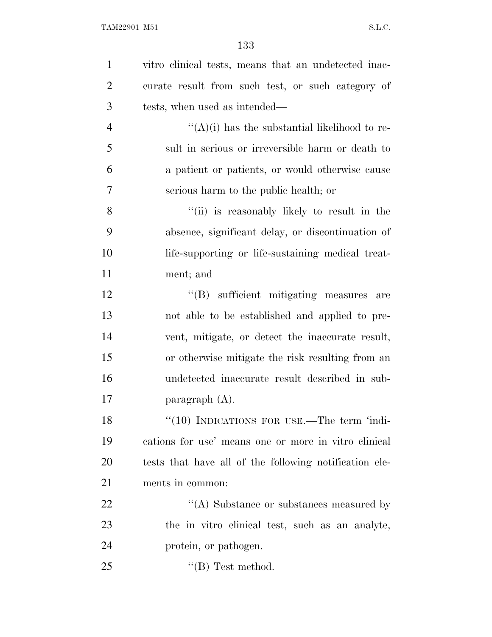| $\mathbf{1}$   | vitro clinical tests, means that an undetected inac-   |
|----------------|--------------------------------------------------------|
| $\overline{2}$ | curate result from such test, or such category of      |
| 3              | tests, when used as intended—                          |
| $\overline{4}$ | " $(A)(i)$ has the substantial likelihood to re-       |
| 5              | sult in serious or irreversible harm or death to       |
| 6              | a patient or patients, or would otherwise cause        |
| 7              | serious harm to the public health; or                  |
| 8              | "(ii) is reasonably likely to result in the            |
| 9              | absence, significant delay, or discontinuation of      |
| 10             | life-supporting or life-sustaining medical treat-      |
| 11             | ment; and                                              |
| 12             | "(B) sufficient mitigating measures are                |
| 13             | not able to be established and applied to pre-         |
| 14             | vent, mitigate, or detect the inaccurate result,       |
| 15             | or otherwise mitigate the risk resulting from an       |
| 16             | undetected inaccurate result described in sub-         |
| 17             | paragraph $(A)$ .                                      |
| 18             | "(10) INDICATIONS FOR USE.—The term 'indi-             |
| 19             | cations for use' means one or more in vitro clinical   |
| 20             | tests that have all of the following notification ele- |
| 21             | ments in common:                                       |
| 22             | "(A) Substance or substances measured by               |
| 23             | the in vitro clinical test, such as an analyte,        |
| 24             | protein, or pathogen.                                  |
| 25             | $\lq\lq$ (B) Test method.                              |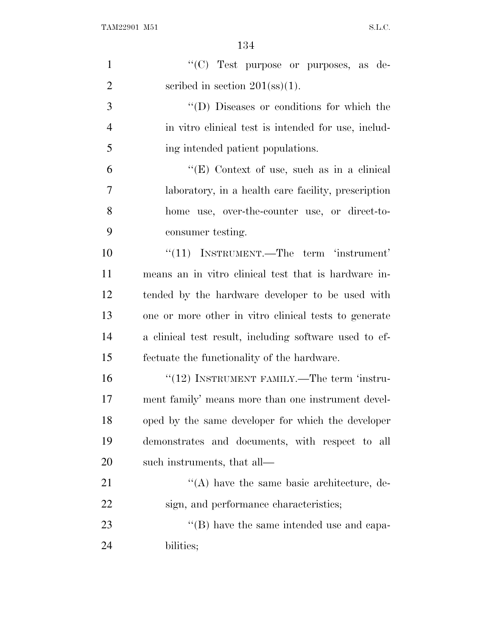| $\mathbf{1}$   | "(C) Test purpose or purposes, as de-                  |
|----------------|--------------------------------------------------------|
| $\overline{2}$ | scribed in section $201(\text{ss})(1)$ .               |
| 3              | "(D) Diseases or conditions for which the              |
| $\overline{4}$ | in vitro clinical test is intended for use, includ-    |
| 5              | ing intended patient populations.                      |
| 6              | "(E) Context of use, such as in a clinical             |
| 7              | laboratory, in a health care facility, prescription    |
| 8              | home use, over-the-counter use, or direct-to-          |
| 9              | consumer testing.                                      |
| 10             | $\lq(11)$ INSTRUMENT.—The term 'instrument'            |
| 11             | means an in vitro clinical test that is hardware in-   |
| 12             | tended by the hardware developer to be used with       |
| 13             | one or more other in vitro clinical tests to generate  |
| 14             | a clinical test result, including software used to ef- |
| 15             | fectuate the functionality of the hardware.            |
| 16             | $\cdot\cdot(12)$ INSTRUMENT FAMILY.—The term 'instru-  |
| 17             | ment family' means more than one instrument devel-     |
| 18             | oped by the same developer for which the developer     |
| 19             | demonstrates and documents, with respect to all        |
| 20             | such instruments, that all—                            |
| 21             | $\lq\lq$ have the same basic architecture, de-         |
| 22             | sign, and performance characteristics;                 |
| 23             | $\lq\lq$ (B) have the same intended use and capa-      |
| 24             | bilities;                                              |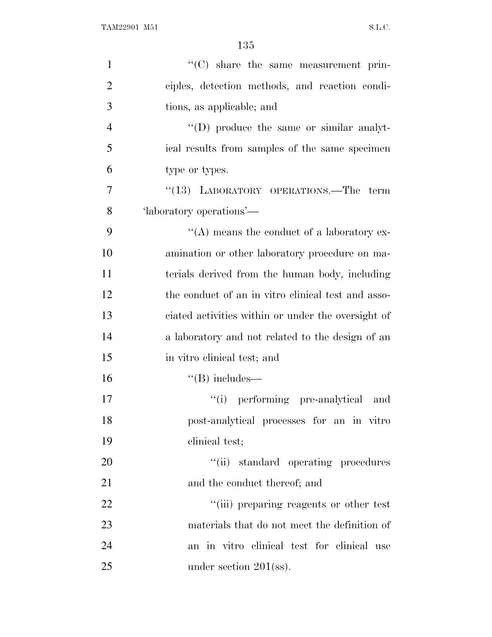| $\mathbf{1}$   | "(C) share the same measurement prin-              |
|----------------|----------------------------------------------------|
| $\overline{2}$ | ciples, detection methods, and reaction condi-     |
| 3              | tions, as applicable; and                          |
| $\overline{4}$ | $\lq\lq$ (D) produce the same or similar analyt-   |
| 5              | ical results from samples of the same specimen     |
| 6              | type or types.                                     |
| 7              | "(13) LABORATORY OPERATIONS.—The term              |
| 8              | 'laboratory operations'—                           |
| 9              | $\lq\lq$ means the conduct of a laboratory ex-     |
| 10             | amination or other laboratory procedure on ma-     |
| 11             | terials derived from the human body, including     |
| 12             | the conduct of an in vitro clinical test and asso- |
| 13             | ciated activities within or under the oversight of |
| 14             | a laboratory and not related to the design of an   |
| 15             | in vitro clinical test; and                        |
| 16             | $\lq\lq(B)$ includes—                              |
| 17             | "(i) performing pre-analytical<br>and              |
| 18             | post-analytical processes for an in vitro          |
| 19             | clinical test;                                     |
| 20             | "(ii) standard operating procedures                |
| 21             | and the conduct thereof; and                       |
| 22             | "(iii) preparing reagents or other test            |
| 23             | materials that do not meet the definition of       |
| 24             | an in vitro clinical test for clinical use         |
| 25             | under section $201$ (ss).                          |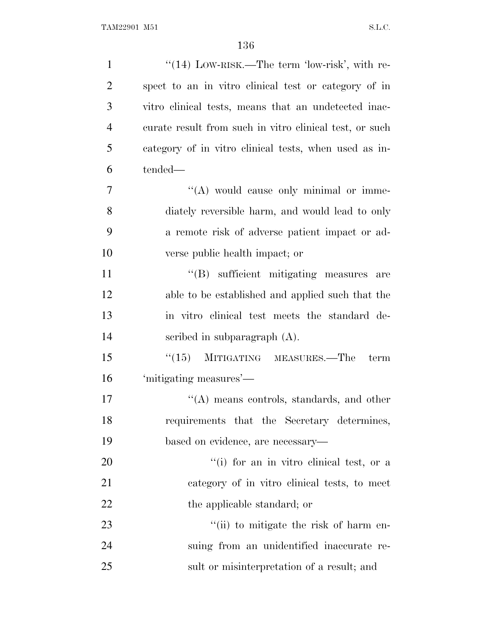| $\mathbf{1}$   | "(14) LOW-RISK.—The term 'low-risk', with re-           |
|----------------|---------------------------------------------------------|
| $\overline{2}$ | spect to an in vitro clinical test or category of in    |
| 3              | vitro clinical tests, means that an undetected inac-    |
| $\overline{4}$ | curate result from such in vitro clinical test, or such |
| 5              | category of in vitro clinical tests, when used as in-   |
| 6              | tended—                                                 |
| $\overline{7}$ | $\lq\lq$ would cause only minimal or imme-              |
| 8              | diately reversible harm, and would lead to only         |
| 9              | a remote risk of adverse patient impact or ad-          |
| 10             | verse public health impact; or                          |
| 11             | "(B) sufficient mitigating measures<br>are              |
| 12             | able to be established and applied such that the        |
| 13             | in vitro clinical test meets the standard de-           |
| 14             | scribed in subparagraph $(A)$ .                         |
| 15             | MITIGATING MEASURES.—The<br>(15)<br>term                |
| 16             | 'mitigating measures'—                                  |
| 17             | $\lq\lq$ means controls, standards, and other           |
| 18             | requirements that the Secretary determines,             |
| 19             | based on evidence, are necessary—                       |
| 20             | "(i) for an in vitro clinical test, or a                |
| 21             | category of in vitro clinical tests, to meet            |
| 22             | the applicable standard; or                             |
| 23             | "(ii) to mitigate the risk of harm en-                  |
| 24             | suing from an unidentified inaccurate re-               |
| 25             | sult or misinterpretation of a result; and              |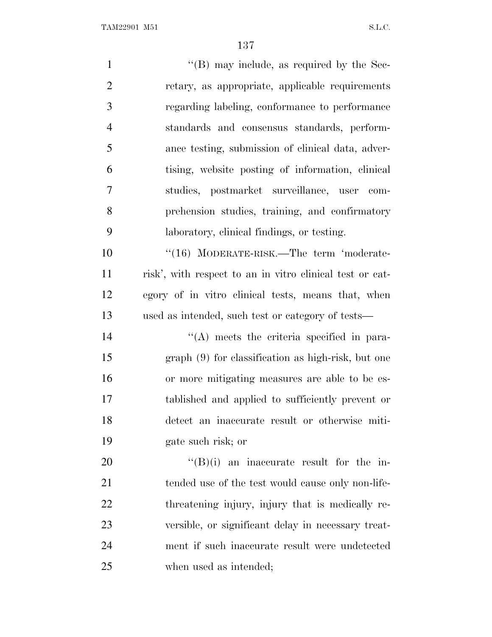| $\mathbf{1}$   | $\lq\lq (B)$ may include, as required by the Sec-        |
|----------------|----------------------------------------------------------|
| $\overline{2}$ | retary, as appropriate, applicable requirements          |
| 3              | regarding labeling, conformance to performance           |
| $\overline{4}$ | standards and consensus standards, perform-              |
| 5              | ance testing, submission of clinical data, adver-        |
| 6              | tising, website posting of information, clinical         |
| 7              | studies, postmarket surveillance, user com-              |
| 8              | prehension studies, training, and confirmatory           |
| 9              | laboratory, clinical findings, or testing.               |
| 10             | "(16) MODERATE-RISK.—The term 'moderate-                 |
| 11             | risk', with respect to an in vitro clinical test or cat- |
| 12             | egory of in vitro clinical tests, means that, when       |
| 13             | used as intended, such test or category of tests—        |
| 14             | $\lq\lq$ meets the criteria specified in para-           |
| 15             | graph (9) for classification as high-risk, but one       |
| 16             | or more mitigating measures are able to be es-           |
| 17             | tablished and applied to sufficiently prevent or         |
| 18             | detect an inaccurate result or otherwise miti-           |
| 19             | gate such risk; or                                       |
| 20             | $\lq\lq(B)(i)$ an inaccurate result for the in-          |
| 21             | tended use of the test would cause only non-life-        |
| 22             | threatening injury, injury that is medically re-         |
| 23             | versible, or significant delay in necessary treat-       |
| 24             | ment if such inaccurate result were undetected           |
| 25             | when used as intended;                                   |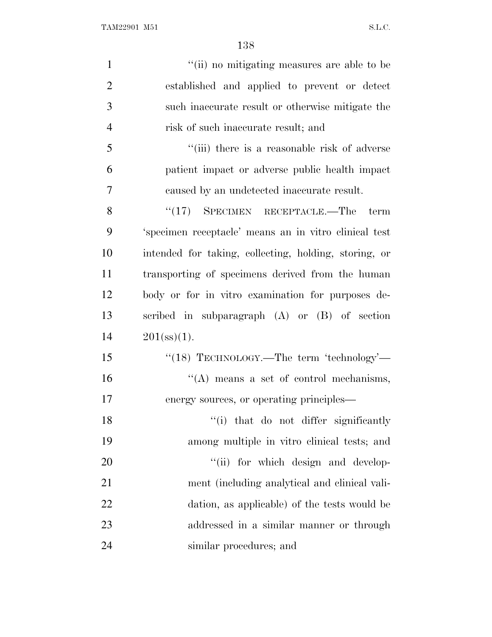| $\mathbf{1}$   | "(ii) no mitigating measures are able to be           |
|----------------|-------------------------------------------------------|
| $\overline{2}$ | established and applied to prevent or detect          |
| 3              | such inaccurate result or otherwise mitigate the      |
| $\overline{4}$ | risk of such inaccurate result; and                   |
| 5              | "(iii) there is a reasonable risk of adverse          |
| 6              | patient impact or adverse public health impact        |
| 7              | caused by an undetected inaccurate result.            |
| 8              | $\cdot$ (17) SPECIMEN RECEPTACLE.—The term            |
| 9              | 'specimen receptacle' means an in vitro clinical test |
| 10             | intended for taking, collecting, holding, storing, or |
| 11             | transporting of specimens derived from the human      |
| 12             | body or for in vitro examination for purposes de-     |
| 13             | scribed in subparagraph (A) or (B) of section         |
| 14             | $201(\text{ss})(1)$ .                                 |
| 15             | "(18) TECHNOLOGY.—The term 'technology'—              |
| 16             | $\lq\lq$ means a set of control mechanisms,           |
| 17             | energy sources, or operating principles—              |
| 18             | "(i) that do not differ significantly                 |
| 19             | among multiple in vitro clinical tests; and           |
| 20             | "(ii) for which design and develop-                   |
| 21             | ment (including analytical and clinical vali-         |
| 22             | dation, as applicable) of the tests would be          |
| 23             | addressed in a similar manner or through              |
| 24             | similar procedures; and                               |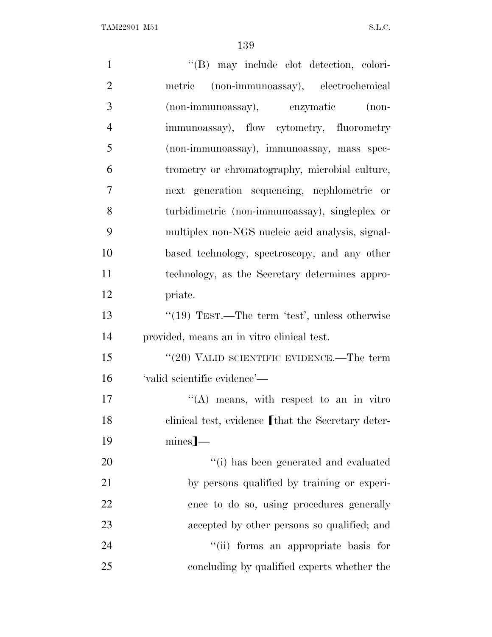| $\mathbf{1}$   | "(B) may include clot detection, colori-           |
|----------------|----------------------------------------------------|
| $\overline{2}$ | metric (non-immunoassay), electrochemical          |
| 3              | (non-immunoassay), enzymatic (non-                 |
| $\overline{4}$ | immunoassay), flow cytometry, fluorometry          |
| 5              | (non-immunoassay), immunoassay, mass spec-         |
| 6              | trometry or chromatography, microbial culture,     |
| 7              | next generation sequencing, nephlometric or        |
| 8              | turbidimetric (non-immunoassay), singleplex or     |
| 9              | multiplex non-NGS nucleic acid analysis, signal-   |
| 10             | based technology, spectroscopy, and any other      |
| 11             | technology, as the Secretary determines appro-     |
| 12             | priate.                                            |
| 13             | " $(19)$ TEST.—The term 'test', unless otherwise   |
| 14             | provided, means an in vitro clinical test.         |
| 15             | " $(20)$ VALID SCIENTIFIC EVIDENCE.—The term       |
| 16             | 'valid scientific evidence'—                       |
| 17             | "(A) means, with respect to an in vitro            |
| 18             | clinical test, evidence [that the Secretary deter- |
| 19             | $mines$ ]—                                         |
| 20             | "(i) has been generated and evaluated              |
| 21             | by persons qualified by training or experi-        |
| 22             | ence to do so, using procedures generally          |
| 23             | accepted by other persons so qualified; and        |
| 24             | "(ii) forms an appropriate basis for               |
| 25             | concluding by qualified experts whether the        |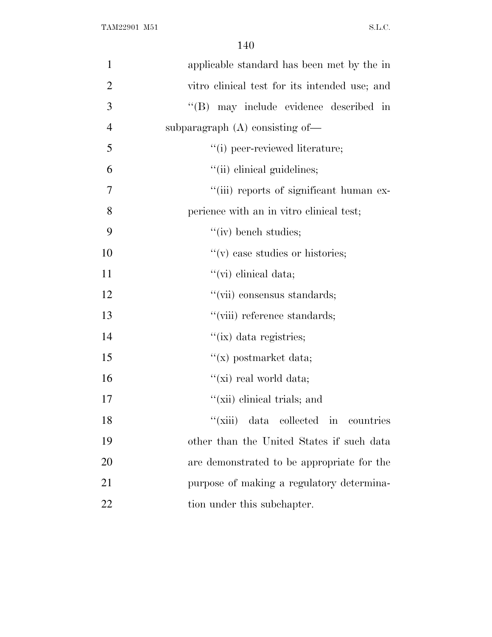| $\mathbf{1}$   | applicable standard has been met by the in    |
|----------------|-----------------------------------------------|
| $\overline{2}$ | vitro clinical test for its intended use; and |
| 3              | "(B) may include evidence described in        |
| $\overline{4}$ | subparagraph $(A)$ consisting of-             |
| 5              | "(i) peer-reviewed literature;                |
| 6              | "(ii) clinical guidelines;                    |
| 7              | "(iii) reports of significant human ex-       |
| 8              | perience with an in vitro clinical test;      |
| 9              | $``(iv)$ bench studies;                       |
| 10             | $f'(v)$ case studies or histories;            |
| 11             | $\lq\lq$ (vi) clinical data;                  |
| 12             | "(vii) consensus standards;                   |
| 13             | "(viii) reference standards;                  |
| 14             | "(ix) data registries;                        |
| 15             | $f(x)$ postmarket data;                       |
| 16             | "(xi) real world data;                        |
| 17             | "(xii) elinical trials; and                   |
| 18             | "(xiii) data collected in countries           |
| 19             | other than the United States if such data     |
| 20             | are demonstrated to be appropriate for the    |
| 21             | purpose of making a regulatory determina-     |
| 22             | tion under this subchapter.                   |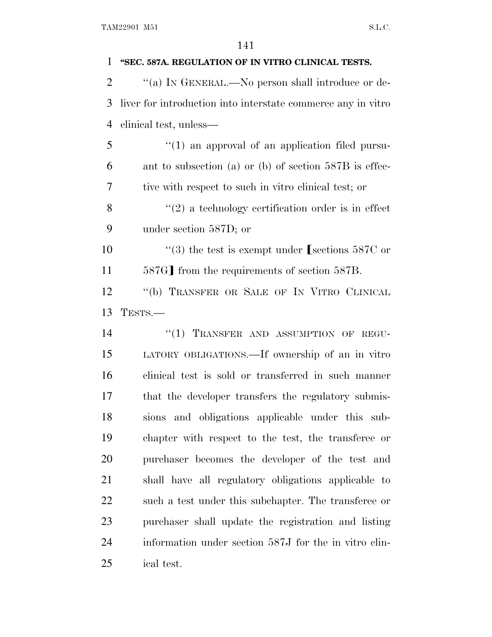| 1              | "SEC. 587A. REGULATION OF IN VITRO CLINICAL TESTS.           |
|----------------|--------------------------------------------------------------|
| $\overline{2}$ | "(a) IN GENERAL.—No person shall introduce or de-            |
| 3              | liver for introduction into interstate commerce any in vitro |
| $\overline{4}$ | clinical test, unless—                                       |
| 5              | $\lq(1)$ an approval of an application filed pursu-          |
| 6              | ant to subsection (a) or (b) of section $587B$ is effec-     |
| 7              | tive with respect to such in vitro clinical test; or         |
| 8              | $\lq(2)$ a technology certification order is in effect       |
| 9              | under section 587D; or                                       |
| 10             | "(3) the test is exempt under [sections $587C$ or            |
| 11             | 587G] from the requirements of section 587B.                 |
| 12             | "(b) TRANSFER OR SALE OF IN VITRO CLINICAL                   |
| 13             | TESTS.-                                                      |
| 14             | "(1) TRANSFER AND ASSUMPTION OF REGU-                        |
| 15             | LATORY OBLIGATIONS. If ownership of an in vitro              |
| 16             | clinical test is sold or transferred in such manner          |
| 17             | that the developer transfers the regulatory submis-          |
| 18             | sions and obligations applicable under this sub-             |
| 19             | chapter with respect to the test, the transferee or          |
| 20             | purchaser becomes the developer of the test and              |
| 21             | shall have all regulatory obligations applicable to          |
| 22             | such a test under this subchapter. The transferee or         |
| 23             | purchaser shall update the registration and listing          |
| 24             | information under section 587J for the in vitro clin-        |
| 25             | ical test.                                                   |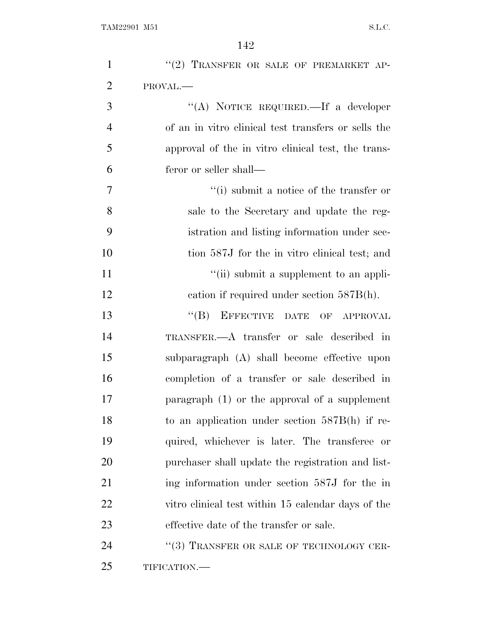| $\mathbf{1}$   | "(2) TRANSFER OR SALE OF PREMARKET AP-              |
|----------------|-----------------------------------------------------|
| $\overline{2}$ | PROVAL.                                             |
| 3              | "(A) NOTICE REQUIRED.—If a developer                |
| $\overline{4}$ | of an in vitro clinical test transfers or sells the |
| 5              | approval of the in vitro clinical test, the trans-  |
| 6              | feror or seller shall—                              |
| 7              | $\lq\lq$ submit a notice of the transfer or         |
| 8              | sale to the Secretary and update the reg-           |
| 9              | istration and listing information under sec-        |
| 10             | tion 587J for the in vitro clinical test; and       |
| 11             | "(ii) submit a supplement to an appli-              |
| 12             | cation if required under section $587B(h)$ .        |
| 13             | EFFECTIVE DATE OF APPROVAL<br>$\lq\lq (B)$          |
| 14             | TRANSFER.—A transfer or sale described in           |
| 15             | subparagraph (A) shall become effective upon        |
| 16             | completion of a transfer or sale described in       |
| 17             | paragraph $(1)$ or the approval of a supplement     |
| 18             | to an application under section $587B(h)$ if re-    |
| 19             | quired, whichever is later. The transferee or       |
| 20             | purchaser shall update the registration and list-   |
| 21             | ing information under section 587J for the in       |
| <u>22</u>      | vitro clinical test within 15 calendar days of the  |
| 23             | effective date of the transfer or sale.             |
| 24             | "(3) TRANSFER OR SALE OF TECHNOLOGY CER-            |
| 25             | TIFICATION.-                                        |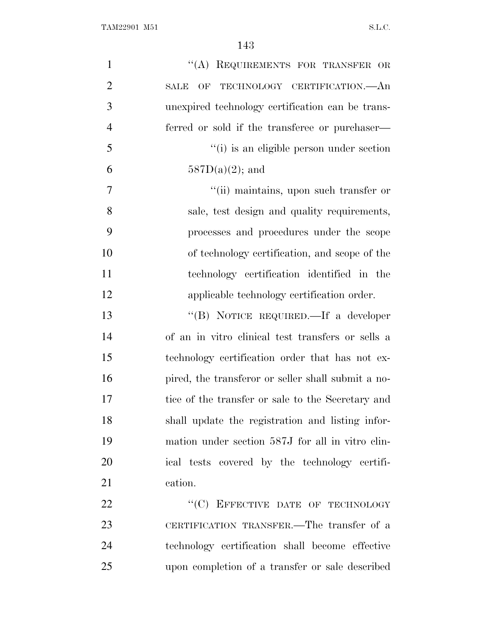| $\mathbf{1}$   | "(A) REQUIREMENTS FOR TRANSFER OR                  |
|----------------|----------------------------------------------------|
| $\overline{2}$ | OF TECHNOLOGY CERTIFICATION.—An<br><b>SALE</b>     |
| 3              | unexpired technology certification can be trans-   |
| $\overline{4}$ | ferred or sold if the transferee or purchaser—     |
| 5              | "(i) is an eligible person under section           |
| 6              | $587D(a)(2)$ ; and                                 |
| $\tau$         | "(ii) maintains, upon such transfer or             |
| 8              | sale, test design and quality requirements,        |
| 9              | processes and procedures under the scope           |
| 10             | of technology certification, and scope of the      |
| 11             | technology certification identified in the         |
| 12             | applicable technology certification order.         |
| 13             | "(B) NOTICE REQUIRED.—If a developer               |
| 14             | of an in vitro clinical test transfers or sells a  |
| 15             | technology certification order that has not ex-    |
| 16             | pired, the transferor or seller shall submit a no- |
| 17             | tice of the transfer or sale to the Secretary and  |
| 18             | shall update the registration and listing infor-   |
| 19             | mation under section 587J for all in vitro clin-   |
| 20             | ical tests covered by the technology certifi-      |
| 21             | cation.                                            |
| 22             | "(C) EFFECTIVE DATE OF TECHNOLOGY                  |
| 23             | CERTIFICATION TRANSFER.—The transfer of a          |
| 24             | technology certification shall become effective    |
| 25             | upon completion of a transfer or sale described    |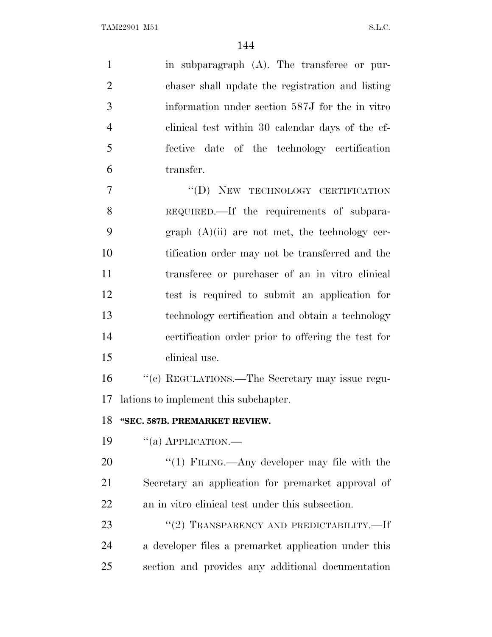in subparagraph (A). The transferee or pur- chaser shall update the registration and listing information under section 587J for the in vitro clinical test within 30 calendar days of the ef- fective date of the technology certification transfer.

7 "(D) NEW TECHNOLOGY CERTIFICATION REQUIRED.—If the requirements of subpara-9 graph  $(A)(ii)$  are not met, the technology cer- tification order may not be transferred and the transferee or purchaser of an in vitro clinical test is required to submit an application for technology certification and obtain a technology certification order prior to offering the test for clinical use.

 ''(c) REGULATIONS.—The Secretary may issue regu-lations to implement this subchapter.

## **''SEC. 587B. PREMARKET REVIEW.**

19  $\frac{1}{2}$   $\frac{1}{2}$  APPLICATION.

20 "(1) FILING.—Any developer may file with the Secretary an application for premarket approval of an in vitro clinical test under this subsection.

23 "(2) TRANSPARENCY AND PREDICTABILITY.—If a developer files a premarket application under this section and provides any additional documentation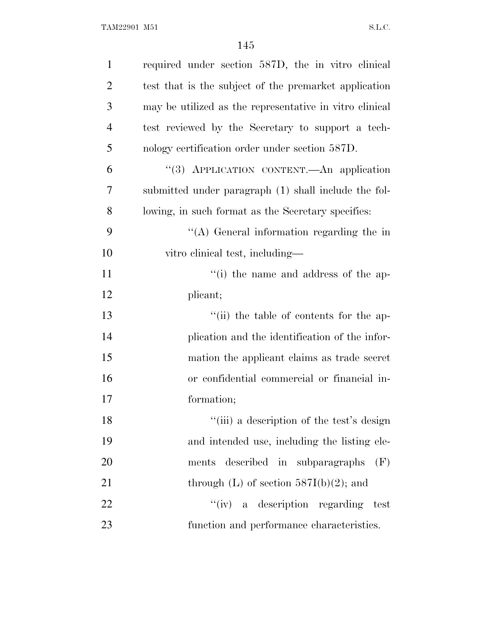| $\mathbf{1}$   | required under section 587D, the in vitro clinical      |
|----------------|---------------------------------------------------------|
| $\overline{2}$ | test that is the subject of the premarket application   |
| 3              | may be utilized as the representative in vitro clinical |
| $\overline{4}$ | test reviewed by the Secretary to support a tech-       |
| 5              | nology certification order under section 587D.          |
| 6              | "(3) APPLICATION CONTENT.—An application                |
| 7              | submitted under paragraph (1) shall include the fol-    |
| 8              | lowing, in such format as the Secretary specifies:      |
| 9              | "(A) General information regarding the in               |
| 10             | vitro clinical test, including—                         |
| 11             | "(i) the name and address of the ap-                    |
| 12             | plicant;                                                |
| 13             | "(ii) the table of contents for the ap-                 |
| 14             | plication and the identification of the infor-          |
| 15             | mation the applicant claims as trade secret             |
| 16             | or confidential commercial or financial in-             |
| 17             | formation;                                              |
| 18             | "(iii) a description of the test's design               |
| 19             | and intended use, including the listing ele-            |
| 20             | ments described in subparagraphs<br>(F)                 |
| 21             | through $(L)$ of section 587I(b)(2); and                |
| 22             | "(iv) a description regarding<br>test                   |
| 23             | function and performance characteristics.               |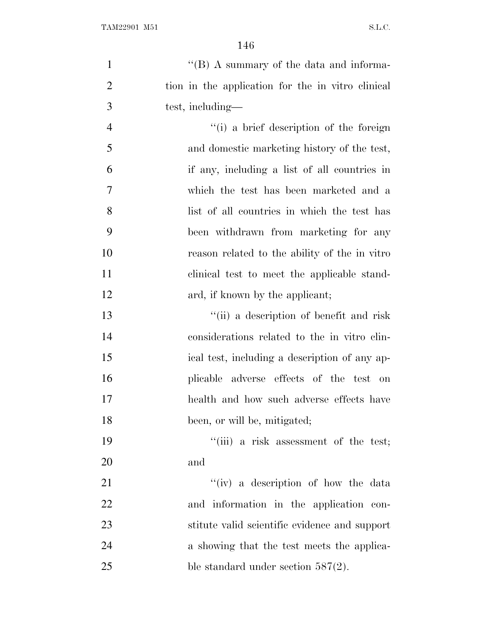| $\mathbf{1}$   | "(B) A summary of the data and informa-           |
|----------------|---------------------------------------------------|
| $\overline{2}$ | tion in the application for the in vitro clinical |
| 3              | test, including—                                  |
| $\overline{4}$ | "(i) a brief description of the foreign           |
| 5              | and domestic marketing history of the test,       |
| 6              | if any, including a list of all countries in      |
| $\overline{7}$ | which the test has been marketed and a            |
| 8              | list of all countries in which the test has       |
| 9              | been withdrawn from marketing for any             |
| 10             | reason related to the ability of the in vitro     |
| 11             | clinical test to meet the applicable stand-       |
| 12             | ard, if known by the applicant;                   |
| 13             | "(ii) a description of benefit and risk           |
| 14             | considerations related to the in vitro clin-      |
| 15             | ical test, including a description of any ap-     |
| 16             | plicable adverse effects of the test on           |
| 17             | health and how such adverse effects have          |
| 18             | been, or will be, mitigated;                      |
| 19             | "(iii) a risk assessment of the test;             |
| 20             | and                                               |
| 21             | "(iv) a description of how the data               |
| <u>22</u>      | and information in the application con-           |
| 23             | stitute valid scientific evidence and support     |
| 24             | a showing that the test meets the applica-        |
| 25             | ble standard under section $587(2)$ .             |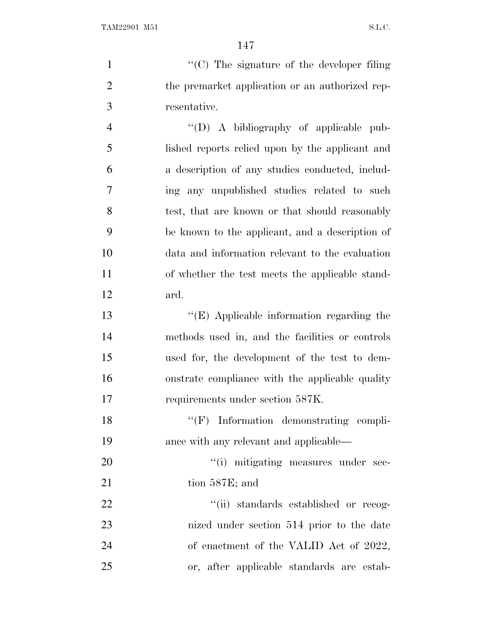$\cdot$  (C) The signature of the developer filing 2 the premarket application or an authorized rep- resentative. ''(D) A bibliography of applicable pub- lished reports relied upon by the applicant and a description of any studies conducted, includ- ing any unpublished studies related to such 8 test, that are known or that should reasonably be known to the applicant, and a description of data and information relevant to the evaluation of whether the test meets the applicable stand- ard. ''(E) Applicable information regarding the methods used in, and the facilities or controls used for, the development of the test to dem- onstrate compliance with the applicable quality requirements under section 587K. 18 ''(F) Information demonstrating compli-

 ance with any relevant and applicable— 20  $"(i)$  mitigating measures under sec-

21 tion 587E; and

 $\frac{1}{2}$   $\frac{1}{2}$   $\frac{1}{2}$  standards established or recog- nized under section 514 prior to the date 24 of enactment of the VALID Act of 2022, or, after applicable standards are estab-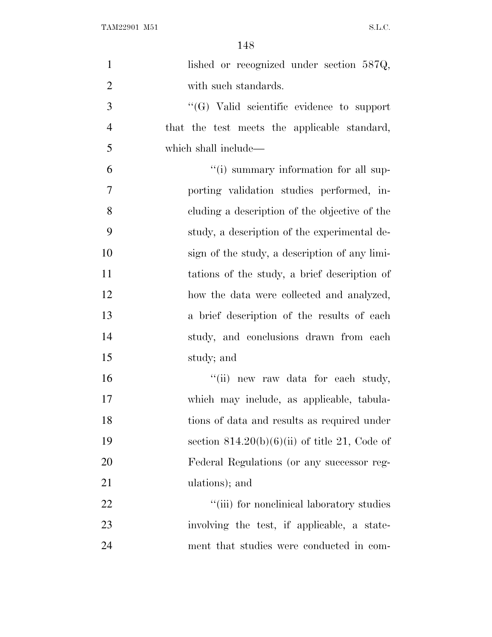| $\mathbf{1}$   | lished or recognized under section 587Q,          |
|----------------|---------------------------------------------------|
| $\overline{2}$ | with such standards.                              |
| 3              | $\lq\lq (G)$ Valid scientific evidence to support |
| $\overline{4}$ | that the test meets the applicable standard,      |
| 5              | which shall include—                              |
| 6              | "(i) summary information for all sup-             |
| $\tau$         | porting validation studies performed, in-         |
| 8              | cluding a description of the objective of the     |
| 9              | study, a description of the experimental de-      |
| 10             | sign of the study, a description of any limi-     |
| 11             | tations of the study, a brief description of      |
| 12             | how the data were collected and analyzed,         |
| 13             | a brief description of the results of each        |
| 14             | study, and conclusions drawn from each            |
| 15             | study; and                                        |
| 16             | "(ii) new raw data for each study,                |
| 17             | which may include, as applicable, tabula-         |
| 18             | tions of data and results as required under       |
| 19             | section $814.20(b)(6)(ii)$ of title 21, Code of   |
| 20             | Federal Regulations (or any successor reg-        |
| 21             | ulations); and                                    |
| 22             | "(iii) for nonelinical laboratory studies         |
| 23             | involving the test, if applicable, a state-       |
| 24             | ment that studies were conducted in com-          |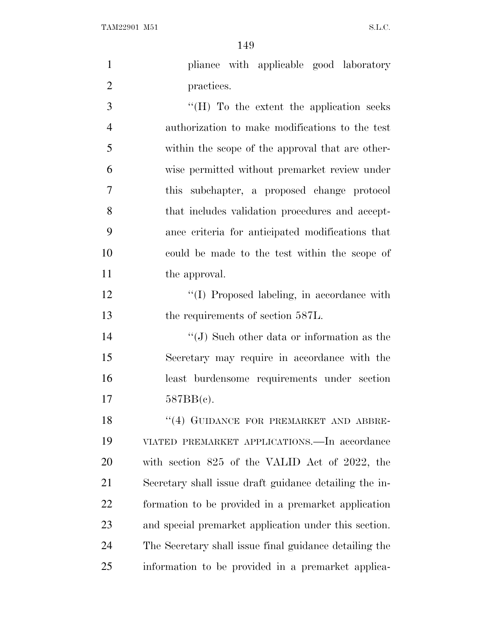| $\mathbf{1}$   | pliance with applicable good laboratory                |
|----------------|--------------------------------------------------------|
| $\overline{2}$ | practices.                                             |
| 3              | "(H) To the extent the application seeks               |
| $\overline{4}$ | authorization to make modifications to the test        |
| 5              | within the scope of the approval that are other-       |
| 6              | wise permitted without premarket review under          |
| 7              | this subchapter, a proposed change protocol            |
| 8              | that includes validation procedures and accept-        |
| 9              | ance criteria for anticipated modifications that       |
| 10             | could be made to the test within the scope of          |
| 11             | the approval.                                          |
| 12             | "(I) Proposed labeling, in accordance with             |
| 13             | the requirements of section 587L.                      |
| 14             | "(J) Such other data or information as the             |
| 15             | Secretary may require in accordance with the           |
| 16             | least burdensome requirements under section            |
| 17             | 587BB(c).                                              |
| 18             | "(4) GUIDANCE FOR PREMARKET AND ABBRE-                 |
| 19             | VIATED PREMARKET APPLICATIONS.—In accordance           |
| 20             | with section 825 of the VALID Act of 2022, the         |
| 21             | Secretary shall issue draft guidance detailing the in- |
| 22             | formation to be provided in a premarket application    |
| 23             | and special premarket application under this section.  |
| 24             | The Secretary shall issue final guidance detailing the |

information to be provided in a premarket applica-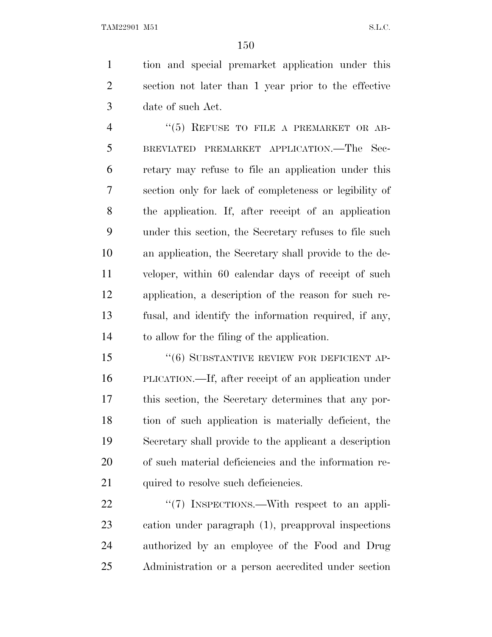tion and special premarket application under this section not later than 1 year prior to the effective date of such Act.

4 "(5) REFUSE TO FILE A PREMARKET OR AB- BREVIATED PREMARKET APPLICATION.—The Sec- retary may refuse to file an application under this section only for lack of completeness or legibility of the application. If, after receipt of an application under this section, the Secretary refuses to file such an application, the Secretary shall provide to the de- veloper, within 60 calendar days of receipt of such application, a description of the reason for such re- fusal, and identify the information required, if any, to allow for the filing of the application.

15 "(6) SUBSTANTIVE REVIEW FOR DEFICIENT AP- PLICATION.—If, after receipt of an application under this section, the Secretary determines that any por- tion of such application is materially deficient, the Secretary shall provide to the applicant a description of such material deficiencies and the information re-21 quired to resolve such deficiencies.

22 "(7) INSPECTIONS.—With respect to an appli- cation under paragraph (1), preapproval inspections authorized by an employee of the Food and Drug Administration or a person accredited under section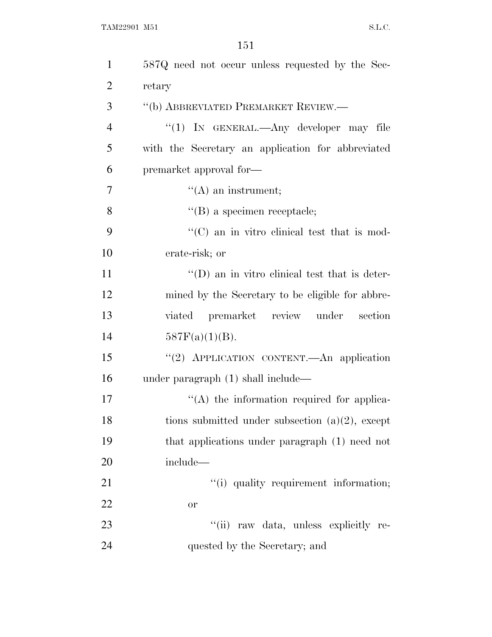| $\mathbf{1}$   | 587Q need not occur unless requested by the Sec-      |
|----------------|-------------------------------------------------------|
| $\overline{2}$ | retary                                                |
| 3              | "(b) ABBREVIATED PREMARKET REVIEW.-                   |
| 4              | "(1) IN GENERAL.—Any developer may file               |
| 5              | with the Secretary an application for abbreviated     |
| 6              | premarket approval for-                               |
| 7              | $\lq\lq$ (A) an instrument;                           |
| 8              | $\lq\lq$ (B) a specimen receptacle;                   |
| 9              | $\lq\lq$ (C) an in vitro clinical test that is mod-   |
| 10             | erate-risk; or                                        |
| 11             | $\lq\lq$ (D) an in vitro clinical test that is deter- |
| 12             | mined by the Secretary to be eligible for abbre-      |
| 13             | viated premarket review under<br>section              |
| 14             | $587F(a)(1)(B)$ .                                     |
| 15             | "(2) APPLICATION CONTENT.—An application              |
| 16             | under paragraph $(1)$ shall include—                  |
| 17             | $\lq\lq$ the information required for applica-        |
| 18             | tions submitted under subsection $(a)(2)$ , except    |
| 19             | that applications under paragraph (1) need not        |
| 20             | include—                                              |
| 21             | "(i) quality requirement information;                 |
| 22             | or                                                    |
|                |                                                       |
| 23             | "(ii) raw data, unless explicitly re-                 |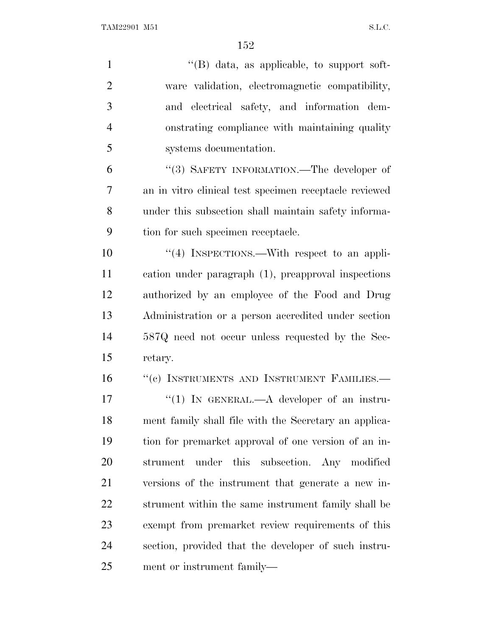| $\mathbf{1}$   | $\lq\lq (B)$ data, as applicable, to support soft-     |
|----------------|--------------------------------------------------------|
| $\overline{2}$ | ware validation, electromagnetic compatibility,        |
| 3              | and electrical safety, and information dem-            |
| $\overline{4}$ | onstrating compliance with maintaining quality         |
| 5              | systems documentation.                                 |
| 6              | "(3) SAFETY INFORMATION.—The developer of              |
| 7              | an in vitro clinical test specimen receptacle reviewed |
| 8              | under this subsection shall maintain safety informa-   |
| 9              | tion for such specimen receptacle.                     |
| 10             | "(4) INSPECTIONS.—With respect to an appli-            |
| 11             | cation under paragraph (1), preapproval inspections    |
| 12             | authorized by an employee of the Food and Drug         |
| 13             | Administration or a person accredited under section    |
| 14             | 587Q need not occur unless requested by the Sec-       |
| 15             | retary.                                                |
| 16             | "(c) INSTRUMENTS AND INSTRUMENT FAMILIES.-             |
| 17             | "(1) IN GENERAL.—A developer of an instru-             |
| 18             | ment family shall file with the Secretary an applica-  |
| 19             | tion for premarket approval of one version of an in-   |
| 20             | under this<br>subsection. Any modified<br>strument     |
| 21             | versions of the instrument that generate a new in-     |
| 22             | strument within the same instrument family shall be    |
| 23             | exempt from premarket review requirements of this      |
| 24             | section, provided that the developer of such instru-   |
| 25             | ment or instrument family—                             |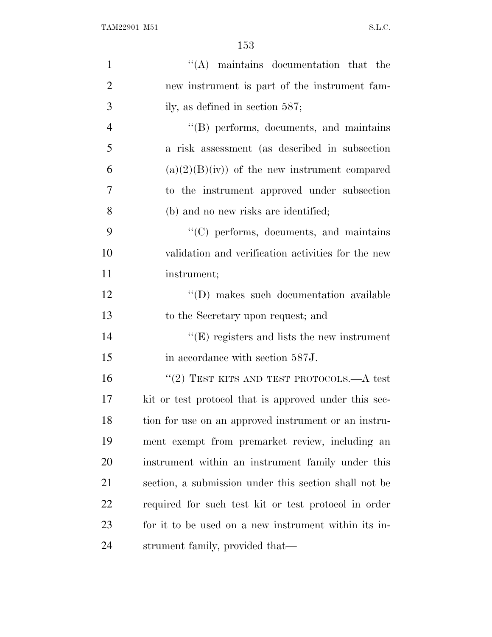| $\mathbf{1}$   | $\lq\lq$ maintains documentation that the             |
|----------------|-------------------------------------------------------|
| $\overline{2}$ | new instrument is part of the instrument fam-         |
| 3              | ily, as defined in section $587$ ;                    |
| $\overline{4}$ | $\lq\lq$ performs, documents, and maintains           |
| 5              | a risk assessment (as described in subsection         |
| 6              | $(a)(2)(B)(iv)$ of the new instrument compared        |
| $\overline{7}$ | to the instrument approved under subsection           |
| 8              | (b) and no new risks are identified;                  |
| 9              | "(C) performs, documents, and maintains               |
| 10             | validation and verification activities for the new    |
| 11             | instrument;                                           |
| 12             | "(D) makes such documentation available               |
| 13             | to the Secretary upon request; and                    |
| 14             | $\lq\lq(E)$ registers and lists the new instrument    |
| 15             | in accordance with section 587J.                      |
| 16             | "(2) TEST KITS AND TEST PROTOCOLS.— $A$ test          |
| 17             | kit or test protocol that is approved under this sec- |
| 18             | tion for use on an approved instrument or an instru-  |
| 19             | ment exempt from premarket review, including an       |
| 20             | instrument within an instrument family under this     |
| 21             | section, a submission under this section shall not be |
| 22             | required for such test kit or test protocol in order  |
| 23             | for it to be used on a new instrument within its in-  |
| 24             | strument family, provided that—                       |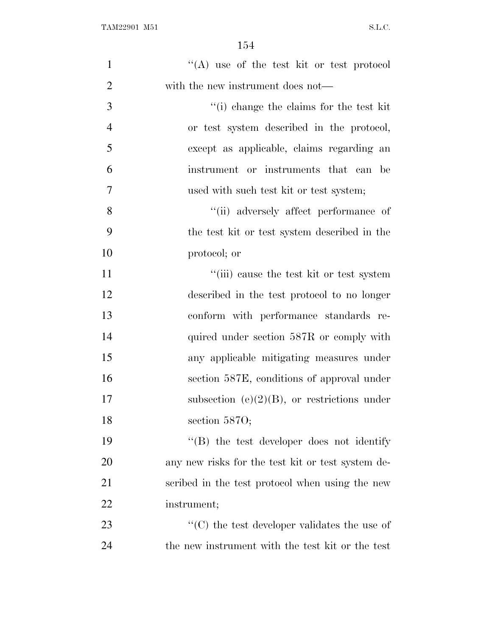| $\mathbf{1}$   | "(A) use of the test kit or test protocol                         |
|----------------|-------------------------------------------------------------------|
| $\mathbf{2}$   | with the new instrument does not—                                 |
| $\mathfrak{Z}$ | "(i) change the claims for the test kit                           |
| $\overline{4}$ | or test system described in the protocol,                         |
| 5              | except as applicable, claims regarding an                         |
| 6              | instrument or instruments that can be                             |
| $\overline{7}$ | used with such test kit or test system;                           |
| 8              | "(ii) adversely affect performance of                             |
| 9              | the test kit or test system described in the                      |
| 10             | protocol; or                                                      |
| 11             | "(iii) cause the test kit or test system                          |
| 12             | described in the test protocol to no longer                       |
| 13             | conform with performance standards re-                            |
| 14             | quired under section 587R or comply with                          |
| 15             | any applicable mitigating measures under                          |
| 16             | section 587E, conditions of approval under                        |
| 17             | subsection (e) $(2)(B)$ , or restrictions under                   |
| 18             | section $5870$ ;                                                  |
| 19             | $\cdot$ (B) the test developer does not identify                  |
| 20             | any new risks for the test kit or test system de-                 |
| 21             | scribed in the test protocol when using the new                   |
| 22             | instrument;                                                       |
| 23             | $\lq\lq$ <sup>*</sup> (C) the test developer validates the use of |
| 24             | the new instrument with the test kit or the test                  |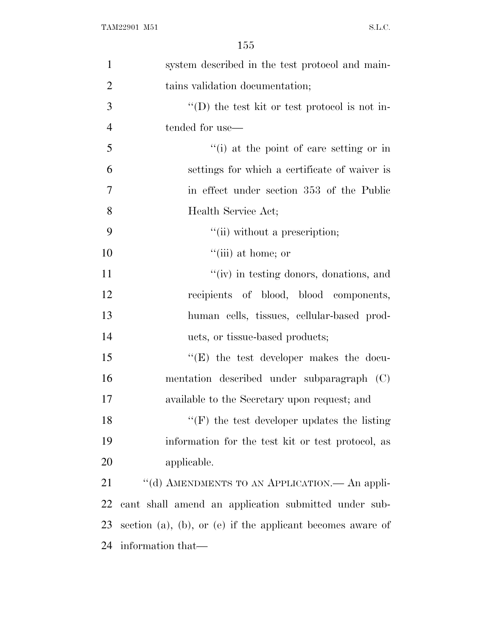| $\mathbf{1}$   | system described in the test protocol and main-            |
|----------------|------------------------------------------------------------|
| $\overline{2}$ | tains validation documentation;                            |
| 3              | $\lq\lq$ the test kit or test protocol is not in-          |
| $\overline{4}$ | tended for use—                                            |
| 5              | "(i) at the point of care setting or in                    |
| 6              | settings for which a certificate of waiver is              |
| 7              | in effect under section 353 of the Public                  |
| 8              | Health Service Act;                                        |
| 9              | "(ii) without a prescription;                              |
| 10             | "(iii) at home; or                                         |
| 11             | "(iv) in testing donors, donations, and                    |
| 12             | recipients of blood, blood components,                     |
| 13             | human cells, tissues, cellular-based prod-                 |
| 14             | ucts, or tissue-based products;                            |
| 15             | $\lq\lq(E)$ the test developer makes the docu-             |
| 16             | mentation described under subparagraph (C)                 |
| 17             | available to the Secretary upon request; and               |
| 18             | $f'(F)$ the test developer updates the listing             |
| 19             | information for the test kit or test protocol, as          |
| 20             | applicable.                                                |
| 21             | "(d) AMENDMENTS TO AN APPLICATION. - An appli-             |
| 22             | cant shall amend an application submitted under sub-       |
| 23             | section (a), (b), or (e) if the applicant becomes aware of |
| 24             | information that—                                          |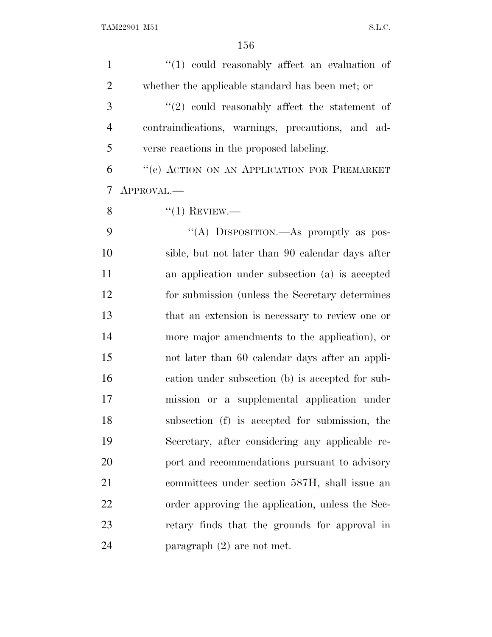| $\mathbf{1}$   | $\lq(1)$ could reasonably affect an evaluation of |
|----------------|---------------------------------------------------|
| $\overline{2}$ | whether the applicable standard has been met; or  |
| 3              | $\lq(2)$ could reasonably affect the statement of |
| $\overline{4}$ | contraindications, warnings, precautions, and ad- |
| 5              | verse reactions in the proposed labeling.         |
| 6              | "(e) ACTION ON AN APPLICATION FOR PREMARKET       |
| 7              | APPROVAL.—                                        |
| 8              | $``(1)$ REVIEW.—                                  |
| 9              | "(A) DISPOSITION.—As promptly as pos-             |
| 10             | sible, but not later than 90 calendar days after  |
| 11             | an application under subsection (a) is accepted   |
| 12             | for submission (unless the Secretary determines)  |
| 13             | that an extension is necessary to review one or   |
| 14             | more major amendments to the application), or     |
| 15             | not later than 60 calendar days after an appli-   |
| 16             | cation under subsection (b) is accepted for sub-  |
| 17             | mission or a supplemental application under       |
| 18             | subsection (f) is accepted for submission, the    |
| 19             | Secretary, after considering any applicable re-   |
| 20             | port and recommendations pursuant to advisory     |
| 21             | committees under section 587H, shall issue an     |
| 22             | order approving the application, unless the Sec-  |
| 23             | retary finds that the grounds for approval in     |
| 24             | paragraph $(2)$ are not met.                      |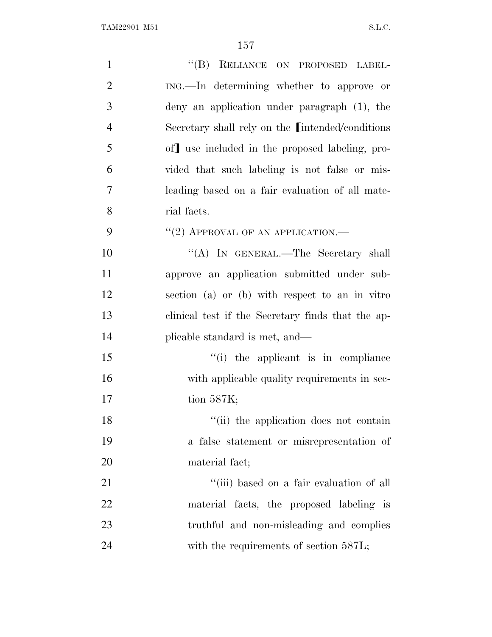| $\mathbf{1}$   | "(B) RELIANCE ON PROPOSED LABEL-                          |
|----------------|-----------------------------------------------------------|
| $\overline{2}$ | ING.—In determining whether to approve or                 |
| 3              | deny an application under paragraph (1), the              |
| $\overline{4}$ | Secretary shall rely on the <i>[intended/conditions</i> ] |
| 5              | of use included in the proposed labeling, pro-            |
| 6              | vided that such labeling is not false or mis-             |
| 7              | leading based on a fair evaluation of all mate-           |
| 8              | rial facts.                                               |
| 9              | "(2) APPROVAL OF AN APPLICATION.—                         |
| 10             | "(A) IN GENERAL.—The Secretary shall                      |
| 11             | approve an application submitted under sub-               |
| 12             | section (a) or (b) with respect to an in vitro            |
| 13             | clinical test if the Secretary finds that the ap-         |
| 14             | plicable standard is met, and—                            |
| 15             | "(i) the applicant is in compliance                       |
| 16             | with applicable quality requirements in sec-              |
| 17             | tion $587K$ ;                                             |
| 18             | "(ii) the application does not contain                    |
| 19             | a false statement or misrepresentation of                 |
| 20             | material fact;                                            |
| 21             | "(iii) based on a fair evaluation of all                  |
| 22             | material facts, the proposed labeling is                  |
| 23             | truthful and non-misleading and complies                  |
| 24             | with the requirements of section 587L;                    |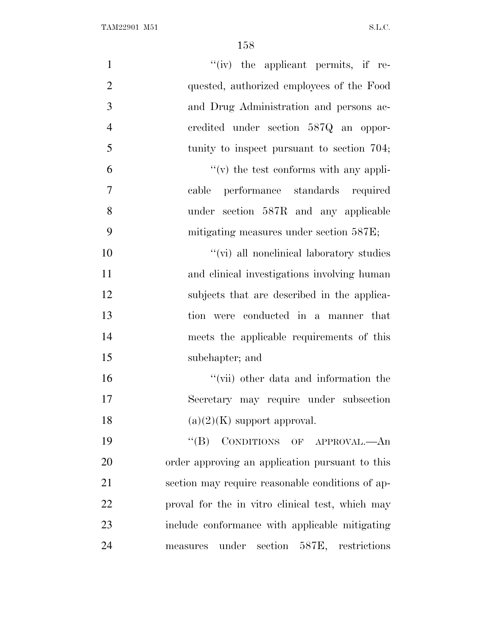| $\mathbf{1}$   | $``(iv)$ the applicant permits, if re-           |
|----------------|--------------------------------------------------|
| $\overline{2}$ | quested, authorized employees of the Food        |
| 3              | and Drug Administration and persons ac-          |
| $\overline{4}$ | credited under section 587Q an oppor-            |
| 5              | tunity to inspect pursuant to section 704;       |
| 6              | $f'(v)$ the test conforms with any appli-        |
| $\tau$         | performance standards required<br>cable          |
| 8              | under section 587R and any applicable            |
| 9              | mitigating measures under section 587E;          |
| 10             | "(vi) all nonelinical laboratory studies         |
| 11             | and clinical investigations involving human      |
| 12             | subjects that are described in the applica-      |
| 13             | tion were conducted in a manner that             |
| 14             | meets the applicable requirements of this        |
| 15             | subchapter; and                                  |
| 16             | "(vii) other data and information the            |
| 17             | Secretary may require under subsection           |
| 18             | $(a)(2)(K)$ support approval.                    |
| 19             | "(B) CONDITIONS OF APPROVAL.—An                  |
| 20             | order approving an application pursuant to this  |
| 21             | section may require reasonable conditions of ap- |
| 22             | proval for the in vitro clinical test, which may |
| 23             | include conformance with applicable mitigating   |
| 24             | section 587E, restrictions<br>measures under     |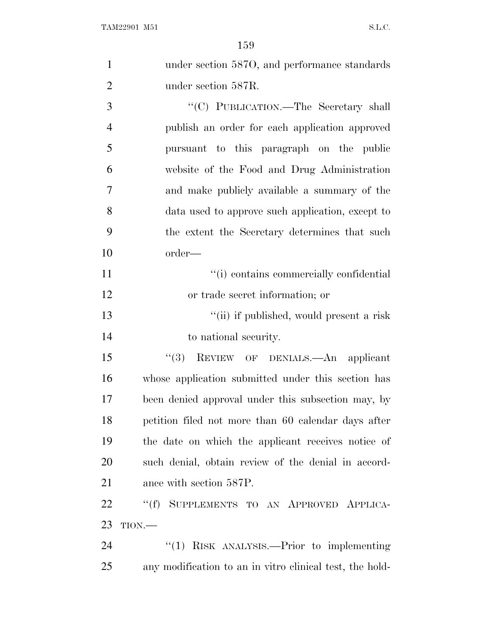|                | 159                                                 |
|----------------|-----------------------------------------------------|
| $\mathbf{1}$   | under section 5870, and performance standards       |
| $\overline{2}$ | under section 587R.                                 |
| 3              | "(C) PUBLICATION.—The Secretary shall               |
| $\overline{4}$ | publish an order for each application approved      |
| 5              | pursuant to this paragraph on the public            |
| 6              | website of the Food and Drug Administration         |
| $\tau$         | and make publicly available a summary of the        |
| 8              | data used to approve such application, except to    |
| 9              | the extent the Secretary determines that such       |
| 10             | order—                                              |
| 11             | "(i) contains commercially confidential             |
| 12             | or trade secret information; or                     |
| 13             | "(ii) if published, would present a risk            |
| 14             | to national security.                               |
| 15             | "(3) REVIEW OF DENIALS.—An applicant                |
| 16             | whose application submitted under this section has  |
| 17             | been denied approval under this subsection may, by  |
| 18             | petition filed not more than 60 calendar days after |
| 19             | the date on which the applicant receives notice of  |
| 20             | such denial, obtain review of the denial in accord- |
| 21             | ance with section 587P.                             |
|                |                                                     |

 ''(f) SUPPLEMENTS TO AN APPROVED APPLICA-TION.—

24 ''(1) RISK ANALYSIS.—Prior to implementing any modification to an in vitro clinical test, the hold-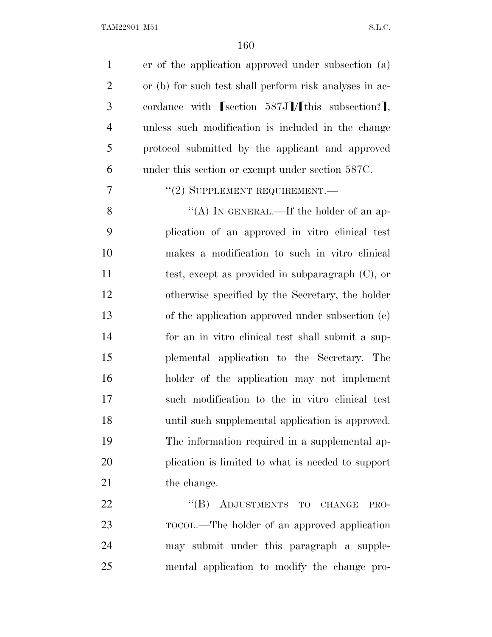| $\mathbf{1}$   | er of the application approved under subsection (a)     |
|----------------|---------------------------------------------------------|
| $\overline{2}$ | or (b) for such test shall perform risk analyses in ac- |
| 3              | cordance with $[section 587J]/[this subsection?],$      |
| $\overline{4}$ | unless such modification is included in the change      |
| 5              | protocol submitted by the applicant and approved        |
| 6              | under this section or exempt under section 587C.        |
| 7              | "(2) SUPPLEMENT REQUIREMENT.—                           |
| 8              | "(A) IN GENERAL.—If the holder of an ap-                |
| 9              | plication of an approved in vitro clinical test         |
| 10             | makes a modification to such in vitro clinical          |
| 11             | test, except as provided in subparagraph $(C)$ , or     |
| 12             | otherwise specified by the Secretary, the holder        |
| 13             | of the application approved under subsection (e)        |
| 14             | for an in vitro clinical test shall submit a sup-       |
| 15             | plemental application to the Secretary. The             |
| 16             | holder of the application may not implement             |
| 17             | such modification to the in vitro clinical test         |
| 18             | until such supplemental application is approved.        |
| 19             | The information required in a supplemental ap-          |
| 20             | plication is limited to what is needed to support       |
| 21             | the change.                                             |
| 22             | "(B) ADJUSTMENTS TO CHANGE<br>PRO-                      |
| 23             | TOCOL.—The holder of an approved application            |
| 24             | may submit under this paragraph a supple-               |
| 25             | mental application to modify the change pro-            |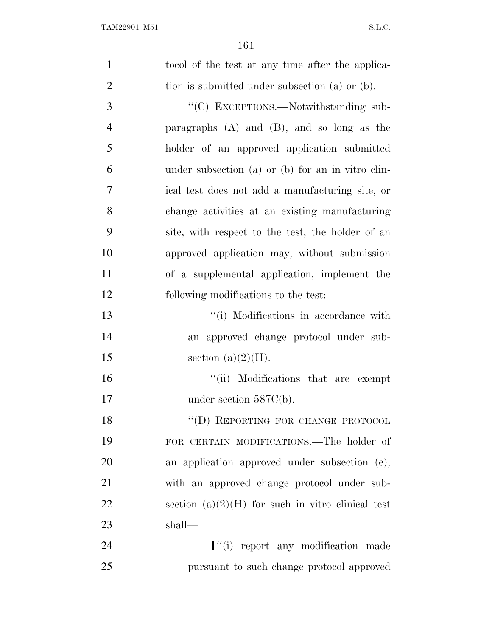| $\mathbf{1}$   | to color the test at any time after the applica-    |
|----------------|-----------------------------------------------------|
| $\overline{2}$ | tion is submitted under subsection (a) or (b).      |
| 3              | "(C) EXCEPTIONS.—Notwithstanding sub-               |
| $\overline{4}$ | paragraphs $(A)$ and $(B)$ , and so long as the     |
| 5              | holder of an approved application submitted         |
| 6              | under subsection (a) or (b) for an in vitro clin-   |
| 7              | ical test does not add a manufacturing site, or     |
| 8              | change activities at an existing manufacturing      |
| 9              | site, with respect to the test, the holder of an    |
| 10             | approved application may, without submission        |
| 11             | of a supplemental application, implement the        |
| 12             | following modifications to the test:                |
| 13             | "(i) Modifications in accordance with               |
| 14             | an approved change protocol under sub-              |
| 15             | section $(a)(2)(H)$ .                               |
| 16             | "(ii) Modifications that are exempt                 |
| 17             | under section $587C(b)$ .                           |
| 18             | "(D) REPORTING FOR CHANGE PROTOCOL                  |
| 19             | FOR CERTAIN MODIFICATIONS.—The holder of            |
| 20             | an application approved under subsection (e),       |
| 21             | with an approved change protocol under sub-         |
| 22             | section $(a)(2)(H)$ for such in vitro clinical test |
| 23             | shall—                                              |
| 24             | $\lbrack$ "(i) report any modification made         |
| 25             | pursuant to such change protocol approved           |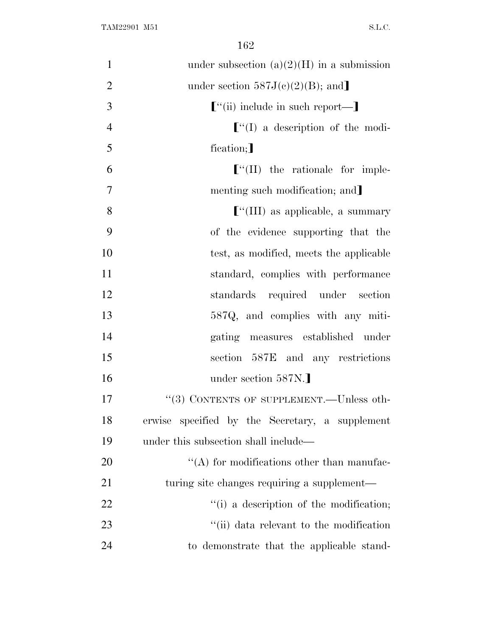| $\mathbf{1}$   | under subsection $(a)(2)(H)$ in a submission    |
|----------------|-------------------------------------------------|
| $\overline{2}$ | under section $587J(c)(2)(B)$ ; and             |
| 3              | $\lbrack$ "(ii) include in such report—         |
| $\overline{4}$ | $\lbrack$ (I) a description of the modi-        |
| 5              | fication;                                       |
| 6              | $\lbrack$ "(II) the rationale for imple-        |
| $\overline{7}$ | menting such modification; and                  |
| 8              | $\lbrack$ "(III) as applicable, a summary       |
| 9              | of the evidence supporting that the             |
| 10             | test, as modified, meets the applicable         |
| 11             | standard, complies with performance             |
| 12             | standards required under section                |
| 13             | 587Q, and complies with any miti-               |
| 14             | gating measures established under               |
| 15             | section 587E and any restrictions               |
| 16             | under section 587N.]                            |
| 17             | "(3) CONTENTS OF SUPPLEMENT.—Unless oth-        |
| 18             | erwise specified by the Secretary, a supplement |
| 19             | under this subsection shall include—            |
| 20             | $\lq\lq$ for modifications other than manufac-  |
| 21             | turing site changes requiring a supplement—     |
| 22             | "(i) a description of the modification;         |
| 23             | "(ii) data relevant to the modification         |
| 24             | to demonstrate that the applicable stand-       |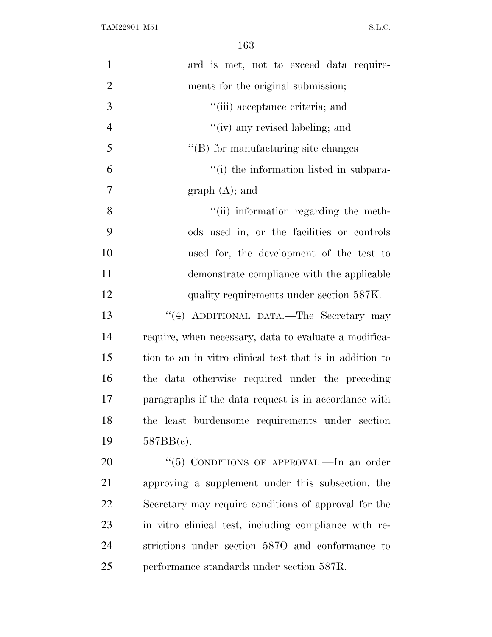| $\mathbf{1}$   | ard is met, not to exceed data require-                  |
|----------------|----------------------------------------------------------|
| $\overline{2}$ | ments for the original submission;                       |
| 3              | "(iii) acceptance criteria; and                          |
| $\overline{4}$ | "(iv) any revised labeling; and                          |
| 5              | $\lq\lq$ for manufacturing site changes—                 |
| 6              | "(i) the information listed in subpara-                  |
| 7              | graph (A); and                                           |
| 8              | "(ii) information regarding the meth-                    |
| 9              | ods used in, or the facilities or controls               |
| 10             | used for, the development of the test to                 |
| 11             | demonstrate compliance with the applicable               |
| 12             | quality requirements under section 587K.                 |
| 13             | "(4) ADDITIONAL DATA.—The Secretary may                  |
| 14             | require, when necessary, data to evaluate a modifica-    |
| 15             | tion to an in vitro clinical test that is in addition to |
| 16             | the data otherwise required under the preceding          |
| 17             | paragraphs if the data request is in accordance with     |
| 18             | the least burdensome requirements under section          |
| 19             | 587BB(c).                                                |
| 20             | "(5) CONDITIONS OF APPROVAL.—In an order                 |
| 21             | approving a supplement under this subsection, the        |
| 22             | Secretary may require conditions of approval for the     |
| 23             | in vitro clinical test, including compliance with re-    |
| 24             | strictions under section 5870 and conformance to         |
| 25             | performance standards under section 587R.                |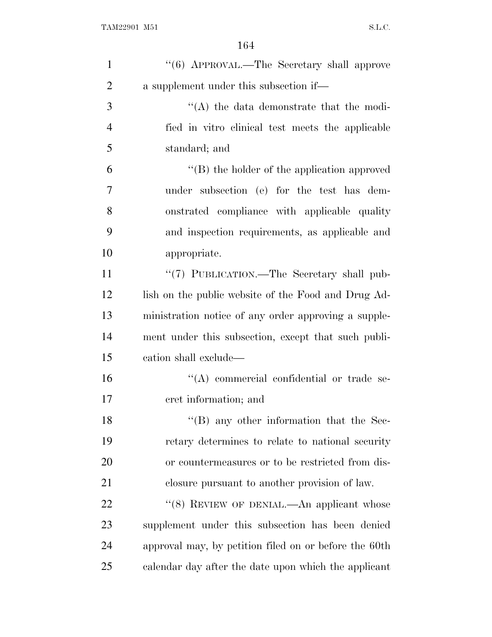| $\mathbf{1}$   | "(6) APPROVAL.—The Secretary shall approve            |
|----------------|-------------------------------------------------------|
| $\overline{2}$ | a supplement under this subsection if—                |
| 3              | $\lq\lq$ the data demonstrate that the modi-          |
| $\overline{4}$ | fied in vitro clinical test meets the applicable      |
| 5              | standard; and                                         |
| 6              | $\lq\lq (B)$ the holder of the application approved   |
| 7              | under subsection (e) for the test has dem-            |
| 8              | onstrated compliance with applicable quality          |
| 9              | and inspection requirements, as applicable and        |
| 10             | appropriate.                                          |
| 11             | "(7) PUBLICATION.—The Secretary shall pub-            |
| 12             | lish on the public website of the Food and Drug Ad-   |
| 13             | ministration notice of any order approving a supple-  |
| 14             | ment under this subsection, except that such publi-   |
| 15             | cation shall exclude—                                 |
| 16             | "(A) commercial confidential or trade se-             |
| 17             | cret information; and                                 |
| 18             | $\lq\lq$ (B) any other information that the Sec-      |
| 19             | retary determines to relate to national security      |
| 20             | or countermeasures or to be restricted from dis-      |
| 21             | closure pursuant to another provision of law.         |
| 22             | "(8) REVIEW OF DENIAL.—An applicant whose             |
| 23             | supplement under this subsection has been denied      |
| 24             | approval may, by petition filed on or before the 60th |
| 25             | calendar day after the date upon which the applicant  |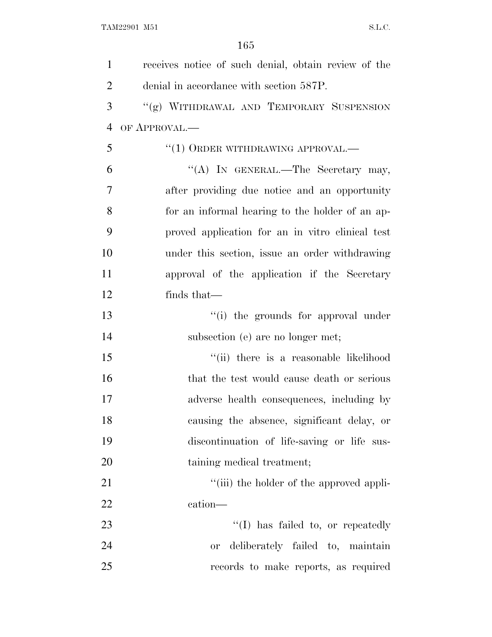| $\mathbf{1}$   | receives notice of such denial, obtain review of the |
|----------------|------------------------------------------------------|
| $\overline{2}$ | denial in accordance with section 587P.              |
| 3              | "(g) WITHDRAWAL AND TEMPORARY SUSPENSION             |
| 4              | OF APPROVAL.—                                        |
| 5              | "(1) ORDER WITHDRAWING APPROVAL.—                    |
| 6              | "(A) IN GENERAL.—The Secretary may,                  |
| 7              | after providing due notice and an opportunity        |
| 8              | for an informal hearing to the holder of an ap-      |
| 9              | proved application for an in vitro clinical test     |
| 10             | under this section, issue an order withdrawing       |
| 11             | approval of the application if the Secretary         |
| 12             | finds that—                                          |
| 13             | "(i) the grounds for approval under                  |
| 14             | subsection (e) are no longer met;                    |
| 15             | "(ii) there is a reasonable likelihood               |
| 16             | that the test would cause death or serious           |
| 17             | adverse health consequences, including by            |
| 18             | causing the absence, significant delay, or           |
| 19             | discontinuation of life-saving or life sus-          |
| 20             | taining medical treatment;                           |
| 21             | "(iii) the holder of the approved appli-             |
| 22             | cation—                                              |
| 23             | "(I) has failed to, or repeatedly                    |
| 24             | deliberately failed to, maintain<br><b>or</b>        |
| 25             | records to make reports, as required                 |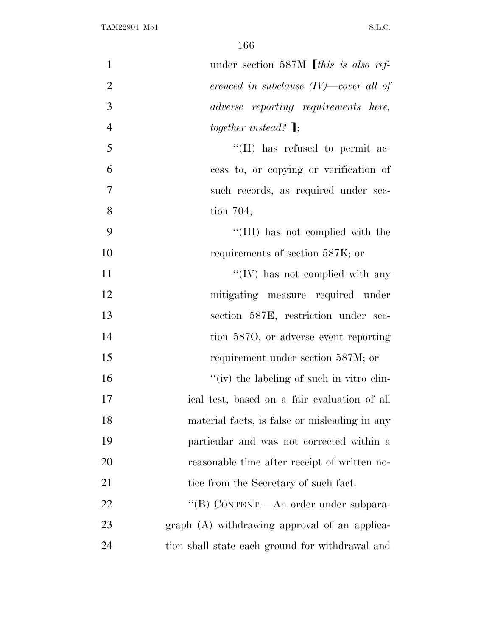| $\mathbf{1}$   | under section 587M [this is also ref-           |
|----------------|-------------------------------------------------|
| $\overline{2}$ | erenced in subclause $(IV)$ —cover all of       |
| 3              | adverse reporting requirements here,            |
| $\overline{4}$ | together instead? $\mathbf{I}$ ;                |
| 5              | "(II) has refused to permit ac-                 |
| 6              | cess to, or copying or verification of          |
| $\overline{7}$ | such records, as required under sec-            |
| 8              | tion $704$ ;                                    |
| 9              | "(III) has not complied with the                |
| 10             | requirements of section 587K; or                |
| 11             | "(IV) has not complied with any                 |
| 12             | mitigating measure required under               |
| 13             | section 587E, restriction under sec-            |
| 14             | tion 5870, or adverse event reporting           |
| 15             | requirement under section 587M; or              |
| 16             | "(iv) the labeling of such in vitro clin-       |
| 17             | ical test, based on a fair evaluation of all    |
| 18             | material facts, is false or misleading in any   |
| 19             | particular and was not corrected within a       |
| 20             | reasonable time after receipt of written no-    |
| 21             | tice from the Secretary of such fact.           |
| 22             | "(B) CONTENT.—An order under subpara-           |
| 23             | graph (A) withdrawing approval of an applica-   |
| 24             | tion shall state each ground for withdrawal and |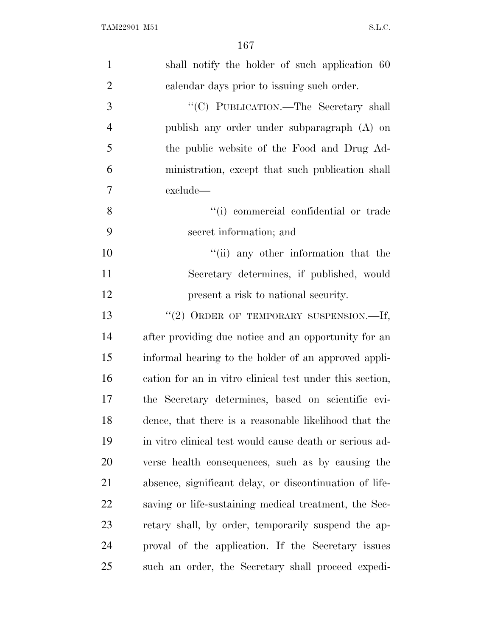| $\mathbf{1}$   | shall notify the holder of such application 60           |
|----------------|----------------------------------------------------------|
| $\overline{2}$ | calendar days prior to issuing such order.               |
| 3              | "(C) PUBLICATION.—The Secretary shall                    |
| $\overline{4}$ | publish any order under subparagraph (A) on              |
| 5              | the public website of the Food and Drug Ad-              |
| 6              | ministration, except that such publication shall         |
| 7              | exclude—                                                 |
| 8              | "(i) commercial confidential or trade                    |
| 9              | secret information; and                                  |
| 10             | "(ii) any other information that the                     |
| 11             | Secretary determines, if published, would                |
| 12             | present a risk to national security.                     |
| 13             | "(2) ORDER OF TEMPORARY SUSPENSION.--If,                 |
| 14             | after providing due notice and an opportunity for an     |
| 15             | informal hearing to the holder of an approved appli-     |
| 16             | cation for an in vitro clinical test under this section, |
| 17             | the Secretary determines, based on scientific evi-       |
| 18             | dence, that there is a reasonable likelihood that the    |
| 19             | in vitro clinical test would cause death or serious ad-  |
| 20             | verse health consequences, such as by causing the        |
| 21             | absence, significant delay, or discontinuation of life-  |
| 22             | saving or life-sustaining medical treatment, the Sec-    |
| 23             | retary shall, by order, temporarily suspend the ap-      |
| 24             | proval of the application. If the Secretary issues       |
| 25             | such an order, the Secretary shall proceed expedi-       |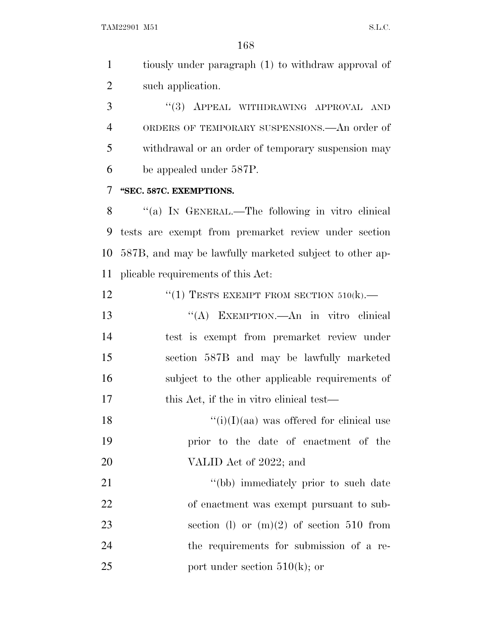tiously under paragraph (1) to withdraw approval of such application.

3 "(3) APPEAL WITHDRAWING APPROVAL AND ORDERS OF TEMPORARY SUSPENSIONS.—An order of withdrawal or an order of temporary suspension may be appealed under 587P.

## **''SEC. 587C. EXEMPTIONS.**

 ''(a) I<sup>N</sup> GENERAL.—The following in vitro clinical tests are exempt from premarket review under section 587B, and may be lawfully marketed subject to other ap-plicable requirements of this Act:

12  $(1)$  TESTS EXEMPT FROM SECTION  $510(k)$ .

 ''(A) EXEMPTION.—An in vitro clinical test is exempt from premarket review under section 587B and may be lawfully marketed subject to the other applicable requirements of 17 this Act, if the in vitro clinical test—

18  $"(i)(I)(aa)$  was offered for clinical use prior to the date of enactment of the 20 VALID Act of 2022; and

21 ''(bb) immediately prior to such date of enactment was exempt pursuant to sub-23 section (l) or  $(m)(2)$  of section 510 from the requirements for submission of a re-25 port under section  $510(k)$ ; or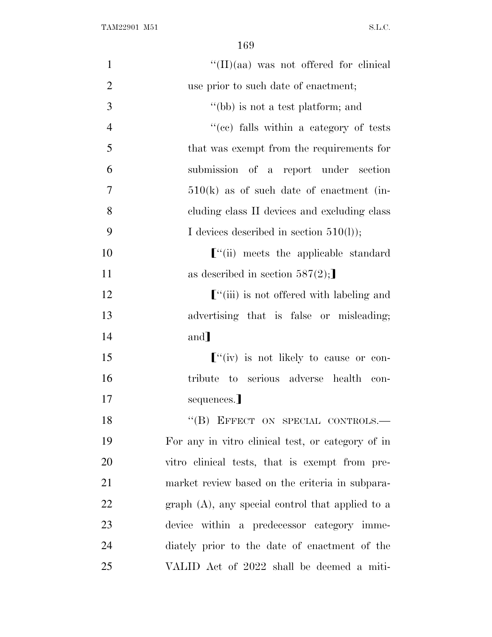| $\mathbf{1}$   | $\lq\lq$ (II)(aa) was not offered for clinical             |
|----------------|------------------------------------------------------------|
| $\overline{2}$ | use prior to such date of enactment;                       |
| 3              | "(bb) is not a test platform; and                          |
| $\overline{4}$ | "(cc) falls within a category of tests                     |
| 5              | that was exempt from the requirements for                  |
| 6              | submission of a report under section                       |
| 7              | $510(k)$ as of such date of enactment (in-                 |
| 8              | cluding class II devices and excluding class               |
| 9              | I devices described in section $510(l)$ ;                  |
| 10             | $\lbrack$ "(ii) meets the applicable standard              |
| 11             | as described in section $587(2)$ ;                         |
| 12             | $\lbrack$ "(iii) is not offered with labeling and          |
| 13             | advertising that is false or misleading;                   |
| 14             | and]                                                       |
| 15             | $\lbrack$ <sup>"</sup> (iv) is not likely to cause or con- |
| 16             | tribute to serious adverse health con-                     |
| 17             | sequences.]                                                |
| 18             | "(B) EFFECT ON SPECIAL CONTROLS.-                          |
| 19             | For any in vitro clinical test, or category of in          |
| 20             | vitro clinical tests, that is exempt from pre-             |
| 21             | market review based on the criteria in subpara-            |
| 22             | graph $(A)$ , any special control that applied to a        |
| 23             | device within a predecessor category imme-                 |
| 24             | diately prior to the date of enactment of the              |
| 25             | VALID Act of 2022 shall be deemed a miti-                  |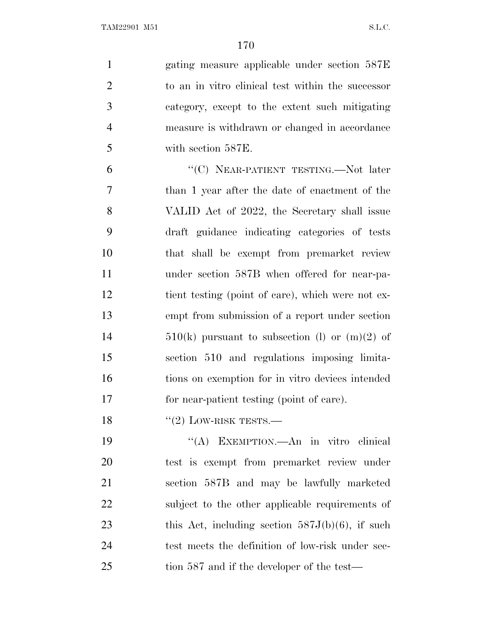gating measure applicable under section 587E to an in vitro clinical test within the successor category, except to the extent such mitigating measure is withdrawn or changed in accordance with section 587E. 6 "(C) NEAR-PATIENT TESTING.—Not later than 1 year after the date of enactment of the

 VALID Act of 2022, the Secretary shall issue draft guidance indicating categories of tests that shall be exempt from premarket review under section 587B when offered for near-pa-12 tient testing (point of care), which were not ex- empt from submission of a report under section  $510(k)$  pursuant to subsection (l) or  $(m)(2)$  of section 510 and regulations imposing limita- tions on exemption for in vitro devices intended for near-patient testing (point of care).

18  $\text{``(2)}$  LOW-RISK TESTS.—

 ''(A) EXEMPTION.—An in vitro clinical test is exempt from premarket review under section 587B and may be lawfully marketed subject to the other applicable requirements of 23 this Act, including section  $587J(b)(6)$ , if such test meets the definition of low-risk under sec-tion 587 and if the developer of the test—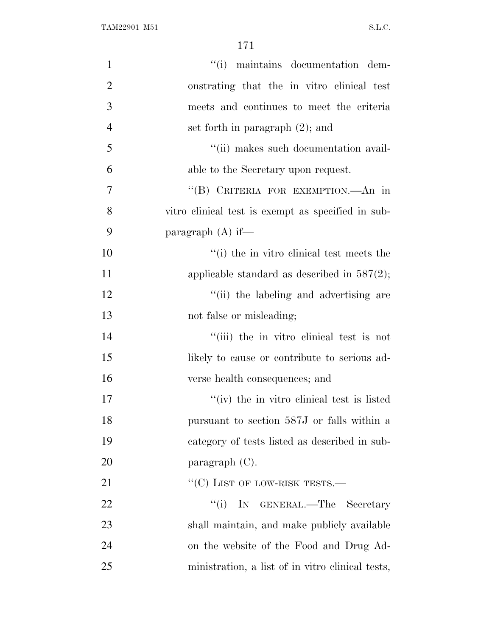| $\mathbf{1}$   | "(i) maintains documentation dem-                  |
|----------------|----------------------------------------------------|
| $\overline{2}$ | onstrating that the in vitro clinical test         |
| 3              | meets and continues to meet the criteria           |
| $\overline{4}$ | set forth in paragraph $(2)$ ; and                 |
| 5              | "(ii) makes such documentation avail-              |
| 6              | able to the Secretary upon request.                |
| 7              | "(B) CRITERIA FOR EXEMPTION.—An in                 |
| 8              | vitro clinical test is exempt as specified in sub- |
| 9              | paragraph $(A)$ if—                                |
| 10             | "(i) the in vitro clinical test meets the          |
| 11             | applicable standard as described in $587(2)$ ;     |
| 12             | "(ii) the labeling and advertising are             |
| 13             | not false or misleading;                           |
| 14             | "(iii) the in vitro clinical test is not           |
| 15             | likely to cause or contribute to serious ad-       |
| 16             | verse health consequences; and                     |
| 17             | "(iv) the in vitro clinical test is listed         |
| 18             | pursuant to section 587J or falls within a         |
| 19             | category of tests listed as described in sub-      |
| 20             | paragraph $(C)$ .                                  |
| 21             | $``(C)$ LIST OF LOW-RISK TESTS.—                   |
| <u>22</u>      | "(i) IN GENERAL.—The Secretary                     |
| 23             | shall maintain, and make publicly available        |
| 24             | on the website of the Food and Drug Ad-            |
| 25             | ministration, a list of in vitro clinical tests,   |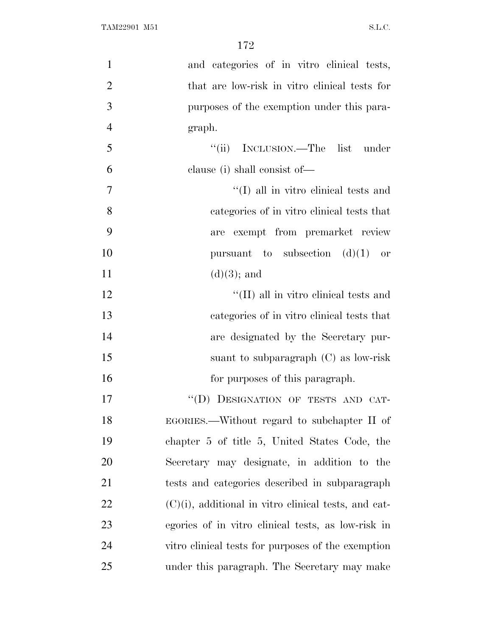| $\mathbf{1}$   | and categories of in vitro clinical tests,              |
|----------------|---------------------------------------------------------|
| $\overline{2}$ | that are low-risk in vitro clinical tests for           |
| 3              | purposes of the exemption under this para-              |
| $\overline{4}$ | graph.                                                  |
| 5              | "(ii) INCLUSION.—The list under                         |
| 6              | clause (i) shall consist of—                            |
| $\overline{7}$ | "(I) all in vitro clinical tests and                    |
| 8              | categories of in vitro clinical tests that              |
| 9              | are exempt from premarket review                        |
| 10             | pursuant to subsection $(d)(1)$ or                      |
| 11             | $(d)(3)$ ; and                                          |
| 12             | "(II) all in vitro clinical tests and                   |
| 13             | categories of in vitro clinical tests that              |
| 14             | are designated by the Secretary pur-                    |
| 15             | suant to subparagraph $(C)$ as low-risk                 |
| 16             | for purposes of this paragraph.                         |
| 17             | "(D) DESIGNATION OF TESTS AND CAT-                      |
| 18             | EGORIES.—Without regard to subchapter II of             |
| 19             | chapter 5 of title 5, United States Code, the           |
| 20             | Secretary may designate, in addition to the             |
| 21             | tests and categories described in subparagraph          |
| 22             | $(C)(i)$ , additional in vitro clinical tests, and cat- |
| 23             | egories of in vitro clinical tests, as low-risk in      |
| 24             | vitro clinical tests for purposes of the exemption      |
| 25             | under this paragraph. The Secretary may make            |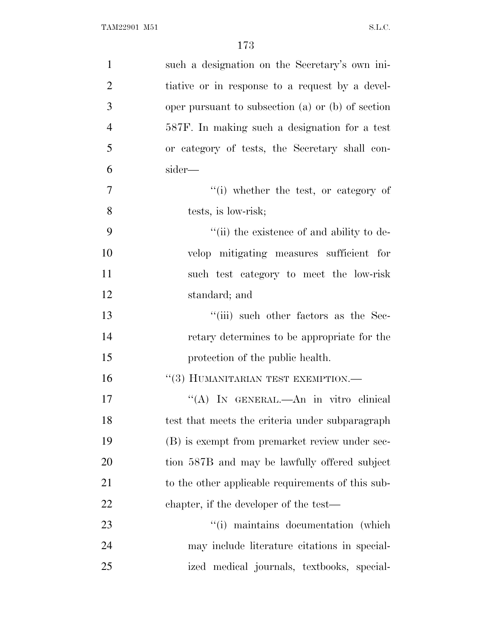| $\mathbf{1}$   | such a designation on the Secretary's own ini-    |
|----------------|---------------------------------------------------|
| $\overline{2}$ | tiative or in response to a request by a devel-   |
| 3              | oper pursuant to subsection (a) or (b) of section |
| $\overline{4}$ | 587F. In making such a designation for a test     |
| 5              | or category of tests, the Secretary shall con-    |
| 6              | sider—                                            |
| $\tau$         | "(i) whether the test, or category of             |
| 8              | tests, is low-risk;                               |
| 9              | "(ii) the existence of and ability to de-         |
| 10             | velop mitigating measures sufficient for          |
| 11             | such test category to meet the low-risk           |
| 12             | standard; and                                     |
| 13             | "(iii) such other factors as the Sec-             |
| 14             | retary determines to be appropriate for the       |
| 15             | protection of the public health.                  |
| 16             | "(3) HUMANITARIAN TEST EXEMPTION.-                |
| 17             | "(A) IN GENERAL.—An in vitro clinical             |
| 18             | test that meets the criteria under subparagraph   |
| 19             | (B) is exempt from premarket review under sec-    |
| 20             | tion 587B and may be lawfully offered subject     |
| 21             | to the other applicable requirements of this sub- |
| 22             | chapter, if the developer of the test—            |
| 23             | "(i) maintains documentation (which)              |
| 24             | may include literature citations in special-      |
| 25             | ized medical journals, textbooks, special-        |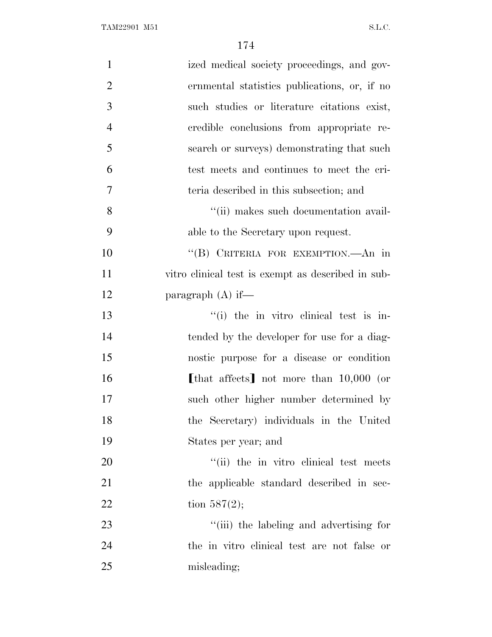| $\mathbf{1}$   | ized medical society proceedings, and gov-         |
|----------------|----------------------------------------------------|
| $\overline{2}$ | ernmental statistics publications, or, if no       |
| 3              | such studies or literature citations exist,        |
| $\overline{4}$ | credible conclusions from appropriate re-          |
| 5              | search or surveys) demonstrating that such         |
| 6              | test meets and continues to meet the cri-          |
| 7              | teria described in this subsection; and            |
| 8              | "(ii) makes such documentation avail-              |
| 9              | able to the Secretary upon request.                |
| 10             | "(B) CRITERIA FOR EXEMPTION.—An in                 |
| 11             | vitro clinical test is exempt as described in sub- |
| 12             | paragraph $(A)$ if—                                |
| 13             | "(i) the in vitro clinical test is in-             |
| 14             | tended by the developer for use for a diag-        |
| 15             | nostic purpose for a disease or condition          |
| 16             | [that affects] not more than $10,000$ (or          |
| 17             | such other higher number determined by             |
| 18             | the Secretary) individuals in the United           |
| 19             | States per year; and                               |
| 20             | "(ii) the in vitro clinical test meets"            |
| 21             | the applicable standard described in sec-          |
| 22             | tion $587(2)$ ;                                    |
| 23             | "(iii) the labeling and advertising for            |
| 24             | the in vitro clinical test are not false or        |
| 25             | misleading;                                        |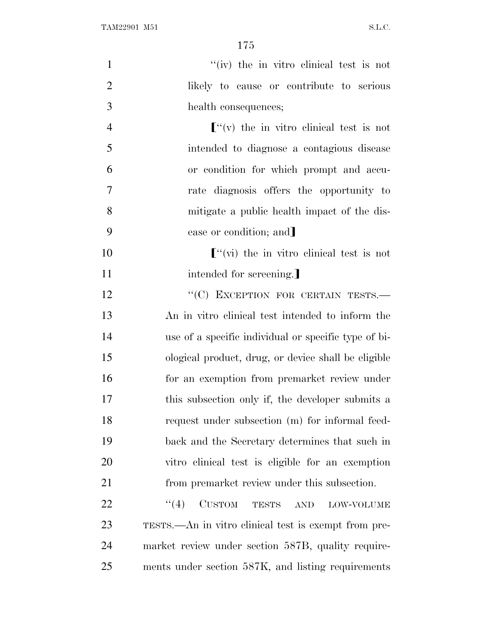| $\mathbf{1}$     | "(iv) the in vitro clinical test is not                |
|------------------|--------------------------------------------------------|
| $\mathbf{2}$     | likely to cause or contribute to serious               |
| 3                | health consequences;                                   |
| $\overline{4}$   | $\lbrack$ "(v) the in vitro clinical test is not       |
| 5                | intended to diagnose a contagious disease              |
| 6                | or condition for which prompt and accu-                |
| $\boldsymbol{7}$ | rate diagnosis offers the opportunity to               |
| 8                | mitigate a public health impact of the dis-            |
| 9                | ease or condition; and                                 |
| 10               | $\lbrack$ "(vi) the in vitro clinical test is not      |
| 11               | intended for screening.                                |
| 12               | "(C) EXCEPTION FOR CERTAIN TESTS.-                     |
| 13               | An in vitro clinical test intended to inform the       |
| 14               | use of a specific individual or specific type of bi-   |
| 15               | ological product, drug, or device shall be eligible    |
| 16               | for an exemption from premarket review under           |
| 17               | this subsection only if, the developer submits a       |
| 18               | request under subsection (m) for informal feed-        |
| 19               | back and the Secretary determines that such in         |
| 20               | vitro clinical test is eligible for an exemption       |
| 21               | from premarket review under this subsection.           |
| 22               | <b>CUSTOM</b><br>(4)<br>TESTS AND<br><b>LOW-VOLUME</b> |
| 23               | TESTS.—An in vitro clinical test is exempt from pre-   |
| 24               | market review under section 587B, quality require-     |
| 25               | ments under section 587K, and listing requirements     |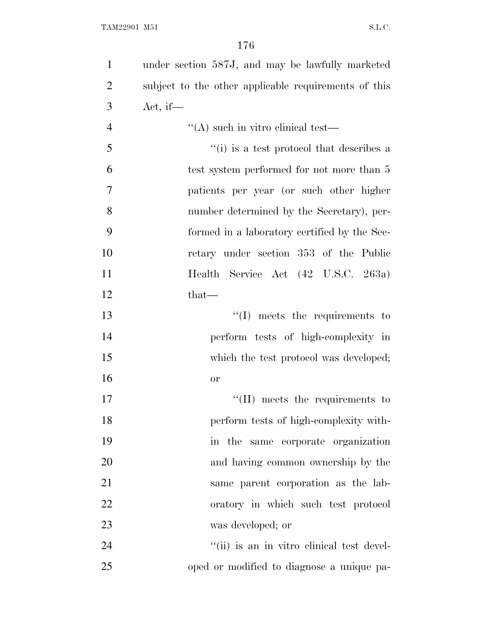| $\mathbf{1}$   | under section 587J, and may be lawfully marketed     |
|----------------|------------------------------------------------------|
| $\overline{2}$ | subject to the other applicable requirements of this |
| 3              | Act, if $-$                                          |
| $\overline{4}$ | $\lq\lq$ such in vitro clinical test—                |
| 5              | "(i) is a test protocol that describes a             |
| 6              | test system performed for not more than 5            |
| 7              | patients per year (or such other higher              |
| 8              | number determined by the Secretary), per-            |
| 9              | formed in a laboratory certified by the Sec-         |
| 10             | retary under section 353 of the Public               |
| 11             | Health Service Act (42 U.S.C. 263a)                  |
| 12             | $that-$                                              |
| 13             | $\lq\lq$ . meets the requirements to                 |
| 14             | perform tests of high-complexity in                  |
| 15             | which the test protocol was developed;               |
| 16             | <b>or</b>                                            |
| 17             | $\lq\lq$ (II) meets the requirements to              |
| 18             | perform tests of high-complexity with-               |
| 19             | in the same corporate organization                   |
| 20             | and having common ownership by the                   |
| 21             | same parent corporation as the lab-                  |
| 22             | oratory in which such test protocol                  |
| 23             | was developed; or                                    |
| 24             | "(ii) is an in vitro clinical test devel-            |
| 25             | oped or modified to diagnose a unique pa-            |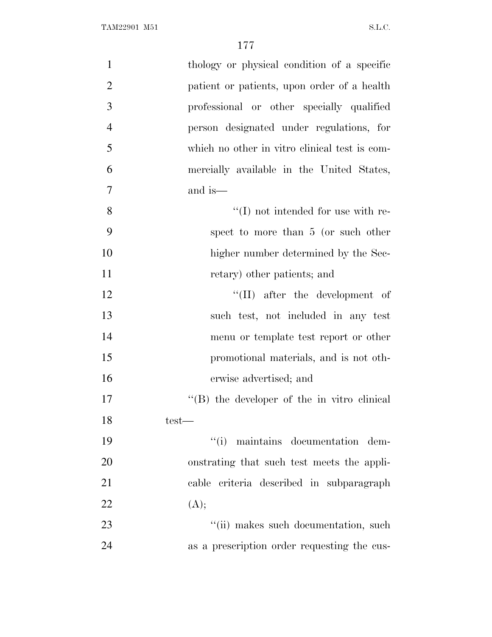| $\mathbf{1}$   | thology or physical condition of a specific         |
|----------------|-----------------------------------------------------|
| $\overline{2}$ | patient or patients, upon order of a health         |
| 3              | professional or other specially qualified           |
| $\overline{4}$ | person designated under regulations, for            |
| 5              | which no other in vitro clinical test is com-       |
| 6              | mercially available in the United States,           |
| $\overline{7}$ | and is—                                             |
| 8              | $\lq\lq$ (I) not intended for use with re-          |
| 9              | spect to more than 5 (or such other                 |
| 10             | higher number determined by the Sec-                |
| 11             | retary) other patients; and                         |
| 12             | $\lq\lq$ (II) after the development of              |
| 13             | such test, not included in any test                 |
| 14             | menu or template test report or other               |
| 15             | promotional materials, and is not oth-              |
| 16             | erwise advertised; and                              |
| 17             | $\lq\lq (B)$ the developer of the in vitro clinical |
| 18             | $test-$                                             |
| 19             | ``(i)<br>maintains documentation dem-               |
| 20             | onstrating that such test meets the appli-          |
| 21             | cable criteria described in subparagraph            |
| 22             | (A);                                                |
| 23             | "(ii) makes such documentation, such                |
| 24             | as a prescription order requesting the cus-         |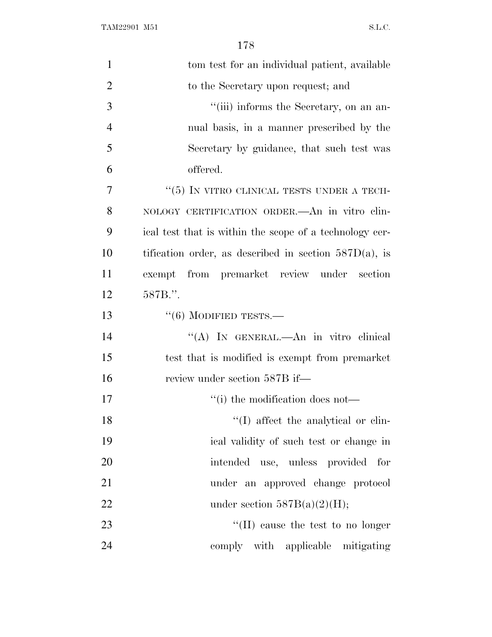TAM22901 M51 S.L.C.

| $\mathbf{1}$   | tom test for an individual patient, available            |
|----------------|----------------------------------------------------------|
| $\overline{2}$ | to the Secretary upon request; and                       |
| 3              | "(iii) informs the Secretary, on an an-                  |
| $\overline{4}$ | nual basis, in a manner prescribed by the                |
| 5              | Secretary by guidance, that such test was                |
| 6              | offered.                                                 |
| 7              | $\lq\lq(5)$ IN VITRO CLINICAL TESTS UNDER A TECH-        |
| 8              | NOLOGY CERTIFICATION ORDER. An in vitro clin-            |
| 9              | ical test that is within the scope of a technology cer-  |
| 10             | tification order, as described in section $587D(a)$ , is |
| 11             | exempt from premarket review under section               |
| 12             | 587B.".                                                  |
| 13             | $``(6)$ MODIFIED TESTS.—                                 |
| 14             | "(A) IN GENERAL.—An in vitro clinical                    |
| 15             | test that is modified is exempt from premarket           |
| 16             | review under section 587B if—                            |
| 17             | "(i) the modification does not—                          |
| 18             | "(I) affect the analytical or clin-                      |
| 19             | ical validity of such test or change in                  |
| 20             | intended use, unless provided for                        |
| 21             | under an approved change protocol                        |
| 22             | under section $587B(a)(2)(H);$                           |
| 23             | "(II) cause the test to no longer                        |
| 24             | comply with applicable mitigating                        |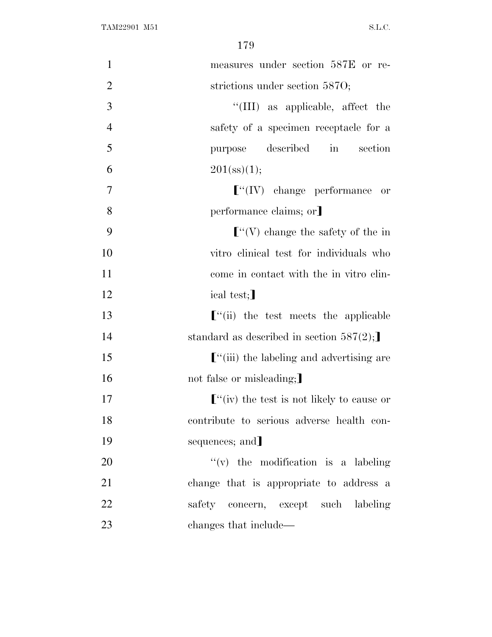| $\mathbf{1}$   | measures under section 587E or re-                     |
|----------------|--------------------------------------------------------|
| $\overline{2}$ | strictions under section 5870;                         |
| 3              | "(III) as applicable, affect the                       |
| $\overline{4}$ | safety of a specimen receptacle for a                  |
| 5              | described<br>$\sin$<br>section<br>purpose              |
| 6              | $201(\text{ss})(1);$                                   |
| $\overline{7}$ | $\lbrack$ <sup>"</sup> (IV) change performance or      |
| 8              | performance claims; or                                 |
| 9              | $\lbrack$ <sup>"</sup> (V) change the safety of the in |
| 10             | vitro clinical test for individuals who                |
| 11             | come in contact with the in vitro clin-                |
| 12             | ical test;                                             |
| 13             | $\lbrack$ "(ii) the test meets the applicable          |
| 14             | standard as described in section $587(2)$ ;            |
| 15             | $\lbrack$ "(iii) the labeling and advertising are      |
| 16             | not false or misleading;                               |
| 17             | $\lbrack$ "(iv) the test is not likely to cause or     |
| 18             | contribute to serious adverse health con-              |
| 19             | sequences; and]                                        |
| 20             | $f'(v)$ the modification is a labeling                 |
| 21             | change that is appropriate to address a                |
| 22             | safety concern, except such labeling                   |
| 23             | changes that include—                                  |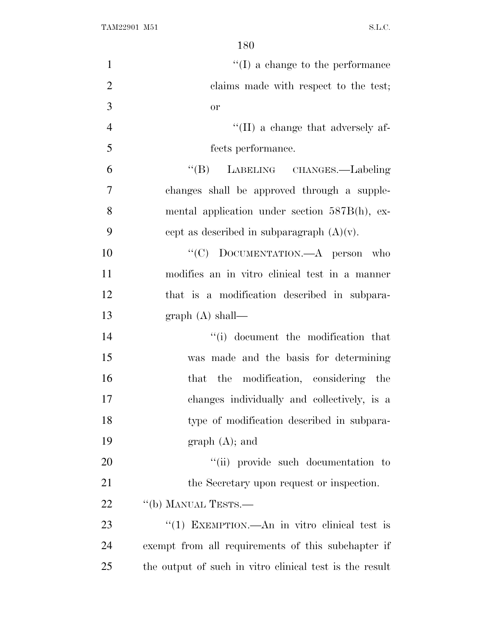| $\mathbf{1}$   | $\lq\lq$ (I) a change to the performance                |
|----------------|---------------------------------------------------------|
| $\overline{2}$ | claims made with respect to the test;                   |
| 3              | <b>or</b>                                               |
| $\overline{4}$ | $\lq\lq$ (II) a change that adversely af-               |
| 5              | fects performance.                                      |
| 6              | "(B) LABELING CHANGES.—Labeling                         |
| $\tau$         | changes shall be approved through a supple-             |
| 8              | mental application under section 587B(h), ex-           |
| 9              | cept as described in subparagraph $(A)(v)$ .            |
| 10             | "(C) DOCUMENTATION.—A person who                        |
| 11             | modifies an in vitro clinical test in a manner          |
| 12             | that is a modification described in subpara-            |
| 13             | graph $(A)$ shall—                                      |
| 14             | "(i) document the modification that                     |
| 15             | was made and the basis for determining                  |
| 16             | that the modification, considering the                  |
| 17             | changes individually and collectively, is a             |
| 18             | type of modification described in subpara-              |
| 19             | $graph(A);$ and                                         |
| 20             | "(ii) provide such documentation to                     |
| 21             | the Secretary upon request or inspection.               |
| 22             | "(b) MANUAL TESTS.—                                     |
| 23             | "(1) EXEMPTION.—An in vitro clinical test is            |
| 24             | exempt from all requirements of this subchapter if      |
| 25             | the output of such in vitro clinical test is the result |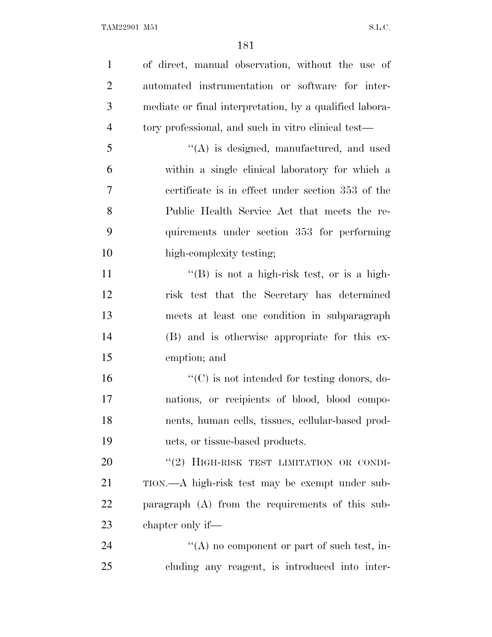| $\mathbf{1}$   | of direct, manual observation, without the use of        |
|----------------|----------------------------------------------------------|
| $\overline{2}$ | automated instrumentation or software for inter-         |
| 3              | mediate or final interpretation, by a qualified labora-  |
| $\overline{4}$ | tory professional, and such in vitro clinical test—      |
| 5              | "(A) is designed, manufactured, and used                 |
| 6              | within a single clinical laboratory for which a          |
| 7              | certificate is in effect under section 353 of the        |
| 8              | Public Health Service Act that meets the re-             |
| 9              | quirements under section 353 for performing              |
| 10             | high-complexity testing;                                 |
| 11             | $\lq\lq (B)$ is not a high-risk test, or is a high-      |
| 12             | risk test that the Secretary has determined              |
| 13             | meets at least one condition in subparagraph             |
| 14             | (B) and is otherwise appropriate for this ex-            |
| 15             | emption; and                                             |
| 16             | $\cdot\cdot$ (C) is not intended for testing donors, do- |
| $17\,$         | nations, or recipients of blood, blood compo-            |
| 18             | nents, human cells, tissues, cellular-based prod-        |
| 19             | ucts, or tissue-based products.                          |
| 20             | "(2) HIGH-RISK TEST LIMITATION OR CONDI-                 |
| 21             | TION.—A high-risk test may be exempt under sub-          |
| 22             | paragraph $(A)$ from the requirements of this sub-       |
| 23             | chapter only if—                                         |
| 24             | "(A) no component or part of such test, in-              |
| 25             | cluding any reagent, is introduced into inter-           |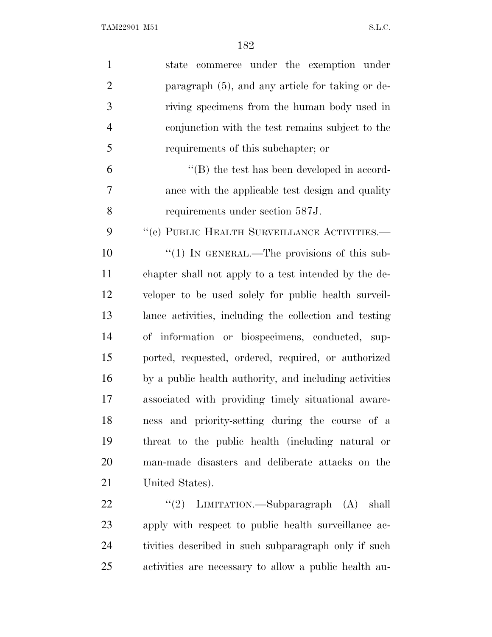| $\mathbf{1}$   | state commerce under the exemption under               |
|----------------|--------------------------------------------------------|
| $\mathbf{2}$   | paragraph (5), and any article for taking or de-       |
| 3              | riving specimens from the human body used in           |
| $\overline{4}$ | conjunction with the test remains subject to the       |
| 5              | requirements of this subchapter; or                    |
| 6              | $\lq\lq$ the test has been developed in accord-        |
| 7              | ance with the applicable test design and quality       |
| 8              | requirements under section 587J.                       |
| 9              | "(c) PUBLIC HEALTH SURVEILLANCE ACTIVITIES.-           |
| 10             | "(1) IN GENERAL.—The provisions of this sub-           |
| 11             | chapter shall not apply to a test intended by the de-  |
| 12             | veloper to be used solely for public health surveil-   |
| 13             | lance activities, including the collection and testing |
| 14             | of information or biospecimens, conducted, sup-        |
| 15             | ported, requested, ordered, required, or authorized    |
| 16             | by a public health authority, and including activities |
| 17             | associated with providing timely situational aware-    |
| 18             | ness and priority-setting during the course of a       |
| 19             | threat to the public health (including natural or      |
| 20             | man-made disasters and deliberate attacks on the       |
| 21             | United States).                                        |
| 22             | "(2) LIMITATION.—Subparagraph (A) shall                |
| 23             | apply with respect to public health surveillance ac-   |
| 24             | tivities described in such subparagraph only if such   |
| 25             | activities are necessary to allow a public health au-  |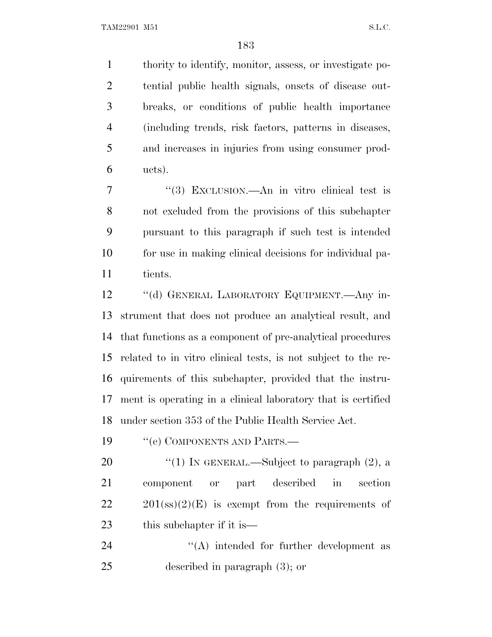thority to identify, monitor, assess, or investigate po- tential public health signals, onsets of disease out- breaks, or conditions of public health importance (including trends, risk factors, patterns in diseases, and increases in injuries from using consumer prod- $6 \text{ ucts)}$ .

 ''(3) EXCLUSION.—An in vitro clinical test is not excluded from the provisions of this subchapter pursuant to this paragraph if such test is intended for use in making clinical decisions for individual pa-11 tients.

 ''(d) GENERAL LABORATORY EQUIPMENT.—Any in- strument that does not produce an analytical result, and that functions as a component of pre-analytical procedures related to in vitro clinical tests, is not subject to the re- quirements of this subchapter, provided that the instru- ment is operating in a clinical laboratory that is certified under section 353 of the Public Health Service Act.

19 "(e) COMPONENTS AND PARTS.—

20  $\frac{1}{2}$  (1) In GENERAL.—Subject to paragraph (2), a component or part described in section  $22 \t201(\text{ss})(2)(E)$  is exempt from the requirements of 23 this subchapter if it is—

24 ''(A) intended for further development as described in paragraph (3); or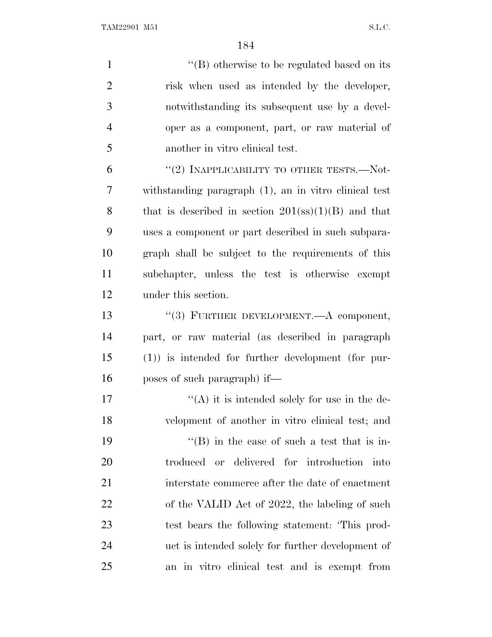1 ''(B) otherwise to be regulated based on its risk when used as intended by the developer, notwithstanding its subsequent use by a devel- oper as a component, part, or raw material of another in vitro clinical test.  $(2)$  INAPPLICABILITY TO OTHER TESTS.—Not- withstanding paragraph (1), an in vitro clinical test 8 that is described in section (ss)(1)(B) and that

 uses a component or part described in such subpara- graph shall be subject to the requirements of this subchapter, unless the test is otherwise exempt under this section.

 ''(3) FURTHER DEVELOPMENT.—A component, part, or raw material (as described in paragraph (1)) is intended for further development (for pur-poses of such paragraph) if—

 $((A)$  it is intended solely for use in the de- velopment of another in vitro clinical test; and  $"$ (B) in the case of such a test that is in- troduced or delivered for introduction into interstate commerce after the date of enactment 22 of the VALID Act of 2022, the labeling of such test bears the following statement: 'This prod- uct is intended solely for further development of an in vitro clinical test and is exempt from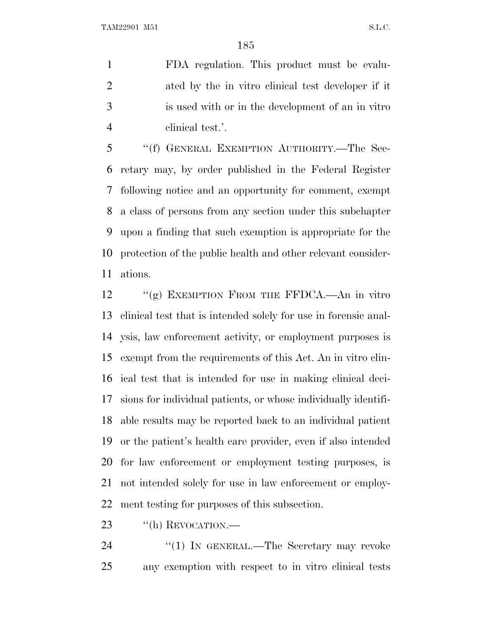TAM22901 M51 S.L.C.

 FDA regulation. This product must be evalu- ated by the in vitro clinical test developer if it is used with or in the development of an in vitro clinical test.'.

 ''(f) GENERAL EXEMPTION AUTHORITY.—The Sec- retary may, by order published in the Federal Register following notice and an opportunity for comment, exempt a class of persons from any section under this subchapter upon a finding that such exemption is appropriate for the protection of the public health and other relevant consider-ations.

12 "(g) EXEMPTION FROM THE FFDCA.—An in vitro clinical test that is intended solely for use in forensic anal- ysis, law enforcement activity, or employment purposes is exempt from the requirements of this Act. An in vitro clin- ical test that is intended for use in making clinical deci- sions for individual patients, or whose individually identifi- able results may be reported back to an individual patient or the patient's health care provider, even if also intended for law enforcement or employment testing purposes, is not intended solely for use in law enforcement or employ-ment testing for purposes of this subsection.

23 "(h) REVOCATION.—

24 "(1) IN GENERAL.—The Secretary may revoke any exemption with respect to in vitro clinical tests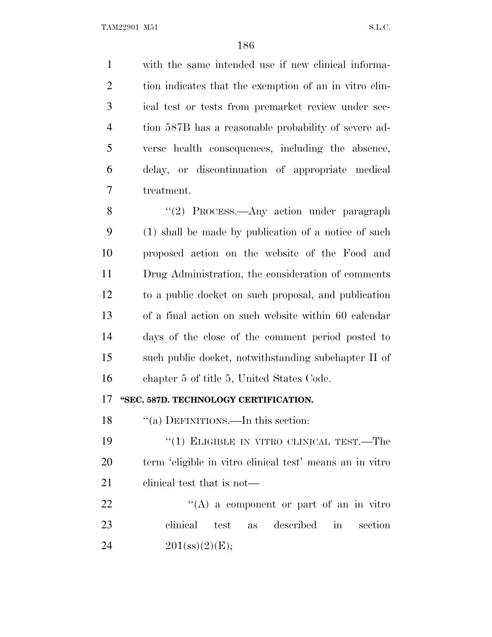with the same intended use if new clinical informa- tion indicates that the exemption of an in vitro clin- ical test or tests from premarket review under sec- tion 587B has a reasonable probability of severe ad- verse health consequences, including the absence, delay, or discontinuation of appropriate medical treatment.

8 "(2) PROCESS.—Any action under paragraph (1) shall be made by publication of a notice of such proposed action on the website of the Food and Drug Administration, the consideration of comments to a public docket on such proposal, and publication of a final action on such website within 60 calendar days of the close of the comment period posted to such public docket, notwithstanding subchapter II of chapter 5 of title 5, United States Code.

## **''SEC. 587D. TECHNOLOGY CERTIFICATION.**

18 "(a) DEFINITIONS.—In this section:

19 "(1) ELIGIBLE IN VITRO CLINICAL TEST.—The term 'eligible in vitro clinical test' means an in vitro 21 clinical test that is not—

22 "(A) a component or part of an in vitro" clinical test as described in section 24  $201(\text{ss})(2)(\text{E});$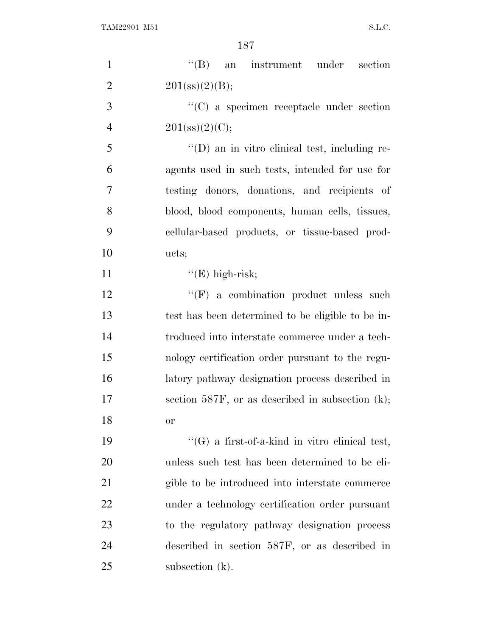| $\mathbf{1}$   | $\lq\lq (B)$<br>an instrument under section           |
|----------------|-------------------------------------------------------|
| $\overline{2}$ | 201(s)(2)(B);                                         |
| 3              | $\lq\lq$ (C) a specimen receptacle under section      |
| $\overline{4}$ | $201(\text{ss})(2)(C);$                               |
| 5              | $\lq\lq$ (D) an in vitro clinical test, including re- |
| 6              | agents used in such tests, intended for use for       |
| $\overline{7}$ | testing donors, donations, and recipients of          |
| 8              | blood, blood components, human cells, tissues,        |
| 9              | cellular-based products, or tissue-based prod-        |
| 10             | ucts;                                                 |
| 11             | $"E)$ high-risk;                                      |
| 12             | $\lq\lq(F)$ a combination product unless such         |
| 13             | test has been determined to be eligible to be in-     |
| 14             | troduced into interstate commerce under a tech-       |
| 15             | nology certification order pursuant to the regu-      |
| 16             | latory pathway designation process described in       |
| 17             | section 587F, or as described in subsection $(k)$ ;   |
| 18             | <sub>or</sub>                                         |
| 19             | $\lq\lq(G)$ a first-of-a-kind in vitro clinical test, |
| 20             | unless such test has been determined to be eli-       |
| 21             | gible to be introduced into interstate commerce       |
| <u>22</u>      | under a technology certification order pursuant       |
| 23             | to the regulatory pathway designation process         |
| 24             | described in section 587F, or as described in         |
| $25\,$         | subsection (k).                                       |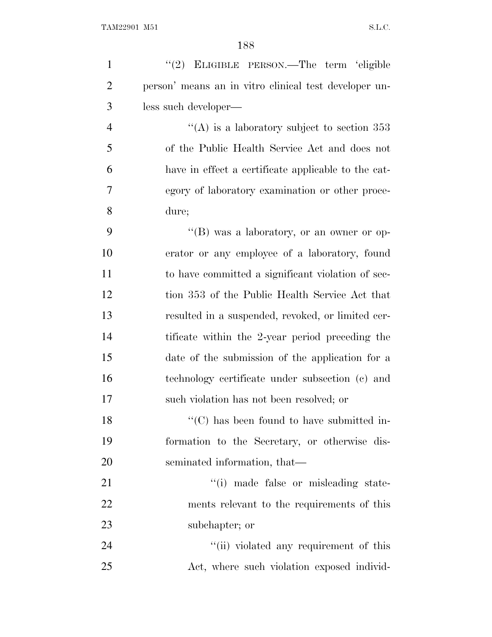| $\mathbf{1}$   | "(2) ELIGIBLE PERSON.—The term 'eligible                       |
|----------------|----------------------------------------------------------------|
| $\overline{2}$ | person' means an in vitro clinical test developer un-          |
| 3              | less such developer—                                           |
| $\overline{4}$ | "(A) is a laboratory subject to section $353$                  |
| 5              | of the Public Health Service Act and does not                  |
| 6              | have in effect a certificate applicable to the cat-            |
| 7              | egory of laboratory examination or other proce-                |
| 8              | dure;                                                          |
| 9              | "(B) was a laboratory, or an owner or op-                      |
| 10             | erator or any employee of a laboratory, found                  |
| 11             | to have committed a significant violation of sec-              |
| 12             | tion 353 of the Public Health Service Act that                 |
| 13             | resulted in a suspended, revoked, or limited cer-              |
| 14             | tificate within the 2-year period preceding the                |
| 15             | date of the submission of the application for a                |
| 16             | technology certificate under subsection (c) and                |
| 17             | such violation has not been resolved; or                       |
| 18             | $\lq\lq$ <sup>"</sup> (C) has been found to have submitted in- |
| 19             | formation to the Secretary, or otherwise dis-                  |
| 20             | seminated information, that—                                   |
| 21             | "(i) made false or misleading state-                           |
| 22             | ments relevant to the requirements of this                     |
| 23             | subchapter; or                                                 |
| 24             | "(ii) violated any requirement of this                         |
| 25             | Act, where such violation exposed individ-                     |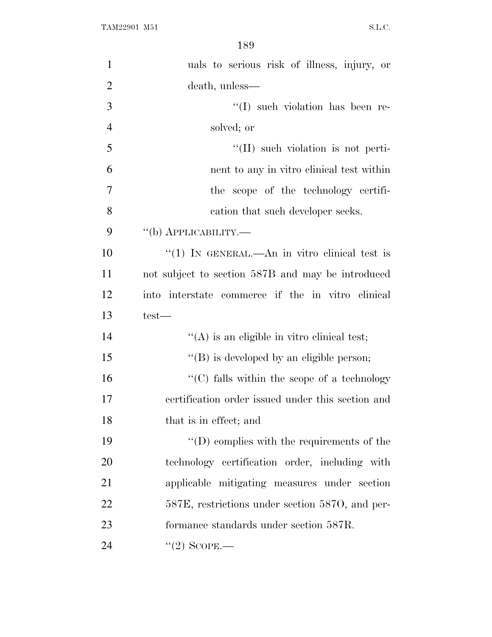| $\mathbf{1}$   | uals to serious risk of illness, injury, or                      |
|----------------|------------------------------------------------------------------|
| $\overline{2}$ | death, unless—                                                   |
| 3              | $\lq\lq$ such violation has been re-                             |
| $\overline{4}$ | solved; or                                                       |
| 5              | $\lq\lq$ (II) such violation is not perti-                       |
| 6              | nent to any in vitro clinical test within                        |
| 7              | the scope of the technology certifi-                             |
| 8              | cation that such developer seeks.                                |
| 9              | $\lq\lq(b)$ APPLICABILITY.—                                      |
| 10             | "(1) IN GENERAL.—An in vitro clinical test is                    |
| 11             | not subject to section 587B and may be introduced                |
| 12             | into interstate commerce if the in vitro clinical                |
| 13             | test—                                                            |
| 14             | $\lq\lq$ is an eligible in vitro clinical test;                  |
| 15             | $\lq\lq (B)$ is developed by an eligible person;                 |
| 16             | $\lq\lq$ <sup>c</sup> (C) falls within the scope of a technology |
| 17             | certification order issued under this section and                |
| 18             | that is in effect; and                                           |
| 19             | $\lq\lq$ complies with the requirements of the                   |
| 20             | technology certification order, including with                   |
| 21             | applicable mitigating measures under section                     |
| 22             | 587E, restrictions under section 587O, and per-                  |
| 23             | formance standards under section 587R.                           |
| 24             | $\lq(2)$ SCOPE.—                                                 |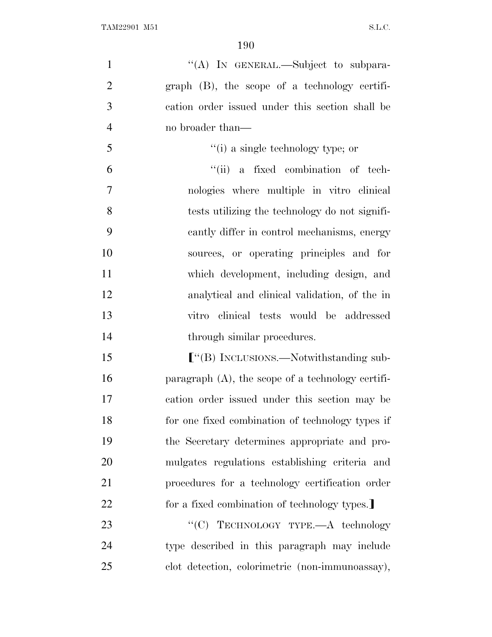| $\mathbf{1}$   | "(A) IN GENERAL.—Subject to subpara-                 |
|----------------|------------------------------------------------------|
| $\overline{2}$ | $graph$ (B), the scope of a technology certifi-      |
| 3              | cation order issued under this section shall be      |
| $\overline{4}$ | no broader than—                                     |
| 5              | "(i) a single technology type; or                    |
| 6              | "(ii) a fixed combination of tech-                   |
| $\tau$         | nologies where multiple in vitro clinical            |
| 8              | tests utilizing the technology do not signifi-       |
| 9              | cantly differ in control mechanisms, energy          |
| 10             | sources, or operating principles and for             |
| 11             | which development, including design, and             |
| 12             | analytical and clinical validation, of the in        |
| 13             | vitro clinical tests would be addressed              |
| 14             | through similar procedures.                          |
| 15             |                                                      |
| 16             | paragraph $(A)$ , the scope of a technology certifi- |
| 17             | cation order issued under this section may be        |
| 18             | for one fixed combination of technology types if     |
| 19             | the Secretary determines appropriate and pro-        |
| 20             | mulgates regulations establishing criteria and       |
| 21             | procedures for a technology certification order      |
| 22             | for a fixed combination of technology types.         |
| 23             | "(C) TECHNOLOGY TYPE.-A technology                   |
| 24             | type described in this paragraph may include         |
| 25             | clot detection, colorimetric (non-immunoassay),      |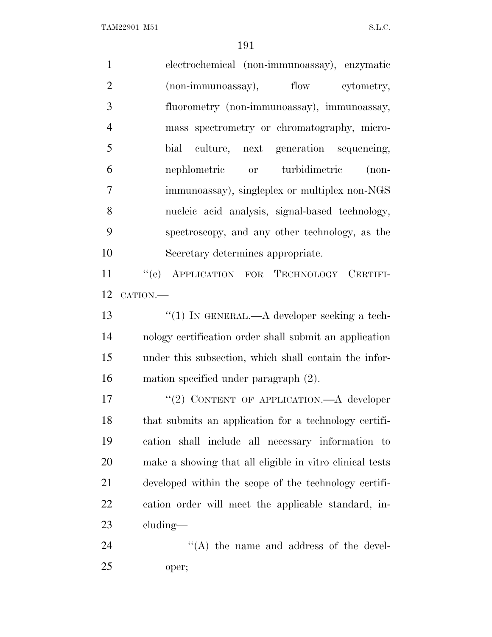| $\mathbf{1}$   | electrochemical (non-immunoassay), enzymatic             |
|----------------|----------------------------------------------------------|
| $\mathfrak{2}$ | (non-immunoassay), flow cytometry,                       |
| 3              | fluorometry (non-immunoassay), immunoassay,              |
| $\overline{4}$ | mass spectrometry or chromatography, micro-              |
| 5              | culture, next generation sequencing,<br>bial             |
| 6              | nephlometric or turbidimetric<br>$(non-$                 |
| $\overline{7}$ | immunoassay), singleplex or multiplex non-NGS            |
| 8              | nucleic acid analysis, signal-based technology,          |
| 9              | spectroscopy, and any other technology, as the           |
| 10             | Secretary determines appropriate.                        |
| 11             | "(c) APPLICATION FOR TECHNOLOGY CERTIFI-                 |
| 12             | CATION.-                                                 |
| 13             | "(1) IN GENERAL.— $A$ developer seeking a tech-          |
| 14             | nology certification order shall submit an application   |
| 15             | under this subsection, which shall contain the infor-    |
| 16             | mation specified under paragraph (2).                    |
| 17             | "(2) CONTENT OF APPLICATION.—A developer                 |
| 18             | that submits an application for a technology certifi-    |
| 19             | cation shall include all necessary information to        |
| 20             | make a showing that all eligible in vitro clinical tests |
| 21             | developed within the scope of the technology certifi-    |
| 22             | cation order will meet the applicable standard, in-      |
| 23             | $cluding$ —                                              |
| 24             | "(A) the name and address of the devel-                  |
| 25             | oper;                                                    |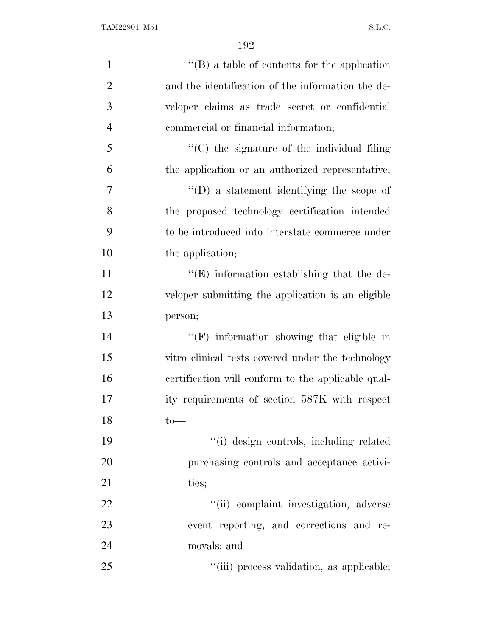| $\mathbf{1}$   | $\lq\lq (B)$ a table of contents for the application |
|----------------|------------------------------------------------------|
| $\overline{2}$ | and the identification of the information the de-    |
| 3              | veloper claims as trade secret or confidential       |
| $\overline{4}$ | commercial or financial information;                 |
| 5              | "(C) the signature of the individual filing          |
| 6              | the application or an authorized representative;     |
| 7              | $\lq\lq$ ) a statement identifying the scope of      |
| 8              | the proposed technology certification intended       |
| 9              | to be introduced into interstate commerce under      |
| 10             | the application;                                     |
| 11             | $\lq\lq(E)$ information establishing that the de-    |
| 12             | veloper submitting the application is an eligible    |
| 13             | person;                                              |
| 14             | "(F) information showing that eligible in            |
| 15             | vitro clinical tests covered under the technology    |
| 16             | certification will conform to the applicable qual-   |
| 17             | ity requirements of section 587K with respect        |
| 18             | $to-$                                                |
| 19             | "(i) design controls, including related              |
| 20             | purchasing controls and acceptance activi-           |
| 21             | ties;                                                |
| 22             | "(ii) complaint investigation, adverse               |
| 23             | event reporting, and corrections and re-             |
| 24             | movals; and                                          |
| 25             | "(iii) process validation, as applicable;            |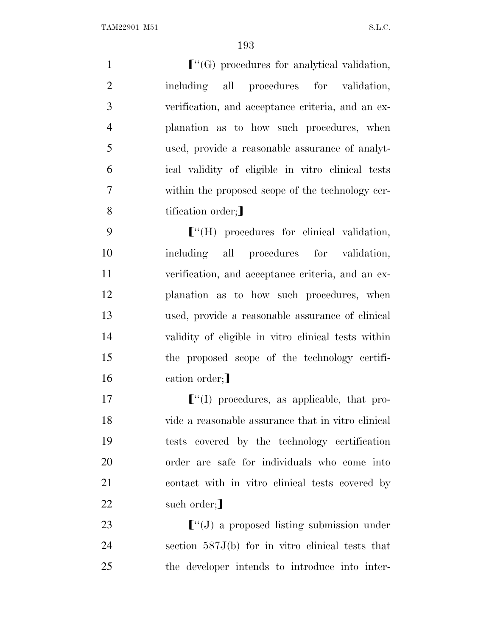$\lceil$   $\lceil$   $\lceil$   $\lceil$   $\lceil$   $\lceil$   $\lceil$   $\lceil$   $\lceil$   $\lceil$   $\lceil$   $\lceil$   $\lceil$   $\lceil$   $\lceil$   $\lceil$   $\lceil$   $\lceil$   $\lceil$   $\lceil$   $\lceil$   $\lceil$   $\lceil$   $\lceil$   $\lceil$   $\lceil$   $\lceil$   $\lceil$   $\lceil$   $\lceil$   $\lceil$   $\lceil$   $\lceil$   $\lceil$   $\lceil$   $\lceil$   $\l$  including all procedures for validation, verification, and acceptance criteria, and an ex- planation as to how such procedures, when used, provide a reasonable assurance of analyt- ical validity of eligible in vitro clinical tests within the proposed scope of the technology cer-8 tification order;

**F**<sup>"</sup>(H) procedures for clinical validation, including all procedures for validation, verification, and acceptance criteria, and an ex- planation as to how such procedures, when used, provide a reasonable assurance of clinical validity of eligible in vitro clinical tests within the proposed scope of the technology certifi-16 cation order;

 $\lceil$   $\lceil$   $\lceil$   $\lceil$   $\lceil$   $\lceil$   $\lceil$   $\lceil$   $\lceil$   $\lceil$   $\lceil$   $\lceil$   $\lceil$   $\lceil$   $\lceil$   $\lceil$   $\lceil$   $\lceil$   $\lceil$   $\lceil$   $\lceil$   $\lceil$   $\lceil$   $\lceil$   $\lceil$   $\lceil$   $\lceil$   $\lceil$   $\lceil$   $\lceil$   $\lceil$   $\lceil$   $\lceil$   $\lceil$   $\lceil$   $\lceil$   $\$  vide a reasonable assurance that in vitro clinical tests covered by the technology certification order are safe for individuals who come into contact with in vitro clinical tests covered by 22 such order;

23  $\lbrack$   $\lbrack$   $\lbrack$   $\lbrack$   $\lbrack$  a proposed listing submission under section 587J(b) for in vitro clinical tests that the developer intends to introduce into inter-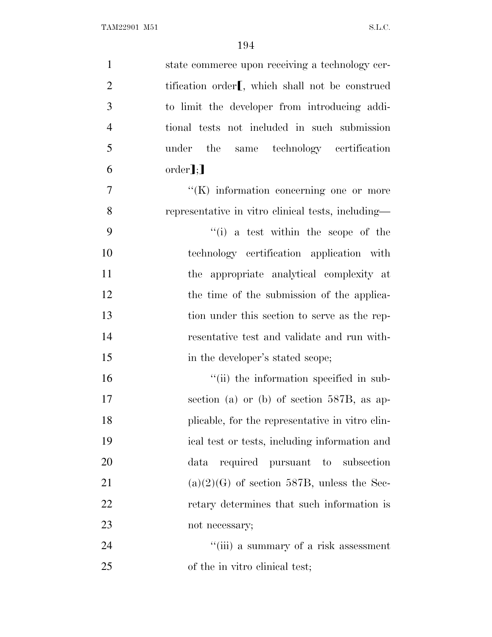| $\mathbf{1}$   | state commerce upon receiving a technology cer-             |
|----------------|-------------------------------------------------------------|
| $\overline{2}$ | tification order <sub>[, which shall not be construed</sub> |
| 3              | to limit the developer from introducing addi-               |
| $\overline{4}$ | tional tests not included in such submission                |
| 5              | under the<br>same technology certification                  |
| 6              | $order$ <b>]</b> ;                                          |
| $\tau$         | $\lq\lq(K)$ information concerning one or more              |
| 8              | representative in vitro clinical tests, including—          |
| 9              | $f'(i)$ a test within the scope of the                      |
| 10             | technology certification application with                   |
| 11             | the appropriate analytical complexity at                    |
| 12             | the time of the submission of the applica-                  |
| 13             | tion under this section to serve as the rep-                |
| 14             | resentative test and validate and run with-                 |
| 15             | in the developer's stated scope;                            |
| 16             | "(ii) the information specified in sub-                     |
| 17             | section (a) or (b) of section $587B$ , as ap-               |
| 18             | plicable, for the representative in vitro clin-             |
| 19             | ical test or tests, including information and               |
| 20             | required pursuant to subsection<br>data                     |
| 21             | $(a)(2)(G)$ of section 587B, unless the Sec-                |
| 22             | retary determines that such information is                  |
| 23             | not necessary;                                              |
| 24             | "(iii) a summary of a risk assessment                       |
| 25             | of the in vitro clinical test;                              |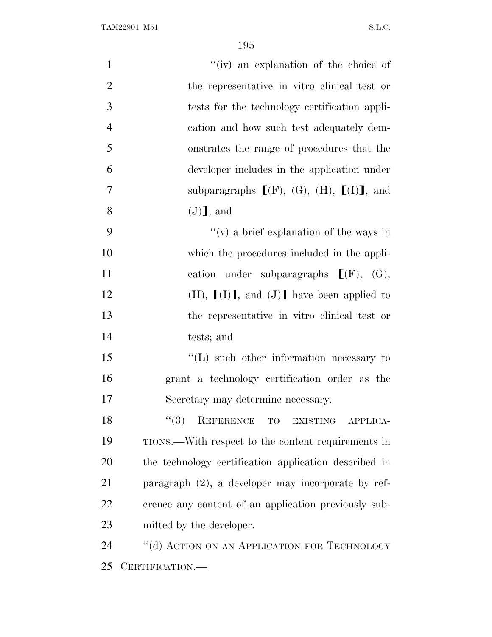| $\mathbf{1}$   | "(iv) an explanation of the choice of                 |
|----------------|-------------------------------------------------------|
| $\overline{2}$ | the representative in vitro clinical test or          |
| 3              | tests for the technology certification appli-         |
| $\overline{4}$ | cation and how such test adequately dem-              |
| 5              | onstrates the range of procedures that the            |
| 6              | developer includes in the application under           |
| $\overline{7}$ | subparagraphs $[(F), (G), (H), [(I)]$ , and           |
| 8              | $(J)$ ]; and                                          |
| 9              | "(v) a brief explanation of the ways in               |
| 10             | which the procedures included in the appli-           |
| 11             | cation under subparagraphs $[(F), (G),$               |
| 12             | $(H), [I]$ , and $(J)$ have been applied to           |
| 13             | the representative in vitro clinical test or          |
| 14             | tests; and                                            |
| 15             | $\lq\lq$ . Such other information necessary to        |
| 16             | grant a technology certification order as the         |
| 17             | Secretary may determine necessary.                    |
| 18             | "(3) REFERENCE TO EXISTING APPLICA-                   |
| 19             | TIONS.—With respect to the content requirements in    |
| 20             | the technology certification application described in |
| 21             | paragraph $(2)$ , a developer may incorporate by ref- |
| 22             | erence any content of an application previously sub-  |
| 23             | mitted by the developer.                              |
| 24             | "(d) ACTION ON AN APPLICATION FOR TECHNOLOGY          |
| 25             | CERTIFICATION.—                                       |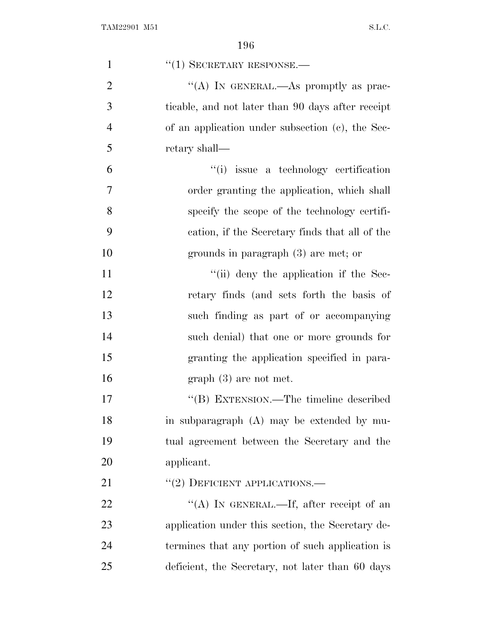| $\mathbf{1}$   | $``(1)$ SECRETARY RESPONSE.—                      |
|----------------|---------------------------------------------------|
| $\overline{2}$ | "(A) IN GENERAL.—As promptly as prac-             |
| 3              | ticable, and not later than 90 days after receipt |
| $\overline{4}$ | of an application under subsection (c), the Sec-  |
| 5              | retary shall—                                     |
| 6              | "(i) issue a technology certification             |
| $\overline{7}$ | order granting the application, which shall       |
| 8              | specify the scope of the technology certifi-      |
| 9              | cation, if the Secretary finds that all of the    |
| 10             | grounds in paragraph (3) are met; or              |
| 11             | "(ii) deny the application if the Sec-            |
| 12             | retary finds (and sets forth the basis of         |
| 13             | such finding as part of or accompanying           |
| 14             | such denial) that one or more grounds for         |
| 15             | granting the application specified in para-       |
| 16             | $graph(3)$ are not met.                           |
| 17             | "(B) EXTENSION.—The timeline described            |
| 18             | in subparagraph (A) may be extended by mu-        |
| 19             | tual agreement between the Secretary and the      |
| 20             | applicant.                                        |
| 21             | $``(2)$ DEFICIENT APPLICATIONS.—                  |
| 22             | "(A) IN GENERAL.—If, after receipt of an          |
| 23             | application under this section, the Secretary de- |
| 24             | termines that any portion of such application is  |
| 25             | deficient, the Secretary, not later than 60 days  |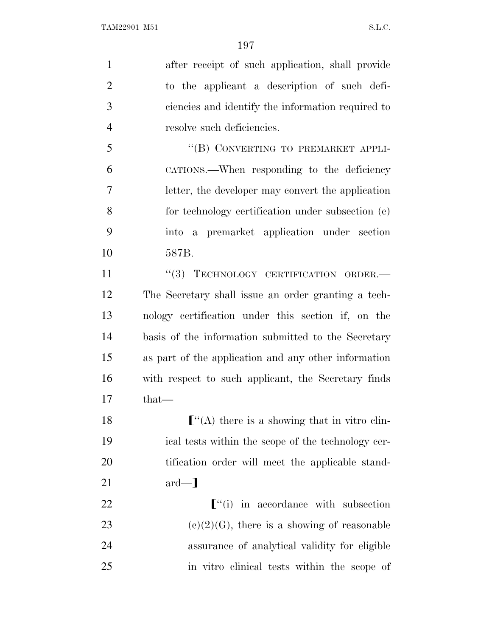after receipt of such application, shall provide to the applicant a description of such defi- ciencies and identify the information required to resolve such deficiencies. 5 "(B) CONVERTING TO PREMARKET APPLI- CATIONS.—When responding to the deficiency letter, the developer may convert the application

 for technology certification under subsection (c) into a premarket application under section 587B.

11 "(3) TECHNOLOGY CERTIFICATION ORDER. The Secretary shall issue an order granting a tech- nology certification under this section if, on the basis of the information submitted to the Secretary as part of the application and any other information with respect to such applicant, the Secretary finds that—

 $\lceil$  "(A) there is a showing that in vitro clin- ical tests within the scope of the technology cer- tification order will meet the applicable stand- $21 \quad \text{ard}$ —

 $\lceil$   $\lceil$   $\lceil$   $\lceil$   $\lceil$  in accordance with subsection 23 (c)(2)(G), there is a showing of reasonable assurance of analytical validity for eligible in vitro clinical tests within the scope of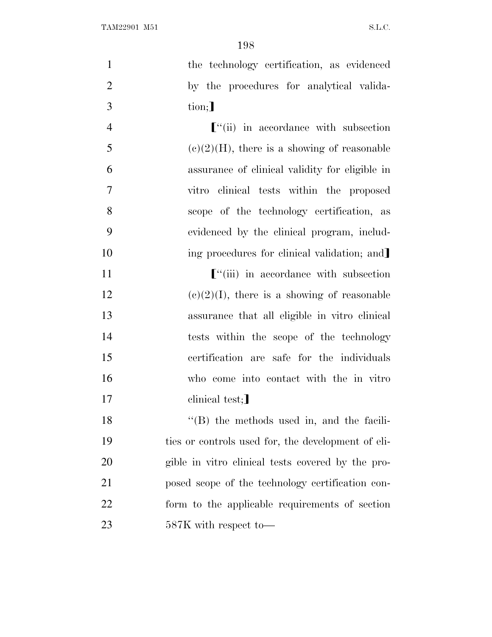1 the technology certification, as evidenced 2 by the procedures for analytical valida-3 tion;

*C*<sup>"</sup>(ii) in accordance with subsection 5 (c)(2)(H), there is a showing of reasonable assurance of clinical validity for eligible in vitro clinical tests within the proposed scope of the technology certification, as evidenced by the clinical program, includ-10 ing procedures for clinical validation; and

11 **F**<sup>"</sup>(iii) in accordance with subsection 12 (c)(2)(I), there is a showing of reasonable 13 assurance that all eligible in vitro clinical 14 tests within the scope of the technology 15 certification are safe for the individuals 16 who come into contact with the in vitro 17 clinical test;

18 ''(B) the methods used in, and the facili- ties or controls used for, the development of eli- gible in vitro clinical tests covered by the pro- posed scope of the technology certification con- form to the applicable requirements of section 587K with respect to—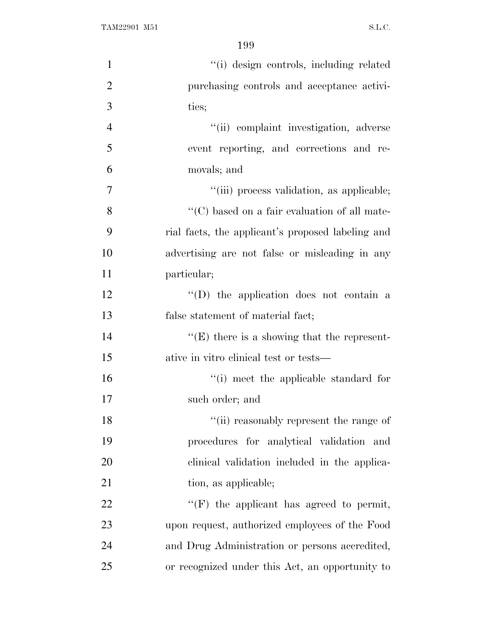| $\mathbf{1}$   | "(i) design controls, including related              |
|----------------|------------------------------------------------------|
| $\overline{2}$ | purchasing controls and acceptance activi-           |
| 3              | ties;                                                |
| $\overline{4}$ | "(ii) complaint investigation, adverse               |
| 5              | event reporting, and corrections and re-             |
| 6              | movals; and                                          |
| $\overline{7}$ | "(iii) process validation, as applicable;            |
| 8              | $\lq\lq$ (C) based on a fair evaluation of all mate- |
| 9              | rial facts, the applicant's proposed labeling and    |
| 10             | advertising are not false or misleading in any       |
| 11             | particular;                                          |
| 12             | $\lq\lq$ the application does not contain a          |
| 13             | false statement of material fact;                    |
| 14             | $\lq\lq(E)$ there is a showing that the represent-   |
| 15             | ative in vitro clinical test or tests—               |
| 16             | "(i) meet the applicable standard for                |
| 17             | such order; and                                      |
| 18             | "(ii) reasonably represent the range of              |
| 19             | procedures for analytical validation and             |
| 20             | clinical validation included in the applica-         |
| 21             | tion, as applicable;                                 |
| 22             | $\lq\lq(F)$ the applicant has agreed to permit,      |
| 23             | upon request, authorized employees of the Food       |
| 24             | and Drug Administration or persons accredited,       |
| 25             | or recognized under this Act, an opportunity to      |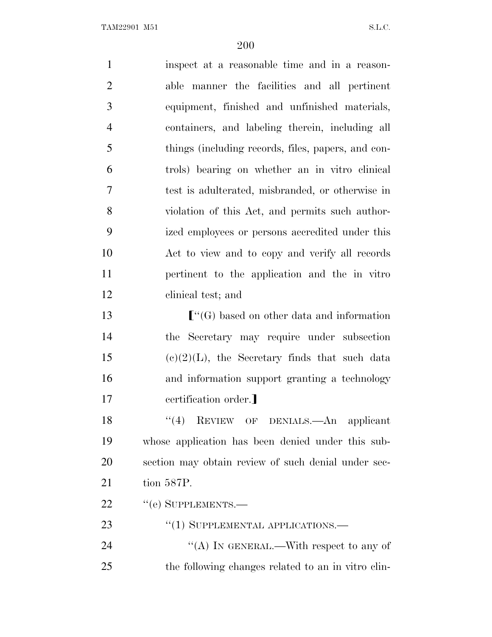| $\mathbf{1}$   | inspect at a reasonable time and in a reason-                                                       |
|----------------|-----------------------------------------------------------------------------------------------------|
| $\overline{2}$ | able manner the facilities and all pertinent                                                        |
| 3              | equipment, finished and unfinished materials,                                                       |
| $\overline{4}$ | containers, and labeling therein, including all                                                     |
| 5              | things (including records, files, papers, and con-                                                  |
| 6              | trols) bearing on whether an in vitro clinical                                                      |
| 7              | test is adulterated, misbranded, or otherwise in                                                    |
| 8              | violation of this Act, and permits such author-                                                     |
| 9              | ized employees or persons accredited under this                                                     |
| 10             | Act to view and to copy and verify all records                                                      |
| 11             | pertinent to the application and the in vitro                                                       |
| 12             | clinical test; and                                                                                  |
| 13             | $\lbrack\!\lbrack\!\lbrack\!\lbrack\!\lbrack G\rbrack\!\rbrack$ based on other data and information |
| 14             | the Secretary may require under subsection                                                          |
| 15             | $(e)(2)(L)$ , the Secretary finds that such data                                                    |
| 16             | and information support granting a technology                                                       |
| 17             | certification order.]                                                                               |
| 18             | REVIEW OF DENIALS.—An applicant<br>(4)                                                              |
| 19             | whose application has been denied under this sub-                                                   |
| 20             | section may obtain review of such denial under sec-                                                 |
| 21             | tion 587P.                                                                                          |
| 22             | $"$ (e) SUPPLEMENTS.—                                                                               |
| 23             | "(1) SUPPLEMENTAL APPLICATIONS.—                                                                    |
| 24             | "(A) IN GENERAL.—With respect to any of                                                             |
| 25             | the following changes related to an in vitro clin-                                                  |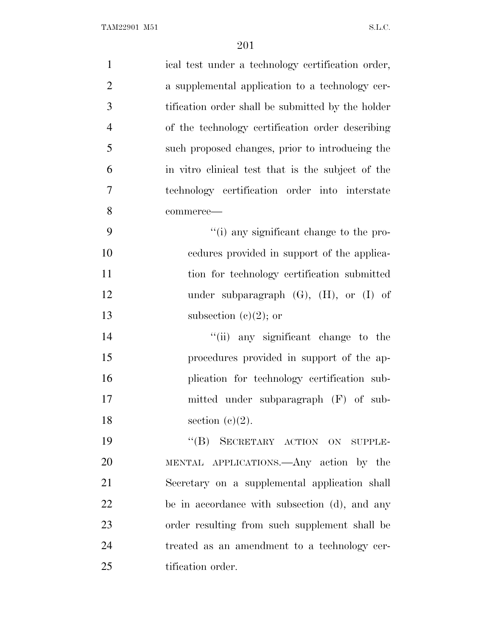| $\mathbf{1}$   | ical test under a technology certification order, |
|----------------|---------------------------------------------------|
| $\overline{2}$ | a supplemental application to a technology cer-   |
| 3              | tification order shall be submitted by the holder |
| $\overline{4}$ | of the technology certification order describing  |
| 5              | such proposed changes, prior to introducing the   |
| 6              | in vitro clinical test that is the subject of the |
| $\overline{7}$ | technology certification order into interstate    |
| 8              | commerce-                                         |
| 9              | "(i) any significant change to the pro-           |
| 10             | eedures provided in support of the applica-       |
| 11             | tion for technology certification submitted       |
| 12             | under subparagraph $(G)$ , $(H)$ , or $(I)$ of    |
| 13             | subsection (c)(2); or                             |
| 14             | "(ii) any significant change to the               |
| 15             | procedures provided in support of the ap-         |
| 16             | plication for technology certification sub-       |
| 17             | mitted under subparagraph (F) of sub-             |
| 18             | section $(e)(2)$ .                                |
| 19             | "(B) SECRETARY ACTION ON SUPPLE-                  |
| 20             | MENTAL APPLICATIONS.—Any action by the            |
| 21             | Secretary on a supplemental application shall     |
| 22             | be in accordance with subsection (d), and any     |
| 23             | order resulting from such supplement shall be     |
| 24             | treated as an amendment to a technology cer-      |
| 25             | tification order.                                 |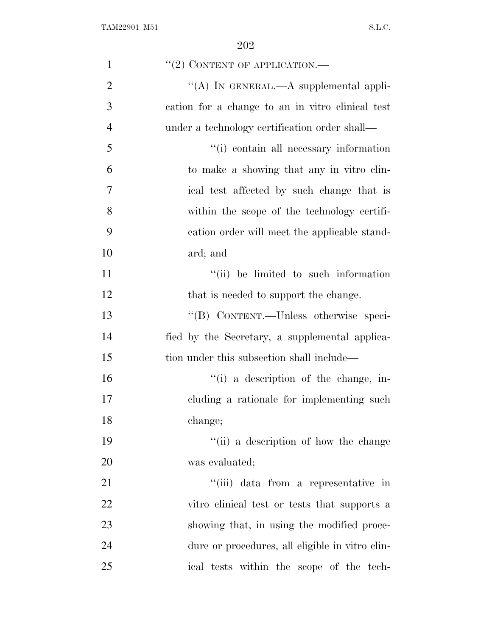| $\mathbf{1}$   | $``(2)$ CONTENT OF APPLICATION.—                 |
|----------------|--------------------------------------------------|
| $\overline{2}$ | "(A) IN GENERAL.—A supplemental appli-           |
| 3              | cation for a change to an in vitro clinical test |
| $\overline{4}$ | under a technology certification order shall—    |
| 5              | "(i) contain all necessary information           |
| 6              | to make a showing that any in vitro clin-        |
| 7              | ical test affected by such change that is        |
| 8              | within the scope of the technology certifi-      |
| 9              | cation order will meet the applicable stand-     |
| 10             | ard; and                                         |
| 11             | "(ii) be limited to such information             |
| 12             | that is needed to support the change.            |
| 13             | "(B) CONTENT.—Unless otherwise speci-            |
| 14             | fied by the Secretary, a supplemental applica-   |
| 15             | tion under this subsection shall include—        |
| 16             | "(i) a description of the change, in-            |
| 17             | cluding a rationale for implementing such        |
| 18             | change;                                          |
| 19             | "(ii) a description of how the change            |
| 20             | was evaluated;                                   |
| 21             | "(iii) data from a representative in             |
| 22             | vitro clinical test or tests that supports a     |
| 23             | showing that, in using the modified proce-       |
| 24             | dure or procedures, all eligible in vitro clin-  |
| 25             | ical tests within the scope of the tech-         |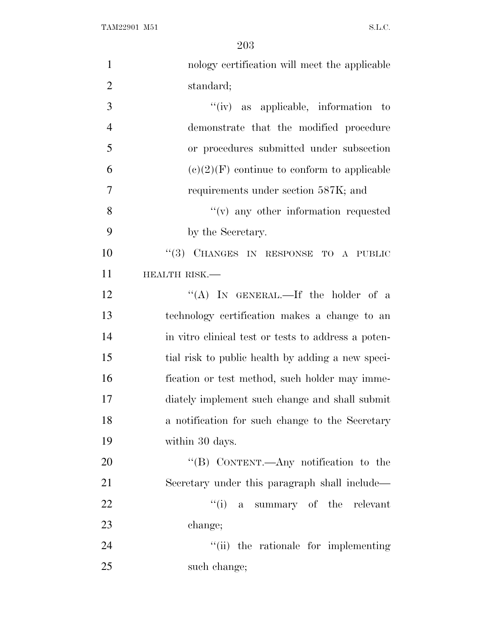| $\mathbf{1}$   | nology certification will meet the applicable       |
|----------------|-----------------------------------------------------|
| $\overline{2}$ | standard;                                           |
| 3              | $``(iv)$ as applicable, information to              |
| $\overline{4}$ | demonstrate that the modified procedure             |
| 5              | or procedures submitted under subsection            |
| 6              | $(e)(2)(F)$ continue to conform to applicable       |
| $\overline{7}$ | requirements under section 587K; and                |
| 8              | "(v) any other information requested                |
| 9              | by the Secretary.                                   |
| 10             | "(3) CHANGES IN RESPONSE TO A PUBLIC                |
| 11             | HEALTH RISK.-                                       |
| 12             | "(A) IN GENERAL.—If the holder of a                 |
| 13             | technology certification makes a change to an       |
| 14             | in vitro clinical test or tests to address a poten- |
| 15             | tial risk to public health by adding a new speci-   |
| 16             | fication or test method, such holder may imme-      |
| 17             | diately implement such change and shall submit      |
| 18             | a notification for such change to the Secretary     |
| 19             | within 30 days.                                     |
| 20             | "(B) CONTENT.—Any notification to the               |
| 21             | Secretary under this paragraph shall include—       |
| 22             | "(i) a summary of the relevant                      |
| 23             | change;                                             |
| 24             | "(ii) the rationale for implementing                |
| 25             | such change;                                        |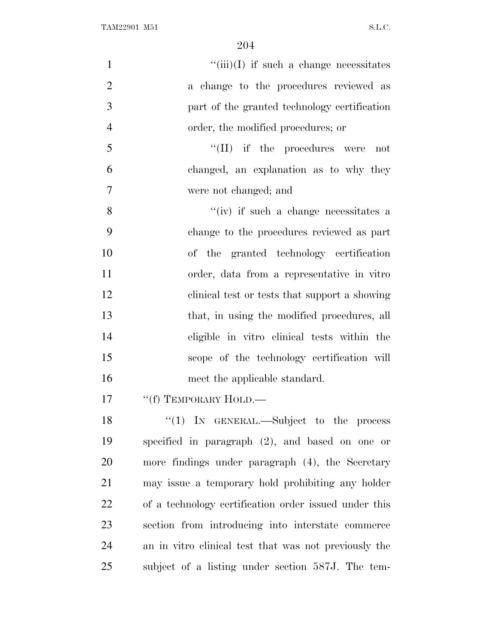| $\mathbf{1}$   | $``(iii)(I)$ if such a change necessitates            |
|----------------|-------------------------------------------------------|
| $\overline{2}$ | a change to the procedures reviewed as                |
| 3              | part of the granted technology certification          |
| $\overline{4}$ | order, the modified procedures; or                    |
| 5              | $\lq\lq$ (II) if the procedures were<br>not           |
| 6              | changed, an explanation as to why they                |
| 7              | were not changed; and                                 |
| 8              | $``(iv)$ if such a change necessitates a              |
| 9              | change to the procedures reviewed as part             |
| 10             | of the granted technology certification               |
| 11             | order, data from a representative in vitro            |
| 12             | clinical test or tests that support a showing         |
| 13             | that, in using the modified procedures, all           |
| 14             | eligible in vitro clinical tests within the           |
| 15             | scope of the technology certification will            |
| 16             | meet the applicable standard.                         |
| 17             | "(f) TEMPORARY HOLD.—                                 |
| 18             | "(1) IN GENERAL.—Subject to the process               |
| 19             | specified in paragraph $(2)$ , and based on one or    |
| 20             | more findings under paragraph (4), the Secretary      |
| 21             | may issue a temporary hold prohibiting any holder     |
| 22             | of a technology certification order issued under this |
| 23             | section from introducing into interstate commerce     |
| 24             | an in vitro clinical test that was not previously the |
| 25             | subject of a listing under section 587J. The tem-     |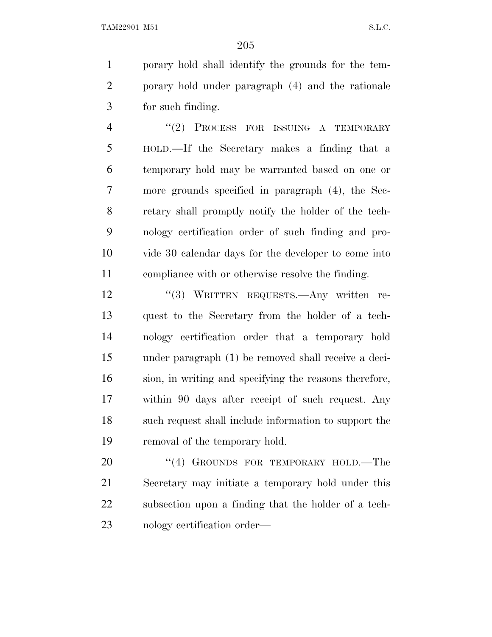porary hold shall identify the grounds for the tem- porary hold under paragraph (4) and the rationale for such finding.

4 "(2) PROCESS FOR ISSUING A TEMPORARY HOLD.—If the Secretary makes a finding that a temporary hold may be warranted based on one or more grounds specified in paragraph (4), the Sec- retary shall promptly notify the holder of the tech- nology certification order of such finding and pro- vide 30 calendar days for the developer to come into compliance with or otherwise resolve the finding.

12 "(3) WRITTEN REQUESTS.—Any written re- quest to the Secretary from the holder of a tech- nology certification order that a temporary hold under paragraph (1) be removed shall receive a deci- sion, in writing and specifying the reasons therefore, within 90 days after receipt of such request. Any such request shall include information to support the removal of the temporary hold.

20 "(4) GROUNDS FOR TEMPORARY HOLD.—The Secretary may initiate a temporary hold under this subsection upon a finding that the holder of a tech-nology certification order—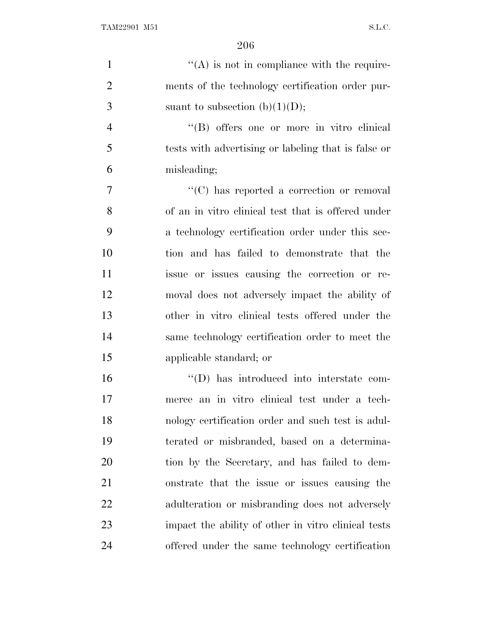| $\mathbf{1}$   | $\lq\lq$ is not in compliance with the require-     |
|----------------|-----------------------------------------------------|
| $\overline{2}$ | ments of the technology certification order pur-    |
| 3              | suant to subsection $(b)(1)(D);$                    |
| $\overline{4}$ | "(B) offers one or more in vitro elinical           |
| 5              | tests with advertising or labeling that is false or |
| 6              | misleading;                                         |
| $\tau$         | "(C) has reported a correction or removal           |
| 8              | of an in vitro clinical test that is offered under  |
| 9              | a technology certification order under this sec-    |
| 10             | tion and has failed to demonstrate that the         |
| 11             | issue or issues causing the correction or re-       |
| 12             | moval does not adversely impact the ability of      |
| 13             | other in vitro clinical tests offered under the     |
| 14             | same technology certification order to meet the     |
| 15             | applicable standard; or                             |
| 16             | "(D) has introduced into interstate com-            |
| 17             | merce an in vitro clinical test under a tech-       |
| 18             | nology certification order and such test is adul-   |
| 19             | terated or misbranded, based on a determina-        |
| 20             | tion by the Secretary, and has failed to dem-       |
| 21             | onstrate that the issue or issues causing the       |
| 22             | adulteration or misbranding does not adversely      |
| 23             | impact the ability of other in vitro clinical tests |
| 24             | offered under the same technology certification     |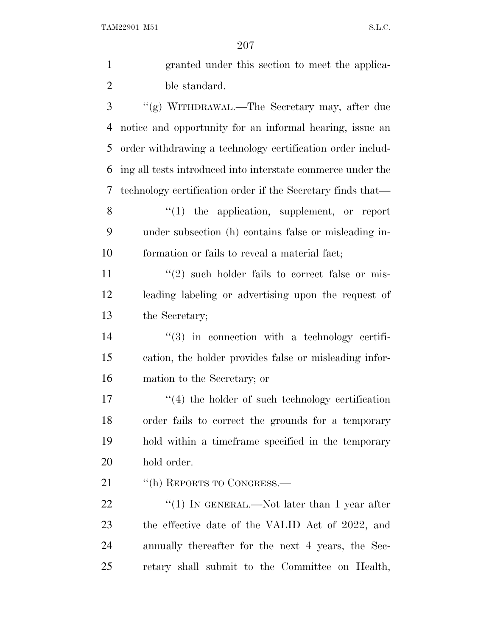TAM22901 M51 S.L.C.

| $\mathbf{1}$   | granted under this section to meet the applica-             |
|----------------|-------------------------------------------------------------|
| $\overline{2}$ | ble standard.                                               |
| 3              | "(g) WITHDRAWAL.—The Secretary may, after due               |
| 4              | notice and opportunity for an informal hearing, issue an    |
| 5              | order withdrawing a technology certification order includ-  |
| 6              | ing all tests introduced into interstate commerce under the |
| 7              | technology certification order if the Secretary finds that— |
| 8              | $"(1)$ the application, supplement, or report               |
| 9              | under subsection (h) contains false or misleading in-       |
| 10             | formation or fails to reveal a material fact;               |
| 11             | $\lq(2)$ such holder fails to correct false or mis-         |
| 12             | leading labeling or advertising upon the request of         |
| 13             | the Secretary;                                              |
| 14             | $\lq(3)$ in connection with a technology certifi-           |
| 15             | cation, the holder provides false or misleading infor-      |
| 16             | mation to the Secretary; or                                 |
| 17             | $\lq(4)$ the holder of such technology certification        |
| 18             | order fails to correct the grounds for a temporary          |
| 19             | hold within a timeframe specified in the temporary          |
| 20             | hold order.                                                 |
| 21             | "(h) REPORTS TO CONGRESS.—                                  |
| 22             | "(1) IN GENERAL.—Not later than 1 year after                |
| 23             | the effective date of the VALID Act of 2022, and            |
| 24             | annually thereafter for the next 4 years, the Sec-          |
| 25             | retary shall submit to the Committee on Health,             |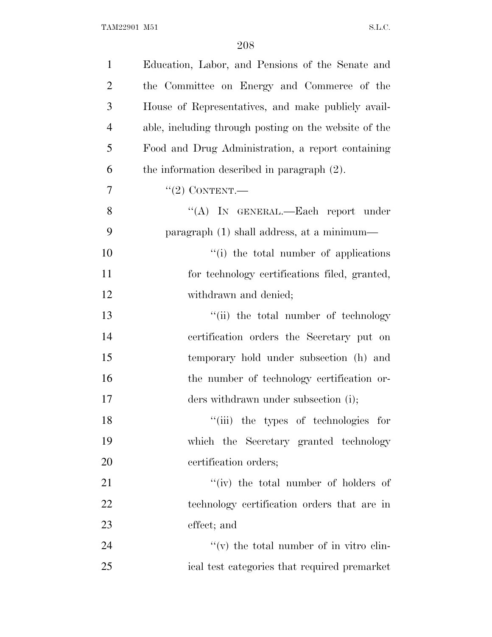| $\mathbf{1}$   | Education, Labor, and Pensions of the Senate and      |
|----------------|-------------------------------------------------------|
| $\overline{2}$ | the Committee on Energy and Commerce of the           |
| 3              | House of Representatives, and make publicly avail-    |
| $\overline{4}$ | able, including through posting on the website of the |
| 5              | Food and Drug Administration, a report containing     |
| 6              | the information described in paragraph $(2)$ .        |
| 7              | $"(2)$ CONTENT.—                                      |
| 8              | "(A) IN GENERAL.—Each report under                    |
| 9              | paragraph (1) shall address, at a minimum—            |
| 10             | "(i) the total number of applications                 |
| 11             | for technology certifications filed, granted,         |
| 12             | withdrawn and denied;                                 |
| 13             | "(ii) the total number of technology                  |
| 14             | certification orders the Secretary put on             |
| 15             | temporary hold under subsection (h) and               |
| 16             | the number of technology certification or-            |
| 17             | ders withdrawn under subsection (i);                  |
| 18             | "(iii) the types of technologies for                  |
| 19             | which the Secretary granted technology                |
| 20             | certification orders;                                 |
| 21             | "(iv) the total number of holders of                  |
| 22             | technology certification orders that are in           |
| 23             | effect; and                                           |
| 24             | $f'(v)$ the total number of in vitro clin-            |
| 25             | ical test categories that required premarket          |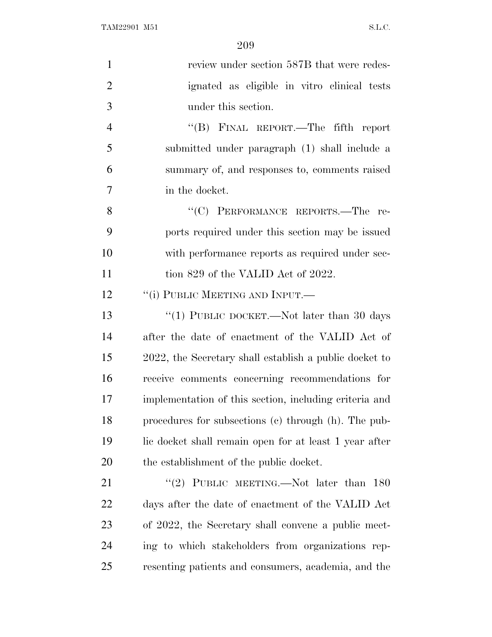| $\mathbf{1}$   | review under section 587B that were redes-             |
|----------------|--------------------------------------------------------|
| $\overline{2}$ | ignated as eligible in vitro clinical tests            |
| 3              | under this section.                                    |
| $\overline{4}$ | "(B) FINAL REPORT.—The fifth report                    |
| 5              | submitted under paragraph (1) shall include a          |
| 6              | summary of, and responses to, comments raised          |
| $\overline{7}$ | in the docket.                                         |
| 8              | "(C) PERFORMANCE REPORTS.—The re-                      |
| 9              | ports required under this section may be issued        |
| 10             | with performance reports as required under sec-        |
| 11             | tion 829 of the VALID Act of 2022.                     |
| 12             | "(i) PUBLIC MEETING AND INPUT.—                        |
| 13             | "(1) PUBLIC DOCKET.—Not later than 30 days             |
| 14             | after the date of enactment of the VALID Act of        |
| 15             | 2022, the Secretary shall establish a public docket to |
| 16             | receive comments concerning recommendations for        |
| 17             | implementation of this section, including criteria and |
| 18             | procedures for subsections (c) through (h). The pub-   |
| 19             | lic docket shall remain open for at least 1 year after |
| 20             | the establishment of the public docket.                |
| 21             | "(2) PUBLIC MEETING.—Not later than 180                |
| 22             | days after the date of enactment of the VALID Act      |
| 23             | of 2022, the Secretary shall convene a public meet-    |
| 24             | ing to which stakeholders from organizations rep-      |
| 25             | resenting patients and consumers, academia, and the    |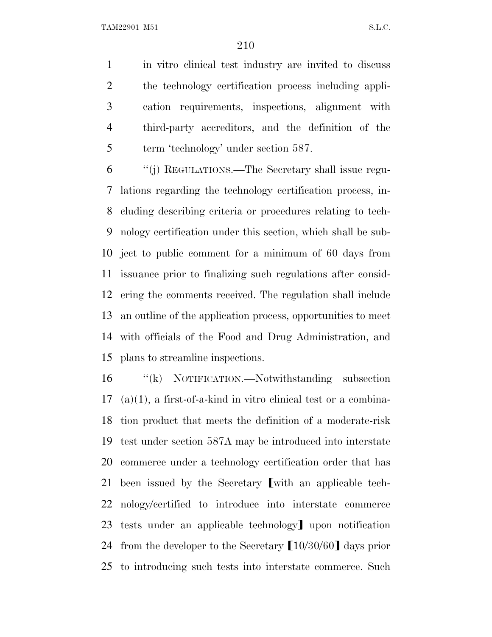TAM22901 M51 S.L.C.

 in vitro clinical test industry are invited to discuss the technology certification process including appli- cation requirements, inspections, alignment with third-party accreditors, and the definition of the 5 term 'technology' under section 587.

 ''(j) REGULATIONS.—The Secretary shall issue regu- lations regarding the technology certification process, in- cluding describing criteria or procedures relating to tech- nology certification under this section, which shall be sub- ject to public comment for a minimum of 60 days from issuance prior to finalizing such regulations after consid- ering the comments received. The regulation shall include an outline of the application process, opportunities to meet with officials of the Food and Drug Administration, and plans to streamline inspections.

 ''(k) NOTIFICATION.—Notwithstanding subsection (a)(1), a first-of-a-kind in vitro clinical test or a combina- tion product that meets the definition of a moderate-risk test under section 587A may be introduced into interstate commerce under a technology certification order that has 21 been issued by the Secretary with an applicable tech- nology/certified to introduce into interstate commerce 23 tests under an applicable technology<sup>]</sup> upon notification 24 from the developer to the Secretary  $[10/30/60]$  days prior to introducing such tests into interstate commerce. Such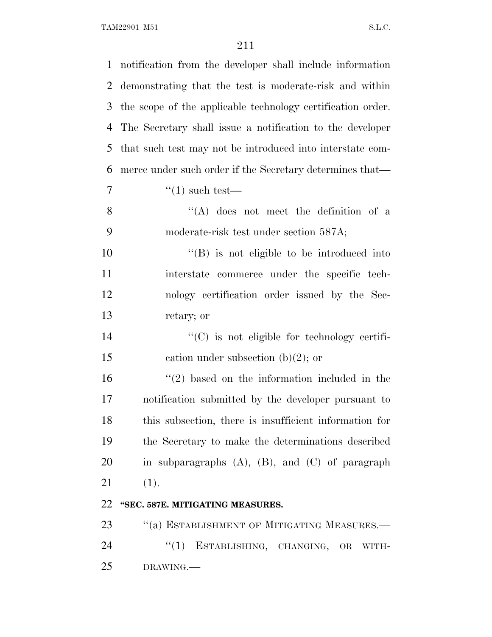| $\mathbf{1}$   | notification from the developer shall include information   |
|----------------|-------------------------------------------------------------|
| $\overline{2}$ | demonstrating that the test is moderate-risk and within     |
| 3              | the scope of the applicable technology certification order. |
| 4              | The Secretary shall issue a notification to the developer   |
| 5              | that such test may not be introduced into interstate com-   |
| 6              | merce under such order if the Secretary determines that—    |
| 7              | $\lq(1)$ such test—                                         |
| 8              | $\lq\lq$ does not meet the definition of a                  |
| 9              | moderate-risk test under section 587A;                      |
| 10             | $\lq\lq (B)$ is not eligible to be introduced into          |
| 11             | interstate commerce under the specific tech-                |
| 12             | nology certification order issued by the Sec-               |
| 13             | retary; or                                                  |
| 14             | $\lq\lq$ (C) is not eligible for technology certifi-        |
| 15             | cation under subsection $(b)(2)$ ; or                       |
| 16             | $f'(2)$ based on the information included in the            |
| 17             | notification submitted by the developer pursuant to         |
| 18             | this subsection, there is insufficient information for      |
| 19             | the Secretary to make the determinations described          |
| 20             | in subparagraphs $(A)$ , $(B)$ , and $(C)$ of paragraph     |
| 21             | (1).                                                        |
| 22             | "SEC. 587E. MITIGATING MEASURES.                            |
| 23             | "(a) ESTABLISHMENT OF MITIGATING MEASURES.-                 |
| 24             | ESTABLISHING, CHANGING,<br>``(1)<br>OR WITH-                |
| 25             | DRAWING.                                                    |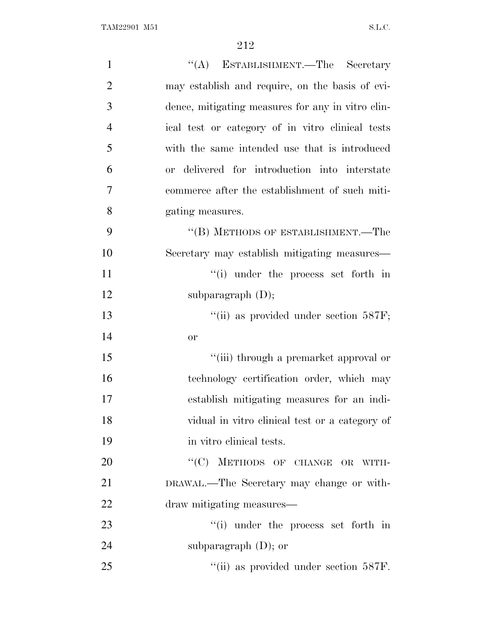| $\mathbf{1}$   | "(A) ESTABLISHMENT.—The Secretary                 |
|----------------|---------------------------------------------------|
| $\overline{2}$ | may establish and require, on the basis of evi-   |
| 3              | dence, mitigating measures for any in vitro clin- |
| $\overline{4}$ | ical test or category of in vitro clinical tests  |
| 5              | with the same intended use that is introduced     |
| 6              | or delivered for introduction into interstate     |
| 7              | commerce after the establishment of such miti-    |
| 8              | gating measures.                                  |
| 9              | "(B) METHODS OF ESTABLISHMENT.—The                |
| 10             | Secretary may establish mitigating measures—      |
| 11             | $f(i)$ under the process set forth in             |
| 12             | subparagraph $(D)$ ;                              |
| 13             | "(ii) as provided under section $587F$ ;          |
| 14             | or                                                |
| 15             | "(iii) through a premarket approval or            |
| 16             | technology certification order, which may         |
| 17             | establish mitigating measures for an indi-        |
| 18             | vidual in vitro clinical test or a category of    |
| 19             | in vitro clinical tests.                          |
| 20             | "(C) METHODS OF CHANGE OR WITH-                   |
| 21             | DRAWAL.—The Secretary may change or with-         |
| 22             | draw mitigating measures—                         |
| 23             | $\lq\lq$ under the process set forth in           |
| 24             | subparagraph $(D)$ ; or                           |
| 25             | "(ii) as provided under section 587F.             |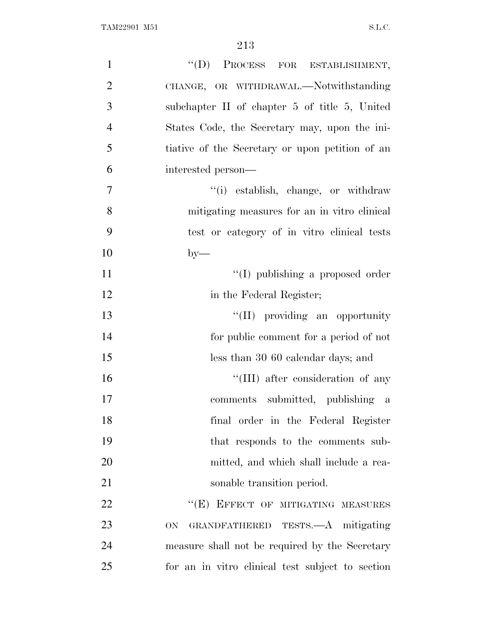| $\mathbf{1}$   | "(D) PROCESS FOR ESTABLISHMENT,                  |
|----------------|--------------------------------------------------|
| $\overline{2}$ | CHANGE, OR WITHDRAWAL.-Notwithstanding           |
| 3              | subchapter II of chapter 5 of title 5, United    |
| $\overline{4}$ | States Code, the Secretary may, upon the ini-    |
| 5              | tiative of the Secretary or upon petition of an  |
| 6              | interested person—                               |
| $\overline{7}$ | "(i) establish, change, or withdraw              |
| 8              | mitigating measures for an in vitro clinical     |
| 9              | test or category of in vitro clinical tests      |
| 10             | $by-$                                            |
| 11             | "(I) publishing a proposed order                 |
| 12             | in the Federal Register;                         |
| 13             | "(II) providing an opportunity                   |
| 14             | for public comment for a period of not           |
| 15             | less than 30 60 calendar days; and               |
| 16             | "(III) after consideration of any                |
| 17             | comments submitted, publishing a                 |
| 18             | final order in the Federal Register              |
| 19             | that responds to the comments sub-               |
| 20             | mitted, and which shall include a rea-           |
| 21             | sonable transition period.                       |
| 22             | "(E) EFFECT OF MITIGATING MEASURES               |
| 23             | GRANDFATHERED TESTS.—A mitigating<br>ON.         |
| 24             | measure shall not be required by the Secretary   |
| 25             | for an in vitro clinical test subject to section |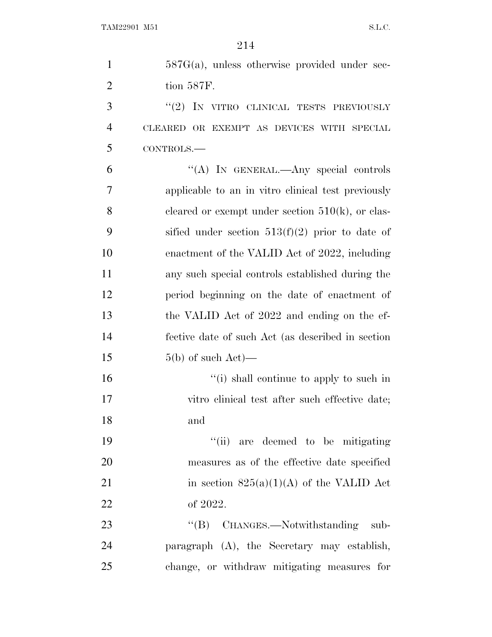| $\mathbf{1}$   | $587G(a)$ , unless otherwise provided under sec-    |
|----------------|-----------------------------------------------------|
| $\overline{2}$ | tion 587F.                                          |
| 3              | " $(2)$ IN VITRO CLINICAL TESTS PREVIOUSLY          |
| $\overline{4}$ | CLEARED OR EXEMPT AS DEVICES WITH SPECIAL           |
| 5              | CONTROLS.-                                          |
| 6              | "(A) IN GENERAL.—Any special controls               |
| 7              | applicable to an in vitro clinical test previously  |
| 8              | cleared or exempt under section $510(k)$ , or clas- |
| 9              | sified under section $513(f)(2)$ prior to date of   |
| 10             | enactment of the VALID Act of 2022, including       |
| 11             | any such special controls established during the    |
| 12             | period beginning on the date of enactment of        |
| 13             | the VALID Act of 2022 and ending on the ef-         |
| 14             | fective date of such Act (as described in section   |
| 15             | $5(b)$ of such Act)—                                |
| 16             | "(i) shall continue to apply to such in             |
| 17             | vitro clinical test after such effective date;      |
| 18             | and                                                 |
| 19             | "(ii) are deemed to be mitigating                   |
| 20             | measures as of the effective date specified         |
| 21             | in section $825(a)(1)(A)$ of the VALID Act          |
| 22             | of 2022.                                            |
| 23             | "(B) CHANGES.—Notwithstanding sub-                  |
| 24             | paragraph (A), the Secretary may establish,         |
| 25             | change, or withdraw mitigating measures for         |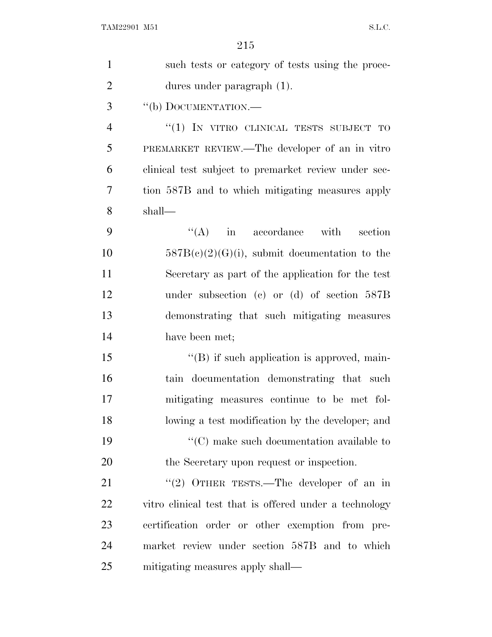| $\mathbf{1}$   | such tests or category of tests using the proce-               |
|----------------|----------------------------------------------------------------|
| $\overline{2}$ | dures under paragraph (1).                                     |
| 3              | "(b) DOCUMENTATION.—                                           |
| $\overline{4}$ | "(1) IN VITRO CLINICAL TESTS SUBJECT TO                        |
| 5              | PREMARKET REVIEW.—The developer of an in vitro                 |
| 6              | clinical test subject to premarket review under sec-           |
| 7              | tion 587B and to which mitigating measures apply               |
| 8              | shall—                                                         |
| 9              | $\lq\lq$ (A) in accordance with<br>section                     |
| 10             | $587B(c)(2)(G)(i)$ , submit documentation to the               |
| 11             | Secretary as part of the application for the test              |
| 12             | under subsection (c) or (d) of section $587B$                  |
| 13             | demonstrating that such mitigating measures                    |
| 14             | have been met;                                                 |
| 15             | $\lq\lq$ if such application is approved, main-                |
| 16             | tain documentation demonstrating that such                     |
| 17             | mitigating measures continue to be met fol-                    |
| 18             | lowing a test modification by the developer; and               |
| 19             | $\lq\lq$ <sup>*</sup> (C) make such documentation available to |
| 20             | the Secretary upon request or inspection.                      |
| 21             | "(2) OTHER TESTS.—The developer of an in                       |
| 22             | vitro clinical test that is offered under a technology         |
| 23             | certification order or other exemption from pre-               |
| 24             | market review under section 587B and to which                  |
| 25             | mitigating measures apply shall—                               |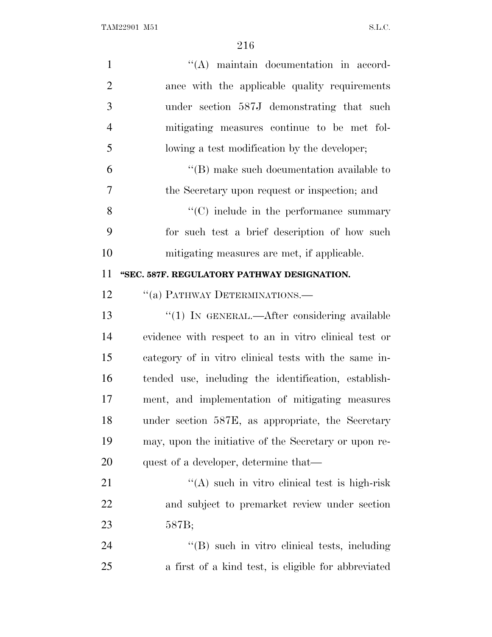| $\mathbf{1}$   | $\lq\lq$ maintain documentation in accord-            |
|----------------|-------------------------------------------------------|
| $\overline{2}$ | ance with the applicable quality requirements         |
| 3              | under section 587J demonstrating that such            |
| $\overline{4}$ | mitigating measures continue to be met fol-           |
| 5              | lowing a test modification by the developer;          |
| 6              | $\lq\lq$ (B) make such documentation available to     |
| 7              | the Secretary upon request or inspection; and         |
| 8              | "(C) include in the performance summary               |
| 9              | for such test a brief description of how such         |
| 10             | mitigating measures are met, if applicable.           |
| 11             | "SEC. 587F. REGULATORY PATHWAY DESIGNATION.           |
| 12             | "(a) PATHWAY DETERMINATIONS.—                         |
| 13             | "(1) IN GENERAL.—After considering available          |
| 14             | evidence with respect to an in vitro clinical test or |
| 15             | category of in vitro clinical tests with the same in- |
| 16             | tended use, including the identification, establish-  |
| 17             | ment, and implementation of mitigating measures       |
| 18             | under section 587E, as appropriate, the Secretary     |
| 19             | may, upon the initiative of the Secretary or upon re- |
| 20             | quest of a developer, determine that—                 |
| 21             | $\lq($ A) such in vitro clinical test is high-risk    |
| 22             | and subject to premarket review under section         |
| 23             | 587B;                                                 |
| 24             | "(B) such in vitro clinical tests, including          |
| 25             | a first of a kind test, is eligible for abbreviated   |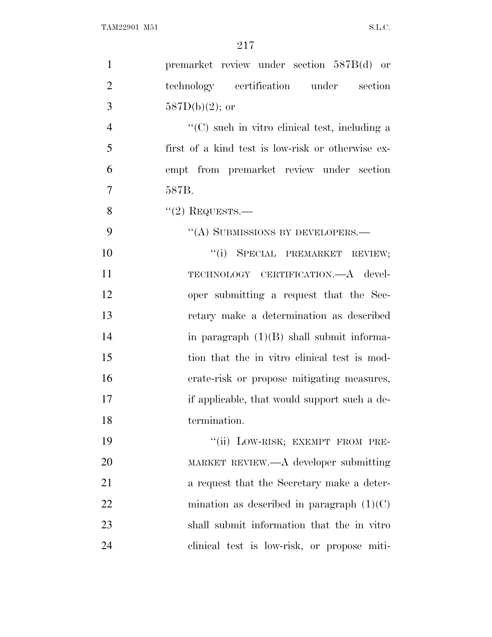| $\mathbf{1}$   | premarket review under section 587B(d) or         |
|----------------|---------------------------------------------------|
| $\overline{2}$ | technology certification under section            |
| 3              | $587D(b)(2)$ ; or                                 |
| $\overline{4}$ | "(C) such in vitro clinical test, including a     |
| 5              | first of a kind test is low-risk or otherwise ex- |
| 6              | empt from premarket review under section          |
| 7              | 587B.                                             |
| 8              | $"(2)$ REQUESTS.—                                 |
| 9              | "(A) SUBMISSIONS BY DEVELOPERS.-                  |
| 10             | "(i) SPECIAL PREMARKET REVIEW;                    |
| 11             | TECHNOLOGY CERTIFICATION.—A devel-                |
| 12             | oper submitting a request that the Sec-           |
| 13             | retary make a determination as described          |
| 14             | in paragraph $(1)(B)$ shall submit informa-       |
| 15             | tion that the in vitro clinical test is mod-      |
| 16             | erate-risk or propose mitigating measures,        |
| 17             | if applicable, that would support such a de-      |
| 18             | termination.                                      |
| 19             | "(ii) LOW-RISK; EXEMPT FROM PRE-                  |
| 20             | MARKET REVIEW.—A developer submitting             |
| 21             | a request that the Secretary make a deter-        |
| 22             | mination as described in paragraph $(1)(C)$       |
| 23             | shall submit information that the in vitro        |
| 24             | clinical test is low-risk, or propose miti-       |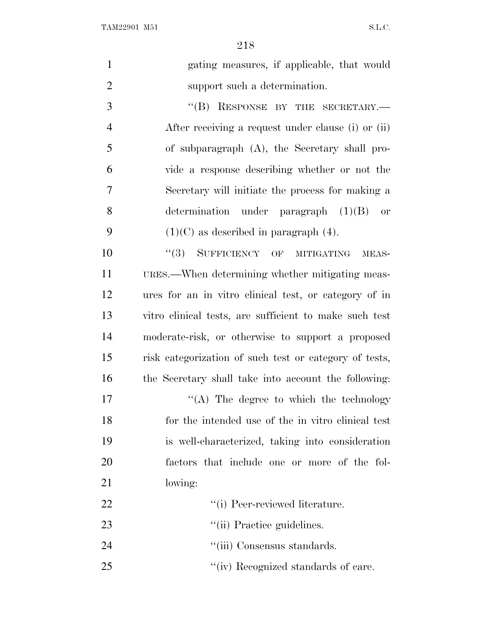TAM22901 M51 S.L.C.

| $\mathbf{1}$   | gating measures, if applicable, that would             |
|----------------|--------------------------------------------------------|
| $\overline{2}$ | support such a determination.                          |
| 3              | "(B) RESPONSE BY THE SECRETARY.-                       |
| $\overline{4}$ | After receiving a request under clause (i) or (ii)     |
| 5              | of subparagraph (A), the Secretary shall pro-          |
| 6              | vide a response describing whether or not the          |
| $\overline{7}$ | Secretary will initiate the process for making a       |
| 8              | determination under paragraph $(1)(B)$ or              |
| 9              | $(1)(C)$ as described in paragraph $(4)$ .             |
| 10             | "(3) SUFFICIENCY OF MITIGATING<br>MEAS-                |
| 11             | URES.—When determining whether mitigating meas-        |
| 12             | ures for an in vitro clinical test, or category of in  |
| 13             | vitro clinical tests, are sufficient to make such test |
| 14             | moderate-risk, or otherwise to support a proposed      |
| 15             | risk categorization of such test or category of tests, |
| 16             | the Secretary shall take into account the following:   |
| 17             | $\lq\lq$ . The degree to which the technology          |
| 18             | for the intended use of the in vitro clinical test     |
| 19             | is well-characterized, taking into consideration       |
| 20             | factors that include one or more of the fol-           |
| 21             | lowing:                                                |
| 22             | "(i) Peer-reviewed literature.                         |
| 23             | "(ii) Practice guidelines.                             |
| 24             | "(iii) Consensus standards.                            |
| 25             | "(iv) Recognized standards of care.                    |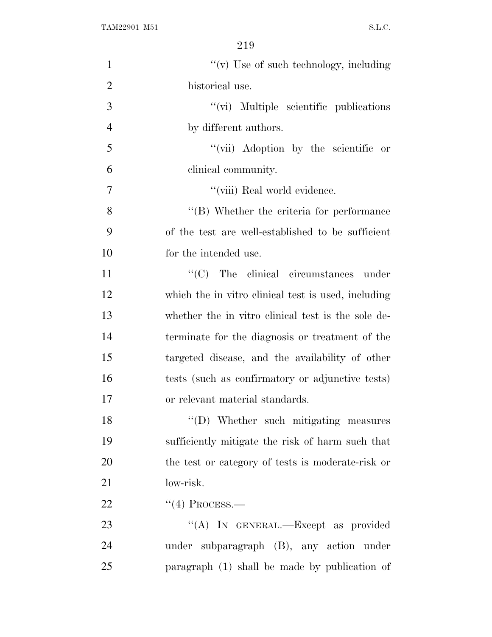| $\mathbf{1}$   | " $(v)$ Use of such technology, including           |
|----------------|-----------------------------------------------------|
| $\overline{2}$ | historical use.                                     |
| 3              | "(vi) Multiple scientific publications              |
| $\overline{4}$ | by different authors.                               |
| 5              | "(vii) Adoption by the scientific or                |
| 6              | clinical community.                                 |
| $\overline{7}$ | "(viii) Real world evidence.                        |
| 8              | $\lq\lq$ (B) Whether the criteria for performance   |
| 9              | of the test are well-established to be sufficient   |
| 10             | for the intended use.                               |
| 11             | $\lq\lq$ (C) The clinical circumstances under       |
| 12             | which the in vitro clinical test is used, including |
| 13             | whether the in vitro clinical test is the sole de-  |
| 14             | terminate for the diagnosis or treatment of the     |
| 15             | targeted disease, and the availability of other     |
| 16             | tests (such as confirmatory or adjunctive tests)    |
| 17             | or relevant material standards.                     |
| 18             | "(D) Whether such mitigating measures               |
| 19             | sufficiently mitigate the risk of harm such that    |
| 20             | the test or category of tests is moderate-risk or   |
| 21             | low-risk.                                           |
| 22             | $\lq(4)$ PROCESS.—                                  |
| 23             | "(A) IN GENERAL.—Except as provided                 |
| 24             | under subparagraph (B), any action under            |
| 25             | paragraph (1) shall be made by publication of       |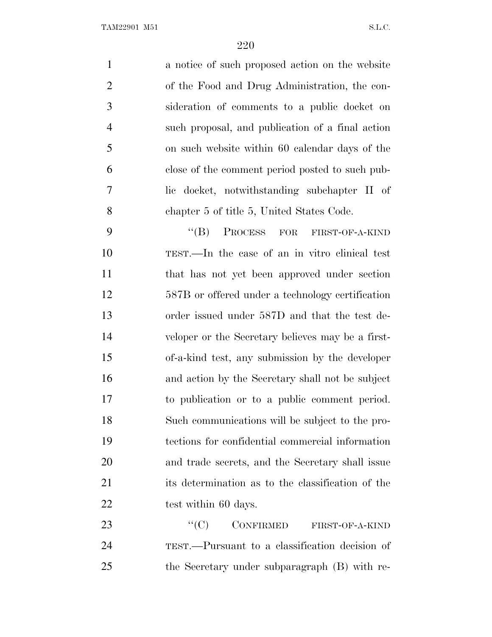a notice of such proposed action on the website of the Food and Drug Administration, the con- sideration of comments to a public docket on such proposal, and publication of a final action on such website within 60 calendar days of the close of the comment period posted to such pub- lic docket, notwithstanding subchapter II of chapter 5 of title 5, United States Code. 9 "(B) PROCESS FOR FIRST-OF-A-KIND

 TEST.—In the case of an in vitro clinical test that has not yet been approved under section 587B or offered under a technology certification order issued under 587D and that the test de- veloper or the Secretary believes may be a first- of-a-kind test, any submission by the developer and action by the Secretary shall not be subject to publication or to a public comment period. Such communications will be subject to the pro- tections for confidential commercial information and trade secrets, and the Secretary shall issue its determination as to the classification of the 22 test within 60 days.

23 "<sup>(C)</sup> CONFIRMED FIRST-OF-A-KIND TEST.—Pursuant to a classification decision of the Secretary under subparagraph (B) with re-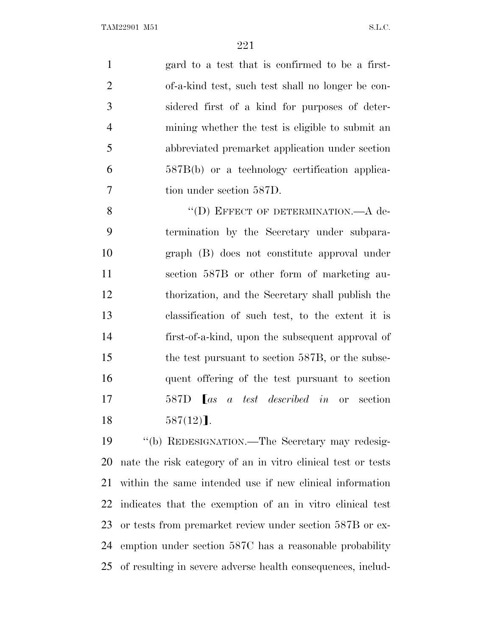gard to a test that is confirmed to be a first- of-a-kind test, such test shall no longer be con- sidered first of a kind for purposes of deter- mining whether the test is eligible to submit an abbreviated premarket application under section 587B(b) or a technology certification applica-tion under section 587D.

8 "(D) EFFECT OF DETERMINATION.—A de- termination by the Secretary under subpara- graph (B) does not constitute approval under section 587B or other form of marketing au- thorization, and the Secretary shall publish the classification of such test, to the extent it is first-of-a-kind, upon the subsequent approval of 15 the test pursuant to section 587B, or the subse- quent offering of the test pursuant to section 587D ø*as a test described in* or section  $587(12)$ ].

 ''(b) REDESIGNATION.—The Secretary may redesig- nate the risk category of an in vitro clinical test or tests within the same intended use if new clinical information indicates that the exemption of an in vitro clinical test or tests from premarket review under section 587B or ex- emption under section 587C has a reasonable probability of resulting in severe adverse health consequences, includ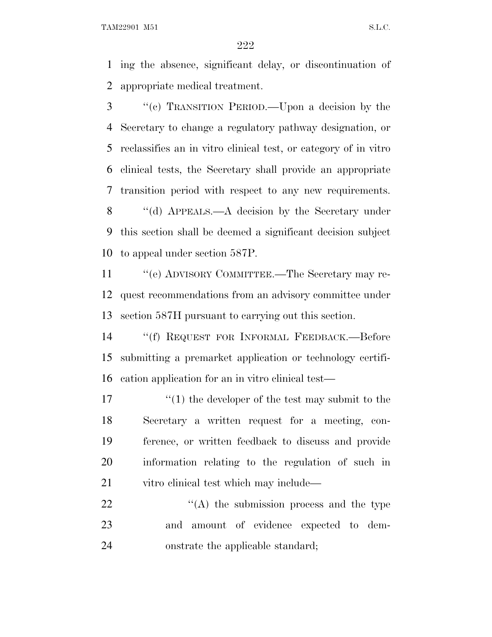TAM22901 M51 S.L.C.

 ing the absence, significant delay, or discontinuation of appropriate medical treatment.

 ''(c) TRANSITION PERIOD.—Upon a decision by the Secretary to change a regulatory pathway designation, or reclassifies an in vitro clinical test, or category of in vitro clinical tests, the Secretary shall provide an appropriate transition period with respect to any new requirements. 8 "(d) APPEALS.—A decision by the Secretary under this section shall be deemed a significant decision subject to appeal under section 587P.

 ''(e) ADVISORY COMMITTEE.—The Secretary may re- quest recommendations from an advisory committee under section 587H pursuant to carrying out this section.

 ''(f) REQUEST FOR INFORMAL FEEDBACK.—Before submitting a premarket application or technology certifi-cation application for an in vitro clinical test—

17 ''(1) the developer of the test may submit to the Secretary a written request for a meeting, con- ference, or written feedback to discuss and provide information relating to the regulation of such in vitro clinical test which may include—

  $"$  (A) the submission process and the type and amount of evidence expected to dem-onstrate the applicable standard;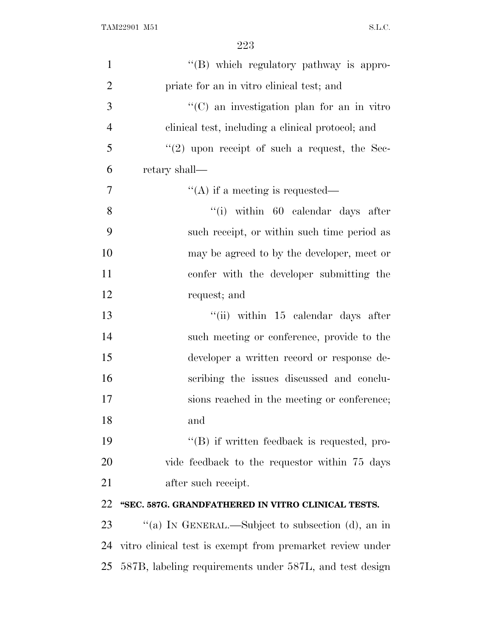| $\mathbf{1}$   | $\lq\lq (B)$ which regulatory pathway is appro-           |
|----------------|-----------------------------------------------------------|
| $\overline{2}$ | priate for an in vitro clinical test; and                 |
| 3              | $\lq\lq$ (C) an investigation plan for an in vitro        |
| $\overline{4}$ | clinical test, including a clinical protocol; and         |
| 5              | $(2)$ upon receipt of such a request, the Sec-            |
| 6              | retary shall-                                             |
| 7              | "(A) if a meeting is requested—                           |
| 8              | "(i) within 60 calendar days after                        |
| 9              | such receipt, or within such time period as               |
| 10             | may be agreed to by the developer, meet or                |
| 11             | confer with the developer submitting the                  |
| 12             | request; and                                              |
| 13             | "(ii) within 15 calendar days after                       |
| 14             | such meeting or conference, provide to the                |
| 15             | developer a written record or response de-                |
| 16             | scribing the issues discussed and conclu-                 |
| 17             | sions reached in the meeting or conference;               |
| 18             | and                                                       |
| 19             | $\lq\lq (B)$ if written feedback is requested, pro-       |
| 20             | vide feedback to the requestor within 75 days             |
| 21             | after such receipt.                                       |
| 22             | "SEC. 587G. GRANDFATHERED IN VITRO CLINICAL TESTS.        |
| 23             | "(a) IN GENERAL.—Subject to subsection (d), an in         |
| 24             | vitro clinical test is exempt from premarket review under |
| 25             | 587B, labeling requirements under 587L, and test design   |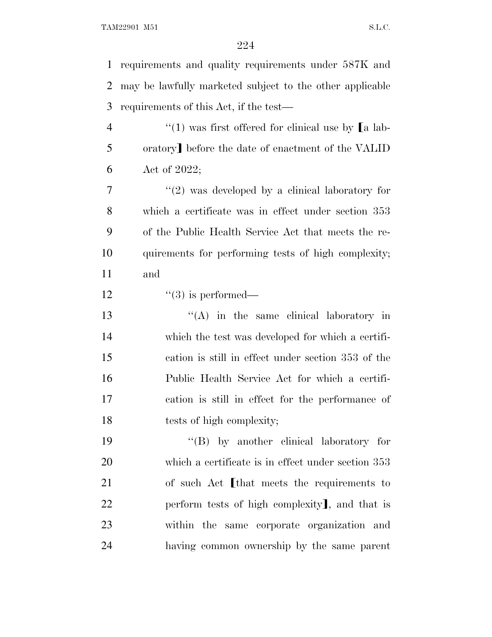requirements and quality requirements under 587K and may be lawfully marketed subject to the other applicable requirements of this Act, if the test—  $\frac{u(1)}{u(1)}$  was first offered for clinical use by [a lab-5 oratory] before the date of enactment of the VALID Act of 2022;  $\frac{1}{2}$  was developed by a clinical laboratory for which a certificate was in effect under section 353 of the Public Health Service Act that meets the re- quirements for performing tests of high complexity; and  $\frac{1}{3}$  is performed— 13 ''(A) in the same clinical laboratory in which the test was developed for which a certifi- cation is still in effect under section 353 of the Public Health Service Act for which a certifi- cation is still in effect for the performance of tests of high complexity; 19 ''(B) by another clinical laboratory for which a certificate is in effect under section 353 21 of such Act [that meets the requirements to 22 perform tests of high complexity, and that is within the same corporate organization and having common ownership by the same parent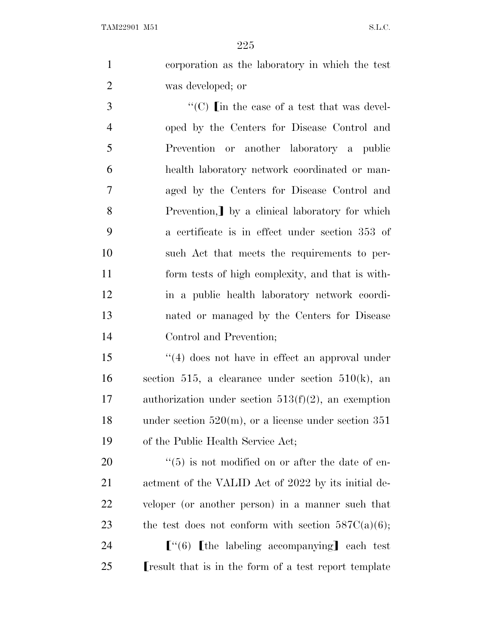corporation as the laboratory in which the test was developed; or

 ''(C) [in the case of a test that was devel- oped by the Centers for Disease Control and Prevention or another laboratory a public health laboratory network coordinated or man- aged by the Centers for Disease Control and 8 Prevention, by a clinical laboratory for which a certificate is in effect under section 353 of such Act that meets the requirements to per- form tests of high complexity, and that is with- in a public health laboratory network coordi- nated or managed by the Centers for Disease Control and Prevention;

 ''(4) does not have in effect an approval under 16 section 515, a clearance under section 510 $(k)$ , an authorization under section 513(f)(2), an exemption under section 520(m), or a license under section 351 of the Public Health Service Act;

 ''(5) is not modified on or after the date of en- actment of the VALID Act of 2022 by its initial de- veloper (or another person) in a manner such that 23 the test does not conform with section  $587C(a)(6)$ ;

24  $\lceil$   $\lceil$   $\lceil$   $\lceil$   $\lceil$  the labeling accompanying each test **I** result that is in the form of a test report template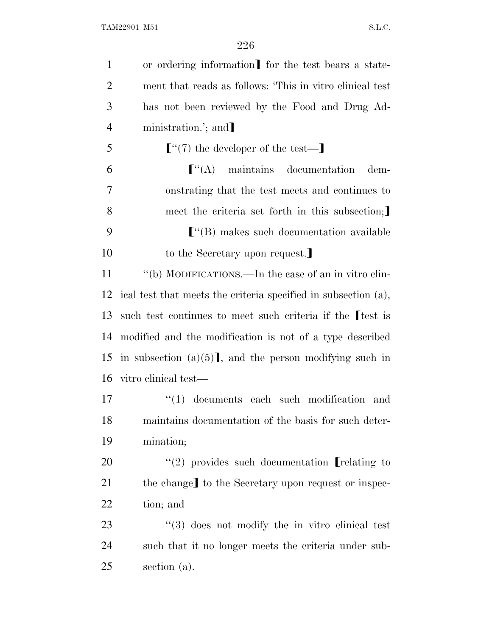| $\mathbf{1}$   | or ordering information] for the test bears a state-            |
|----------------|-----------------------------------------------------------------|
| $\overline{2}$ | ment that reads as follows: 'This in vitro clinical test        |
| 3              | has not been reviewed by the Food and Drug Ad-                  |
| $\overline{4}$ | ministration.'; and                                             |
| 5              | $[$ "(7) the developer of the test— $]$                         |
| 6              | $\lbrack$ "(A) maintains documentation<br>dem-                  |
| 7              | onstrating that the test meets and continues to                 |
| 8              | meet the criteria set forth in this subsection;                 |
| 9              | $\lfloor$ "(B) makes such documentation available               |
| 10             | to the Secretary upon request.                                  |
| 11             | "(b) MODIFICATIONS.—In the case of an in vitro clin-            |
| 12             | ical test that meets the criteria specified in subsection (a),  |
| 13             | such test continues to meet such criteria if the test is        |
| 14             | modified and the modification is not of a type described        |
| 15             | in subsection $(a)(5)$ , and the person modifying such in       |
| 16             | vitro clinical test—                                            |
| 17             | $(1)$ documents each such modification and                      |
| 18             | maintains documentation of the basis for such deter-            |
| 19             | mination;                                                       |
| 20             | $\lq(2)$ provides such documentation [relating to               |
| 21             | the change] to the Secretary upon request or inspec-            |
| 22             | tion; and                                                       |
| 23             | $\cdot\cdot\cdot(3)$ does not modify the in vitro clinical test |
| 24             | such that it no longer meets the criteria under sub-            |
| 25             | section $(a)$ .                                                 |
|                |                                                                 |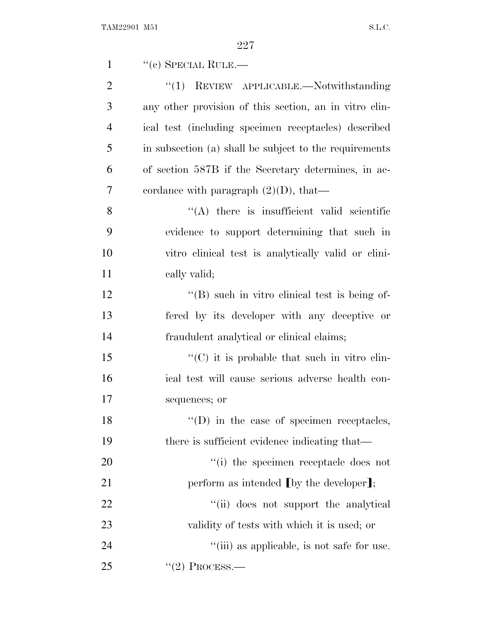| $\mathbf{1}$   | $``$ (c) SPECIAL RULE.—                                           |
|----------------|-------------------------------------------------------------------|
| $\overline{2}$ | ``(1)<br>REVIEW APPLICABLE.—Notwithstanding                       |
| 3              | any other provision of this section, an in vitro clin-            |
| $\overline{4}$ | ical test (including specimen receptacles) described              |
| 5              | in subsection (a) shall be subject to the requirements            |
| 6              | of section 587B if the Secretary determines, in ac-               |
| 7              | cordance with paragraph $(2)(D)$ , that—                          |
| 8              | $\lq\lq$ there is insufficient valid scientific                   |
| 9              | evidence to support determining that such in                      |
| 10             | vitro clinical test is analytically valid or clini-               |
| 11             | cally valid;                                                      |
| 12             | $\lq\lq$ such in vitro clinical test is being of-                 |
| 13             | fered by its developer with any deceptive or                      |
| 14             | fraudulent analytical or clinical claims;                         |
| 15             | $\lq\lq$ <sup>"</sup> (C) it is probable that such in vitro clin- |
| 16             | ical test will cause serious adverse health con-                  |
| 17             | sequences; or                                                     |
| 18             | $\lq\lq$ (D) in the case of specimen receptacles,                 |
| 19             | there is sufficient evidence indicating that—                     |
| 20             | "(i) the specimen receptacle does not                             |
| 21             | perform as intended $\lfloor$ by the developer $\rfloor$ ;        |
| 22             | "(ii) does not support the analytical                             |
| 23             | validity of tests with which it is used; or                       |
| 24             | "(iii) as applicable, is not safe for use.                        |
| 25             | $"(2)$ Process.—                                                  |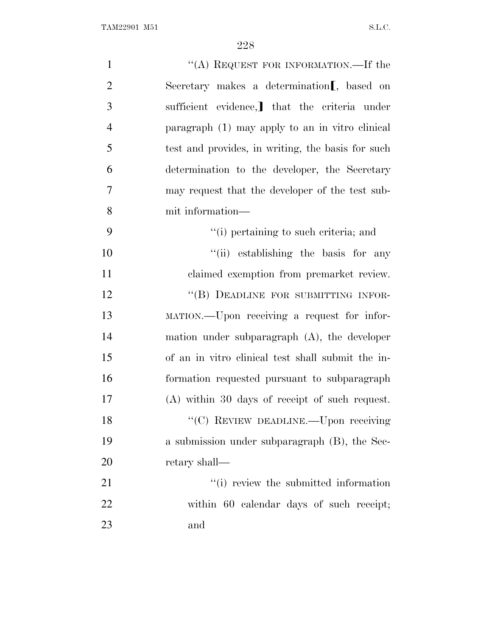| $\mathbf{1}$   | "(A) REQUEST FOR INFORMATION.—If the                   |
|----------------|--------------------------------------------------------|
| $\overline{2}$ | Secretary makes a determination <sub>[,</sub> based on |
| 3              | sufficient evidence, that the criteria under           |
| $\overline{4}$ | paragraph (1) may apply to an in vitro clinical        |
| 5              | test and provides, in writing, the basis for such      |
| 6              | determination to the developer, the Secretary          |
| 7              | may request that the developer of the test sub-        |
| 8              | mit information—                                       |
| 9              | "(i) pertaining to such criteria; and                  |
| 10             | "(ii) establishing the basis for any                   |
| 11             | claimed exemption from premarket review.               |
| 12             | "(B) DEADLINE FOR SUBMITTING INFOR-                    |
| 13             | MATION.—Upon receiving a request for infor-            |
| 14             | mation under subparagraph $(A)$ , the developer        |
| 15             | of an in vitro clinical test shall submit the in-      |
| 16             | formation requested pursuant to subparagraph           |
| 17             | $(A)$ within 30 days of receipt of such request.       |
| 18             | "(C) REVIEW DEADLINE.—Upon receiving                   |
| 19             | a submission under subparagraph (B), the Sec-          |
| 20             | retary shall—                                          |
| 21             | "(i) review the submitted information                  |
| 22             | within 60 calendar days of such receipt;               |
| 23             | and                                                    |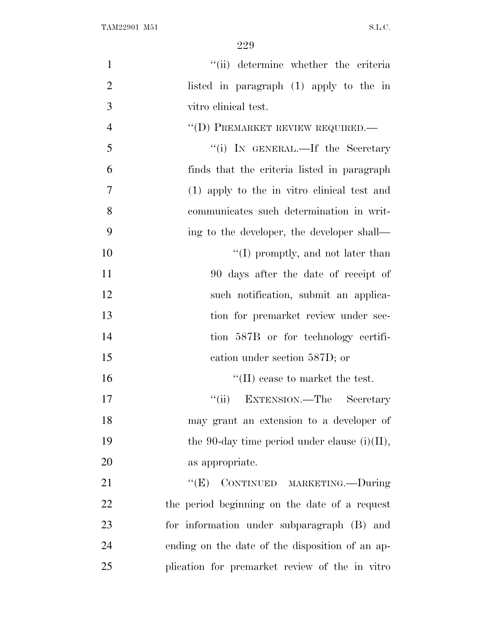| $\mathbf{1}$   | "(ii) determine whether the criteria            |
|----------------|-------------------------------------------------|
| $\overline{2}$ | listed in paragraph (1) apply to the in         |
| 3              | vitro clinical test.                            |
| $\overline{4}$ | "(D) PREMARKET REVIEW REQUIRED.—                |
| 5              | "(i) IN GENERAL.—If the Secretary               |
| 6              | finds that the criteria listed in paragraph     |
| 7              | (1) apply to the in vitro clinical test and     |
| 8              | communicates such determination in writ-        |
| 9              | ing to the developer, the developer shall—      |
| 10             | $\lq\lq$ (I) promptly, and not later than       |
| 11             | 90 days after the date of receipt of            |
| 12             | such notification, submit an applica-           |
| 13             | tion for premarket review under sec-            |
| 14             | tion 587B or for technology certifi-            |
| 15             | cation under section 587D; or                   |
| 16             | $\lq\lq$ (II) cease to market the test.         |
| 17             | "(ii) EXTENSION.—The Secretary                  |
| 18             | may grant an extension to a developer of        |
| 19             | the 90-day time period under clause $(i)(II)$ , |
| 20             | as appropriate.                                 |
| 21             | ``(E)<br>CONTINUED MARKETING.-During            |
| 22             | the period beginning on the date of a request   |
| 23             | for information under subparagraph (B) and      |
| 24             | ending on the date of the disposition of an ap- |
| 25             | plication for premarket review of the in vitro  |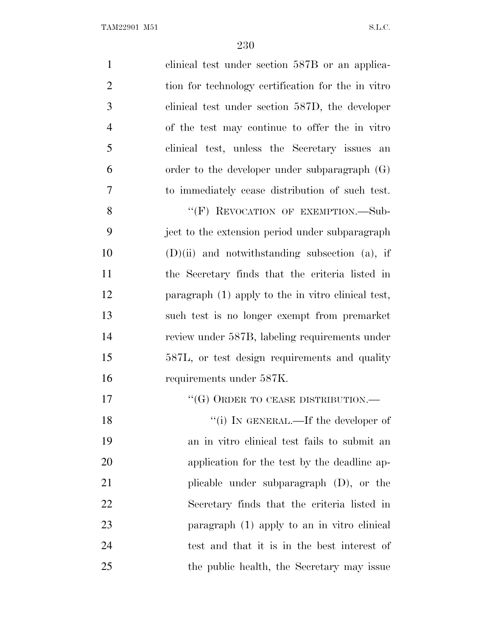| $\mathbf{1}$   | clinical test under section 587B or an applica-    |
|----------------|----------------------------------------------------|
| $\overline{2}$ | tion for technology certification for the in vitro |
| 3              | clinical test under section 587D, the developer    |
| $\overline{4}$ | of the test may continue to offer the in vitro     |
| 5              | clinical test, unless the Secretary issues an      |
| 6              | order to the developer under subparagraph $(G)$    |
| 7              | to immediately cease distribution of such test.    |
| 8              | "(F) REVOCATION OF EXEMPTION.-Sub-                 |
| 9              | ject to the extension period under subparagraph    |
| 10             | $(D)(ii)$ and notwithstanding subsection (a), if   |
| 11             | the Secretary finds that the criteria listed in    |
| 12             | paragraph (1) apply to the in vitro clinical test, |
| 13             | such test is no longer exempt from premarket       |
| 14             | review under 587B, labeling requirements under     |
| 15             | 587L, or test design requirements and quality      |
| 16             | requirements under 587K.                           |
| 17             | $``({\rm G})$ ORDER TO CEASE DISTRIBUTION.—        |
| 18             | "(i) IN GENERAL.—If the developer of               |
| 19             | an in vitro clinical test fails to submit an       |
| 20             | application for the test by the deadline ap-       |
| 21             | plicable under subparagraph (D), or the            |
| 22             | Secretary finds that the criteria listed in        |
| 23             | paragraph (1) apply to an in vitro clinical        |
| 24             | test and that it is in the best interest of        |
| 25             | the public health, the Secretary may issue         |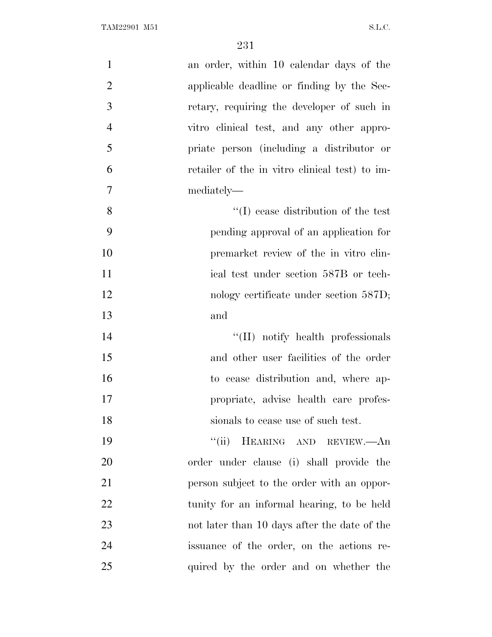| $\mathbf{1}$   | an order, within 10 calendar days of the       |
|----------------|------------------------------------------------|
| $\overline{2}$ | applicable deadline or finding by the Sec-     |
| 3              | retary, requiring the developer of such in     |
| $\overline{4}$ | vitro clinical test, and any other appro-      |
| 5              | priate person (including a distributor or      |
| 6              | retailer of the in vitro clinical test) to im- |
| $\overline{7}$ | mediately—                                     |
| 8              | $\lq\lq$ (I) cease distribution of the test    |
| 9              | pending approval of an application for         |
| 10             | premarket review of the in vitro clin-         |
| 11             | ical test under section 587B or tech-          |
| 12             | nology certificate under section 587D;         |
| 13             | and                                            |
| 14             | "(II) notify health professionals              |
| 15             | and other user facilities of the order         |
| 16             | to cease distribution and, where ap-           |
| 17             | propriate, advise health care profes-          |
| 18             | sionals to cease use of such test.             |
| 19             | HEARING AND REVIEW.-An<br>``(ii)               |
| 20             | order under clause (i) shall provide the       |
| 21             | person subject to the order with an oppor-     |
| 22             | tunity for an informal hearing, to be held     |
| 23             | not later than 10 days after the date of the   |
| 24             | issuance of the order, on the actions re-      |
| 25             | quired by the order and on whether the         |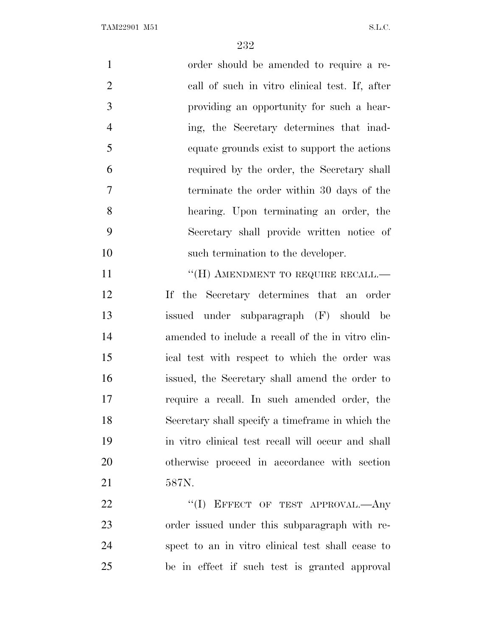TAM22901 M51 S.L.C.

| $\mathbf{1}$   | order should be amended to require a re-           |
|----------------|----------------------------------------------------|
| $\overline{2}$ | call of such in vitro clinical test. If, after     |
| $\mathfrak{Z}$ | providing an opportunity for such a hear-          |
| $\overline{4}$ | ing, the Secretary determines that inad-           |
| 5              | equate grounds exist to support the actions        |
| 6              | required by the order, the Secretary shall         |
| 7              | terminate the order within 30 days of the          |
| 8              | hearing. Upon terminating an order, the            |
| 9              | Secretary shall provide written notice of          |
| 10             | such termination to the developer.                 |
| 11             | "(H) AMENDMENT TO REQUIRE RECALL.—                 |
| 12             | If the Secretary determines that an order          |
| 13             | issued under subparagraph (F) should be            |
| 14             | amended to include a recall of the in vitro clin-  |
| 15             | ical test with respect to which the order was      |
| 16             | issued, the Secretary shall amend the order to     |
| 17             | require a recall. In such amended order, the       |
| 18             | Secretary shall specify a timeframe in which the   |
| 19             | in vitro clinical test recall will occur and shall |
| 20             | otherwise proceed in accordance with section       |
| 21             | 587N.                                              |
| 22             | "(I) EFFECT OF TEST APPROVAL.—Any                  |
| 23             | order issued under this subparagraph with re-      |
| 24             | spect to an in vitro clinical test shall cease to  |
| 25             | be in effect if such test is granted approval      |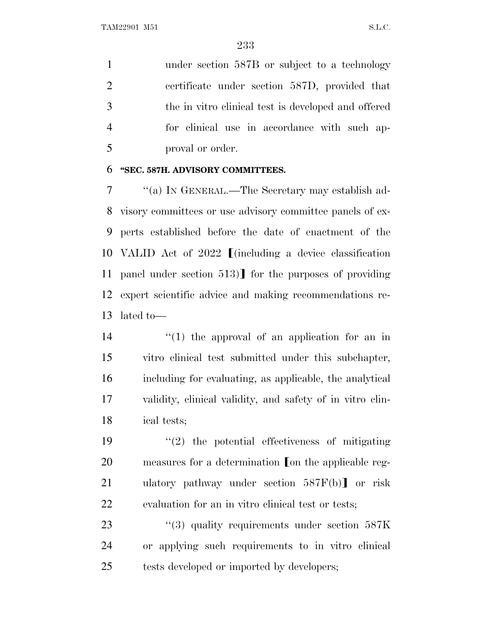1 under section 587B or subject to a technology certificate under section 587D, provided that the in vitro clinical test is developed and offered for clinical use in accordance with such ap-proval or order.

## **''SEC. 587H. ADVISORY COMMITTEES.**

 ''(a) I<sup>N</sup> GENERAL.—The Secretary may establish ad- visory committees or use advisory committee panels of ex- perts established before the date of enactment of the 10 VALID Act of 2022  $\blacksquare$  (including a device classification 11 panel under section 513) for the purposes of providing expert scientific advice and making recommendations re-lated to—

 $(1)$  the approval of an application for an in vitro clinical test submitted under this subchapter, including for evaluating, as applicable, the analytical validity, clinical validity, and safety of in vitro clin-ical tests;

 $\frac{1}{2}$  the potential effectiveness of mitigating measures for a determination on the applicable reg-21 ulatory pathway under section  $587F(b)$  or risk evaluation for an in vitro clinical test or tests;

23 ''(3) quality requirements under section 587K or applying such requirements to in vitro clinical tests developed or imported by developers;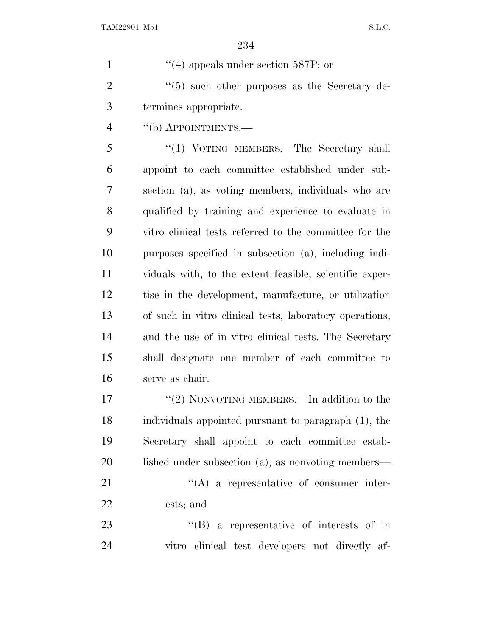1  $\frac{4}{4}$  appeals under section 587P; or

 ''(5) such other purposes as the Secretary de-termines appropriate.

''(b) APPOINTMENTS.—

5 "(1) VOTING MEMBERS.—The Secretary shall appoint to each committee established under sub- section (a), as voting members, individuals who are qualified by training and experience to evaluate in vitro clinical tests referred to the committee for the purposes specified in subsection (a), including indi- viduals with, to the extent feasible, scientific exper- tise in the development, manufacture, or utilization of such in vitro clinical tests, laboratory operations, and the use of in vitro clinical tests. The Secretary shall designate one member of each committee to serve as chair.

17 "(2) NONVOTING MEMBERS.—In addition to the individuals appointed pursuant to paragraph (1), the Secretary shall appoint to each committee estab-20 lished under subsection (a), as nonvoting members— 21 ''(A) a representative of consumer inter-ests; and

23 ''(B) a representative of interests of in vitro clinical test developers not directly af-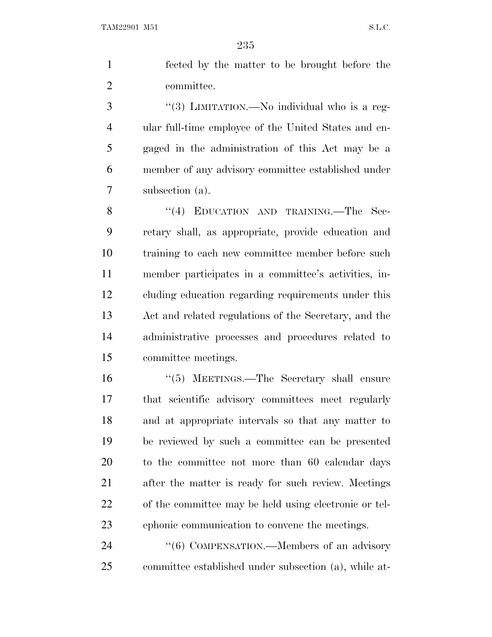fected by the matter to be brought before the committee.

3 "(3) LIMITATION.—No individual who is a reg- ular full-time employee of the United States and en- gaged in the administration of this Act may be a member of any advisory committee established under subsection (a).

8 "(4) EDUCATION AND TRAINING.—The Sec- retary shall, as appropriate, provide education and training to each new committee member before such member participates in a committee's activities, in- cluding education regarding requirements under this Act and related regulations of the Secretary, and the administrative processes and procedures related to committee meetings.

 ''(5) MEETINGS.—The Secretary shall ensure that scientific advisory committees meet regularly and at appropriate intervals so that any matter to be reviewed by such a committee can be presented to the committee not more than 60 calendar days after the matter is ready for such review. Meetings of the committee may be held using electronic or tel-ephonic communication to convene the meetings.

24 "(6) COMPENSATION.—Members of an advisory committee established under subsection (a), while at-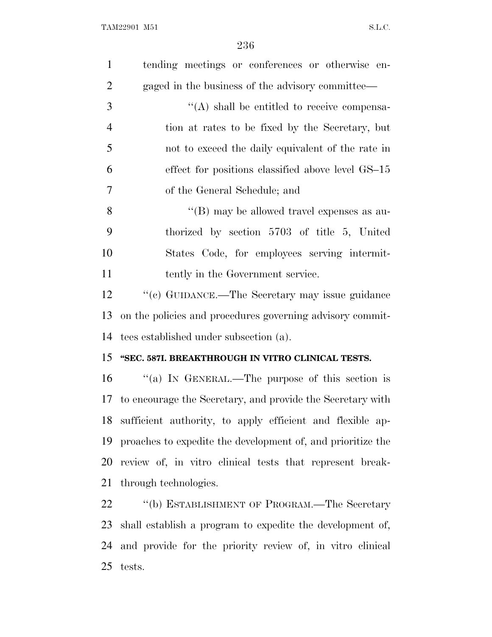| $\mathbf{1}$   | tending meetings or conferences or otherwise en-             |
|----------------|--------------------------------------------------------------|
| $\overline{2}$ | gaged in the business of the advisory committee—             |
| 3              | $\lq\lq$ shall be entitled to receive compensa-              |
| $\overline{4}$ | tion at rates to be fixed by the Secretary, but              |
| 5              | not to exceed the daily equivalent of the rate in            |
| 6              | effect for positions classified above level GS-15            |
| 7              | of the General Schedule; and                                 |
| 8              | "(B) may be allowed travel expenses as au-                   |
| 9              | thorized by section 5703 of title 5, United                  |
| 10             | States Code, for employees serving intermit-                 |
| 11             | tently in the Government service.                            |
| 12             | "(c) GUIDANCE.—The Secretary may issue guidance              |
| 13             | on the policies and procedures governing advisory commit-    |
| 14             | tees established under subsection (a).                       |
| 15             | "SEC. 587I. BREAKTHROUGH IN VITRO CLINICAL TESTS.            |
| 16             | "(a) IN GENERAL.—The purpose of this section is              |
| 17             | to encourage the Secretary, and provide the Secretary with   |
|                | 18 sufficient authority, to apply efficient and flexible ap- |
| 19             | proaches to expedite the development of, and prioritize the  |
| 20             | review of, in vitro clinical tests that represent break-     |
| 21             | through technologies.                                        |
| 22             | "(b) ESTABLISHMENT OF PROGRAM.—The Secretary                 |
| 23             | shall establish a program to expedite the development of,    |
| 24             | and provide for the priority review of, in vitro clinical    |
| 25             | tests.                                                       |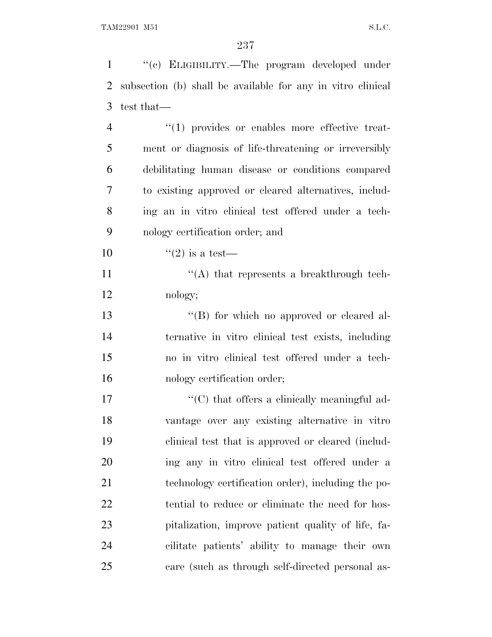''(c) ELIGIBILITY.—The program developed under subsection (b) shall be available for any in vitro clinical test that—  $\frac{4}{1}$  provides or enables more effective treat- ment or diagnosis of life-threatening or irreversibly debilitating human disease or conditions compared to existing approved or cleared alternatives, includ- ing an in vitro clinical test offered under a tech- nology certification order; and  $(2)$  is a test— 11 ''(A) that represents a breakthrough tech- nology; 13 ''(B) for which no approved or cleared al- ternative in vitro clinical test exists, including no in vitro clinical test offered under a tech- nology certification order;  $\lq\lq$  (C) that offers a clinically meaningful ad- vantage over any existing alternative in vitro clinical test that is approved or cleared (includ- ing any in vitro clinical test offered under a technology certification order), including the po- tential to reduce or eliminate the need for hos- pitalization, improve patient quality of life, fa- cilitate patients' ability to manage their own care (such as through self-directed personal as-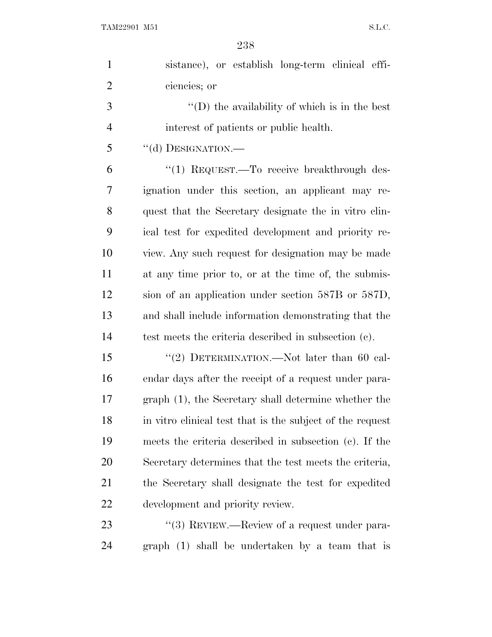| $\mathbf{1}$   | sistance), or establish long-term clinical effi-          |
|----------------|-----------------------------------------------------------|
| $\overline{2}$ | ciencies; or                                              |
| 3              | "(D) the availability of which is in the best             |
| 4              | interest of patients or public health.                    |
| 5              | "(d) DESIGNATION.-                                        |
| 6              | "(1) REQUEST. To receive breakthrough des-                |
| 7              | ignation under this section, an applicant may re-         |
| 8              | quest that the Secretary designate the in vitro clin-     |
| 9              | ical test for expedited development and priority re-      |
| 10             | view. Any such request for designation may be made        |
| 11             | at any time prior to, or at the time of, the submis-      |
| 12             | sion of an application under section 587B or 587D,        |
| 13             | and shall include information demonstrating that the      |
| 14             | test meets the criteria described in subsection (c).      |
| 15             | "(2) DETERMINATION.—Not later than 60 cal-                |
| 16             | endar days after the receipt of a request under para-     |
| 17             | graph (1), the Secretary shall determine whether the      |
| 18             | in vitro clinical test that is the subject of the request |
| 19             | meets the criteria described in subsection (c). If the    |
| 20             | Secretary determines that the test meets the criteria,    |
| 21             | the Secretary shall designate the test for expedited      |
| 22             | development and priority review.                          |
| 23             | "(3) REVIEW.—Review of a request under para-              |
| 24             | graph (1) shall be undertaken by a team that is           |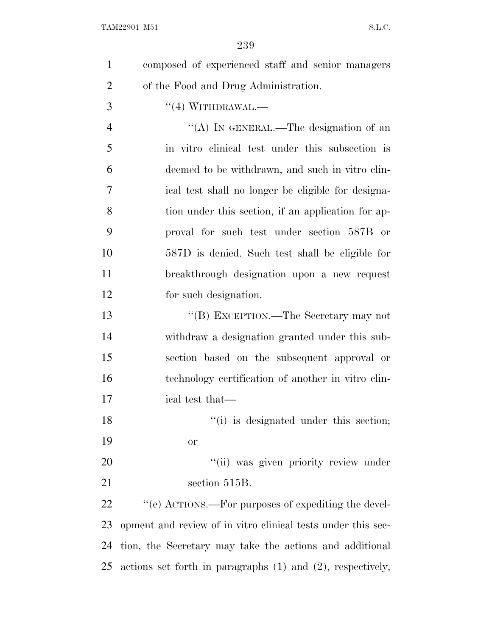| $\mathbf{1}$   | composed of experienced staff and senior managers               |
|----------------|-----------------------------------------------------------------|
| $\overline{2}$ | of the Food and Drug Administration.                            |
| 3              | $``(4)$ WITHDRAWAL.—                                            |
| $\overline{4}$ | "(A) IN GENERAL.—The designation of an                          |
| 5              | in vitro clinical test under this subsection is                 |
| 6              | deemed to be withdrawn, and such in vitro clin-                 |
| 7              | ical test shall no longer be eligible for designa-              |
| 8              | tion under this section, if an application for ap-              |
| 9              | proval for such test under section 587B or                      |
| 10             | 587D is denied. Such test shall be eligible for                 |
| 11             | breakthrough designation upon a new request                     |
| 12             | for such designation.                                           |
| 13             | "(B) EXCEPTION.—The Secretary may not                           |
| 14             | withdraw a designation granted under this sub-                  |
| 15             | section based on the subsequent approval or                     |
| 16             | technology certification of another in vitro clin-              |
| 17             | ical test that—                                                 |
| 18             | "(i) is designated under this section;                          |
| 19             | or                                                              |
| 20             | "(ii) was given priority review under                           |
| 21             | section 515B.                                                   |
| 22             | "(e) ACTIONS.—For purposes of expediting the devel-             |
| 23             | opment and review of in vitro clinical tests under this sec-    |
| 24             | tion, the Secretary may take the actions and additional         |
| 25             | actions set forth in paragraphs $(1)$ and $(2)$ , respectively, |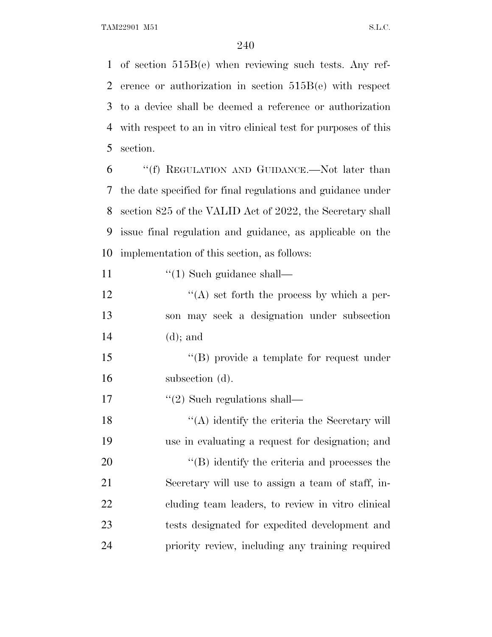TAM22901 M51 S.L.C.

 of section 515B(e) when reviewing such tests. Any ref- erence or authorization in section 515B(e) with respect to a device shall be deemed a reference or authorization with respect to an in vitro clinical test for purposes of this section.

 ''(f) REGULATION AND GUIDANCE.—Not later than the date specified for final regulations and guidance under section 825 of the VALID Act of 2022, the Secretary shall issue final regulation and guidance, as applicable on the implementation of this section, as follows:

11  $\frac{1}{2}$  (1) Such guidance shall—

12  $\langle (A)$  set forth the process by which a per- son may seek a designation under subsection (d); and

15 "(B) provide a template for request under subsection (d).

17  $\frac{1}{2}$  Such regulations shall—

18 ''(A) identify the criteria the Secretary will use in evaluating a request for designation; and  $\langle (B)$  identify the criteria and processes the Secretary will use to assign a team of staff, in- cluding team leaders, to review in vitro clinical tests designated for expedited development and priority review, including any training required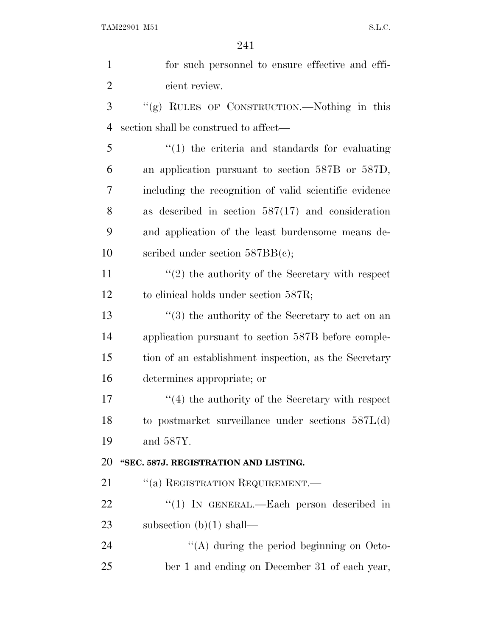| $\mathbf{1}$   | for such personnel to ensure effective and effi-             |
|----------------|--------------------------------------------------------------|
| $\overline{2}$ | cient review.                                                |
| 3              | "(g) RULES OF CONSTRUCTION.—Nothing in this                  |
| $\overline{4}$ | section shall be construed to affect—                        |
| 5              | $\lq(1)$ the criteria and standards for evaluating           |
| 6              | an application pursuant to section 587B or 587D,             |
| 7              | including the recognition of valid scientific evidence       |
| 8              | as described in section $587(17)$ and consideration          |
| 9              | and application of the least burdensome means de-            |
| 10             | scribed under section $587BB(c)$ ;                           |
| 11             | $\lq(2)$ the authority of the Secretary with respect         |
| 12             | to clinical holds under section 587R;                        |
| 13             | $\cdot\cdot$ (3) the authority of the Secretary to act on an |
| 14             | application pursuant to section 587B before comple-          |
| 15             | tion of an establishment inspection, as the Secretary        |
| 16             | determines appropriate; or                                   |
| 17             | $\cdot$ (4) the authority of the Secretary with respect      |
| 18             | to postmarket surveillance under sections $587L(d)$          |
| 19             | and 587Y.                                                    |
| 20             | "SEC. 587J. REGISTRATION AND LISTING.                        |
| 21             | "(a) REGISTRATION REQUIREMENT.—                              |
| 22             | "(1) IN GENERAL.—Each person described in                    |
| 23             | subsection $(b)(1)$ shall—                                   |
| 24             | "(A) during the period beginning on Octo-                    |
| 25             | ber 1 and ending on December 31 of each year,                |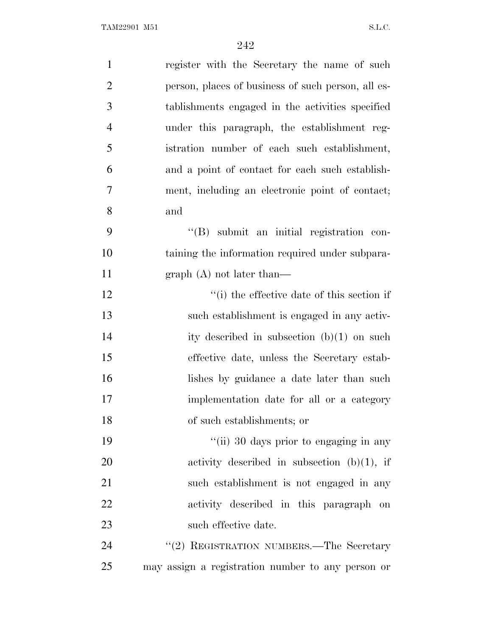| $\mathbf{1}$   | register with the Secretary the name of such       |
|----------------|----------------------------------------------------|
| $\overline{2}$ | person, places of business of such person, all es- |
| 3              | tablishments engaged in the activities specified   |
| $\overline{4}$ | under this paragraph, the establishment reg-       |
| 5              | istration number of each such establishment,       |
| 6              | and a point of contact for each such establish-    |
| 7              | ment, including an electronic point of contact;    |
| 8              | and                                                |
| 9              | "(B) submit an initial registration con-           |
| 10             | taining the information required under subpara-    |
| 11             | $graph(A)$ not later than—                         |
| 12             | "(i) the effective date of this section if         |
| 13             | such establishment is engaged in any activ-        |
| 14             | ity described in subsection $(b)(1)$ on such       |
| 15             | effective date, unless the Secretary estab-        |
| 16             | lishes by guidance a date later than such          |
| 17             | implementation date for all or a category          |
| 18             | of such establishments; or                         |
| 19             | "(ii) 30 days prior to engaging in any             |
| 20             | activity described in subsection $(b)(1)$ , if     |
| 21             | such establishment is not engaged in any           |
| 22             | activity described in this paragraph on            |
| 23             | such effective date.                               |
| 24             | "(2) REGISTRATION NUMBERS.—The Secretary           |
| 25             | may assign a registration number to any person or  |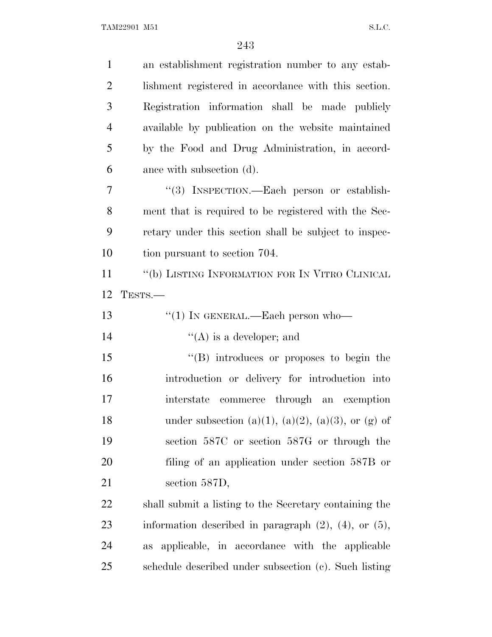| $\mathbf{1}$   | an establishment registration number to any estab-            |
|----------------|---------------------------------------------------------------|
| $\overline{2}$ | lishment registered in accordance with this section.          |
| 3              | Registration information shall be made publicly               |
| $\overline{4}$ | available by publication on the website maintained            |
| 5              | by the Food and Drug Administration, in accord-               |
| 6              | ance with subsection (d).                                     |
| 7              | "(3) INSPECTION.—Each person or establish-                    |
| 8              | ment that is required to be registered with the Sec-          |
| 9              | retary under this section shall be subject to inspec-         |
| 10             | tion pursuant to section 704.                                 |
| 11             | "(b) LISTING INFORMATION FOR IN VITRO CLINICAL                |
| 12             | TESTS.-                                                       |
| 13             | $``(1)$ IN GENERAL.—Each person who—                          |
| 14             | $\lq\lq$ (A) is a developer; and                              |
| 15             | $\lq\lq (B)$ introduces or proposes to begin the              |
| 16             | introduction or delivery for introduction into                |
| 17             | interstate commerce through<br>an exemption                   |
| 18             | under subsection (a)(1), (a)(2), (a)(3), or (g) of            |
| 19             | section 587C or section 587G or through the                   |
| 20             | filing of an application under section 587B or                |
| 21             | section 587D,                                                 |
| 22             | shall submit a listing to the Secretary containing the        |
| 23             | information described in paragraph $(2)$ , $(4)$ , or $(5)$ , |
| 24             | applicable, in accordance with the applicable<br><b>as</b>    |
| 25             | schedule described under subsection (c). Such listing         |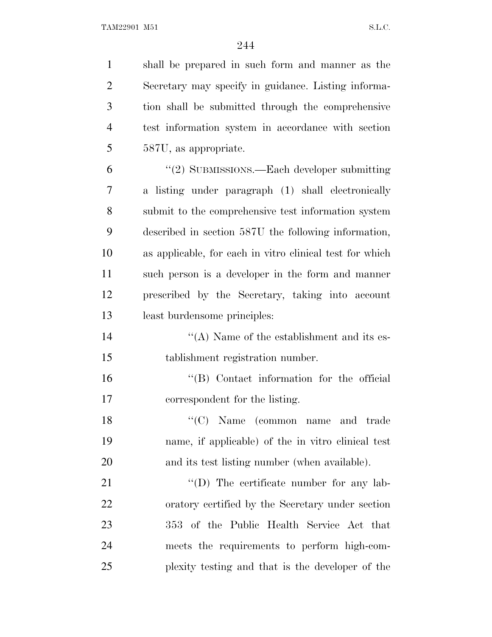| $\mathbf{1}$   | shall be prepared in such form and manner as the         |
|----------------|----------------------------------------------------------|
| $\overline{2}$ | Secretary may specify in guidance. Listing informa-      |
| 3              | tion shall be submitted through the comprehensive        |
| $\overline{4}$ | test information system in accordance with section       |
| 5              | 587U, as appropriate.                                    |
| 6              | "(2) SUBMISSIONS.—Each developer submitting              |
| 7              | a listing under paragraph (1) shall electronically       |
| 8              | submit to the comprehensive test information system      |
| 9              | described in section 587U the following information,     |
| 10             | as applicable, for each in vitro clinical test for which |
| 11             | such person is a developer in the form and manner        |
| 12             | prescribed by the Secretary, taking into account         |
| 13             | least burdensome principles:                             |
| 14             | $\lq\lq$ . Name of the establishment and its es-         |
| 15             | tablishment registration number.                         |
| 16             | "(B) Contact information for the official                |
| 17             | correspondent for the listing.                           |
| 18             | $\lq\lq$ (C) Name (common name<br>and trade              |
| 19             | name, if applicable) of the in vitro clinical test       |
| 20             | and its test listing number (when available).            |
| 21             | $\lq\lq$ (D) The certificate number for any lab-         |
| 22             | oratory certified by the Secretary under section         |
| 23             | 353 of the Public Health Service Act that                |
| 24             | meets the requirements to perform high-com-              |
| 25             | plexity testing and that is the developer of the         |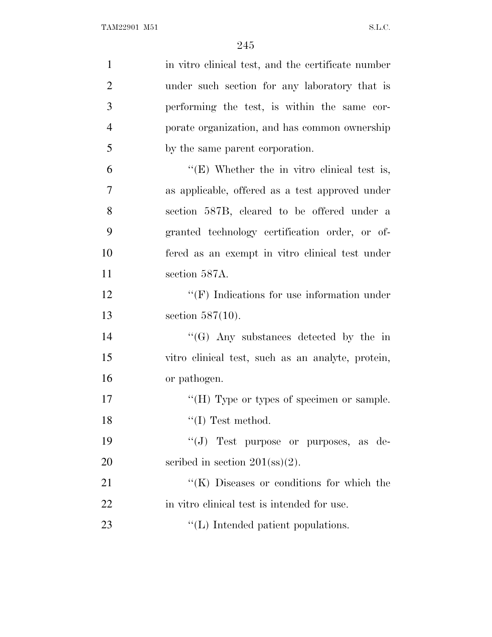| $\mathbf{1}$   | in vitro clinical test, and the certificate number |
|----------------|----------------------------------------------------|
| $\overline{2}$ | under such section for any laboratory that is      |
| 3              | performing the test, is within the same cor-       |
| $\overline{4}$ | porate organization, and has common ownership      |
| 5              | by the same parent corporation.                    |
| 6              | "(E) Whether the in vitro clinical test is,        |
| 7              | as applicable, offered as a test approved under    |
| 8              | section 587B, cleared to be offered under a        |
| 9              | granted technology certification order, or of-     |
| 10             | fered as an exempt in vitro clinical test under    |
| 11             | section 587A.                                      |
| 12             | $\lq\lq(F)$ Indications for use information under  |
| 13             | section $587(10)$ .                                |
| 14             | $\lq\lq(G)$ Any substances detected by the in      |
| 15             | vitro clinical test, such as an analyte, protein,  |
| 16             | or pathogen.                                       |
| 17             | "(H) Type or types of specimen or sample.          |
| 18             | $\lq\lq$ (I) Test method.                          |
| 19             | "(J) Test purpose or purposes, as de-              |
| 20             | scribed in section $201(\text{ss})(2)$ .           |
| 21             | "(K) Diseases or conditions for which the          |
| 22             | in vitro clinical test is intended for use.        |
| 23             | $\lq\lq$ . Intended patient populations.           |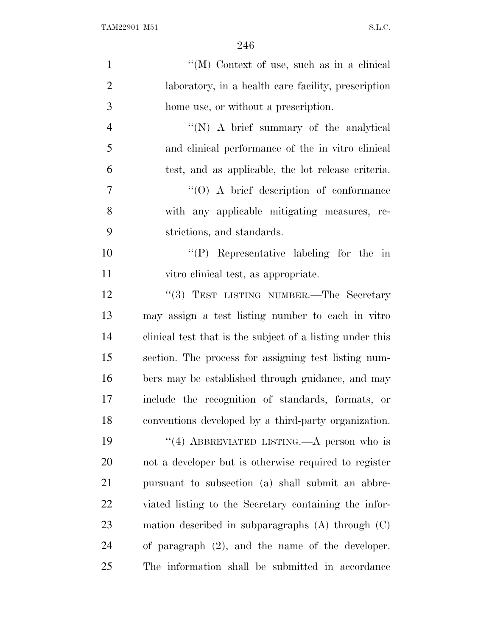| $\mathbf{1}$   | "(M) Context of use, such as in a clinical                |
|----------------|-----------------------------------------------------------|
| $\overline{2}$ | laboratory, in a health care facility, prescription       |
| 3              | home use, or without a prescription.                      |
| $\overline{4}$ | $\lq\lq(N)$ A brief summary of the analytical             |
| 5              | and clinical performance of the in vitro clinical         |
| 6              | test, and as applicable, the lot release criteria.        |
| 7              | $\cdot$ (O) A brief description of conformance            |
| 8              | with any applicable mitigating measures, re-              |
| 9              | strictions, and standards.                                |
| 10             | $\lq\lq(P)$ Representative labeling for the in            |
| 11             | vitro clinical test, as appropriate.                      |
| 12             | "(3) TEST LISTING NUMBER.—The Secretary                   |
| 13             | may assign a test listing number to each in vitro         |
| 14             | clinical test that is the subject of a listing under this |
| 15             | section. The process for assigning test listing num-      |
| 16             | bers may be established through guidance, and may         |
| 17             | include the recognition of standards, formats, or         |
| 18             | conventions developed by a third-party organization.      |
| 19             | "(4) ABBREVIATED LISTING.—A person who is                 |
| 20             | not a developer but is otherwise required to register     |
| 21             | pursuant to subsection (a) shall submit an abbre-         |
| 22             | viated listing to the Secretary containing the infor-     |
| 23             | mation described in subparagraphs $(A)$ through $(C)$     |
| 24             | of paragraph $(2)$ , and the name of the developer.       |
| 25             | The information shall be submitted in accordance          |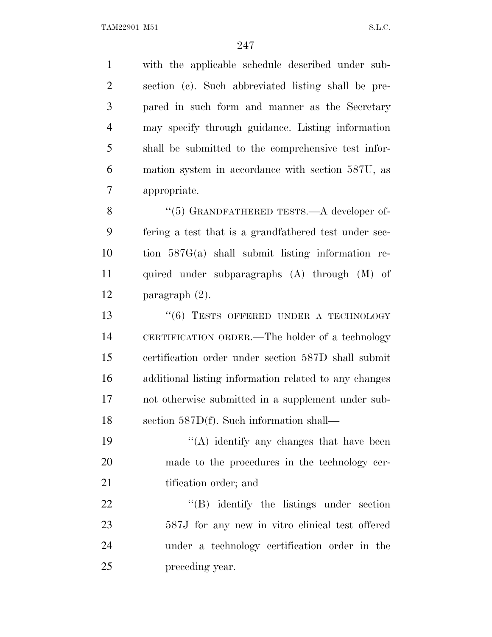with the applicable schedule described under sub- section (c). Such abbreviated listing shall be pre- pared in such form and manner as the Secretary may specify through guidance. Listing information shall be submitted to the comprehensive test infor- mation system in accordance with section 587U, as appropriate.

8 "(5) GRANDFATHERED TESTS.—A developer of- fering a test that is a grandfathered test under sec- tion 587G(a) shall submit listing information re- quired under subparagraphs (A) through (M) of paragraph (2).

13 "(6) TESTS OFFERED UNDER A TECHNOLOGY CERTIFICATION ORDER.—The holder of a technology certification order under section 587D shall submit additional listing information related to any changes not otherwise submitted in a supplement under sub-section 587D(f). Such information shall—

19  $((A)$  identify any changes that have been made to the procedures in the technology cer-21 tification order; and

22 "'(B) identify the listings under section 587J for any new in vitro clinical test offered under a technology certification order in the preceding year.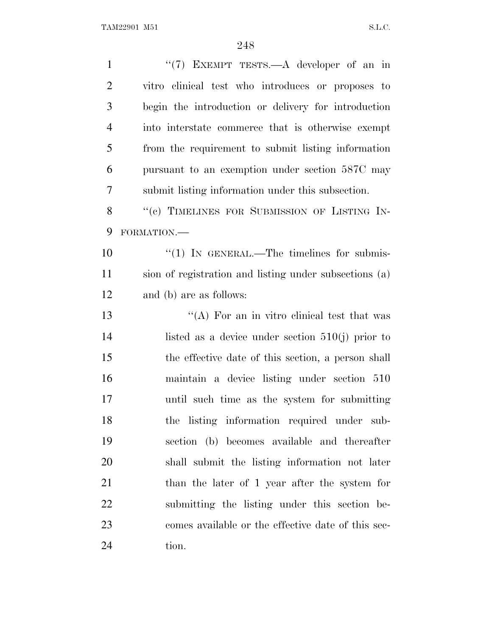| $\mathbf{1}$   | " $(7)$ EXEMPT TESTS.—A developer of an in             |
|----------------|--------------------------------------------------------|
| $\overline{2}$ | vitro clinical test who introduces or proposes to      |
| 3              | begin the introduction or delivery for introduction    |
| $\overline{4}$ | into interstate commerce that is otherwise exempt      |
| 5              | from the requirement to submit listing information     |
| 6              | pursuant to an exemption under section 587C may        |
| 7              | submit listing information under this subsection.      |
| 8              | "(c) TIMELINES FOR SUBMISSION OF LISTING IN-           |
| 9              | FORMATION.-                                            |
| 10             | $\lq(1)$ In GENERAL.—The timelines for submis-         |
| 11             | sion of registration and listing under subsections (a) |
| 12             | and (b) are as follows:                                |
| 13             | "(A) For an in vitro clinical test that was            |
| 14             | listed as a device under section $510(j)$ prior to     |
| 15             | the effective date of this section, a person shall     |
| 16             | maintain a device listing under section 510            |
| 17             | until such time as the system for submitting           |
| 18             | the listing information required under sub-            |
| 19             | section (b) becomes available and thereafter           |
| 20             | shall submit the listing information not later         |
| 21             | than the later of 1 year after the system for          |
| 22             | submitting the listing under this section be-          |
| 23             | comes available or the effective date of this sec-     |
| 24             | tion.                                                  |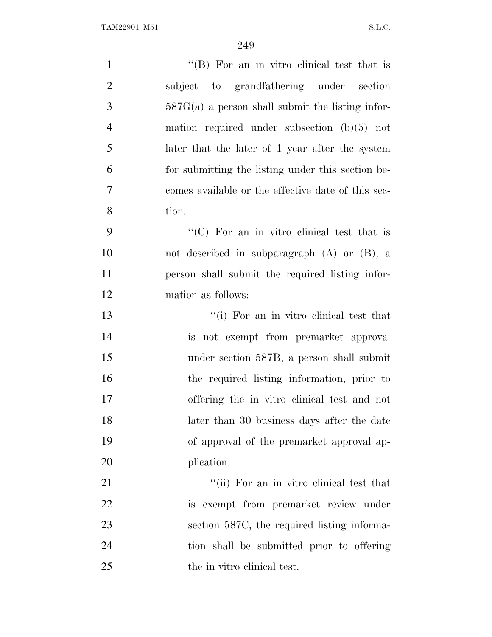| $\mathbf{1}$   | "(B) For an in vitro clinical test that is         |
|----------------|----------------------------------------------------|
| $\overline{2}$ | subject to grandfathering under section            |
| 3              | $587G(a)$ a person shall submit the listing infor- |
| $\overline{4}$ | mation required under subsection $(b)(5)$ not      |
| 5              | later that the later of 1 year after the system    |
| 6              | for submitting the listing under this section be-  |
| 7              | comes available or the effective date of this sec- |
| 8              | tion.                                              |
| 9              | "(C) For an in vitro clinical test that is         |
| 10             | not described in subparagraph $(A)$ or $(B)$ , a   |
| 11             | person shall submit the required listing infor-    |
| 12             | mation as follows:                                 |
| 13             | "(i) For an in vitro clinical test that            |
| 14             | is not exempt from premarket approval              |
| 15             | under section 587B, a person shall submit          |
| 16             | the required listing information, prior to         |
| 17             | offering the in vitro clinical test and not        |
| 18             | later than 30 business days after the date         |
| 19             | of approval of the premarket approval ap-          |
| 20             | plication.                                         |
| 21             | "(ii) For an in vitro clinical test that           |
| 22             | is exempt from premarket review under              |
| 23             | section 587C, the required listing informa-        |
| 24             | tion shall be submitted prior to offering          |
| 25             | the in vitro clinical test.                        |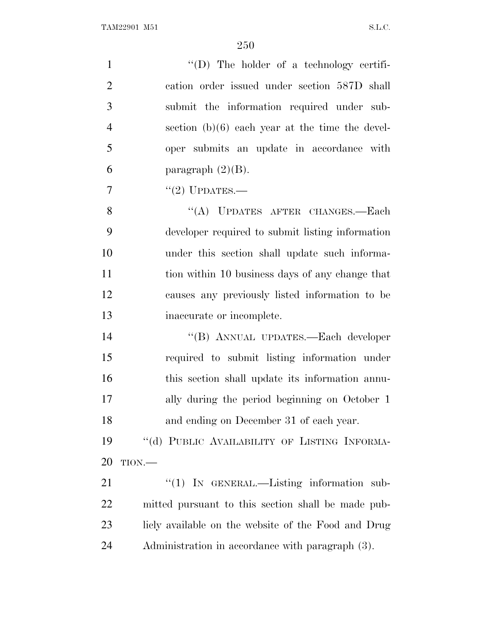| $\mathbf{1}$   | "(D) The holder of a technology certifi-            |
|----------------|-----------------------------------------------------|
| $\overline{2}$ | cation order issued under section 587D shall        |
| 3              | submit the information required under sub-          |
| $\overline{4}$ | section $(b)(6)$ each year at the time the devel-   |
| 5              | oper submits an update in accordance with           |
| 6              | paragraph $(2)(B)$ .                                |
| $\tau$         | "(2) UPDATES.-                                      |
| 8              | "(A) UPDATES AFTER CHANGES.-Each                    |
| 9              | developer required to submit listing information    |
| 10             | under this section shall update such informa-       |
| 11             | tion within 10 business days of any change that     |
| 12             | causes any previously listed information to be      |
| 13             | inaccurate or incomplete.                           |
| 14             | "(B) ANNUAL UPDATES.-Each developer                 |
| 15             | required to submit listing information under        |
| 16             | this section shall update its information annu-     |
| 17             | ally during the period beginning on October 1       |
| 18             | and ending on December 31 of each year.             |
| 19             | "(d) PUBLIC AVAILABILITY OF LISTING INFORMA-        |
| 20             | $TION$ .                                            |
| 21             | $\lq(1)$ In GENERAL.—Listing information sub-       |
| 22             | mitted pursuant to this section shall be made pub-  |
| 23             | licly available on the website of the Food and Drug |
| 24             | Administration in accordance with paragraph (3).    |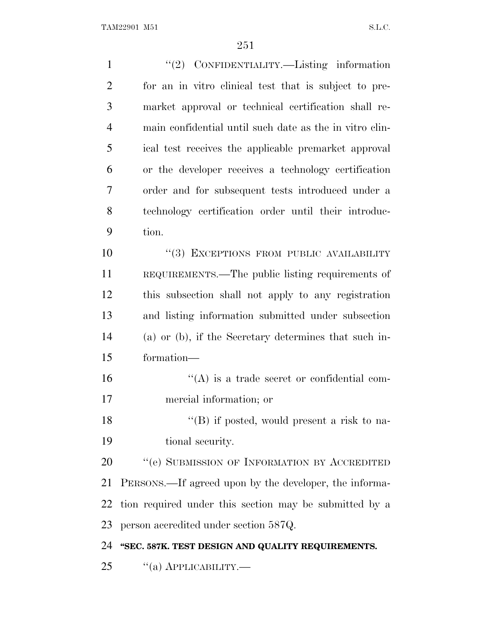| $\mathbf{1}$   | "(2) CONFIDENTIALITY.—Listing information               |
|----------------|---------------------------------------------------------|
| $\overline{2}$ | for an in vitro clinical test that is subject to pre-   |
| 3              | market approval or technical certification shall re-    |
| $\overline{4}$ | main confidential until such date as the in vitro clin- |
| 5              | ical test receives the applicable premarket approval    |
| 6              | or the developer receives a technology certification    |
| $\overline{7}$ | order and for subsequent tests introduced under a       |
| 8              | technology certification order until their introduc-    |
| 9              | tion.                                                   |
| 10             | "(3) EXCEPTIONS FROM PUBLIC AVAILABILITY                |
| 11             | REQUIREMENTS.—The public listing requirements of        |
| 12             | this subsection shall not apply to any registration     |
| 13             | and listing information submitted under subsection      |
| 14             | (a) or (b), if the Secretary determines that such in-   |
| 15             | formation-                                              |
| 16             | $\lq\lq$ is a trade secret or confidential com-         |
| 17             | mercial information; or                                 |
| 18             | $\lq\lq$ (B) if posted, would present a risk to na-     |
| 19             | tional security.                                        |
| 20             | "(e) SUBMISSION OF INFORMATION BY ACCREDITED            |
| 21             | PERSONS.—If agreed upon by the developer, the informa-  |
| 22             | tion required under this section may be submitted by a  |
| 23             | person accredited under section 587Q.                   |
| 24             | "SEC. 587K. TEST DESIGN AND QUALITY REQUIREMENTS.       |
| 25             | $\cdot$ (a) APPLICABILITY.—                             |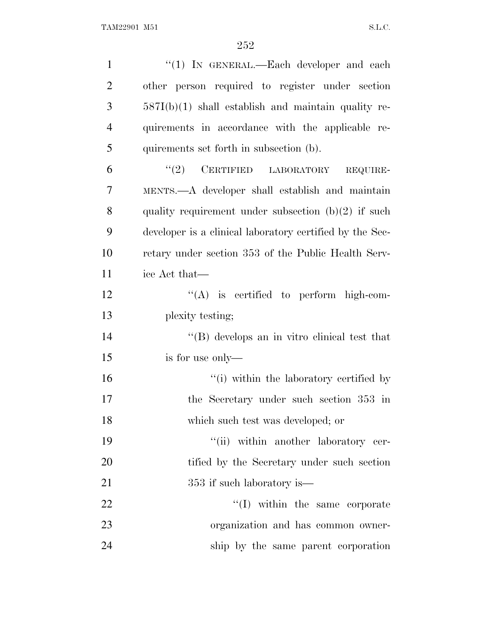| $\mathbf{1}$   | " $(1)$ IN GENERAL.—Each developer and each              |
|----------------|----------------------------------------------------------|
| $\overline{2}$ | other person required to register under section          |
| 3              | $587I(b)(1)$ shall establish and maintain quality re-    |
| $\overline{4}$ | quirements in accordance with the applicable re-         |
| 5              | quirements set forth in subsection (b).                  |
| 6              | $``(2)$ CERTIFIED LABORATORY<br>REQUIRE-                 |
| $\tau$         | MENTS.—A developer shall establish and maintain          |
| 8              | quality requirement under subsection $(b)(2)$ if such    |
| 9              | developer is a clinical laboratory certified by the Sec- |
| 10             | retary under section 353 of the Public Health Serv-      |
| 11             | ice Act that—                                            |
| 12             | $\lq\lq$ is certified to perform high-com-               |
| 13             | plexity testing;                                         |
| 14             | $\lq\lq (B)$ develops an in vitro clinical test that     |
| 15             | is for use only—                                         |
| 16             | "(i) within the laboratory certified by                  |
| 17             | the Secretary under such section 353 in                  |
| 18             | which such test was developed; or                        |
| 19             | "(ii) within another laboratory cer-                     |
| 20             | tified by the Secretary under such section               |
| 21             | 353 if such laboratory is—                               |
| 22             | "(I) within the same corporate                           |
| 23             | organization and has common owner-                       |
| 24             | ship by the same parent corporation                      |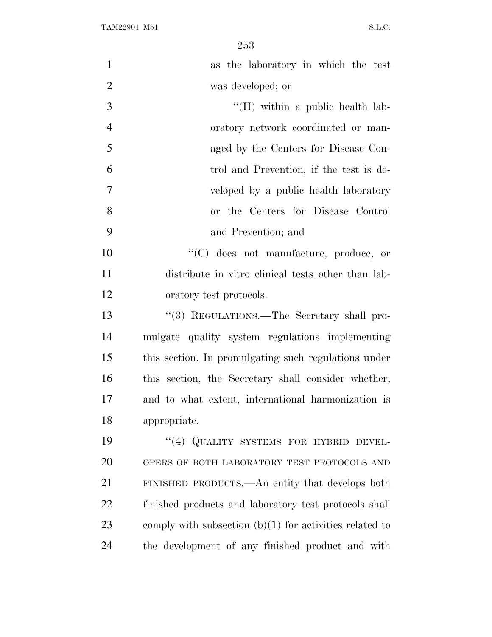| $\mathbf{1}$   | as the laboratory in which the test                       |
|----------------|-----------------------------------------------------------|
| $\overline{2}$ | was developed; or                                         |
| 3              | "(II) within a public health lab-                         |
| $\overline{4}$ | oratory network coordinated or man-                       |
| 5              | aged by the Centers for Disease Con-                      |
| 6              | trol and Prevention, if the test is de-                   |
| $\overline{7}$ | veloped by a public health laboratory                     |
| 8              | or the Centers for Disease Control                        |
| 9              | and Prevention; and                                       |
| 10             | $\lq\lq$ (C) does not manufacture, produce, or            |
| 11             | distribute in vitro clinical tests other than lab-        |
| 12             | oratory test protocols.                                   |
| 13             | "(3) REGULATIONS.—The Secretary shall pro-                |
| 14             | mulgate quality system regulations implementing           |
| 15             | this section. In promulgating such regulations under      |
| 16             | this section, the Secretary shall consider whether,       |
| 17             | and to what extent, international harmonization is        |
| 18             | appropriate.                                              |
| 19             | "(4) QUALITY SYSTEMS FOR HYBRID DEVEL-                    |
| 20             | OPERS OF BOTH LABORATORY TEST PROTOCOLS AND               |
| 21             | FINISHED PRODUCTS.—An entity that develops both           |
| 22             | finished products and laboratory test protocols shall     |
| 23             | comply with subsection $(b)(1)$ for activities related to |
| 24             | the development of any finished product and with          |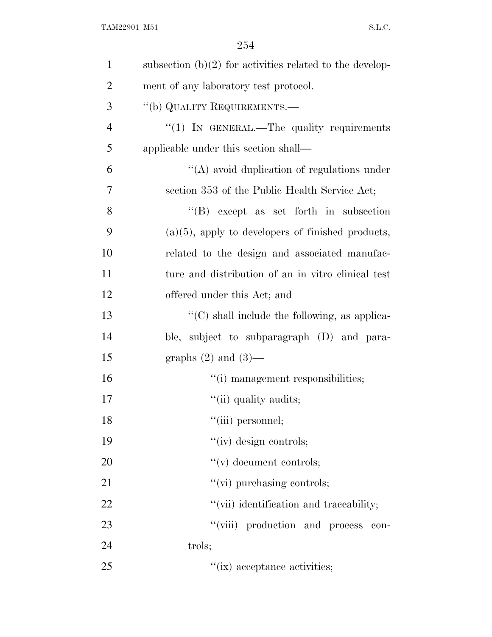| $\mathbf{1}$   | subsection $(b)(2)$ for activities related to the develop- |
|----------------|------------------------------------------------------------|
| $\overline{2}$ | ment of any laboratory test protocol.                      |
| 3              | "(b) QUALITY REQUIREMENTS.—                                |
| $\overline{4}$ | $\lq(1)$ IN GENERAL.—The quality requirements              |
| 5              | applicable under this section shall—                       |
| 6              | $\lq\lq$ avoid duplication of regulations under            |
| 7              | section 353 of the Public Health Service Act;              |
| 8              | $\lq\lq (B)$ except as set forth in subsection             |
| 9              | $(a)(5)$ , apply to developers of finished products,       |
| 10             | related to the design and associated manufac-              |
| 11             | ture and distribution of an in vitro clinical test         |
| 12             | offered under this Act; and                                |
| 13             | "(C) shall include the following, as applica-              |
| 14             | ble, subject to subparagraph (D) and para-                 |
| 15             | graphs $(2)$ and $(3)$ —                                   |
| 16             | "(i) management responsibilities;                          |
| 17             | "(ii) quality audits;                                      |
| 18             | "(iii) personnel;                                          |
| 19             | $``(iv)$ design controls;                                  |
| 20             | $f'(v)$ document controls;                                 |
| 21             | "(vi) purchasing controls;                                 |
| 22             | "(vii) identification and traceability;                    |
| 23             | "(viii) production and process<br>con-                     |
| 24             | trols;                                                     |
| 25             | "(ix) acceptance activities;                               |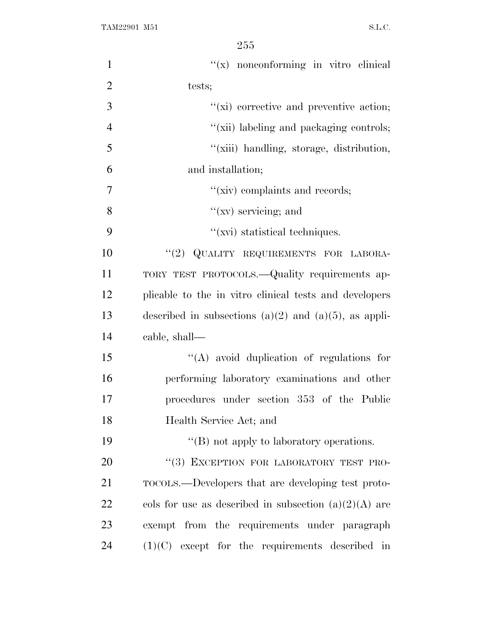| $\mathbf{1}$   | "(x) nonconforming in vitro clinical                       |
|----------------|------------------------------------------------------------|
| $\overline{2}$ | tests;                                                     |
| 3              | $\lq\lq$ (xi) corrective and preventive action;            |
| $\overline{4}$ | "(xii) labeling and packaging controls;                    |
| 5              | "(xiii) handling, storage, distribution,                   |
| 6              | and installation;                                          |
| 7              | "(xiv) complaints and records;                             |
| 8              | " $(xv)$ servicing; and                                    |
| 9              | $``(xi)$ statistical techniques.                           |
| 10             | "(2) QUALITY REQUIREMENTS FOR LABORA-                      |
| 11             | TORY TEST PROTOCOLS. - Quality requirements ap-            |
| 12             | plicable to the in vitro clinical tests and developers     |
| 13             | described in subsections $(a)(2)$ and $(a)(5)$ , as appli- |
| 14             | cable, shall—                                              |
| 15             | "(A) avoid duplication of regulations for                  |
| 16             | performing laboratory examinations and other               |
| 17             | procedures under section 353 of the Public                 |
| 18             | Health Service Act; and                                    |
| 19             | $\lq\lq$ not apply to laboratory operations.               |
| 20             | "(3) EXCEPTION FOR LABORATORY TEST PRO-                    |
| 21             | TOCOLS.—Developers that are developing test proto-         |
| 22             | cols for use as described in subsection $(a)(2)(A)$ are    |
| 23             | exempt from the requirements under paragraph               |
| 24             | $(1)(C)$ except for the requirements described in          |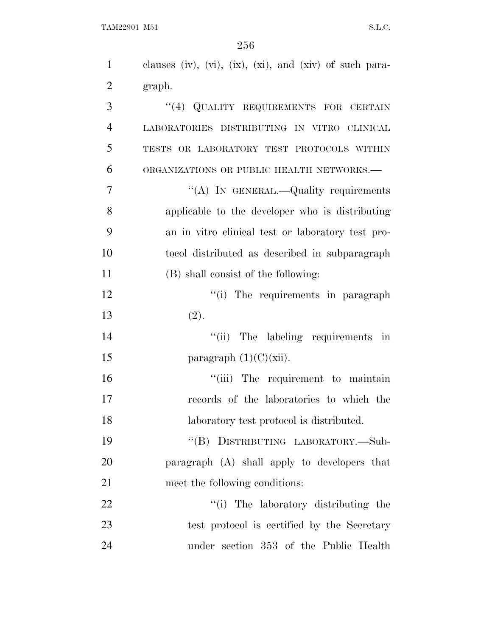| $\mathbf{1}$   | clauses (iv), (vi), (ix), (xi), and (xiv) of such para- |
|----------------|---------------------------------------------------------|
| $\overline{2}$ | graph.                                                  |
| 3              | "(4) QUALITY REQUIREMENTS FOR CERTAIN                   |
| $\overline{4}$ | LABORATORIES DISTRIBUTING IN VITRO CLINICAL             |
| 5              | TESTS OR LABORATORY TEST PROTOCOLS WITHIN               |
| 6              | ORGANIZATIONS OR PUBLIC HEALTH NETWORKS.-               |
| 7              | "(A) IN GENERAL.—Quality requirements                   |
| 8              | applicable to the developer who is distributing         |
| 9              | an in vitro clinical test or laboratory test pro-       |
| 10             | tocol distributed as described in subparagraph          |
| 11             | (B) shall consist of the following:                     |
| 12             | "(i) The requirements in paragraph                      |
| 13             | (2).                                                    |
| 14             | "(ii) The labeling requirements in                      |
| 15             | paragraph $(1)(C)(xii)$ .                               |
| 16             | "(iii) The requirement to maintain                      |
| 17             | records of the laboratories to which the                |
| 18             | laboratory test protocol is distributed.                |
| 19             | "(B) DISTRIBUTING LABORATORY.-Sub-                      |
| 20             | paragraph (A) shall apply to developers that            |
| 21             | meet the following conditions:                          |
| 22             | "(i) The laboratory distributing the                    |
| 23             | test protocol is certified by the Secretary             |
| 24             | under section 353 of the Public Health                  |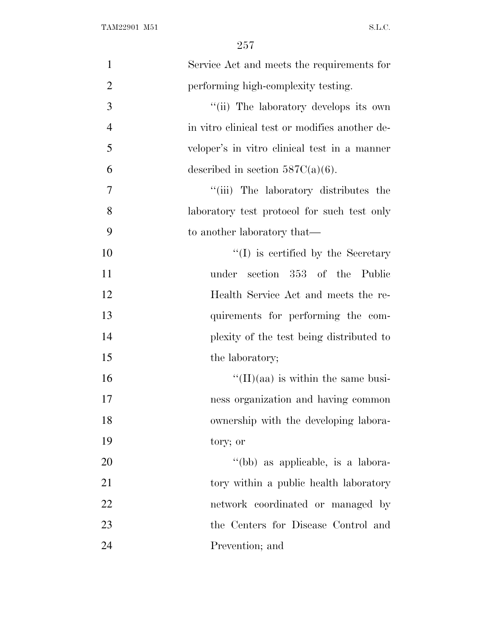| $\mathbf{1}$   | Service Act and meets the requirements for     |
|----------------|------------------------------------------------|
| $\overline{2}$ | performing high-complexity testing.            |
| 3              | "(ii) The laboratory develops its own          |
| $\overline{4}$ | in vitro clinical test or modifies another de- |
| 5              | veloper's in vitro clinical test in a manner   |
| 6              | described in section $587C(a)(6)$ .            |
| 7              | "(iii) The laboratory distributes the          |
| 8              | laboratory test protocol for such test only    |
| 9              | to another laboratory that—                    |
| 10             | $\lq (I)$ is certified by the Secretary        |
| 11             | section 353 of the Public<br>under             |
| 12             | Health Service Act and meets the re-           |
| 13             | quirements for performing the com-             |
| 14             | plexity of the test being distributed to       |
| 15             | the laboratory;                                |
| 16             | $\lq\lq$ (II)(aa) is within the same busi-     |
| 17             | ness organization and having common            |
| 18             | ownership with the developing labora-          |
| 19             | tory; or                                       |
| 20             | "(bb) as applicable, is a labora-              |
| 21             | tory within a public health laboratory         |
| 22             | network coordinated or managed by              |
| 23             | the Centers for Disease Control and            |
| 24             | Prevention; and                                |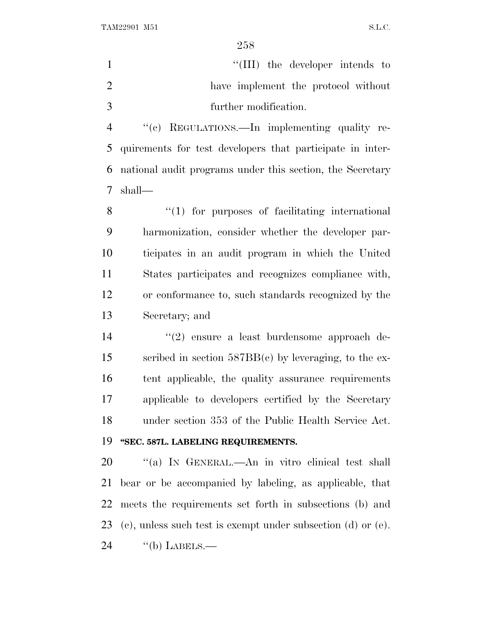1  $\frac{1}{\text{[III]}}$  the developer intends to have implement the protocol without further modification.

 ''(c) REGULATIONS.—In implementing quality re- quirements for test developers that participate in inter- national audit programs under this section, the Secretary shall—

8 "(1) for purposes of facilitating international harmonization, consider whether the developer par- ticipates in an audit program in which the United States participates and recognizes compliance with, or conformance to, such standards recognized by the Secretary; and

 ''(2) ensure a least burdensome approach de- scribed in section 587BB(c) by leveraging, to the ex- tent applicable, the quality assurance requirements applicable to developers certified by the Secretary under section 353 of the Public Health Service Act.

# **''SEC. 587L. LABELING REQUIREMENTS.**

 ''(a) I<sup>N</sup> GENERAL.—An in vitro clinical test shall bear or be accompanied by labeling, as applicable, that meets the requirements set forth in subsections (b) and (c), unless such test is exempt under subsection (d) or (e).  $\text{``(b)}$  LABELS.—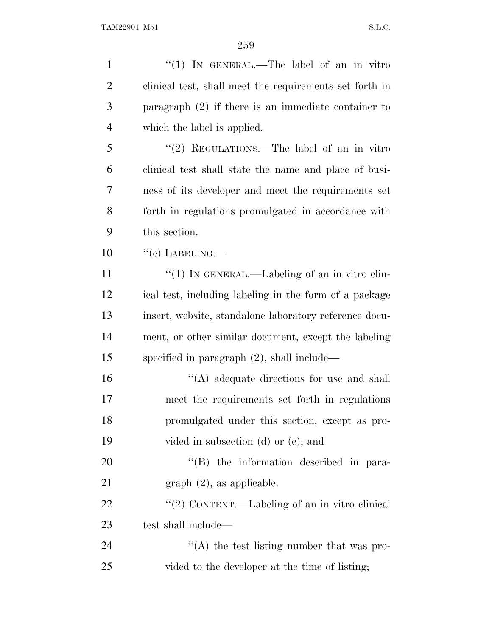| $\mathbf{1}$   | "(1) IN GENERAL.—The label of an in vitro               |
|----------------|---------------------------------------------------------|
| $\overline{2}$ | clinical test, shall meet the requirements set forth in |
| 3              | paragraph $(2)$ if there is an immediate container to   |
| $\overline{4}$ | which the label is applied.                             |
| 5              | "(2) REGULATIONS.—The label of an in vitro              |
| 6              | clinical test shall state the name and place of busi-   |
| 7              | ness of its developer and meet the requirements set     |
| 8              | forth in regulations promulgated in accordance with     |
| 9              | this section.                                           |
| 10             | $``(c)$ LABELING.—                                      |
| 11             | " $(1)$ IN GENERAL.—Labeling of an in vitro clin-       |
| 12             | ical test, including labeling in the form of a package  |
| 13             | insert, website, standalone laboratory reference docu-  |
| 14             | ment, or other similar document, except the labeling    |
| 15             | specified in paragraph $(2)$ , shall include—           |
| 16             | $\lq\lq$ adequate directions for use and shall          |
| 17             | meet the requirements set forth in regulations          |
| 18             | promulgated under this section, except as pro-          |
| 19             | vided in subsection $(d)$ or $(e)$ ; and                |
| 20             | "(B) the information described in para-                 |
| 21             | $graph (2)$ , as applicable.                            |
| 22             | "(2) CONTENT.—Labeling of an in vitro clinical          |
| 23             | test shall include—                                     |
| 24             | "(A) the test listing number that was pro-              |
| 25             | vided to the developer at the time of listing;          |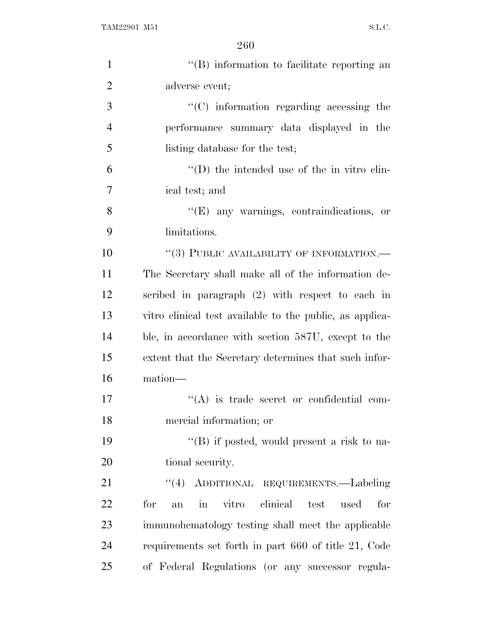| $\mathbf{1}$   | $\lq\lq$ ) information to facilitate reporting an                            |
|----------------|------------------------------------------------------------------------------|
| $\overline{2}$ | adverse event;                                                               |
| 3              | $\cdot$ (C) information regarding accessing the                              |
| $\overline{4}$ | performance summary data displayed in the                                    |
| 5              | listing database for the test;                                               |
| 6              | $\lq\lq$ (D) the intended use of the in vitro clin-                          |
| 7              | ical test; and                                                               |
| 8              | $\lq\lq$ (E) any warnings, contraindications, or                             |
| 9              | limitations.                                                                 |
| 10             | "(3) PUBLIC AVAILABILITY OF INFORMATION.—                                    |
| 11             | The Secretary shall make all of the information de-                          |
| 12             | scribed in paragraph (2) with respect to each in                             |
| 13             | vitro clinical test available to the public, as applica-                     |
| 14             | ble, in accordance with section 587U, except to the                          |
| 15             | extent that the Secretary determines that such infor-                        |
| 16             | mation-                                                                      |
| 17             | $\lq\lq$ is trade secret or confidential com-                                |
| 18             | mercial information; or                                                      |
| 19             | "(B) if posted, would present a risk to na-                                  |
| 20             | tional security.                                                             |
| 21             | "(4) ADDITIONAL REQUIREMENTS.—Labeling                                       |
| 22             | clinical<br>vitro<br>for<br>test<br>used<br>for<br>$\operatorname{in}$<br>an |
| 23             | immunohematology testing shall meet the applicable                           |
| 24             | requirements set forth in part 660 of title 21, Code                         |
| 25             | of Federal Regulations (or any successor regula-                             |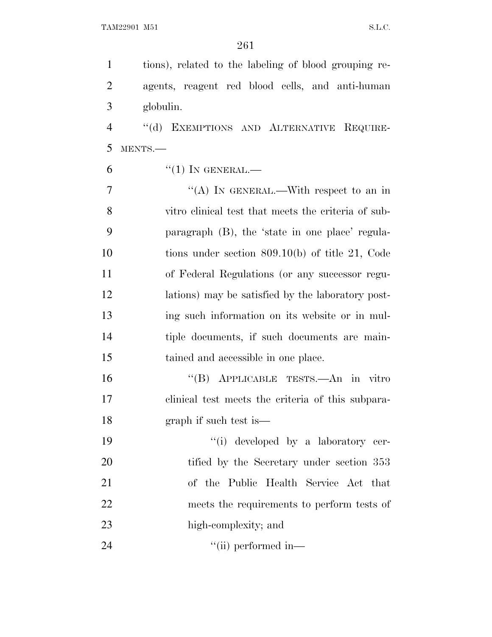tions), related to the labeling of blood grouping re- agents, reagent red blood cells, and anti-human globulin.

4 "(d) EXEMPTIONS AND ALTERNATIVE REQUIRE-MENTS.—

"(1) In GENERAL.—

 ''(A) IN GENERAL.—With respect to an in vitro clinical test that meets the criteria of sub- paragraph (B), the 'state in one place' regula- tions under section 809.10(b) of title 21, Code of Federal Regulations (or any successor regu- lations) may be satisfied by the laboratory post- ing such information on its website or in mul- tiple documents, if such documents are main-tained and accessible in one place.

 ''(B) APPLICABLE TESTS.—An in vitro clinical test meets the criteria of this subpara-graph if such test is—

 $\frac{1}{2}$  '(i) developed by a laboratory cer-20 tified by the Secretary under section 353 of the Public Health Service Act that meets the requirements to perform tests of high-complexity; and

24 ''(ii) performed in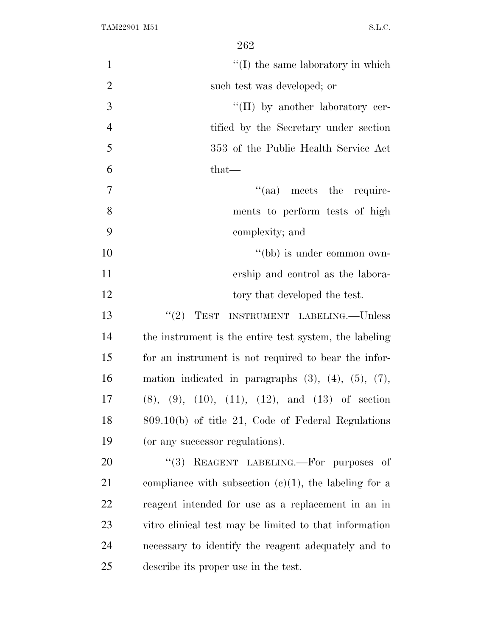| $\mathbf{1}$   | $\lq\lq$ (I) the same laboratory in which                        |
|----------------|------------------------------------------------------------------|
| $\overline{2}$ | such test was developed; or                                      |
| 3              | $\lq\lq$ (II) by another laboratory cer-                         |
| $\overline{4}$ | tified by the Secretary under section                            |
| 5              | 353 of the Public Health Service Act                             |
| 6              | that—                                                            |
| $\overline{7}$ | "(aa) meets the require-                                         |
| 8              | ments to perform tests of high                                   |
| 9              | complexity; and                                                  |
| 10             | "(bb) is under common own-                                       |
| 11             | ership and control as the labora-                                |
| 12             | tory that developed the test.                                    |
| 13             | TEST INSTRUMENT LABELING.—Unless<br>(2)                          |
| 14             | the instrument is the entire test system, the labeling           |
| 15             | for an instrument is not required to bear the infor-             |
| 16             | mation indicated in paragraphs $(3)$ , $(4)$ , $(5)$ , $(7)$ ,   |
| 17             | $(8)$ , $(9)$ , $(10)$ , $(11)$ , $(12)$ , and $(13)$ of section |
| 18             | 809.10(b) of title 21, Code of Federal Regulations               |
| 19             | (or any successor regulations).                                  |
| 20             | REAGENT LABELING. For purposes of<br>(3)                         |
| 21             | compliance with subsection $(c)(1)$ , the labeling for a         |
| 22             | reagent intended for use as a replacement in an in               |
| 23             | vitro clinical test may be limited to that information           |
| 24             | necessary to identify the reagent adequately and to              |
| 25             | describe its proper use in the test.                             |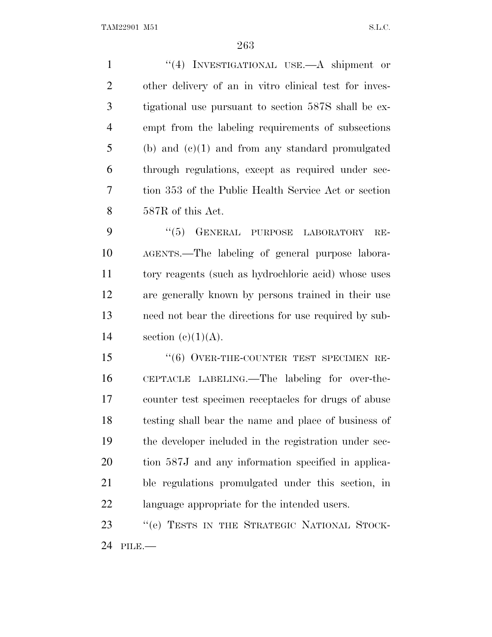''(4) INVESTIGATIONAL USE.—A shipment or other delivery of an in vitro clinical test for inves- tigational use pursuant to section 587S shall be ex- empt from the labeling requirements of subsections (b) and (c)(1) and from any standard promulgated through regulations, except as required under sec- tion 353 of the Public Health Service Act or section 587R of this Act. 9 "(5) GENERAL PURPOSE LABORATORY RE-

 AGENTS.—The labeling of general purpose labora- tory reagents (such as hydrochloric acid) whose uses are generally known by persons trained in their use need not bear the directions for use required by sub-14 section  $(c)(1)(A)$ .

15 "(6) OVER-THE-COUNTER TEST SPECIMEN RE- CEPTACLE LABELING.—The labeling for over-the- counter test specimen receptacles for drugs of abuse testing shall bear the name and place of business of the developer included in the registration under sec- tion 587J and any information specified in applica- ble regulations promulgated under this section, in language appropriate for the intended users.

23 "(e) TESTS IN THE STRATEGIC NATIONAL STOCK-PILE.—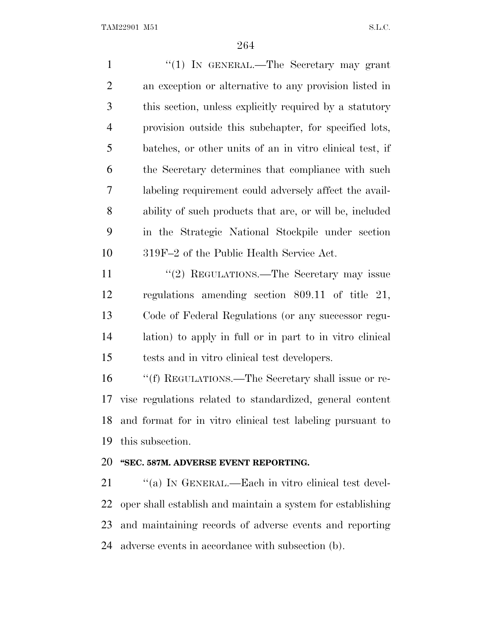1 "(1) IN GENERAL.—The Secretary may grant an exception or alternative to any provision listed in this section, unless explicitly required by a statutory provision outside this subchapter, for specified lots, batches, or other units of an in vitro clinical test, if the Secretary determines that compliance with such labeling requirement could adversely affect the avail- ability of such products that are, or will be, included in the Strategic National Stockpile under section 319F–2 of the Public Health Service Act. 11 "(2) REGULATIONS.—The Secretary may issue regulations amending section 809.11 of title 21, Code of Federal Regulations (or any successor regu-lation) to apply in full or in part to in vitro clinical

tests and in vitro clinical test developers.

 ''(f) REGULATIONS.—The Secretary shall issue or re- vise regulations related to standardized, general content and format for in vitro clinical test labeling pursuant to this subsection.

### **''SEC. 587M. ADVERSE EVENT REPORTING.**

21 "(a) IN GENERAL.—Each in vitro clinical test devel- oper shall establish and maintain a system for establishing and maintaining records of adverse events and reporting adverse events in accordance with subsection (b).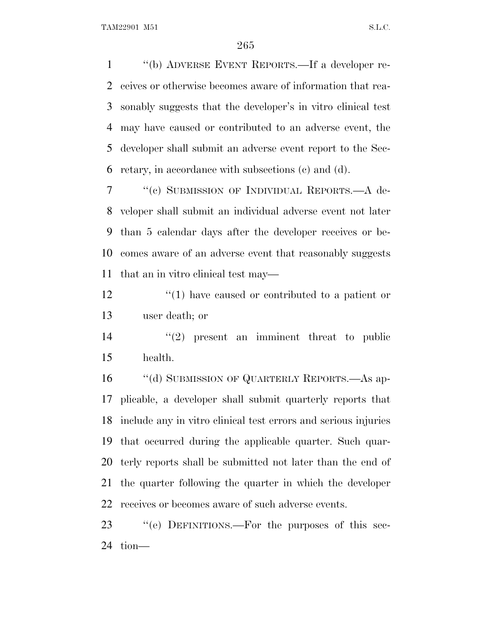''(b) ADVERSE EVENT REPORTS.—If a developer re- ceives or otherwise becomes aware of information that rea- sonably suggests that the developer's in vitro clinical test may have caused or contributed to an adverse event, the developer shall submit an adverse event report to the Sec-retary, in accordance with subsections (c) and (d).

 ''(c) SUBMISSION OF INDIVIDUAL REPORTS.—A de- veloper shall submit an individual adverse event not later than 5 calendar days after the developer receives or be- comes aware of an adverse event that reasonably suggests that an in vitro clinical test may—

12 ''(1) have caused or contributed to a patient or user death; or

 ''(2) present an imminent threat to public health.

16 "(d) SUBMISSION OF QUARTERLY REPORTS.—As ap- plicable, a developer shall submit quarterly reports that include any in vitro clinical test errors and serious injuries that occurred during the applicable quarter. Such quar- terly reports shall be submitted not later than the end of the quarter following the quarter in which the developer receives or becomes aware of such adverse events.

23 "(e) DEFINITIONS.—For the purposes of this sec-tion—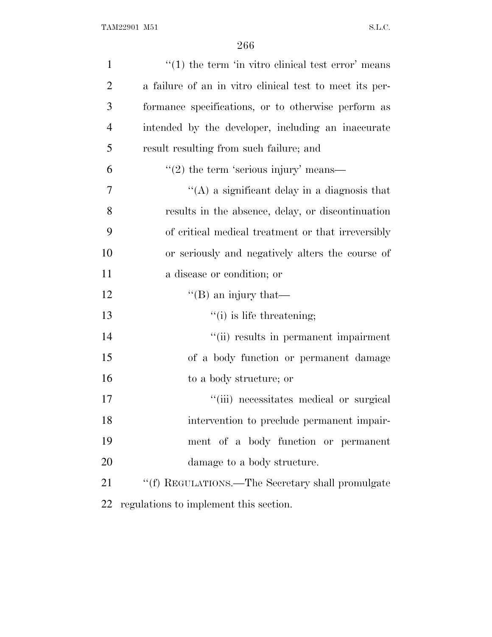| $\mathbf{1}$   | $\cdot\cdot(1)$ the term 'in vitro clinical test error' means |
|----------------|---------------------------------------------------------------|
| $\overline{2}$ | a failure of an in vitro clinical test to meet its per-       |
| 3              | formance specifications, or to otherwise perform as           |
| 4              | intended by the developer, including an inaccurate            |
| 5              | result resulting from such failure; and                       |
| 6              | $\cdot\cdot(2)$ the term 'serious injury' means—              |
| 7              | "(A) a significant delay in a diagnosis that                  |
| 8              | results in the absence, delay, or discontinuation             |
| 9              | of critical medical treatment or that irreversibly            |
| 10             | or seriously and negatively alters the course of              |
| 11             | a disease or condition; or                                    |
| 12             | "(B) an injury that—                                          |
| 13             | $f'(i)$ is life threatening;                                  |
| 14             | "(ii) results in permanent impairment                         |
| 15             | of a body function or permanent damage                        |
| 16             | to a body structure; or                                       |
| 17             | "(iii) necessitates medical or surgical                       |
| 18             | intervention to preclude permanent impair-                    |
| 19             | ment of a body function or permanent                          |
| 20             | damage to a body structure.                                   |
| 21             | "(f) REGULATIONS.—The Secretary shall promulgate              |
| 22             | regulations to implement this section.                        |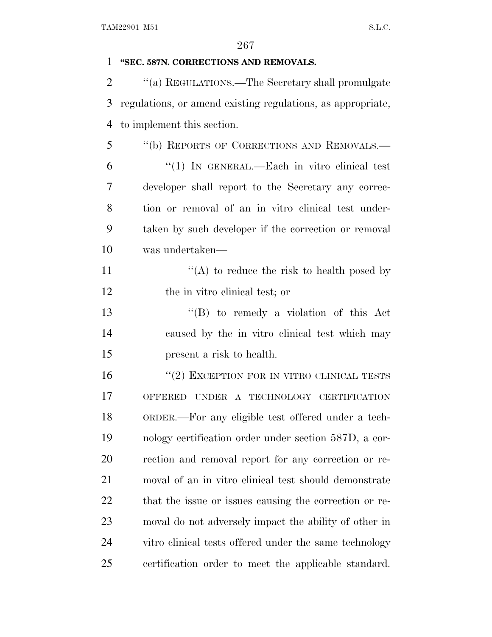| 1              | "SEC. 587N. CORRECTIONS AND REMOVALS.                       |
|----------------|-------------------------------------------------------------|
| $\overline{2}$ | "(a) REGULATIONS.—The Secretary shall promulgate            |
| 3              | regulations, or amend existing regulations, as appropriate, |
| 4              | to implement this section.                                  |
| 5              | "(b) REPORTS OF CORRECTIONS AND REMOVALS.-                  |
| 6              | "(1) IN GENERAL.—Each in vitro clinical test                |
| 7              | developer shall report to the Secretary any correc-         |
| 8              | tion or removal of an in vitro clinical test under-         |
| 9              | taken by such developer if the correction or removal        |
| 10             | was undertaken-                                             |
| 11             | "(A) to reduce the risk to health posed by                  |
| 12             | the in vitro clinical test; or                              |
| 13             | $\lq\lq (B)$ to remedy a violation of this Act              |
| 14             | caused by the in vitro clinical test which may              |
| 15             | present a risk to health.                                   |
| 16             | $``(2)$ EXCEPTION FOR IN VITRO CLINICAL TESTS               |
| 17             | OFFERED UNDER A TECHNOLOGY CERTIFICATION                    |
| 18             | ORDER.—For any eligible test offered under a tech-          |
| 19             | nology certification order under section 587D, a cor-       |
| 20             | rection and removal report for any correction or re-        |
| 21             | moval of an in vitro clinical test should demonstrate       |
| 22             | that the issue or issues causing the correction or re-      |
| 23             | moval do not adversely impact the ability of other in       |
| 24             | vitro clinical tests offered under the same technology      |
| 25             | certification order to meet the applicable standard.        |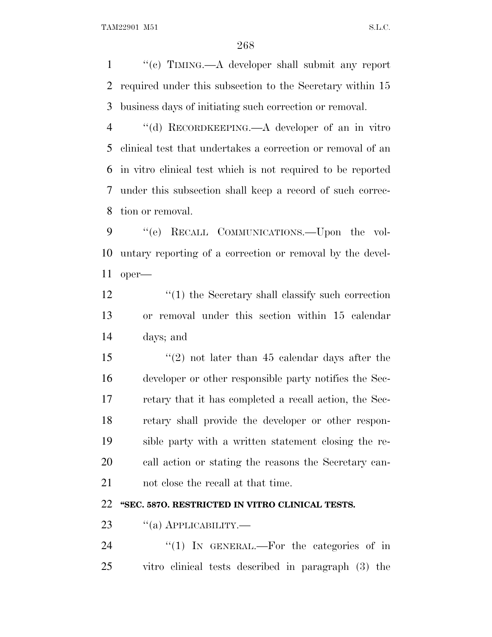''(c) TIMING.—A developer shall submit any report required under this subsection to the Secretary within 15 business days of initiating such correction or removal.

 ''(d) RECORDKEEPING.—A developer of an in vitro clinical test that undertakes a correction or removal of an in vitro clinical test which is not required to be reported under this subsection shall keep a record of such correc-tion or removal.

 ''(e) RECALL COMMUNICATIONS.—Upon the vol- untary reporting of a correction or removal by the devel-oper—

12 ''(1) the Secretary shall classify such correction or removal under this section within 15 calendar days; and

 ''(2) not later than 45 calendar days after the developer or other responsible party notifies the Sec- retary that it has completed a recall action, the Sec- retary shall provide the developer or other respon- sible party with a written statement closing the re- call action or stating the reasons the Secretary can-not close the recall at that time.

## **''SEC. 587O. RESTRICTED IN VITRO CLINICAL TESTS.**

23 "(a) APPLICABILITY.—

24 "(1) In GENERAL.—For the categories of in vitro clinical tests described in paragraph (3) the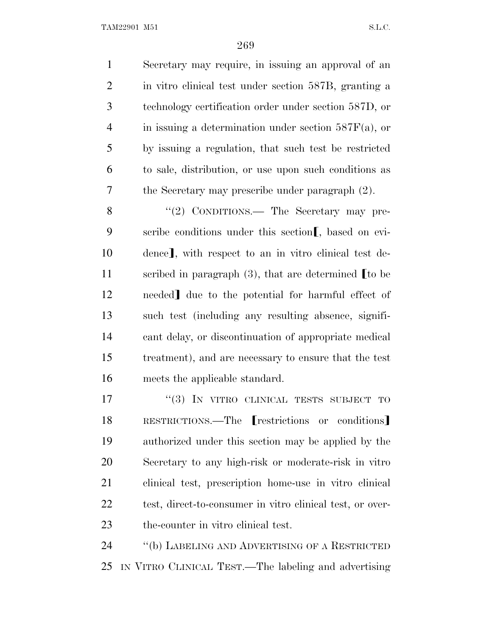Secretary may require, in issuing an approval of an in vitro clinical test under section 587B, granting a technology certification order under section 587D, or in issuing a determination under section 587F(a), or by issuing a regulation, that such test be restricted to sale, distribution, or use upon such conditions as the Secretary may prescribe under paragraph (2).

8 "(2) CONDITIONS.— The Secretary may pre-9 scribe conditions under this section  $\llbracket$ , based on evi-10 dence, with respect to an in vitro clinical test de-11 scribed in paragraph  $(3)$ , that are determined  $\blacksquare$  to be 12 needed] due to the potential for harmful effect of such test (including any resulting absence, signifi- cant delay, or discontinuation of appropriate medical treatment), and are necessary to ensure that the test meets the applicable standard.

17 <sup>"</sup>(3) IN VITRO CLINICAL TESTS SUBJECT TO 18 RESTRICTIONS.—The **restrictions** or conditions authorized under this section may be applied by the Secretary to any high-risk or moderate-risk in vitro clinical test, prescription home-use in vitro clinical test, direct-to-consumer in vitro clinical test, or over-the-counter in vitro clinical test.

 ''(b) LABELING AND ADVERTISING OF A RESTRICTED IN VITRO CLINICAL TEST.—The labeling and advertising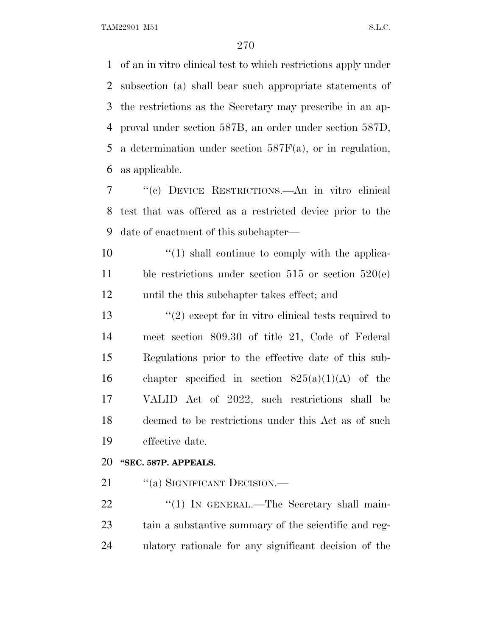of an in vitro clinical test to which restrictions apply under subsection (a) shall bear such appropriate statements of the restrictions as the Secretary may prescribe in an ap- proval under section 587B, an order under section 587D, a determination under section 587F(a), or in regulation, as applicable.

 ''(c) DEVICE RESTRICTIONS.—An in vitro clinical test that was offered as a restricted device prior to the date of enactment of this subchapter—

 $\frac{10}{10}$  ''(1) shall continue to comply with the applica- ble restrictions under section 515 or section 520(e) until the this subchapter takes effect; and

 $\frac{1}{2}$  except for in vitro clinical tests required to meet section 809.30 of title 21, Code of Federal Regulations prior to the effective date of this sub-16 chapter specified in section  $825(a)(1)(A)$  of the VALID Act of 2022, such restrictions shall be deemed to be restrictions under this Act as of such effective date.

#### **''SEC. 587P. APPEALS.**

21 ""(a) SIGNIFICANT DECISION.—

22 "(1) In GENERAL.—The Secretary shall main- tain a substantive summary of the scientific and reg-ulatory rationale for any significant decision of the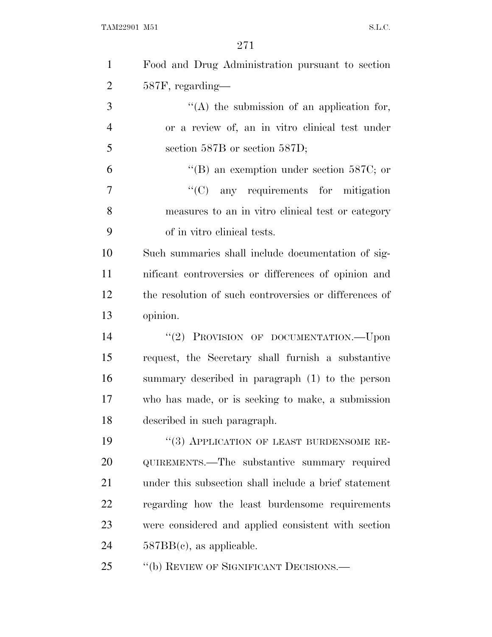| $\mathbf{1}$   | Food and Drug Administration pursuant to section       |
|----------------|--------------------------------------------------------|
| $\overline{2}$ | 587F, regarding-                                       |
| 3              | "(A) the submission of an application for,             |
| $\overline{4}$ | or a review of, an in vitro clinical test under        |
| 5              | section 587B or section 587D;                          |
| 6              | "(B) an exemption under section 587C; or               |
| $\overline{7}$ | $\lq\lq$ (C) any requirements for mitigation           |
| 8              | measures to an in vitro clinical test or category      |
| 9              | of in vitro clinical tests.                            |
| 10             | Such summaries shall include documentation of sig-     |
| 11             | nificant controversies or differences of opinion and   |
| 12             | the resolution of such controversies or differences of |
| 13             | opinion.                                               |
| 14             | "(2) PROVISION OF DOCUMENTATION.--- Upon               |
| 15             | request, the Secretary shall furnish a substantive     |
| 16             | summary described in paragraph (1) to the person       |
| 17             | who has made, or is seeking to make, a submission      |
| 18             | described in such paragraph.                           |
| 19             | "(3) APPLICATION OF LEAST BURDENSOME RE-               |
| <b>20</b>      | QUIREMENTS.—The substantive summary required           |
| 21             | under this subsection shall include a brief statement  |
| 22             | regarding how the least burdensome requirements        |
| 23             | were considered and applied consistent with section    |
| 24             | $587BB(c)$ , as applicable.                            |
| 25             | "(b) REVIEW OF SIGNIFICANT DECISIONS.-                 |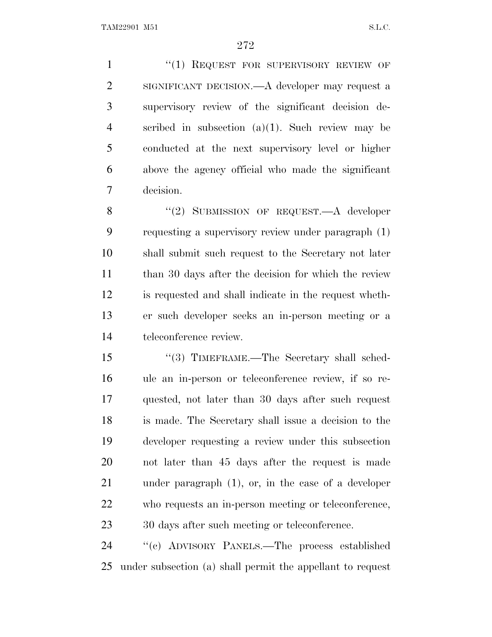1 "(1) REQUEST FOR SUPERVISORY REVIEW OF SIGNIFICANT DECISION.—A developer may request a supervisory review of the significant decision de- scribed in subsection (a)(1). Such review may be conducted at the next supervisory level or higher above the agency official who made the significant decision.

8 "(2) SUBMISSION OF REQUEST.—A developer requesting a supervisory review under paragraph (1) shall submit such request to the Secretary not later 11 than 30 days after the decision for which the review is requested and shall indicate in the request wheth- er such developer seeks an in-person meeting or a teleconference review.

 ''(3) TIMEFRAME.—The Secretary shall sched- ule an in-person or teleconference review, if so re- quested, not later than 30 days after such request is made. The Secretary shall issue a decision to the developer requesting a review under this subsection not later than 45 days after the request is made under paragraph (1), or, in the case of a developer who requests an in-person meeting or teleconference, 30 days after such meeting or teleconference.

 ''(c) ADVISORY PANELS.—The process established under subsection (a) shall permit the appellant to request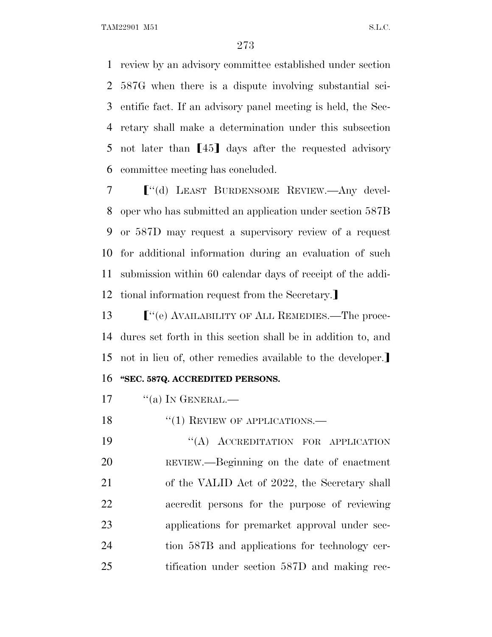review by an advisory committee established under section 587G when there is a dispute involving substantial sci- entific fact. If an advisory panel meeting is held, the Sec- retary shall make a determination under this subsection 5 not later than  $\llbracket 45 \rrbracket$  days after the requested advisory committee meeting has concluded.

 ø''(d) LEAST BURDENSOME REVIEW.—Any devel- oper who has submitted an application under section 587B or 587D may request a supervisory review of a request for additional information during an evaluation of such submission within 60 calendar days of receipt of the addi-12 tional information request from the Secretary.

 $\lceil$  "(e) AVAILABILITY OF ALL REMEDIES.—The proce- dures set forth in this section shall be in addition to, and 15 not in lieu of, other remedies available to the developer. **''SEC. 587Q. ACCREDITED PERSONS.**

"(a) In GENERAL.—

18 "(1) REVIEW OF APPLICATIONS.—

19 "(A) ACCREDITATION FOR APPLICATION REVIEW.—Beginning on the date of enactment 21 of the VALID Act of 2022, the Secretary shall accredit persons for the purpose of reviewing applications for premarket approval under sec- tion 587B and applications for technology cer-tification under section 587D and making rec-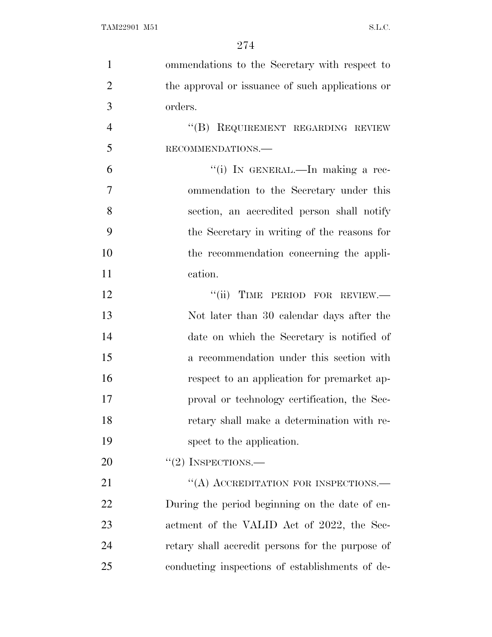| $\mathbf{1}$   | ommendations to the Secretary with respect to    |
|----------------|--------------------------------------------------|
| $\overline{2}$ | the approval or issuance of such applications or |
| 3              | orders.                                          |
| $\overline{4}$ | "(B) REQUIREMENT REGARDING REVIEW                |
| 5              | RECOMMENDATIONS.-                                |
| 6              | "(i) IN GENERAL.—In making a rec-                |
| $\overline{7}$ | ommendation to the Secretary under this          |
| 8              | section, an accredited person shall notify       |
| 9              | the Secretary in writing of the reasons for      |
| 10             | the recommendation concerning the appli-         |
| 11             | cation.                                          |
| 12             | "(ii) TIME PERIOD FOR REVIEW.-                   |
| 13             | Not later than 30 calendar days after the        |
| 14             | date on which the Secretary is notified of       |
| 15             | a recommendation under this section with         |
| 16             | respect to an application for premarket ap-      |
| 17             | proval or technology certification, the Sec-     |
| 18             | retary shall make a determination with re-       |
| 19             | spect to the application.                        |
| 20             | $``(2)$ INSPECTIONS.—                            |
| 21             | "(A) ACCREDITATION FOR INSPECTIONS.—             |
| 22             | During the period beginning on the date of en-   |
| 23             | actment of the VALID Act of 2022, the Sec-       |
| 24             | retary shall accredit persons for the purpose of |
| 25             | conducting inspections of establishments of de-  |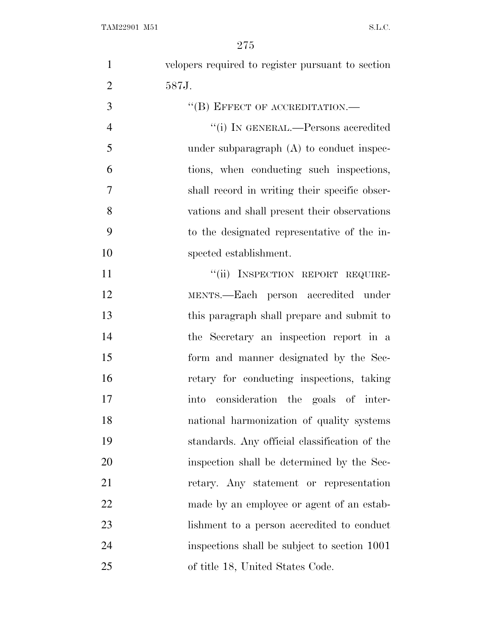velopers required to register pursuant to section 587J. 3 "(B) EFFECT OF ACCREDITATION.—

 ''(i) IN GENERAL.—Persons accredited 5 under subparagraph (A) to conduct inspec- tions, when conducting such inspections, shall record in writing their specific obser- vations and shall present their observations to the designated representative of the in-spected establishment.

11 ""(ii) INSPECTION REPORT REQUIRE- MENTS.—Each person accredited under this paragraph shall prepare and submit to the Secretary an inspection report in a form and manner designated by the Sec- retary for conducting inspections, taking into consideration the goals of inter- national harmonization of quality systems standards. Any official classification of the inspection shall be determined by the Sec- retary. Any statement or representation made by an employee or agent of an estab-23 lishment to a person accredited to conduct inspections shall be subject to section 1001 of title 18, United States Code.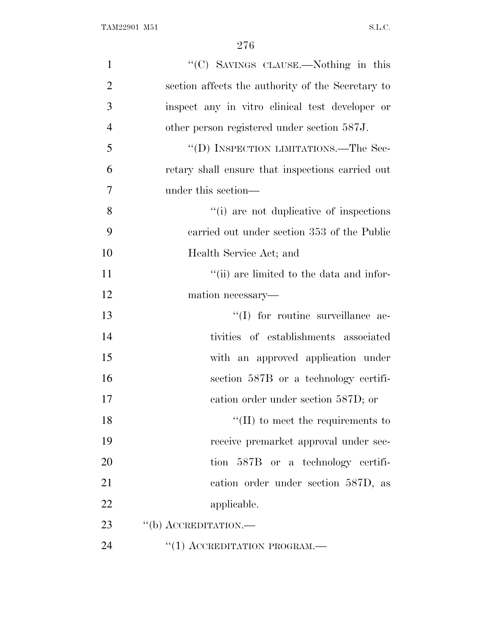| $\mathbf{1}$   | "(C) SAVINGS CLAUSE.—Nothing in this              |
|----------------|---------------------------------------------------|
| $\overline{2}$ | section affects the authority of the Secretary to |
| 3              | inspect any in vitro clinical test developer or   |
| $\overline{4}$ | other person registered under section 587J.       |
| 5              | "(D) INSPECTION LIMITATIONS.—The Sec-             |
| 6              | retary shall ensure that inspections carried out  |
| 7              | under this section—                               |
| 8              | "(i) are not duplicative of inspections"          |
| 9              | carried out under section 353 of the Public       |
| 10             | Health Service Act; and                           |
| 11             | "(ii) are limited to the data and infor-          |
| 12             | mation necessary—                                 |
| 13             | "(I) for routine surveillance ac-                 |
| 14             | tivities of establishments associated             |
| 15             | with an approved application under                |
| 16             | section 587B or a technology certifi-             |
| 17             | cation order under section 587D; or               |
| 18             | $\lq\lq$ (II) to meet the requirements to         |
| 19             | receive premarket approval under sec-             |
| 20             | tion 587B or a technology certifi-                |
| 21             | cation order under section 587D, as               |
| 22             | applicable.                                       |
| 23             | $\lq\lq(b)$ ACCREDITATION.—                       |
| 24             | $``(1)$ ACCREDITATION PROGRAM.—                   |
|                |                                                   |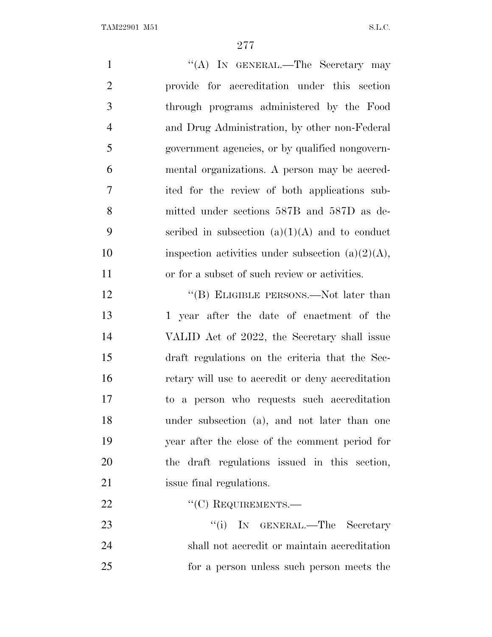| $\mathbf{1}$   | "(A) IN GENERAL.—The Secretary may                   |
|----------------|------------------------------------------------------|
| $\overline{2}$ | provide for accreditation under this section         |
| 3              | through programs administered by the Food            |
| $\overline{4}$ | and Drug Administration, by other non-Federal        |
| 5              | government agencies, or by qualified nongovern-      |
| 6              | mental organizations. A person may be accred-        |
| 7              | ited for the review of both applications sub-        |
| 8              | mitted under sections 587B and 587D as de-           |
| 9              | scribed in subsection $(a)(1)(A)$ and to conduct     |
| 10             | inspection activities under subsection $(a)(2)(A)$ , |
| 11             | or for a subset of such review or activities.        |
| 12             | "(B) ELIGIBLE PERSONS.—Not later than                |
| 13             | 1 year after the date of enactment of the            |
| 14             | VALID Act of 2022, the Secretary shall issue         |
| 15             | draft regulations on the criteria that the Sec-      |
| 16             | retary will use to accredit or deny accreditation    |
| 17             | to a person who requests such accreditation          |
| 18             | under subsection (a), and not later than one         |
| 19             | year after the close of the comment period for       |
| 20             | the draft regulations issued in this section,        |
| 21             | issue final regulations.                             |
| 22             | $``(C)$ REQUIREMENTS.—                               |
| 23             | "(i) IN GENERAL.—The Secretary                       |
| 24             | shall not accredit or maintain accreditation         |
| 25             | for a person unless such person meets the            |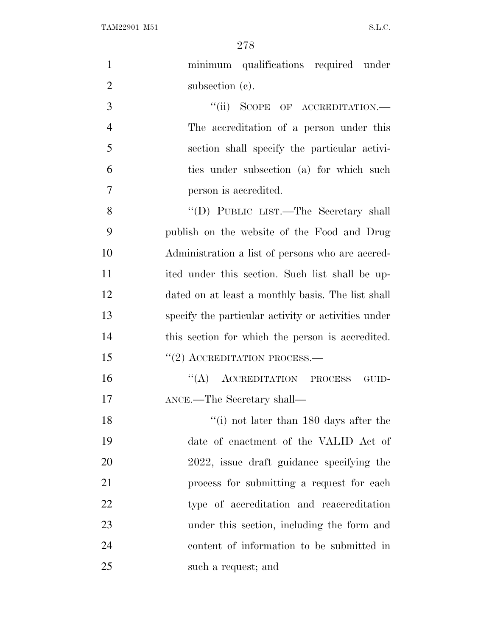| $\mathbf{1}$   | minimum qualifications required under               |
|----------------|-----------------------------------------------------|
| $\overline{2}$ | subsection (c).                                     |
| 3              | "(ii) SCOPE OF ACCREDITATION.-                      |
| $\overline{4}$ | The accreditation of a person under this            |
| 5              | section shall specify the particular activi-        |
| 6              | ties under subsection (a) for which such            |
| 7              | person is accredited.                               |
| 8              | "(D) PUBLIC LIST.—The Secretary shall               |
| 9              | publish on the website of the Food and Drug         |
| 10             | Administration a list of persons who are accred-    |
| 11             | ited under this section. Such list shall be up-     |
| 12             | dated on at least a monthly basis. The list shall   |
| 13             | specify the particular activity or activities under |
| 14             | this section for which the person is accredited.    |
| 15             | $\cdot\cdot(2)$ ACCREDITATION PROCESS.—             |
| 16             | $\lq\lq (A)$ ACCREDITATION PROCESS<br>GUID-         |
| 17             | ANCE.—The Secretary shall—                          |
| 18             | "(i) not later than $180$ days after the            |
| 19             | date of enactment of the VALID Act of               |
| 20             | 2022, issue draft guidance specifying the           |
| 21             | process for submitting a request for each           |
| 22             | type of accreditation and reaccreditation           |
| 23             | under this section, including the form and          |
| 24             | content of information to be submitted in           |
| 25             | such a request; and                                 |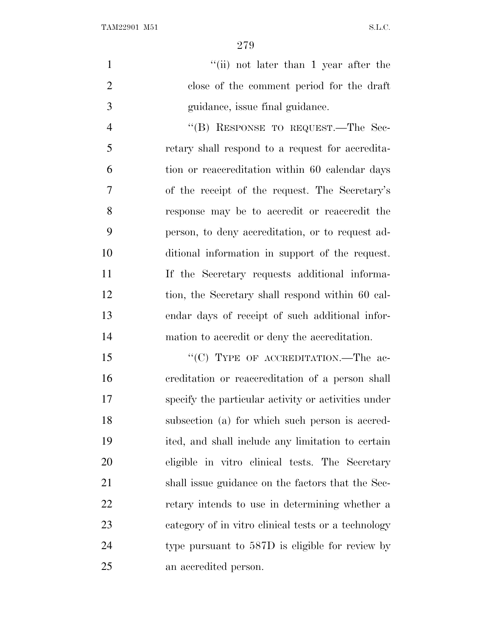1 ''(ii) not later than 1 year after the close of the comment period for the draft guidance, issue final guidance.

4 "(B) RESPONSE TO REQUEST.—The Sec- retary shall respond to a request for accredita- tion or reaccreditation within 60 calendar days of the receipt of the request. The Secretary's response may be to accredit or reaccredit the person, to deny accreditation, or to request ad- ditional information in support of the request. If the Secretary requests additional informa- tion, the Secretary shall respond within 60 cal- endar days of receipt of such additional infor-mation to accredit or deny the accreditation.

15 "'(C) TYPE OF ACCREDITATION.—The ac- creditation or reaccreditation of a person shall specify the particular activity or activities under subsection (a) for which such person is accred- ited, and shall include any limitation to certain eligible in vitro clinical tests. The Secretary shall issue guidance on the factors that the Sec- retary intends to use in determining whether a category of in vitro clinical tests or a technology type pursuant to 587D is eligible for review by an accredited person.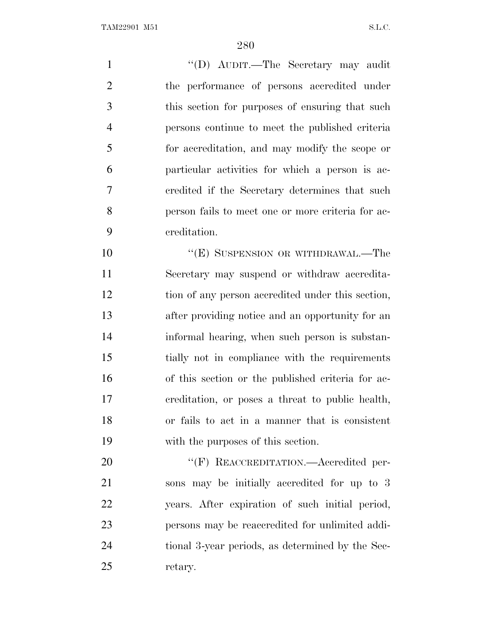1 ''(D) AUDIT.—The Secretary may audit the performance of persons accredited under this section for purposes of ensuring that such persons continue to meet the published criteria for accreditation, and may modify the scope or particular activities for which a person is ac- credited if the Secretary determines that such person fails to meet one or more criteria for ac-creditation.

10 "(E) SUSPENSION OR WITHDRAWAL.—The Secretary may suspend or withdraw accredita- tion of any person accredited under this section, after providing notice and an opportunity for an informal hearing, when such person is substan- tially not in compliance with the requirements of this section or the published criteria for ac- creditation, or poses a threat to public health, or fails to act in a manner that is consistent with the purposes of this section.

20 "'(F) REACCREDITATION.—Accredited per- sons may be initially accredited for up to 3 years. After expiration of such initial period, persons may be reaccredited for unlimited addi- tional 3-year periods, as determined by the Sec-retary.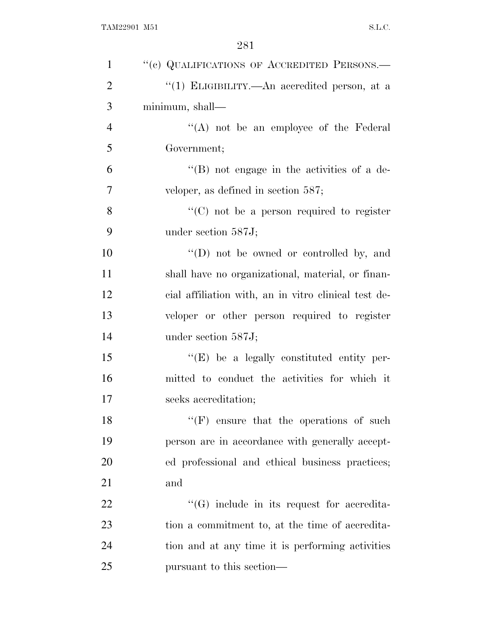| $\mathbf{1}$   | "(c) QUALIFICATIONS OF ACCREDITED PERSONS.-          |
|----------------|------------------------------------------------------|
| $\overline{2}$ | "(1) ELIGIBILITY.—An accredited person, at a         |
| 3              | minimum, shall—                                      |
| $\overline{4}$ | "(A) not be an employee of the Federal               |
| 5              | Government;                                          |
| 6              | $\lq\lq (B)$ not engage in the activities of a de-   |
| 7              | veloper, as defined in section $587$ ;               |
| 8              | "(C) not be a person required to register            |
| 9              | under section 587J;                                  |
| 10             | $\lq\lq$ (D) not be owned or controlled by, and      |
| 11             | shall have no organizational, material, or finan-    |
| 12             | cial affiliation with, an in vitro clinical test de- |
| 13             | veloper or other person required to register         |
| 14             | under section 587J;                                  |
| 15             | $\lq\lq(E)$ be a legally constituted entity per-     |
| 16             | mitted to conduct the activities for which it        |
| 17             | seeks accreditation;                                 |
| 18             | $``(F)$ ensure that the operations of such           |
| 19             | person are in accordance with generally accept-      |
| 20             | ed professional and ethical business practices;      |
| 21             | and                                                  |
| 22             | $\lq\lq(G)$ include in its request for accredita-    |
| 23             | tion a commitment to, at the time of accredita-      |
| 24             | tion and at any time it is performing activities     |
| 25             | pursuant to this section—                            |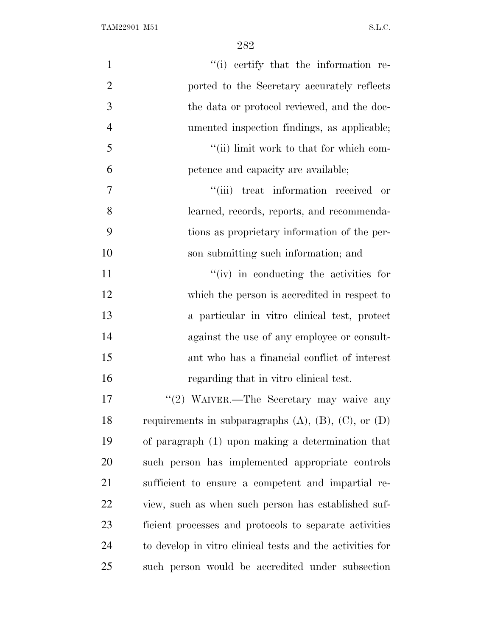| $\mathbf{1}$   | "(i) certify that the information re-                          |
|----------------|----------------------------------------------------------------|
| $\overline{2}$ | ported to the Secretary accurately reflects                    |
| 3              | the data or protocol reviewed, and the doc-                    |
| $\overline{4}$ | umented inspection findings, as applicable;                    |
| 5              | "(ii) limit work to that for which com-                        |
| 6              | petence and capacity are available;                            |
| $\tau$         | "(iii) treat information received or                           |
| 8              | learned, records, reports, and recommenda-                     |
| 9              | tions as proprietary information of the per-                   |
| 10             | son submitting such information; and                           |
| 11             | "(iv) in conducting the activities for                         |
| 12             | which the person is accredited in respect to                   |
| 13             | a particular in vitro clinical test, protect                   |
| 14             | against the use of any employee or consult-                    |
| 15             | ant who has a financial conflict of interest                   |
| 16             | regarding that in vitro clinical test.                         |
| 17             | "(2) WAIVER.—The Secretary may waive any                       |
| 18             | requirements in subparagraphs $(A)$ , $(B)$ , $(C)$ , or $(D)$ |
| 19             | of paragraph (1) upon making a determination that              |
| 20             | such person has implemented appropriate controls               |
| 21             | sufficient to ensure a competent and impartial re-             |
| 22             | view, such as when such person has established suf-            |
| 23             | ficient processes and protocols to separate activities         |
| 24             | to develop in vitro clinical tests and the activities for      |
| 25             | such person would be accredited under subsection               |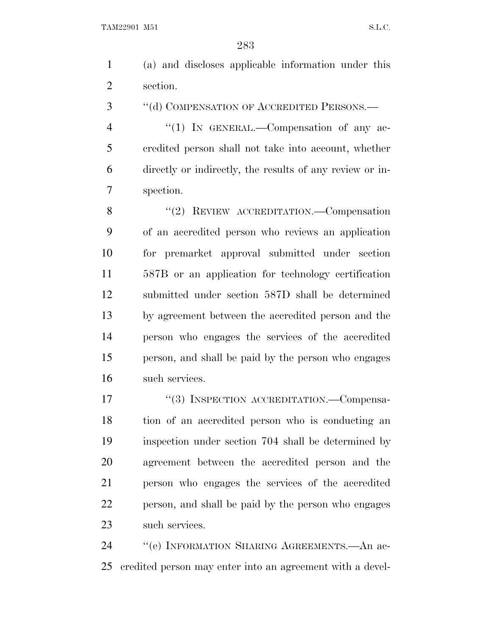(a) and discloses applicable information under this section.

3 "(d) COMPENSATION OF ACCREDITED PERSONS.—

4 "(1) IN GENERAL.—Compensation of any ac- credited person shall not take into account, whether directly or indirectly, the results of any review or in-spection.

8 "(2) REVIEW ACCREDITATION.—Compensation of an accredited person who reviews an application for premarket approval submitted under section 587B or an application for technology certification submitted under section 587D shall be determined by agreement between the accredited person and the person who engages the services of the accredited person, and shall be paid by the person who engages such services.

17 "(3) INSPECTION ACCREDITATION.—Compensa- tion of an accredited person who is conducting an inspection under section 704 shall be determined by agreement between the accredited person and the person who engages the services of the accredited person, and shall be paid by the person who engages such services.

24 "'(e) INFORMATION SHARING AGREEMENTS.—An ac-credited person may enter into an agreement with a devel-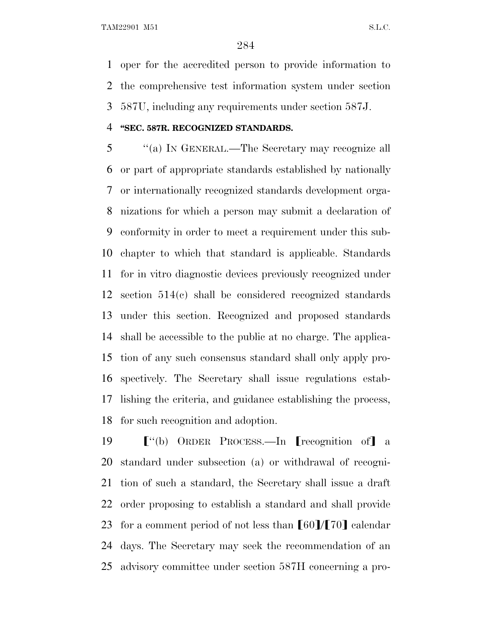oper for the accredited person to provide information to the comprehensive test information system under section 587U, including any requirements under section 587J.

#### **''SEC. 587R. RECOGNIZED STANDARDS.**

 ''(a) I<sup>N</sup> GENERAL.—The Secretary may recognize all or part of appropriate standards established by nationally or internationally recognized standards development orga- nizations for which a person may submit a declaration of conformity in order to meet a requirement under this sub- chapter to which that standard is applicable. Standards for in vitro diagnostic devices previously recognized under section 514(c) shall be considered recognized standards under this section. Recognized and proposed standards shall be accessible to the public at no charge. The applica- tion of any such consensus standard shall only apply pro- spectively. The Secretary shall issue regulations estab- lishing the criteria, and guidance establishing the process, for such recognition and adoption.

 $\lceil$  "(b) ORDER PROCESS.—In [recognition of] a standard under subsection (a) or withdrawal of recogni- tion of such a standard, the Secretary shall issue a draft order proposing to establish a standard and shall provide 23 for a comment period of not less than  $\llbracket 60 \rrbracket / \llbracket 70 \rrbracket$  calendar days. The Secretary may seek the recommendation of an advisory committee under section 587H concerning a pro-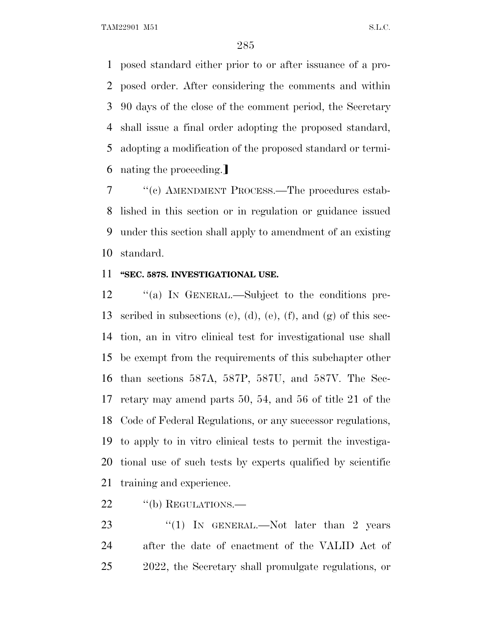posed standard either prior to or after issuance of a pro- posed order. After considering the comments and within 90 days of the close of the comment period, the Secretary shall issue a final order adopting the proposed standard, adopting a modification of the proposed standard or termi-6 nating the proceeding.

 ''(c) AMENDMENT PROCESS.—The procedures estab- lished in this section or in regulation or guidance issued under this section shall apply to amendment of an existing standard.

#### **''SEC. 587S. INVESTIGATIONAL USE.**

 ''(a) I<sup>N</sup> GENERAL.—Subject to the conditions pre- scribed in subsections (c), (d), (e), (f), and (g) of this sec- tion, an in vitro clinical test for investigational use shall be exempt from the requirements of this subchapter other than sections 587A, 587P, 587U, and 587V. The Sec- retary may amend parts 50, 54, and 56 of title 21 of the Code of Federal Regulations, or any successor regulations, to apply to in vitro clinical tests to permit the investiga- tional use of such tests by experts qualified by scientific training and experience.

22 "(b) REGULATIONS.

23 "(1) In GENERAL.—Not later than 2 years after the date of enactment of the VALID Act of 2022, the Secretary shall promulgate regulations, or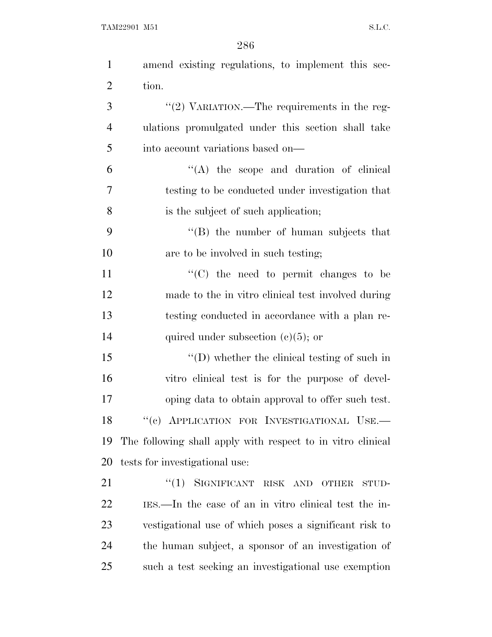| $\mathbf{1}$   | amend existing regulations, to implement this sec-          |
|----------------|-------------------------------------------------------------|
| $\overline{2}$ | tion.                                                       |
| 3              | "(2) VARIATION.—The requirements in the reg-                |
| $\overline{4}$ | ulations promulgated under this section shall take          |
| 5              | into account variations based on—                           |
| 6              | $\lq\lq$ the scope and duration of clinical                 |
| 7              | testing to be conducted under investigation that            |
| 8              | is the subject of such application;                         |
| 9              | $\lq\lq$ the number of human subjects that                  |
| 10             | are to be involved in such testing;                         |
| 11             | $\cdot$ (C) the need to permit changes to be                |
| 12             | made to the in vitro clinical test involved during          |
| 13             | testing conducted in accordance with a plan re-             |
| 14             | quired under subsection $(c)(5)$ ; or                       |
| 15             | $\lq\lq$ whether the clinical testing of such in            |
| 16             | vitro clinical test is for the purpose of devel-            |
| 17             | oping data to obtain approval to offer such test.           |
| 18             | "(c) APPLICATION FOR INVESTIGATIONAL USE.-                  |
| 19             | The following shall apply with respect to in vitro clinical |
| 20             | tests for investigational use:                              |
| 21             | "(1) SIGNIFICANT RISK AND OTHER<br>STUD-                    |
| 22             | IES.—In the case of an in vitro clinical test the in-       |
| 23             | vestigational use of which poses a significant risk to      |
| 24             | the human subject, a sponsor of an investigation of         |
| 25             | such a test seeking an investigational use exemption        |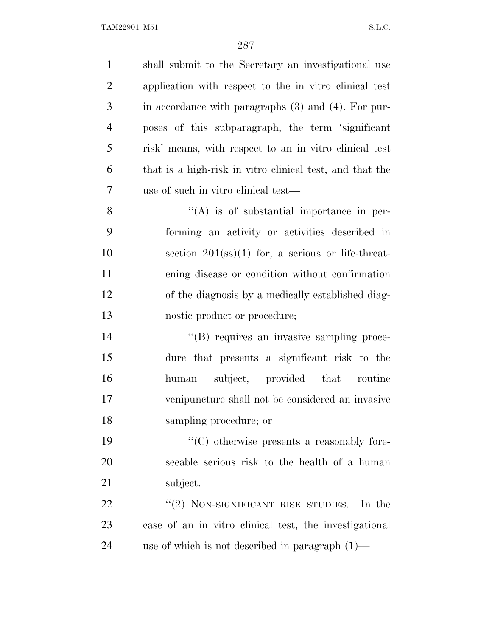shall submit to the Secretary an investigational use application with respect to the in vitro clinical test in accordance with paragraphs (3) and (4). For pur- poses of this subparagraph, the term 'significant risk' means, with respect to an in vitro clinical test that is a high-risk in vitro clinical test, and that the use of such in vitro clinical test—  $\mathcal{S}$  ''(A) is of substantial importance in per- forming an activity or activities described in 10 section (ss)(1) for, a serious or life-threat- ening disease or condition without confirmation of the diagnosis by a medically established diag- nostic product or procedure;  $''(B)$  requires an invasive sampling proce- dure that presents a significant risk to the human subject, provided that routine venipuncture shall not be considered an invasive sampling procedure; or ''(C) otherwise presents a reasonably fore- seeable serious risk to the health of a human subject. 22 "(2) NON-SIGNIFICANT RISK STUDIES.—In the case of an in vitro clinical test, the investigational use of which is not described in paragraph (1)—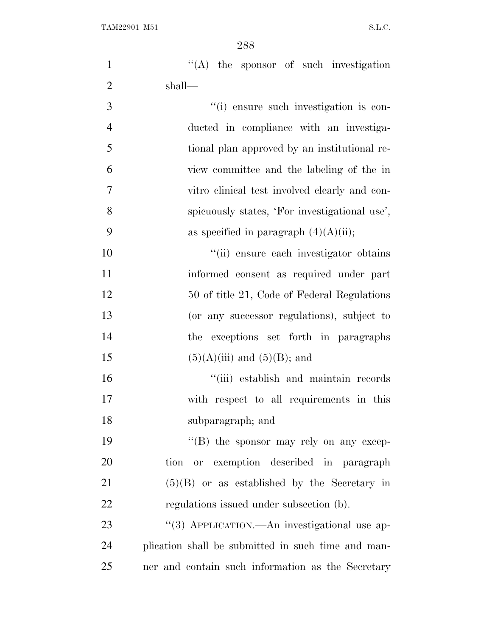| $\mathbf{1}$   | $\lq\lq$ the sponsor of such investigation         |
|----------------|----------------------------------------------------|
| $\overline{2}$ | shall—                                             |
| 3              | "(i) ensure such investigation is con-             |
| $\overline{4}$ | ducted in compliance with an investiga-            |
| 5              | tional plan approved by an institutional re-       |
| 6              | view committee and the labeling of the in          |
| $\overline{7}$ | vitro clinical test involved clearly and con-      |
| 8              | spicuously states, 'For investigational use',      |
| 9              | as specified in paragraph $(4)(A)(ii)$ ;           |
| 10             | "(ii) ensure each investigator obtains             |
| 11             | informed consent as required under part            |
| 12             | 50 of title 21, Code of Federal Regulations        |
| 13             | (or any successor regulations), subject to         |
| 14             | the exceptions set forth in paragraphs             |
| 15             | $(5)(A)(iii)$ and $(5)(B)$ ; and                   |
| 16             | "(iii) establish and maintain records              |
| 17             | with respect to all requirements in this           |
| 18             | subparagraph; and                                  |
| 19             | "(B) the sponsor may rely on any excep-            |
| 20             | or exemption described in paragraph<br>tion        |
| 21             | $(5)(B)$ or as established by the Secretary in     |
| 22             | regulations issued under subsection (b).           |
| 23             | "(3) APPLICATION.—An investigational use ap-       |
| 24             | plication shall be submitted in such time and man- |
| 25             | ner and contain such information as the Secretary  |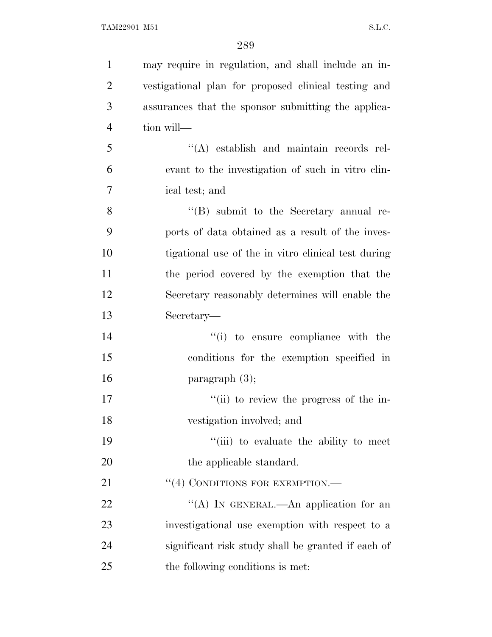| $\mathbf{1}$   | may require in regulation, and shall include an in-  |
|----------------|------------------------------------------------------|
| $\overline{2}$ | vestigational plan for proposed clinical testing and |
| 3              | assurances that the sponsor submitting the applica-  |
| $\overline{4}$ | tion will—                                           |
| 5              | "(A) establish and maintain records rel-             |
| 6              | evant to the investigation of such in vitro clin-    |
| 7              | ical test; and                                       |
| 8              | $\lq\lq (B)$ submit to the Secretary annual re-      |
| 9              | ports of data obtained as a result of the inves-     |
| 10             | tigational use of the in vitro clinical test during  |
| 11             | the period covered by the exemption that the         |
| 12             | Secretary reasonably determines will enable the      |
| 13             | Secretary—                                           |
| 14             | "(i) to ensure compliance with the                   |
| 15             | conditions for the exemption specified in            |
| 16             | paragraph $(3)$ ;                                    |
| 17             | "(ii) to review the progress of the in-              |
| 18             | vestigation involved; and                            |
| 19             | "(iii) to evaluate the ability to meet               |
| 20             | the applicable standard.                             |
| 21             | "(4) CONDITIONS FOR EXEMPTION.—                      |
| 22             | "(A) IN GENERAL.—An application for an               |
| 23             | investigational use exemption with respect to a      |
| 24             | significant risk study shall be granted if each of   |
| 25             | the following conditions is met:                     |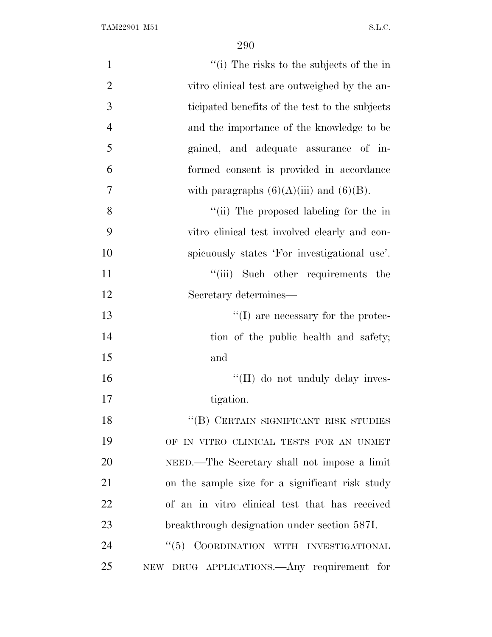| $\mathbf{1}$   | "(i) The risks to the subjects of the in        |
|----------------|-------------------------------------------------|
| $\overline{2}$ | vitro clinical test are outweighed by the an-   |
| 3              | ticipated benefits of the test to the subjects  |
| $\overline{4}$ | and the importance of the knowledge to be       |
| 5              | gained, and adequate assurance of in-           |
| 6              | formed consent is provided in accordance        |
| 7              | with paragraphs $(6)(A)(iii)$ and $(6)(B)$ .    |
| 8              | "(ii) The proposed labeling for the in          |
| 9              | vitro clinical test involved clearly and con-   |
| 10             | spicuously states 'For investigational use'.    |
| 11             | "(iii) Such other requirements the              |
| 12             | Secretary determines—                           |
| 13             | $\lq\lq$ (I) are necessary for the protec-      |
| 14             | tion of the public health and safety;           |
| 15             | and                                             |
| 16             | "(II) do not unduly delay inves-                |
| 17             | tigation.                                       |
| 18             | $\lq\lq(B)$ CERTAIN SIGNIFICANT RISK STUDIES    |
| 19             | OF IN VITRO CLINICAL TESTS FOR AN UNMET         |
| 20             | NEED.—The Secretary shall not impose a limit    |
| 21             | on the sample size for a significant risk study |
| 22             | of an in vitro clinical test that has received  |
| 23             | breakthrough designation under section 587I.    |
| 24             | "(5) COORDINATION WITH INVESTIGATIONAL          |
| 25             | NEW DRUG APPLICATIONS.—Any requirement for      |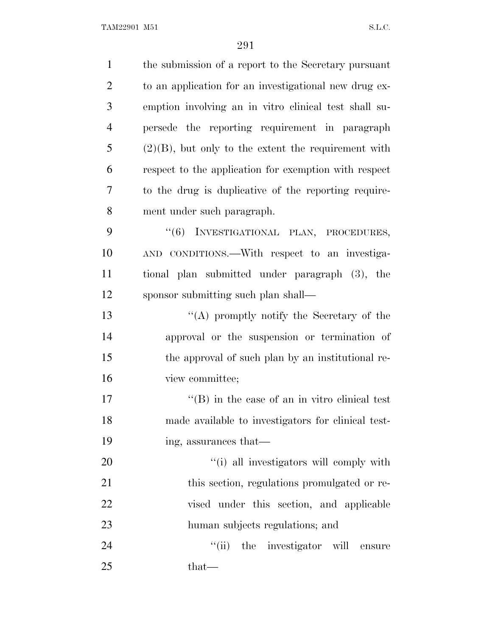| $\mathbf{1}$   | the submission of a report to the Secretary pursuant   |
|----------------|--------------------------------------------------------|
| $\overline{2}$ | to an application for an investigational new drug ex-  |
| 3              | emption involving an in vitro clinical test shall su-  |
| $\overline{4}$ | persede the reporting requirement in paragraph         |
| 5              | $(2)(B)$ , but only to the extent the requirement with |
| 6              | respect to the application for exemption with respect  |
| 7              | to the drug is duplicative of the reporting require-   |
| 8              | ment under such paragraph.                             |
| 9              | "(6) INVESTIGATIONAL PLAN, PROCEDURES,                 |
| 10             | AND CONDITIONS.—With respect to an investiga-          |
| 11             | tional plan submitted under paragraph (3), the         |
| 12             | sponsor submitting such plan shall—                    |
| 13             | "(A) promptly notify the Secretary of the              |
| 14             | approval or the suspension or termination of           |
| 15             | the approval of such plan by an institutional re-      |
| 16             | view committee;                                        |
| 17             | $\lq\lq$ (B) in the case of an in vitro clinical test  |
| 18             | made available to investigators for clinical test-     |
| 19             | ing, assurances that—                                  |
| 20             | "(i) all investigators will comply with                |
| 21             | this section, regulations promulgated or re-           |
| 22             | vised under this section, and applicable               |
| 23             | human subjects regulations; and                        |
| 24             | "(ii) the investigator will ensure                     |
| 25             | that—                                                  |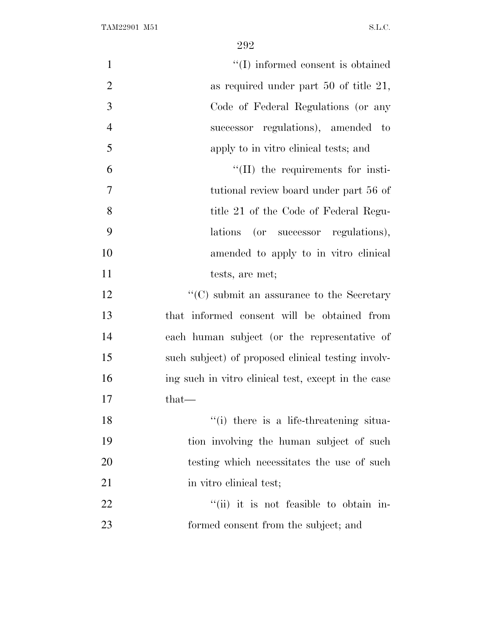| $\mathbf{1}$   | "(I) informed consent is obtained                   |
|----------------|-----------------------------------------------------|
| $\overline{2}$ | as required under part $50$ of title $21$ ,         |
| 3              | Code of Federal Regulations (or any                 |
| $\overline{4}$ | successor regulations), amended to                  |
| 5              | apply to in vitro clinical tests; and               |
| 6              | $\lq\lq$ (II) the requirements for insti-           |
| $\overline{7}$ | tutional review board under part 56 of              |
| 8              | title 21 of the Code of Federal Regu-               |
| 9              | lations<br>(or successor regulations),              |
| 10             | amended to apply to in vitro clinical               |
| 11             | tests, are met;                                     |
| 12             | $\lq\lq$ (C) submit an assurance to the Secretary   |
| 13             | that informed consent will be obtained from         |
| 14             | each human subject (or the representative of        |
| 15             | such subject) of proposed clinical testing involv-  |
| 16             | ing such in vitro clinical test, except in the case |
| 17             | $that-$                                             |
| 18             | "(i) there is a life-threatening situa-             |
| 19             | tion involving the human subject of such            |
| 20             | testing which necessitates the use of such          |
| 21             | in vitro clinical test;                             |
| 22             | "(ii) it is not feasible to obtain in-              |
| 23             | formed consent from the subject; and                |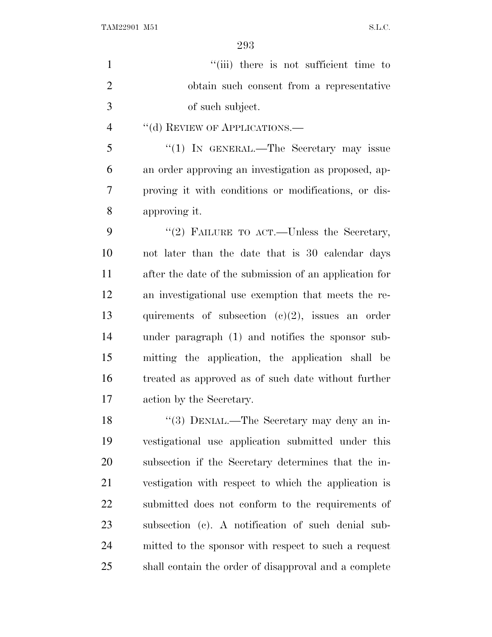$"$ (iii) there is not sufficient time to obtain such consent from a representative of such subject. 4 "(d) REVIEW OF APPLICATIONS.— 5 "(1) IN GENERAL.—The Secretary may issue an order approving an investigation as proposed, ap- proving it with conditions or modifications, or dis- approving it. 9 "(2) FAILURE TO ACT.—Unless the Secretary, not later than the date that is 30 calendar days after the date of the submission of an application for an investigational use exemption that meets the re- quirements of subsection (c)(2), issues an order under paragraph (1) and notifies the sponsor sub- mitting the application, the application shall be treated as approved as of such date without further action by the Secretary. 18 "(3) DENIAL.—The Secretary may deny an in- vestigational use application submitted under this subsection if the Secretary determines that the in- vestigation with respect to which the application is submitted does not conform to the requirements of subsection (c). A notification of such denial sub- mitted to the sponsor with respect to such a request shall contain the order of disapproval and a complete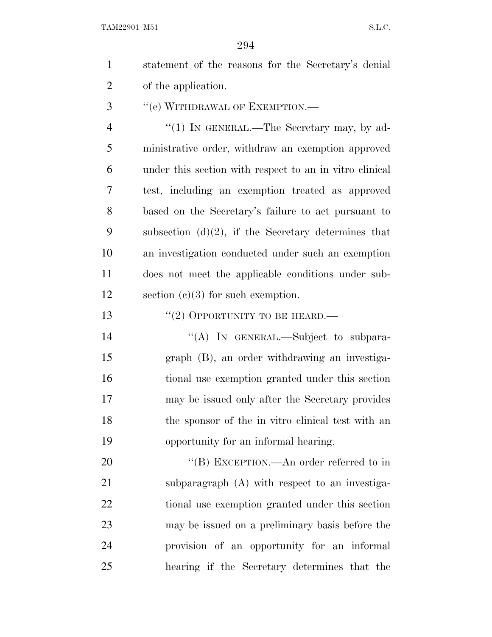| $\mathbf{1}$   | statement of the reasons for the Secretary's denial     |  |  |
|----------------|---------------------------------------------------------|--|--|
| $\overline{2}$ | of the application.                                     |  |  |
| 3              | "(e) WITHDRAWAL OF EXEMPTION.—                          |  |  |
| $\overline{4}$ | " $(1)$ IN GENERAL.—The Secretary may, by ad-           |  |  |
| 5              | ministrative order, withdraw an exemption approved      |  |  |
| 6              | under this section with respect to an in vitro clinical |  |  |
| 7              | test, including an exemption treated as approved        |  |  |
| 8              | based on the Secretary's failure to act pursuant to     |  |  |
| 9              | subsection $(d)(2)$ , if the Secretary determines that  |  |  |
| 10             | an investigation conducted under such an exemption      |  |  |
| 11             | does not meet the applicable conditions under sub-      |  |  |

13 "(2) OPPORTUNITY TO BE HEARD.—

12 section (c)(3) for such exemption.

14 "(A) IN GENERAL.—Subject to subpara- graph (B), an order withdrawing an investiga- tional use exemption granted under this section may be issued only after the Secretary provides the sponsor of the in vitro clinical test with an opportunity for an informal hearing.

20 "'(B) EXCEPTION.—An order referred to in subparagraph (A) with respect to an investiga- tional use exemption granted under this section may be issued on a preliminary basis before the provision of an opportunity for an informal hearing if the Secretary determines that the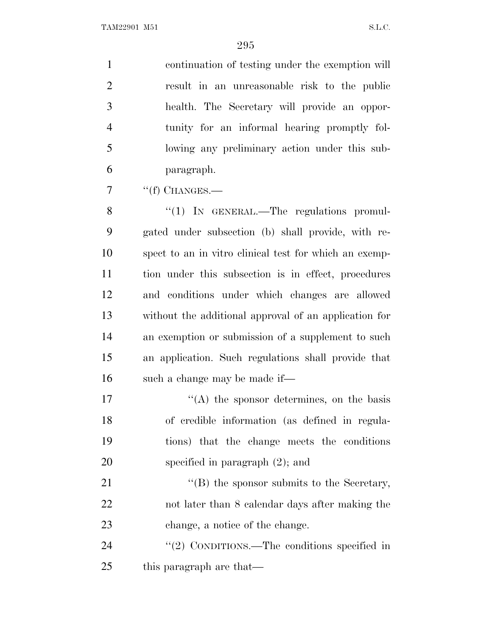continuation of testing under the exemption will result in an unreasonable risk to the public health. The Secretary will provide an oppor- tunity for an informal hearing promptly fol- lowing any preliminary action under this sub-paragraph.

"(f) CHANGES.—

8 "(1) IN GENERAL.—The regulations promul- gated under subsection (b) shall provide, with re- spect to an in vitro clinical test for which an exemp- tion under this subsection is in effect, procedures and conditions under which changes are allowed without the additional approval of an application for an exemption or submission of a supplement to such an application. Such regulations shall provide that such a change may be made if—

 $\mathcal{L}(\mathbf{A})$  the sponsor determines, on the basis of credible information (as defined in regula- tions) that the change meets the conditions specified in paragraph (2); and

21 ''(B) the sponsor submits to the Secretary, not later than 8 calendar days after making the change, a notice of the change.

24 "(2) CONDITIONS.—The conditions specified in 25 this paragraph are that—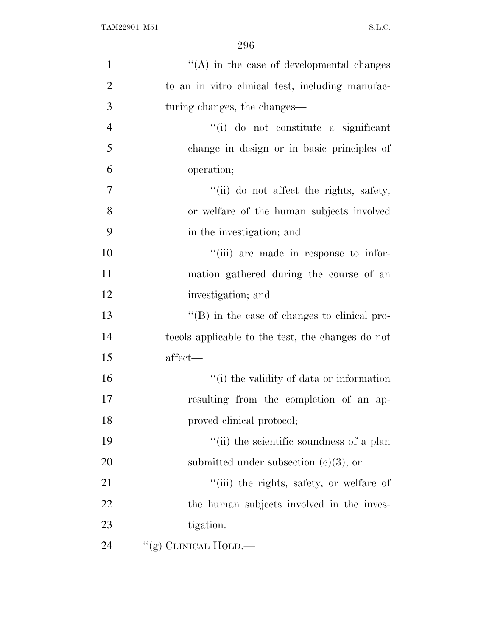| $\mathbf{1}$   | $\lq\lq$ in the case of developmental changes        |
|----------------|------------------------------------------------------|
| $\overline{2}$ | to an in vitro clinical test, including manufac-     |
| 3              | turing changes, the changes—                         |
| $\overline{4}$ | "(i) do not constitute a significant                 |
| 5              | change in design or in basic principles of           |
| 6              | operation;                                           |
| $\tau$         | "(ii) do not affect the rights, safety,              |
| 8              | or welfare of the human subjects involved            |
| 9              | in the investigation; and                            |
| 10             | "(iii) are made in response to infor-                |
| 11             | mation gathered during the course of an              |
| 12             | investigation; and                                   |
| 13             | $\lq\lq (B)$ in the case of changes to clinical pro- |
| 14             | to cols applicable to the test, the changes do not   |
| 15             | affect—                                              |
| 16             | "(i) the validity of data or information             |
| 17             | resulting from the completion of an ap-              |
| 18             | proved clinical protocol;                            |
| 19             | "(ii) the scientific soundness of a plan             |
| 20             | submitted under subsection $(c)(3)$ ; or             |
| 21             | "(iii) the rights, safety, or welfare of             |
| 22             | the human subjects involved in the inves-            |
| 23             | tigation.                                            |
| 24             | "(g) CLINICAL HOLD.—                                 |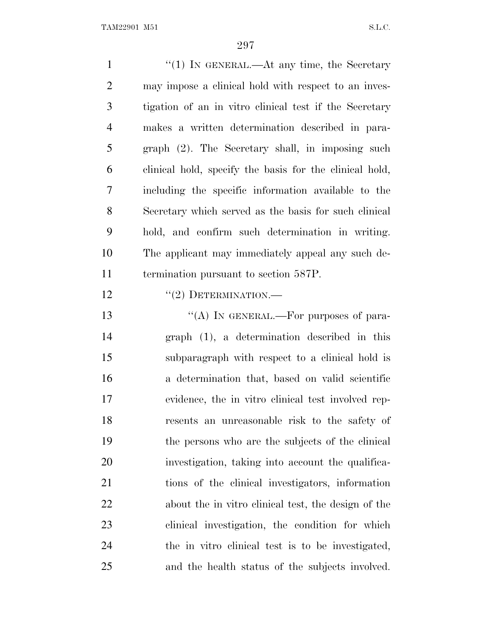1 ''(1) In GENERAL.—At any time, the Secretary may impose a clinical hold with respect to an inves- tigation of an in vitro clinical test if the Secretary makes a written determination described in para- graph (2). The Secretary shall, in imposing such clinical hold, specify the basis for the clinical hold, including the specific information available to the Secretary which served as the basis for such clinical hold, and confirm such determination in writing. The applicant may immediately appeal any such de- termination pursuant to section 587P.  $((2)$  DETERMINATION.— 13 "(A) IN GENERAL.—For purposes of para- graph (1), a determination described in this subparagraph with respect to a clinical hold is a determination that, based on valid scientific evidence, the in vitro clinical test involved rep- resents an unreasonable risk to the safety of the persons who are the subjects of the clinical investigation, taking into account the qualifica- tions of the clinical investigators, information about the in vitro clinical test, the design of the clinical investigation, the condition for which the in vitro clinical test is to be investigated, and the health status of the subjects involved.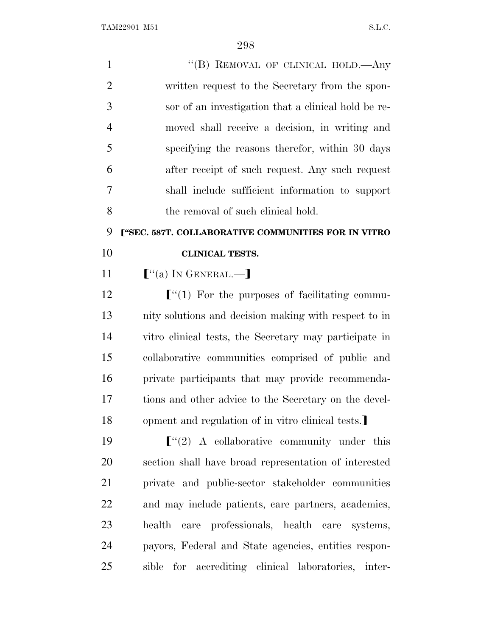| $\mathbf{1}$   | "(B) REMOVAL OF CLINICAL HOLD.—Any                     |
|----------------|--------------------------------------------------------|
| $\overline{2}$ | written request to the Secretary from the spon-        |
| 3              | sor of an investigation that a clinical hold be re-    |
| $\overline{4}$ | moved shall receive a decision, in writing and         |
| 5              | specifying the reasons therefor, within 30 days        |
| 6              | after receipt of such request. Any such request        |
| 7              | shall include sufficient information to support        |
| 8              | the removal of such clinical hold.                     |
| 9              | ["SEC. 587T. COLLABORATIVE COMMUNITIES FOR IN VITRO    |
| 10             | <b>CLINICAL TESTS.</b>                                 |
| 11             | $[$ "(a) IN GENERAL.—]                                 |
| 12             | $\lbrack$ (1) For the purposes of facilitating commu-  |
| 13             | nity solutions and decision making with respect to in  |
| 14             | vitro clinical tests, the Secretary may participate in |
| 15             | collaborative communities comprised of public and      |
| 16             | private participants that may provide recommenda-      |
| 17             | tions and other advice to the Secretary on the devel-  |
| 18             | opment and regulation of in vitro clinical tests.      |
| 19             | $\lbrack$ "(2) A collaborative community under this    |
| 20             | section shall have broad representation of interested  |
| 21             | private and public-sector stakeholder communities      |
| 22             | and may include patients, care partners, academics,    |
| 23             | health care professionals, health care systems,        |
| 24             | payors, Federal and State agencies, entities respon-   |
| 25             | sible for accrediting clinical laboratories, inter-    |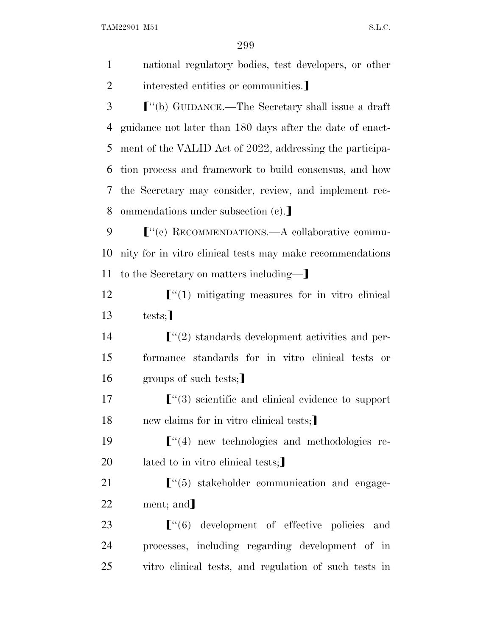299

 national regulatory bodies, test developers, or other 2 interested entities or communities. ø''(b) GUIDANCE.—The Secretary shall issue a draft guidance not later than 180 days after the date of enact- ment of the VALID Act of 2022, addressing the participa- tion process and framework to build consensus, and how the Secretary may consider, review, and implement rec-8 ommendations under subsection (c). ø''(c) RECOMMENDATIONS.—A collaborative commu- nity for in vitro clinical tests may make recommendations 11 to the Secretary on matters including— **Fuller** ["(1) mitigating measures for in vitro clinical  $13$  tests:  $\lceil$   $\lceil$   $\lceil$   $\lceil$   $\lceil$   $\lceil$   $\lceil$   $\lceil$   $\lceil$   $\lceil$   $\lceil$   $\lceil$   $\lceil$   $\lceil$   $\lceil$   $\lceil$   $\lceil$   $\lceil$   $\lceil$   $\lceil$   $\lceil$   $\lceil$   $\lceil$   $\lceil$   $\lceil$   $\lceil$   $\lceil$   $\lceil$   $\lceil$   $\lceil$   $\lceil$   $\lceil$   $\lceil$   $\lceil$   $\lceil$   $\lceil$   $\$  formance standards for in vitro clinical tests or 16 groups of such tests; **F**<sup>"</sup>(3) scientific and clinical evidence to support 18 new claims for in vitro clinical tests; **F**<sup>"</sup>(4) new technologies and methodologies re-20 lated to in vitro clinical tests;  $\lceil$   $\cdot$   $\lceil$   $\cdot$   $\lceil$   $\cdot$   $\lceil$   $\cdot$  stakeholder communication and engage-22 ment; and  $\lbrack\!\lbrack^{(4)}(6)\!\brack$  development of effective policies and processes, including regarding development of in

25 vitro clinical tests, and regulation of such tests in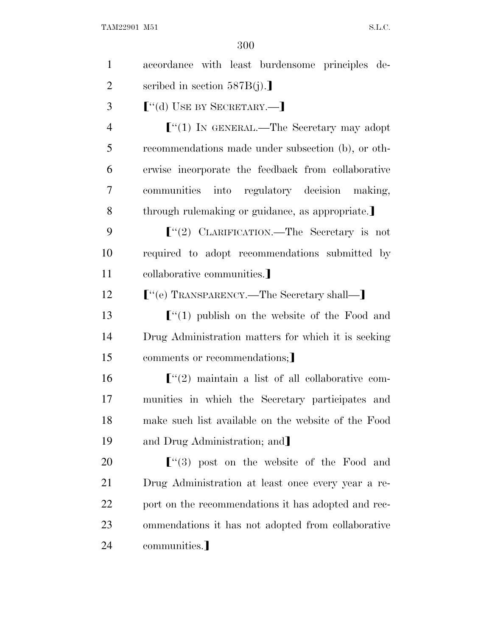| $\mathbf{1}$   | accordance with least burdensome principles de-         |  |
|----------------|---------------------------------------------------------|--|
| $\overline{2}$ | scribed in section $587B(j).$                           |  |
| 3              | $\lbrack$ "(d) USE BY SECRETARY.—                       |  |
| $\overline{4}$ | $\lbrack$ (1) In GENERAL.—The Secretary may adopt       |  |
| 5              | recommendations made under subsection (b), or oth-      |  |
| 6              | erwise incorporate the feedback from collaborative      |  |
| 7              | communities into regulatory decision making,            |  |
| 8              | through rulemaking or guidance, as appropriate.         |  |
| 9              | $\lbrack$ "(2) CLARIFICATION.—The Secretary is not      |  |
| 10             | required to adopt recommendations submitted by          |  |
| 11             | collaborative communities.                              |  |
| 12             | ["(e) TRANSPARENCY.—The Secretary shall—]               |  |
| 13             | $\lbrack$ (1) publish on the website of the Food and    |  |
| 14             | Drug Administration matters for which it is seeking     |  |
| 15             | comments or recommendations;                            |  |
| 16             | $\lbrack$ (2) maintain a list of all collaborative com- |  |
| 17             | munities in which the Secretary participates and        |  |
| 18             | make such list available on the website of the Food     |  |
| 19             | and Drug Administration; and                            |  |
| 20             | $\lfloor$ (3) post on the website of the Food and       |  |
| 21             | Drug Administration at least once every year a re-      |  |
| 22             | port on the recommendations it has adopted and rec-     |  |
|                |                                                         |  |
| 23             | ommendations it has not adopted from collaborative      |  |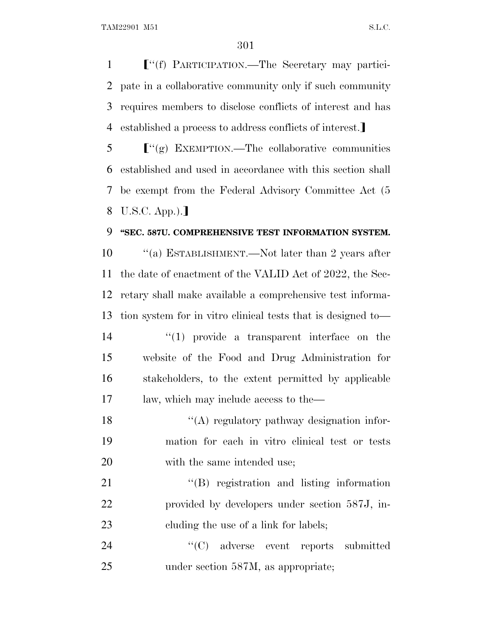**F**"(f) PARTICIPATION.—The Secretary may partici- pate in a collaborative community only if such community requires members to disclose conflicts of interest and has 4 established a process to address conflicts of interest.

 $\mathbf{5}$   $\mathbf{F}''(\mathbf{g})$  EXEMPTION.—The collaborative communities established and used in accordance with this section shall be exempt from the Federal Advisory Committee Act (5 8 U.S.C. App.).]

## **''SEC. 587U. COMPREHENSIVE TEST INFORMATION SYSTEM.**

 ''(a) ESTABLISHMENT.—Not later than 2 years after the date of enactment of the VALID Act of 2022, the Sec- retary shall make available a comprehensive test informa- tion system for in vitro clinical tests that is designed to—  $\frac{1}{2}$  (1) provide a transparent interface on the website of the Food and Drug Administration for stakeholders, to the extent permitted by applicable law, which may include access to the—

18 ''(A) regulatory pathway designation infor- mation for each in vitro clinical test or tests 20 with the same intended use;

21 ''(B) registration and listing information provided by developers under section 587J, in-23 cluding the use of a link for labels;

 ''(C) adverse event reports submitted 25 under section 587M, as appropriate: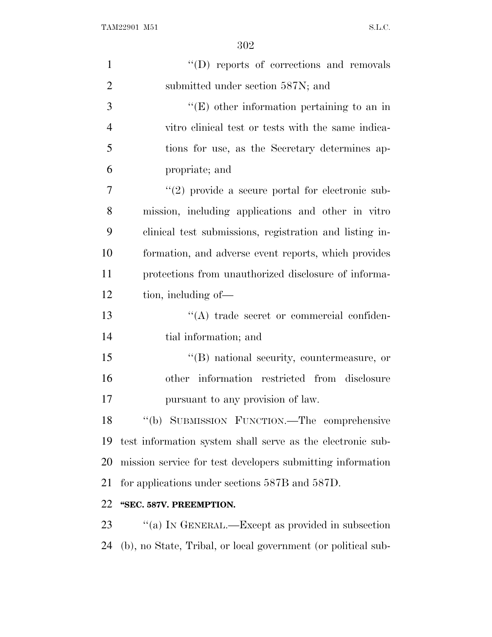| $\mathbf{1}$   | "(D) reports of corrections and removals                      |
|----------------|---------------------------------------------------------------|
| $\overline{2}$ | submitted under section 587N; and                             |
| 3              | $\lq\lq(E)$ other information pertaining to an in             |
| $\overline{4}$ | vitro clinical test or tests with the same indica-            |
| 5              | tions for use, as the Secretary determines ap-                |
| 6              | propriate; and                                                |
| 7              | $\lq(2)$ provide a secure portal for electronic sub-          |
| 8              | mission, including applications and other in vitro            |
| 9              | clinical test submissions, registration and listing in-       |
| 10             | formation, and adverse event reports, which provides          |
| 11             | protections from unauthorized disclosure of informa-          |
| 12             | tion, including of—                                           |
| 13             | "(A) trade secret or commercial confiden-                     |
| 14             | tial information; and                                         |
| 15             | $\lq\lq (B)$ national security, countermeasure, or            |
| 16             | other information restricted from disclosure                  |
| 17             | pursuant to any provision of law.                             |
| 18             | "(b) SUBMISSION FUNCTION.—The comprehensive                   |
| 19             | test information system shall serve as the electronic sub-    |
| 20             | mission service for test developers submitting information    |
| 21             | for applications under sections 587B and 587D.                |
| 22             | "SEC. 587V. PREEMPTION.                                       |
| 23             | "(a) IN GENERAL.—Except as provided in subsection             |
| 24             | (b), no State, Tribal, or local government (or political sub- |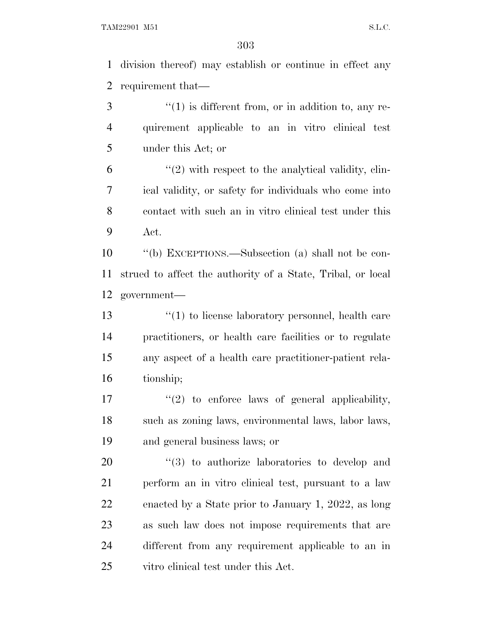division thereof) may establish or continue in effect any requirement that—

 ''(1) is different from, or in addition to, any re- quirement applicable to an in vitro clinical test under this Act; or

 $(2)$  with respect to the analytical validity, clin- ical validity, or safety for individuals who come into contact with such an in vitro clinical test under this Act.

 ''(b) EXCEPTIONS.—Subsection (a) shall not be con- strued to affect the authority of a State, Tribal, or local government—

 ''(1) to license laboratory personnel, health care practitioners, or health care facilities or to regulate any aspect of a health care practitioner-patient rela-tionship;

 $\frac{17}{2}$  ''(2) to enforce laws of general applicability, such as zoning laws, environmental laws, labor laws, and general business laws; or

 $(3)$  to authorize laboratories to develop and perform an in vitro clinical test, pursuant to a law enacted by a State prior to January 1, 2022, as long as such law does not impose requirements that are different from any requirement applicable to an in vitro clinical test under this Act.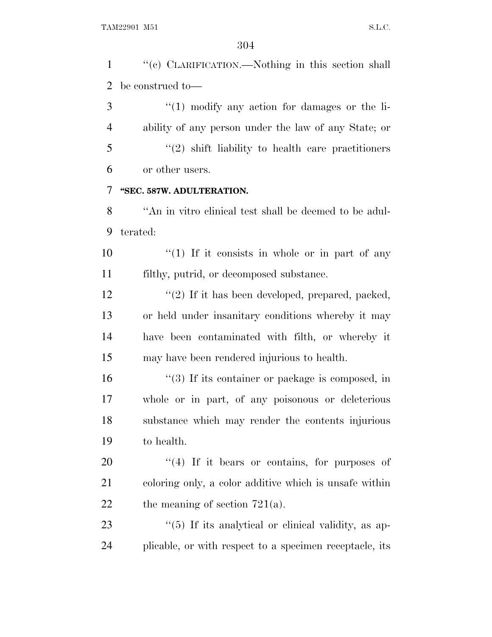''(c) CLARIFICATION.—Nothing in this section shall be construed to—

 ''(1) modify any action for damages or the li- ability of any person under the law of any State; or ''(2) shift liability to health care practitioners or other users.

## **''SEC. 587W. ADULTERATION.**

 ''An in vitro clinical test shall be deemed to be adul-terated:

10  $\frac{1}{10}$  If it consists in whole or in part of any filthy, putrid, or decomposed substance.

12 ''(2) If it has been developed, prepared, packed, or held under insanitary conditions whereby it may have been contaminated with filth, or whereby it may have been rendered injurious to health.

16 ''(3) If its container or package is composed, in whole or in part, of any poisonous or deleterious substance which may render the contents injurious to health.

 ''(4) If it bears or contains, for purposes of coloring only, a color additive which is unsafe within 22 the meaning of section  $721(a)$ .

23  $\frac{1}{2}$  (5) If its analytical or clinical validity, as ap-plicable, or with respect to a specimen receptacle, its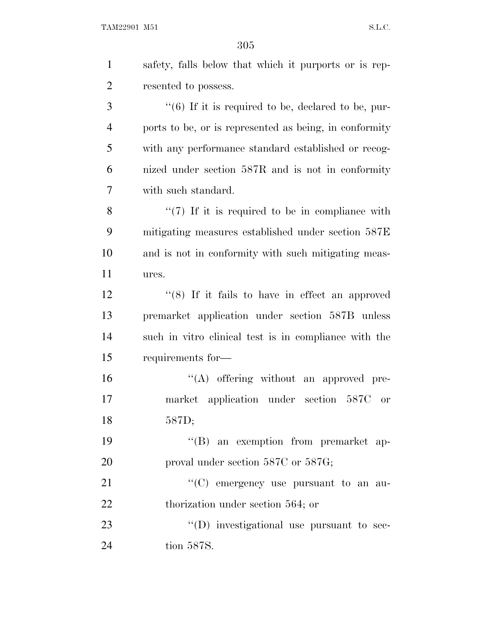| $\mathbf{1}$   | safety, falls below that which it purports or is rep-  |
|----------------|--------------------------------------------------------|
| $\overline{2}$ | resented to possess.                                   |
| 3              | $\lq(6)$ If it is required to be, declared to be, pur- |
| $\overline{4}$ | ports to be, or is represented as being, in conformity |
| 5              | with any performance standard established or recog-    |
| 6              | nized under section 587R and is not in conformity      |
| 7              | with such standard.                                    |
| 8              | $\lq(7)$ If it is required to be in compliance with    |
| 9              | mitigating measures established under section 587E     |
| 10             | and is not in conformity with such mitigating meas-    |
| 11             | ures.                                                  |
| 12             | " $(8)$ If it fails to have in effect an approved      |
| 13             | premarket application under section 587B unless        |
| 14             | such in vitro clinical test is in compliance with the  |
| 15             | requirements for-                                      |
| 16             | $\lq\lq$ offering without an approved pre-             |
| 17             | market application under section 587C or               |
| 18             | 587D;                                                  |
| 19             | "(B) an exemption from premarket ap-                   |
| 20             | proval under section 587C or 587G;                     |
| 21             | "(C) emergency use pursuant to an au-                  |
| 22             | thorization under section 564; or                      |
| 23             | $\lq\lq$ (D) investigational use pursuant to sec-      |
| 24             | tion 587S.                                             |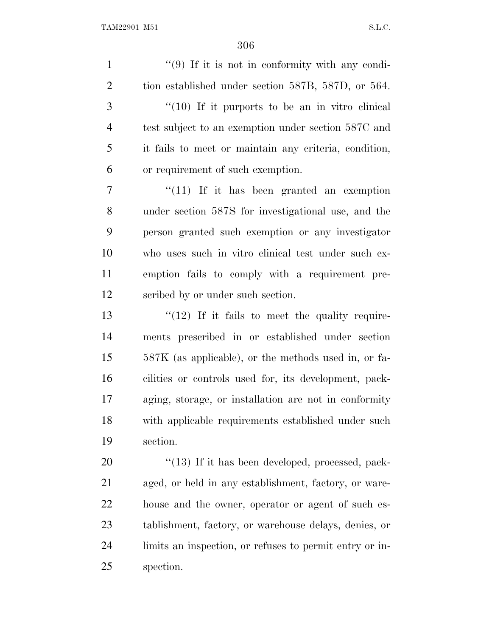1 ''(9) If it is not in conformity with any condi- tion established under section 587B, 587D, or 564. ''(10) If it purports to be an in vitro clinical test subject to an exemption under section 587C and it fails to meet or maintain any criteria, condition, or requirement of such exemption. 7 "(11) If it has been granted an exemption under section 587S for investigational use, and the person granted such exemption or any investigator who uses such in vitro clinical test under such ex- emption fails to comply with a requirement pre- scribed by or under such section.  $\frac{13}{12}$  If it fails to meet the quality require- ments prescribed in or established under section 587K (as applicable), or the methods used in, or fa- cilities or controls used for, its development, pack- aging, storage, or installation are not in conformity with applicable requirements established under such section. 20 "(13) If it has been developed, processed, pack- aged, or held in any establishment, factory, or ware- house and the owner, operator or agent of such es- tablishment, factory, or warehouse delays, denies, or limits an inspection, or refuses to permit entry or in-spection.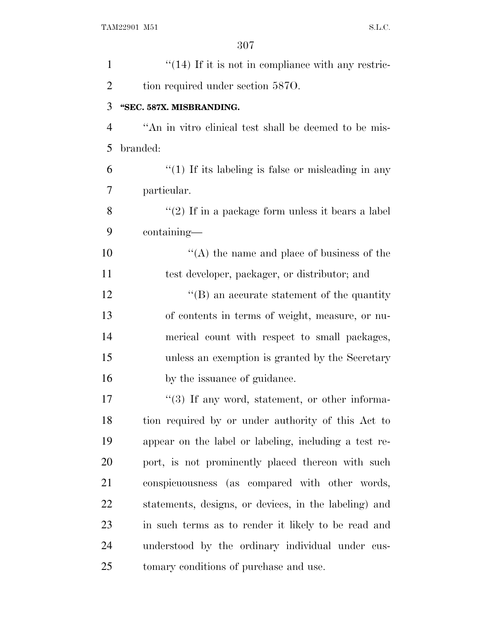| $\mathbf{1}$   | $\lq(14)$ If it is not in compliance with any restric- |
|----------------|--------------------------------------------------------|
| $\overline{2}$ | tion required under section 5870.                      |
| 3              | "SEC. 587X. MISBRANDING.                               |
| $\overline{4}$ | "An in vitro clinical test shall be deemed to be mis-  |
| 5              | branded:                                               |
| 6              | $\lq(1)$ If its labeling is false or misleading in any |
| 7              | particular.                                            |
| 8              | " $(2)$ If in a package form unless it bears a label   |
| 9              | containing—                                            |
| 10             | $\cdot$ (A) the name and place of business of the      |
| 11             | test developer, packager, or distributor; and          |
| 12             | $\lq\lq (B)$ an accurate statement of the quantity     |
| 13             | of contents in terms of weight, measure, or nu-        |
| 14             | merical count with respect to small packages,          |
| 15             | unless an exemption is granted by the Secretary        |
| 16             | by the issuance of guidance.                           |
| 17             | $\lq(3)$ If any word, statement, or other informa-     |
| 18             | tion required by or under authority of this Act to     |
| 19             | appear on the label or labeling, including a test re-  |
| 20             | port, is not prominently placed thereon with such      |
| 21             | conspicuousness (as compared with other words,         |
| 22             | statements, designs, or devices, in the labeling) and  |
| 23             | in such terms as to render it likely to be read and    |
| 24             | understood by the ordinary individual under cus-       |
| 25             | tomary conditions of purchase and use.                 |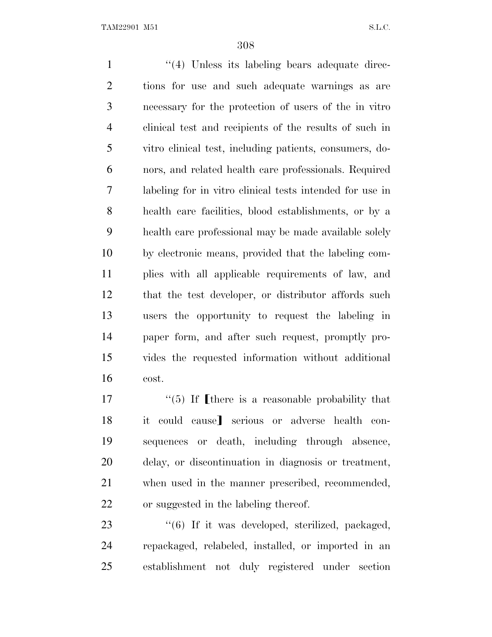1 ''(4) Unless its labeling bears adequate direc- tions for use and such adequate warnings as are necessary for the protection of users of the in vitro clinical test and recipients of the results of such in vitro clinical test, including patients, consumers, do- nors, and related health care professionals. Required labeling for in vitro clinical tests intended for use in health care facilities, blood establishments, or by a health care professional may be made available solely by electronic means, provided that the labeling com- plies with all applicable requirements of law, and that the test developer, or distributor affords such users the opportunity to request the labeling in paper form, and after such request, promptly pro- vides the requested information without additional cost.

 $\frac{17}{2}$   $\frac{17}{2}$  if fibere is a reasonable probability that 18 it could cause] serious or adverse health con- sequences or death, including through absence, delay, or discontinuation in diagnosis or treatment, when used in the manner prescribed, recommended, or suggested in the labeling thereof.

23 "(6) If it was developed, sterilized, packaged, repackaged, relabeled, installed, or imported in an establishment not duly registered under section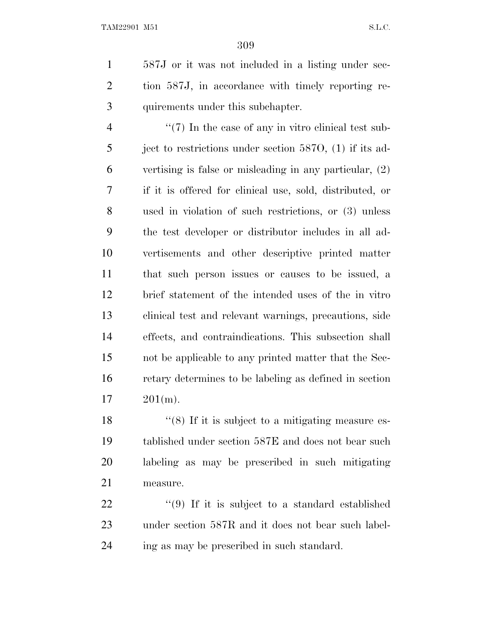587J or it was not included in a listing under sec- tion 587J, in accordance with timely reporting re-quirements under this subchapter.

 $\frac{4}{7}$  ''(7) In the case of any in vitro clinical test sub-5 ject to restrictions under section 587O, (1) if its ad- vertising is false or misleading in any particular, (2) if it is offered for clinical use, sold, distributed, or used in violation of such restrictions, or (3) unless the test developer or distributor includes in all ad- vertisements and other descriptive printed matter that such person issues or causes to be issued, a brief statement of the intended uses of the in vitro clinical test and relevant warnings, precautions, side effects, and contraindications. This subsection shall not be applicable to any printed matter that the Sec- retary determines to be labeling as defined in section 201(m).

18 ''(8) If it is subject to a mitigating measure es- tablished under section 587E and does not bear such labeling as may be prescribed in such mitigating measure.

22  $\frac{1}{2}$  (9) If it is subject to a standard established under section 587R and it does not bear such label-ing as may be prescribed in such standard.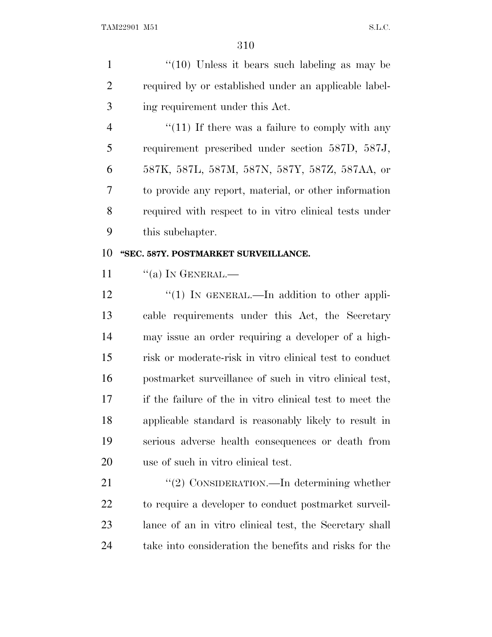1  $\frac{1}{2}$  (10) Unless it bears such labeling as may be required by or established under an applicable label-ing requirement under this Act.

4 "(11) If there was a failure to comply with any requirement prescribed under section 587D, 587J, 587K, 587L, 587M, 587N, 587Y, 587Z, 587AA, or to provide any report, material, or other information required with respect to in vitro clinical tests under this subchapter.

## **''SEC. 587Y. POSTMARKET SURVEILLANCE.**

11  $\frac{1}{(a)}$  In GENERAL.—

12 "(1) IN GENERAL.—In addition to other appli- cable requirements under this Act, the Secretary may issue an order requiring a developer of a high- risk or moderate-risk in vitro clinical test to conduct postmarket surveillance of such in vitro clinical test, if the failure of the in vitro clinical test to meet the applicable standard is reasonably likely to result in serious adverse health consequences or death from use of such in vitro clinical test.

21 "(2) CONSIDERATION.—In determining whether to require a developer to conduct postmarket surveil- lance of an in vitro clinical test, the Secretary shall take into consideration the benefits and risks for the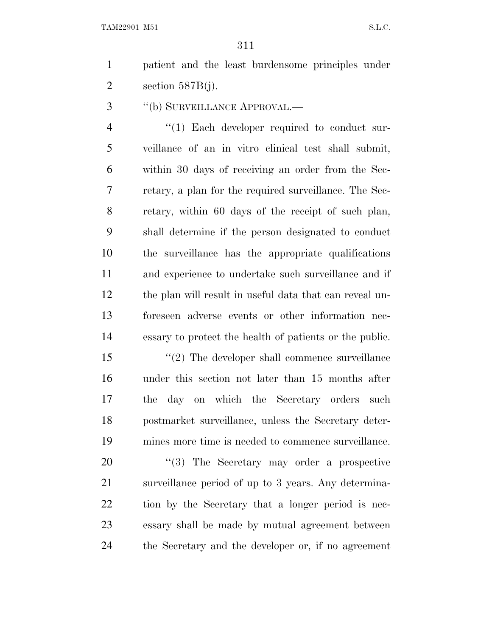patient and the least burdensome principles under 2 section  $587B(i)$ .

''(b) SURVEILLANCE APPROVAL.—

4 "(1) Each developer required to conduct sur- veillance of an in vitro clinical test shall submit, within 30 days of receiving an order from the Sec- retary, a plan for the required surveillance. The Sec- retary, within 60 days of the receipt of such plan, shall determine if the person designated to conduct the surveillance has the appropriate qualifications and experience to undertake such surveillance and if the plan will result in useful data that can reveal un- foreseen adverse events or other information nec-essary to protect the health of patients or the public.

15 ''(2) The developer shall commence surveillance under this section not later than 15 months after the day on which the Secretary orders such postmarket surveillance, unless the Secretary deter-mines more time is needed to commence surveillance.

20 "(3) The Secretary may order a prospective surveillance period of up to 3 years. Any determina- tion by the Secretary that a longer period is nec- essary shall be made by mutual agreement between the Secretary and the developer or, if no agreement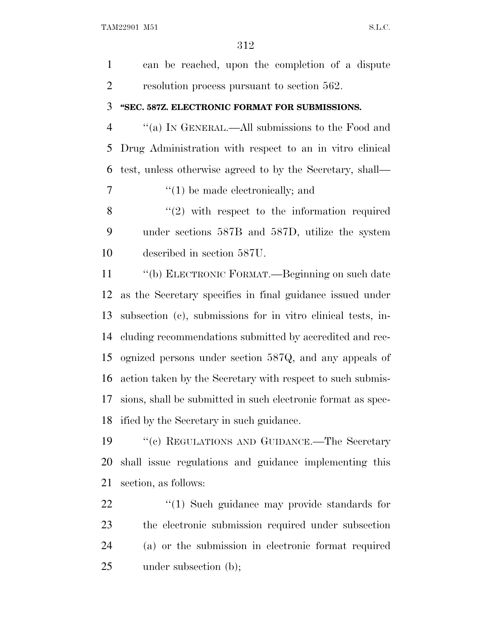can be reached, upon the completion of a dispute resolution process pursuant to section 562. **''SEC. 587Z. ELECTRONIC FORMAT FOR SUBMISSIONS.** ''(a) I<sup>N</sup> GENERAL.—All submissions to the Food and Drug Administration with respect to an in vitro clinical test, unless otherwise agreed to by the Secretary, shall— ''(1) be made electronically; and ''(2) with respect to the information required under sections 587B and 587D, utilize the system described in section 587U. ''(b) ELECTRONIC FORMAT.—Beginning on such date as the Secretary specifies in final guidance issued under subsection (c), submissions for in vitro clinical tests, in- cluding recommendations submitted by accredited and rec- ognized persons under section 587Q, and any appeals of action taken by the Secretary with respect to such submis- sions, shall be submitted in such electronic format as spec- ified by the Secretary in such guidance. ''(c) REGULATIONS AND GUIDANCE.—The Secretary shall issue regulations and guidance implementing this section, as follows:  $\frac{1}{2}$  (1) Such guidance may provide standards for the electronic submission required under subsection

(a) or the submission in electronic format required

25 under subsection (b);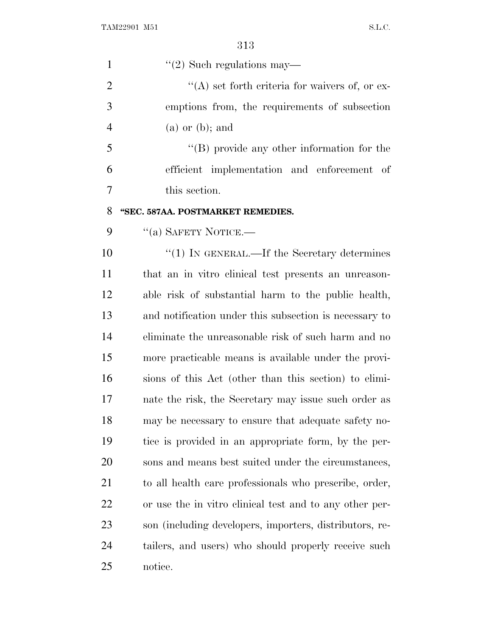| ۰.<br>v. | ٦<br>۰.<br>v. |
|----------|---------------|
|          |               |

| $\mathbf{1}$   | $\lq(2)$ Such regulations may—                          |
|----------------|---------------------------------------------------------|
| $\overline{2}$ | $\lq\lq$ set forth criteria for waivers of, or ex-      |
| 3              | emptions from, the requirements of subsection           |
| $\overline{4}$ | $(a)$ or $(b)$ ; and                                    |
| 5              | $\lq\lq (B)$ provide any other information for the      |
| 6              | efficient implementation and enforcement of             |
| $\overline{7}$ | this section.                                           |
| 8              | "SEC. 587AA. POSTMARKET REMEDIES.                       |
| 9              | "(a) SAFETY NOTICE.—                                    |
| 10             | $"(1)$ In GENERAL.—If the Secretary determines          |
| 11             | that an in vitro clinical test presents an unreason-    |
| 12             | able risk of substantial harm to the public health,     |
| 13             | and notification under this subsection is necessary to  |
| 14             | eliminate the unreasonable risk of such harm and no     |
| 15             | more practicable means is available under the provi-    |
| 16             | sions of this Act (other than this section) to elimi-   |
| 17             | nate the risk, the Secretary may issue such order as    |
| 18             | may be necessary to ensure that adequate safety no-     |
| 19             | tice is provided in an appropriate form, by the per-    |
| 20             | sons and means best suited under the circumstances,     |
| 21             | to all health care professionals who prescribe, order,  |
| 22             | or use the in vitro clinical test and to any other per- |
| 23             | son (including developers, importers, distributors, re- |
| 24             | tailers, and users) who should properly receive such    |
| 25             | notice.                                                 |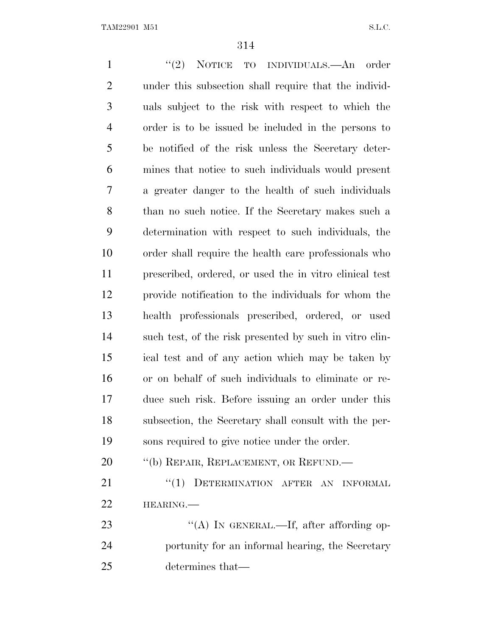1 ''(2) NOTICE TO INDIVIDUALS.—An order under this subsection shall require that the individ- uals subject to the risk with respect to which the order is to be issued be included in the persons to be notified of the risk unless the Secretary deter- mines that notice to such individuals would present a greater danger to the health of such individuals than no such notice. If the Secretary makes such a determination with respect to such individuals, the order shall require the health care professionals who prescribed, ordered, or used the in vitro clinical test provide notification to the individuals for whom the health professionals prescribed, ordered, or used such test, of the risk presented by such in vitro clin- ical test and of any action which may be taken by or on behalf of such individuals to eliminate or re- duce such risk. Before issuing an order under this subsection, the Secretary shall consult with the per- sons required to give notice under the order. 20 "(b) REPAIR, REPLACEMENT, OR REFUND.— 21 "(1) DETERMINATION AFTER AN INFORMAL HEARING.— 23 "(A) IN GENERAL.—If, after affording op- portunity for an informal hearing, the Secretary determines that—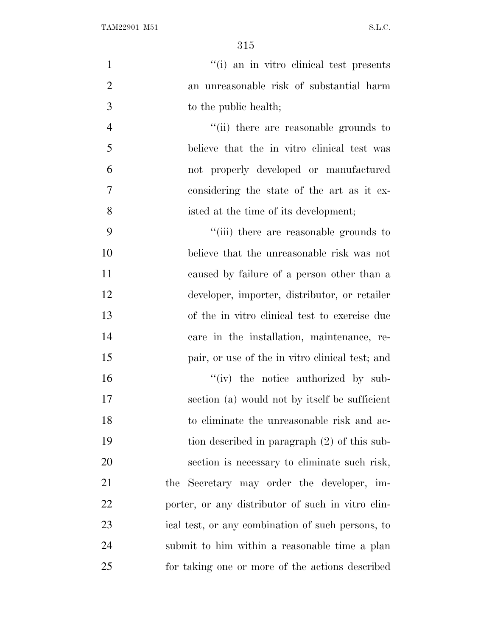| $\mathbf{1}$   | "(i) an in vitro clinical test presents           |
|----------------|---------------------------------------------------|
| $\overline{2}$ | an unreasonable risk of substantial harm          |
| 3              | to the public health;                             |
| $\overline{4}$ | "(ii) there are reasonable grounds to             |
| 5              | believe that the in vitro clinical test was       |
| 6              | not properly developed or manufactured            |
| $\tau$         | considering the state of the art as it ex-        |
| 8              | isted at the time of its development;             |
| 9              | "(iii) there are reasonable grounds to            |
| 10             | believe that the unreasonable risk was not        |
| 11             | caused by failure of a person other than a        |
| 12             | developer, importer, distributor, or retailer     |
| 13             | of the in vitro clinical test to exercise due     |
| 14             | care in the installation, maintenance, re-        |
| 15             | pair, or use of the in vitro clinical test; and   |
| 16             | "(iv) the notice authorized by sub-               |
| 17             | section (a) would not by itself be sufficient     |
| 18             | to eliminate the unreasonable risk and ac-        |
| 19             | tion described in paragraph (2) of this sub-      |
| 20             | section is necessary to eliminate such risk,      |
| 21             | the Secretary may order the developer, im-        |
| 22             | porter, or any distributor of such in vitro clin- |
| 23             | ical test, or any combination of such persons, to |
| 24             | submit to him within a reasonable time a plan     |
| 25             | for taking one or more of the actions described   |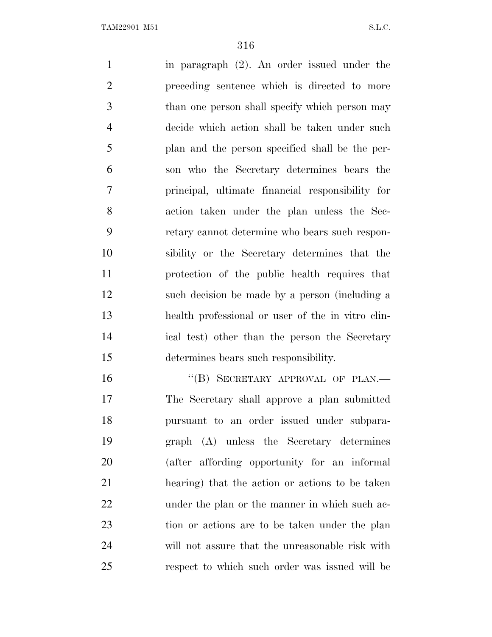in paragraph (2). An order issued under the preceding sentence which is directed to more than one person shall specify which person may decide which action shall be taken under such plan and the person specified shall be the per- son who the Secretary determines bears the principal, ultimate financial responsibility for action taken under the plan unless the Sec- retary cannot determine who bears such respon- sibility or the Secretary determines that the protection of the public health requires that such decision be made by a person (including a health professional or user of the in vitro clin- ical test) other than the person the Secretary determines bears such responsibility.

16 "(B) SECRETARY APPROVAL OF PLAN.— The Secretary shall approve a plan submitted pursuant to an order issued under subpara- graph (A) unless the Secretary determines (after affording opportunity for an informal hearing) that the action or actions to be taken 22 under the plan or the manner in which such ac- tion or actions are to be taken under the plan will not assure that the unreasonable risk with respect to which such order was issued will be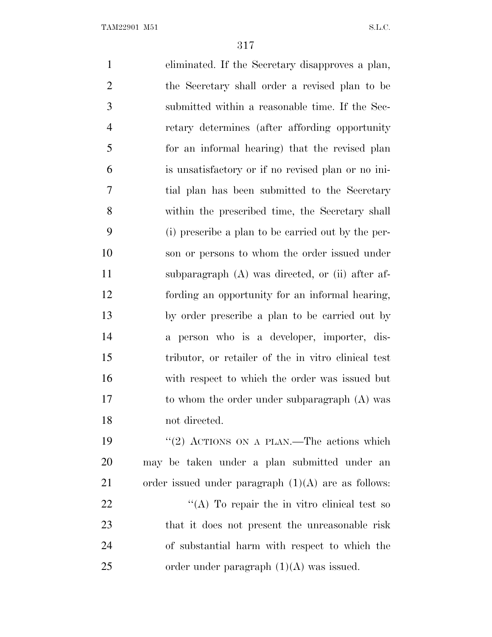eliminated. If the Secretary disapproves a plan, the Secretary shall order a revised plan to be submitted within a reasonable time. If the Sec- retary determines (after affording opportunity for an informal hearing) that the revised plan is unsatisfactory or if no revised plan or no ini- tial plan has been submitted to the Secretary within the prescribed time, the Secretary shall (i) prescribe a plan to be carried out by the per- son or persons to whom the order issued under subparagraph (A) was directed, or (ii) after af- fording an opportunity for an informal hearing, by order prescribe a plan to be carried out by a person who is a developer, importer, dis- tributor, or retailer of the in vitro clinical test with respect to which the order was issued but to whom the order under subparagraph (A) was not directed. 19 "(2) ACTIONS ON A PLAN.—The actions which may be taken under a plan submitted under an order issued under paragraph (1)(A) are as follows:  $^{\prime\prime}$ (A) To repair the in vitro clinical test so that it does not present the unreasonable risk of substantial harm with respect to which the 25 order under paragraph  $(1)(A)$  was issued.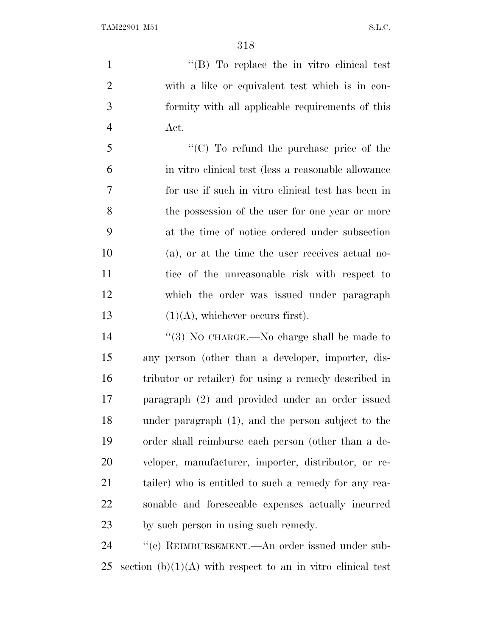1 ''(B) To replace the in vitro clinical test with a like or equivalent test which is in con- formity with all applicable requirements of this Act.

 ''(C) To refund the purchase price of the in vitro clinical test (less a reasonable allowance for use if such in vitro clinical test has been in the possession of the user for one year or more at the time of notice ordered under subsection (a), or at the time the user receives actual no- tice of the unreasonable risk with respect to which the order was issued under paragraph  $(1)(A)$ , whichever occurs first).

14 "(3) No CHARGE.—No charge shall be made to any person (other than a developer, importer, dis- tributor or retailer) for using a remedy described in paragraph (2) and provided under an order issued under paragraph (1), and the person subject to the order shall reimburse each person (other than a de- veloper, manufacturer, importer, distributor, or re- tailer) who is entitled to such a remedy for any rea- sonable and foreseeable expenses actually incurred by such person in using such remedy.

24 " (c) REIMBURSEMENT.—An order issued under sub-25 section  $(b)(1)(A)$  with respect to an in vitro clinical test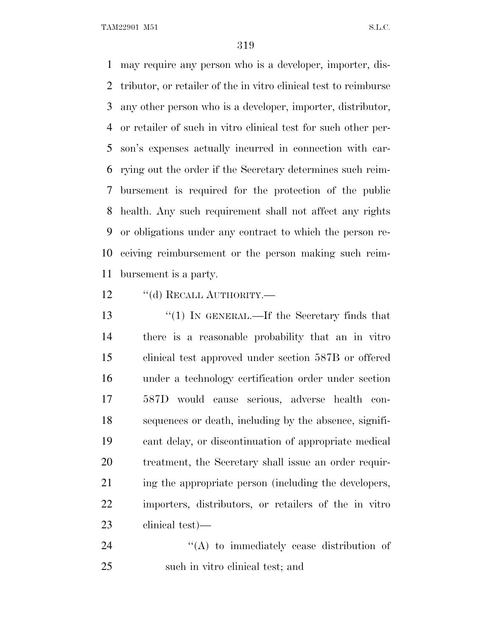may require any person who is a developer, importer, dis- tributor, or retailer of the in vitro clinical test to reimburse any other person who is a developer, importer, distributor, or retailer of such in vitro clinical test for such other per- son's expenses actually incurred in connection with car- rying out the order if the Secretary determines such reim- bursement is required for the protection of the public health. Any such requirement shall not affect any rights or obligations under any contract to which the person re- ceiving reimbursement or the person making such reim-bursement is a party.

12 "(d) RECALL AUTHORITY.—

13 "(1) IN GENERAL.—If the Secretary finds that there is a reasonable probability that an in vitro clinical test approved under section 587B or offered under a technology certification order under section 587D would cause serious, adverse health con- sequences or death, including by the absence, signifi- cant delay, or discontinuation of appropriate medical treatment, the Secretary shall issue an order requir-21 ing the appropriate person (including the developers, importers, distributors, or retailers of the in vitro clinical test)—

24  $\langle (A)$  to immediately cease distribution of such in vitro clinical test; and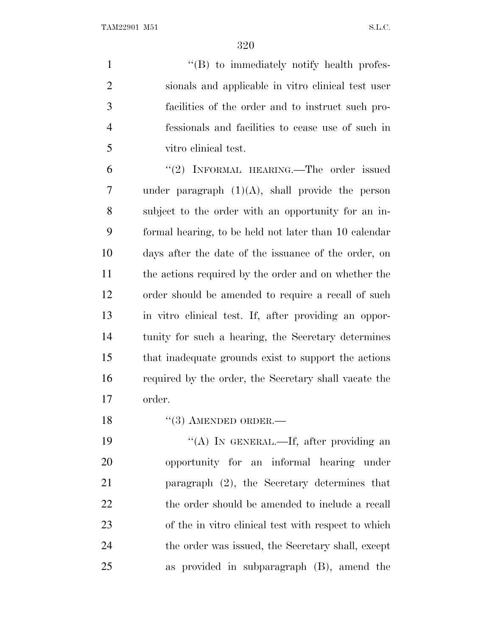1 ''(B) to immediately notify health profes- sionals and applicable in vitro clinical test user facilities of the order and to instruct such pro- fessionals and facilities to cease use of such in vitro clinical test.

6 "(2) INFORMAL HEARING.—The order issued under paragraph (1)(A), shall provide the person subject to the order with an opportunity for an in- formal hearing, to be held not later than 10 calendar days after the date of the issuance of the order, on the actions required by the order and on whether the order should be amended to require a recall of such in vitro clinical test. If, after providing an oppor- tunity for such a hearing, the Secretary determines that inadequate grounds exist to support the actions required by the order, the Secretary shall vacate the order.

18 "(3) AMENDED ORDER.—

19 "(A) In GENERAL.—If, after providing an opportunity for an informal hearing under paragraph (2), the Secretary determines that 22 the order should be amended to include a recall of the in vitro clinical test with respect to which 24 the order was issued, the Secretary shall, except as provided in subparagraph (B), amend the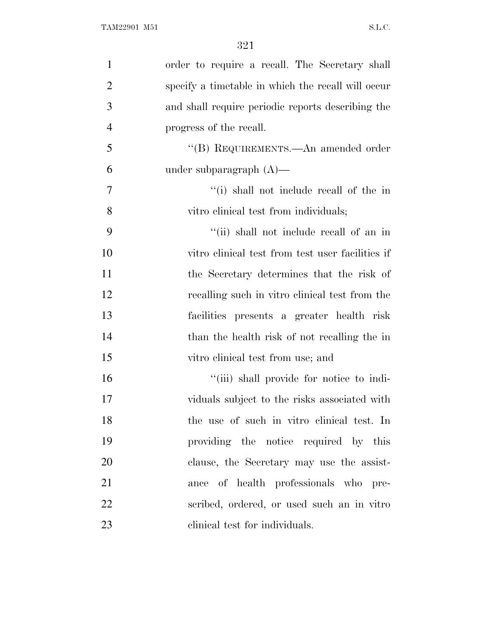| $\mathbf{1}$   | order to require a recall. The Secretary shall     |
|----------------|----------------------------------------------------|
| $\overline{2}$ | specify a timetable in which the recall will occur |
| 3              | and shall require periodic reports describing the  |
| $\overline{4}$ | progress of the recall.                            |
| 5              | "(B) REQUIREMENTS.—An amended order                |
| 6              | under subparagraph $(A)$ —                         |
| 7              | "(i) shall not include recall of the in            |
| 8              | vitro clinical test from individuals;              |
| 9              | "(ii) shall not include recall of an in            |
| 10             | vitro clinical test from test user facilities if   |
| 11             | the Secretary determines that the risk of          |
| 12             | recalling such in vitro clinical test from the     |
| 13             | facilities presents a greater health risk          |
| 14             | than the health risk of not recalling the in       |
| 15             | vitro clinical test from use; and                  |
| 16             | "(iii) shall provide for notice to indi-           |
| 17             | viduals subject to the risks associated with       |
| 18             | the use of such in vitro clinical test. In         |
| 19             | providing the notice required by this              |
| 20             | clause, the Secretary may use the assist-          |
| 21             | ance of health professionals who pre-              |
| 22             | scribed, ordered, or used such an in vitro         |
| 23             | elinical test for individuals.                     |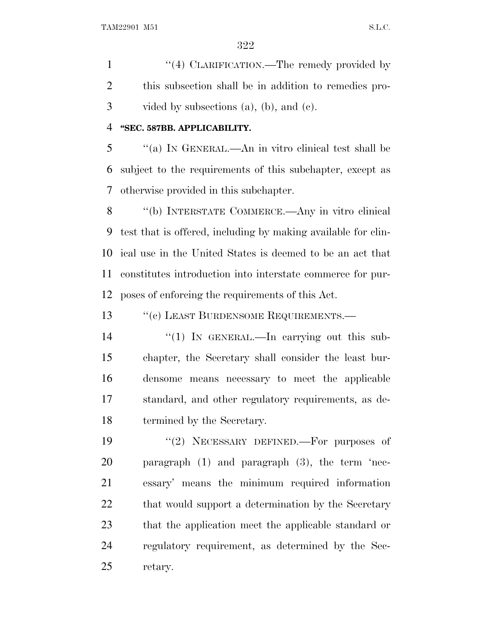1 "(4) CLARIFICATION.—The remedy provided by this subsection shall be in addition to remedies pro-vided by subsections (a), (b), and (c).

## **''SEC. 587BB. APPLICABILITY.**

 ''(a) I<sup>N</sup> GENERAL.—An in vitro clinical test shall be subject to the requirements of this subchapter, except as otherwise provided in this subchapter.

 ''(b) INTERSTATE COMMERCE.—Any in vitro clinical test that is offered, including by making available for clin- ical use in the United States is deemed to be an act that constitutes introduction into interstate commerce for pur-poses of enforcing the requirements of this Act.

13 " (c) LEAST BURDENSOME REQUIREMENTS.

14 "(1) In GENERAL.—In carrying out this sub- chapter, the Secretary shall consider the least bur- densome means necessary to meet the applicable standard, and other regulatory requirements, as de-termined by the Secretary.

19 "(2) NECESSARY DEFINED.—For purposes of paragraph (1) and paragraph (3), the term 'nec- essary' means the minimum required information 22 that would support a determination by the Secretary that the application meet the applicable standard or regulatory requirement, as determined by the Sec-retary.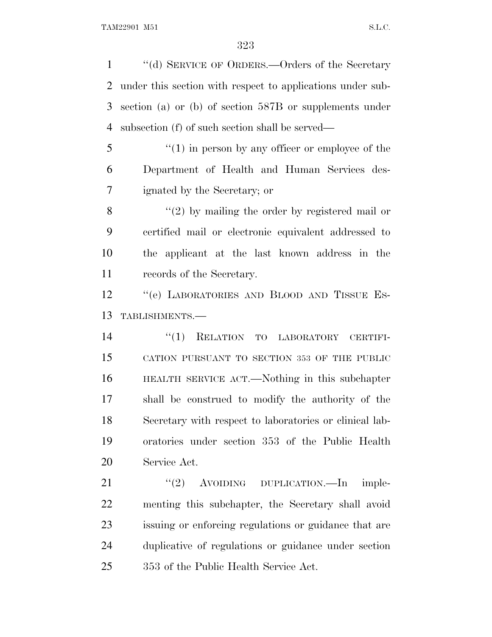''(d) SERVICE OF ORDERS.—Orders of the Secretary under this section with respect to applications under sub- section (a) or (b) of section 587B or supplements under subsection (f) of such section shall be served—

5 "(1) in person by any officer or employee of the Department of Health and Human Services des-ignated by the Secretary; or

8 "(2) by mailing the order by registered mail or certified mail or electronic equivalent addressed to the applicant at the last known address in the records of the Secretary.

12 "(e) LABORATORIES AND BLOOD AND TISSUE ES-TABLISHMENTS.—

 ''(1) RELATION TO LABORATORY CERTIFI- CATION PURSUANT TO SECTION 353 OF THE PUBLIC HEALTH SERVICE ACT.—Nothing in this subchapter shall be construed to modify the authority of the Secretary with respect to laboratories or clinical lab- oratories under section 353 of the Public Health Service Act.

21 "(2) AVOIDING DUPLICATION.—In imple- menting this subchapter, the Secretary shall avoid issuing or enforcing regulations or guidance that are duplicative of regulations or guidance under section 353 of the Public Health Service Act.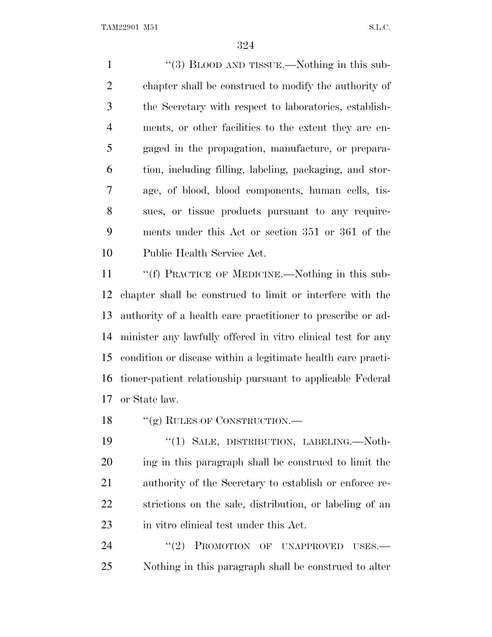1 "(3) BLOOD AND TISSUE.—Nothing in this sub- chapter shall be construed to modify the authority of the Secretary with respect to laboratories, establish- ments, or other facilities to the extent they are en- gaged in the propagation, manufacture, or prepara- tion, including filling, labeling, packaging, and stor- age, of blood, blood components, human cells, tis- sues, or tissue products pursuant to any require- ments under this Act or section 351 or 361 of the Public Health Service Act.

11 ""(f) PRACTICE OF MEDICINE.—Nothing in this sub- chapter shall be construed to limit or interfere with the authority of a health care practitioner to prescribe or ad- minister any lawfully offered in vitro clinical test for any condition or disease within a legitimate health care practi- tioner-patient relationship pursuant to applicable Federal or State law.

18 "(g) RULES OF CONSTRUCTION.—

19 "(1) SALE, DISTRIBUTION, LABELING.—Noth- ing in this paragraph shall be construed to limit the authority of the Secretary to establish or enforce re- strictions on the sale, distribution, or labeling of an in vitro clinical test under this Act.

24 "(2) PROMOTION OF UNAPPROVED USES.— Nothing in this paragraph shall be construed to alter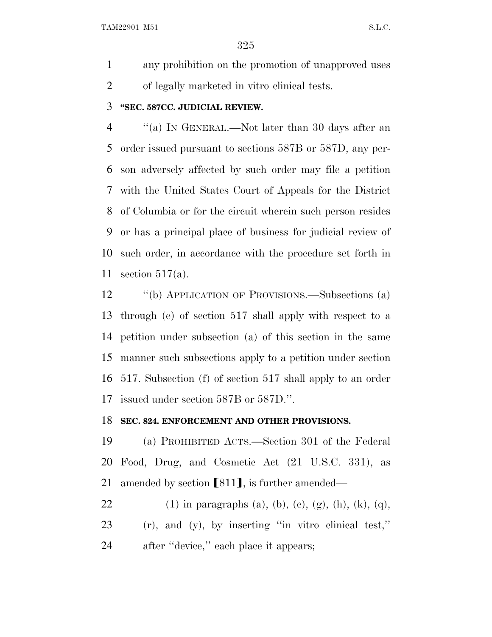any prohibition on the promotion of unapproved uses of legally marketed in vitro clinical tests.

## **''SEC. 587CC. JUDICIAL REVIEW.**

 ''(a) I<sup>N</sup> GENERAL.—Not later than 30 days after an order issued pursuant to sections 587B or 587D, any per- son adversely affected by such order may file a petition with the United States Court of Appeals for the District of Columbia or for the circuit wherein such person resides or has a principal place of business for judicial review of such order, in accordance with the procedure set forth in section 517(a).

 ''(b) APPLICATION OF PROVISIONS.—Subsections (a) through (e) of section 517 shall apply with respect to a petition under subsection (a) of this section in the same manner such subsections apply to a petition under section 517. Subsection (f) of section 517 shall apply to an order issued under section 587B or 587D.''.

## **SEC. 824. ENFORCEMENT AND OTHER PROVISIONS.**

 (a) PROHIBITED ACTS.—Section 301 of the Federal Food, Drug, and Cosmetic Act (21 U.S.C. 331), as 21 amended by section  $[811]$ , is further amended—

22 (1) in paragraphs (a), (b), (c), (g), (h), (k), (q), (r), and (y), by inserting ''in vitro clinical test,'' after ''device,'' each place it appears;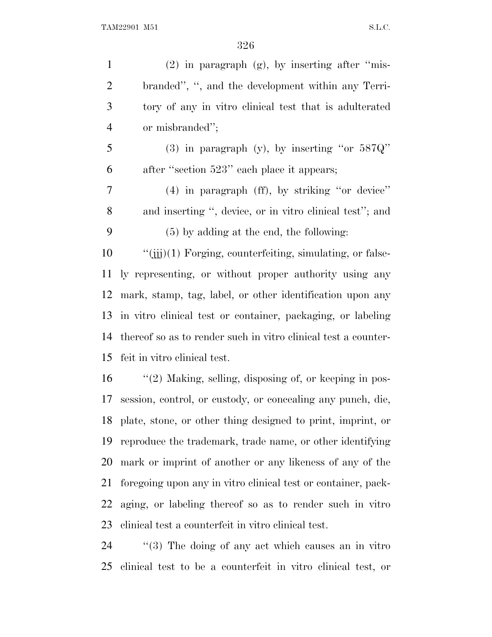| $\mathbf{1}$   | $(2)$ in paragraph $(g)$ , by inserting after "mis-              |
|----------------|------------------------------------------------------------------|
| $\overline{2}$ | branded", ", and the development within any Terri-               |
| 3              | tory of any in vitro clinical test that is adulterated           |
| $\overline{4}$ | or misbranded";                                                  |
| 5              | (3) in paragraph (y), by inserting "or $587Q"$                   |
| 6              | after "section 523" each place it appears;                       |
| 7              | $(4)$ in paragraph $(ff)$ , by striking "or device"              |
| 8              | and inserting ", device, or in vitro clinical test"; and         |
| 9              | $(5)$ by adding at the end, the following:                       |
| 10             | $\lq\lq$ (iii)(1) Forging, counterfeiting, simulating, or false- |
| 11             | ly representing, or without proper authority using any           |
| 12             | mark, stamp, tag, label, or other identification upon any        |
|                | 13 in vitro clinical test or container, packaging, or labeling   |
| 14             | thereof so as to render such in vitro clinical test a counter-   |
| 15             | feit in vitro clinical test.                                     |
| 16             | $\lq(2)$ Making, selling, disposing of, or keeping in pos-       |
| 17             | session, control, or custody, or concealing any punch, die,      |
|                | 18 plate, stone, or other thing designed to print, imprint, or   |
| 19             | reproduce the trademark, trademanne, or other identifying        |
| 20             | mark or imprint of another or any likeness of any of the         |
| 21             | foregoing upon any in vitro clinical test or container, pack-    |
| 22             | aging, or labeling thereof so as to render such in vitro         |
| 23             | clinical test a counterfeit in vitro clinical test.              |
|                |                                                                  |

24 ''(3) The doing of any act which causes an in vitro clinical test to be a counterfeit in vitro clinical test, or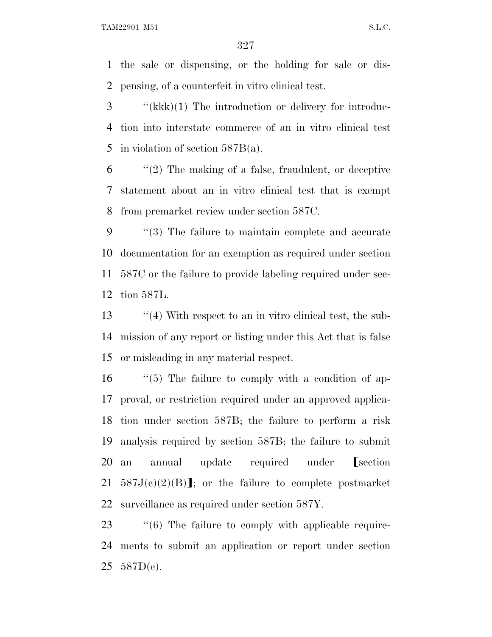the sale or dispensing, or the holding for sale or dis-pensing, of a counterfeit in vitro clinical test.

 ''(kkk)(1) The introduction or delivery for introduc- tion into interstate commerce of an in vitro clinical test in violation of section 587B(a).

 ''(2) The making of a false, fraudulent, or deceptive statement about an in vitro clinical test that is exempt from premarket review under section 587C.

 ''(3) The failure to maintain complete and accurate documentation for an exemption as required under section 587C or the failure to provide labeling required under sec-tion 587L.

13 ''(4) With respect to an in vitro clinical test, the sub- mission of any report or listing under this Act that is false or misleading in any material respect.

 ''(5) The failure to comply with a condition of ap- proval, or restriction required under an approved applica- tion under section 587B; the failure to perform a risk analysis required by section 587B; the failure to submit 20 an annual update required under **[section** 21 587 $J(c)(2)(B)$ ; or the failure to complete postmarket surveillance as required under section 587Y.

23  $\frac{1}{6}$  The failure to comply with applicable require- ments to submit an application or report under section 587D(e).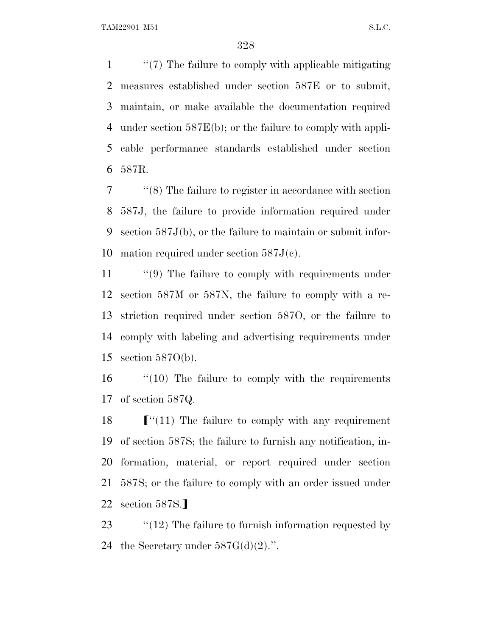''(7) The failure to comply with applicable mitigating measures established under section 587E or to submit, maintain, or make available the documentation required under section 587E(b); or the failure to comply with appli- cable performance standards established under section 587R.

 ''(8) The failure to register in accordance with section 587J, the failure to provide information required under section 587J(b), or the failure to maintain or submit infor-mation required under section 587J(c).

11 "(9) The failure to comply with requirements under section 587M or 587N, the failure to comply with a re- striction required under section 587O, or the failure to comply with labeling and advertising requirements under section 587O(b).

16 "(10) The failure to comply with the requirements of section 587Q.

 $\lceil$  "(11) The failure to comply with any requirement of section 587S; the failure to furnish any notification, in- formation, material, or report required under section 587S; or the failure to comply with an order issued under 22 section 587S.

23  $\frac{1}{2}$  (12) The failure to furnish information requested by 24 the Secretary under  $587G(d)(2)$ .".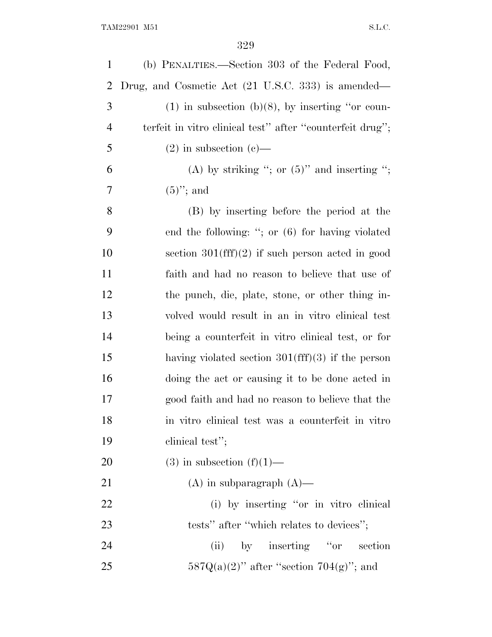| $\mathbf{1}$   | (b) PENALTIES.—Section 303 of the Federal Food,           |
|----------------|-----------------------------------------------------------|
| $\overline{2}$ | Drug, and Cosmetic Act (21 U.S.C. 333) is amended—        |
| 3              | $(1)$ in subsection (b)(8), by inserting "or coun-        |
| $\overline{4}$ | terfeit in vitro clinical test" after "counterfeit drug"; |
| 5              | $(2)$ in subsection $(e)$ —                               |
| 6              | (A) by striking "; or $(5)$ " and inserting ";            |
| 7              | $(5)$ "; and                                              |
| 8              | (B) by inserting before the period at the                 |
| 9              | end the following: "; or $(6)$ for having violated        |
| 10             | section $301(fff)(2)$ if such person acted in good        |
| 11             | faith and had no reason to believe that use of            |
| 12             | the punch, die, plate, stone, or other thing in-          |
| 13             | volved would result in an in vitro clinical test          |
| 14             | being a counterfeit in vitro clinical test, or for        |
| 15             | having violated section $301(fff)(3)$ if the person       |
| 16             | doing the act or causing it to be done acted in           |
| 17             | good faith and had no reason to believe that the          |
| 18             | in vitro clinical test was a counterfeit in vitro         |
| 19             | clinical test";                                           |
| 20             | $(3)$ in subsection $(f)(1)$ —                            |
| 21             | $(A)$ in subparagraph $(A)$ —                             |
| 22             | (i) by inserting "or in vitro clinical                    |
| 23             | tests" after "which relates to devices";                  |
| 24             | by inserting "or section"<br>(ii)                         |
| 25             | $587Q(a)(2)$ " after "section $704(g)$ "; and             |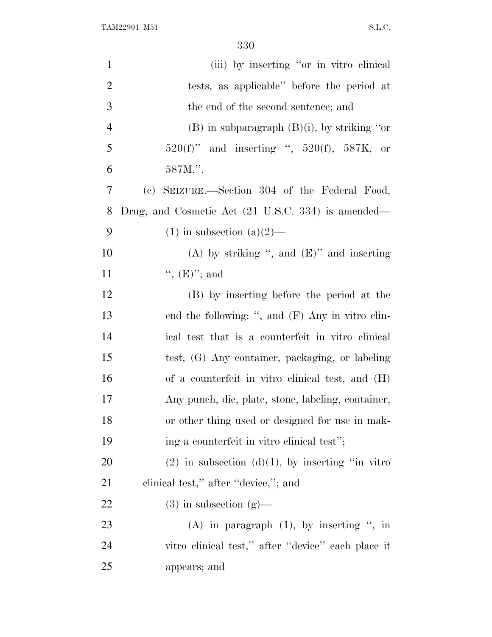| $\mathbf{1}$   | (iii) by inserting "or in vitro clinical                      |
|----------------|---------------------------------------------------------------|
| $\overline{2}$ | tests, as applicable" before the period at                    |
| 3              | the end of the second sentence; and                           |
| $\overline{4}$ | $(B)$ in subparagraph $(B)(i)$ , by striking "or              |
| 5              | $520(f)$ " and inserting ", $520(f)$ , $587K$ , or            |
| 6              | 587M,".                                                       |
| 7              | (c) SEIZURE.—Section 304 of the Federal Food,                 |
| 8              | Drug, and Cosmetic Act $(21 \text{ U.S.C. } 334)$ is amended— |
| 9              | $(1)$ in subsection $(a)(2)$ —                                |
| 10             | (A) by striking ", and $(E)$ " and inserting                  |
| 11             | ", $(E)$ "; and                                               |
| 12             | (B) by inserting before the period at the                     |
| 13             | end the following: ", and $(F)$ Any in vitro clin-            |
| 14             | ical test that is a counterfeit in vitro clinical             |
| 15             | test, (G) Any container, packaging, or labeling               |
| 16             | of a counterfeit in vitro clinical test, and (H)              |
| 17             | Any punch, die, plate, stone, labeling, container,            |
| 18             | or other thing used or designed for use in mak-               |
| 19             | ing a counterfeit in vitro clinical test";                    |
| <b>20</b>      | $(2)$ in subsection $(d)(1)$ , by inserting "in vitro"        |
| 21             | clinical test," after "device,"; and                          |
| <u>22</u>      | $(3)$ in subsection $(g)$ —                                   |
| 23             | $(A)$ in paragraph $(1)$ , by inserting ", in                 |
| 24             | vitro clinical test," after "device" each place it            |
| 25             | appears; and                                                  |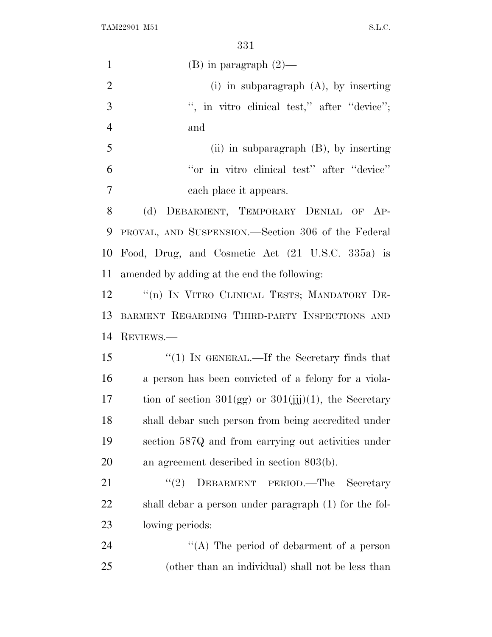| $\mathbf{1}$   | $(B)$ in paragraph $(2)$ —                                 |
|----------------|------------------------------------------------------------|
| $\overline{2}$ | $(i)$ in subparagraph $(A)$ , by inserting                 |
| 3              | ", in vitro clinical test," after "device";                |
| $\overline{4}$ | and                                                        |
| 5              | (ii) in subparagraph $(B)$ , by inserting                  |
| 6              | "or in vitro clinical test" after "device"                 |
| 7              | each place it appears.                                     |
| 8              | (d)<br>DEBARMENT, TEMPORARY DENIAL OF AP-                  |
| 9              | PROVAL, AND SUSPENSION.—Section 306 of the Federal         |
| 10             | Food, Drug, and Cosmetic Act (21 U.S.C. 335a) is           |
| 11             | amended by adding at the end the following:                |
| 12             | "(n) IN VITRO CLINICAL TESTS; MANDATORY DE-                |
| 13             | BARMENT REGARDING THIRD-PARTY INSPECTIONS AND              |
| 14             | REVIEWS.                                                   |
| 15             | " $(1)$ IN GENERAL.—If the Secretary finds that            |
| 16             | a person has been convicted of a felony for a viola-       |
| 17             | tion of section $301(gg)$ or $301(ijj)(1)$ , the Secretary |
| 18             | shall debar such person from being accredited under        |
| 19             | section 587Q and from carrying out activities under        |
| 20             | an agreement described in section $803(b)$ .               |
| 21             | DEBARMENT PERIOD.—The<br>(2)<br>Secretary                  |
| 22             | shall debar a person under paragraph (1) for the fol-      |
| 23             | lowing periods:                                            |
| 24             | "(A) The period of debarment of a person                   |
| 25             | (other than an individual) shall not be less than          |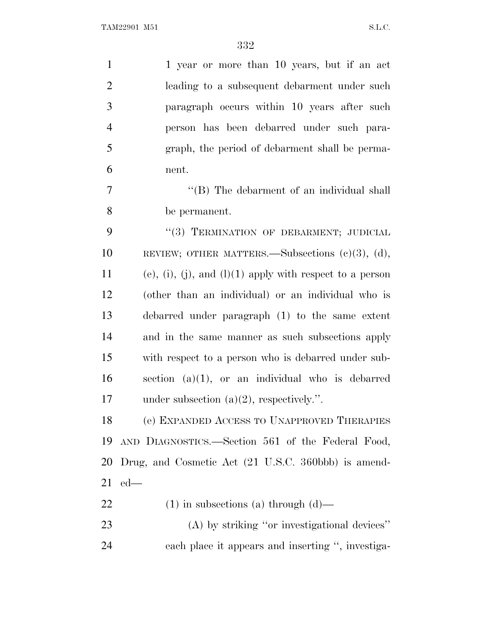| $\mathbf{1}$   | 1 year or more than 10 years, but if an act                 |
|----------------|-------------------------------------------------------------|
| $\overline{2}$ | leading to a subsequent debarment under such                |
| 3              | paragraph occurs within 10 years after such                 |
| $\overline{4}$ | person has been debarred under such para-                   |
| 5              | graph, the period of debarment shall be perma-              |
| 6              | nent.                                                       |
| 7              | "(B) The debarment of an individual shall                   |
| 8              | be permanent.                                               |
| 9              | "(3) TERMINATION OF DEBARMENT; JUDICIAL                     |
| 10             | REVIEW; OTHER MATTERS.—Subsections $(c)(3)$ , $(d)$ ,       |
| 11             | $(e)$ , (i), (j), and (l)(1) apply with respect to a person |
| 12             | (other than an individual) or an individual who is          |
| 13             | debarred under paragraph (1) to the same extent             |
| 14             | and in the same manner as such subsections apply            |
| 15             | with respect to a person who is debarred under sub-         |
| 16             | section $(a)(1)$ , or an individual who is debarred         |
| 17             | under subsection $(a)(2)$ , respectively.".                 |
| 18             | (e) EXPANDED ACCESS TO UNAPPROVED THERAPIES                 |
| 19             | AND DIAGNOSTICS.—Section 561 of the Federal Food,           |
| <b>20</b>      | Drug, and Cosmetic Act (21 U.S.C. 360bbb) is amend-         |
| 21             | $ed$ —                                                      |
| 22             | $(1)$ in subsections (a) through $(d)$ —                    |
| 23             | $(A)$ by striking "or investigational devices"              |
| 24             | each place it appears and inserting ", investiga-           |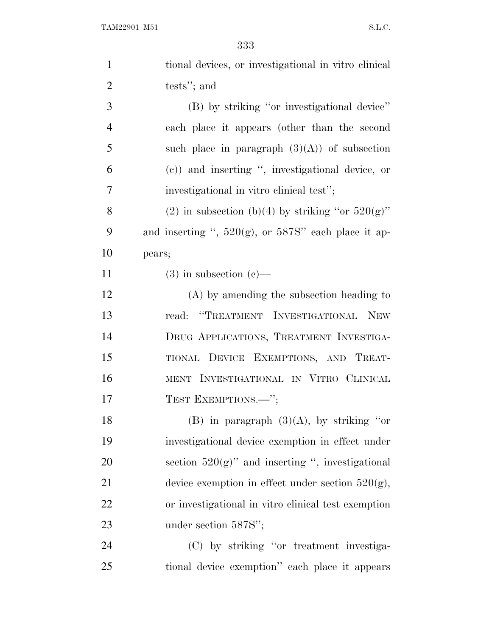| $\mathbf{1}$   | tional devices, or investigational in vitro clinical      |
|----------------|-----------------------------------------------------------|
| $\overline{2}$ | tests"; and                                               |
| 3              | (B) by striking "or investigational device"               |
| $\overline{4}$ | each place it appears (other than the second              |
| 5              | such place in paragraph $(3)(A)$ of subsection            |
| 6              | (c)) and inserting ", investigational device, or          |
| 7              | investigational in vitro clinical test";                  |
| 8              | (2) in subsection (b)(4) by striking "or $520(g)$ "       |
| 9              | and inserting ", $520(g)$ , or $587S$ " each place it ap- |
| 10             | pears;                                                    |
| 11             | $(3)$ in subsection $(e)$ —                               |
| 12             | $(A)$ by amending the subsection heading to               |
| 13             | "TREATMENT INVESTIGATIONAL NEW<br>read:                   |
| 14             | DRUG APPLICATIONS, TREATMENT INVESTIGA-                   |
| 15             | TIONAL DEVICE EXEMPTIONS, AND TREAT-                      |
| 16             | MENT INVESTIGATIONAL IN VITRO CLINICAL                    |
| 17             | TEST EXEMPTIONS.-";                                       |
| 18             | (B) in paragraph $(3)(A)$ , by striking "or               |
| 19             | investigational device exemption in effect under          |
| 20             | section $520(g)$ " and inserting ", investigational       |
| 21             | device exemption in effect under section $520(g)$ ,       |
| 22             | or investigational in vitro clinical test exemption       |
| 23             | under section 587S";                                      |
| 24             | (C) by striking "or treatment investiga-                  |
| 25             | tional device exemption" each place it appears            |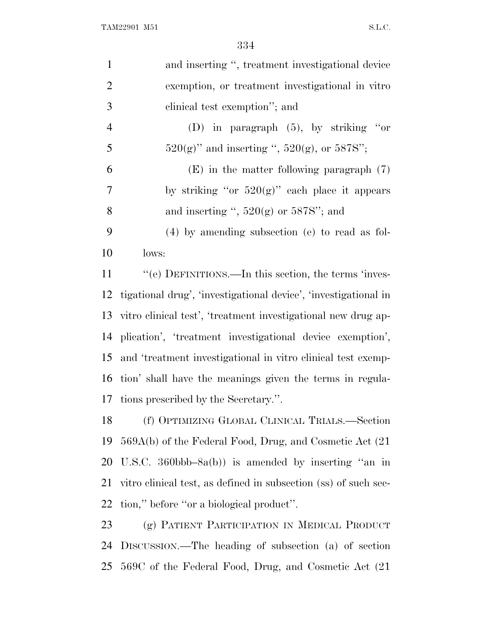| $\mathbf{1}$   | and inserting ", treatment investigational device               |
|----------------|-----------------------------------------------------------------|
| $\overline{2}$ | exemption, or treatment investigational in vitro                |
| 3              | clinical test exemption"; and                                   |
| $\overline{4}$ | (D) in paragraph $(5)$ , by striking "or                        |
| 5              | $520(g)$ " and inserting ", $520(g)$ , or $587S$ ";             |
| 6              | $(E)$ in the matter following paragraph $(7)$                   |
| $\tau$         | by striking "or $520(g)$ " each place it appears                |
| 8              | and inserting ", $520(g)$ or $587S$ "; and                      |
| 9              | $(4)$ by amending subsection (e) to read as fol-                |
| 10             | lows:                                                           |
| 11             | "(e) DEFINITIONS.—In this section, the terms 'inves-            |
| 12             | tigational drug', 'investigational device', 'investigational in |
| 13             | vitro clinical test', 'treatment investigational new drug ap-   |
| 14             | plication', 'treatment investigational device exemption',       |
| 15             | and 'treatment investigational in vitro clinical test exemp-    |
| 16             | tion' shall have the meanings given the terms in regula-        |
| 17             | tions prescribed by the Secretary.".                            |
| 18             | (f) OPTIMIZING GLOBAL CLINICAL TRIALS.—Section                  |
| 19             | 569A(b) of the Federal Food, Drug, and Cosmetic Act (21)        |
| 20             | U.S.C. 360bbb–8a(b)) is amended by inserting "an in             |
| 21             | vitro clinical test, as defined in subsection (ss) of such sec- |
| 22             | tion," before "or a biological product".                        |
| 23             | (g) PATIENT PARTICIPATION IN MEDICAL PRODUCT                    |
| 24             | DISCUSSION.—The heading of subsection (a) of section            |
| 25             | 569C of the Federal Food, Drug, and Cosmetic Act (21)           |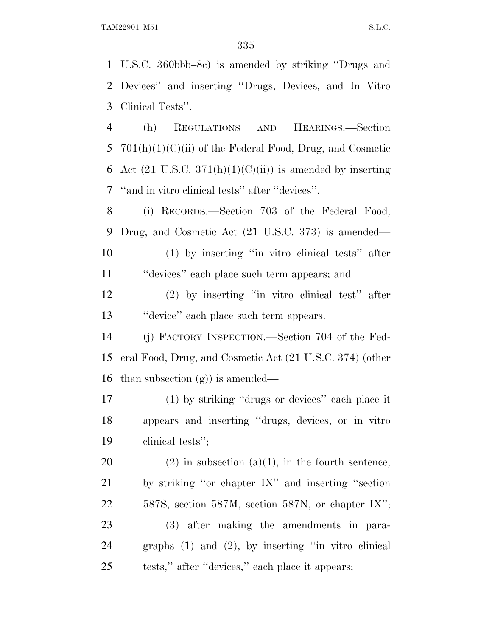U.S.C. 360bbb–8c) is amended by striking ''Drugs and Devices'' and inserting ''Drugs, Devices, and In Vitro Clinical Tests''. (h) REGULATIONS AND HEARINGS.—Section 5 701(h)(1)(C)(ii) of the Federal Food, Drug, and Cosmetic 6 Act  $(21 \text{ U.S.C. } 371(h)(1)(C(ii))$  is amended by inserting ''and in vitro clinical tests'' after ''devices''. (i) RECORDS.—Section 703 of the Federal Food, Drug, and Cosmetic Act (21 U.S.C. 373) is amended— (1) by inserting ''in vitro clinical tests'' after

''devices'' each place such term appears; and

 (2) by inserting ''in vitro clinical test'' after ''device'' each place such term appears.

 (j) FACTORY INSPECTION.—Section 704 of the Fed- eral Food, Drug, and Cosmetic Act (21 U.S.C. 374) (other than subsection (g)) is amended—

 (1) by striking ''drugs or devices'' each place it appears and inserting ''drugs, devices, or in vitro clinical tests'';

20 (2) in subsection  $(a)(1)$ , in the fourth sentence, by striking ''or chapter IX'' and inserting ''section 587S, section 587M, section 587N, or chapter IX''; (3) after making the amendments in para- graphs (1) and (2), by inserting ''in vitro clinical tests,'' after ''devices,'' each place it appears;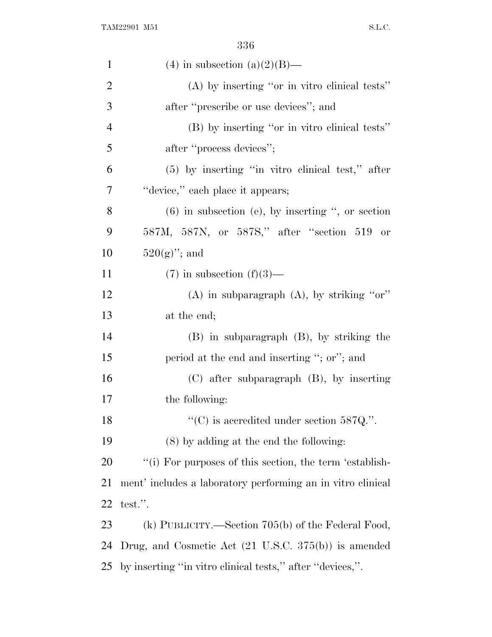| $\mathbf{1}$   | (4) in subsection (a)(2)(B)—                                    |
|----------------|-----------------------------------------------------------------|
| $\overline{c}$ | $(A)$ by inserting "or in vitro clinical tests"                 |
| 3              | after "prescribe or use devices"; and                           |
| $\overline{4}$ | (B) by inserting "or in vitro clinical tests"                   |
| 5              | after "process devices";                                        |
| 6              | $(5)$ by inserting "in vitro clinical test," after              |
| 7              | "device," each place it appears;                                |
| 8              | $(6)$ in subsection (e), by inserting ", or section             |
| 9              | 587M, 587N, or 587S," after "section 519 or                     |
| 10             | $520(g)$ "; and                                                 |
| 11             | $(7)$ in subsection $(f)(3)$ —                                  |
| 12             | (A) in subparagraph $(A)$ , by striking "or"                    |
| 13             | at the end;                                                     |
| 14             | $(B)$ in subparagraph $(B)$ , by striking the                   |
| 15             | period at the end and inserting "; or"; and                     |
| 16             | $(C)$ after subparagraph $(B)$ , by inserting                   |
| 17             | the following:                                                  |
| 18             | "(C) is accredited under section $587Q$ .".                     |
| 19             | $(8)$ by adding at the end the following:                       |
| 20             | "(i) For purposes of this section, the term 'establish-         |
| 21             | ment' includes a laboratory performing an in vitro clinical     |
| 22             | test.".                                                         |
| 23             | (k) PUBLICITY.—Section $705(b)$ of the Federal Food,            |
| 24             | Drug, and Cosmetic Act $(21 \text{ U.S.C. } 375(b))$ is amended |
| 25             | by inserting "in vitro clinical tests," after "devices,".       |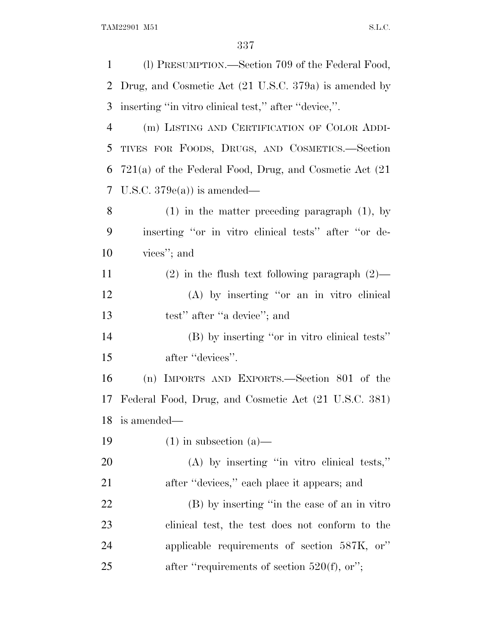| $\mathbf{1}$   | (1) PRESUMPTION.—Section 709 of the Federal Food,           |
|----------------|-------------------------------------------------------------|
| 2              | Drug, and Cosmetic Act (21 U.S.C. 379a) is amended by       |
| 3              | inserting "in vitro clinical test," after "device,".        |
| $\overline{4}$ | (m) LISTING AND CERTIFICATION OF COLOR ADDI-                |
| 5              | TIVES FOR FOODS, DRUGS, AND COSMETICS.-Section              |
| 6              | $721(a)$ of the Federal Food, Drug, and Cosmetic Act $(21)$ |
| 7              | U.S.C. $379e(a)$ is amended—                                |
| 8              | $(1)$ in the matter preceding paragraph $(1)$ , by          |
| 9              | inserting "or in vitro clinical tests" after "or de-        |
| 10             | vices"; and                                                 |
| 11             | $(2)$ in the flush text following paragraph $(2)$ —         |
| 12             | (A) by inserting "or an in vitro clinical                   |
| 13             | test" after "a device"; and                                 |
| 14             | (B) by inserting "or in vitro clinical tests"               |
| 15             | after "devices".                                            |
| 16             | (n) IMPORTS AND EXPORTS.—Section 801 of the                 |
| 17             | Federal Food, Drug, and Cosmetic Act (21 U.S.C. 381)        |
| 18             | is amended—                                                 |
| 19             | $(1)$ in subsection $(a)$ —                                 |
| 20             | $(A)$ by inserting "in vitro clinical tests,"               |
| 21             | after "devices," each place it appears; and                 |
| 22             | (B) by inserting "in the case of an in vitro                |
| 23             | clinical test, the test does not conform to the             |
| 24             | applicable requirements of section 587K, or"                |
| 25             | after "requirements of section $520(f)$ , or";              |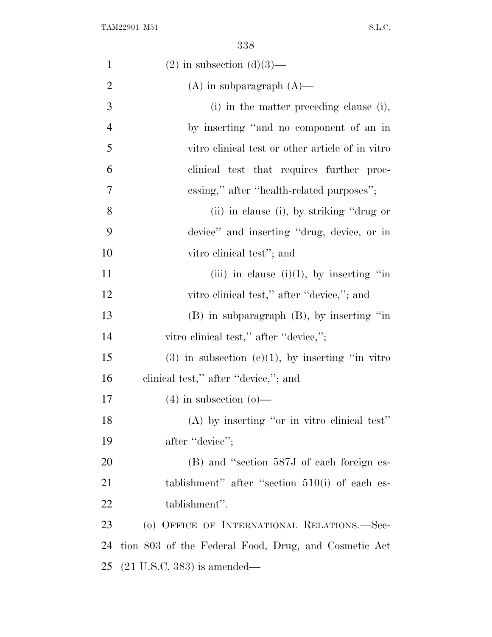| $\mathbf{1}$   | $(2)$ in subsection $(d)(3)$ —                         |
|----------------|--------------------------------------------------------|
| $\overline{2}$ | $(A)$ in subparagraph $(A)$ —                          |
| 3              | (i) in the matter preceding clause (i),                |
| $\overline{4}$ | by inserting "and no component of an in                |
| 5              | vitro clinical test or other article of in vitro       |
| 6              | clinical test that requires further proc-              |
| 7              | essing," after "health-related purposes";              |
| $8\,$          | (ii) in clause (i), by striking "drug or               |
| 9              | device" and inserting "drug, device, or in             |
| 10             | vitro clinical test"; and                              |
| 11             | (iii) in clause (i)(I), by inserting "in               |
| 12             | vitro clinical test," after "device,"; and             |
| 13             | $(B)$ in subparagraph $(B)$ , by inserting "in         |
| 14             | vitro clinical test," after "device,";                 |
| 15             | $(3)$ in subsection $(e)(1)$ , by inserting "in vitro" |
| 16             | clinical test," after "device,"; and                   |
| 17             | $(4)$ in subsection $(0)$ —                            |
| 18             | (A) by inserting "or in vitro clinical test"           |
| 19             | after "device";                                        |
| <b>20</b>      | (B) and "section 587J of each foreign es-              |
| 21             | tablishment" after "section $510(i)$ of each es-       |
| 22             | tablishment".                                          |
| 23             | (o) OFFICE OF INTERNATIONAL RELATIONS.—Sec-            |
| 24             | tion 803 of the Federal Food, Drug, and Cosmetic Act   |
| 25             | $(21 \text{ U.S.C. } 383)$ is amended—                 |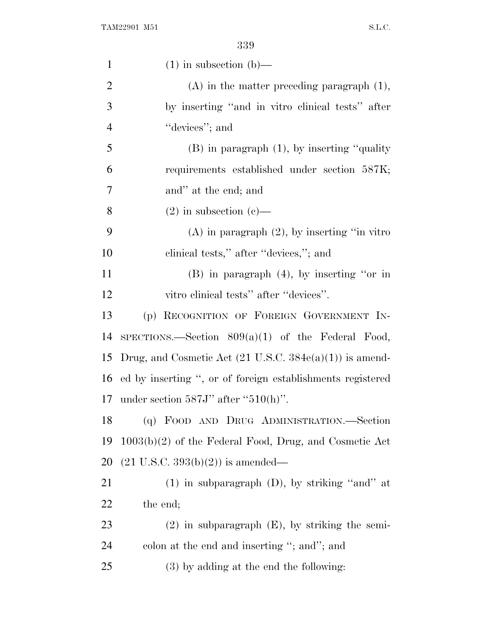| $\mathbf{1}$   | $(1)$ in subsection $(b)$ —                                        |
|----------------|--------------------------------------------------------------------|
| $\overline{2}$ | $(A)$ in the matter preceding paragraph $(1)$ ,                    |
| 3              | by inserting "and in vitro clinical tests" after                   |
| $\overline{4}$ | "devices"; and                                                     |
| 5              | $(B)$ in paragraph $(1)$ , by inserting "quality"                  |
| 6              | requirements established under section 587K;                       |
| 7              | and" at the end; and                                               |
| 8              | $(2)$ in subsection $(e)$ —                                        |
| 9              | $(A)$ in paragraph $(2)$ , by inserting "in vitro"                 |
| 10             | clinical tests," after "devices,"; and                             |
| 11             | $(B)$ in paragraph $(4)$ , by inserting "or in                     |
| 12             | vitro clinical tests" after "devices".                             |
| 13             | (p) RECOGNITION OF FOREIGN GOVERNMENT IN-                          |
| 14             | SPECTIONS.—Section $809(a)(1)$ of the Federal Food,                |
| 15             | Drug, and Cosmetic Act $(21 \text{ U.S.C. } 384e(a)(1))$ is amend- |
|                | 16 ed by inserting ", or of foreign establishments registered      |
| 17             | under section $587J'$ after " $510(h)$ ".                          |
| 18             | (q) FOOD AND DRUG ADMINISTRATION.—Section                          |
| 19             | $1003(b)(2)$ of the Federal Food, Drug, and Cosmetic Act           |
| 20             | $(21 \text{ U.S.C. } 393(b)(2))$ is amended—                       |
| 21             | $(1)$ in subparagraph $(D)$ , by striking "and" at                 |
| 22             | the end;                                                           |
| 23             | $(2)$ in subparagraph $(E)$ , by striking the semi-                |
| 24             | colon at the end and inserting "; and"; and                        |
| 25             | $(3)$ by adding at the end the following:                          |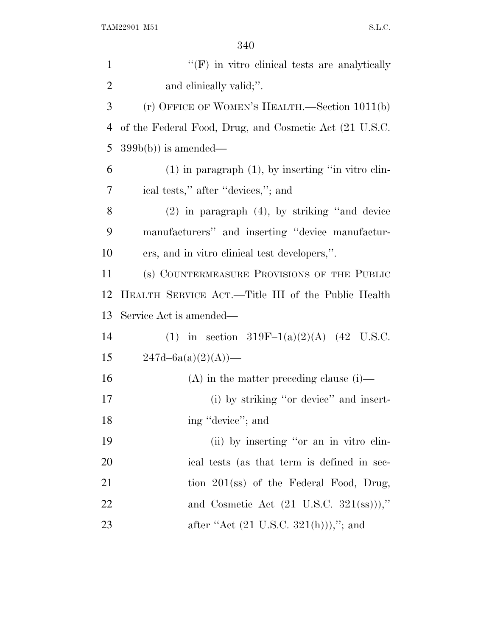| $\mathbf{1}$   | $\lq\lq(F)$ in vitro clinical tests are analytically       |
|----------------|------------------------------------------------------------|
| $\overline{2}$ | and clinically valid;".                                    |
| 3              | (r) OFFICE OF WOMEN'S HEALTH.—Section 1011(b)              |
| 4              | of the Federal Food, Drug, and Cosmetic Act (21 U.S.C.     |
| 5              | $399b(b)$ is amended—                                      |
| 6              | $(1)$ in paragraph $(1)$ , by inserting "in vitro clin-    |
| 7              | ical tests," after "devices,"; and                         |
| 8              | $(2)$ in paragraph $(4)$ , by striking "and device         |
| 9              | manufacturers" and inserting "device manufactur-           |
| 10             | ers, and in vitro clinical test developers,".              |
| 11             | (s) COUNTERMEASURE PROVISIONS OF THE PUBLIC                |
| 12             | HEALTH SERVICE ACT.—Title III of the Public Health         |
| 13             | Service Act is amended—                                    |
| 14             | (1) in section 319F-1(a)(2)(A) (42 U.S.C.                  |
| 15             | $247d - 6a(a)(2)(A)$ —                                     |
| 16             | $(A)$ in the matter preceding clause (i)—                  |
| 17             | (i) by striking "or device" and insert-                    |
| 18             | ing "device"; and                                          |
| 19             | (ii) by inserting "or an in vitro clin-                    |
| 20             | ical tests (as that term is defined in sec-                |
| 21             | tion $201$ (ss) of the Federal Food, Drug,                 |
| 22             | and Cosmetic Act $(21 \text{ U.S.C. } 321(\text{ss}))),$ " |
| 23             | after "Act $(21 \text{ U.S.C. } 321(h))$ ),"; and          |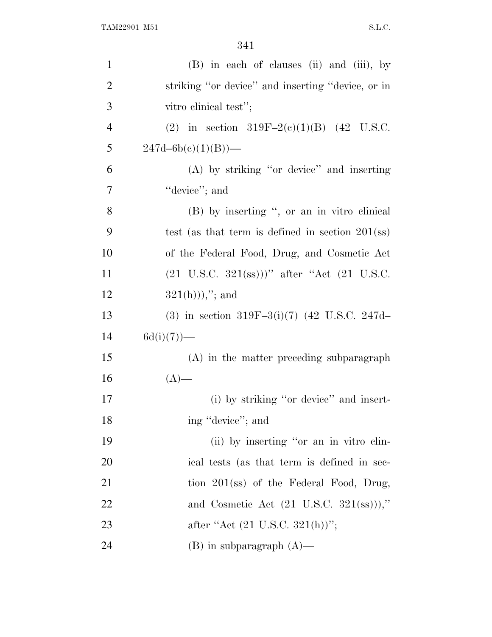| $\mathbf{1}$   | (B) in each of clauses (ii) and (iii), by                                                  |
|----------------|--------------------------------------------------------------------------------------------|
| $\overline{2}$ | striking "or device" and inserting "device, or in                                          |
| 3              | vitro clinical test";                                                                      |
| $\overline{4}$ | (2) in section 319F-2(c)(1)(B) (42 U.S.C.                                                  |
| 5              | $247d - 6b(c)(1)(B)$ —                                                                     |
| 6              | (A) by striking "or device" and inserting                                                  |
| 7              | "device"; and                                                                              |
| 8              | (B) by inserting ", or an in vitro clinical                                                |
| 9              | test (as that term is defined in section $201$ (ss)                                        |
| 10             | of the Federal Food, Drug, and Cosmetic Act                                                |
| 11             | $(21 \text{ U.S.C. } 321(\text{ss}))$ " after "Act $(21 \text{ U.S.C. } 321(\text{ss}))$ " |
| 12             | $321(h))$ ,"; and                                                                          |
| 13             | (3) in section 319F-3(i)(7) (42 U.S.C. 247d-                                               |
| 14             | $6d(i)(7)$ —                                                                               |
| 15             | (A) in the matter preceding subparagraph                                                   |
| 16             | $(A)$ —                                                                                    |
| 17             | (i) by striking "or device" and insert-                                                    |
| 18             | ing "device"; and                                                                          |
| 19             | (ii) by inserting "or an in vitro clin-                                                    |
| 20             | ical tests (as that term is defined in sec-                                                |
| 21             | tion $201$ (ss) of the Federal Food, Drug,                                                 |
| 22             | and Cosmetic Act $(21 \text{ U.S.C. } 321(\text{ss}))),$ "                                 |
| 23             | after "Act $(21 \text{ U.S.C. } 321(h))$ ";                                                |
| 24             | $(B)$ in subparagraph $(A)$ —                                                              |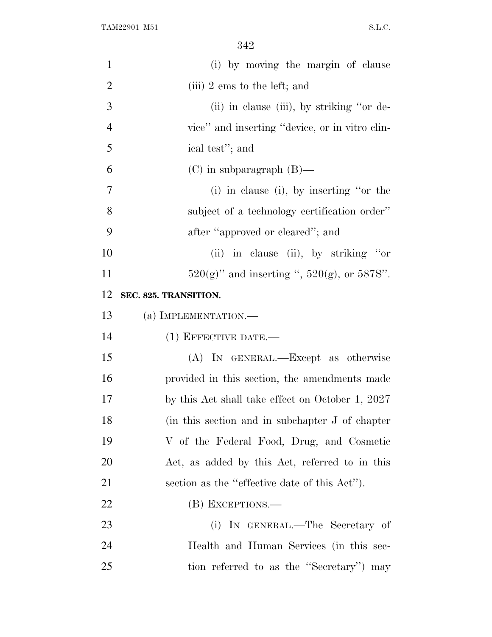| $\mathbf{1}$   | (i) by moving the margin of clause                  |
|----------------|-----------------------------------------------------|
| $\overline{2}$ | (iii) 2 ems to the left; and                        |
| 3              | (ii) in clause (iii), by striking "or de-           |
| $\overline{4}$ | vice" and inserting "device, or in vitro clin-      |
| 5              | ical test"; and                                     |
| 6              | $(C)$ in subparagraph $(B)$ —                       |
| 7              | $(i)$ in clause $(i)$ , by inserting "or the        |
| 8              | subject of a technology certification order"        |
| 9              | after "approved or cleared"; and                    |
| 10             | (ii) in clause (ii), by striking "or                |
| 11             | $520(g)$ " and inserting ", $520(g)$ , or $587S$ ". |
| 12             | SEC. 825. TRANSITION.                               |
| 13             | (a) IMPLEMENTATION.—                                |
| 14             | $(1)$ EFFECTIVE DATE.—                              |
| 15             | (A) IN GENERAL.—Except as otherwise                 |
| 16             | provided in this section, the amendments made       |
| 17             | by this Act shall take effect on October 1, 2027    |
| 18             | (in this section and in subchapter J of chapter     |
| 19             | V of the Federal Food, Drug, and Cosmetic           |
| 20             | Act, as added by this Act, referred to in this      |
| 21             | section as the "effective date of this Act").       |
| 22             | (B) EXCEPTIONS.—                                    |
| 23             | (i) IN GENERAL.—The Secretary of                    |
| 24             | Health and Human Services (in this sec-             |
| 25             | tion referred to as the "Secretary" may             |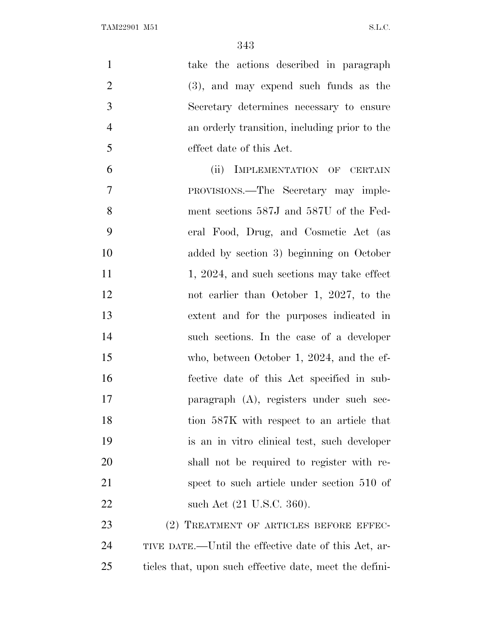| $\mathbf{1}$   | take the actions described in paragraph                 |
|----------------|---------------------------------------------------------|
| $\overline{2}$ | $(3)$ , and may expend such funds as the                |
| 3              | Secretary determines necessary to ensure                |
| $\overline{4}$ | an orderly transition, including prior to the           |
| 5              | effect date of this Act.                                |
| 6              | (ii) IMPLEMENTATION OF CERTAIN                          |
| $\overline{7}$ | PROVISIONS.—The Secretary may imple-                    |
| 8              | ment sections 587J and 587U of the Fed-                 |
| 9              | eral Food, Drug, and Cosmetic Act (as                   |
| 10             | added by section 3) beginning on October                |
| 11             | 1, 2024, and such sections may take effect              |
| 12             | not earlier than October 1, 2027, to the                |
| 13             | extent and for the purposes indicated in                |
| 14             | such sections. In the case of a developer               |
| 15             | who, between October 1, 2024, and the ef-               |
| 16             | fective date of this Act specified in sub-              |
| 17             | paragraph (A), registers under such sec-                |
| 18             | tion 587K with respect to an article that               |
| 19             | is an in vitro clinical test, such developer            |
| 20             | shall not be required to register with re-              |
| 21             | spect to such article under section 510 of              |
| 22             | such Act (21 U.S.C. 360).                               |
| 23             | (2) TREATMENT OF ARTICLES BEFORE EFFEC-                 |
| 24             | TIVE DATE.—Until the effective date of this Act, ar-    |
| 25             | ticles that, upon such effective date, meet the defini- |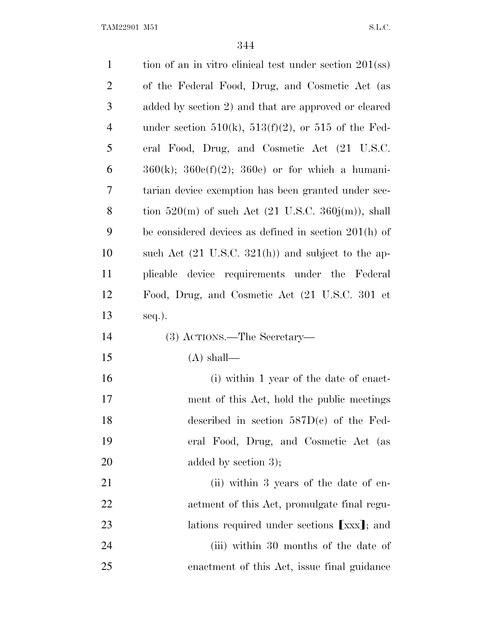| $\mathbf{1}$   | tion of an in vitro clinical test under section $201$ (ss)     |
|----------------|----------------------------------------------------------------|
| $\overline{c}$ | of the Federal Food, Drug, and Cosmetic Act (as                |
| 3              | added by section 2) and that are approved or cleared           |
| $\overline{4}$ | under section $510(k)$ , $513(f)(2)$ , or $515$ of the Fed-    |
| 5              | eral Food, Drug, and Cosmetic Act (21 U.S.C.                   |
| 6              | $360(k)$ ; $360e(f)(2)$ ; $360e$ or for which a humani-        |
| 7              | tarian device exemption has been granted under sec-            |
| 8              | tion 520(m) of such Act $(21 \text{ U.S.C. } 360j(m))$ , shall |
| 9              | be considered devices as defined in section 201(h) of          |
| 10             | such Act $(21 \text{ U.S.C. } 321(h))$ and subject to the ap-  |
| 11             | plicable device requirements under the Federal                 |
| 12             | Food, Drug, and Cosmetic Act (21 U.S.C. 301 et                 |
|                |                                                                |
| 13             | seq.).                                                         |
| 14             | (3) ACTIONS.—The Secretary—                                    |
| 15             | $(A)$ shall—                                                   |
| 16             | (i) within 1 year of the date of enact-                        |
| 17             | ment of this Act, hold the public meetings                     |
| 18             | described in section $587D(c)$ of the Fed-                     |
| 19             | eral Food, Drug, and Cosmetic Act (as                          |
| 20             | added by section 3);                                           |
| 21             | (ii) within 3 years of the date of en-                         |
| 22             | actment of this Act, promulgate final regu-                    |
| 23             | lations required under sections [xxx]; and                     |
| 24             | (iii) within 30 months of the date of                          |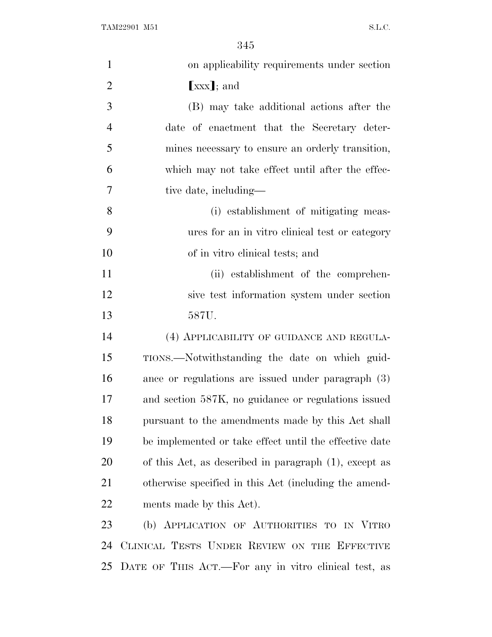| $\mathbf{1}$   | on applicability requirements under section            |
|----------------|--------------------------------------------------------|
| $\overline{2}$ | $[xxx]$ ; and                                          |
| 3              | (B) may take additional actions after the              |
| $\overline{4}$ | date of enactment that the Secretary deter-            |
| 5              | mines necessary to ensure an orderly transition,       |
| 6              | which may not take effect until after the effec-       |
| 7              | tive date, including—                                  |
| 8              | (i) establishment of mitigating meas-                  |
| 9              | ures for an in vitro clinical test or category         |
| 10             | of in vitro clinical tests; and                        |
| 11             | (ii) establishment of the comprehen-                   |
| 12             | sive test information system under section             |
| 13             | 587U.                                                  |
| 14             | (4) APPLICABILITY OF GUIDANCE AND REGULA-              |
| 15             | TIONS.—Notwithstanding the date on which guid-         |
| 16             | ance or regulations are issued under paragraph (3)     |
| 17             | and section 587K, no guidance or regulations issued    |
| 18             | pursuant to the amendments made by this Act shall      |
| 19             | be implemented or take effect until the effective date |
| 20             | of this Act, as described in paragraph (1), except as  |
| 21             | otherwise specified in this Act (including the amend-  |
| 22             | ments made by this Act).                               |
| 23             | (b) APPLICATION OF AUTHORITIES TO IN VITRO             |
| 24             | CLINICAL TESTS UNDER REVIEW ON THE EFFECTIVE           |
| 25             | DATE OF THIS ACT.—For any in vitro clinical test, as   |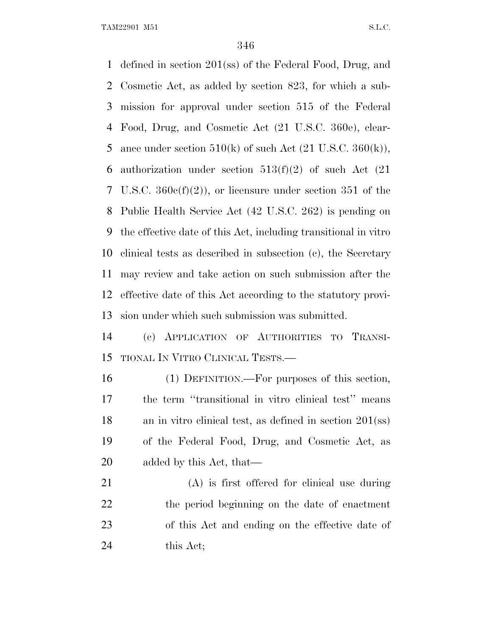defined in section 201(ss) of the Federal Food, Drug, and Cosmetic Act, as added by section 823, for which a sub- mission for approval under section 515 of the Federal Food, Drug, and Cosmetic Act (21 U.S.C. 360e), clear-5 ance under section  $510(k)$  of such Act  $(21 \text{ U.S.C. } 360(k)),$ 6 authorization under section  $513(f)(2)$  of such Act  $(21)$  U.S.C. 360c(f)(2)), or licensure under section 351 of the Public Health Service Act (42 U.S.C. 262) is pending on the effective date of this Act, including transitional in vitro clinical tests as described in subsection (c), the Secretary may review and take action on such submission after the effective date of this Act according to the statutory provi-sion under which such submission was submitted.

 (c) APPLICATION OF AUTHORITIES TO TRANSI-TIONAL I<sup>N</sup> VITRO CLINICAL TESTS.—

 (1) DEFINITION.—For purposes of this section, the term ''transitional in vitro clinical test'' means an in vitro clinical test, as defined in section 201(ss) of the Federal Food, Drug, and Cosmetic Act, as added by this Act, that—

 (A) is first offered for clinical use during the period beginning on the date of enactment of this Act and ending on the effective date of 24 this Act;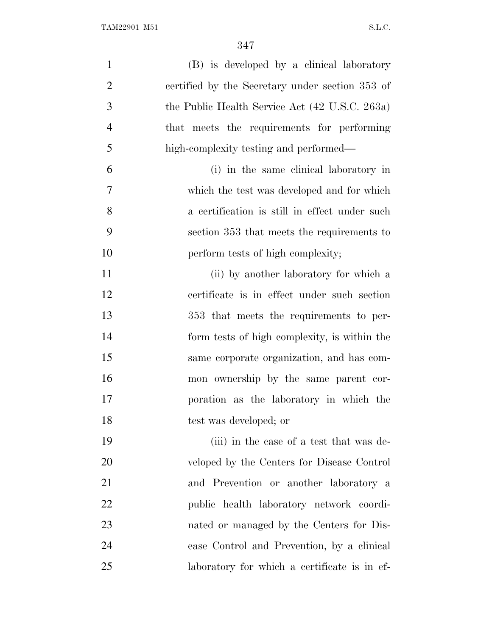| $\mathbf{1}$   | (B) is developed by a clinical laboratory       |
|----------------|-------------------------------------------------|
| $\overline{2}$ | certified by the Secretary under section 353 of |
| 3              | the Public Health Service Act (42 U.S.C. 263a)  |
| $\overline{4}$ | that meets the requirements for performing      |
| 5              | high-complexity testing and performed—          |
| 6              | (i) in the same clinical laboratory in          |
| 7              | which the test was developed and for which      |
| 8              | a certification is still in effect under such   |
| 9              | section 353 that meets the requirements to      |
| 10             | perform tests of high complexity;               |
| 11             | (ii) by another laboratory for which a          |
| 12             | certificate is in effect under such section     |
| 13             | 353 that meets the requirements to per-         |
| 14             | form tests of high complexity, is within the    |
| 15             | same corporate organization, and has com-       |
| 16             | mon ownership by the same parent cor-           |
| 17             | poration as the laboratory in which the         |
| 18             | test was developed; or                          |
| 19             | (iii) in the case of a test that was de-        |
| 20             | veloped by the Centers for Disease Control      |
| 21             | and Prevention or another laboratory a          |
| 22             | public health laboratory network coordi-        |
| 23             | nated or managed by the Centers for Dis-        |
| 24             | ease Control and Prevention, by a clinical      |
| 25             | laboratory for which a certificate is in ef-    |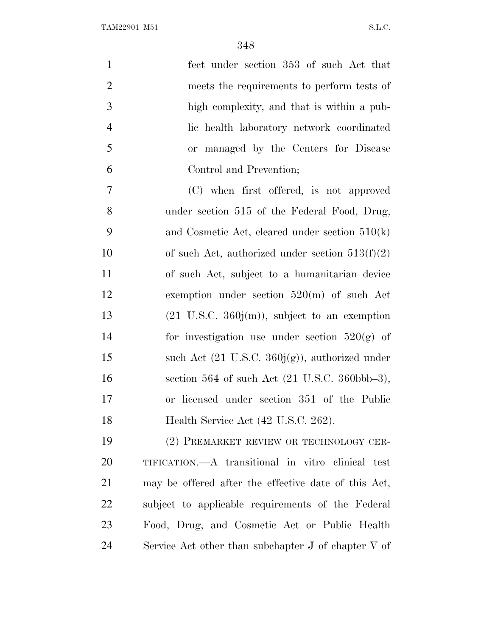| $\mathbf{1}$   | fect under section 353 of such Act that                            |
|----------------|--------------------------------------------------------------------|
| $\overline{2}$ | meets the requirements to perform tests of                         |
| 3              | high complexity, and that is within a pub-                         |
| $\overline{4}$ | lic health laboratory network coordinated                          |
| 5              | or managed by the Centers for Disease                              |
| 6              | Control and Prevention;                                            |
| 7              | (C) when first offered, is not approved                            |
| 8              | under section 515 of the Federal Food, Drug,                       |
| 9              | and Cosmetic Act, cleared under section $510(k)$                   |
| 10             | of such Act, authorized under section $513(f)(2)$                  |
| 11             | of such Act, subject to a humanitarian device                      |
| 12             | exemption under section $520(m)$ of such Act                       |
| 13             | $(21 \text{ U.S.C. } 360j(m))$ , subject to an exemption           |
| 14             | for investigation use under section $520(g)$ of                    |
| 15             | such Act $(21 \text{ U.S.C. } 360j(g))$ , authorized under         |
| 16             | section 564 of such Act $(21 \text{ U.S.C. } 360 \text{bbb} - 3),$ |
| 17             | or licensed under section 351 of the Public                        |
| 18             | Health Service Act (42 U.S.C. 262).                                |
| 19             | (2) PREMARKET REVIEW OR TECHNOLOGY CER-                            |
| 20             | TIFICATION.—A transitional in vitro elinical test                  |
| 21             | may be offered after the effective date of this Act,               |
| 22             | subject to applicable requirements of the Federal                  |
| 23             | Food, Drug, and Cosmetic Act or Public Health                      |
| 24             | Service Act other than subchapter $J$ of chapter $V$ of            |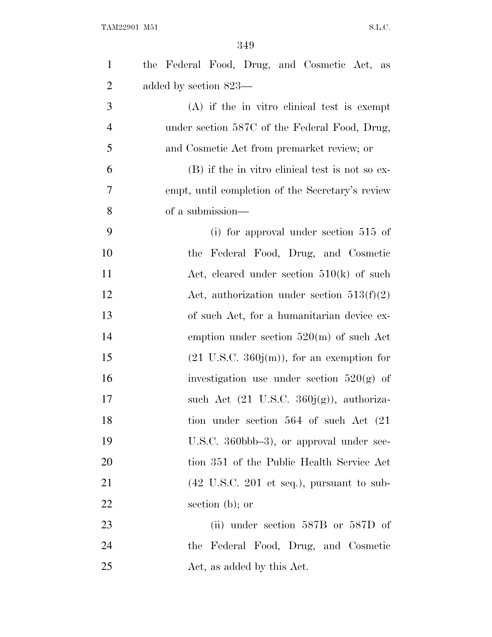| $\mathbf{1}$   | the Federal Food, Drug, and Cosmetic Act, as                        |
|----------------|---------------------------------------------------------------------|
| $\overline{2}$ | added by section 823—                                               |
| 3              | (A) if the in vitro clinical test is exempt                         |
| $\overline{4}$ | under section 587C of the Federal Food, Drug,                       |
| 5              | and Cosmetic Act from premarket review; or                          |
| 6              | (B) if the in vitro clinical test is not so ex-                     |
| 7              | empt, until completion of the Secretary's review                    |
| 8              | of a submission—                                                    |
| 9              | (i) for approval under section $515$ of                             |
| 10             | the Federal Food, Drug, and Cosmetic                                |
| 11             | Act, cleared under section $510(k)$ of such                         |
| 12             | Act, authorization under section $513(f)(2)$                        |
| 13             | of such Act, for a humanitarian device ex-                          |
| 14             | emption under section $520(m)$ of such Act                          |
| 15             | $(21 \text{ U.S.C. } 360j(m))$ , for an exemption for               |
| 16             | investigation use under section $520(g)$ of                         |
| 17             | such Act $(21 \text{ U.S.C. } 360j(g))$ , authoriza-                |
| 18             | tion under section 564 of such Act (21)                             |
| 19             | U.S.C. 360bbb-3), or approval under sec-                            |
| 20             | tion 351 of the Public Health Service Act                           |
| 21             | $(42 \text{ U.S.C. } 201 \text{ et seq.}), \text{ pursuit to sub-}$ |
| 22             | section $(b)$ ; or                                                  |
| 23             | (ii) under section $587B$ or $587D$ of                              |
| 24             | the Federal Food, Drug, and Cosmetic                                |
| 25             | Act, as added by this Act.                                          |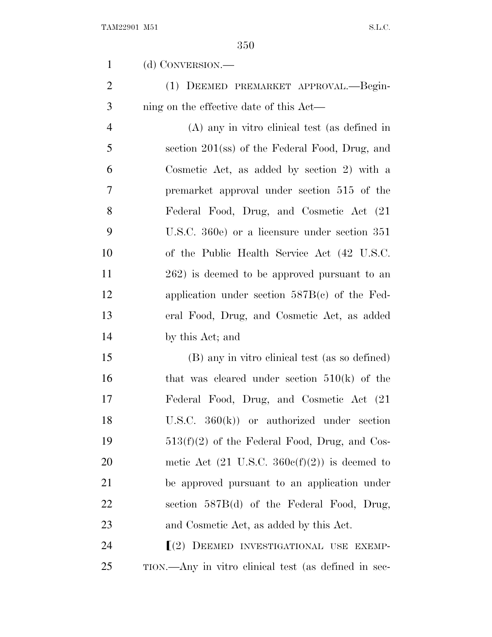(d) CONVERSION.—

 (1) DEEMED PREMARKET APPROVAL.—Begin-ning on the effective date of this Act—

 (A) any in vitro clinical test (as defined in section 201(ss) of the Federal Food, Drug, and Cosmetic Act, as added by section 2) with a premarket approval under section 515 of the Federal Food, Drug, and Cosmetic Act (21 U.S.C. 360e) or a licensure under section 351 of the Public Health Service Act (42 U.S.C. 262) is deemed to be approved pursuant to an application under section 587B(c) of the Fed- eral Food, Drug, and Cosmetic Act, as added by this Act; and

 (B) any in vitro clinical test (as so defined) 16 that was cleared under section  $510(k)$  of the Federal Food, Drug, and Cosmetic Act (21 U.S.C. 360(k)) or authorized under section  $513(f)(2)$  of the Federal Food, Drug, and Cos-20 metic Act  $(21 \text{ U.S.C. } 360c(f)(2))$  is deemed to be approved pursuant to an application under section 587B(d) of the Federal Food, Drug, and Cosmetic Act, as added by this Act.

24  $\lceil(2)$  DEEMED INVESTIGATIONAL USE EXEMP-TION.—Any in vitro clinical test (as defined in sec-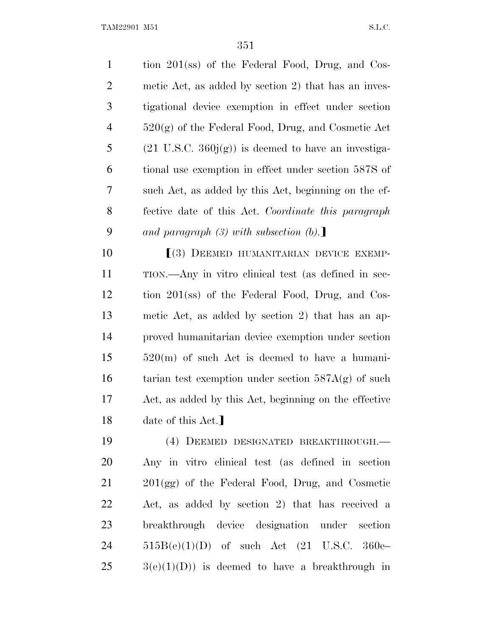tion 201(ss) of the Federal Food, Drug, and Cos- metic Act, as added by section 2) that has an inves- tigational device exemption in effect under section 520(g) of the Federal Food, Drug, and Cosmetic Act 5 (21 U.S.C.  $360<sub>i</sub>(g)$ ) is deemed to have an investiga- tional use exemption in effect under section 587S of such Act, as added by this Act, beginning on the ef- fective date of this Act. *Coordinate this paragraph and paragraph (3) with subsection (b)*.

**[(3) DEEMED HUMANITARIAN DEVICE EXEMP-** TION.—Any in vitro clinical test (as defined in sec- tion 201(ss) of the Federal Food, Drug, and Cos- metic Act, as added by section 2) that has an ap- proved humanitarian device exemption under section 520(m) of such Act is deemed to have a humani-16 tarian test exemption under section  $587A(g)$  of such Act, as added by this Act, beginning on the effective 18 date of this Act.]

 (4) DEEMED DESIGNATED BREAKTHROUGH.— Any in vitro clinical test (as defined in section 201(gg) of the Federal Food, Drug, and Cosmetic Act, as added by section 2) that has received a breakthrough device designation under section 515B(e)(1)(D) of such Act (21 U.S.C. 360e–  $25 \qquad 3(e)(1)(D)$  is deemed to have a breakthrough in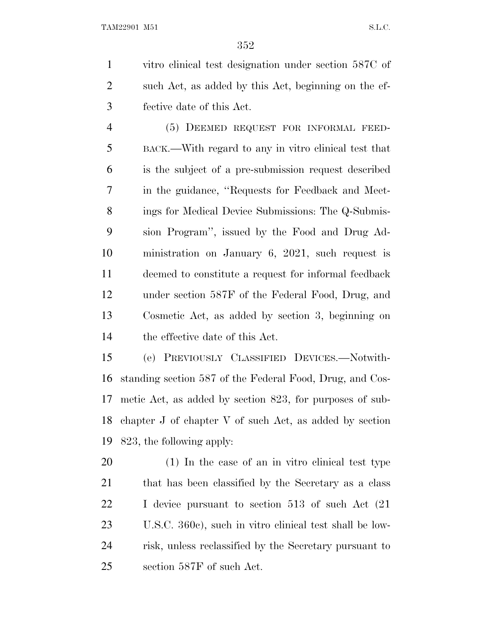vitro clinical test designation under section 587C of such Act, as added by this Act, beginning on the ef-fective date of this Act.

 (5) DEEMED REQUEST FOR INFORMAL FEED- BACK.—With regard to any in vitro clinical test that is the subject of a pre-submission request described in the guidance, ''Requests for Feedback and Meet- ings for Medical Device Submissions: The Q-Submis- sion Program'', issued by the Food and Drug Ad- ministration on January 6, 2021, such request is deemed to constitute a request for informal feedback under section 587F of the Federal Food, Drug, and Cosmetic Act, as added by section 3, beginning on the effective date of this Act.

 (e) PREVIOUSLY CLASSIFIED DEVICES.—Notwith- standing section 587 of the Federal Food, Drug, and Cos- metic Act, as added by section 823, for purposes of sub- chapter J of chapter V of such Act, as added by section 823, the following apply:

 (1) In the case of an in vitro clinical test type that has been classified by the Secretary as a class I device pursuant to section 513 of such Act (21 U.S.C. 360c), such in vitro clinical test shall be low- risk, unless reclassified by the Secretary pursuant to section 587F of such Act.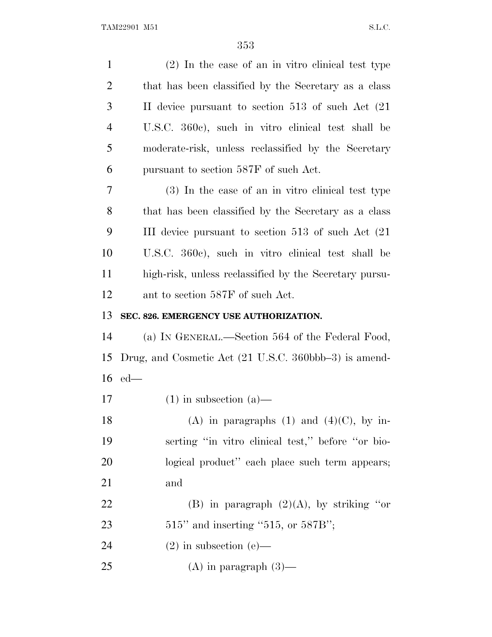| $\mathbf{1}$   | $(2)$ In the case of an in vitro clinical test type                        |
|----------------|----------------------------------------------------------------------------|
| $\overline{2}$ | that has been classified by the Secretary as a class                       |
| 3              | II device pursuant to section 513 of such Act (21)                         |
| $\overline{4}$ | U.S.C. 360c), such in vitro clinical test shall be                         |
| 5              | moderate-risk, unless reclassified by the Secretary                        |
| 6              | pursuant to section 587F of such Act.                                      |
| 7              | (3) In the case of an in vitro clinical test type                          |
| 8              | that has been classified by the Secretary as a class                       |
| 9              | III device pursuant to section 513 of such Act (21)                        |
| 10             | U.S.C. 360c), such in vitro clinical test shall be                         |
| 11             | high-risk, unless reclassified by the Secretary pursu-                     |
| 12             | ant to section 587F of such Act.                                           |
| 13             | SEC. 826. EMERGENCY USE AUTHORIZATION.                                     |
| 14             | (a) IN GENERAL.—Section 564 of the Federal Food,                           |
| 15             | Drug, and Cosmetic Act $(21 \text{ U.S.C. } 360 \text{bbb} - 3)$ is amend- |
| 16             | $ed$ —                                                                     |
| 17             | $(1)$ in subsection $(a)$ —                                                |
| 18             | (A) in paragraphs (1) and (4)(C), by in-                                   |
| 19             | serting "in vitro clinical test," before "or bio-                          |
| 20             | logical product" each place such term appears;                             |
| 21             | and                                                                        |
| 22             | (B) in paragraph $(2)(A)$ , by striking "or                                |
| 23             | $515"$ and inserting "515, or 587B";                                       |
| 24             | $(2)$ in subsection $(e)$ —                                                |
| 25             | $(A)$ in paragraph $(3)$ —                                                 |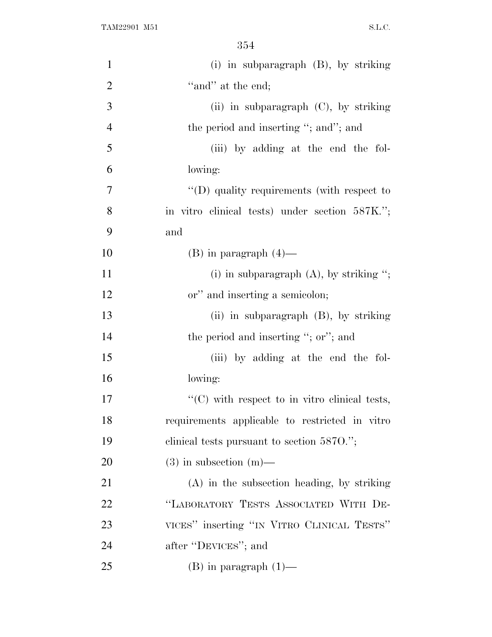| $\mathbf{1}$   | (i) in subparagraph $(B)$ , by striking            |
|----------------|----------------------------------------------------|
| $\overline{2}$ | "and" at the end;                                  |
| 3              | (ii) in subparagraph $(C)$ , by striking           |
| $\overline{4}$ | the period and inserting "; and"; and              |
| 5              | (iii) by adding at the end the fol-                |
| 6              | lowing:                                            |
| $\overline{7}$ | $\lq\lq$ (D) quality requirements (with respect to |
| 8              | in vitro clinical tests) under section 587K.";     |
| 9              | and                                                |
| 10             | $(B)$ in paragraph $(4)$ —                         |
| 11             | (i) in subparagraph $(A)$ , by striking ";         |
| 12             | or" and inserting a semicolon;                     |
| 13             | (ii) in subparagraph $(B)$ , by striking           |
| 14             | the period and inserting "; or"; and               |
| 15             | (iii) by adding at the end the fol-                |
| 16             | lowing:                                            |
| 17             | $"$ (C) with respect to in vitro clinical tests,   |
| 18             | requirements applicable to restricted in vitro     |
| 19             | clinical tests pursuant to section 5870.";         |
| 20             | $(3)$ in subsection $(m)$ —                        |
| 21             | $(A)$ in the subsection heading, by striking       |
| 22             | "LABORATORY TESTS ASSOCIATED WITH DE-              |
| 23             | VICES" inserting "IN VITRO CLINICAL TESTS"         |
| 24             | after "DEVICES"; and                               |
| 25             | $(B)$ in paragraph $(1)$ —                         |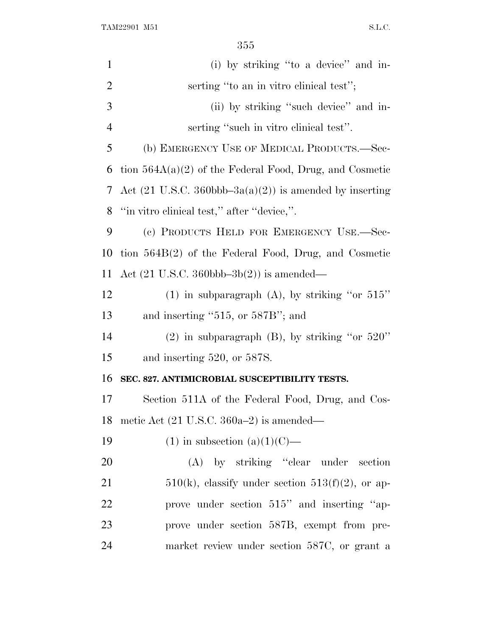| $\mathbf{1}$   | (i) by striking "to a device" and in-                                        |
|----------------|------------------------------------------------------------------------------|
| $\overline{2}$ | serting "to an in vitro clinical test";                                      |
| 3              | (ii) by striking "such device" and in-                                       |
| $\overline{4}$ | serting "such in vitro clinical test".                                       |
| 5              | (b) EMERGENCY USE OF MEDICAL PRODUCTS.—Sec-                                  |
| 6              | tion $564A(a)(2)$ of the Federal Food, Drug, and Cosmetic                    |
| 7              | Act $(21 \text{ U.S.C. } 360 \text{bbb} - 3a(a)(2))$ is amended by inserting |
| 8              | "in vitro clinical test," after "device,".                                   |
| 9              | (c) PRODUCTS HELD FOR EMERGENCY USE.—Sec-                                    |
| 10             | tion $564B(2)$ of the Federal Food, Drug, and Cosmetic                       |
| 11             | Act $(21 \text{ U.S.C. } 360 \text{bbb} -3b(2))$ is amended—                 |
| 12             | (1) in subparagraph (A), by striking "or $515"$                              |
| 13             | and inserting $"515$ , or $587B"$ ; and                                      |
| 14             | $(2)$ in subparagraph $(B)$ , by striking "or 520"                           |
| 15             | and inserting 520, or 587S.                                                  |
| 16             | SEC. 827. ANTIMICROBIAL SUSCEPTIBILITY TESTS.                                |
| 17             | Section 511A of the Federal Food, Drug, and Cos-                             |
| 18             | metic Act $(21 \text{ U.S.C. } 360a-2)$ is amended—                          |
| 19             | $(1)$ in subsection $(a)(1)(C)$ —                                            |
| 20             | (A) by striking "clear under section                                         |
| 21             | $510(k)$ , classify under section $513(f)(2)$ , or ap-                       |
| 22             | prove under section 515" and inserting "ap-                                  |
| 23             | prove under section 587B, exempt from pre-                                   |
| 24             | market review under section 587C, or grant a                                 |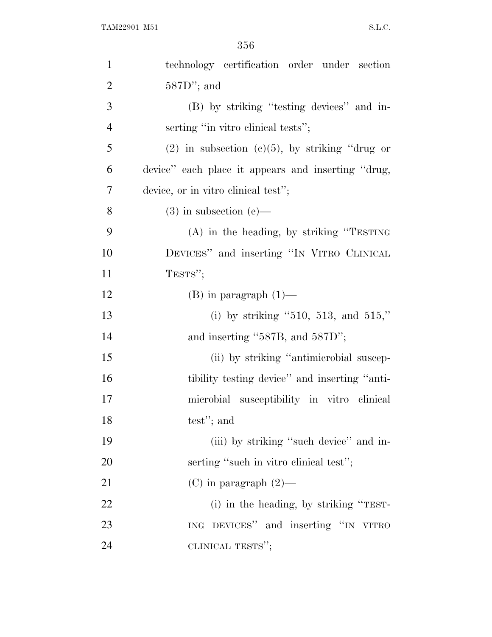| $\mathbf{1}$   | technology certification order under section        |
|----------------|-----------------------------------------------------|
| $\overline{2}$ | $587D$ "; and                                       |
| 3              | (B) by striking "testing devices" and in-           |
| $\overline{4}$ | serting "in vitro clinical tests";                  |
| 5              | $(2)$ in subsection $(c)(5)$ , by striking "drug or |
| 6              | device" each place it appears and inserting "drug,  |
| 7              | device, or in vitro clinical test";                 |
| 8              | $(3)$ in subsection $(e)$ —                         |
| 9              | $(A)$ in the heading, by striking "TESTING"         |
| 10             | DEVICES" and inserting "IN VITRO CLINICAL           |
| 11             | TESTS";                                             |
| 12             | $(B)$ in paragraph $(1)$ —                          |
| 13             | (i) by striking "510, 513, and 515,"                |
| 14             | and inserting " $587B$ , and $587D$ ";              |
| 15             | (ii) by striking "antimicrobial suscep-             |
| 16             | tibility testing device" and inserting "anti-       |
| 17             | microbial susceptibility in vitro clinical          |
| 18             | test"; and                                          |
| 19             | (iii) by striking "such device" and in-             |
| 20             | serting "such in vitro clinical test";              |
| 21             | $(C)$ in paragraph $(2)$ —                          |
| 22             | (i) in the heading, by striking "TEST-              |
| 23             | ING DEVICES" and inserting "IN VITRO                |
| 24             | CLINICAL TESTS";                                    |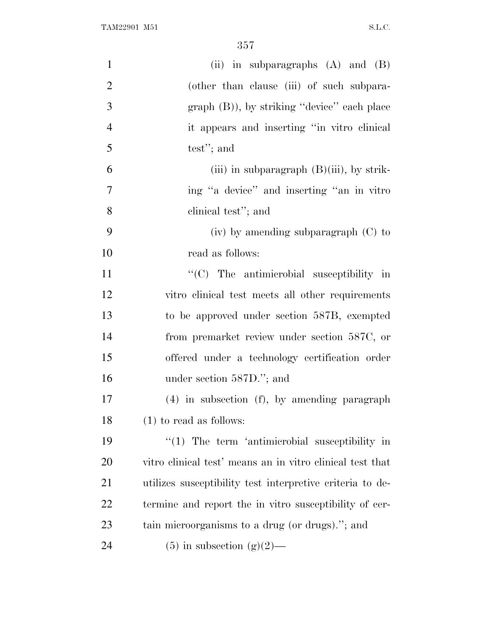| $\mathbf{1}$   | (ii) in subparagraphs $(A)$ and $(B)$                     |
|----------------|-----------------------------------------------------------|
| $\overline{2}$ | (other than clause (iii) of such subpara-                 |
| $\mathfrak{Z}$ | $graph (B)$ , by striking "device" each place             |
| $\overline{4}$ | it appears and inserting "in vitro clinical               |
| 5              | test"; and                                                |
| 6              | (iii) in subparagraph $(B)(iii)$ , by strik-              |
| $\tau$         | ing "a device" and inserting "an in vitro"                |
| 8              | clinical test"; and                                       |
| 9              | $(iv)$ by amending subparagraph $(C)$ to                  |
| 10             | read as follows:                                          |
| 11             | "(C) The antimicrobial susceptibility in                  |
| 12             | vitro clinical test meets all other requirements          |
| 13             | to be approved under section 587B, exempted               |
| 14             | from premarket review under section 587C, or              |
| 15             | offered under a technology certification order            |
| 16             | under section 587D."; and                                 |
| 17             | $(4)$ in subsection $(f)$ , by amending paragraph         |
| 18             | $(1)$ to read as follows:                                 |
| 19             | $\lq(1)$ The term 'antimicrobial susceptibility in        |
| 20             | vitro clinical test' means an in vitro clinical test that |
| 21             | utilizes susceptibility test interpretive criteria to de- |
| 22             | termine and report the in vitro susceptibility of cer-    |
| 23             | tain microorganisms to a drug (or drugs)."; and           |
| 24             | $(5)$ in subsection $(g)(2)$ —                            |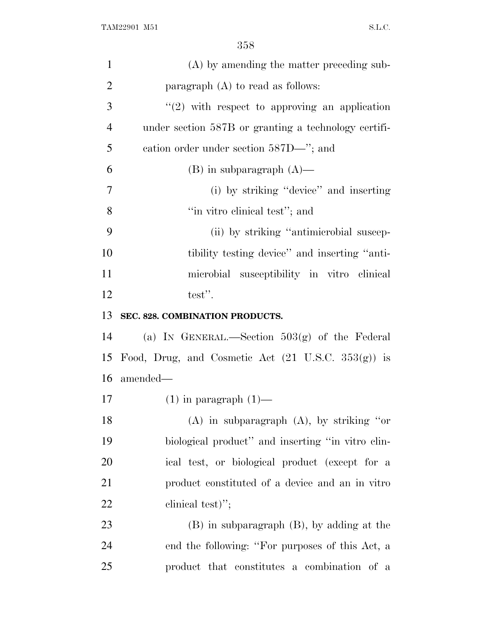| $\mathbf{1}$   | (A) by amending the matter preceding sub-                     |
|----------------|---------------------------------------------------------------|
| $\overline{2}$ | paragraph $(A)$ to read as follows:                           |
| 3              | $"(2)$ with respect to approving an application               |
| $\overline{4}$ | under section 587B or granting a technology certifi-          |
| 5              | eation order under section 587D—"; and                        |
| 6              | $(B)$ in subparagraph $(A)$ —                                 |
| $\overline{7}$ | (i) by striking "device" and inserting                        |
| 8              | "in vitro clinical test"; and                                 |
| 9              | (ii) by striking "antimicrobial suscep-                       |
| 10             | tibility testing device" and inserting "anti-                 |
| 11             | microbial susceptibility in vitro clinical                    |
| 12             | test".                                                        |
| 13             | SEC. 828. COMBINATION PRODUCTS.                               |
| 14             | (a) IN GENERAL.—Section $503(g)$ of the Federal               |
| 15             | Food, Drug, and Cosmetic Act $(21 \text{ U.S.C. } 353(g))$ is |
| 16             | amended—                                                      |
| 17             | $(1)$ in paragraph $(1)$ —                                    |
| 18             | $(A)$ in subparagraph $(A)$ , by striking "or                 |
| 19             | biological product" and inserting "in vitro clin-             |
| 20             | ical test, or biological product (except for a                |
| 21             | product constituted of a device and an in vitro               |
| 22             | clinical test)";                                              |
| 23             | $(B)$ in subparagraph $(B)$ , by adding at the                |
| 24             | end the following: "For purposes of this Act, a               |
| 25             | product that constitutes a combination of a                   |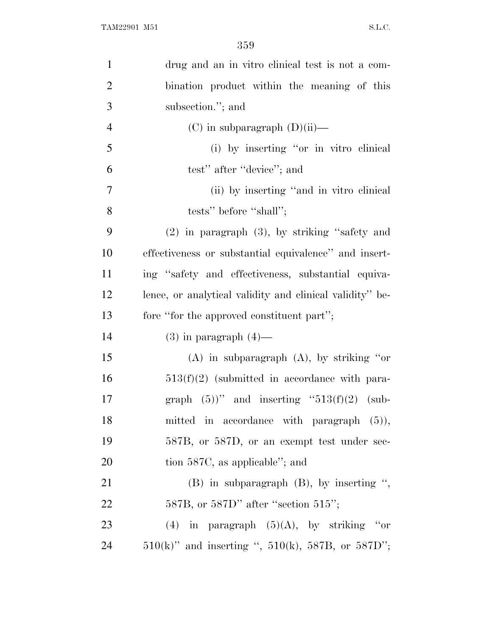| $\mathbf{1}$   | drug and an in vitro clinical test is not a com-         |
|----------------|----------------------------------------------------------|
| $\overline{2}$ | bination product within the meaning of this              |
| 3              | subsection."; and                                        |
| $\overline{4}$ | $(C)$ in subparagraph $(D)(ii)$ —                        |
| 5              | (i) by inserting "or in vitro clinical                   |
| 6              | test" after "device"; and                                |
| 7              | (ii) by inserting "and in vitro clinical                 |
| 8              | tests" before "shall";                                   |
| 9              | $(2)$ in paragraph $(3)$ , by striking "safety and       |
| 10             | effectiveness or substantial equivalence" and insert-    |
| 11             | ing "safety and effectiveness, substantial equiva-       |
| 12             | lence, or analytical validity and clinical validity" be- |
|                |                                                          |
| 13             | fore "for the approved constituent part";                |
| 14             | $(3)$ in paragraph $(4)$ —                               |
| 15             | $(A)$ in subparagraph $(A)$ , by striking "or            |
| 16             | $513(f)(2)$ (submitted in accordance with para-          |
| 17             | graph $(5)$ " and inserting "513(f)(2) (sub-             |
| 18             | mitted in accordance with paragraph (5)),                |
| 19             | 587B, or 587D, or an exempt test under sec-              |
| 20             | tion 587C, as applicable"; and                           |
| 21             | $(B)$ in subparagraph $(B)$ , by inserting ",            |
| 22             | $587B$ , or $587D$ " after "section $515$ ";             |
| 23             | (4) in paragraph $(5)(A)$ , by striking "or              |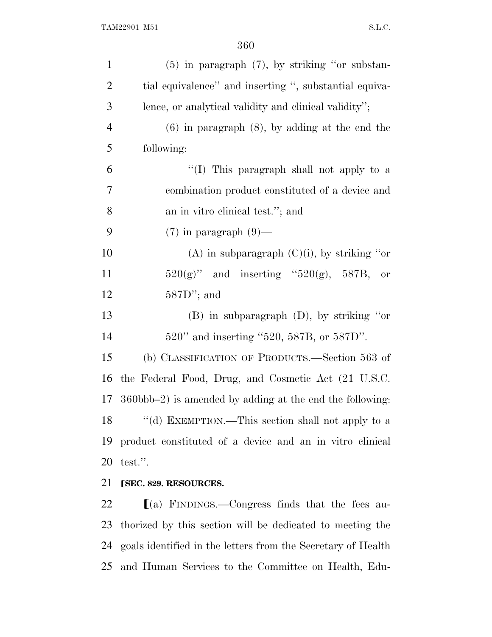| $\mathbf{1}$   | $(5)$ in paragraph $(7)$ , by striking "or substan-                   |
|----------------|-----------------------------------------------------------------------|
| $\overline{2}$ | tial equivalence" and inserting ", substantial equiva-                |
| 3              | lence, or analytical validity and clinical validity";                 |
| $\overline{4}$ | $(6)$ in paragraph $(8)$ , by adding at the end the                   |
| 5              | following:                                                            |
| 6              | "(I) This paragraph shall not apply to a                              |
| 7              | combination product constituted of a device and                       |
| 8              | an in vitro clinical test."; and                                      |
| 9              | $(7)$ in paragraph $(9)$ —                                            |
| 10             | (A) in subparagraph $(C)(i)$ , by striking "or                        |
| 11             | $520(g)$ " and inserting " $520(g)$ , $587B$ , or                     |
| 12             | $587D$ "; and                                                         |
| 13             | $(B)$ in subparagraph $(D)$ , by striking "or                         |
| 14             | 520" and inserting "520, 587B, or 587D".                              |
| 15             | (b) CLASSIFICATION OF PRODUCTS.—Section 563 of                        |
| 16             | the Federal Food, Drug, and Cosmetic Act (21 U.S.C.                   |
| 17             | $360 \text{bbb} - 2$ ) is amended by adding at the end the following: |
|                | 18 "(d) EXEMPTION.—This section shall not apply to a                  |
| 19             | product constituted of a device and an in vitro clinical              |
| 20             | test.".                                                               |
| 21             | [SEC. 829. RESOURCES.                                                 |
|                |                                                                       |

  $\qquad$  [(a) FINDINGS.—Congress finds that the fees au- thorized by this section will be dedicated to meeting the goals identified in the letters from the Secretary of Health and Human Services to the Committee on Health, Edu-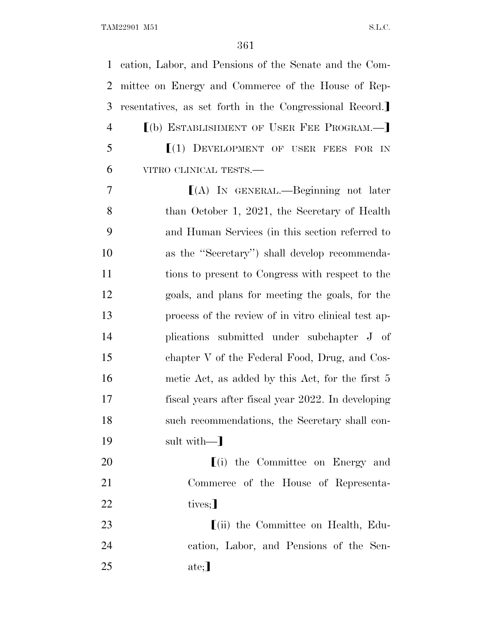cation, Labor, and Pensions of the Senate and the Com- mittee on Energy and Commerce of the House of Rep-3 resentatives, as set forth in the Congressional Record. **[(b) ESTABLISHMENT OF USER FEE PROGRAM.**   $[(1)$  DEVELOPMENT OF USER FEES FOR IN VITRO CLINICAL TESTS.— ø(A) IN GENERAL.—Beginning not later 8 than October 1, 2021, the Secretary of Health

 and Human Services (in this section referred to as the ''Secretary'') shall develop recommenda- tions to present to Congress with respect to the goals, and plans for meeting the goals, for the process of the review of in vitro clinical test ap- plications submitted under subchapter J of chapter V of the Federal Food, Drug, and Cos- metic Act, as added by this Act, for the first 5 fiscal years after fiscal year 2022. In developing such recommendations, the Secretary shall con-19 sult with—

20 [(i) the Committee on Energy and Commerce of the House of Representa-22 tives;

23 [(ii) the Committee on Health, Edu- cation, Labor, and Pensions of the Sen-25 ate;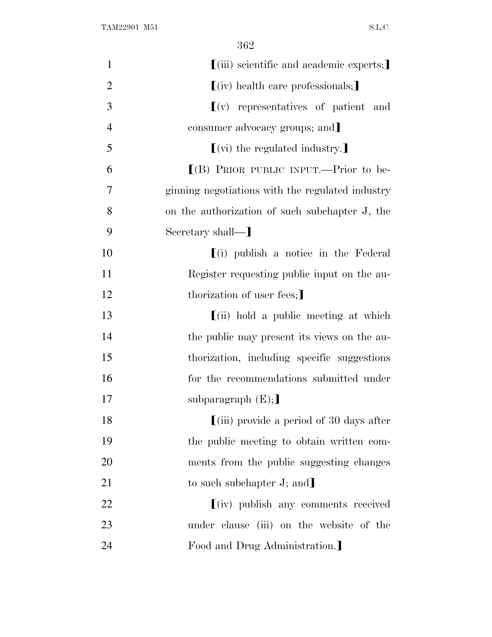| $\mathbf{1}$   | $\left[$ (iii) scientific and academic experts;                                    |
|----------------|------------------------------------------------------------------------------------|
| $\overline{2}$ | $(iv)$ health care professionals;                                                  |
| 3              | $\left[ \begin{matrix} 0 \\ 1 \end{matrix} \right]$ representatives of patient and |
| $\overline{4}$ | consumer advocacy groups; and                                                      |
| 5              | $\left[\right(\mathrm{vi})\right]$ the regulated industry.                         |
| 6              | $[(B)$ PRIOR PUBLIC INPUT.—Prior to be-                                            |
| 7              | ginning negotiations with the regulated industry                                   |
| 8              | on the authorization of such subchapter J, the                                     |
| 9              | Secretary shall-                                                                   |
| 10             | $(i)$ publish a notice in the Federal                                              |
| 11             | Register requesting public input on the au-                                        |
| 12             | thorization of user fees;                                                          |
| 13             | $\left[ \text{(ii)} \right]$ hold a public meeting at which                        |
| 14             | the public may present its views on the au-                                        |
| 15             | thorization, including specific suggestions                                        |
| 16             | for the recommendations submitted under                                            |
| 17             | subparagraph $(E);$                                                                |
| 18             | $\left[ \left( \mathrm{iii}\right) \right]$ provide a period of 30 days after      |
| 19             | the public meeting to obtain written com-                                          |
| 20             | ments from the public suggesting changes                                           |
| 21             | to such subchapter $J$ ; and                                                       |
| 22             | $\lfloor (iv) \rfloor$ publish any comments received                               |
| 23             | under clause (iii) on the website of the                                           |
| 24             | Food and Drug Administration.                                                      |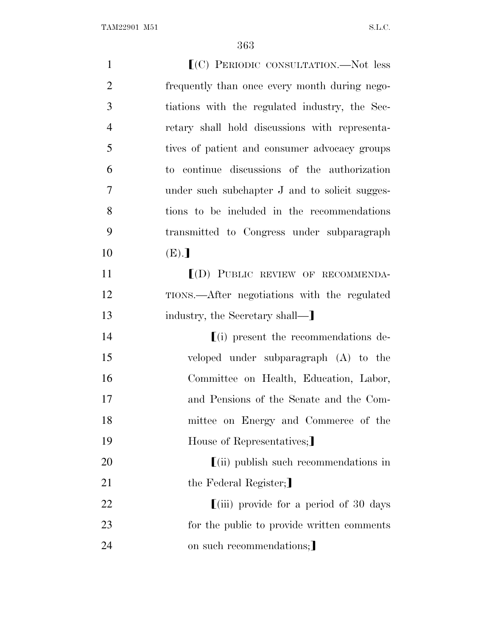| $\mathbf{1}$   | $(C)$ PERIODIC CONSULTATION.—Not less                                       |
|----------------|-----------------------------------------------------------------------------|
| $\overline{2}$ | frequently than once every month during nego-                               |
| 3              | tiations with the regulated industry, the Sec-                              |
| $\overline{4}$ | retary shall hold discussions with representa-                              |
| 5              | tives of patient and consumer advocacy groups                               |
| 6              | to continue discussions of the authorization                                |
| 7              | under such subchapter J and to solicit sugges-                              |
| 8              | tions to be included in the recommendations                                 |
| 9              | transmitted to Congress under subparagraph                                  |
| 10             | (E).                                                                        |
| 11             | $(D)$ PUBLIC REVIEW OF RECOMMENDA-                                          |
| 12             | TIONS.—After negotiations with the regulated                                |
| 13             | industry, the Secretary shall—                                              |
| 14             | $(i)$ present the recommendations de-                                       |
| 15             | veloped under subparagraph (A) to the                                       |
| 16             | Committee on Health, Education, Labor,                                      |
| 17             | and Pensions of the Senate and the Com-                                     |
| 18             | mittee on Energy and Commerce of the                                        |
| 19             | House of Representatives;                                                   |
| 20             | $\left[ \text{(ii)} \right]$ publish such recommendations in                |
| 21             | the Federal Register;                                                       |
| 22             | $\left[ \left( \mathrm{iii}\right) \right]$ provide for a period of 30 days |
| 23             | for the public to provide written comments                                  |
| 24             |                                                                             |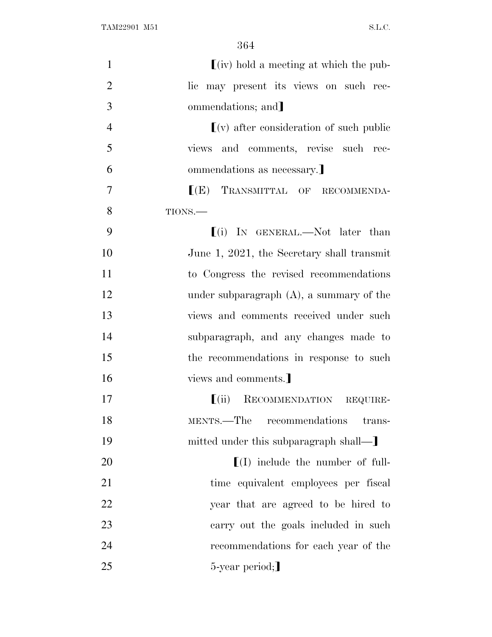| $\mathbf{1}$   | $(iv)$ hold a meeting at which the pub-                                    |
|----------------|----------------------------------------------------------------------------|
| $\overline{2}$ | lic may present its views on such rec-                                     |
| 3              | ommendations; and                                                          |
| $\overline{4}$ | $\left[ \mathrm{(v)} \right]$ after consideration of such public           |
| 5              | views and comments, revise such rec-                                       |
| 6              | ommendations as necessary.                                                 |
| $\overline{7}$ | $[$ (E) TRANSMITTAL OF RECOMMENDA-                                         |
| 8              | TIONS.                                                                     |
| 9              | $(i)$ In GENERAL.—Not later than                                           |
| 10             | June 1, 2021, the Secretary shall transmit                                 |
| 11             | to Congress the revised recommendations                                    |
| 12             | under subparagraph $(A)$ , a summary of the                                |
| 13             | views and comments received under such                                     |
| 14             | subparagraph, and any changes made to                                      |
| 15             | the recommendations in response to such                                    |
| 16             | views and comments.]                                                       |
| 17             | RECOMMENDATION REQUIRE-<br>$\lceil$ (ii)                                   |
| 18             | MENTS.—The recommendations<br>trans-                                       |
| 19             | mitted under this subparagraph shall—                                      |
| 20             | $\left[ \begin{matrix} 1 \end{matrix} \right]$ include the number of full- |
| 21             | time equivalent employees per fiscal                                       |
| 22             | year that are agreed to be hired to                                        |
| 23             | carry out the goals included in such                                       |
| 24             | recommendations for each year of the                                       |
| 25             | 5-year period;                                                             |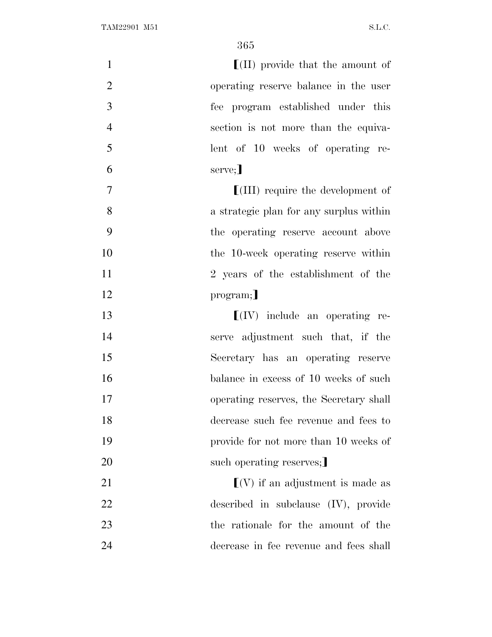$\left( \text{II} \right)$  provide that the amount of operating reserve balance in the user fee program established under this section is not more than the equiva- lent of 10 weeks of operating re- $6 \qquad \qquad \text{serve;}$ **IVE III** require the development of a strategic plan for any surplus within the operating reserve account above the 10-week operating reserve within 2 years of the establishment of the 12 program; **I**(IV) include an operating re- serve adjustment such that, if the Secretary has an operating reserve 16 balance in excess of 10 weeks of such operating reserves, the Secretary shall decrease such fee revenue and fees to provide for not more than 10 weeks of 20 such operating reserves;  $\lceil(V)\rceil$  if an adjustment is made as described in subclause (IV), provide the rationale for the amount of the decrease in fee revenue and fees shall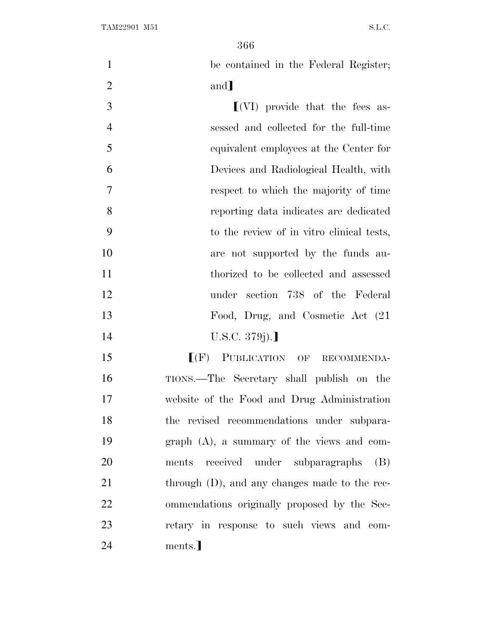| $\mathbf{1}$   | be contained in the Federal Register;                  |
|----------------|--------------------------------------------------------|
| $\overline{2}$ | and                                                    |
| 3              | $\left[ \text{(VI)} \right]$ provide that the fees as- |
| $\overline{4}$ | sessed and collected for the full-time                 |
| 5              | equivalent employees at the Center for                 |
| 6              | Devices and Radiological Health, with                  |
| $\overline{7}$ | respect to which the majority of time                  |
| 8              | reporting data indicates are dedicated                 |
| 9              | to the review of in vitro clinical tests,              |
| 10             | are not supported by the funds au-                     |
| 11             | thorized to be collected and assessed                  |
| 12             | under section 738 of the Federal                       |
| 13             | Food, Drug, and Cosmetic Act (21                       |
| 14             | U.S.C. 379j).]                                         |
| 15             | $I(F)$ PUBLICATION OF RECOMMENDA-                      |
| 16             | TIONS.—The Secretary shall publish on the              |
| 17             | website of the Food and Drug Administration            |
| 18             | the revised recommendations under subpara-             |
| 19             | $graph(A)$ , a summary of the views and com-           |
| 20             | ments received under subparagraphs<br>(B)              |
| 21             | through (D), and any changes made to the rec-          |
| 22             | ommendations originally proposed by the Sec-           |
| 23             | retary in response to such views and com-              |
| 24             | ments.]                                                |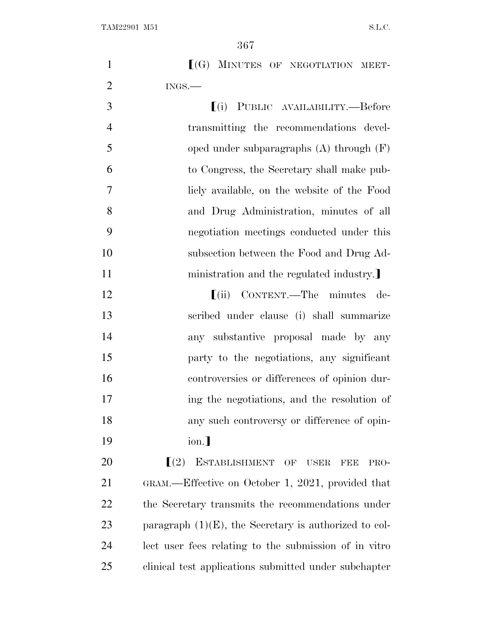| $\ $ (G) MINUTES OF NEGOTIATION MEET-   |
|-----------------------------------------|
| $INGS$ —                                |
| <b>[(i) PUBLIC AVAILABILITY.—Before</b> |

 transmitting the recommendations devel- oped under subparagraphs (A) through (F) to Congress, the Secretary shall make pub- licly available, on the website of the Food and Drug Administration, minutes of all negotiation meetings conducted under this subsection between the Food and Drug Ad-11 ministration and the regulated industry.

**IEC IVE CONTENT.—The minutes de-** scribed under clause (i) shall summarize any substantive proposal made by any party to the negotiations, any significant controversies or differences of opinion dur- ing the negotiations, and the resolution of any such controversy or difference of opin-19 ion.]

 $\Gamma(2)$  ESTABLISHMENT OF USER FEE PRO- GRAM.—Effective on October 1, 2021, provided that the Secretary transmits the recommendations under 23 paragraph  $(1)(E)$ , the Secretary is authorized to col- lect user fees relating to the submission of in vitro clinical test applications submitted under subchapter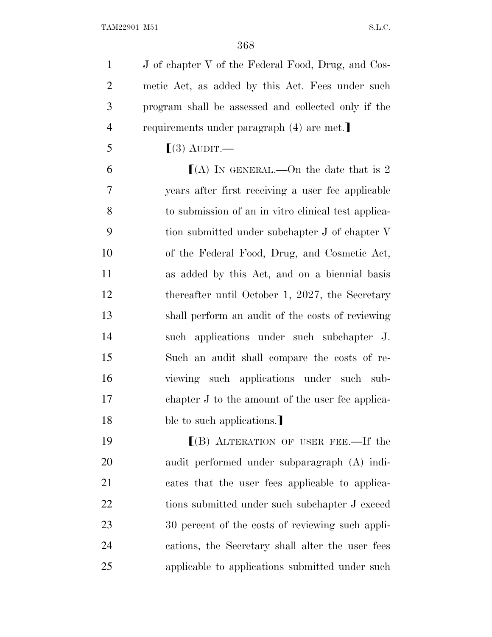J of chapter V of the Federal Food, Drug, and Cos- metic Act, as added by this Act. Fees under such program shall be assessed and collected only if the 4 requirements under paragraph (4) are met.

5  $\lceil(3) \text{ AUDIT.} \rceil$ 

 $(A)$  In GENERAL.—On the date that is 2 years after first receiving a user fee applicable to submission of an in vitro clinical test applica- tion submitted under subchapter J of chapter V of the Federal Food, Drug, and Cosmetic Act, as added by this Act, and on a biennial basis 12 thereafter until October 1, 2027, the Secretary shall perform an audit of the costs of reviewing such applications under such subchapter J. Such an audit shall compare the costs of re- viewing such applications under such sub- chapter J to the amount of the user fee applica-18 ble to such applications.

**ICE** (B) ALTERATION OF USER FEE.—If the audit performed under subparagraph (A) indi- cates that the user fees applicable to applica-22 tions submitted under such subchapter J exceed 30 percent of the costs of reviewing such appli- cations, the Secretary shall alter the user fees applicable to applications submitted under such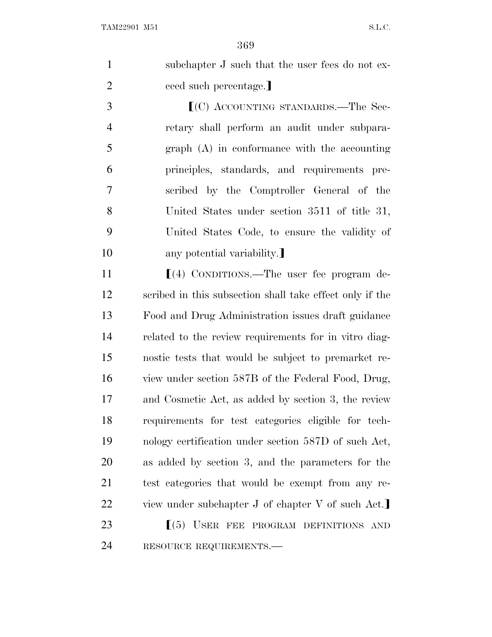| $\mathbf{1}$   | subchapter J such that the user fees do not ex- |
|----------------|-------------------------------------------------|
| $\overline{2}$ | ceed such percentage.                           |
| 3              | $(C)$ ACCOUNTING STANDARDS.—The Sec-            |
| $\overline{4}$ | retary shall perform an audit under subpara-    |
| 5 <sup>5</sup> | $graph(A)$ in conformance with the accounting   |
| 6              | principles, standards, and requirements pre-    |
| 7              | scribed by the Comptroller General of the       |
| 8              | United States under section 3511 of title 31,   |

 United States Code, to ensure the validity of 10 any potential variability.

11 [(4) CONDITIONS.—The user fee program de- scribed in this subsection shall take effect only if the Food and Drug Administration issues draft guidance related to the review requirements for in vitro diag- nostic tests that would be subject to premarket re- view under section 587B of the Federal Food, Drug, and Cosmetic Act, as added by section 3, the review requirements for test categories eligible for tech- nology certification under section 587D of such Act, as added by section 3, and the parameters for the test categories that would be exempt from any re-22 view under subchapter J of chapter V of such Act.

23  $\left[ (5)$  USER FEE PROGRAM DEFINITIONS AND RESOURCE REQUIREMENTS.—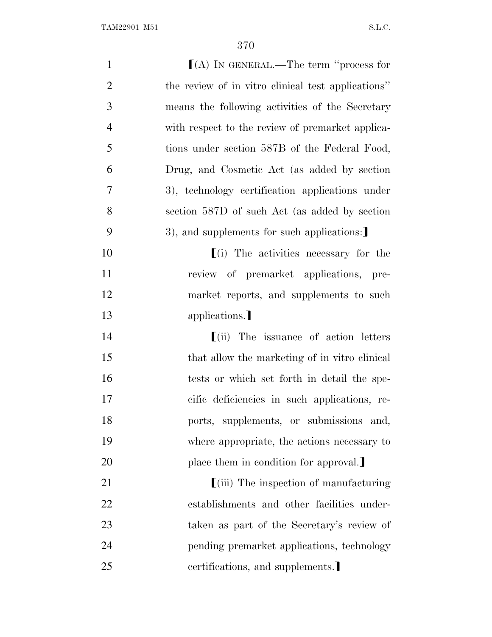| $\mathbf{1}$   | $(A)$ IN GENERAL.—The term "process for            |
|----------------|----------------------------------------------------|
| $\overline{2}$ | the review of in vitro clinical test applications" |
| 3              | means the following activities of the Secretary    |
| $\overline{4}$ | with respect to the review of premarket applica-   |
| 5              | tions under section 587B of the Federal Food,      |
| 6              | Drug, and Cosmetic Act (as added by section        |
| 7              | 3), technology certification applications under    |
| 8              | section 587D of such Act (as added by section      |
| 9              | 3), and supplements for such applications:         |
| 10             | $(i)$ The activities necessary for the             |
| 11             | review of premarket applications, pre-             |
| 12             | market reports, and supplements to such            |
| 13             | applications.                                      |
| 14             | $\lfloor$ (ii) The issuance of action letters      |
| 15             | that allow the marketing of in vitro clinical      |
| 16             | tests or which set forth in detail the spe-        |
| 17             | cific deficiencies in such applications, re-       |
| 18             | ports, supplements, or submissions and,            |
| 19             | where appropriate, the actions necessary to        |
| 20             | place them in condition for approval.              |
| 21             | <b>[(iii)</b> The inspection of manufacturing      |
| 22             | establishments and other facilities under-         |
| 23             | taken as part of the Secretary's review of         |
| 24             | pending premarket applications, technology         |
| 25             | certifications, and supplements.                   |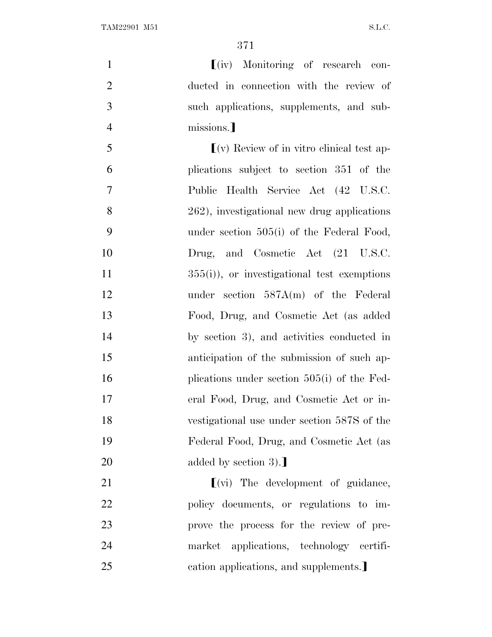| $\mathbf{1}$   | $(iv)$ Monitoring of research con-                               |
|----------------|------------------------------------------------------------------|
| $\overline{2}$ | ducted in connection with the review of                          |
| 3              | such applications, supplements, and sub-                         |
| $\overline{4}$ | missions.]                                                       |
| 5              | $\lfloor$ (v) Review of in vitro clinical test ap-               |
| 6              | plications subject to section 351 of the                         |
| $\tau$         | Public Health Service Act (42 U.S.C.                             |
| 8              | 262), investigational new drug applications                      |
| 9              | under section $505(i)$ of the Federal Food,                      |
| 10             | Drug, and Cosmetic Act (21 U.S.C.                                |
| 11             | $355(i)$ , or investigational test exemptions                    |
| 12             | under section $587A(m)$ of the Federal                           |
| 13             | Food, Drug, and Cosmetic Act (as added                           |
| 14             | by section 3), and activities conducted in                       |
| 15             | anticipation of the submission of such ap-                       |
| 16             | plications under section $505(i)$ of the Fed-                    |
| 17             | eral Food, Drug, and Cosmetic Act or in-                         |
| 18             | vestigational use under section 587S of the                      |
| 19             | Federal Food, Drug, and Cosmetic Act (as                         |
| 20             | added by section $3$ ).                                          |
| 21             | $\left[ \right( \mathrm{vi}\right)$ The development of guidance, |
| 22             | policy documents, or regulations to im-                          |
| 23             | prove the process for the review of pre-                         |
| 24             | market applications, technology certifi-                         |
| 25             | cation applications, and supplements.                            |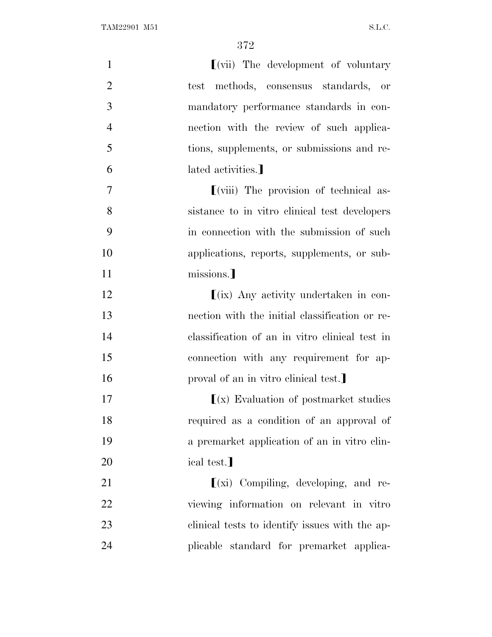| $\mathbf{1}$   | $\left[\right($ vii) The development of voluntary            |
|----------------|--------------------------------------------------------------|
| $\overline{2}$ | test methods, consensus standards, or                        |
| 3              | mandatory performance standards in con-                      |
| $\overline{4}$ | nection with the review of such applica-                     |
| 5              | tions, supplements, or submissions and re-                   |
| 6              | lated activities.                                            |
| $\tau$         | $\left[\right($ <i>viii</i> ) The provision of technical as- |
| 8              | sistance to in vitro clinical test developers                |
| 9              | in connection with the submission of such                    |
| 10             | applications, reports, supplements, or sub-                  |
| 11             | missions.]                                                   |
| 12             | $\lfloor$ (ix) Any activity undertaken in con-               |
| 13             | nection with the initial classification or re-               |
| 14             | classification of an in vitro clinical test in               |
| 15             | connection with any requirement for ap-                      |
| 16             | proval of an in vitro clinical test.                         |
| 17             | $(x)$ Evaluation of postmarket studies                       |
| 18             | required as a condition of an approval of                    |
| 19             | a premarket application of an in vitro clin-                 |
| 20             | ical test.]                                                  |
| 21             | $(xi)$ Compiling, developing, and re-                        |
| 22             | viewing information on relevant in vitro                     |
| 23             | clinical tests to identify issues with the ap-               |
| 24             | plicable standard for premarket applica-                     |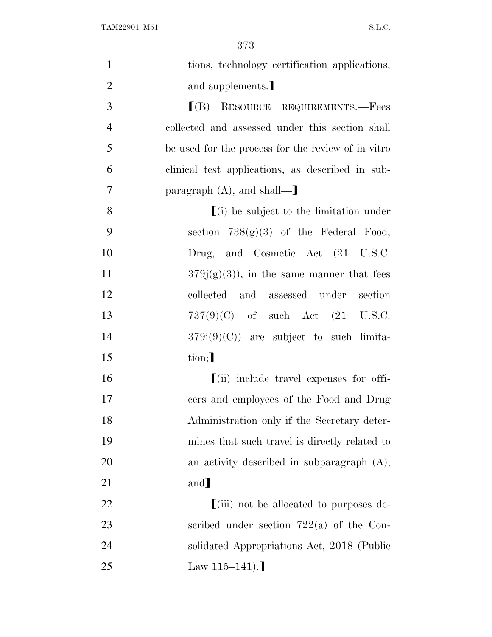| $\mathbf{1}$   | tions, technology certification applications,            |
|----------------|----------------------------------------------------------|
| $\overline{2}$ | and supplements.                                         |
| 3              | $I(B)$ RESOURCE REQUIREMENTS.—Fees                       |
| $\overline{4}$ | collected and assessed under this section shall          |
| 5              | be used for the process for the review of in vitro       |
| 6              | clinical test applications, as described in sub-         |
| $\tau$         | paragraph $(A)$ , and shall—                             |
| 8              | $(i)$ be subject to the limitation under                 |
| 9              | section $738(g)(3)$ of the Federal Food,                 |
| 10             | Drug, and Cosmetic Act (21 U.S.C.                        |
| 11             | $379j(g)(3)$ , in the same manner that fees              |
| 12             | collected and assessed under section                     |
| 13             | $737(9)(C)$ of such Act $(21 \text{ U.S.C.})$            |
| 14             | $379i(9)(C)$ are subject to such limita-                 |
| 15             | tion;                                                    |
| 16             | $\left[$ (ii) include travel expenses for offi-          |
| 17             | cers and employees of the Food and Drug                  |
| 18             | Administration only if the Secretary deter-              |
| 19             | mines that such travel is directly related to            |
| 20             | an activity described in subparagraph $(A)$ ;            |
| 21             | and]                                                     |
| 22             | $\lim_{\epsilon \to 0}$ not be allocated to purposes de- |
| 23             | scribed under section $722(a)$ of the Con-               |
| 24             | solidated Appropriations Act, 2018 (Public               |
| 25             | Law $115-141$ ).                                         |
|                |                                                          |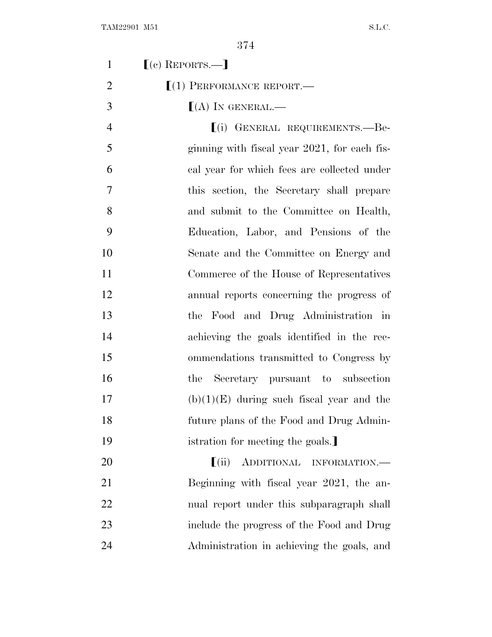| $\mathbf{1}$   | $(c)$ REPORTS.—                                        |
|----------------|--------------------------------------------------------|
| $\overline{2}$ | $(1)$ PERFORMANCE REPORT.—                             |
| 3              | $(A)$ In GENERAL.—                                     |
| $\overline{4}$ | [(i) GENERAL REQUIREMENTS.—Be-                         |
| 5              | ginning with fiscal year 2021, for each fis-           |
| 6              | cal year for which fees are collected under            |
| 7              | this section, the Secretary shall prepare              |
| 8              | and submit to the Committee on Health,                 |
| 9              | Education, Labor, and Pensions of the                  |
| 10             | Senate and the Committee on Energy and                 |
| 11             | Commerce of the House of Representatives               |
| 12             | annual reports concerning the progress of              |
| 13             | the Food and Drug Administration in                    |
| 14             | achieving the goals identified in the rec-             |
| 15             | ommendations transmitted to Congress by                |
| 16             | Secretary pursuant to subsection<br>the                |
| 17             | $(b)(1)(E)$ during such fiscal year and the            |
| 18             | future plans of the Food and Drug Admin-               |
| 19             | istration for meeting the goals.                       |
| 20             | $\left( \text{ii} \right)$<br>ADDITIONAL INFORMATION.- |
| 21             | Beginning with fiscal year 2021, the an-               |
| 22             | nual report under this subparagraph shall              |
| 23             | include the progress of the Food and Drug              |
| 24             | Administration in achieving the goals, and             |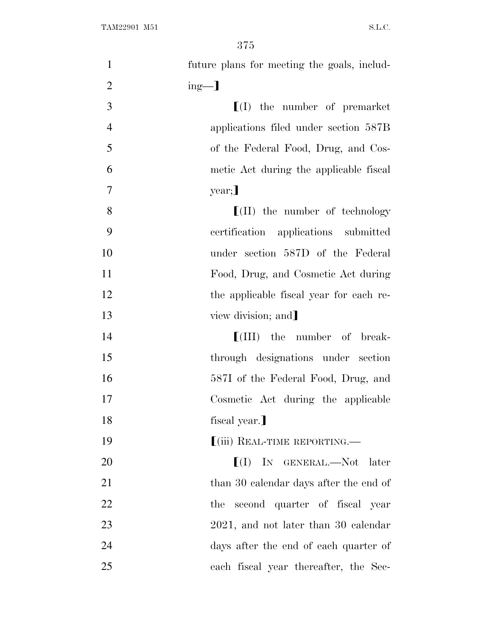| $\mathbf{1}$   | future plans for meeting the goals, includ- |
|----------------|---------------------------------------------|
| $\overline{2}$ | $ing-$ ]                                    |
| 3              | $\llbracket$ (I) the number of premarket    |
| $\overline{4}$ | applications filed under section 587B       |
| 5              | of the Federal Food, Drug, and Cos-         |
| 6              | metic Act during the applicable fiscal      |
| $\tau$         | year;                                       |
| 8              | $\lfloor$ (II) the number of technology     |
| 9              | certification applications submitted        |
| 10             | under section 587D of the Federal           |
| 11             | Food, Drug, and Cosmetic Act during         |
| 12             | the applicable fiscal year for each re-     |
| 13             | view division; and                          |
| 14             | $[$ (III) the number of break-              |
| 15             | through designations under section          |
| 16             | 587I of the Federal Food, Drug, and         |
| 17             | Cosmetic Act during the applicable          |
| 18             | fiscal year.]                               |
| 19             | [(iii) REAL-TIME REPORTING.—                |
| 20             | $[I]$ IN GENERAL.—Not later                 |
| 21             | than 30 calendar days after the end of      |
| 22             | the second quarter of fiscal year           |
| 23             | $2021$ , and not later than 30 calendar     |
| 24             | days after the end of each quarter of       |
| 25             | each fiscal year thereafter, the Sec-       |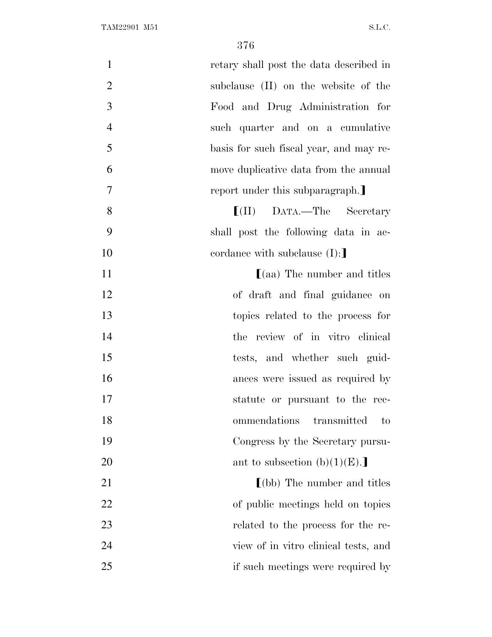| $\mathbf{1}$   | retary shall post the data described in |
|----------------|-----------------------------------------|
| $\overline{2}$ | subclause (II) on the website of the    |
| 3              | Food and Drug Administration for        |
| $\overline{4}$ | such quarter and on a cumulative        |
| 5              | basis for such fiscal year, and may re- |
| 6              | move duplicative data from the annual   |
| $\tau$         | report under this subparagraph.         |
| 8              | $[ (II)$ DATA.—The Secretary            |
| 9              | shall post the following data in ac-    |
| 10             | cordance with subclause $(I)$ :         |
| 11             | $(aa)$ The number and titles            |
| 12             | of draft and final guidance on          |
| 13             | topics related to the process for       |
| 14             | the review of in vitro clinical         |
| 15             | tests, and whether such guid-           |
| 16             | ances were issued as required by        |
| 17             | statute or pursuant to the rec-         |
| 18             | ommendations<br>transmitted<br>to       |
| 19             | Congress by the Secretary pursu-        |
| 20             | ant to subsection $(b)(1)(E)$ .         |
| 21             | $\Gamma$ (bb) The number and titles     |
| 22             | of public meetings held on topics       |
| 23             | related to the process for the re-      |
| 24             | view of in vitro clinical tests, and    |
| 25             | if such meetings were required by       |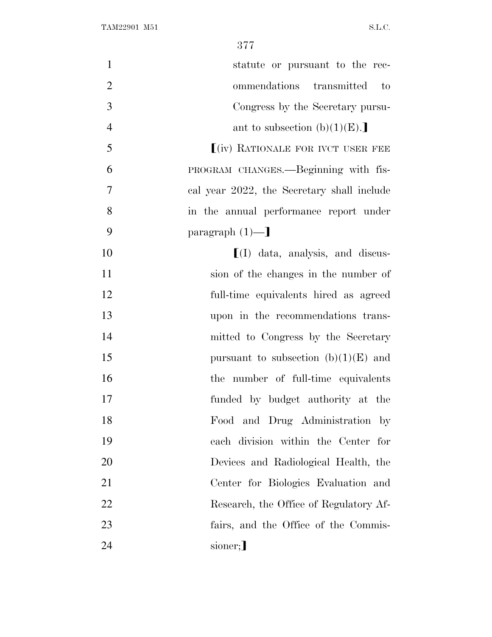| $\mathbf{1}$   | statute or pursuant to the rec-            |
|----------------|--------------------------------------------|
| $\overline{2}$ | ommendations transmitted<br>$\qquad$ to    |
| 3              | Congress by the Secretary pursu-           |
| $\overline{4}$ | ant to subsection $(b)(1)(E)$ .            |
| 5              | $(iv)$ RATIONALE FOR IVCT USER FEE         |
| 6              | PROGRAM CHANGES.-Beginning with fis-       |
| $\tau$         | cal year 2022, the Secretary shall include |
| 8              | in the annual performance report under     |
| 9              | paragraph $(1)$ —                          |
| 10             | $\left[ (I)$ data, analysis, and discus-   |
| 11             | sion of the changes in the number of       |
| 12             | full-time equivalents hired as agreed      |
| 13             | upon in the recommendations trans-         |
| 14             | mitted to Congress by the Secretary        |
| 15             | pursuant to subsection $(b)(1)(E)$ and     |
| 16             | the number of full-time equivalents        |
| 17             | funded by budget authority at the          |
| 18             | Food and Drug Administration by            |
| 19             | each division within the Center for        |
| 20             | Devices and Radiological Health, the       |
| 21             | Center for Biologies Evaluation and        |
| 22             | Research, the Office of Regulatory Af-     |
| 23             | fairs, and the Office of the Commis-       |
| 24             | sioner;                                    |
|                |                                            |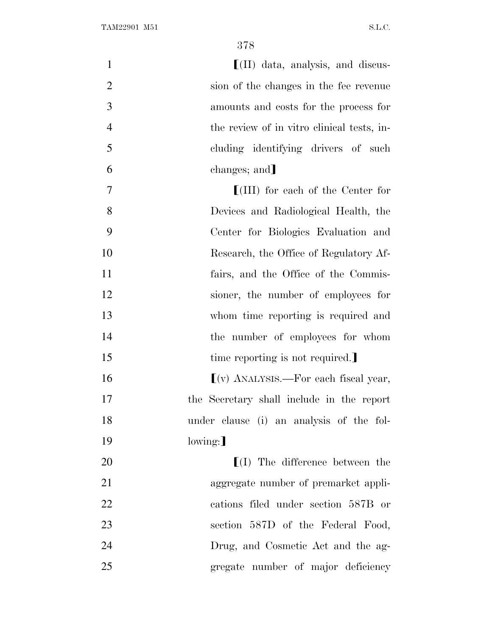**I**(II) data, analysis, and discus- sion of the changes in the fee revenue amounts and costs for the process for the review of in vitro clinical tests, in- cluding identifying drivers of such 6 changes; and **If III**) for each of the Center for Devices and Radiological Health, the Center for Biologics Evaluation and Research, the Office of Regulatory Af- fairs, and the Office of the Commis- sioner, the number of employees for whom time reporting is required and 14 the number of employees for whom 15 time reporting is not required.  $\lceil (v) \text{ ANALYSIS.} - \text{For each fiscal year,}$  the Secretary shall include in the report under clause (i) an analysis of the fol-19 lowing:  $\Gamma(I)$  The difference between the aggregate number of premarket appli- cations filed under section 587B or 23 section 587D of the Federal Food, Drug, and Cosmetic Act and the ag-gregate number of major deficiency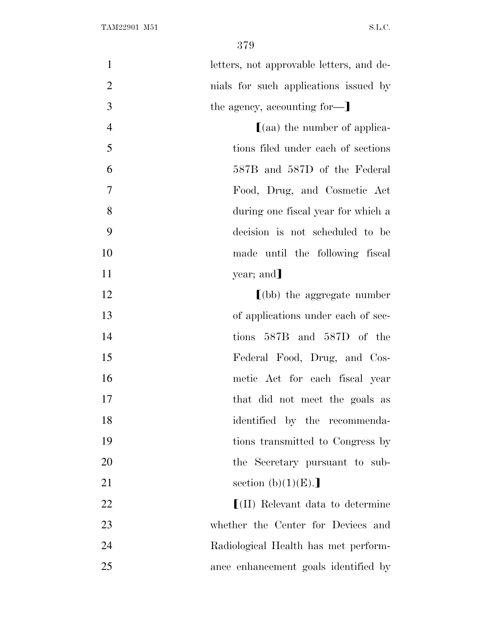letters, not approvable letters, and de- nials for such applications issued by 3 the agency, accounting for-**a b**(aa) the number of applica- tions filed under each of sections 587B and 587D of the Federal Food, Drug, and Cosmetic Act during one fiscal year for which a decision is not scheduled to be made until the following fiscal 11 year; and 12 (bb) the aggregate number 13 of applications under each of sec- tions 587B and 587D of the Federal Food, Drug, and Cos- metic Act for each fiscal year 17 that did not meet the goals as identified by the recommenda- tions transmitted to Congress by the Secretary pursuant to sub-21 section  $(b)(1)(E)$ .  $\left[ \text{(II)} \right]$  Relevant data to determine whether the Center for Devices and Radiological Health has met perform-ance enhancement goals identified by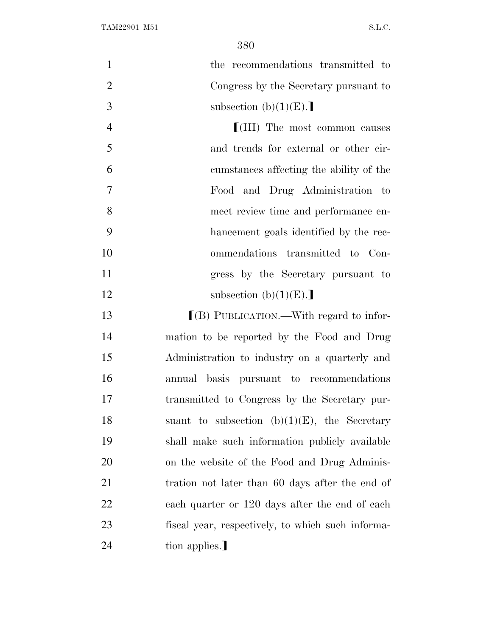| $\mathbf{1}$   | the recommendations transmitted to                |
|----------------|---------------------------------------------------|
| $\overline{2}$ | Congress by the Secretary pursuant to             |
| $\mathfrak{Z}$ | subsection $(b)(1)(E)$ .                          |
| 4              | $\lfloor$ (III) The most common causes            |
| 5              | and trends for external or other cir-             |
| 6              | cumstances affecting the ability of the           |
| $\tau$         | Food and Drug Administration to                   |
| 8              | meet review time and performance en-              |
| 9              | hancement goals identified by the rec-            |
| 10             | ommendations transmitted to Con-                  |
| 11             | gress by the Secretary pursuant to                |
| 12             | subsection $(b)(1)(E)$ .                          |
| 13             | $[(B)$ PUBLICATION.—With regard to infor-         |
| 14             | mation to be reported by the Food and Drug        |
| 15             | Administration to industry on a quarterly and     |
| 16             | annual basis pursuant to recommendations          |
| 17             | transmitted to Congress by the Secretary pur-     |
| 18             | suant to subsection $(b)(1)(E)$ , the Secretary   |
| 19             | shall make such information publicly available    |
| 20             | on the website of the Food and Drug Adminis-      |
| 21             | tration not later than 60 days after the end of   |
| 22             | each quarter or 120 days after the end of each    |
| 23             | fiscal year, respectively, to which such informa- |
| 24             | tion applies.                                     |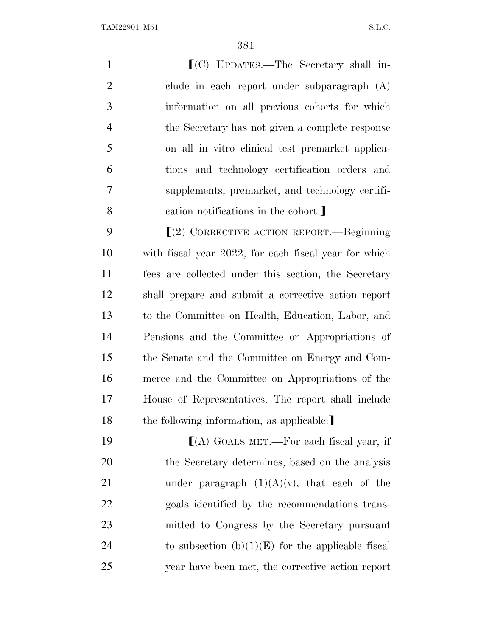TAM22901 M51 S.L.C.

**I**(C) UPDATES.—The Secretary shall in- clude in each report under subparagraph (A) information on all previous cohorts for which the Secretary has not given a complete response on all in vitro clinical test premarket applica- tions and technology certification orders and supplements, premarket, and technology certifi-8 cation notifications in the cohort.

**Secondary CORRECTIVE ACTION REPORT.**—Beginning with fiscal year 2022, for each fiscal year for which fees are collected under this section, the Secretary shall prepare and submit a corrective action report to the Committee on Health, Education, Labor, and Pensions and the Committee on Appropriations of the Senate and the Committee on Energy and Com- merce and the Committee on Appropriations of the House of Representatives. The report shall include 18 the following information, as applicable:

**IVERT**(A) GOALS MET.—For each fiscal year, if the Secretary determines, based on the analysis 21 under paragraph  $(1)(A)(v)$ , that each of the goals identified by the recommendations trans- mitted to Congress by the Secretary pursuant 24 to subsection  $(b)(1)(E)$  for the applicable fiscal year have been met, the corrective action report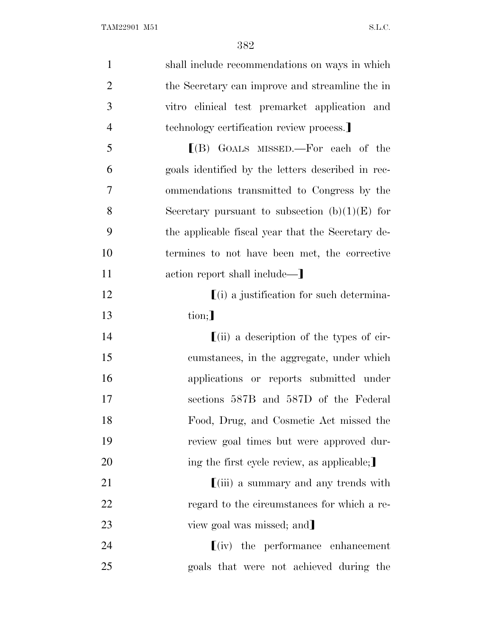| $\mathbf{1}$   | shall include recommendations on ways in which                    |
|----------------|-------------------------------------------------------------------|
| $\overline{2}$ | the Secretary can improve and streamline the in                   |
| 3              | vitro clinical test premarket application and                     |
| $\overline{4}$ | technology certification review process.                          |
| 5              | $[(B)$ GOALS MISSED.—For each of the                              |
| 6              | goals identified by the letters described in rec-                 |
| $\overline{7}$ | ommendations transmitted to Congress by the                       |
| 8              | Secretary pursuant to subsection $(b)(1)(E)$ for                  |
| 9              | the applicable fiscal year that the Secretary de-                 |
| 10             | termines to not have been met, the corrective                     |
| 11             | action report shall include—                                      |
| 12             | $(i)$ a justification for such determina-                         |
| 13             | $\text{tion}$ ;                                                   |
| 14             | $\left[ \text{(ii)} \right]$ a description of the types of cir-   |
| 15             | cumstances, in the aggregate, under which                         |
| 16             | applications or reports submitted under                           |
| 17             | sections 587B and 587D of the Federal                             |
| 18             | Food, Drug, and Cosmetic Act missed the                           |
| 19             | review goal times but were approved dur-                          |
| 20             | ing the first cycle review, as applicable;                        |
| 21             | $\left[ \left( \mathrm{iii}\right)$ a summary and any trends with |
| 22             | regard to the circumstances for which a re-                       |
| 23             | view goal was missed; and                                         |
| 24             | $\lfloor (iv) \rfloor$ the performance enhancement                |
| 25             | goals that were not achieved during the                           |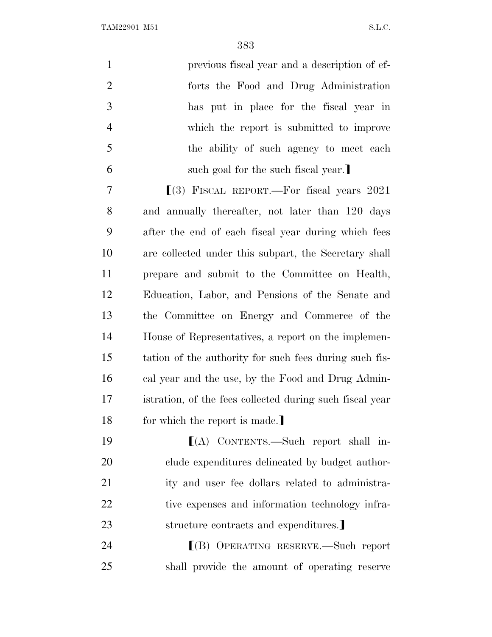TAM22901 M51 S.L.C.

| $\mathbf{1}$   | previous fiscal year and a description of ef-            |
|----------------|----------------------------------------------------------|
| $\overline{2}$ | forts the Food and Drug Administration                   |
| 3              | has put in place for the fiscal year in                  |
| $\overline{4}$ | which the report is submitted to improve                 |
| 5              | the ability of such agency to meet each                  |
| 6              | such goal for the such fiscal year.                      |
| 7              | $(3)$ FISCAL REPORT.—For fiscal years 2021               |
| 8              | and annually thereafter, not later than 120 days         |
| 9              | after the end of each fiscal year during which fees      |
| 10             | are collected under this subpart, the Secretary shall    |
| 11             | prepare and submit to the Committee on Health,           |
| 12             | Education, Labor, and Pensions of the Senate and         |
| 13             | the Committee on Energy and Commerce of the              |
| 14             | House of Representatives, a report on the implemen-      |
| 15             | tation of the authority for such fees during such fis-   |
| 16             | cal year and the use, by the Food and Drug Admin-        |
| 17             | istration, of the fees collected during such fiscal year |
| 18             | for which the report is made.]                           |
| 19             | $[(A)$ CONTENTS.—Such report shall in-                   |
| <b>20</b>      | clude expenditures delineated by budget author-          |
| 21             | ity and user fee dollars related to administra-          |
| 22             | tive expenses and information technology infra-          |
| 23             | structure contracts and expenditures.                    |
| 24             | $[(B)$ OPERATING RESERVE.—Such report                    |
| 25             | shall provide the amount of operating reserve            |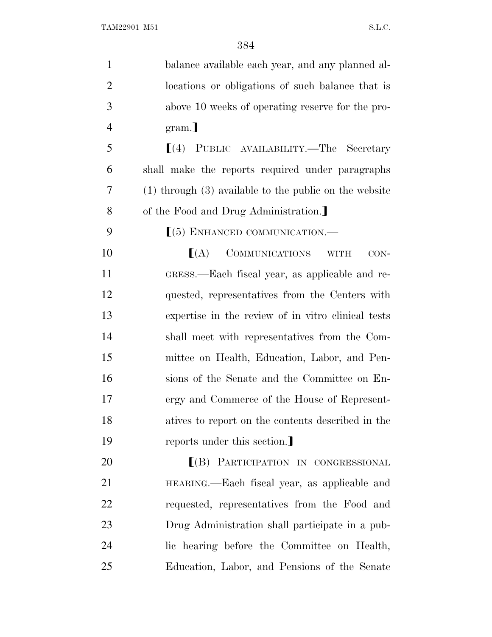| $\mathbf{1}$   | balance available each year, and any planned al-                 |
|----------------|------------------------------------------------------------------|
| $\overline{2}$ | locations or obligations of such balance that is                 |
| 3              | above 10 weeks of operating reserve for the pro-                 |
| $\overline{4}$ | gram.]                                                           |
| 5              | [(4) PUBLIC AVAILABILITY.—The Secretary                          |
| 6              | shall make the reports required under paragraphs                 |
| 7              | $(1)$ through $(3)$ available to the public on the website       |
| 8              | of the Food and Drug Administration.                             |
| 9              | $(5)$ ENHANCED COMMUNICATION.—                                   |
| 10             | COMMUNICATIONS<br>$\lfloor (A) \rfloor$<br>$CON-$<br><b>WITH</b> |
| 11             | GRESS.—Each fiscal year, as applicable and re-                   |
| 12             | quested, representatives from the Centers with                   |
| 13             | expertise in the review of in vitro clinical tests               |
| 14             | shall meet with representatives from the Com-                    |
| 15             | mittee on Health, Education, Labor, and Pen-                     |
| 16             | sions of the Senate and the Committee on En-                     |
| 17             | ergy and Commerce of the House of Represent-                     |
| 18             | atives to report on the contents described in the                |
| 19             | reports under this section.                                      |
| 20             | [(B) PARTICIPATION IN CONGRESSIONAL                              |
| 21             | HEARING.—Each fiscal year, as applicable and                     |
| 22             | requested, representatives from the Food and                     |
| 23             | Drug Administration shall participate in a pub-                  |
| 24             | lic hearing before the Committee on Health,                      |
| 25             | Education, Labor, and Pensions of the Senate                     |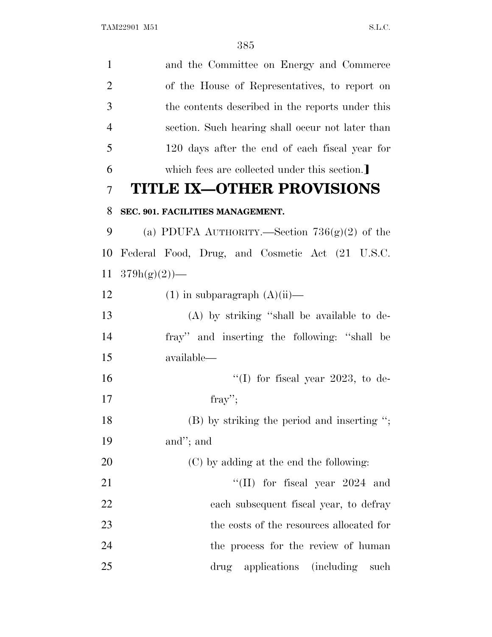| $\mathbf{1}$   | and the Committee on Energy and Commerce         |
|----------------|--------------------------------------------------|
| $\overline{2}$ | of the House of Representatives, to report on    |
| 3              | the contents described in the reports under this |
| $\overline{4}$ | section. Such hearing shall occur not later than |
| 5              | 120 days after the end of each fiscal year for   |
| 6              | which fees are collected under this section.     |
| 7              | <b>TITLE IX-OTHER PROVISIONS</b>                 |
| 8              | SEC. 901. FACILITIES MANAGEMENT.                 |
| 9              | (a) PDUFA AUTHORITY.—Section $736(g)(2)$ of the  |
| 10             | Federal Food, Drug, and Cosmetic Act (21 U.S.C.  |
| <sup>11</sup>  | $379h(g)(2)$ —                                   |
| 12             | $(1)$ in subparagraph $(A)(ii)$ —                |
| 13             | (A) by striking "shall be available to de-       |
| 14             | fray" and inserting the following: "shall be     |
| 15             | available—                                       |
| 16             | "(I) for fiscal year 2023, to de-                |
| 17             | fray";                                           |
| 18             | $(B)$ by striking the period and inserting ";    |
| 19             | and"; and                                        |
| 20             | (C) by adding at the end the following:          |
| 21             | "(II) for fiscal year $2024$ and                 |
| 22             | each subsequent fiscal year, to defray           |
| 23             | the costs of the resources allocated for         |
| 24             | the process for the review of human              |
| 25             | drug applications (including<br>such             |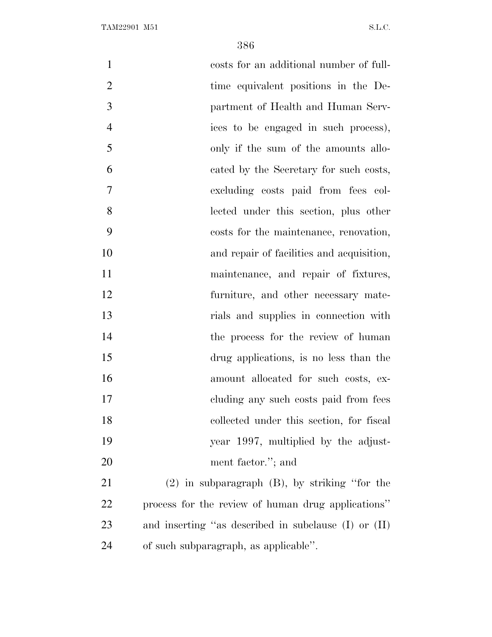| $\mathbf{1}$   | costs for an additional number of full-              |
|----------------|------------------------------------------------------|
| $\overline{2}$ | time equivalent positions in the De-                 |
| 3              | partment of Health and Human Serv-                   |
| $\overline{4}$ | ices to be engaged in such process),                 |
| 5              | only if the sum of the amounts allo-                 |
| 6              | cated by the Secretary for such costs,               |
| 7              | excluding costs paid from fees col-                  |
| 8              | lected under this section, plus other                |
| 9              | costs for the maintenance, renovation,               |
| 10             | and repair of facilities and acquisition,            |
| 11             | maintenance, and repair of fixtures,                 |
| 12             | furniture, and other necessary mate-                 |
| 13             | rials and supplies in connection with                |
| 14             | the process for the review of human                  |
| 15             | drug applications, is no less than the               |
| 16             | amount allocated for such costs, ex-                 |
| 17             | cluding any such costs paid from fees                |
| 18             | collected under this section, for fiscal             |
| 19             | year 1997, multiplied by the adjust-                 |
| 20             | ment factor."; and                                   |
| 21             | $(2)$ in subparagraph $(B)$ , by striking "for the   |
| 22             | process for the review of human drug applications"   |
| 23             | and inserting "as described in subclause (I) or (II) |
| 24             | of such subparagraph, as applicable".                |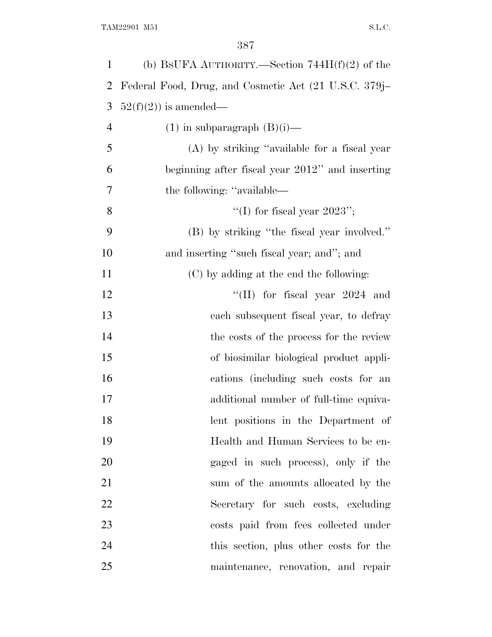| $\mathbf{1}$   | (b) BSUFA AUTHORITY.—Section $744H(f)(2)$ of the      |
|----------------|-------------------------------------------------------|
| 2              | Federal Food, Drug, and Cosmetic Act (21 U.S.C. 379j– |
| 3              | $52(f)(2)$ is amended—                                |
| $\overline{4}$ | $(1)$ in subparagraph $(B)(i)$ —                      |
| 5              | (A) by striking "available for a fiscal year          |
| 6              | beginning after fiscal year 2012" and inserting       |
| 7              | the following: "available—                            |
| 8              | "(I) for fiscal year $2023"$ ;                        |
| 9              | (B) by striking "the fiscal year involved."           |
| 10             | and inserting "such fiscal year; and"; and            |
| 11             | (C) by adding at the end the following:               |
| 12             | "(II) for fiscal year $2024$ and                      |
| 13             | each subsequent fiscal year, to defray                |
| 14             | the costs of the process for the review               |
| 15             | of biosimilar biological product appli-               |
| 16             | cations (including such costs for an                  |
| 17             | additional number of full-time equiva-                |
| 18             | lent positions in the Department of                   |
| 19             | Health and Human Services to be en-                   |
| 20             | gaged in such process), only if the                   |
| 21             | sum of the amounts allocated by the                   |
| 22             | Secretary for such costs, excluding                   |
| 23             | costs paid from fees collected under                  |
| 24             | this section, plus other costs for the                |
| 25             | maintenance, renovation, and repair                   |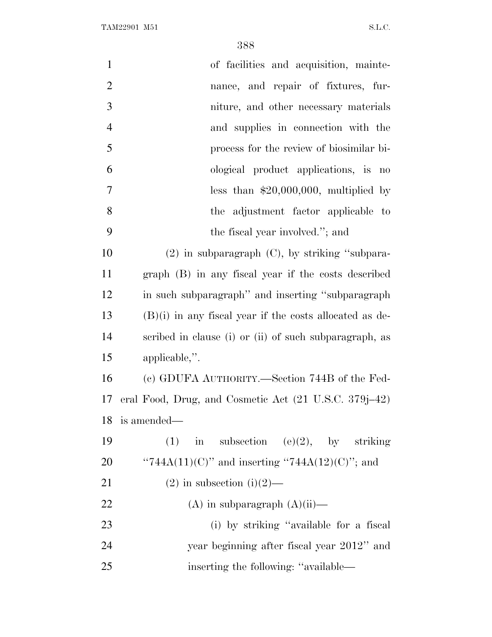| $\mathbf{1}$   | of facilities and acquisition, mainte-                    |
|----------------|-----------------------------------------------------------|
| $\overline{2}$ | nance, and repair of fixtures, fur-                       |
| 3              | niture, and other necessary materials                     |
| $\overline{4}$ | and supplies in connection with the                       |
| 5              | process for the review of biosimilar bi-                  |
| 6              | ological product applications, is no                      |
| $\tau$         | less than $$20,000,000$ , multiplied by                   |
| 8              | the adjustment factor applicable to                       |
| 9              | the fiscal year involved."; and                           |
| 10             | $(2)$ in subparagraph $(C)$ , by striking "subpara-       |
| 11             | graph (B) in any fiscal year if the costs described       |
| 12             | in such subparagraph" and inserting "subparagraph"        |
| 13             | $(B)(i)$ in any fiscal year if the costs allocated as de- |
| 14             | scribed in clause (i) or (ii) of such subparagraph, as    |
| 15             | applicable,".                                             |
| 16             | (c) GDUFA AUTHORITY.—Section 744B of the Fed-             |
| 17             | eral Food, Drug, and Cosmetic Act (21 U.S.C. 379j–42)     |
| 18             | is amended—                                               |
| 19             | in subsection (e)(2), by striking<br>(1)                  |
| 20             | "744A(11)(C)" and inserting "744A(12)(C)"; and            |
| 21             | $(2)$ in subsection $(i)(2)$ —                            |
| 22             | $(A)$ in subparagraph $(A)(ii)$ —                         |
| 23             | (i) by striking "available for a fiscal                   |
| 24             | year beginning after fiscal year 2012" and                |
| 25             | inserting the following: "available—                      |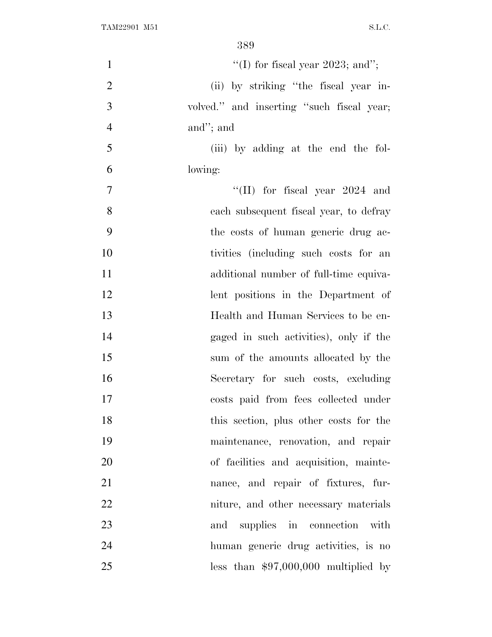| $\mathbf{1}$   | "(I) for fiscal year 2023; and";          |
|----------------|-------------------------------------------|
| $\overline{2}$ | (ii) by striking "the fiscal year in-     |
| 3              | volved." and inserting "such fiscal year; |
| $\overline{4}$ | and"; and                                 |
| 5              | (iii) by adding at the end the fol-       |
| 6              | lowing:                                   |
| $\overline{7}$ | "(II) for fiscal year $2024$ and          |
| 8              | each subsequent fiscal year, to defray    |
| 9              | the costs of human generic drug ac-       |
| 10             | tivities (including such costs for an     |
| 11             | additional number of full-time equiva-    |
| 12             | lent positions in the Department of       |
| 13             | Health and Human Services to be en-       |
| 14             | gaged in such activities), only if the    |
| 15             | sum of the amounts allocated by the       |
| 16             | Secretary for such costs, excluding       |
| 17             | costs paid from fees collected under      |
| 18             | this section, plus other costs for the    |
| 19             | maintenance, renovation, and repair       |
| 20             | of facilities and acquisition, mainte-    |
| 21             | nance, and repair of fixtures, fur-       |
| 22             | niture, and other necessary materials     |
| 23             | and supplies in connection with           |
| 24             | human generic drug activities, is no      |
| 25             | less than $$97,000,000$ multiplied by     |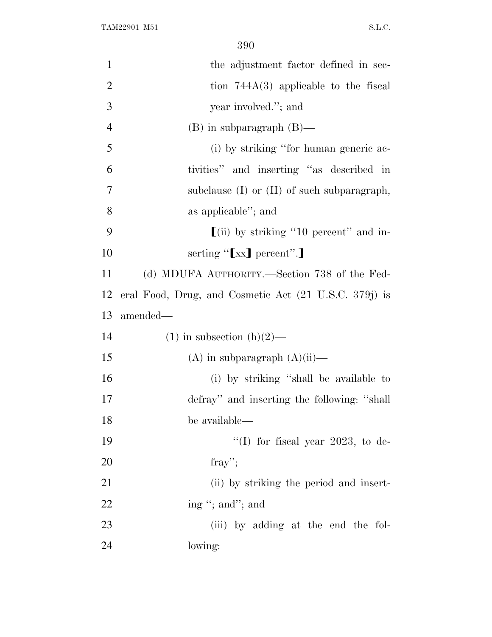| $\mathbf{1}$   | the adjustment factor defined in sec-                 |
|----------------|-------------------------------------------------------|
| $\overline{2}$ | tion $744A(3)$ applicable to the fiscal               |
| 3              | year involved."; and                                  |
| $\overline{4}$ | $(B)$ in subparagraph $(B)$ —                         |
| 5              | (i) by striking "for human generic ac-                |
| 6              | tivities" and inserting "as described in              |
| 7              | subclause $(I)$ or $(II)$ of such subparagraph,       |
| 8              | as applicable"; and                                   |
| 9              | $\left[$ (ii) by striking "10 percent" and in-        |
| 10             | serting "[xx] percent".]                              |
| 11             | (d) MDUFA AUTHORITY.—Section 738 of the Fed-          |
| 12             | eral Food, Drug, and Cosmetic Act (21 U.S.C. 379j) is |
|                |                                                       |
| 13             | amended—                                              |
| 14             | $(1)$ in subsection $(h)(2)$ —                        |
| 15             | $(A)$ in subparagraph $(A)(ii)$ —                     |
| 16             | (i) by striking "shall be available to                |
| 17             | defray" and inserting the following: "shall           |
| 18             | be available—                                         |
| 19             | "(I) for fiscal year 2023, to de-                     |
| 20             | fray";                                                |
| 21             | (ii) by striking the period and insert-               |
| 22             | ing "; and"; and                                      |
| 23             | (iii) by adding at the end the fol-                   |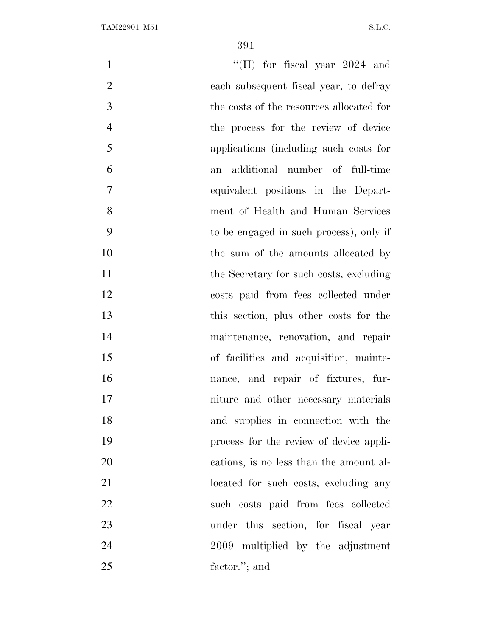| $\mathbf{1}$   | "(II) for fiscal year $2024$ and         |
|----------------|------------------------------------------|
| $\overline{2}$ | each subsequent fiscal year, to defray   |
| 3              | the costs of the resources allocated for |
| $\overline{4}$ | the process for the review of device     |
| 5              | applications (including such costs for   |
| 6              | additional number of full-time<br>an     |
| $\tau$         | equivalent positions in the Depart-      |
| 8              | ment of Health and Human Services        |
| 9              | to be engaged in such process), only if  |
| 10             | the sum of the amounts allocated by      |
| 11             | the Secretary for such costs, excluding  |
| 12             | costs paid from fees collected under     |
| 13             | this section, plus other costs for the   |
| 14             | maintenance, renovation, and repair      |
| 15             | of facilities and acquisition, mainte-   |
| 16             | nance, and repair of fixtures, fur-      |
| 17             | niture and other necessary materials     |
| 18             | and supplies in connection with the      |
| 19             | process for the review of device appli-  |
| 20             | cations, is no less than the amount al-  |
| 21             | located for such costs, excluding any    |
| 22             | such costs paid from fees collected      |
| 23             | under this section, for fiscal year      |
| 24             | 2009 multiplied by the adjustment        |
| 25             | factor."; and                            |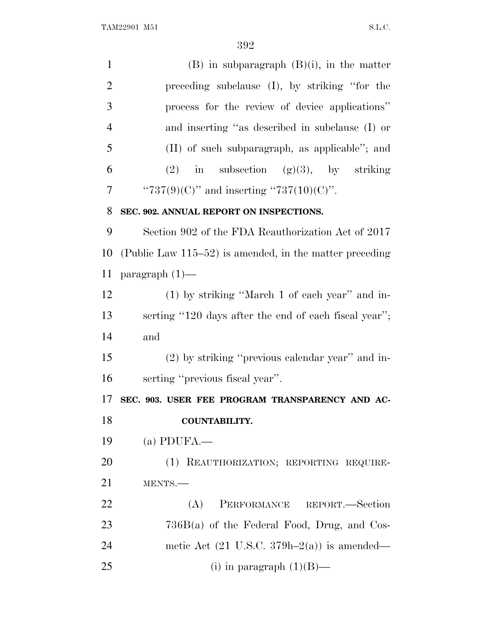| $\mathbf{1}$   | $(B)$ in subparagraph $(B)(i)$ , in the matter             |
|----------------|------------------------------------------------------------|
| $\overline{2}$ | preceding subclause (I), by striking "for the              |
| 3              | process for the review of device applications"             |
| $\overline{4}$ | and inserting "as described in subclause (I) or            |
| 5              | (II) of such subparagraph, as applicable"; and             |
| 6              | $(2)$ in subsection $(g)(3)$ , by striking                 |
| $\overline{7}$ | " $737(9)(C)$ " and inserting " $737(10)(C)$ ".            |
| 8              | SEC. 902. ANNUAL REPORT ON INSPECTIONS.                    |
| 9              | Section 902 of the FDA Reauthorization Act of 2017         |
| 10             | (Public Law $115-52$ ) is amended, in the matter preceding |
| 11             | paragraph $(1)$ —                                          |
| 12             | (1) by striking "March 1 of each year" and in-             |
| 13             | serting "120 days after the end of each fiscal year";      |
| 14             | and                                                        |
| 15             | $(2)$ by striking "previous calendar year" and in-         |
| 16             | serting "previous fiscal year".                            |
| 17             | SEC. 903. USER FEE PROGRAM TRANSPARENCY AND AC-            |
| 18             | <b>COUNTABILITY.</b>                                       |
| 19             | $(a)$ PDUFA.—                                              |
| 20             | (1) REAUTHORIZATION; REPORTING REQUIRE-                    |
| 21             | MENTS.-                                                    |
| 22             | PERFORMANCE REPORT.-Section<br>(A)                         |
| 23             | $736B(a)$ of the Federal Food, Drug, and Cos-              |
| 24             | metic Act $(21 \text{ U.S.C. } 379h-2(a))$ is amended—     |
| 25             | (i) in paragraph $(1)(B)$ —                                |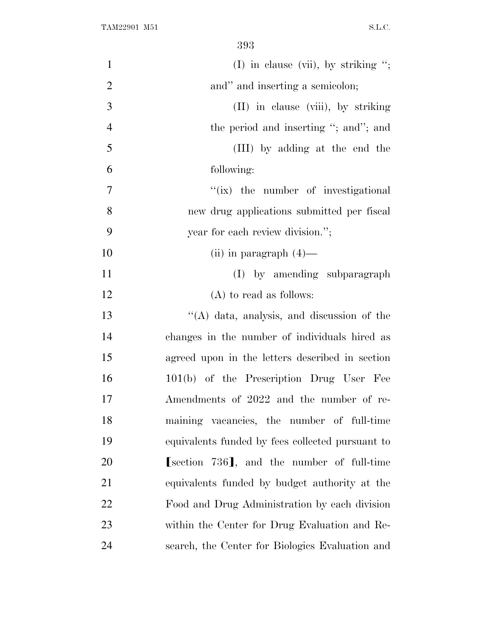| $\mathbf{1}$   | (I) in clause (vii), by striking ";              |
|----------------|--------------------------------------------------|
| $\overline{2}$ | and" and inserting a semicolon;                  |
| 3              | (II) in clause (viii), by striking               |
| $\overline{4}$ | the period and inserting "; and"; and            |
| 5              | (III) by adding at the end the                   |
| 6              | following:                                       |
| 7              | "(ix) the number of investigational              |
| 8              | new drug applications submitted per fiscal       |
| 9              | year for each review division.";                 |
| 10             | (ii) in paragraph $(4)$ —                        |
| 11             | (I) by amending subparagraph                     |
| 12             | $(A)$ to read as follows:                        |
| 13             | "(A) data, analysis, and discussion of the       |
| 14             | changes in the number of individuals hired as    |
| 15             | agreed upon in the letters described in section  |
| 16             | 101(b) of the Prescription Drug User Fee         |
| 17             | Amendments of 2022 and the number of re-         |
| 18             | maining vacancies, the number of full-time       |
| 19             | equivalents funded by fees collected pursuant to |
| 20             | [section 736], and the number of full-time       |
| 21             | equivalents funded by budget authority at the    |
| 22             | Food and Drug Administration by each division    |
| 23             | within the Center for Drug Evaluation and Re-    |
| 24             | search, the Center for Biologics Evaluation and  |
|                |                                                  |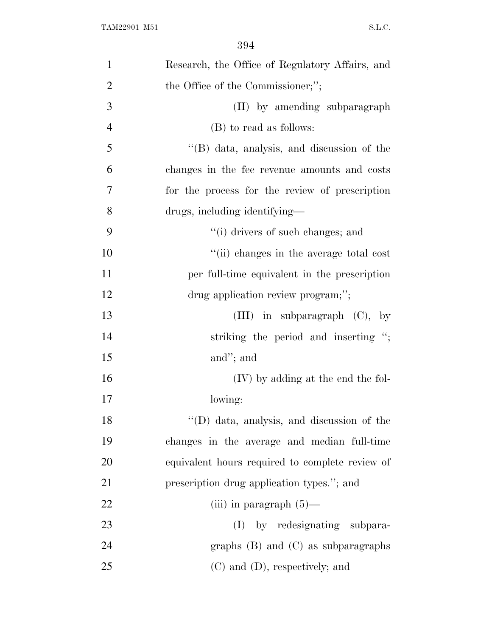| $\mathbf{1}$   | Research, the Office of Regulatory Affairs, and |
|----------------|-------------------------------------------------|
| $\overline{2}$ | the Office of the Commissioner;";               |
| 3              | (II) by amending subparagraph                   |
| $\overline{4}$ | (B) to read as follows:                         |
| 5              | "(B) data, analysis, and discussion of the      |
| 6              | changes in the fee revenue amounts and costs    |
| 7              | for the process for the review of prescription  |
| 8              | drugs, including identifying—                   |
| 9              | "(i) drivers of such changes; and               |
| 10             | "(ii) changes in the average total cost         |
| 11             | per full-time equivalent in the prescription    |
| 12             | drug application review program;";              |
| 13             | (III) in subparagraph $(C)$ , by                |
| 14             | striking the period and inserting ";            |
| 15             | and"; and                                       |
| 16             | (IV) by adding at the end the fol-              |
| 17             | lowing:                                         |
| 18             | "(D) data, analysis, and discussion of the      |
| 19             | changes in the average and median full-time     |
| 20             | equivalent hours required to complete review of |
| 21             | prescription drug application types."; and      |
| 22             | (iii) in paragraph $(5)$ —                      |
| 23             | by redesignating subpara-<br>(I)                |
| 24             | graphs $(B)$ and $(C)$ as subparagraphs         |
| 25             | $(C)$ and $(D)$ , respectively; and             |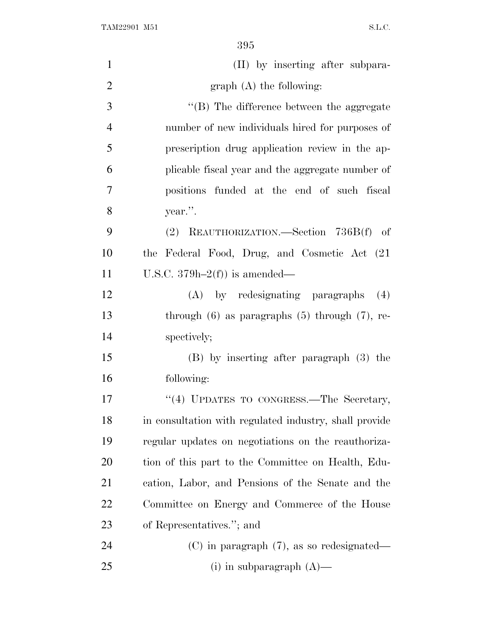| $\mathbf{1}$   | (II) by inserting after subpara-                       |
|----------------|--------------------------------------------------------|
| $\overline{2}$ | $graph(A)$ the following:                              |
| 3              | "(B) The difference between the aggregate              |
| $\overline{4}$ | number of new individuals hired for purposes of        |
| 5              | prescription drug application review in the ap-        |
| 6              | plicable fiscal year and the aggregate number of       |
| $\overline{7}$ | positions funded at the end of such fiscal             |
| 8              | year.".                                                |
| 9              | (2) REAUTHORIZATION.—Section 736B(f) of                |
| 10             | the Federal Food, Drug, and Cosmetic Act (21)          |
| 11             | U.S.C. $379h-2(f)$ is amended—                         |
| 12             | $(A)$ by redesignating paragraphs $(4)$                |
| 13             | through $(6)$ as paragraphs $(5)$ through $(7)$ , re-  |
| 14             | spectively;                                            |
| 15             | $(B)$ by inserting after paragraph $(3)$ the           |
| 16             | following:                                             |
| 17             | "(4) UPDATES TO CONGRESS.—The Secretary,               |
| 18             | in consultation with regulated industry, shall provide |
| 19             | regular updates on negotiations on the reauthoriza-    |
| 20             | tion of this part to the Committee on Health, Edu-     |
| 21             | cation, Labor, and Pensions of the Senate and the      |
| 22             | Committee on Energy and Commerce of the House          |
| 23             | of Representatives."; and                              |
| 24             | $(C)$ in paragraph $(7)$ , as so redesignated—         |
| 25             | (i) in subparagraph $(A)$ —                            |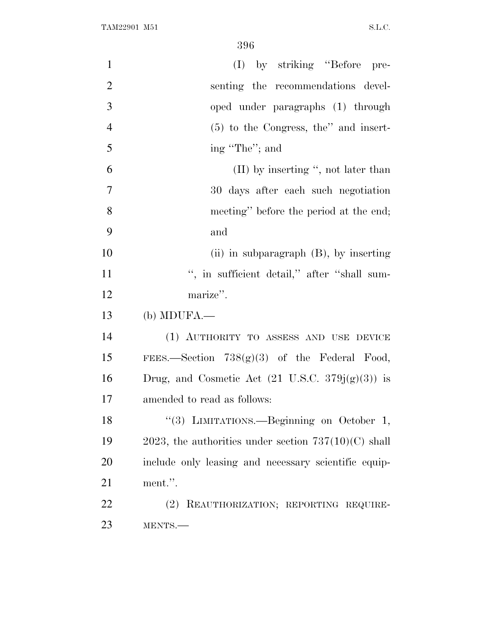| $\mathbf{1}$   | (I) by striking "Before pre-                                |
|----------------|-------------------------------------------------------------|
| $\overline{2}$ | senting the recommendations devel-                          |
| 3              | oped under paragraphs (1) through                           |
| $\overline{4}$ | $(5)$ to the Congress, the" and insert-                     |
| 5              | ing "The"; and                                              |
| 6              | $(II)$ by inserting ", not later than                       |
| $\overline{7}$ | 30 days after each such negotiation                         |
| 8              | meeting" before the period at the end;                      |
| 9              | and                                                         |
| 10             | (ii) in subparagraph $(B)$ , by inserting                   |
| 11             | ", in sufficient detail," after "shall sum-                 |
| 12             | marize".                                                    |
| 13             | (b) MDUFA.                                                  |
| 14             | (1) AUTHORITY TO ASSESS AND USE DEVICE                      |
| 15             | FEES.—Section $738(g)(3)$ of the Federal Food,              |
| 16             | Drug, and Cosmetic Act $(21 \text{ U.S.C. } 379j(g)(3))$ is |
| 17             | amended to read as follows:                                 |
| 18             | "(3) LIMITATIONS.—Beginning on October 1,                   |
| 19             | 2023, the authorities under section $737(10)(C)$ shall      |
| 20             | include only leasing and necessary scientific equip-        |
| 21             | ment.".                                                     |
| 22             | REAUTHORIZATION; REPORTING REQUIRE-<br>(2)                  |
| 23             | MENTS.                                                      |
|                |                                                             |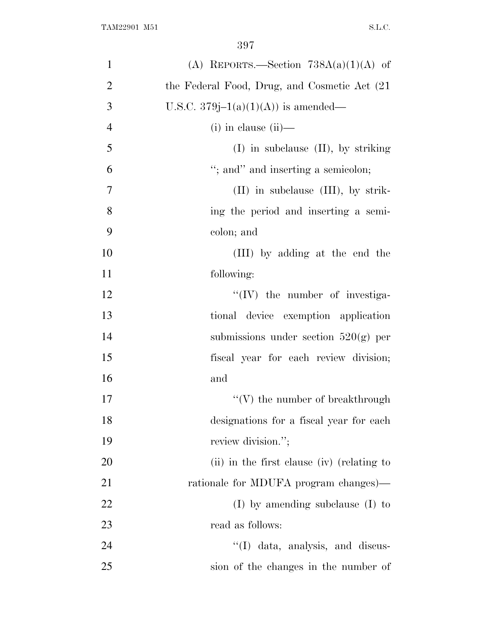| $\mathbf{1}$   | (A) REPORTS.—Section $738A(a)(1)(A)$ of       |
|----------------|-----------------------------------------------|
| $\overline{2}$ | the Federal Food, Drug, and Cosmetic Act (21) |
| 3              | U.S.C. 379 $j-1(a)(1)(A)$ is amended—         |
| $\overline{4}$ | $(i)$ in clause $(ii)$ —                      |
| 5              | $(I)$ in subclause $(II)$ , by striking       |
| 6              | "; and" and inserting a semicolon;            |
| $\overline{7}$ | $(II)$ in subclause $(III)$ , by strik-       |
| 8              | ing the period and inserting a semi-          |
| 9              | colon; and                                    |
| 10             | (III) by adding at the end the                |
| 11             | following:                                    |
| 12             | $\lq\lq$ (IV) the number of investiga-        |
| 13             | tional device exemption application           |
| 14             | submissions under section $520(g)$ per        |
| 15             | fiscal year for each review division;         |
| 16             | and                                           |
| 17             | $\lq\lq(V)$ the number of breakthrough        |
| 18             | designations for a fiscal year for each       |
| 19             | review division.";                            |
| 20             | (ii) in the first clause (iv) (relating to    |
| 21             | rationale for MDUFA program changes)—         |
| 22             | $(I)$ by amending subclause $(I)$ to          |
| 23             | read as follows:                              |
| 24             | "(I) data, analysis, and discus-              |
| 25             | sion of the changes in the number of          |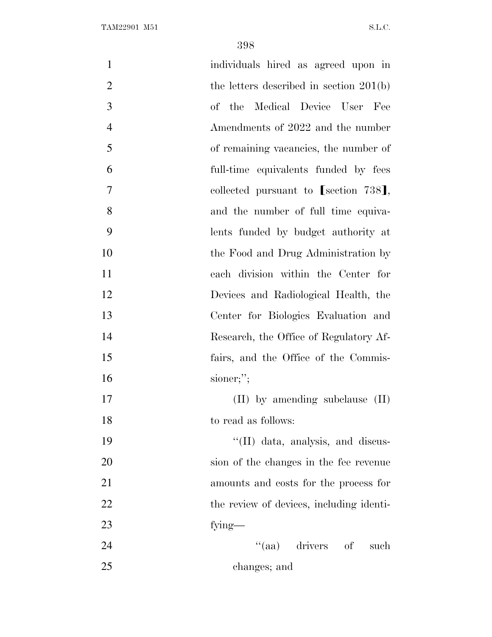| $\mathbf{1}$   | individuals hired as agreed upon in       |
|----------------|-------------------------------------------|
| $\overline{2}$ | the letters described in section $201(b)$ |
| 3              | of the Medical Device User Fee            |
| $\overline{4}$ | Amendments of 2022 and the number         |
| 5              | of remaining vacancies, the number of     |
| 6              | full-time equivalents funded by fees      |
| $\overline{7}$ | collected pursuant to [section 738],      |
| 8              | and the number of full time equiva-       |
| 9              | lents funded by budget authority at       |
| 10             | the Food and Drug Administration by       |
| 11             | each division within the Center for       |
| 12             | Devices and Radiological Health, the      |
| 13             | Center for Biologies Evaluation and       |
| 14             | Research, the Office of Regulatory Af-    |
| 15             | fairs, and the Office of the Commis-      |
| 16             | sioner;";                                 |
| 17             | $(II)$ by amending subclause $(II)$       |
| 18             | to read as follows:                       |
| 19             | "(II) data, analysis, and discus-         |
| 20             | sion of the changes in the fee revenue    |
| 21             | amounts and costs for the process for     |
| 22             | the review of devices, including identi-  |
| 23             | fying—                                    |
| 24             | "(aa) drivers of<br>such                  |
| 25             | changes; and                              |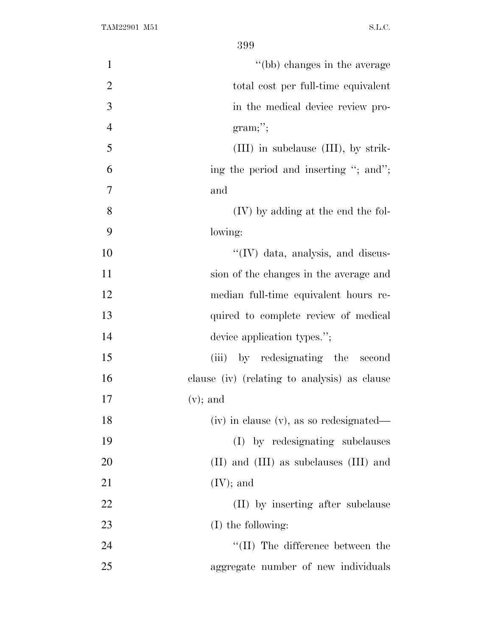| $\mathbf{1}$   | "(bb) changes in the average                 |
|----------------|----------------------------------------------|
| $\overline{2}$ | total cost per full-time equivalent          |
| 3              | in the medical device review pro-            |
| $\overline{4}$ | $gram;$ ";                                   |
| 5              | $(III)$ in subclause $(III)$ , by strik-     |
| 6              | ing the period and inserting "; and";        |
| 7              | and                                          |
| 8              | (IV) by adding at the end the fol-           |
| 9              | lowing:                                      |
| 10             | "(IV) data, analysis, and discus-            |
| 11             | sion of the changes in the average and       |
| 12             | median full-time equivalent hours re-        |
| 13             | quired to complete review of medical         |
| 14             | device application types.";                  |
| 15             | (iii) by redesignating the second            |
| 16             | clause (iv) (relating to analysis) as clause |
| 17             | $(v)$ ; and                                  |
| 18             | (iv) in clause (v), as so redesignated—      |
| 19             | (I) by redesignating subclauses              |
| 20             | (II) and (III) as subclauses (III) and       |
| 21             | $(IV);$ and                                  |
| 22             | (II) by inserting after subclause            |
| 23             | (I) the following:                           |
| 24             | $\lq\lq$ (II) The difference between the     |
| 25             | aggregate number of new individuals          |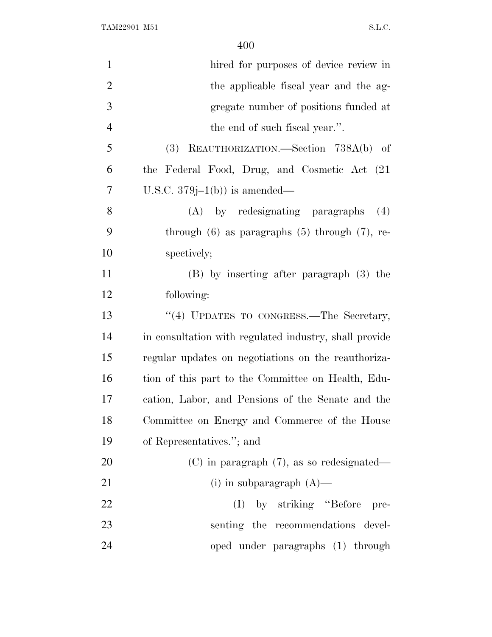TAM22901 M51 S.L.C.

| hired for purposes of device review in                 |
|--------------------------------------------------------|
| the applicable fiscal year and the ag-                 |
| gregate number of positions funded at                  |
| the end of such fiscal year.".                         |
| REAUTHORIZATION.—Section 738A(b) of<br>(3)             |
| the Federal Food, Drug, and Cosmetic Act (21)          |
| U.S.C. $379j-1(b)$ is amended—                         |
| (A) by redesignating paragraphs<br>(4)                 |
| through $(6)$ as paragraphs $(5)$ through $(7)$ , re-  |
| spectively;                                            |
| (B) by inserting after paragraph (3) the               |
| following:                                             |
| "(4) UPDATES TO CONGRESS.—The Secretary,               |
| in consultation with regulated industry, shall provide |
| regular updates on negotiations on the reauthoriza-    |
| tion of this part to the Committee on Health, Edu-     |
| cation, Labor, and Pensions of the Senate and the      |
| Committee on Energy and Commerce of the House          |
| of Representatives."; and                              |
| $(C)$ in paragraph $(7)$ , as so redesignated—         |
| (i) in subparagraph $(A)$ —                            |
| $(I)$ by striking "Before"<br>pre-                     |
| senting the recommendations devel-                     |
| oped under paragraphs (1) through                      |
|                                                        |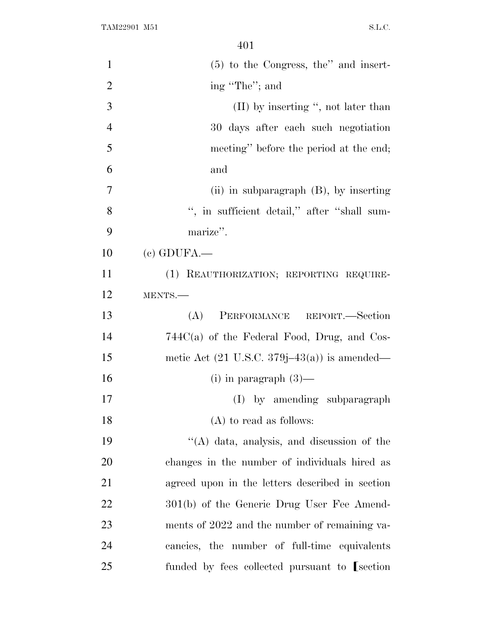| $\mathbf{1}$   | $(5)$ to the Congress, the'' and insert-                |
|----------------|---------------------------------------------------------|
| $\overline{2}$ | ing "The"; and                                          |
| 3              | $(II)$ by inserting ", not later than                   |
| $\overline{4}$ | 30 days after each such negotiation                     |
| 5              | meeting" before the period at the end;                  |
| 6              | and                                                     |
| $\overline{7}$ | (ii) in subparagraph $(B)$ , by inserting               |
| 8              | ", in sufficient detail," after "shall sum-             |
| 9              | marize".                                                |
| 10             | $(c)$ GDUFA.—                                           |
| 11             | (1) REAUTHORIZATION; REPORTING REQUIRE-                 |
| 12             | MENTS.-                                                 |
| 13             | PERFORMANCE REPORT.-Section<br>(A)                      |
| 14             | $744C(a)$ of the Federal Food, Drug, and Cos-           |
| 15             | metic Act $(21 \text{ U.S.C. } 379j-43(a))$ is amended— |
| 16             | (i) in paragraph $(3)$ —                                |
| 17             | (I) by amending subparagraph                            |
| 18             | $(A)$ to read as follows:                               |
| 19             | $\lq\lq$ data, analysis, and discussion of the          |
| 20             | changes in the number of individuals hired as           |
| 21             | agreed upon in the letters described in section         |
| 22             | 301(b) of the Generic Drug User Fee Amend-              |
| 23             | ments of 2022 and the number of remaining va-           |
| 24             | cancies, the number of full-time equivalents            |
| 25             | funded by fees collected pursuant to [section]          |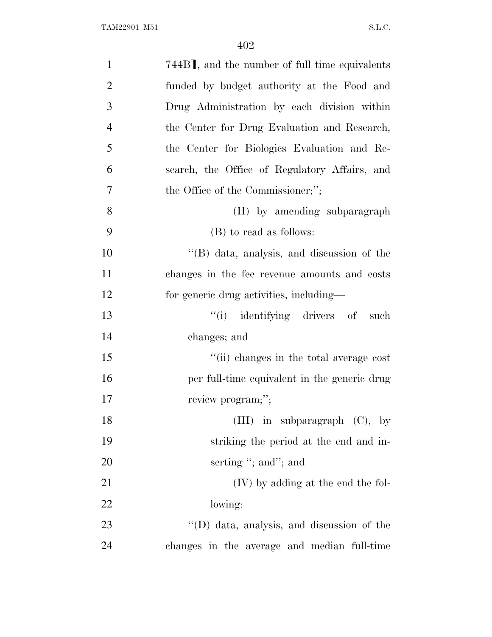| $\mathbf{1}$   | 744B], and the number of full time equivalents |
|----------------|------------------------------------------------|
| $\overline{2}$ | funded by budget authority at the Food and     |
| 3              | Drug Administration by each division within    |
| $\overline{4}$ | the Center for Drug Evaluation and Research,   |
| 5              | the Center for Biologics Evaluation and Re-    |
| 6              | search, the Office of Regulatory Affairs, and  |
| $\overline{7}$ | the Office of the Commissioner;";              |
| 8              | (II) by amending subparagraph                  |
| 9              | (B) to read as follows:                        |
| 10             | $\lq\lq$ data, analysis, and discussion of the |
| 11             | changes in the fee revenue amounts and costs   |
| 12             | for generic drug activities, including—        |
| 13             | "(i) identifying drivers of such               |
| 14             | changes; and                                   |
| 15             | "(ii) changes in the total average cost        |
| 16             | per full-time equivalent in the generic drug   |
| 17             | review program;";                              |
| 18             | (III) in subparagraph $(C)$ , by               |
| 19             | striking the period at the end and in-         |
| 20             | serting "; and"; and                           |
| 21             | (IV) by adding at the end the fol-             |
| 22             | lowing:                                        |
| 23             | "(D) data, analysis, and discussion of the     |
| 24             | changes in the average and median full-time    |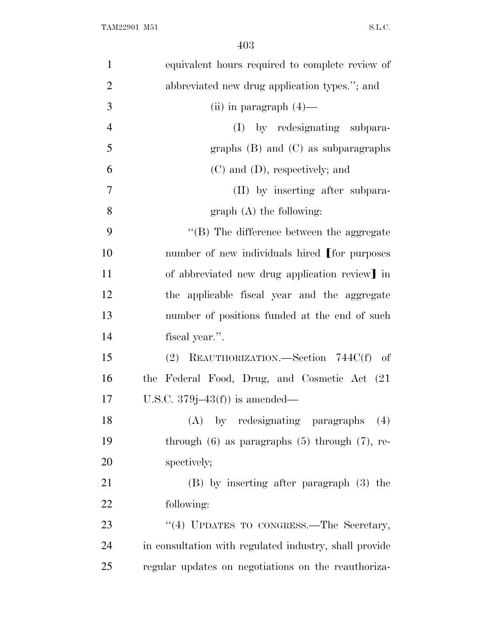| $\mathbf{1}$   | equivalent hours required to complete review of        |
|----------------|--------------------------------------------------------|
| $\overline{2}$ | abbreviated new drug application types."; and          |
| 3              | (ii) in paragraph $(4)$ —                              |
| $\overline{4}$ | (I) by redesignating subpara-                          |
| 5              | graphs $(B)$ and $(C)$ as subparagraphs                |
| 6              | $(C)$ and $(D)$ , respectively; and                    |
| 7              | (II) by inserting after subpara-                       |
| 8              | $graph(A)$ the following:                              |
| 9              | "(B) The difference between the aggregate              |
| 10             | number of new individuals hired [for purposes          |
| 11             | of abbreviated new drug application review] in         |
| 12             | the applicable fiscal year and the aggregate           |
| 13             | number of positions funded at the end of such          |
| 14             | fiscal year.".                                         |
| 15             | (2) REAUTHORIZATION.—Section 744C(f) of                |
| 16             | the Federal Food, Drug, and Cosmetic Act (21)          |
| 17             | U.S.C. $379j-43(f)$ is amended—                        |
| 18             | by redesignating paragraphs<br>(A)<br>(4)              |
| 19             | through $(6)$ as paragraphs $(5)$ through $(7)$ , re-  |
| 20             | spectively;                                            |
| 21             | $(B)$ by inserting after paragraph $(3)$ the           |
| 22             | following:                                             |
| 23             | "(4) UPDATES TO CONGRESS. The Secretary,               |
| 24             | in consultation with regulated industry, shall provide |
| 25             | regular updates on negotiations on the reauthoriza-    |
|                |                                                        |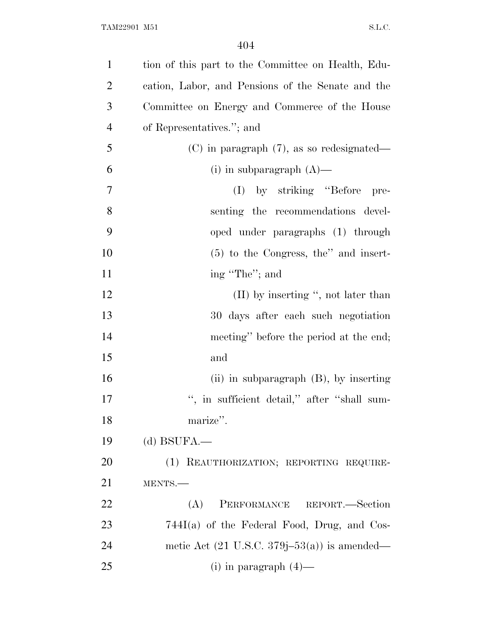| $\mathbf{1}$   | tion of this part to the Committee on Health, Edu-      |
|----------------|---------------------------------------------------------|
| $\overline{2}$ | cation, Labor, and Pensions of the Senate and the       |
| 3              | Committee on Energy and Commerce of the House           |
| $\overline{4}$ | of Representatives."; and                               |
| 5              | $(C)$ in paragraph $(7)$ , as so redesignated—          |
| 6              | (i) in subparagraph $(A)$ —                             |
| 7              | by striking "Before"<br>(I)<br>pre-                     |
| 8              | senting the recommendations devel-                      |
| 9              | oped under paragraphs (1) through                       |
| 10             | $(5)$ to the Congress, the" and insert-                 |
| 11             | ing "The"; and                                          |
| 12             | $(II)$ by inserting ", not later than                   |
| 13             | 30 days after each such negotiation                     |
| 14             | meeting" before the period at the end;                  |
| 15             | and                                                     |
| 16             | (ii) in subparagraph $(B)$ , by inserting               |
| 17             | ", in sufficient detail," after "shall sum-             |
| 18             | marize".                                                |
| 19             | $(d)$ BSUFA.—                                           |
| 20             | (1) REAUTHORIZATION; REPORTING REQUIRE-                 |
| 21             | MENTS.-                                                 |
| 22             | PERFORMANCE REPORT.-Section<br>(A)                      |
| 23             | $744I(a)$ of the Federal Food, Drug, and Cos-           |
| 24             | metic Act $(21 \text{ U.S.C. } 379j-53(a))$ is amended— |
| 25             | (i) in paragraph $(4)$ —                                |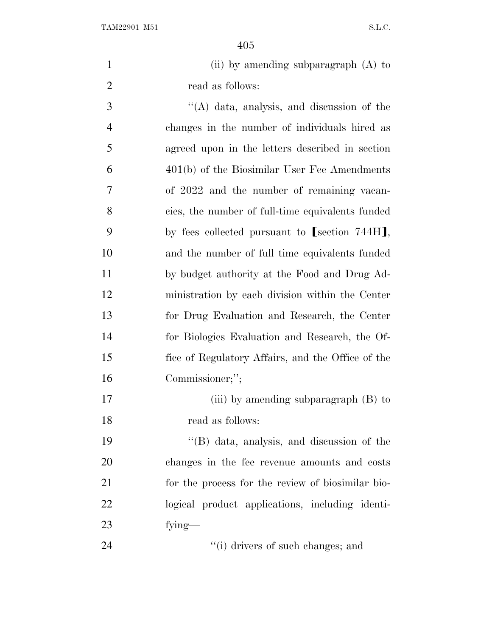| (ii) by amending subparagraph $(A)$ to |
|----------------------------------------|
| read as follows:                       |

 ''(A) data, analysis, and discussion of the changes in the number of individuals hired as agreed upon in the letters described in section 401(b) of the Biosimilar User Fee Amendments of 2022 and the number of remaining vacan- cies, the number of full-time equivalents funded 9 by fees collected pursuant to [section 744H], and the number of full time equivalents funded by budget authority at the Food and Drug Ad- ministration by each division within the Center for Drug Evaluation and Research, the Center for Biologics Evaluation and Research, the Of- fice of Regulatory Affairs, and the Office of the Commissioner;'';

17 (iii) by amending subparagraph (B) to read as follows:

 ''(B) data, analysis, and discussion of the changes in the fee revenue amounts and costs for the process for the review of biosimilar bio- logical product applications, including identi-fying—

24 ''(i) drivers of such changes; and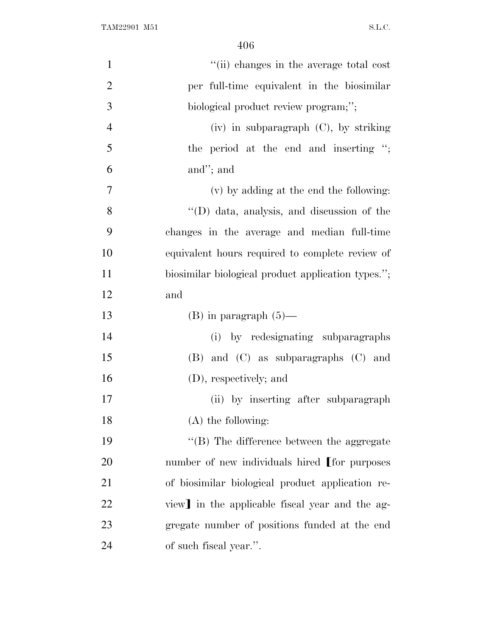| $\mathbf{1}$   | "(ii) changes in the average total cost            |
|----------------|----------------------------------------------------|
| $\overline{2}$ | per full-time equivalent in the biosimilar         |
| 3              | biological product review program;";               |
| $\overline{4}$ | (iv) in subparagraph (C), by striking              |
| 5              | the period at the end and inserting ";             |
| 6              | and"; and                                          |
| 7              | (v) by adding at the end the following:            |
| 8              | $\lq\lq$ (D) data, analysis, and discussion of the |
| 9              | changes in the average and median full-time        |
| 10             | equivalent hours required to complete review of    |
| 11             | biosimilar biological product application types."; |
| 12             | and                                                |
| 13             | $(B)$ in paragraph $(5)$ —                         |
| 14             | (i) by redesignating subparagraphs                 |
| 15             | $(B)$ and $(C)$ as subparagraphs $(C)$ and         |
| 16             | (D), respectively; and                             |
| 17             | (ii) by inserting after subparagraph               |
| 18             | $(A)$ the following:                               |
| 19             | "(B) The difference between the aggregate          |
| 20             | number of new individuals hired [for purposes      |
| 21             | of biosimilar biological product application re-   |
| 22             | view in the applicable fiscal year and the ag-     |
| 23             | gregate number of positions funded at the end      |
| 24             | of such fiscal year.".                             |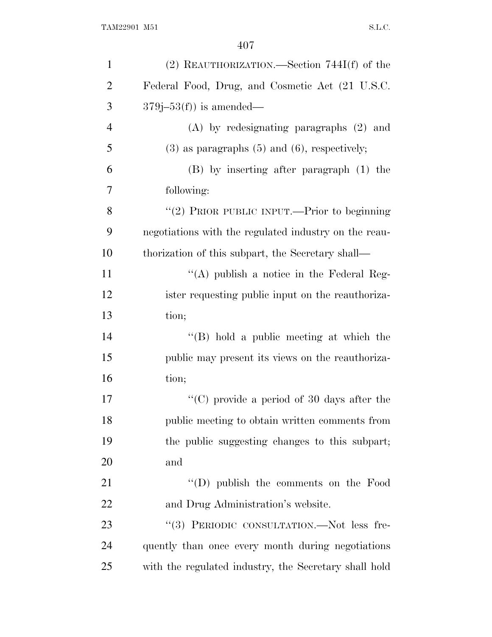| $\mathbf{1}$   | $(2)$ REAUTHORIZATION.—Section 744I(f) of the         |
|----------------|-------------------------------------------------------|
| $\overline{2}$ | Federal Food, Drug, and Cosmetic Act (21 U.S.C.       |
| 3              | $379j-53(f)$ is amended—                              |
| $\overline{4}$ | $(A)$ by redesignating paragraphs $(2)$ and           |
| 5              | $(3)$ as paragraphs $(5)$ and $(6)$ , respectively;   |
| 6              | (B) by inserting after paragraph (1) the              |
| 7              | following:                                            |
| 8              | "(2) PRIOR PUBLIC INPUT.—Prior to beginning           |
| 9              | negotiations with the regulated industry on the reau- |
| 10             | thorization of this subpart, the Secretary shall—     |
| 11             | "(A) publish a notice in the Federal Reg-             |
| 12             | ister requesting public input on the reauthoriza-     |
| 13             | tion;                                                 |
| 14             | $\lq\lq (B)$ hold a public meeting at which the       |
| 15             | public may present its views on the reauthoriza-      |
| 16             | tion;                                                 |
| 17             | "(C) provide a period of 30 days after the            |
| 18             | public meeting to obtain written comments from        |
| 19             | the public suggesting changes to this subpart;        |
| 20             | and                                                   |
| 21             | "(D) publish the comments on the Food                 |
| 22             | and Drug Administration's website.                    |
| 23             | "(3) PERIODIC CONSULTATION.—Not less fre-             |
| 24             | quently than once every month during negotiations     |
| 25             | with the regulated industry, the Secretary shall hold |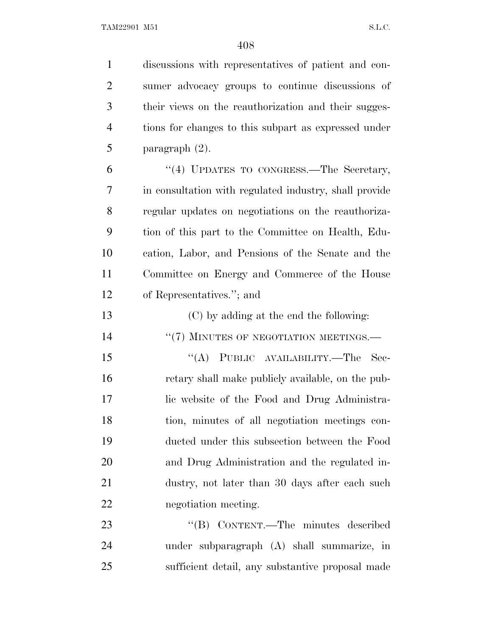TAM22901 M51 S.L.C.

 discussions with representatives of patient and con- sumer advocacy groups to continue discussions of their views on the reauthorization and their sugges- tions for changes to this subpart as expressed under paragraph (2). 6 "(4) UPDATES TO CONGRESS.—The Secretary, in consultation with regulated industry, shall provide regular updates on negotiations on the reauthoriza- tion of this part to the Committee on Health, Edu- cation, Labor, and Pensions of the Senate and the Committee on Energy and Commerce of the House of Representatives.''; and (C) by adding at the end the following: 14 <sup>"</sup>(7) MINUTES OF NEGOTIATION MEETINGS.— ''(A) PUBLIC AVAILABILITY.—The Sec- retary shall make publicly available, on the pub- lic website of the Food and Drug Administra- tion, minutes of all negotiation meetings con- ducted under this subsection between the Food and Drug Administration and the regulated in- dustry, not later than 30 days after each such negotiation meeting. 23 "'(B) CONTENT.—The minutes described under subparagraph (A) shall summarize, in

sufficient detail, any substantive proposal made